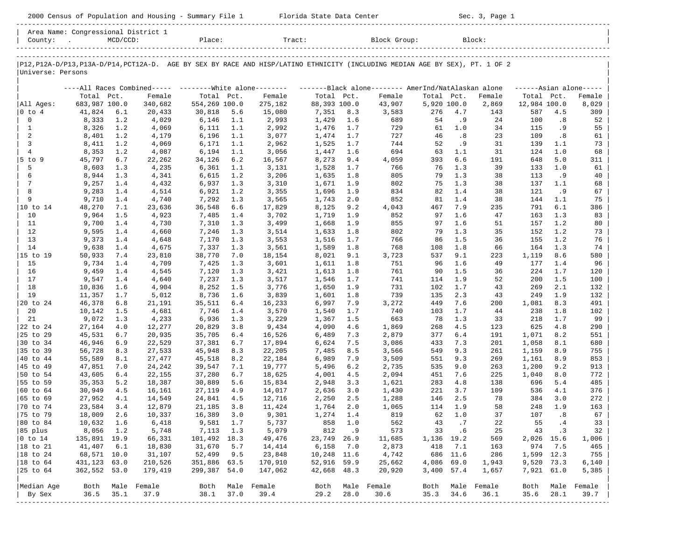2000 Census of Population and Housing - Summary File 1 Florida State Data Center Sec. 3, Page 1

| Area<br>Name | $\sim$ $\sim$ $\sim$                                                            |        |       |        |  |
|--------------|---------------------------------------------------------------------------------|--------|-------|--------|--|
| County       | the contract of the contract of the contract of the contract of the contract of | Place: | Tract | Block: |  |

----------------------------------------------------------------------------------------------------------------------------------------------------- |P12,P12A-D/P13,P13A-D/P14,PCT12A-D. AGE BY SEX BY RACE AND HISP/LATINO ETHNICITY (INCLUDING MEDIAN AGE BY SEX), PT. 1 OF 2 | |Universe: Persons |

|                |               |       |             | ----All Races Combined----- -------- White alone-------- |       |         |              |      | -------Black alone-------- AmerInd/NatAlaskan alone |             |      |        |              |           | $---Asian alone---$ |
|----------------|---------------|-------|-------------|----------------------------------------------------------|-------|---------|--------------|------|-----------------------------------------------------|-------------|------|--------|--------------|-----------|---------------------|
|                | Total         | Pct.  | Female      | Total                                                    | Pct.  | Female  | Total        | Pct. | Female                                              | Total       | Pct. | Female | Total Pct.   |           | Female              |
| All Ages:      | 683,987 100.0 |       | 340,682     | 554,269 100.0                                            |       | 275,182 | 88,393 100.0 |      | 43,907                                              | 5,920 100.0 |      | 2,869  | 12,984 100.0 |           | 8,029               |
| $0$ to $4$     | 41,824        | 6.1   | 20,433      | 30,818                                                   | 5.6   | 15,080  | 7,351        | 8.3  | 3,583                                               | 276         | 4.7  | 143    | 587          | 4.5       | 309                 |
| $\Omega$       | 8,333         | 1.2   | 4,029       | 6,146                                                    | 1.1   | 2,993   | 1,429        | 1.6  | 689                                                 | 54          | .9   | 24     | 100          | .8        | 52                  |
| 1              | 8,326         | 1.2   | 4,069       | 6,111                                                    | 1.1   | 2,992   | 1,476        | 1.7  | 729                                                 | 61          | 1.0  | 34     | 115          | . 9       | 55                  |
| 2              | 8,401         | 1.2   | 4,179       | 6,196                                                    | 1.1   | 3,077   | 1,474        | 1.7  | 727                                                 | 46          | .8   | 23     | 109          | .8        | 61                  |
| 3              | 8,411         | 1.2   | 4,069       | 6,171                                                    | 1.1   | 2,962   | 1,525        | 1.7  | 744                                                 | 52          | .9   | 31     | 139          | 1.1       | 73                  |
| $\overline{4}$ | 8,353         | 1.2   | 4,087       | 6,194                                                    | 1.1   | 3,056   | 1,447        | 1.6  | 694                                                 | 63          | 1.1  | 31     | 124          | 1.0       | 68                  |
| $5$ to<br>9    | 45,797        | 6.7   | 22,262      | 34,126                                                   | 6.2   | 16,567  | 8,273        | 9.4  | 4,059                                               | 393         | 6.6  | 191    | 648          | 5.0       | 311                 |
| 5              | 8,603         | 1.3   | 4,235       | 6,361                                                    | 1.1   | 3,131   | 1,528        | 1.7  | 766                                                 | 76          | 1.3  | 39     | 133          | 1.0       | 61                  |
| 6              | 8,944         | 1.3   | 4,341       | 6,615                                                    | 1.2   | 3,206   | 1,635        | 1.8  | 805                                                 | 79          | 1.3  | 38     | 113          | .9        | 40                  |
| 7              | 9,257         | 1.4   | 4,432       | 6,937                                                    | 1.3   | 3,310   | 1,671        | 1.9  | 802                                                 | 75          | 1.3  | 38     | 137          | 1.1       | 68                  |
| 8              | 9,283         | 1.4   | 4,514       | 6,921                                                    | 1.2   | 3,355   | 1,696        | 1.9  | 834                                                 | 82          | 1.4  | 38     | 121          | . 9       | 67                  |
| 9              | 9,710         | 1.4   | 4,740       | 7,292                                                    | 1.3   | 3,565   | 1,743        | 2.0  | 852                                                 | 81          | 1.4  | 38     | 144          | 1.1       | 75                  |
| 10 to 14       | 48,270        | 7.1   | 23,636      | 36,548                                                   | 6.6   | 17,829  | 8,125        | 9.2  | 4,043                                               | 467         | 7.9  | 235    | 791          | 6.1       | 386                 |
| 10             | 9,964         | 1.5   | 4,923       | 7,485                                                    | 1.4   | 3,702   | 1,719        | 1.9  | 852                                                 | 97          | 1.6  | 47     | 163          | 1.3       | 83                  |
| 11             | 9,700         | 1.4   | 4,730       | 7,310                                                    | 1.3   | 3,499   | 1,668        | 1.9  | 855                                                 | 97          | 1.6  | 51     | 157          | 1.2       | 80                  |
| 12             | 9,595         | 1.4   | 4,660       | 7,246                                                    | 1.3   | 3,514   | 1,633        | 1.8  | 802                                                 | 79          | 1.3  | 35     | 152          | 1.2       | 73                  |
| 13             | 9,373         | 1.4   | 4,648       | 7,170                                                    | 1.3   | 3,553   | 1,516        | 1.7  | 766                                                 | 86          | 1.5  | 36     | 155          | 1.2       | 76                  |
| 14             | 9,638         | 1.4   | 4,675       | 7,337                                                    | 1.3   | 3,561   | 1,589        | 1.8  | 768                                                 | 108         | 1.8  | 66     | 164          | 1.3       | 74                  |
| 15 to 19       | 50,933        | 7.4   | 23,810      | 38,770                                                   | 7.0   | 18,154  | 8,021        | 9.1  | 3,723                                               | 537         | 9.1  | 223    | 1,119        | 8.6       | 580                 |
| 15             | 9,734         | 1.4   | 4,709       | 7,425                                                    | 1.3   | 3,601   | 1,611        | 1.8  | 751                                                 | 96          | 1.6  | 49     | 177          | 1.4       | 96                  |
| 16             | 9,459         | 1.4   | 4,545       | 7,120                                                    | 1.3   | 3,421   | 1,613        | 1.8  | 761                                                 | 90          | 1.5  | 36     | 224          | 1.7       | 120                 |
| 17             | 9,547         | 1.4   | 4,640       | 7,237                                                    | 1.3   | 3,517   | 1,546        | 1.7  | 741                                                 | 114         | 1.9  | 52     | 200          | 1.5       | 100                 |
| 18             | 10,836        | 1.6   | 4,904       | 8,252                                                    | 1.5   | 3,776   | 1,650        | 1.9  | 731                                                 | 102         | 1.7  | 43     | 269          | 2.1       | 132                 |
| 19             | 11,357        | 1.7   | 5,012       | 8,736                                                    | 1.6   | 3,839   | 1,601        | 1.8  | 739                                                 | 135         | 2.3  | 43     | 249          | 1.9       | 132                 |
| 20 to 24       | 46,378        | $6.8$ | 21,191      | 35,511                                                   | $6.4$ | 16,233  | 6,997        | 7.9  | 3,272                                               | 449         | 7.6  | 200    | 1,081        | 8.3       | 491                 |
| 20             | 10,142        | 1.5   | 4,681       | 7,746                                                    | 1.4   | 3,570   | 1,540        | 1.7  | 740                                                 | 103         | 1.7  | 44     | 238          | 1.8       | 102                 |
| 21             | 9,072         | 1.3   | 4,233       | 6,936                                                    | 1.3   | 3,229   | 1,367        | 1.5  | 663                                                 | 78          | 1.3  | 33     | 218          | 1.7       | 99                  |
| 22 to 24       | 27,164        | 4.0   | 12,277      | 20,829                                                   | 3.8   | 9,434   | 4,090        | 4.6  | 1,869                                               | 268         | 4.5  | 123    | 625          | 4.8       | 290                 |
| 25 to 29       | 45,531        | 6.7   | 20,935      | 35,705                                                   | 6.4   | 16,526  | 6,489        | 7.3  | 2,879                                               | 377         | 6.4  | 191    | 1,071        | 8.2       | 551                 |
| 30 to 34       | 46,946        | 6.9   | 22,529      | 37,381                                                   | 6.7   | 17,894  | 6,624        | 7.5  | 3,086                                               | 433         | 7.3  | 201    | 1,058        | 8.1       | 680                 |
| 35 to 39       | 56,728        | 8.3   | 27,533      | 45,948                                                   | 8.3   | 22,205  | 7,485        | 8.5  | 3,566                                               | 549         | 9.3  | 261    | 1,159        | 8.9       | 755                 |
| 40 to 44       | 55,589        | 8.1   | 27,477      | 45,518                                                   | 8.2   | 22,184  | 6,989        | 7.9  | 3,509                                               | 551         | 9.3  | 269    | 1,161        | 8.9       | 853                 |
| 45 to 49       | 47,851        | 7.0   | 24,242      | 39,547                                                   | 7.1   | 19,777  | 5,496        | 6.2  | 2,735                                               | 535         | 9.0  | 263    | 1,200        | 9.2       | 913                 |
| 50 to 54       | 43,605        | 6.4   | 22,155      | 37,280                                                   | 6.7   | 18,625  | 4,001        | 4.5  | 2,094                                               | 451         | 7.6  | 225    | 1,040        | 8.0       | 772                 |
| 55 to 59       | 35,353        | 5.2   | 18,387      | 30,889                                                   | 5.6   | 15,834  | 2,948        | 3.3  | 1,621                                               | 283         | 4.8  | 138    | 696          | 5.4       | 485                 |
| 60 to 64       | 30,949        | 4.5   | 16,161      | 27,119                                                   | 4.9   | 14,017  | 2,636        | 3.0  | 1,430                                               | 221         | 3.7  | 109    | 536          | 4.1       | 376                 |
| 65 to 69       | 27,952        | 4.1   | 14,549      | 24,841                                                   | 4.5   | 12,716  | 2,250        | 2.5  | 1,288                                               | 146         | 2.5  | 78     | 384          | 3.0       | 272                 |
| 70 to 74       | 23,584        | 3.4   | 12,879      | 21,185                                                   | 3.8   | 11,424  | 1,764        | 2.0  | 1,065                                               | 114         | 1.9  | 58     | 248          | 1.9       | 163                 |
| 75 to 79       | 18,009        | 2.6   | 10,337      | 16,389                                                   | 3.0   | 9,301   | 1,274        | 1.4  | 819                                                 | 62          | 1.0  | 37     | 107          | .8        | 67                  |
| 80 to 84       | 10,632        | 1.6   | 6,418       | 9,581                                                    | 1.7   | 5,737   | 858          | 1.0  | 562                                                 | 43          | .7   | 22     | 55           | .4        | 33                  |
| 85 plus        | 8,056         | 1.2   | 5,748       | 7,113                                                    | 1.3   | 5,079   | 812          | . 9  | 573                                                 | 33          | .6   | 25     | 43           | $\cdot$ 3 | 32                  |
| $0$ to $14$    | 135,891       | 19.9  | 66,331      | 101,492                                                  | 18.3  | 49,476  | 23,749       | 26.9 | 11,685                                              | 1,136       | 19.2 | 569    | 2,026        | 15.6      | 1,006               |
| 18 to 21       | 41,407        | 6.1   | 18,830      | 31,670                                                   | 5.7   | 14,414  | 6,158        | 7.0  | 2,873                                               | 418         | 7.1  | 163    | 974          | 7.5       | 465                 |
| 18 to 24       | 68,571        | 10.0  | 31,107      | 52,499                                                   | 9.5   | 23,848  | 10,248       | 11.6 | 4,742                                               | 686         | 11.6 | 286    | 1,599        | 12.3      | 755                 |
| 18 to 64       | 431,123       | 63.0  | 210,526     | 351,886                                                  | 63.5  | 170,910 | 52,916       | 59.9 | 25,662                                              | 4,086       | 69.0 | 1,943  | 9,520        | 73.3      | 6,140               |
| 25 to 64       | 362,552       | 53.0  | 179,419     | 299,387                                                  | 54.0  | 147,062 | 42,668       | 48.3 | 20,920                                              | 3,400       | 57.4 | 1,657  | 7,921        | 61.0      | 5,385               |
| Median Age     | Both          |       | Male Female | Both                                                     | Male  | Female  | Both         |      | Male Female                                         | Both        | Male | Female | Both         | Male      | Female              |
| By Sex         | 36.5          | 35.1  | 37.9        | 38.1                                                     | 37.0  | 39.4    | 29.2         | 28.0 | 30.6                                                | 35.3        | 34.6 | 36.1   | 35.6         | 28.1      | 39.7                |
|                |               |       |             |                                                          |       |         |              |      |                                                     |             |      |        |              |           |                     |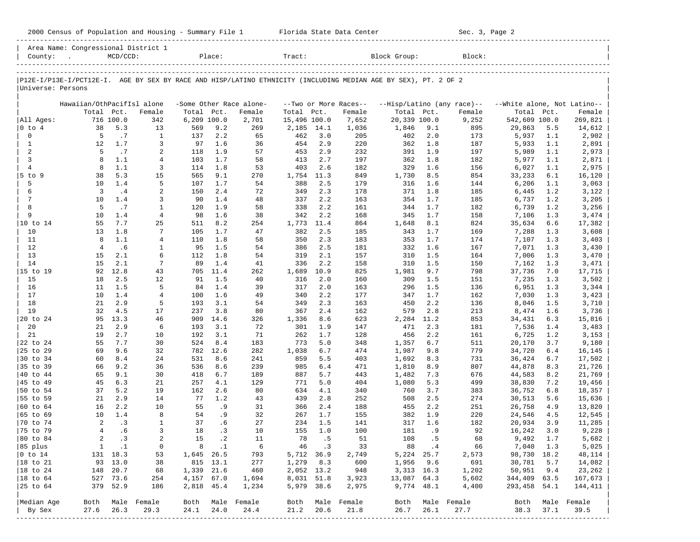|                           | 2000 Census of Population and Housing - Summary File 1 Florida State Data Center |                       |                    |               |                   |                         |              |             |                       |                                                                                                                |             | Sec. 3, Page 2             |                             |            |                  |
|---------------------------|----------------------------------------------------------------------------------|-----------------------|--------------------|---------------|-------------------|-------------------------|--------------|-------------|-----------------------|----------------------------------------------------------------------------------------------------------------|-------------|----------------------------|-----------------------------|------------|------------------|
|                           | Area Name: Congressional District 1<br>County: .                                 | $MCD/CCD$ :           |                    |               | Place:            |                         | Tract:       |             |                       | Block Group:                                                                                                   |             | Block:                     |                             |            |                  |
| Universe: Persons         |                                                                                  |                       |                    |               |                   |                         |              |             |                       | P12E-I/P13E-I/PCT12E-I. AGE BY SEX BY RACE AND HISP/LATINO ETHNICITY (INCLUDING MEDIAN AGE BY SEX), PT. 2 OF 2 |             |                            |                             |            |                  |
|                           | Hawaiian/OthPacifIsl alone                                                       |                       |                    |               |                   | -Some Other Race alone- |              |             | --Two or More Races-- |                                                                                                                |             | --Hisp/Latino (any race)-- | --White alone, Not Latino-- |            |                  |
|                           |                                                                                  | Total Pct.            | Female             | Total Pct.    |                   | Female                  | Total Pct.   |             | Female                | Total Pct.                                                                                                     |             | Female                     | Total Pct.                  |            | Female           |
| All Ages:                 |                                                                                  | 716 100.0             | 342                | $6,209$ 100.0 |                   | 2,701                   | 15,496 100.0 |             | 7,652                 | 20,339 100.0                                                                                                   |             | 9,252                      | 542,609 100.0               |            | 269,821          |
| $0$ to $4$<br>$\mathbf 0$ | 38<br>5                                                                          | 5.3<br>.7             | 13<br>$\mathbf{1}$ | 569<br>137    | 9.2<br>2.2        | 269<br>65               | 2,185<br>462 | 14.1<br>3.0 | 1,036<br>205          | 1,846<br>402                                                                                                   | 9.1<br>2.0  | 895<br>173                 | 29,863<br>5,937             | 5.5<br>1.1 | 14,612           |
| $\mathbf{1}$              | 12                                                                               | 1.7                   | 3                  | 97            | 1.6               | 36                      | 454          | 2.9         | 220                   | 362                                                                                                            | 1.8         | 187                        | 5,933                       | 1.1        | 2,902<br>2,891   |
| 2                         | 5                                                                                | .7                    | 2                  | 118           | 1.9               | 57                      | 453          | 2.9         | 232                   | 391                                                                                                            | 1.9         | 197                        | 5,989                       | 1.1        | 2,973            |
| $\overline{3}$            | 8                                                                                | 1.1                   | $\overline{4}$     | 103           | 1.7               | 58                      | 413          | 2.7         | 197                   | 362                                                                                                            | 1.8         | 182                        | 5,977                       | 1.1        | 2,871            |
| $\overline{4}$            | 8                                                                                | 1.1                   | 3                  | 114           | 1.8               | 53                      | 403          | 2.6         | 182                   | 329                                                                                                            | 1.6         | 156                        | 6,027                       | 1.1        | 2,975            |
| $5$ to $9$                | 38                                                                               | 5.3                   | 15                 | 565           | 9.1               | 270                     | 1,754        | 11.3        | 849                   | 1,730                                                                                                          | 8.5         | 854                        | 33,233                      | 6.1        | 16,120           |
| 5                         | 10                                                                               | 1.4                   | 5                  | 107           | 1.7               | 54                      | 388          | 2.5         | 179                   | 316                                                                                                            | 1.6         | 144                        | 6,206                       | 1.1        | 3,063            |
| 6<br>7                    | 3<br>10                                                                          | .4<br>1.4             | 2<br>3             | 150<br>90     | 2.4<br>1.4        | 72<br>48                | 349<br>337   | 2.3<br>2.2  | 178<br>163            | 371<br>354                                                                                                     | 1.8<br>1.7  | 185<br>185                 | 6,445<br>6,737              | 1.2<br>1.2 | 3,122<br>3,205   |
| 8                         | 5                                                                                | .7                    | $\mathbf 1$        | 120           | 1.9               | 58                      | 338          | 2.2         | 161                   | 344                                                                                                            | 1.7         | 182                        | 6,739                       | 1.2        | 3,256            |
| 9                         | 10                                                                               | 1.4                   | $\overline{4}$     | 98            | 1.6               | 38                      | 342          | 2.2         | 168                   | 345                                                                                                            | 1.7         | 158                        | 7,106                       | 1.3        | 3,474            |
| 10 to 14                  | 55                                                                               | 7.7                   | 25                 | 511           | 8.2               | 254                     | 1,773        | 11.4        | 864                   | 1,648                                                                                                          | 8.1         | 824                        | 35,634                      | 6.6        | 17,382           |
| 10                        | 13                                                                               | 1.8                   | $7\phantom{.0}$    | 105           | 1.7               | 47                      | 382          | 2.5         | 185                   | 343                                                                                                            | 1.7         | 169                        | 7,288                       | 1.3        | 3,608            |
| 11                        | 8                                                                                | 1.1                   | $\overline{4}$     | 110           | 1.8               | 58                      | 350          | 2.3         | 183                   | 353                                                                                                            | 1.7         | 174                        | 7,107                       | 1.3        | 3,403            |
| 12<br>13                  | $\overline{4}$<br>15                                                             | .6<br>2.1             | $\mathbf{1}$<br>6  | 95            | 1.5<br>1.8        | 54<br>54                | 386<br>319   | 2.5<br>2.1  | 181<br>157            | 332                                                                                                            | 1.6         | 167                        | 7,071                       | 1.3        | 3,430            |
| 14                        | 15                                                                               | 2.1                   | $7\phantom{.0}$    | 112<br>89     | 1.4               | 41                      | 336          | 2.2         | 158                   | 310<br>310                                                                                                     | 1.5<br>1.5  | 164<br>150                 | 7,006<br>7,162              | 1.3<br>1.3 | 3,470<br>3,471   |
| 15 to 19                  |                                                                                  | 92 12.8               | 43                 | 705           | 11.4              | 262                     | 1,689        | 10.9        | 825                   | 1,981                                                                                                          | 9.7         | 798                        | 37,736                      | 7.0        | 17,715           |
| 15                        | 18                                                                               | 2.5                   | 12                 | 91            | 1.5               | 40                      | 316          | 2.0         | 160                   | 309                                                                                                            | 1.5         | 151                        | 7,235                       | 1.3        | 3,502            |
| 16                        | 11                                                                               | 1.5                   | 5                  | 84            | 1.4               | 39                      | 317          | 2.0         | 163                   | 296                                                                                                            | 1.5         | 136                        | 6,951                       | 1.3        | 3,344            |
| 17                        | 10                                                                               | 1.4                   | $\overline{4}$     | 100           | 1.6               | 49                      | 340          | 2.2         | 177                   | 347                                                                                                            | 1.7         | 162                        | 7,030                       | 1.3        | 3,423            |
| 18                        | 21                                                                               | 2.9                   | 5                  | 193           | 3.1               | 54                      | 349          | 2.3         | 163                   | 450                                                                                                            | 2.2         | 136                        | 8,046                       | 1.5        | 3,710            |
| 19<br>20 to 24            | 32<br>95                                                                         | 4.5<br>13.3           | 17<br>46           | 237<br>909    | 3.8<br>14.6       | 80<br>326               | 367<br>1,336 | 2.4<br>8.6  | 162<br>623            | 579<br>2,284                                                                                                   | 2.8<br>11.2 | 213<br>853                 | 8,474<br>34,431             | 1.6<br>6.3 | 3,736            |
| 20                        | 21                                                                               | 2.9                   | 6                  | 193           | 3.1               | 72                      | 301          | 1.9         | 147                   | 471                                                                                                            | 2.3         | 181                        | 7,536                       | 1.4        | 15,816<br>3,483  |
| 21                        | 19                                                                               | 2.7                   | 10                 | 192           | 3.1               | 71                      | 262          | 1.7         | 128                   | 456                                                                                                            | 2.2         | 161                        | 6,725                       | 1.2        | 3,153            |
| 22 to 24                  | 55                                                                               | 7.7                   | 30                 | 524           | 8.4               | 183                     | 773          | 5.0         | 348                   | 1,357                                                                                                          | 6.7         | 511                        | 20,170                      | 3.7        | 9,180            |
| 25 to 29                  | 69                                                                               | 9.6                   | 32                 | 782           | 12.6              | 282                     | 1,038        | 6.7         | 474                   | 1,987                                                                                                          | 9.8         | 779                        | 34,720                      | 6.4        | 16,145           |
| 30 to 34                  | 60                                                                               | 8.4                   | 24                 | 531           | 8.6               | 241                     | 859          | 5.5         | 403                   | 1,692                                                                                                          | 8.3         | 731                        | 36,424                      | 6.7        | 17,502           |
| 35 to 39                  | 66                                                                               | 9.2                   | 36                 | 536           | 8.6               | 239                     | 985          | $6.4$       | 471                   | 1,810                                                                                                          | 8.9         | 807                        | 44,878                      | 8.3        | 21,726           |
| 40 to 44<br>45 to 49      | 65<br>45                                                                         | 9.1<br>6.3            | 30<br>21           | 418<br>257    | 6.7<br>4.1        | 189<br>129              | 887<br>771   | 5.7<br>5.0  | 443<br>404            | 1,482<br>1,080                                                                                                 | 7.3<br>5.3  | 676<br>499                 | 44,583<br>38,830            | 8.2<br>7.2 | 21,769<br>19,456 |
| 50 to 54                  | 37                                                                               | 5.2                   | 19                 | 162           | 2.6               | 80                      | 634          | 4.1         | 340                   | 760                                                                                                            | 3.7         | 383                        | 36,752                      | 6.8        | 18,357           |
| 55 to 59                  | 21                                                                               | 2.9                   | 14                 | 77            | 1.2               | 43                      | 439          | 2.8         | 252                   | 508                                                                                                            | 2.5         | 274                        | 30,513                      | 5.6        | 15,636           |
| 60 to 64                  | 16                                                                               | 2.2                   | 10                 | 55            | .9                | 31                      | 366          | 2.4         | 188                   | 455                                                                                                            | 2.2         | 251                        | 26,758                      | 4.9        | 13,820           |
| 65 to 69                  | 10                                                                               | 1.4                   | 8                  | 54            | .9                | 32                      | 267          | 1.7         | 155                   | 382                                                                                                            | 1.9         | 220                        | 24,546                      | 4.5        | 12,545           |
| $ 70 \text{ to } 74$      |                                                                                  | $2 \quad .3$          | 1                  | 37            | .6                | 27                      | 234          | 1.5         | 141                   | 317                                                                                                            | 1.6         | 182                        | 20,934                      | 3.9        | 11,285           |
| 75 to 79                  | $\overline{4}$                                                                   | .6                    | 3                  | 18            | .3                | 10                      | 155          | 1.0         | 100                   | 181                                                                                                            | .9          | 92                         | 16,242                      | 3.0        | 9,228            |
| 80 to 84                  | $\overline{\mathbf{c}}$                                                          | .3                    | 2                  | 15            | $\cdot$ 2         | 11                      | 78           | .5          | 51                    | 108                                                                                                            | .5          | 68                         | 9,492                       | 1.7        | 5,682            |
| 85 plus<br>$0$ to $14$    | $\mathbf{1}$                                                                     | $\cdot$ 1<br>131 18.3 | $\mathsf 0$<br>53  | 8<br>1,645    | $\cdot$ 1<br>26.5 | 6<br>793                | 46<br>5,712  | .3<br>36.9  | 33<br>2,749           | 88<br>5,224                                                                                                    | .4<br>25.7  | 66<br>2,573                | 7,040<br>98,730 18.2        | 1.3        | 5,025<br>48,114  |
| 18 to 21                  | 93                                                                               | 13.0                  | 38                 | 815           | 13.1              | 277                     | 1,279        | 8.3         | 600                   | 1,956                                                                                                          | 9.6         | 691                        | 30,781                      | 5.7        | 14,082           |
| 18 to 24                  | 148                                                                              | 20.7                  | 68                 | 1,339         | 21.6              | 460                     | 2,052 13.2   |             | 948                   | 3,313 16.3                                                                                                     |             | 1,202                      | 50,951                      | 9.4        | 23,262           |
| 18 to 64                  | 527                                                                              | 73.6                  | 254                | 4,157 67.0    |                   | 1,694                   | 8,031        | 51.8        | 3,923                 | 13,087 64.3                                                                                                    |             | 5,602                      | 344,409                     | 63.5       | 167,673          |
| 25 to 64                  | 379                                                                              | 52.9                  | 186                | 2,818 45.4    |                   | 1,234                   | 5,979        | 38.6        | 2,975                 | 9,774 48.1                                                                                                     |             | 4,400                      | 293,458 54.1                |            | 144,411          |
|                           |                                                                                  |                       |                    |               |                   |                         |              |             |                       |                                                                                                                |             |                            |                             |            |                  |
| Median Age                | Both                                                                             |                       | Male Female        | Both          | Male              | Female                  | Both         |             | Male Female           | Both                                                                                                           |             | Male Female                | Both                        |            | Male Female      |
| By Sex                    | 27.6                                                                             | 26.3                  | 29.3               | 24.1          | 24.0              | 24.4                    | 21.2         | 20.6        | 21.8                  | 26.7                                                                                                           | 26.1        | 27.7                       | 38.3                        | 37.1       | 39.5             |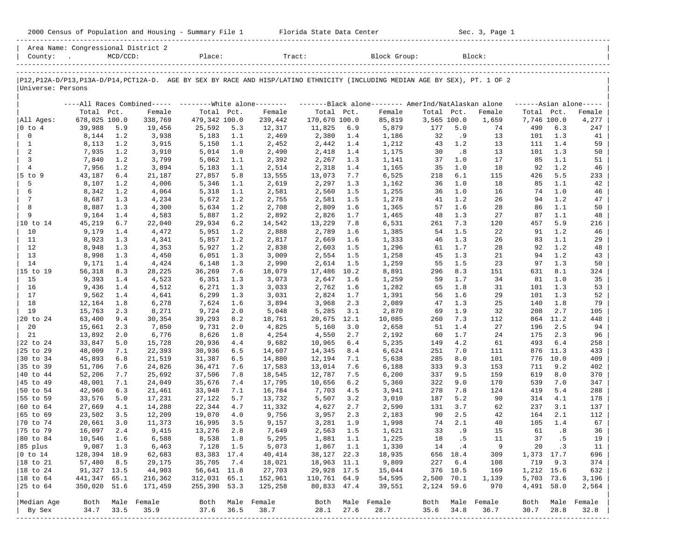|                                        |                                                |             |                                   |                      |            | 2000 Census of Population and Housing - Summary File 1 Florida State Data Center |                       |            |                                                                                                                               |             |            | Sec. 3, Page 1 |                  |             |                      |
|----------------------------------------|------------------------------------------------|-------------|-----------------------------------|----------------------|------------|----------------------------------------------------------------------------------|-----------------------|------------|-------------------------------------------------------------------------------------------------------------------------------|-------------|------------|----------------|------------------|-------------|----------------------|
|                                        | Area Name: Congressional District 2<br>County: | $MCD/CCD$ : |                                   | Place:               |            | Tract:                                                                           |                       |            | Block Group:                                                                                                                  |             |            | Block:         |                  |             |                      |
| Universe: Persons                      |                                                |             |                                   |                      |            |                                                                                  |                       |            | P12, P12A-D/P13, P13A-D/P14, PCT12A-D. AGE BY SEX BY RACE AND HISP/LATINO ETHNICITY (INCLUDING MEDIAN AGE BY SEX), PT. 1 OF 2 |             |            |                |                  |             |                      |
|                                        |                                                |             |                                   |                      |            |                                                                                  |                       |            | ----All Races Combined----- --------White alone------- ----------Black alone-------- AmerInd/NatAlaskan alone                 |             |            |                |                  |             | $----Asian alone---$ |
|                                        | Total                                          | Pct.        | Female                            | Total Pct.           |            | Female                                                                           | Total Pct.            |            | Female                                                                                                                        | Total Pct.  |            | Female         | Total Pct.       |             | Female               |
| All Ages:                              | 678,025 100.0                                  |             | 338,769                           | 479,342 100.0        |            | 239,442                                                                          | 170,670 100.0         |            | 85,819                                                                                                                        | 3,565 100.0 |            | 1,659          | 7,746 100.0      |             | 4,277                |
| 0 to 4                                 | 39,988                                         | 5.9         | 19,456                            | 25,592               | 5.3        | 12,317                                                                           | 11,825                | 6.9        | 5,879                                                                                                                         | 177         | 5.0        | 74             | 490              | 6.3         | 247                  |
| $\mathbf 0$                            | 8,144                                          | 1.2         | 3,938                             | 5,183                | 1.1        | 2,469                                                                            | 2,380                 | 1.4        | 1,186                                                                                                                         | 32          | .9         | 13             | 101              | 1.3         | 41                   |
| 1                                      | 8,113                                          | 1.2         | 3,915                             | 5,150                | 1.1        | 2,452                                                                            | 2,442                 | 1.4        | 1,212                                                                                                                         | 43          | 1.2        | 13             | 111              | 1.4         | 59                   |
| 2<br>3                                 | 7,935                                          | 1.2         | 3,910                             | 5,014                | 1.0        | 2,490                                                                            | 2,418                 | 1.4        | 1,175                                                                                                                         | 30<br>37    | .8<br>1.0  | 13<br>17       | 101<br>85        | 1.3<br>1.1  | 50                   |
| 4                                      | 7,840<br>7,956                                 | 1.2<br>1.2  | 3,799<br>3,894                    | 5,062<br>5,183       | 1.1<br>1.1 | 2,392<br>2,514                                                                   | 2,267<br>2,318        | 1.3<br>1.4 | 1,141<br>1,165                                                                                                                | 35          | 1.0        | 18             | 92               | 1.2         | 51<br>46             |
| $5$ to $9$                             | 43,187                                         | 6.4         | 21,187                            | 27,857               | 5.8        | 13,555                                                                           | 13,073                | 7.7        | 6,525                                                                                                                         | 218         | 6.1        | 115            | 426              | 5.5         | 233                  |
| 5                                      | 8,107                                          | 1.2         | 4,006                             | 5,346                | 1.1        | 2,619                                                                            | 2,297                 | 1.3        | 1,162                                                                                                                         | 36          | 1.0        | 18             | 85               | 1.1         | 42                   |
| 6                                      | 8,342                                          | 1.2         | 4,064                             | 5,318                | 1.1        | 2,581                                                                            | 2,560                 | 1.5        | 1,255                                                                                                                         | 36          | 1.0        | 16             | 74               | 1.0         | 46                   |
| 7                                      | 8,687                                          | 1.3         | 4,234                             | 5,672                | 1.2        | 2,755                                                                            | 2,581                 | 1.5        | 1,278                                                                                                                         | 41          | 1.2        | 26             | 94               | 1.2         | 47                   |
| 8                                      | 8,887                                          | 1.3         | 4,300                             | 5,634                | 1.2        | 2,708                                                                            | 2,809                 | 1.6        | 1,365                                                                                                                         | 57          | 1.6        | 28             | 86               | 1.1         | 50                   |
| 9                                      | 9,164                                          | 1.4         | 4,583                             | 5,887                | 1.2        | 2,892                                                                            | 2,826                 | 1.7        | 1,465                                                                                                                         | 48          | 1.3        | 27             | 87               | 1.1         | 48                   |
| 10 to 14                               | 45,219                                         | 6.7         | 22,040                            | 29,934               | 6.2        | 14,542                                                                           | 13,229                | 7.8        | 6,531                                                                                                                         | 261         | 7.3        | 120            | 457              | 5.9         | 216                  |
| 10                                     | 9,179                                          | 1.4         | 4,472                             | 5,951                | 1.2        | 2,888                                                                            | 2,789                 | 1.6        | 1,385                                                                                                                         | 54          | 1.5        | 22             | 91               | 1.2         | 46                   |
| 11                                     | 8,923                                          | 1.3         | 4,341                             | 5,857                | 1.2        | 2,817                                                                            | 2,669                 | 1.6        | 1,333                                                                                                                         | 46          | 1.3        | 26             | 83               | 1.1         | 29                   |
| 12<br>13                               | 8,948                                          | 1.3         | 4,353                             | 5,927                | 1.2        | 2,838                                                                            | 2,603                 | 1.5        | 1,296                                                                                                                         | 61          | 1.7        | 28             | 92               | 1.2<br>1.2  | 48                   |
| 14                                     | 8,998<br>9,171                                 | 1.3<br>1.4  | 4,450<br>4,424                    | 6,051<br>6,148       | 1.3<br>1.3 | 3,009<br>2,990                                                                   | 2,554<br>2,614        | 1.5<br>1.5 | 1,258<br>1,259                                                                                                                | 45<br>55    | 1.3<br>1.5 | 21<br>23       | 94<br>97         | 1.3         | 43<br>50             |
| 15 to 19                               | 56,318                                         | 8.3         | 28,225                            | 36,269               | 7.6        | 18,079                                                                           | 17,486                | 10.2       | 8,891                                                                                                                         | 296         | 8.3        | 151            | 631              | 8.1         | 324                  |
| 15                                     | 9,393                                          | 1.4         | 4,523                             | 6,351                | 1.3        | 3,073                                                                            | 2,647                 | 1.6        | 1,259                                                                                                                         | 59          | 1.7        | 34             | 81               | 1.0         | 35                   |
| 16                                     | 9,436                                          | 1.4         | 4,512                             | 6,271                | 1.3        | 3,033                                                                            | 2,762                 | 1.6        | 1,282                                                                                                                         | 65          | 1.8        | 31             | 101              | 1.3         | 53                   |
| 17                                     | 9,562                                          | 1.4         | 4,641                             | 6,299                | 1.3        | 3,031                                                                            | 2,824                 | 1.7        | 1,391                                                                                                                         | 56          | 1.6        | 29             | 101              | 1.3         | 52                   |
| 18                                     | 12,164                                         | 1.8         | 6,278                             | 7,624                | 1.6        | 3,894                                                                            | 3,968                 | 2.3        | 2,089                                                                                                                         | 47          | 1.3        | 25             | 140              | 1.8         | 79                   |
| 19                                     | 15,763                                         | 2.3         | 8,271                             | 9,724                | 2.0        | 5,048                                                                            | 5,285                 | 3.1        | 2,870                                                                                                                         | 69          | 1.9        | 32             | 208              | 2.7         | 105                  |
| 20 to 24                               | 63,400                                         | 9.4         | 30,354                            | 39,293               | 8.2        | 18,761                                                                           | 20,675 12.1           |            | 10,085                                                                                                                        | 260         | 7.3        | 112            | 864              | 11.2        | 448                  |
| 20                                     | 15,661                                         | 2.3         | 7,850                             | 9,731                | 2.0        | 4,825                                                                            | 5,160                 | 3.0        | 2,658                                                                                                                         | 51          | 1.4        | 27             | 196              | 2.5         | 94                   |
| 21                                     | 13,892                                         | 2.0         | 6,776                             | 8,626                | 1.8        | 4,254                                                                            | 4,550                 | 2.7        | 2,192                                                                                                                         | 60          | 1.7        | 24             | 175              | 2.3         | 96                   |
| 22 to 24<br>25 to 29                   | 33,847                                         | 5.0         | 15,728                            | 20,936               | 4.4        | 9,682                                                                            | 10,965                | 6.4<br>8.4 | 5,235                                                                                                                         | 149         | 4.2        | 61<br>111      | 493<br>876       | 6.4<br>11.3 | 258                  |
| 30 to 34                               | 48,009<br>45,893                               | 7.1<br>6.8  | 22,393<br>21,519                  | 30,936<br>31,387     | 6.5<br>6.5 | 14,607<br>14,880                                                                 | 14,345<br>12,194      | 7.1        | 6,624<br>5,638                                                                                                                | 251<br>285  | 7.0<br>8.0 | 101            | 776              | 10.0        | 433<br>409           |
| 35 to 39                               | 51,706                                         | 7.6         | 24,826                            | 36,471               | 7.6        | 17,583                                                                           | 13,014                | 7.6        | 6,188                                                                                                                         | 333         | 9.3        | 153            | 711              | 9.2         | 402                  |
| 40 to 44                               | 52,206                                         | 7.7         | 25,692                            | 37,506               | 7.8        | 18,545                                                                           | 12,787                | 7.5        | 6,200                                                                                                                         | 337         | 9.5        | 159            | 619              | 8.0         | 370                  |
| 45 to 49                               | 48,001                                         | 7.1         | 24,049                            | 35,676               | 7.4        | 17,795                                                                           | 10,656                | 6.2        | 5,360                                                                                                                         | 322         | 9.0        | 170            | 539              | 7.0         | 347                  |
| 50 to 54                               | 42,960                                         | 6.3         | 21,461                            | 33,948               | 7.1        | 16,784                                                                           | 7,703                 | 4.5        | 3,941                                                                                                                         | 278         | 7.8        | 124            | 419              | 5.4         | 288                  |
| 55 to 59                               | 33,576                                         | 5.0         | 17,231                            | 27,122               | 5.7        | 13,732                                                                           | 5,507                 | 3.2        | 3,010                                                                                                                         | 187         | 5.2        | 90             | 314              | 4.1         | 178                  |
| 60 to 64                               | 27,669                                         | 4.1         | 14,288                            | 22,344               | 4.7        | 11,332                                                                           | 4,627                 | 2.7        | 2,590                                                                                                                         | 131         | 3.7        | 62             | 237              | 3.1         | 137                  |
| 65 to 69                               | 23,502                                         | 3.5         | 12,209                            | 19,070               | 4.0        | 9,756                                                                            | 3,957                 | 2.3        | 2,183                                                                                                                         | 90          | 2.5        | 42             | 164              | 2.1         | 112                  |
| 70 to 74                               | 20,661                                         | 3.0         | 11,373                            | 16,995 3.5           |            | 9,157                                                                            | 3,281                 | 1.9        | 1,998                                                                                                                         | 74          | 2.1        | 40             |                  | 105 1.4     | 67                   |
| 75 to 79                               | 16,097                                         | 2.4         | 9,415                             | 13,276               | 2.8        | 7,649                                                                            | 2,563                 | 1.5        | 1,621                                                                                                                         | 33          | .9         | 15             | 61               | .8          | 36                   |
| 80 to 84                               | 10,546                                         | 1.6         | 6,588                             | 8,538                | 1.8        | 5,295                                                                            | 1,881                 | 1.1        | 1,225                                                                                                                         | 18          | .5         | 11             | 37               | .5          | 19                   |
| 85 plus<br>$ 0 \t\t \text{to} \t\t 14$ | 9,087<br>128,394 18.9                          | 1.3         | 6,463<br>62,683                   | 7,128<br>83,383 17.4 | 1.5        | 5,073<br>40,414                                                                  | 1,867<br>38, 127 22.3 | 1.1        | 1,330<br>18,935                                                                                                               | 14<br>656   | .4<br>18.4 | - 9<br>309     | 20<br>1,373 17.7 | $\cdot$ 3   | 11<br>696            |
| 18 to 21                               | 57,480                                         | 8.5         | 29,175                            | 35,705               | 7.4        | 18,021                                                                           | 18,963 11.1           |            | 9,809                                                                                                                         | 227         | 6.4        | 108            | 719              | 9.3         | 374                  |
| $ 18$ to $24$                          | 91,327 13.5                                    |             | 44,903                            | 56,641 11.8          |            | 27,703                                                                           | 29,928 17.5           |            | 15,044                                                                                                                        | 376         | 10.5       | 169            | 1,212 15.6       |             | 632                  |
| $ 18$ to $64$                          | 441,347 65.1                                   |             | 216,362                           | 312,031 65.1         |            | 152,961                                                                          | 110,761 64.9          |            | 54,595                                                                                                                        | 2,500       | 70.1       | 1,139          | 5,703 73.6       |             | 3,196                |
| 25 to 64                               | 350,020 51.6                                   |             | 171,459                           | 255,390 53.3         |            | 125,258                                                                          | 80,833 47.4           |            | 39,551                                                                                                                        | 2,124       | 59.6       | 970            | 4,491 58.0       |             | 2,564                |
|                                        |                                                |             |                                   |                      |            |                                                                                  |                       |            |                                                                                                                               |             |            |                |                  |             |                      |
| Median Age                             | Both                                           |             | Male Female                       |                      |            | Both Male Female                                                                 | Both                  |            | Male Female                                                                                                                   | Both        | Male       | Female         | Both             |             | Male Female          |
| By Sex                                 | 34.7                                           | 33.5        | 35.9<br>------------------------- | 37.6                 | 36.5       | 38.7                                                                             | 28.1                  | 27.6       | 28.7                                                                                                                          | 35.6        | 34.8       | 36.7           | 30.7             | 28.8        | 32.8                 |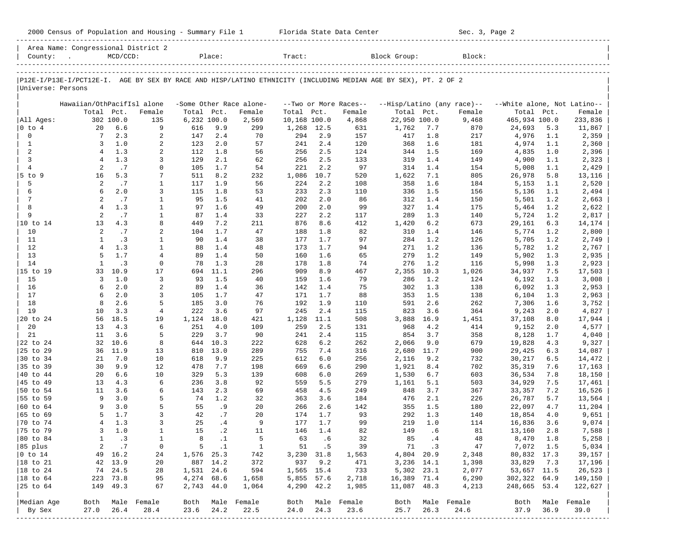|                           | 2000 Census of Population and Housing - Summary File 1 Florida State Data Center |               |                     |             |                   |                         |              |             |                       |                                                                                                                |            | Sec. 3, Page 2             |                             |            |                  |
|---------------------------|----------------------------------------------------------------------------------|---------------|---------------------|-------------|-------------------|-------------------------|--------------|-------------|-----------------------|----------------------------------------------------------------------------------------------------------------|------------|----------------------------|-----------------------------|------------|------------------|
|                           | Area Name: Congressional District 2<br>County:                                   | $MCD/CCD$ :   |                     |             | Place:            |                         | Tract:       |             |                       | Block Group:                                                                                                   |            | Block:                     |                             |            |                  |
|                           |                                                                                  |               |                     |             |                   |                         |              |             |                       | P12E-I/P13E-I/PCT12E-I. AGE BY SEX BY RACE AND HISP/LATINO ETHNICITY (INCLUDING MEDIAN AGE BY SEX), PT. 2 OF 2 |            |                            |                             |            |                  |
| Universe: Persons         |                                                                                  |               |                     |             |                   |                         |              |             |                       |                                                                                                                |            |                            |                             |            |                  |
|                           | Hawaiian/OthPacifIsl alone                                                       |               |                     |             |                   | -Some Other Race alone- |              |             | --Two or More Races-- |                                                                                                                |            | --Hisp/Latino (any race)-- | --White alone, Not Latino-- |            |                  |
|                           | Total                                                                            | Pct.          | Female              | Total       | Pct.              | Female                  | Total        | Pct.        | Female                | Total Pct.                                                                                                     |            | Female                     | Total Pct.                  |            | Female           |
| All Ages:                 | 20                                                                               | 302 100.0     | 135<br>9            | 6,232 100.0 |                   | 2,569                   | 10,168 100.0 |             | 4,868                 | 22,950 100.0                                                                                                   |            | 9,468                      | 465,934 100.0               |            | 233,836          |
| $0$ to $4$<br>$\mathbf 0$ | $7\overline{ }$                                                                  | 6.6<br>2.3    | $\overline{a}$      | 616<br>147  | 9.9<br>2.4        | 299<br>70               | 1,268<br>294 | 12.5<br>2.9 | 631<br>157            | 1,762<br>417                                                                                                   | 7.7<br>1.8 | 870<br>217                 | 24,693<br>4,976             | 5.3<br>1.1 | 11,867<br>2,359  |
| $\mathbf{1}$              | 3                                                                                | 1.0           | 2                   | 123         | 2.0               | 57                      | 241          | 2.4         | 120                   | 368                                                                                                            | 1.6        | 181                        | 4,974                       | 1.1        | 2,360            |
| 2                         | $\overline{4}$                                                                   | 1.3           | $\overline{a}$      | 112         | 1.8               | 56                      | 256          | 2.5         | 124                   | 344                                                                                                            | 1.5        | 169                        | 4,835                       | 1.0        | 2,396            |
| $\overline{3}$            | $\overline{4}$                                                                   | 1.3           | 3                   | 129         | 2.1               | 62                      | 256          | 2.5         | 133                   | 319                                                                                                            | 1.4        | 149                        | 4,900                       | 1.1        | 2,323            |
| $\overline{4}$            | 2                                                                                | .7            | $\mathbf 0$         | 105         | 1.7               | 54                      | 221          | 2.2         | 97                    | 314                                                                                                            | 1.4        | 154                        | 5,008                       | 1.1        | 2,429            |
| $5$ to $9$<br>5           | 16<br>2                                                                          | 5.3<br>.7     | 7<br>$\mathbf{1}$   | 511         | 8.2               | 232                     | 1,086        | 10.7        | 520                   | 1,622                                                                                                          | 7.1        | 805                        | 26,978                      | 5.8        | 13,116           |
| 6                         | 6                                                                                | 2.0           | 3                   | 117<br>115  | 1.9<br>1.8        | 56<br>53                | 224<br>233   | 2.2<br>2.3  | 108<br>110            | 358<br>336                                                                                                     | 1.6<br>1.5 | 184<br>156                 | 5,153<br>5,136              | 1.1<br>1.1 | 2,520<br>2,494   |
| 7                         | 2                                                                                | .7            | $\mathbf{1}$        | 95          | 1.5               | 41                      | 202          | 2.0         | 86                    | 312                                                                                                            | 1.4        | 150                        | 5,501                       | 1.2        | 2,663            |
| 8                         | $\overline{4}$                                                                   | 1.3           | $\mathbf{1}$        | 97          | 1.6               | 49                      | 200          | 2.0         | 99                    | 327                                                                                                            | 1.4        | 175                        | 5,464                       | 1.2        | 2,622            |
| 9                         | 2                                                                                | .7            | $\mathbf{1}$        | 87          | 1.4               | 33                      | 227          | 2.2         | 117                   | 289                                                                                                            | 1.3        | 140                        | 5,724                       | 1.2        | 2,817            |
| 10 to 14                  | 13                                                                               | 4.3           | 8                   | 449         | 7.2               | 211                     | 876          | 8.6         | 412                   | 1,420                                                                                                          | 6.2        | 673                        | 29,161                      | 6.3        | 14,174           |
| 10                        | 2                                                                                | .7            | 2                   | 104         | 1.7               | 47                      | 188          | 1.8         | 82                    | 310                                                                                                            | 1.4        | 146                        | 5,774                       | 1.2        | 2,800            |
| 11<br>12                  | $\mathbf{1}$<br>$\overline{4}$                                                   | .3<br>1.3     | 1<br>$\mathbf{1}$   | 90<br>88    | 1.4<br>1.4        | 38<br>48                | 177<br>173   | 1.7<br>1.7  | 97<br>94              | 284<br>271                                                                                                     | 1.2<br>1.2 | 126<br>136                 | 5,705<br>5,782              | 1.2<br>1.2 | 2,749<br>2,767   |
| 13                        | 5                                                                                | 1.7           | $\overline{4}$      | 89          | 1.4               | 50                      | 160          | 1.6         | 65                    | 279                                                                                                            | 1.2        | 149                        | 5,902                       | 1.3        | 2,935            |
| 14                        | $\mathbf{1}$                                                                     | .3            | $\mathbf 0$         | 78          | 1.3               | 28                      | 178          | 1.8         | 74                    | 276                                                                                                            | 1.2        | 116                        | 5,998                       | 1.3        | 2,923            |
| 15 to 19                  | 33                                                                               | 10.9          | 17                  | 694         | 11.1              | 296                     | 909          | 8.9         | 467                   | 2,355                                                                                                          | 10.3       | 1,026                      | 34,937                      | 7.5        | 17,503           |
| 15                        | 3                                                                                | 1.0           | 3                   | 93          | 1.5               | 40                      | 159          | 1.6         | 79                    | 286                                                                                                            | 1.2        | 124                        | 6,192                       | 1.3        | 3,008            |
| 16                        | 6                                                                                | 2.0           | 2                   | 89          | 1.4               | 36                      | 142          | 1.4         | 75                    | 302                                                                                                            | 1.3        | 138                        | 6,092                       | 1.3        | 2,953            |
| 17                        | 6                                                                                | 2.0           | 3                   | 105         | 1.7               | 47                      | 171          | 1.7         | 88                    | 353                                                                                                            | 1.5        | 138                        | 6,104                       | 1.3        | 2,963            |
| 18<br>19                  | 8<br>10                                                                          | 2.6<br>3.3    | 5<br>$\overline{4}$ | 185<br>222  | 3.0<br>3.6        | 76<br>97                | 192<br>245   | 1.9<br>2.4  | 110<br>115            | 591<br>823                                                                                                     | 2.6<br>3.6 | 262<br>364                 | 7,306<br>9,243              | 1.6<br>2.0 | 3,752<br>4,827   |
| 20 to 24                  | 56                                                                               | 18.5          | 19                  | 1,124       | 18.0              | 421                     | 1,128        | 11.1        | 508                   | 3,888                                                                                                          | 16.9       | 1,451                      | 37,108                      | 8.0        | 17,944           |
| 20                        | 13                                                                               | 4.3           | 6                   | 251         | 4.0               | 109                     | 259          | 2.5         | 131                   | 968                                                                                                            | 4.2        | 414                        | 9,152                       | 2.0        | 4,577            |
| 21                        | 11                                                                               | 3.6           | 5                   | 229         | 3.7               | 90                      | 241          | 2.4         | 115                   | 854                                                                                                            | 3.7        | 358                        | 8,128                       | 1.7        | 4,040            |
| 22 to 24                  | 32                                                                               | 10.6          | 8                   | 644         | 10.3              | 222                     | 628          | 6.2         | 262                   | 2,066                                                                                                          | 9.0        | 679                        | 19,828                      | 4.3        | 9,327            |
| 25 to 29                  | 36                                                                               | 11.9          | 13                  | 810         | 13.0              | 289                     | 755          | 7.4         | 316                   | 2,680                                                                                                          | 11.7       | 900                        | 29,425                      | 6.3        | 14,087           |
| 30 to 34                  | 21                                                                               | 7.0           | 10                  | 618         | 9.9               | 225                     | 612          | 6.0         | 256                   | 2,116                                                                                                          | 9.2        | 732                        | 30,217                      | 6.5        | 14,472           |
| 35 to 39                  | 30                                                                               | 9.9           | 12                  | 478         | 7.7               | 198                     | 669          | 6.6         | 290                   | 1,921                                                                                                          | 8.4        | 702                        | 35,319                      | 7.6        | 17,163           |
| 40 to 44<br>45 to 49      | 20<br>13                                                                         | 6.6<br>4.3    | 10<br>6             | 329<br>236  | 5.3<br>3.8        | 139<br>92               | 608<br>559   | 6.0<br>5.5  | 269<br>279            | 1,530<br>1,161                                                                                                 | 6.7<br>5.1 | 603<br>503                 | 36,534<br>34,929            | 7.8<br>7.5 | 18,150<br>17,461 |
| 50 to 54                  | 11                                                                               | 3.6           | 6                   | 143         | 2.3               | 69                      | 458          | 4.5         | 249                   | 848                                                                                                            | 3.7        | 367                        | 33,357                      | 7.2        | 16,526           |
| 55 to 59                  | 9                                                                                | 3.0           | 5                   | 74          | 1.2               | 32                      | 363          | 3.6         | 184                   | 476                                                                                                            | 2.1        | 226                        | 26,787                      | 5.7        | 13,564           |
| 60 to 64                  | 9                                                                                | 3.0           | 5                   | 55          | .9                | 20                      | 266          | 2.6         | 142                   | 355                                                                                                            | 1.5        | 180                        | 22,097                      | 4.7        | 11,204           |
| 65 to 69                  | 5                                                                                | 1.7           | 3                   | 42          | .7                | 20                      | 174          | 1.7         | 93                    | 292                                                                                                            | 1.3        | 140                        | 18,854                      | 4.0        | 9,651            |
| $ 70 \text{ to } 74$      |                                                                                  | $4 \quad 1.3$ | 3                   | 25          | .4                | 9                       | 177          | 1.7         | 99                    | 219                                                                                                            | 1.0        | 114                        | 16,836 3.6                  |            | 9,074            |
| 75 to 79                  | 3                                                                                | 1.0           | 1                   | 15          | $\cdot$ 2         | 11                      | 146          | 1.4         | 82                    | 149                                                                                                            | . 6        | 81                         | 13,160                      | 2.8        | 7,588            |
| 80 to 84                  | 1                                                                                | .3            | 1                   | 8           | $\cdot$ 1         | 5                       | 63           | .6          | 32                    | 85                                                                                                             | .4         | 48                         | 8,470                       | 1.8        | 5,258            |
| 85 plus<br>$0$ to $14$    | 2<br>49                                                                          | .7<br>16.2    | 0<br>24             | 5<br>1,576  | $\cdot$ 1<br>25.3 | $\mathbf{1}$<br>742     | 51<br>3,230  | . 5<br>31.8 | 39<br>1,563           | 71<br>4,804 20.9                                                                                               | $\cdot$ 3  | 47<br>2,348                | 7,072<br>80,832 17.3        | 1.5        | 5,034<br>39,157  |
| 18 to 21                  | 42                                                                               | 13.9          | 20                  |             | 887 14.2          | 372                     | 937          | 9.2         | 471                   | 3,236 14.1                                                                                                     |            | 1,398                      | 33,829                      | 7.3        | 17,196           |
| 18 to 24                  | 74                                                                               | 24.5          | 28                  | 1,531 24.6  |                   | 594                     | 1,565 15.4   |             | 733                   | 5,302 23.1                                                                                                     |            | 2,077                      | 53,657 11.5                 |            | 26,523           |
| 18 to 64                  | 223                                                                              | 73.8          | 95                  | 4,274 68.6  |                   | 1,658                   | 5,855        | 57.6        | 2,718                 | 16,389 71.4                                                                                                    |            | 6,290                      | 302,322 64.9                |            | 149,150          |
| 25 to 64                  | 149                                                                              | 49.3          | 67                  |             | 2,743 44.0        | 1,064                   | 4,290        | 42.2        | 1,985                 | 11,087 48.3                                                                                                    |            | 4,213                      | 248,665 53.4                |            | 122,627          |
|                           |                                                                                  |               |                     |             |                   |                         |              |             |                       |                                                                                                                |            |                            |                             |            |                  |
| Median Age                | Both                                                                             |               | Male Female         | Both        | Male              | Female                  | Both         |             | Male Female           | Both                                                                                                           |            | Male Female                | Both                        |            | Male Female      |
| By Sex                    | 27.0                                                                             | 26.4          | 28.4                | 23.6        | 24.2              | 22.5                    | 24.0         | 24.3        | 23.6                  | 25.7                                                                                                           | 26.3       | 24.6                       | 37.9                        | 36.9       | 39.0             |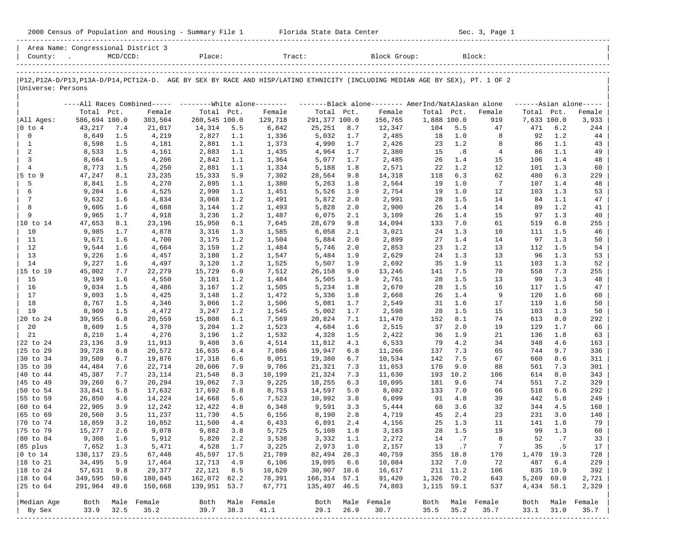|                                |                                                |            |                   |                  |            | 2000 Census of Population and Housing - Summary File 1 Florida State Data Center                                              |                             |            |                  |             |             | Sec. 3, Page 1        |             |            |                      |
|--------------------------------|------------------------------------------------|------------|-------------------|------------------|------------|-------------------------------------------------------------------------------------------------------------------------------|-----------------------------|------------|------------------|-------------|-------------|-----------------------|-------------|------------|----------------------|
|                                | Area Name: Congressional District 3<br>County: | MCD/CCD:   |                   | Place:           |            | Tract:                                                                                                                        |                             |            | Block Group:     |             |             | Block:                |             |            |                      |
| Universe: Persons              |                                                |            |                   |                  |            | P12, P12A-D/P13, P13A-D/P14, PCT12A-D. AGE BY SEX BY RACE AND HISP/LATINO ETHNICITY (INCLUDING MEDIAN AGE BY SEX), PT. 1 OF 2 |                             |            |                  |             |             |                       |             |            |                      |
|                                |                                                |            |                   |                  |            | ----All Races Combined----- --------White alone------- ----------Black alone-------- AmerInd/NatAlaskan alone                 |                             |            |                  |             |             |                       |             |            | $----Asian alone---$ |
|                                | Total                                          | Pct.       | Female            | Total Pct.       |            | Female                                                                                                                        | Total Pct.                  |            | Female           | Total Pct.  |             | Female                | Total Pct.  |            | Female               |
| All Ages:                      | 586,694 100.0                                  |            | 303,504           | 260,545 100.0    |            | 129,718                                                                                                                       | 291,377 100.0               |            | 156,765          | 1,888 100.0 |             | 919                   | 7,633 100.0 |            | 3,933                |
| 0 to 4                         | 43,217                                         | 7.4        | 21,017            | 14,314           | 5.5        | 6,842                                                                                                                         | 25,251                      | 8.7        | 12,347           | 104         | 5.5         | 47                    | 471         | 6.2        | 244                  |
| $\mathbf 0$                    | 8,649                                          | 1.5        | 4,219             | 2,827            | 1.1        | 1,336                                                                                                                         | 5,032                       | 1.7        | 2,485            | 18          | 1.0         | 8                     | 92          | 1.2        | 44                   |
| 1                              | 8,598                                          | 1.5        | 4,181             | 2,881            | 1.1        | 1,373                                                                                                                         | 4,990                       | 1.7        | 2,426            | 23          | 1.2         | 8                     | 86          | 1.1        | 43                   |
| 2                              | 8,533                                          | 1.5        | 4,161             | 2,883            | 1.1        | 1,435                                                                                                                         | 4,964                       | 1.7        | 2,380            | 15          | .8          | $\overline{4}$        | 86          | 1.1        | 49                   |
| 3                              | 8,664                                          | 1.5        | 4,206             | 2,842            | 1.1        | 1,364                                                                                                                         | 5,077                       | 1.7        | 2,485            | 26          | 1.4         | 15                    | 106         | 1.4        | 48                   |
| 4                              | 8,773                                          | 1.5        | 4,250             | 2,881            | 1.1        | 1,334                                                                                                                         | 5,188                       | 1.8        | 2,571            | 22          | 1.2         | 12                    | 101         | 1.3        | 60                   |
| $5$ to $9$<br>5                | 47,247<br>8,841                                | 8.1<br>1.5 | 23,235<br>4,270   | 15,333<br>2,895  | 5.9        | 7,302<br>1,380                                                                                                                | 28,564                      | 9.8<br>1.8 | 14,318<br>2,564  | 118<br>19   | 6.3<br>1.0  | 62<br>$7\phantom{.0}$ | 480<br>107  | 6.3<br>1.4 | 229<br>48            |
| 6                              | 9,204                                          | 1.6        | 4,525             | 2,990            | 1.1<br>1.1 | 1,451                                                                                                                         | 5,263<br>5,526              | 1.9        | 2,754            | 19          | 1.0         | 12                    | 103         | 1.3        | 53                   |
| 7                              | 9,632                                          | 1.6        | 4,834             | 3,068            | 1.2        | 1,491                                                                                                                         | 5,872                       | 2.0        | 2,991            | 28          | 1.5         | 14                    | 84          | 1.1        | 47                   |
| 8                              | 9,605                                          | 1.6        | 4,688             | 3,144            | 1.2        | 1,493                                                                                                                         | 5,828                       | 2.0        | 2,900            | 26          | 1.4         | 14                    | 89          | 1.2        | 41                   |
| 9                              | 9,965                                          | 1.7        | 4,918             | 3,236            | 1.2        | 1,487                                                                                                                         | 6,075                       | 2.1        | 3,109            | 26          | 1.4         | 15                    | 97          | 1.3        | 40                   |
| 10 to 14                       | 47,653                                         | 8.1        | 23,196            | 15,950           | 6.1        | 7,645                                                                                                                         | 28,679                      | 9.8        | 14,094           | 133         | 7.0         | 61                    | 519         | 6.8        | 255                  |
| 10                             | 9,985                                          | 1.7        | 4,878             | 3,316            | 1.3        | 1,585                                                                                                                         | 6,058                       | 2.1        | 3,021            | 24          | 1.3         | 10                    | 111         | 1.5        | 46                   |
| 11                             | 9,671                                          | 1.6        | 4,700             | 3,175            | 1.2        | 1,504                                                                                                                         | 5,884                       | 2.0        | 2,899            | 27          | 1.4         | 14                    | 97          | 1.3        | 50                   |
| 12                             | 9,544                                          | 1.6        | 4,664             | 3,159            | 1.2        | 1,484                                                                                                                         | 5,746                       | 2.0        | 2,853            | 23          | 1.2         | 13                    | 112         | 1.5        | 54                   |
| 13                             | 9,226                                          | 1.6        | 4,457             | 3,180            | 1.2        | 1,547                                                                                                                         | 5,484                       | 1.9        | 2,629            | 24          | 1.3         | 13                    | 96          | 1.3        | 53                   |
| 14                             | 9,227                                          | 1.6        | 4,497             | 3,120            | 1.2        | 1,525                                                                                                                         | 5,507                       | 1.9        | 2,692            | 35          | 1.9         | 11                    | 103         | 1.3        | 52                   |
| 15 to 19                       | 45,002                                         | 7.7        | 22,279            | 15,729           | 6.0        | 7,512                                                                                                                         | 26,158                      | 9.0        | 13,246           | 141         | 7.5         | 70                    | 558         | 7.3        | 255                  |
| 15                             | 9,199                                          | 1.6        | 4,550             | 3,101            | 1.2        | 1,484                                                                                                                         | 5,505                       | 1.9        | 2,761            | 28          | 1.5         | 13                    | 99          | 1.3        | 48                   |
| 16                             | 9,034                                          | 1.5        | 4,486             | 3,167            | 1.2        | 1,505                                                                                                                         | 5,234                       | 1.8        | 2,670            | 28          | 1.5         | 16                    | 117         | 1.5        | 47                   |
| 17                             | 9,093                                          | 1.5        | 4,425             | 3,148            | 1.2        | 1,472                                                                                                                         | 5,336                       | 1.8        | 2,668            | 26          | 1.4         | 9                     | 120         | 1.6        | 60                   |
| 18                             | 8,767                                          | 1.5        | 4,346             | 3,066            | 1.2        | 1,506                                                                                                                         | 5,081                       | 1.7        | 2,549            | 31          | 1.6         | 17                    | 119         | 1.6        | 50                   |
| 19                             | 8,909                                          | 1.5        | 4,472             | 3,247            | 1.2        | 1,545                                                                                                                         | 5,002                       | 1.7        | 2,598            | 28          | 1.5         | 15                    | 103         | 1.3        | 50                   |
| 20 to 24<br>20                 | 39,955                                         | 6.8        | 20,559            | 15,808           | 6.1        | 7,569                                                                                                                         | 20,824                      | 7.1        | 11,470           | 152         | 8.1<br>2.0  | 74<br>19              | 613<br>129  | 8.0<br>1.7 | 292                  |
| 21                             | 8,609<br>8,210                                 | 1.5<br>1.4 | 4,370<br>4,276    | 3,204<br>3,196   | 1.2<br>1.2 | 1,523<br>1,532                                                                                                                | 4,684<br>4,328              | 1.6<br>1.5 | 2,515<br>2,422   | 37<br>36    | 1.9         | 21                    | 136         | 1.8        | 66<br>63             |
| 22 to 24                       | 23,136                                         | 3.9        | 11,913            | 9,408            | 3.6        | 4,514                                                                                                                         | 11,812                      | 4.1        | 6,533            | 79          | 4.2         | 34                    | 348         | 4.6        | 163                  |
| 25 to 29                       | 39,728                                         | 6.8        | 20,572            | 16,635           | 6.4        | 7,886                                                                                                                         | 19,947                      | 6.8        | 11,266           | 137         | 7.3         | 65                    | 744         | 9.7        | 336                  |
| 30 to 34                       | 39,509                                         | 6.7        | 19,876            | 17,318           | 6.6        | 8,051                                                                                                                         | 19,380                      | 6.7        | 10,534           | 142         | 7.5         | 67                    | 660         | 8.6        | 311                  |
| 35 to 39                       | 44,484                                         | 7.6        | 22,714            | 20,606           | 7.9        | 9,786                                                                                                                         | 21,321                      | 7.3        | 11,653           | 170         | 9.0         | 88                    | 561         | 7.3        | 301                  |
| 40 to 44                       | 45,387                                         | 7.7        | 23,114            | 21,548           | 8.3        | 10,199                                                                                                                        | 21,324                      | 7.3        | 11,630           | 193         | 10.2        | 106                   | 614         | 8.0        | 343                  |
| 45 to 49                       | 39,260                                         | 6.7        | 20,294            | 19,062           | 7.3        | 9,225                                                                                                                         | 18,255                      | 6.3        | 10,095           | 181         | 9.6         | 74                    | 551         | 7.2        | 329                  |
| 50 to 54                       | 33,841                                         | 5.8        | 17,632            | 17,692           | 6.8        | 8,753                                                                                                                         | 14,597                      | 5.0        | 8,082            | 133         | 7.0         | 66                    | 518         | 6.8        | 292                  |
| 55 to 59                       | 26,850                                         | 4.6        | 14,224            | 14,668           | 5.6        | 7,523                                                                                                                         | 10,992                      | 3.8        | 6,099            | 91          | 4.8         | 39                    | 442         | 5.8        | 249                  |
| 60 to 64                       | 22,905                                         | 3.9        | 12,242            | 12,422           | 4.8        | 6,348                                                                                                                         | 9,591                       | 3.3        | 5,444            | 68          | 3.6         | 32                    | 344         | 4.5        | 168                  |
| 65 to 69                       | 20,560                                         | 3.5        | 11,237            | 11,730           | 4.5        | 6,156                                                                                                                         | 8,190                       | 2.8        | 4,719            | 45          | 2.4         | 23                    | 231         | 3.0        | 140                  |
| 70 to 74                       | 18,859                                         | 3.2        | 10,852            | 11,500           | 4.4        | 6,433                                                                                                                         | 6,891                       | 2.4        | 4,156            |             | $25 \t 1.3$ | 11                    |             | 141 1.8    | 79                   |
| 75 to 79                       | 15,277                                         | 2.6        | 9,078             | 9,882            | 3.8        | 5,725                                                                                                                         | 5,108                       | 1.8        | 3,183            | 28          | 1.5         | 19                    | 99          | 1.3        | 60                   |
| 80 to 84                       | 9,308                                          | 1.6        | 5,912             | 5,820            | 2.2        | 3,538                                                                                                                         | 3,332                       | 1.1        | 2,272            | 14          | $\cdot$ 7   | 8                     | 52          | $\cdot$ 7  | 33                   |
| 85 plus                        | 7,652                                          | 1.3        | 5,471             | 4,528            | 1.7        | 3,225                                                                                                                         | 2,973                       | 1.0        | 2,157            | 13          | $\cdot$ 7   | 7                     | 35          | .5         | 17                   |
| $ 0 \t\t \text{to} \t\t 14$    | 138,117                                        | 23.5       | 67,448            | 45,597 17.5      |            | 21,789                                                                                                                        | 82,494 28.3                 |            | 40,759           |             | 355 18.8    | 170                   | 1,470 19.3  |            | 728                  |
| 18 to 21                       | 34,495                                         | 5.9        | 17,464            | 12,713<br>22,121 | 4.9        | 6,106                                                                                                                         | 19,095                      | 6.6        | 10,084           | 132         | 7.0         | 72<br>106             | 487         | 6.4        | 229                  |
| $ 18$ to $24$<br>$ 18$ to $64$ | 57,631<br>349,595 59.6                         | 9.8        | 29,377<br>180,045 | 162,072 62.2     | 8.5        | 10,620<br>78,391                                                                                                              | 30,907 10.6<br>166,314 57.1 |            | 16,617<br>91,420 | 1,326 70.2  | 211 11.2    | 643                   | 5,269 69.0  | 835 10.9   | 392<br>2,721         |
| 25 to 64                       | 291,964 49.8                                   |            | 150,668           | 139,951 53.7     |            | 67,771                                                                                                                        | 135,407 46.5                |            | 74,803           | 1,115 59.1  |             | 537                   | 4,434 58.1  |            | 2,329                |
|                                |                                                |            |                   |                  |            |                                                                                                                               |                             |            |                  |             |             |                       |             |            |                      |
| Median Age                     |                                                |            | Both Male Female  | Both             |            | Male Female                                                                                                                   | Both                        |            | Male Female      | Both        |             | Male Female           | Both        |            | Male Female          |
| By Sex                         | 33.9                                           | 32.5       | 35.2              | 39.7             | 38.3       | 41.1                                                                                                                          | 29.1                        | 26.9       | 30.7             | 35.5        | 35.2        | 35.7                  | 33.1        | 31.0       | 35.7                 |
|                                |                                                |            |                   |                  |            |                                                                                                                               |                             |            |                  |             |             |                       |             |            |                      |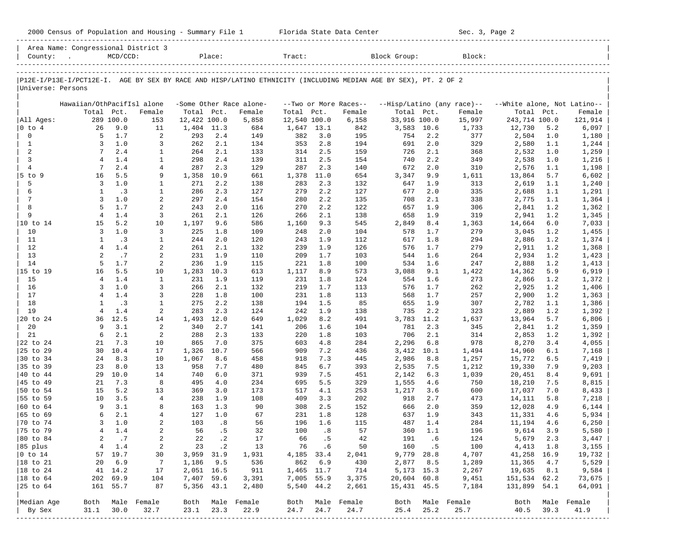| Area Name: Congressional District 3<br>Tract:<br>Block Group:<br>County:<br>$MCD/CCD$ :<br>Place:<br>Block:<br>P12E-I/P13E-I/PCT12E-I. AGE BY SEX BY RACE AND HISP/LATINO ETHNICITY (INCLUDING MEDIAN AGE BY SEX), PT. 2 OF 2<br>Universe: Persons<br>Hawaiian/OthPacifIsl alone<br>-Some Other Race alone-<br>--Hisp/Latino (any race)--<br>--White alone, Not Latino--<br>--Two or More Races--<br>Total<br>Pct.<br>Total Pct.<br>Total Pct.<br>Total Pct.<br>Female<br>Female<br>Total Pct.<br>Female<br>Female<br>Female<br>289 100.0<br>12,422 100.0<br>12,540 100.0<br>6,158<br>33,916 100.0<br>15,997<br>243,714 100.0<br>121,914<br>All Ages:<br>153<br>5,858<br>$ 0 \t{to} 4$<br>26<br>9.0<br>1,404 11.3<br>684<br>1,647 13.1<br>842<br>3,583 10.6<br>1,733<br>12,730<br>5.2<br>6,097<br>11<br>1.7<br>2<br>$\mathbf 0$<br>-5<br>2.4<br>382<br>3.0<br>195<br>754<br>2.2<br>377<br>2,504<br>1.0<br>293<br>149<br>1,180<br>2.8<br>$\mathbf{1}$<br>3<br>1.0<br>3<br>262<br>2.1<br>134<br>353<br>194<br>691<br>2.0<br>329<br>2,580<br>1.1<br>1,244<br>2<br>$7\phantom{.0}$<br>2.4<br>2.1<br>314<br>2.5<br>159<br>726<br>2.1<br>368<br>2,532<br>1.0<br>1<br>264<br>133<br>1,259<br>$\overline{3}$<br>$\overline{4}$<br>1.4<br>2.4<br>2.5<br>2.2<br>$\mathbf{1}$<br>298<br>139<br>311<br>154<br>740<br>349<br>2,538<br>1.0<br>1,216<br>$\overline{4}$<br>$7\phantom{.0}$<br>2.4<br>$\overline{4}$<br>287<br>2.3<br>129<br>287<br>2.3<br>140<br>672<br>2.0<br>2,576<br>1.1<br>310<br>1,198<br>5.5<br>5.7<br>$5$ to 9<br>16<br>9<br>1,358<br>10.9<br>661<br>1,378<br>11.0<br>654<br>9.9<br>3,347<br>1,611<br>13,864<br>6,602<br>5<br>3<br>1.0<br>271<br>2.2<br>138<br>283<br>2.3<br>132<br>1.9<br>313<br>2,619<br>1.1<br>1,240<br>1<br>647<br>6<br>.3<br>2.3<br>2.2<br>2.0<br>$\mathbf{1}$<br>$\mathbf{1}$<br>286<br>127<br>279<br>127<br>677<br>335<br>2,688<br>1.1<br>1,291<br>7<br>$\overline{3}$<br>1.0<br>2<br>297<br>2.4<br>154<br>280<br>2.2<br>135<br>708<br>2.1<br>338<br>2,775<br>1.1<br>1,364<br>8<br>5<br>1.7<br>$\overline{a}$<br>2.0<br>2.2<br>243<br>270<br>122<br>657<br>1.9<br>306<br>2,841<br>1.2<br>116<br>1,362<br>9<br>$\overline{4}$<br>1.4<br>3<br>261<br>2.1<br>266<br>2.1<br>138<br>658<br>1.9<br>319<br>2,941<br>1.2<br>126<br>1,345<br>15<br>5.2<br>10<br>9.6<br>586<br>9.3<br>545<br>8.4<br>6.0<br>7,033<br>1,197<br>1,160<br>2,849<br>1,363<br>14,664<br>1.0<br>10<br>3<br>3<br>225<br>109<br>248<br>2.0<br>104<br>578<br>1.7<br>279<br>3,045<br>1.2<br>1.8<br>1,455<br>$\cdot$ 3<br>2.0<br>1.9<br>11<br>$\mathbf{1}$<br>$\mathbf{1}$<br>120<br>112<br>617<br>1.8<br>294<br>2,886<br>1.2<br>244<br>243<br>1,374<br>12<br>1.4<br>$\overline{4}$<br>2<br>261<br>2.1<br>132<br>1.9<br>126<br>576<br>1.7<br>279<br>2,911<br>1.2<br>239<br>1,368<br>13<br>2<br>.7<br>2<br>231<br>1.9<br>1.7<br>103<br>544<br>1.6<br>264<br>2,934<br>1.2<br>110<br>209<br>1,423<br>1.7<br>14<br>5<br>2<br>236<br>1.9<br>115<br>221<br>1.8<br>100<br>534<br>1.6<br>247<br>2,888<br>1.2<br>1,413<br>5.5<br>$ 15$ to 19<br>16<br>10<br>1,283<br>10.3<br>8.9<br>573<br>3,088<br>9.1<br>1,422<br>5.9<br>6,919<br>613<br>1,117<br>14,362<br>15<br>$\overline{4}$<br>1.4<br>$\mathbf{1}$<br>1.9<br>119<br>231<br>1.8<br>124<br>1.6<br>273<br>1.2<br>231<br>554<br>2,866<br>1,372<br>1.0<br>16<br>3<br>3<br>266<br>2.1<br>132<br>219<br>1.7<br>1.7<br>262<br>2,925<br>1.2<br>113<br>576<br>1,406<br>17<br>1.4<br>$\overline{4}$<br>3<br>228<br>1.8<br>231<br>1.8<br>113<br>1.7<br>257<br>1.2<br>100<br>568<br>2,900<br>1,363<br>18<br>$\mathbf{1}$<br>$\cdot$ 3<br>$\mathbf{1}$<br>275<br>2.2<br>1.5<br>85<br>1.9<br>307<br>2,782<br>1.1<br>138<br>194<br>655<br>1,386<br>19<br>$\overline{4}$<br>1.4<br>2<br>283<br>2.3<br>1.9<br>138<br>735<br>2.2<br>323<br>2,889<br>1.2<br>124<br>242<br>1,392<br>36<br>12.5<br>12.0<br>8.2<br>491<br>11.2<br>5.7<br>6,806<br>20 to 24<br>14<br>1,493<br>649<br>1,029<br>3,783<br>1,637<br>13,964<br>20<br>3.1<br>9<br>2<br>340<br>2.7<br>1.6<br>104<br>781<br>2.3<br>345<br>1.2<br>141<br>206<br>2,841<br>1,359<br>2.1<br>2<br>21<br>6<br>288<br>2.3<br>1.8<br>706<br>2.1<br>314<br>2,853<br>1.2<br>133<br>220<br>103<br>1,392<br>7.3<br>22 to 24<br>21<br>865<br>7.0<br>375<br>4.8<br>284<br>2,296<br>6.8<br>978<br>8,270<br>3.4<br>10<br>603<br>4,055<br>25 to 29<br>30<br>10.4<br>17<br>10.7<br>566<br>7.2<br>3,412 10.1<br>6.1<br>1,326<br>909<br>436<br>1,494<br>14,960<br>7,168<br>8.3<br>24<br>10<br>8.6<br>458<br>7.3<br>2,986<br>8.8<br>1,257<br>6.5<br>30 to 34<br>1,067<br>918<br>445<br>15,772<br>7,419<br>8.0<br>23<br>13<br>958<br>7.7<br>6.7<br>2,535<br>7.5<br>1,212<br>19,330<br>7.9<br>9,203<br>35 to 39<br>480<br>845<br>393<br>29<br>10.0<br>6.0<br>371<br>7.5<br>2,142<br>6.3<br>1,039<br>20,451<br>8.4<br> 40 to 44<br>14<br>740<br>939<br>451<br>9,691<br>7.3<br>8<br>7.5<br>21<br>495<br>4.0<br>234<br>5.5<br>329<br>1,555<br>4.6<br>750<br>18,210<br>8,815<br>145 to 49<br>695<br>5.2<br>50 to 54<br>15<br>13<br>369<br>3.0<br>173<br>4.1<br>253<br>1,217<br>3.6<br>600<br>17,037<br>7.0<br>517<br>8,433<br>3.5<br>55 to 59<br>10<br>$\overline{4}$<br>238<br>1.9<br>3.3<br>202<br>918<br>2.7<br>473<br>14,111<br>5.8<br>7,218<br>108<br>409<br>3.1<br>9<br>8<br>1.3<br>90<br>2.5<br>152<br>666<br>2.0<br>359<br>12,028<br>4.9<br> 60 to 64<br>163<br>308<br>6,144<br>6<br>2.1<br>1.8<br>1.9<br>$165$ to $69$<br>4<br>127<br>1.0<br>67<br>231<br>128<br>637<br>343<br>11,331<br>4.6<br>5,934<br>3<br>1.0<br>2<br>103<br>$\overline{\phantom{0}}$ .8<br>56<br>196<br>1.6<br>115<br>487<br>1.4<br>284<br>11,194<br>4.6<br>6,250<br>70 to 74<br>1.4<br>$\sqrt{2}$<br>.5<br>75 to 79<br>56<br>32<br>.8<br>57<br>1.1<br>9,614<br>3.9<br>5,580<br>4<br>100<br>360<br>196<br>2<br>.7<br>2<br>$\cdot$ 2<br>80 to 84<br>22<br>66<br>.5<br>191<br>.6<br>5,679<br>2.3<br>17<br>42<br>124<br>3,447<br>$\cdot$ 2<br>1.4<br>$\overline{\mathbf{c}}$<br>23<br>76<br>.6<br>50<br>160<br>.5<br>4,413<br>85 plus<br>$\overline{4}$<br>13<br>100<br>1.8<br>3,155<br>19.7<br>3,959<br>9,779<br>41,258<br>$ 0 \t{to} 14$<br>57<br>30<br>31.9<br>1,931<br>4,185<br>33.4<br>2,041<br>28.8<br>4,707<br>16.9<br>19,732<br>20<br>6.9<br>$\overline{7}$<br>1,186<br>9.5<br>536<br>862<br>6.9<br>2,877<br> 18 to 21<br>430<br>8.5<br>1,289<br>11,365<br>4.7<br>5,529<br>17<br>2,051 16.5<br>911<br> 18 to 24<br>41<br>14.2<br>1,465<br>11.7<br>714<br>5, 173 15.3<br>2,267<br>19,635<br>8.1<br>9,584<br>69.9<br>7,407<br>62.2<br>$ 18$ to $64$<br>202<br>104<br>59.6<br>3,391<br>7,005<br>55.9<br>3,375<br>20,604 60.8<br>9,451<br>151,534<br>73,675<br>55.7<br>87<br>5,356 43.1<br>25 to 64<br>161<br>2,480<br>5,540<br>44.2<br>2,661<br>15,431 45.5<br>7,184<br>131,899<br>54.1<br>64,091<br>Median Age<br>Male Female<br>Both<br>Male Female<br>Male Female<br>Both<br>Male<br>Female<br>Both<br>Both<br>Male Female<br>Both |        | 2000 Census of Population and Housing - Summary File 1 Florida State Data Center |      |      |      |      |      |      |      |      |      |      | Sec. 3, Page 2 |      |      |      |
|------------------------------------------------------------------------------------------------------------------------------------------------------------------------------------------------------------------------------------------------------------------------------------------------------------------------------------------------------------------------------------------------------------------------------------------------------------------------------------------------------------------------------------------------------------------------------------------------------------------------------------------------------------------------------------------------------------------------------------------------------------------------------------------------------------------------------------------------------------------------------------------------------------------------------------------------------------------------------------------------------------------------------------------------------------------------------------------------------------------------------------------------------------------------------------------------------------------------------------------------------------------------------------------------------------------------------------------------------------------------------------------------------------------------------------------------------------------------------------------------------------------------------------------------------------------------------------------------------------------------------------------------------------------------------------------------------------------------------------------------------------------------------------------------------------------------------------------------------------------------------------------------------------------------------------------------------------------------------------------------------------------------------------------------------------------------------------------------------------------------------------------------------------------------------------------------------------------------------------------------------------------------------------------------------------------------------------------------------------------------------------------------------------------------------------------------------------------------------------------------------------------------------------------------------------------------------------------------------------------------------------------------------------------------------------------------------------------------------------------------------------------------------------------------------------------------------------------------------------------------------------------------------------------------------------------------------------------------------------------------------------------------------------------------------------------------------------------------------------------------------------------------------------------------------------------------------------------------------------------------------------------------------------------------------------------------------------------------------------------------------------------------------------------------------------------------------------------------------------------------------------------------------------------------------------------------------------------------------------------------------------------------------------------------------------------------------------------------------------------------------------------------------------------------------------------------------------------------------------------------------------------------------------------------------------------------------------------------------------------------------------------------------------------------------------------------------------------------------------------------------------------------------------------------------------------------------------------------------------------------------------------------------------------------------------------------------------------------------------------------------------------------------------------------------------------------------------------------------------------------------------------------------------------------------------------------------------------------------------------------------------------------------------------------------------------------------------------------------------------------------------------------------------------------------------------------------------------------------------------------------------------------------------------------------------------------------------------------------------------------------------------------------------------------------------------------------------------------------------------------------------------------------------------------------------------------------------------------------------------------------------------------------------------------------------------------------------------------------------------------------------------------------------------------------------------------------------------------------------------------------------------------------------------------------------------------------------------------------------------------------------------------------------------------------------------------------------------------------------------------------------------------------------------------------------------------------------------------------------------------------------------------------------------------------------------------------------------------------------------------------------------------------------------------------------------------------------------------------------------------------------------------------------------------------------------------------------------------------------------------------------------------------------------------------------------------------------------------------------------------------------------------------------------------------------------------------------------------------------------------------------------------------------------------------------------------------------------------------------------------------------------------------------------------------------------------------------------------------------------------------------------------------------------------------------------------------------------------------------------|--------|----------------------------------------------------------------------------------|------|------|------|------|------|------|------|------|------|------|----------------|------|------|------|
|                                                                                                                                                                                                                                                                                                                                                                                                                                                                                                                                                                                                                                                                                                                                                                                                                                                                                                                                                                                                                                                                                                                                                                                                                                                                                                                                                                                                                                                                                                                                                                                                                                                                                                                                                                                                                                                                                                                                                                                                                                                                                                                                                                                                                                                                                                                                                                                                                                                                                                                                                                                                                                                                                                                                                                                                                                                                                                                                                                                                                                                                                                                                                                                                                                                                                                                                                                                                                                                                                                                                                                                                                                                                                                                                                                                                                                                                                                                                                                                                                                                                                                                                                                                                                                                                                                                                                                                                                                                                                                                                                                                                                                                                                                                                                                                                                                                                                                                                                                                                                                                                                                                                                                                                                                                                                                                                                                                                                                                                                                                                                                                                                                                                                                                                                                                                                                                                                                                                                                                                                                                                                                                                                                                                                                                                                                                                                                                                                                                                                                                                                                                                                                                                                                                                                                                                                                                                  |        |                                                                                  |      |      |      |      |      |      |      |      |      |      |                |      |      |      |
|                                                                                                                                                                                                                                                                                                                                                                                                                                                                                                                                                                                                                                                                                                                                                                                                                                                                                                                                                                                                                                                                                                                                                                                                                                                                                                                                                                                                                                                                                                                                                                                                                                                                                                                                                                                                                                                                                                                                                                                                                                                                                                                                                                                                                                                                                                                                                                                                                                                                                                                                                                                                                                                                                                                                                                                                                                                                                                                                                                                                                                                                                                                                                                                                                                                                                                                                                                                                                                                                                                                                                                                                                                                                                                                                                                                                                                                                                                                                                                                                                                                                                                                                                                                                                                                                                                                                                                                                                                                                                                                                                                                                                                                                                                                                                                                                                                                                                                                                                                                                                                                                                                                                                                                                                                                                                                                                                                                                                                                                                                                                                                                                                                                                                                                                                                                                                                                                                                                                                                                                                                                                                                                                                                                                                                                                                                                                                                                                                                                                                                                                                                                                                                                                                                                                                                                                                                                                  |        |                                                                                  |      |      |      |      |      |      |      |      |      |      |                |      |      |      |
|                                                                                                                                                                                                                                                                                                                                                                                                                                                                                                                                                                                                                                                                                                                                                                                                                                                                                                                                                                                                                                                                                                                                                                                                                                                                                                                                                                                                                                                                                                                                                                                                                                                                                                                                                                                                                                                                                                                                                                                                                                                                                                                                                                                                                                                                                                                                                                                                                                                                                                                                                                                                                                                                                                                                                                                                                                                                                                                                                                                                                                                                                                                                                                                                                                                                                                                                                                                                                                                                                                                                                                                                                                                                                                                                                                                                                                                                                                                                                                                                                                                                                                                                                                                                                                                                                                                                                                                                                                                                                                                                                                                                                                                                                                                                                                                                                                                                                                                                                                                                                                                                                                                                                                                                                                                                                                                                                                                                                                                                                                                                                                                                                                                                                                                                                                                                                                                                                                                                                                                                                                                                                                                                                                                                                                                                                                                                                                                                                                                                                                                                                                                                                                                                                                                                                                                                                                                                  |        |                                                                                  |      |      |      |      |      |      |      |      |      |      |                |      |      |      |
|                                                                                                                                                                                                                                                                                                                                                                                                                                                                                                                                                                                                                                                                                                                                                                                                                                                                                                                                                                                                                                                                                                                                                                                                                                                                                                                                                                                                                                                                                                                                                                                                                                                                                                                                                                                                                                                                                                                                                                                                                                                                                                                                                                                                                                                                                                                                                                                                                                                                                                                                                                                                                                                                                                                                                                                                                                                                                                                                                                                                                                                                                                                                                                                                                                                                                                                                                                                                                                                                                                                                                                                                                                                                                                                                                                                                                                                                                                                                                                                                                                                                                                                                                                                                                                                                                                                                                                                                                                                                                                                                                                                                                                                                                                                                                                                                                                                                                                                                                                                                                                                                                                                                                                                                                                                                                                                                                                                                                                                                                                                                                                                                                                                                                                                                                                                                                                                                                                                                                                                                                                                                                                                                                                                                                                                                                                                                                                                                                                                                                                                                                                                                                                                                                                                                                                                                                                                                  |        |                                                                                  |      |      |      |      |      |      |      |      |      |      |                |      |      |      |
|                                                                                                                                                                                                                                                                                                                                                                                                                                                                                                                                                                                                                                                                                                                                                                                                                                                                                                                                                                                                                                                                                                                                                                                                                                                                                                                                                                                                                                                                                                                                                                                                                                                                                                                                                                                                                                                                                                                                                                                                                                                                                                                                                                                                                                                                                                                                                                                                                                                                                                                                                                                                                                                                                                                                                                                                                                                                                                                                                                                                                                                                                                                                                                                                                                                                                                                                                                                                                                                                                                                                                                                                                                                                                                                                                                                                                                                                                                                                                                                                                                                                                                                                                                                                                                                                                                                                                                                                                                                                                                                                                                                                                                                                                                                                                                                                                                                                                                                                                                                                                                                                                                                                                                                                                                                                                                                                                                                                                                                                                                                                                                                                                                                                                                                                                                                                                                                                                                                                                                                                                                                                                                                                                                                                                                                                                                                                                                                                                                                                                                                                                                                                                                                                                                                                                                                                                                                                  |        |                                                                                  |      |      |      |      |      |      |      |      |      |      |                |      |      |      |
|                                                                                                                                                                                                                                                                                                                                                                                                                                                                                                                                                                                                                                                                                                                                                                                                                                                                                                                                                                                                                                                                                                                                                                                                                                                                                                                                                                                                                                                                                                                                                                                                                                                                                                                                                                                                                                                                                                                                                                                                                                                                                                                                                                                                                                                                                                                                                                                                                                                                                                                                                                                                                                                                                                                                                                                                                                                                                                                                                                                                                                                                                                                                                                                                                                                                                                                                                                                                                                                                                                                                                                                                                                                                                                                                                                                                                                                                                                                                                                                                                                                                                                                                                                                                                                                                                                                                                                                                                                                                                                                                                                                                                                                                                                                                                                                                                                                                                                                                                                                                                                                                                                                                                                                                                                                                                                                                                                                                                                                                                                                                                                                                                                                                                                                                                                                                                                                                                                                                                                                                                                                                                                                                                                                                                                                                                                                                                                                                                                                                                                                                                                                                                                                                                                                                                                                                                                                                  |        |                                                                                  |      |      |      |      |      |      |      |      |      |      |                |      |      |      |
|                                                                                                                                                                                                                                                                                                                                                                                                                                                                                                                                                                                                                                                                                                                                                                                                                                                                                                                                                                                                                                                                                                                                                                                                                                                                                                                                                                                                                                                                                                                                                                                                                                                                                                                                                                                                                                                                                                                                                                                                                                                                                                                                                                                                                                                                                                                                                                                                                                                                                                                                                                                                                                                                                                                                                                                                                                                                                                                                                                                                                                                                                                                                                                                                                                                                                                                                                                                                                                                                                                                                                                                                                                                                                                                                                                                                                                                                                                                                                                                                                                                                                                                                                                                                                                                                                                                                                                                                                                                                                                                                                                                                                                                                                                                                                                                                                                                                                                                                                                                                                                                                                                                                                                                                                                                                                                                                                                                                                                                                                                                                                                                                                                                                                                                                                                                                                                                                                                                                                                                                                                                                                                                                                                                                                                                                                                                                                                                                                                                                                                                                                                                                                                                                                                                                                                                                                                                                  |        |                                                                                  |      |      |      |      |      |      |      |      |      |      |                |      |      |      |
|                                                                                                                                                                                                                                                                                                                                                                                                                                                                                                                                                                                                                                                                                                                                                                                                                                                                                                                                                                                                                                                                                                                                                                                                                                                                                                                                                                                                                                                                                                                                                                                                                                                                                                                                                                                                                                                                                                                                                                                                                                                                                                                                                                                                                                                                                                                                                                                                                                                                                                                                                                                                                                                                                                                                                                                                                                                                                                                                                                                                                                                                                                                                                                                                                                                                                                                                                                                                                                                                                                                                                                                                                                                                                                                                                                                                                                                                                                                                                                                                                                                                                                                                                                                                                                                                                                                                                                                                                                                                                                                                                                                                                                                                                                                                                                                                                                                                                                                                                                                                                                                                                                                                                                                                                                                                                                                                                                                                                                                                                                                                                                                                                                                                                                                                                                                                                                                                                                                                                                                                                                                                                                                                                                                                                                                                                                                                                                                                                                                                                                                                                                                                                                                                                                                                                                                                                                                                  |        |                                                                                  |      |      |      |      |      |      |      |      |      |      |                |      |      |      |
|                                                                                                                                                                                                                                                                                                                                                                                                                                                                                                                                                                                                                                                                                                                                                                                                                                                                                                                                                                                                                                                                                                                                                                                                                                                                                                                                                                                                                                                                                                                                                                                                                                                                                                                                                                                                                                                                                                                                                                                                                                                                                                                                                                                                                                                                                                                                                                                                                                                                                                                                                                                                                                                                                                                                                                                                                                                                                                                                                                                                                                                                                                                                                                                                                                                                                                                                                                                                                                                                                                                                                                                                                                                                                                                                                                                                                                                                                                                                                                                                                                                                                                                                                                                                                                                                                                                                                                                                                                                                                                                                                                                                                                                                                                                                                                                                                                                                                                                                                                                                                                                                                                                                                                                                                                                                                                                                                                                                                                                                                                                                                                                                                                                                                                                                                                                                                                                                                                                                                                                                                                                                                                                                                                                                                                                                                                                                                                                                                                                                                                                                                                                                                                                                                                                                                                                                                                                                  |        |                                                                                  |      |      |      |      |      |      |      |      |      |      |                |      |      |      |
|                                                                                                                                                                                                                                                                                                                                                                                                                                                                                                                                                                                                                                                                                                                                                                                                                                                                                                                                                                                                                                                                                                                                                                                                                                                                                                                                                                                                                                                                                                                                                                                                                                                                                                                                                                                                                                                                                                                                                                                                                                                                                                                                                                                                                                                                                                                                                                                                                                                                                                                                                                                                                                                                                                                                                                                                                                                                                                                                                                                                                                                                                                                                                                                                                                                                                                                                                                                                                                                                                                                                                                                                                                                                                                                                                                                                                                                                                                                                                                                                                                                                                                                                                                                                                                                                                                                                                                                                                                                                                                                                                                                                                                                                                                                                                                                                                                                                                                                                                                                                                                                                                                                                                                                                                                                                                                                                                                                                                                                                                                                                                                                                                                                                                                                                                                                                                                                                                                                                                                                                                                                                                                                                                                                                                                                                                                                                                                                                                                                                                                                                                                                                                                                                                                                                                                                                                                                                  |        |                                                                                  |      |      |      |      |      |      |      |      |      |      |                |      |      |      |
|                                                                                                                                                                                                                                                                                                                                                                                                                                                                                                                                                                                                                                                                                                                                                                                                                                                                                                                                                                                                                                                                                                                                                                                                                                                                                                                                                                                                                                                                                                                                                                                                                                                                                                                                                                                                                                                                                                                                                                                                                                                                                                                                                                                                                                                                                                                                                                                                                                                                                                                                                                                                                                                                                                                                                                                                                                                                                                                                                                                                                                                                                                                                                                                                                                                                                                                                                                                                                                                                                                                                                                                                                                                                                                                                                                                                                                                                                                                                                                                                                                                                                                                                                                                                                                                                                                                                                                                                                                                                                                                                                                                                                                                                                                                                                                                                                                                                                                                                                                                                                                                                                                                                                                                                                                                                                                                                                                                                                                                                                                                                                                                                                                                                                                                                                                                                                                                                                                                                                                                                                                                                                                                                                                                                                                                                                                                                                                                                                                                                                                                                                                                                                                                                                                                                                                                                                                                                  |        |                                                                                  |      |      |      |      |      |      |      |      |      |      |                |      |      |      |
|                                                                                                                                                                                                                                                                                                                                                                                                                                                                                                                                                                                                                                                                                                                                                                                                                                                                                                                                                                                                                                                                                                                                                                                                                                                                                                                                                                                                                                                                                                                                                                                                                                                                                                                                                                                                                                                                                                                                                                                                                                                                                                                                                                                                                                                                                                                                                                                                                                                                                                                                                                                                                                                                                                                                                                                                                                                                                                                                                                                                                                                                                                                                                                                                                                                                                                                                                                                                                                                                                                                                                                                                                                                                                                                                                                                                                                                                                                                                                                                                                                                                                                                                                                                                                                                                                                                                                                                                                                                                                                                                                                                                                                                                                                                                                                                                                                                                                                                                                                                                                                                                                                                                                                                                                                                                                                                                                                                                                                                                                                                                                                                                                                                                                                                                                                                                                                                                                                                                                                                                                                                                                                                                                                                                                                                                                                                                                                                                                                                                                                                                                                                                                                                                                                                                                                                                                                                                  |        |                                                                                  |      |      |      |      |      |      |      |      |      |      |                |      |      |      |
|                                                                                                                                                                                                                                                                                                                                                                                                                                                                                                                                                                                                                                                                                                                                                                                                                                                                                                                                                                                                                                                                                                                                                                                                                                                                                                                                                                                                                                                                                                                                                                                                                                                                                                                                                                                                                                                                                                                                                                                                                                                                                                                                                                                                                                                                                                                                                                                                                                                                                                                                                                                                                                                                                                                                                                                                                                                                                                                                                                                                                                                                                                                                                                                                                                                                                                                                                                                                                                                                                                                                                                                                                                                                                                                                                                                                                                                                                                                                                                                                                                                                                                                                                                                                                                                                                                                                                                                                                                                                                                                                                                                                                                                                                                                                                                                                                                                                                                                                                                                                                                                                                                                                                                                                                                                                                                                                                                                                                                                                                                                                                                                                                                                                                                                                                                                                                                                                                                                                                                                                                                                                                                                                                                                                                                                                                                                                                                                                                                                                                                                                                                                                                                                                                                                                                                                                                                                                  |        |                                                                                  |      |      |      |      |      |      |      |      |      |      |                |      |      |      |
|                                                                                                                                                                                                                                                                                                                                                                                                                                                                                                                                                                                                                                                                                                                                                                                                                                                                                                                                                                                                                                                                                                                                                                                                                                                                                                                                                                                                                                                                                                                                                                                                                                                                                                                                                                                                                                                                                                                                                                                                                                                                                                                                                                                                                                                                                                                                                                                                                                                                                                                                                                                                                                                                                                                                                                                                                                                                                                                                                                                                                                                                                                                                                                                                                                                                                                                                                                                                                                                                                                                                                                                                                                                                                                                                                                                                                                                                                                                                                                                                                                                                                                                                                                                                                                                                                                                                                                                                                                                                                                                                                                                                                                                                                                                                                                                                                                                                                                                                                                                                                                                                                                                                                                                                                                                                                                                                                                                                                                                                                                                                                                                                                                                                                                                                                                                                                                                                                                                                                                                                                                                                                                                                                                                                                                                                                                                                                                                                                                                                                                                                                                                                                                                                                                                                                                                                                                                                  |        |                                                                                  |      |      |      |      |      |      |      |      |      |      |                |      |      |      |
|                                                                                                                                                                                                                                                                                                                                                                                                                                                                                                                                                                                                                                                                                                                                                                                                                                                                                                                                                                                                                                                                                                                                                                                                                                                                                                                                                                                                                                                                                                                                                                                                                                                                                                                                                                                                                                                                                                                                                                                                                                                                                                                                                                                                                                                                                                                                                                                                                                                                                                                                                                                                                                                                                                                                                                                                                                                                                                                                                                                                                                                                                                                                                                                                                                                                                                                                                                                                                                                                                                                                                                                                                                                                                                                                                                                                                                                                                                                                                                                                                                                                                                                                                                                                                                                                                                                                                                                                                                                                                                                                                                                                                                                                                                                                                                                                                                                                                                                                                                                                                                                                                                                                                                                                                                                                                                                                                                                                                                                                                                                                                                                                                                                                                                                                                                                                                                                                                                                                                                                                                                                                                                                                                                                                                                                                                                                                                                                                                                                                                                                                                                                                                                                                                                                                                                                                                                                                  |        |                                                                                  |      |      |      |      |      |      |      |      |      |      |                |      |      |      |
|                                                                                                                                                                                                                                                                                                                                                                                                                                                                                                                                                                                                                                                                                                                                                                                                                                                                                                                                                                                                                                                                                                                                                                                                                                                                                                                                                                                                                                                                                                                                                                                                                                                                                                                                                                                                                                                                                                                                                                                                                                                                                                                                                                                                                                                                                                                                                                                                                                                                                                                                                                                                                                                                                                                                                                                                                                                                                                                                                                                                                                                                                                                                                                                                                                                                                                                                                                                                                                                                                                                                                                                                                                                                                                                                                                                                                                                                                                                                                                                                                                                                                                                                                                                                                                                                                                                                                                                                                                                                                                                                                                                                                                                                                                                                                                                                                                                                                                                                                                                                                                                                                                                                                                                                                                                                                                                                                                                                                                                                                                                                                                                                                                                                                                                                                                                                                                                                                                                                                                                                                                                                                                                                                                                                                                                                                                                                                                                                                                                                                                                                                                                                                                                                                                                                                                                                                                                                  |        |                                                                                  |      |      |      |      |      |      |      |      |      |      |                |      |      |      |
|                                                                                                                                                                                                                                                                                                                                                                                                                                                                                                                                                                                                                                                                                                                                                                                                                                                                                                                                                                                                                                                                                                                                                                                                                                                                                                                                                                                                                                                                                                                                                                                                                                                                                                                                                                                                                                                                                                                                                                                                                                                                                                                                                                                                                                                                                                                                                                                                                                                                                                                                                                                                                                                                                                                                                                                                                                                                                                                                                                                                                                                                                                                                                                                                                                                                                                                                                                                                                                                                                                                                                                                                                                                                                                                                                                                                                                                                                                                                                                                                                                                                                                                                                                                                                                                                                                                                                                                                                                                                                                                                                                                                                                                                                                                                                                                                                                                                                                                                                                                                                                                                                                                                                                                                                                                                                                                                                                                                                                                                                                                                                                                                                                                                                                                                                                                                                                                                                                                                                                                                                                                                                                                                                                                                                                                                                                                                                                                                                                                                                                                                                                                                                                                                                                                                                                                                                                                                  |        |                                                                                  |      |      |      |      |      |      |      |      |      |      |                |      |      |      |
|                                                                                                                                                                                                                                                                                                                                                                                                                                                                                                                                                                                                                                                                                                                                                                                                                                                                                                                                                                                                                                                                                                                                                                                                                                                                                                                                                                                                                                                                                                                                                                                                                                                                                                                                                                                                                                                                                                                                                                                                                                                                                                                                                                                                                                                                                                                                                                                                                                                                                                                                                                                                                                                                                                                                                                                                                                                                                                                                                                                                                                                                                                                                                                                                                                                                                                                                                                                                                                                                                                                                                                                                                                                                                                                                                                                                                                                                                                                                                                                                                                                                                                                                                                                                                                                                                                                                                                                                                                                                                                                                                                                                                                                                                                                                                                                                                                                                                                                                                                                                                                                                                                                                                                                                                                                                                                                                                                                                                                                                                                                                                                                                                                                                                                                                                                                                                                                                                                                                                                                                                                                                                                                                                                                                                                                                                                                                                                                                                                                                                                                                                                                                                                                                                                                                                                                                                                                                  |        |                                                                                  |      |      |      |      |      |      |      |      |      |      |                |      |      |      |
|                                                                                                                                                                                                                                                                                                                                                                                                                                                                                                                                                                                                                                                                                                                                                                                                                                                                                                                                                                                                                                                                                                                                                                                                                                                                                                                                                                                                                                                                                                                                                                                                                                                                                                                                                                                                                                                                                                                                                                                                                                                                                                                                                                                                                                                                                                                                                                                                                                                                                                                                                                                                                                                                                                                                                                                                                                                                                                                                                                                                                                                                                                                                                                                                                                                                                                                                                                                                                                                                                                                                                                                                                                                                                                                                                                                                                                                                                                                                                                                                                                                                                                                                                                                                                                                                                                                                                                                                                                                                                                                                                                                                                                                                                                                                                                                                                                                                                                                                                                                                                                                                                                                                                                                                                                                                                                                                                                                                                                                                                                                                                                                                                                                                                                                                                                                                                                                                                                                                                                                                                                                                                                                                                                                                                                                                                                                                                                                                                                                                                                                                                                                                                                                                                                                                                                                                                                                                  |        |                                                                                  |      |      |      |      |      |      |      |      |      |      |                |      |      |      |
|                                                                                                                                                                                                                                                                                                                                                                                                                                                                                                                                                                                                                                                                                                                                                                                                                                                                                                                                                                                                                                                                                                                                                                                                                                                                                                                                                                                                                                                                                                                                                                                                                                                                                                                                                                                                                                                                                                                                                                                                                                                                                                                                                                                                                                                                                                                                                                                                                                                                                                                                                                                                                                                                                                                                                                                                                                                                                                                                                                                                                                                                                                                                                                                                                                                                                                                                                                                                                                                                                                                                                                                                                                                                                                                                                                                                                                                                                                                                                                                                                                                                                                                                                                                                                                                                                                                                                                                                                                                                                                                                                                                                                                                                                                                                                                                                                                                                                                                                                                                                                                                                                                                                                                                                                                                                                                                                                                                                                                                                                                                                                                                                                                                                                                                                                                                                                                                                                                                                                                                                                                                                                                                                                                                                                                                                                                                                                                                                                                                                                                                                                                                                                                                                                                                                                                                                                                                                  |        |                                                                                  |      |      |      |      |      |      |      |      |      |      |                |      |      |      |
|                                                                                                                                                                                                                                                                                                                                                                                                                                                                                                                                                                                                                                                                                                                                                                                                                                                                                                                                                                                                                                                                                                                                                                                                                                                                                                                                                                                                                                                                                                                                                                                                                                                                                                                                                                                                                                                                                                                                                                                                                                                                                                                                                                                                                                                                                                                                                                                                                                                                                                                                                                                                                                                                                                                                                                                                                                                                                                                                                                                                                                                                                                                                                                                                                                                                                                                                                                                                                                                                                                                                                                                                                                                                                                                                                                                                                                                                                                                                                                                                                                                                                                                                                                                                                                                                                                                                                                                                                                                                                                                                                                                                                                                                                                                                                                                                                                                                                                                                                                                                                                                                                                                                                                                                                                                                                                                                                                                                                                                                                                                                                                                                                                                                                                                                                                                                                                                                                                                                                                                                                                                                                                                                                                                                                                                                                                                                                                                                                                                                                                                                                                                                                                                                                                                                                                                                                                                                  |        |                                                                                  |      |      |      |      |      |      |      |      |      |      |                |      |      |      |
|                                                                                                                                                                                                                                                                                                                                                                                                                                                                                                                                                                                                                                                                                                                                                                                                                                                                                                                                                                                                                                                                                                                                                                                                                                                                                                                                                                                                                                                                                                                                                                                                                                                                                                                                                                                                                                                                                                                                                                                                                                                                                                                                                                                                                                                                                                                                                                                                                                                                                                                                                                                                                                                                                                                                                                                                                                                                                                                                                                                                                                                                                                                                                                                                                                                                                                                                                                                                                                                                                                                                                                                                                                                                                                                                                                                                                                                                                                                                                                                                                                                                                                                                                                                                                                                                                                                                                                                                                                                                                                                                                                                                                                                                                                                                                                                                                                                                                                                                                                                                                                                                                                                                                                                                                                                                                                                                                                                                                                                                                                                                                                                                                                                                                                                                                                                                                                                                                                                                                                                                                                                                                                                                                                                                                                                                                                                                                                                                                                                                                                                                                                                                                                                                                                                                                                                                                                                                  |        |                                                                                  |      |      |      |      |      |      |      |      |      |      |                |      |      |      |
|                                                                                                                                                                                                                                                                                                                                                                                                                                                                                                                                                                                                                                                                                                                                                                                                                                                                                                                                                                                                                                                                                                                                                                                                                                                                                                                                                                                                                                                                                                                                                                                                                                                                                                                                                                                                                                                                                                                                                                                                                                                                                                                                                                                                                                                                                                                                                                                                                                                                                                                                                                                                                                                                                                                                                                                                                                                                                                                                                                                                                                                                                                                                                                                                                                                                                                                                                                                                                                                                                                                                                                                                                                                                                                                                                                                                                                                                                                                                                                                                                                                                                                                                                                                                                                                                                                                                                                                                                                                                                                                                                                                                                                                                                                                                                                                                                                                                                                                                                                                                                                                                                                                                                                                                                                                                                                                                                                                                                                                                                                                                                                                                                                                                                                                                                                                                                                                                                                                                                                                                                                                                                                                                                                                                                                                                                                                                                                                                                                                                                                                                                                                                                                                                                                                                                                                                                                                                  |        |                                                                                  |      |      |      |      |      |      |      |      |      |      |                |      |      |      |
|                                                                                                                                                                                                                                                                                                                                                                                                                                                                                                                                                                                                                                                                                                                                                                                                                                                                                                                                                                                                                                                                                                                                                                                                                                                                                                                                                                                                                                                                                                                                                                                                                                                                                                                                                                                                                                                                                                                                                                                                                                                                                                                                                                                                                                                                                                                                                                                                                                                                                                                                                                                                                                                                                                                                                                                                                                                                                                                                                                                                                                                                                                                                                                                                                                                                                                                                                                                                                                                                                                                                                                                                                                                                                                                                                                                                                                                                                                                                                                                                                                                                                                                                                                                                                                                                                                                                                                                                                                                                                                                                                                                                                                                                                                                                                                                                                                                                                                                                                                                                                                                                                                                                                                                                                                                                                                                                                                                                                                                                                                                                                                                                                                                                                                                                                                                                                                                                                                                                                                                                                                                                                                                                                                                                                                                                                                                                                                                                                                                                                                                                                                                                                                                                                                                                                                                                                                                                  |        |                                                                                  |      |      |      |      |      |      |      |      |      |      |                |      |      |      |
|                                                                                                                                                                                                                                                                                                                                                                                                                                                                                                                                                                                                                                                                                                                                                                                                                                                                                                                                                                                                                                                                                                                                                                                                                                                                                                                                                                                                                                                                                                                                                                                                                                                                                                                                                                                                                                                                                                                                                                                                                                                                                                                                                                                                                                                                                                                                                                                                                                                                                                                                                                                                                                                                                                                                                                                                                                                                                                                                                                                                                                                                                                                                                                                                                                                                                                                                                                                                                                                                                                                                                                                                                                                                                                                                                                                                                                                                                                                                                                                                                                                                                                                                                                                                                                                                                                                                                                                                                                                                                                                                                                                                                                                                                                                                                                                                                                                                                                                                                                                                                                                                                                                                                                                                                                                                                                                                                                                                                                                                                                                                                                                                                                                                                                                                                                                                                                                                                                                                                                                                                                                                                                                                                                                                                                                                                                                                                                                                                                                                                                                                                                                                                                                                                                                                                                                                                                                                  |        |                                                                                  |      |      |      |      |      |      |      |      |      |      |                |      |      |      |
|                                                                                                                                                                                                                                                                                                                                                                                                                                                                                                                                                                                                                                                                                                                                                                                                                                                                                                                                                                                                                                                                                                                                                                                                                                                                                                                                                                                                                                                                                                                                                                                                                                                                                                                                                                                                                                                                                                                                                                                                                                                                                                                                                                                                                                                                                                                                                                                                                                                                                                                                                                                                                                                                                                                                                                                                                                                                                                                                                                                                                                                                                                                                                                                                                                                                                                                                                                                                                                                                                                                                                                                                                                                                                                                                                                                                                                                                                                                                                                                                                                                                                                                                                                                                                                                                                                                                                                                                                                                                                                                                                                                                                                                                                                                                                                                                                                                                                                                                                                                                                                                                                                                                                                                                                                                                                                                                                                                                                                                                                                                                                                                                                                                                                                                                                                                                                                                                                                                                                                                                                                                                                                                                                                                                                                                                                                                                                                                                                                                                                                                                                                                                                                                                                                                                                                                                                                                                  |        |                                                                                  |      |      |      |      |      |      |      |      |      |      |                |      |      |      |
|                                                                                                                                                                                                                                                                                                                                                                                                                                                                                                                                                                                                                                                                                                                                                                                                                                                                                                                                                                                                                                                                                                                                                                                                                                                                                                                                                                                                                                                                                                                                                                                                                                                                                                                                                                                                                                                                                                                                                                                                                                                                                                                                                                                                                                                                                                                                                                                                                                                                                                                                                                                                                                                                                                                                                                                                                                                                                                                                                                                                                                                                                                                                                                                                                                                                                                                                                                                                                                                                                                                                                                                                                                                                                                                                                                                                                                                                                                                                                                                                                                                                                                                                                                                                                                                                                                                                                                                                                                                                                                                                                                                                                                                                                                                                                                                                                                                                                                                                                                                                                                                                                                                                                                                                                                                                                                                                                                                                                                                                                                                                                                                                                                                                                                                                                                                                                                                                                                                                                                                                                                                                                                                                                                                                                                                                                                                                                                                                                                                                                                                                                                                                                                                                                                                                                                                                                                                                  |        |                                                                                  |      |      |      |      |      |      |      |      |      |      |                |      |      |      |
|                                                                                                                                                                                                                                                                                                                                                                                                                                                                                                                                                                                                                                                                                                                                                                                                                                                                                                                                                                                                                                                                                                                                                                                                                                                                                                                                                                                                                                                                                                                                                                                                                                                                                                                                                                                                                                                                                                                                                                                                                                                                                                                                                                                                                                                                                                                                                                                                                                                                                                                                                                                                                                                                                                                                                                                                                                                                                                                                                                                                                                                                                                                                                                                                                                                                                                                                                                                                                                                                                                                                                                                                                                                                                                                                                                                                                                                                                                                                                                                                                                                                                                                                                                                                                                                                                                                                                                                                                                                                                                                                                                                                                                                                                                                                                                                                                                                                                                                                                                                                                                                                                                                                                                                                                                                                                                                                                                                                                                                                                                                                                                                                                                                                                                                                                                                                                                                                                                                                                                                                                                                                                                                                                                                                                                                                                                                                                                                                                                                                                                                                                                                                                                                                                                                                                                                                                                                                  |        |                                                                                  |      |      |      |      |      |      |      |      |      |      |                |      |      |      |
|                                                                                                                                                                                                                                                                                                                                                                                                                                                                                                                                                                                                                                                                                                                                                                                                                                                                                                                                                                                                                                                                                                                                                                                                                                                                                                                                                                                                                                                                                                                                                                                                                                                                                                                                                                                                                                                                                                                                                                                                                                                                                                                                                                                                                                                                                                                                                                                                                                                                                                                                                                                                                                                                                                                                                                                                                                                                                                                                                                                                                                                                                                                                                                                                                                                                                                                                                                                                                                                                                                                                                                                                                                                                                                                                                                                                                                                                                                                                                                                                                                                                                                                                                                                                                                                                                                                                                                                                                                                                                                                                                                                                                                                                                                                                                                                                                                                                                                                                                                                                                                                                                                                                                                                                                                                                                                                                                                                                                                                                                                                                                                                                                                                                                                                                                                                                                                                                                                                                                                                                                                                                                                                                                                                                                                                                                                                                                                                                                                                                                                                                                                                                                                                                                                                                                                                                                                                                  |        |                                                                                  |      |      |      |      |      |      |      |      |      |      |                |      |      |      |
|                                                                                                                                                                                                                                                                                                                                                                                                                                                                                                                                                                                                                                                                                                                                                                                                                                                                                                                                                                                                                                                                                                                                                                                                                                                                                                                                                                                                                                                                                                                                                                                                                                                                                                                                                                                                                                                                                                                                                                                                                                                                                                                                                                                                                                                                                                                                                                                                                                                                                                                                                                                                                                                                                                                                                                                                                                                                                                                                                                                                                                                                                                                                                                                                                                                                                                                                                                                                                                                                                                                                                                                                                                                                                                                                                                                                                                                                                                                                                                                                                                                                                                                                                                                                                                                                                                                                                                                                                                                                                                                                                                                                                                                                                                                                                                                                                                                                                                                                                                                                                                                                                                                                                                                                                                                                                                                                                                                                                                                                                                                                                                                                                                                                                                                                                                                                                                                                                                                                                                                                                                                                                                                                                                                                                                                                                                                                                                                                                                                                                                                                                                                                                                                                                                                                                                                                                                                                  |        |                                                                                  |      |      |      |      |      |      |      |      |      |      |                |      |      |      |
|                                                                                                                                                                                                                                                                                                                                                                                                                                                                                                                                                                                                                                                                                                                                                                                                                                                                                                                                                                                                                                                                                                                                                                                                                                                                                                                                                                                                                                                                                                                                                                                                                                                                                                                                                                                                                                                                                                                                                                                                                                                                                                                                                                                                                                                                                                                                                                                                                                                                                                                                                                                                                                                                                                                                                                                                                                                                                                                                                                                                                                                                                                                                                                                                                                                                                                                                                                                                                                                                                                                                                                                                                                                                                                                                                                                                                                                                                                                                                                                                                                                                                                                                                                                                                                                                                                                                                                                                                                                                                                                                                                                                                                                                                                                                                                                                                                                                                                                                                                                                                                                                                                                                                                                                                                                                                                                                                                                                                                                                                                                                                                                                                                                                                                                                                                                                                                                                                                                                                                                                                                                                                                                                                                                                                                                                                                                                                                                                                                                                                                                                                                                                                                                                                                                                                                                                                                                                  |        |                                                                                  |      |      |      |      |      |      |      |      |      |      |                |      |      |      |
|                                                                                                                                                                                                                                                                                                                                                                                                                                                                                                                                                                                                                                                                                                                                                                                                                                                                                                                                                                                                                                                                                                                                                                                                                                                                                                                                                                                                                                                                                                                                                                                                                                                                                                                                                                                                                                                                                                                                                                                                                                                                                                                                                                                                                                                                                                                                                                                                                                                                                                                                                                                                                                                                                                                                                                                                                                                                                                                                                                                                                                                                                                                                                                                                                                                                                                                                                                                                                                                                                                                                                                                                                                                                                                                                                                                                                                                                                                                                                                                                                                                                                                                                                                                                                                                                                                                                                                                                                                                                                                                                                                                                                                                                                                                                                                                                                                                                                                                                                                                                                                                                                                                                                                                                                                                                                                                                                                                                                                                                                                                                                                                                                                                                                                                                                                                                                                                                                                                                                                                                                                                                                                                                                                                                                                                                                                                                                                                                                                                                                                                                                                                                                                                                                                                                                                                                                                                                  |        |                                                                                  |      |      |      |      |      |      |      |      |      |      |                |      |      |      |
|                                                                                                                                                                                                                                                                                                                                                                                                                                                                                                                                                                                                                                                                                                                                                                                                                                                                                                                                                                                                                                                                                                                                                                                                                                                                                                                                                                                                                                                                                                                                                                                                                                                                                                                                                                                                                                                                                                                                                                                                                                                                                                                                                                                                                                                                                                                                                                                                                                                                                                                                                                                                                                                                                                                                                                                                                                                                                                                                                                                                                                                                                                                                                                                                                                                                                                                                                                                                                                                                                                                                                                                                                                                                                                                                                                                                                                                                                                                                                                                                                                                                                                                                                                                                                                                                                                                                                                                                                                                                                                                                                                                                                                                                                                                                                                                                                                                                                                                                                                                                                                                                                                                                                                                                                                                                                                                                                                                                                                                                                                                                                                                                                                                                                                                                                                                                                                                                                                                                                                                                                                                                                                                                                                                                                                                                                                                                                                                                                                                                                                                                                                                                                                                                                                                                                                                                                                                                  |        |                                                                                  |      |      |      |      |      |      |      |      |      |      |                |      |      |      |
|                                                                                                                                                                                                                                                                                                                                                                                                                                                                                                                                                                                                                                                                                                                                                                                                                                                                                                                                                                                                                                                                                                                                                                                                                                                                                                                                                                                                                                                                                                                                                                                                                                                                                                                                                                                                                                                                                                                                                                                                                                                                                                                                                                                                                                                                                                                                                                                                                                                                                                                                                                                                                                                                                                                                                                                                                                                                                                                                                                                                                                                                                                                                                                                                                                                                                                                                                                                                                                                                                                                                                                                                                                                                                                                                                                                                                                                                                                                                                                                                                                                                                                                                                                                                                                                                                                                                                                                                                                                                                                                                                                                                                                                                                                                                                                                                                                                                                                                                                                                                                                                                                                                                                                                                                                                                                                                                                                                                                                                                                                                                                                                                                                                                                                                                                                                                                                                                                                                                                                                                                                                                                                                                                                                                                                                                                                                                                                                                                                                                                                                                                                                                                                                                                                                                                                                                                                                                  |        |                                                                                  |      |      |      |      |      |      |      |      |      |      |                |      |      |      |
|                                                                                                                                                                                                                                                                                                                                                                                                                                                                                                                                                                                                                                                                                                                                                                                                                                                                                                                                                                                                                                                                                                                                                                                                                                                                                                                                                                                                                                                                                                                                                                                                                                                                                                                                                                                                                                                                                                                                                                                                                                                                                                                                                                                                                                                                                                                                                                                                                                                                                                                                                                                                                                                                                                                                                                                                                                                                                                                                                                                                                                                                                                                                                                                                                                                                                                                                                                                                                                                                                                                                                                                                                                                                                                                                                                                                                                                                                                                                                                                                                                                                                                                                                                                                                                                                                                                                                                                                                                                                                                                                                                                                                                                                                                                                                                                                                                                                                                                                                                                                                                                                                                                                                                                                                                                                                                                                                                                                                                                                                                                                                                                                                                                                                                                                                                                                                                                                                                                                                                                                                                                                                                                                                                                                                                                                                                                                                                                                                                                                                                                                                                                                                                                                                                                                                                                                                                                                  |        |                                                                                  |      |      |      |      |      |      |      |      |      |      |                |      |      |      |
|                                                                                                                                                                                                                                                                                                                                                                                                                                                                                                                                                                                                                                                                                                                                                                                                                                                                                                                                                                                                                                                                                                                                                                                                                                                                                                                                                                                                                                                                                                                                                                                                                                                                                                                                                                                                                                                                                                                                                                                                                                                                                                                                                                                                                                                                                                                                                                                                                                                                                                                                                                                                                                                                                                                                                                                                                                                                                                                                                                                                                                                                                                                                                                                                                                                                                                                                                                                                                                                                                                                                                                                                                                                                                                                                                                                                                                                                                                                                                                                                                                                                                                                                                                                                                                                                                                                                                                                                                                                                                                                                                                                                                                                                                                                                                                                                                                                                                                                                                                                                                                                                                                                                                                                                                                                                                                                                                                                                                                                                                                                                                                                                                                                                                                                                                                                                                                                                                                                                                                                                                                                                                                                                                                                                                                                                                                                                                                                                                                                                                                                                                                                                                                                                                                                                                                                                                                                                  |        |                                                                                  |      |      |      |      |      |      |      |      |      |      |                |      |      |      |
|                                                                                                                                                                                                                                                                                                                                                                                                                                                                                                                                                                                                                                                                                                                                                                                                                                                                                                                                                                                                                                                                                                                                                                                                                                                                                                                                                                                                                                                                                                                                                                                                                                                                                                                                                                                                                                                                                                                                                                                                                                                                                                                                                                                                                                                                                                                                                                                                                                                                                                                                                                                                                                                                                                                                                                                                                                                                                                                                                                                                                                                                                                                                                                                                                                                                                                                                                                                                                                                                                                                                                                                                                                                                                                                                                                                                                                                                                                                                                                                                                                                                                                                                                                                                                                                                                                                                                                                                                                                                                                                                                                                                                                                                                                                                                                                                                                                                                                                                                                                                                                                                                                                                                                                                                                                                                                                                                                                                                                                                                                                                                                                                                                                                                                                                                                                                                                                                                                                                                                                                                                                                                                                                                                                                                                                                                                                                                                                                                                                                                                                                                                                                                                                                                                                                                                                                                                                                  |        |                                                                                  |      |      |      |      |      |      |      |      |      |      |                |      |      |      |
|                                                                                                                                                                                                                                                                                                                                                                                                                                                                                                                                                                                                                                                                                                                                                                                                                                                                                                                                                                                                                                                                                                                                                                                                                                                                                                                                                                                                                                                                                                                                                                                                                                                                                                                                                                                                                                                                                                                                                                                                                                                                                                                                                                                                                                                                                                                                                                                                                                                                                                                                                                                                                                                                                                                                                                                                                                                                                                                                                                                                                                                                                                                                                                                                                                                                                                                                                                                                                                                                                                                                                                                                                                                                                                                                                                                                                                                                                                                                                                                                                                                                                                                                                                                                                                                                                                                                                                                                                                                                                                                                                                                                                                                                                                                                                                                                                                                                                                                                                                                                                                                                                                                                                                                                                                                                                                                                                                                                                                                                                                                                                                                                                                                                                                                                                                                                                                                                                                                                                                                                                                                                                                                                                                                                                                                                                                                                                                                                                                                                                                                                                                                                                                                                                                                                                                                                                                                                  |        |                                                                                  |      |      |      |      |      |      |      |      |      |      |                |      |      |      |
|                                                                                                                                                                                                                                                                                                                                                                                                                                                                                                                                                                                                                                                                                                                                                                                                                                                                                                                                                                                                                                                                                                                                                                                                                                                                                                                                                                                                                                                                                                                                                                                                                                                                                                                                                                                                                                                                                                                                                                                                                                                                                                                                                                                                                                                                                                                                                                                                                                                                                                                                                                                                                                                                                                                                                                                                                                                                                                                                                                                                                                                                                                                                                                                                                                                                                                                                                                                                                                                                                                                                                                                                                                                                                                                                                                                                                                                                                                                                                                                                                                                                                                                                                                                                                                                                                                                                                                                                                                                                                                                                                                                                                                                                                                                                                                                                                                                                                                                                                                                                                                                                                                                                                                                                                                                                                                                                                                                                                                                                                                                                                                                                                                                                                                                                                                                                                                                                                                                                                                                                                                                                                                                                                                                                                                                                                                                                                                                                                                                                                                                                                                                                                                                                                                                                                                                                                                                                  |        |                                                                                  |      |      |      |      |      |      |      |      |      |      |                |      |      |      |
|                                                                                                                                                                                                                                                                                                                                                                                                                                                                                                                                                                                                                                                                                                                                                                                                                                                                                                                                                                                                                                                                                                                                                                                                                                                                                                                                                                                                                                                                                                                                                                                                                                                                                                                                                                                                                                                                                                                                                                                                                                                                                                                                                                                                                                                                                                                                                                                                                                                                                                                                                                                                                                                                                                                                                                                                                                                                                                                                                                                                                                                                                                                                                                                                                                                                                                                                                                                                                                                                                                                                                                                                                                                                                                                                                                                                                                                                                                                                                                                                                                                                                                                                                                                                                                                                                                                                                                                                                                                                                                                                                                                                                                                                                                                                                                                                                                                                                                                                                                                                                                                                                                                                                                                                                                                                                                                                                                                                                                                                                                                                                                                                                                                                                                                                                                                                                                                                                                                                                                                                                                                                                                                                                                                                                                                                                                                                                                                                                                                                                                                                                                                                                                                                                                                                                                                                                                                                  |        |                                                                                  |      |      |      |      |      |      |      |      |      |      |                |      |      |      |
|                                                                                                                                                                                                                                                                                                                                                                                                                                                                                                                                                                                                                                                                                                                                                                                                                                                                                                                                                                                                                                                                                                                                                                                                                                                                                                                                                                                                                                                                                                                                                                                                                                                                                                                                                                                                                                                                                                                                                                                                                                                                                                                                                                                                                                                                                                                                                                                                                                                                                                                                                                                                                                                                                                                                                                                                                                                                                                                                                                                                                                                                                                                                                                                                                                                                                                                                                                                                                                                                                                                                                                                                                                                                                                                                                                                                                                                                                                                                                                                                                                                                                                                                                                                                                                                                                                                                                                                                                                                                                                                                                                                                                                                                                                                                                                                                                                                                                                                                                                                                                                                                                                                                                                                                                                                                                                                                                                                                                                                                                                                                                                                                                                                                                                                                                                                                                                                                                                                                                                                                                                                                                                                                                                                                                                                                                                                                                                                                                                                                                                                                                                                                                                                                                                                                                                                                                                                                  |        |                                                                                  |      |      |      |      |      |      |      |      |      |      |                |      |      |      |
|                                                                                                                                                                                                                                                                                                                                                                                                                                                                                                                                                                                                                                                                                                                                                                                                                                                                                                                                                                                                                                                                                                                                                                                                                                                                                                                                                                                                                                                                                                                                                                                                                                                                                                                                                                                                                                                                                                                                                                                                                                                                                                                                                                                                                                                                                                                                                                                                                                                                                                                                                                                                                                                                                                                                                                                                                                                                                                                                                                                                                                                                                                                                                                                                                                                                                                                                                                                                                                                                                                                                                                                                                                                                                                                                                                                                                                                                                                                                                                                                                                                                                                                                                                                                                                                                                                                                                                                                                                                                                                                                                                                                                                                                                                                                                                                                                                                                                                                                                                                                                                                                                                                                                                                                                                                                                                                                                                                                                                                                                                                                                                                                                                                                                                                                                                                                                                                                                                                                                                                                                                                                                                                                                                                                                                                                                                                                                                                                                                                                                                                                                                                                                                                                                                                                                                                                                                                                  |        |                                                                                  |      |      |      |      |      |      |      |      |      |      |                |      |      |      |
|                                                                                                                                                                                                                                                                                                                                                                                                                                                                                                                                                                                                                                                                                                                                                                                                                                                                                                                                                                                                                                                                                                                                                                                                                                                                                                                                                                                                                                                                                                                                                                                                                                                                                                                                                                                                                                                                                                                                                                                                                                                                                                                                                                                                                                                                                                                                                                                                                                                                                                                                                                                                                                                                                                                                                                                                                                                                                                                                                                                                                                                                                                                                                                                                                                                                                                                                                                                                                                                                                                                                                                                                                                                                                                                                                                                                                                                                                                                                                                                                                                                                                                                                                                                                                                                                                                                                                                                                                                                                                                                                                                                                                                                                                                                                                                                                                                                                                                                                                                                                                                                                                                                                                                                                                                                                                                                                                                                                                                                                                                                                                                                                                                                                                                                                                                                                                                                                                                                                                                                                                                                                                                                                                                                                                                                                                                                                                                                                                                                                                                                                                                                                                                                                                                                                                                                                                                                                  |        |                                                                                  |      |      |      |      |      |      |      |      |      |      |                |      |      |      |
|                                                                                                                                                                                                                                                                                                                                                                                                                                                                                                                                                                                                                                                                                                                                                                                                                                                                                                                                                                                                                                                                                                                                                                                                                                                                                                                                                                                                                                                                                                                                                                                                                                                                                                                                                                                                                                                                                                                                                                                                                                                                                                                                                                                                                                                                                                                                                                                                                                                                                                                                                                                                                                                                                                                                                                                                                                                                                                                                                                                                                                                                                                                                                                                                                                                                                                                                                                                                                                                                                                                                                                                                                                                                                                                                                                                                                                                                                                                                                                                                                                                                                                                                                                                                                                                                                                                                                                                                                                                                                                                                                                                                                                                                                                                                                                                                                                                                                                                                                                                                                                                                                                                                                                                                                                                                                                                                                                                                                                                                                                                                                                                                                                                                                                                                                                                                                                                                                                                                                                                                                                                                                                                                                                                                                                                                                                                                                                                                                                                                                                                                                                                                                                                                                                                                                                                                                                                                  |        |                                                                                  |      |      |      |      |      |      |      |      |      |      |                |      |      |      |
|                                                                                                                                                                                                                                                                                                                                                                                                                                                                                                                                                                                                                                                                                                                                                                                                                                                                                                                                                                                                                                                                                                                                                                                                                                                                                                                                                                                                                                                                                                                                                                                                                                                                                                                                                                                                                                                                                                                                                                                                                                                                                                                                                                                                                                                                                                                                                                                                                                                                                                                                                                                                                                                                                                                                                                                                                                                                                                                                                                                                                                                                                                                                                                                                                                                                                                                                                                                                                                                                                                                                                                                                                                                                                                                                                                                                                                                                                                                                                                                                                                                                                                                                                                                                                                                                                                                                                                                                                                                                                                                                                                                                                                                                                                                                                                                                                                                                                                                                                                                                                                                                                                                                                                                                                                                                                                                                                                                                                                                                                                                                                                                                                                                                                                                                                                                                                                                                                                                                                                                                                                                                                                                                                                                                                                                                                                                                                                                                                                                                                                                                                                                                                                                                                                                                                                                                                                                                  |        |                                                                                  |      |      |      |      |      |      |      |      |      |      |                |      |      |      |
|                                                                                                                                                                                                                                                                                                                                                                                                                                                                                                                                                                                                                                                                                                                                                                                                                                                                                                                                                                                                                                                                                                                                                                                                                                                                                                                                                                                                                                                                                                                                                                                                                                                                                                                                                                                                                                                                                                                                                                                                                                                                                                                                                                                                                                                                                                                                                                                                                                                                                                                                                                                                                                                                                                                                                                                                                                                                                                                                                                                                                                                                                                                                                                                                                                                                                                                                                                                                                                                                                                                                                                                                                                                                                                                                                                                                                                                                                                                                                                                                                                                                                                                                                                                                                                                                                                                                                                                                                                                                                                                                                                                                                                                                                                                                                                                                                                                                                                                                                                                                                                                                                                                                                                                                                                                                                                                                                                                                                                                                                                                                                                                                                                                                                                                                                                                                                                                                                                                                                                                                                                                                                                                                                                                                                                                                                                                                                                                                                                                                                                                                                                                                                                                                                                                                                                                                                                                                  |        |                                                                                  |      |      |      |      |      |      |      |      |      |      |                |      |      |      |
|                                                                                                                                                                                                                                                                                                                                                                                                                                                                                                                                                                                                                                                                                                                                                                                                                                                                                                                                                                                                                                                                                                                                                                                                                                                                                                                                                                                                                                                                                                                                                                                                                                                                                                                                                                                                                                                                                                                                                                                                                                                                                                                                                                                                                                                                                                                                                                                                                                                                                                                                                                                                                                                                                                                                                                                                                                                                                                                                                                                                                                                                                                                                                                                                                                                                                                                                                                                                                                                                                                                                                                                                                                                                                                                                                                                                                                                                                                                                                                                                                                                                                                                                                                                                                                                                                                                                                                                                                                                                                                                                                                                                                                                                                                                                                                                                                                                                                                                                                                                                                                                                                                                                                                                                                                                                                                                                                                                                                                                                                                                                                                                                                                                                                                                                                                                                                                                                                                                                                                                                                                                                                                                                                                                                                                                                                                                                                                                                                                                                                                                                                                                                                                                                                                                                                                                                                                                                  |        |                                                                                  |      |      |      |      |      |      |      |      |      |      |                |      |      |      |
| ------------------------                                                                                                                                                                                                                                                                                                                                                                                                                                                                                                                                                                                                                                                                                                                                                                                                                                                                                                                                                                                                                                                                                                                                                                                                                                                                                                                                                                                                                                                                                                                                                                                                                                                                                                                                                                                                                                                                                                                                                                                                                                                                                                                                                                                                                                                                                                                                                                                                                                                                                                                                                                                                                                                                                                                                                                                                                                                                                                                                                                                                                                                                                                                                                                                                                                                                                                                                                                                                                                                                                                                                                                                                                                                                                                                                                                                                                                                                                                                                                                                                                                                                                                                                                                                                                                                                                                                                                                                                                                                                                                                                                                                                                                                                                                                                                                                                                                                                                                                                                                                                                                                                                                                                                                                                                                                                                                                                                                                                                                                                                                                                                                                                                                                                                                                                                                                                                                                                                                                                                                                                                                                                                                                                                                                                                                                                                                                                                                                                                                                                                                                                                                                                                                                                                                                                                                                                                                         | By Sex | 31.1                                                                             | 30.0 | 32.7 | 23.1 | 23.3 | 22.9 | 24.7 | 24.7 | 24.7 | 25.4 | 25.2 | 25.7           | 40.5 | 39.3 | 41.9 |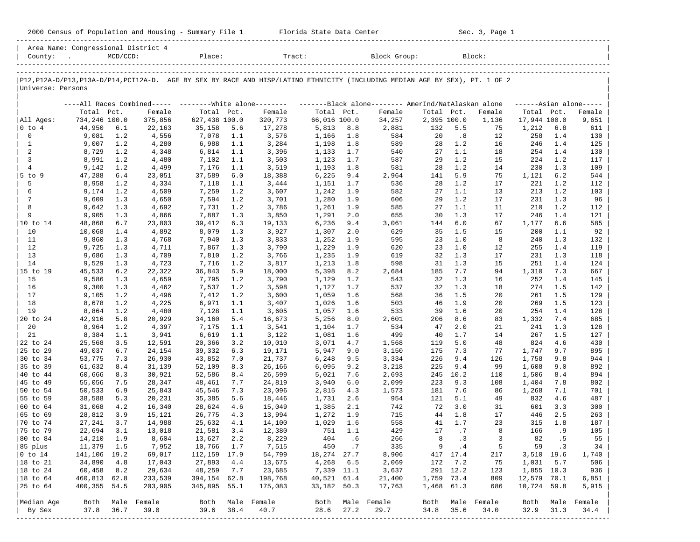|                      |                                                                          |            |                  |                  |            | 2000 Census of Population and Housing - Summary File 1 Florida State Data Center                                              |                |            |              |             |            | Sec. 3, Page 1 |              |            |                     |
|----------------------|--------------------------------------------------------------------------|------------|------------------|------------------|------------|-------------------------------------------------------------------------------------------------------------------------------|----------------|------------|--------------|-------------|------------|----------------|--------------|------------|---------------------|
| County:              | Area Name: Congressional District 4<br><b>Contract Contract Contract</b> | MCD/CCD:   |                  | Place:           |            | Tract:                                                                                                                        |                |            | Block Group: |             |            | Block:         |              |            |                     |
| Universe: Persons    |                                                                          |            |                  |                  |            | P12, P12A-D/P13, P13A-D/P14, PCT12A-D. AGE BY SEX BY RACE AND HISP/LATINO ETHNICITY (INCLUDING MEDIAN AGE BY SEX), PT. 1 OF 2 |                |            |              |             |            |                |              |            |                     |
|                      |                                                                          |            |                  |                  |            | ----All Races Combined----- --------White alone------- -----------Black alone-------- AmerInd/NatAlaskan alone                |                |            |              |             |            |                |              |            | $---Asian alone---$ |
|                      | Total                                                                    | Pct.       | Female           | Total Pct.       |            | Female                                                                                                                        | Total          | Pct.       | Female       | Total Pct.  |            | Female         | Total Pct.   |            | Female              |
| All Ages:            | 734,246 100.0                                                            |            | 375,856          | 627,438 100.0    |            | 320,773                                                                                                                       | 66,016 100.0   |            | 34,257       | 2,395 100.0 |            | 1,136          | 17,944 100.0 |            | 9,651               |
| 0 to 4               | 44,950                                                                   | 6.1        | 22,163           | 35,158           | 5.6        | 17,278                                                                                                                        | 5,813          | 8.8        | 2,881        | 132         | 5.5        | 75             | 1,212        | 6.8        | 611                 |
| $\mathbf 0$          | 9,081                                                                    | 1.2        | 4,556            | 7,078            | 1.1        | 3,576                                                                                                                         | 1,166          | 1.8        | 584          | 20          | .8         | 12             | 258          | 1.4        | 130                 |
| 1                    | 9,007                                                                    | 1.2        | 4,280            | 6,988            | 1.1        | 3,284                                                                                                                         | 1,198          | 1.8        | 589          | 28          | 1.2        | 16             | 246          | 1.4        | 125                 |
| 2                    | 8,729                                                                    | 1.2        | 4,348            | 6,814            | 1.1        | 3,396                                                                                                                         | 1,133          | 1.7        | 540          | 27          | 1.1        | 18             | 254          | 1.4        | 130                 |
| 3                    | 8,991                                                                    | 1.2        | 4,480            | 7,102            | 1.1        | 3,503                                                                                                                         | 1,123          | 1.7        | 587          | 29          | 1.2        | 15             | 224          | 1.2        | 117                 |
| 4<br>$5$ to $9$      | 9,142                                                                    | 1.2        | 4,499            | 7,176            | 1.1<br>6.0 | 3,519                                                                                                                         | 1,193          | 1.8        | 581          | 28          | 1.2<br>5.9 | 14<br>75       | 230          | 1.3<br>6.2 | 109                 |
| 5                    | 47,288<br>8,958                                                          | 6.4<br>1.2 | 23,051<br>4,334  | 37,589<br>7,118  | 1.1        | 18,388<br>3,444                                                                                                               | 6,225<br>1,151 | 9.4<br>1.7 | 2,964<br>536 | 141<br>28   | 1.2        | 17             | 1,121<br>221 | 1.2        | 544<br>112          |
| 6                    | 9,174                                                                    | 1.2        | 4,509            | 7,259            | 1.2        | 3,607                                                                                                                         | 1,242          | 1.9        | 582          | 27          | 1.1        | 13             | 213          | 1.2        | 103                 |
| 7                    | 9,609                                                                    | 1.3        | 4,650            | 7,594            | 1.2        | 3,701                                                                                                                         | 1,280          | 1.9        | 606          | 29          | 1.2        | 17             | 231          | 1.3        | 96                  |
| 8                    | 9,642                                                                    | 1.3        | 4,692            | 7,731            | 1.2        | 3,786                                                                                                                         | 1,261          | 1.9        | 585          | 27          | 1.1        | 11             | 210          | 1.2        | 112                 |
| 9                    | 9,905                                                                    | 1.3        | 4,866            | 7,887            | 1.3        | 3,850                                                                                                                         | 1,291          | 2.0        | 655          | 30          | 1.3        | 17             | 246          | 1.4        | 121                 |
| 10 to 14             | 48,868                                                                   | 6.7        | 23,803           | 39,412           | 6.3        | 19,133                                                                                                                        | 6,236          | 9.4        | 3,061        | 144         | 6.0        | 67             | 1,177        | 6.6        | 585                 |
| 10                   | 10,068                                                                   | 1.4        | 4,892            | 8,079            | 1.3        | 3,927                                                                                                                         | 1,307          | 2.0        | 629          | 35          | 1.5        | 15             | 200          | 1.1        | 92                  |
| 11                   | 9,860                                                                    | 1.3        | 4,768            | 7,940            | 1.3        | 3,833                                                                                                                         | 1,252          | 1.9        | 595          | 23          | 1.0        | 8              | 240          | 1.3        | 132                 |
| 12                   | 9,725                                                                    | 1.3        | 4,711            | 7,867            | 1.3        | 3,790                                                                                                                         | 1,229          | 1.9        | 620          | 23          | 1.0        | 12             | 255          | 1.4        | 119                 |
| 13                   | 9,686                                                                    | 1.3        | 4,709            | 7,810            | 1.2        | 3,766                                                                                                                         | 1,235          | 1.9        | 619          | 32          | 1.3        | 17             | 231          | 1.3        | 118                 |
| 14                   | 9,529                                                                    | 1.3        | 4,723            | 7,716            | 1.2        | 3,817                                                                                                                         | 1,213          | 1.8        | 598          | 31          | 1.3        | 15             | 251          | 1.4        | 124                 |
| 15 to 19             | 45,533                                                                   | 6.2        | 22,322           | 36,843           | 5.9        | 18,000                                                                                                                        | 5,398          | 8.2        | 2,684        | 185         | 7.7        | 94             | 1,310        | 7.3        | 667                 |
| 15                   | 9,586                                                                    | 1.3        | 4,659            | 7,795            | 1.2        | 3,790                                                                                                                         | 1,129          | 1.7        | 543          | 32          | 1.3        | 16             | 252          | 1.4        | 145                 |
| 16<br>17             | 9,300                                                                    | 1.3        | 4,462            | 7,537            | 1.2        | 3,598                                                                                                                         | 1,127          | 1.7        | 537          | 32          | 1.3<br>1.5 | 18<br>20       | 274          | 1.5<br>1.5 | 142                 |
| 18                   | 9,105<br>8,678                                                           | 1.2<br>1.2 | 4,496<br>4,225   | 7,412<br>6,971   | 1.2<br>1.1 | 3,600<br>3,407                                                                                                                | 1,059<br>1,026 | 1.6<br>1.6 | 568<br>503   | 36<br>46    | 1.9        | 20             | 261<br>269   | 1.5        | 129<br>123          |
| 19                   | 8,864                                                                    | 1.2        | 4,480            | 7,128            | 1.1        | 3,605                                                                                                                         | 1,057          | 1.6        | 533          | 39          | 1.6        | 20             | 254          | 1.4        | 128                 |
| 20 to 24             | 42,916                                                                   | 5.8        | 20,929           | 34,160           | 5.4        | 16,673                                                                                                                        | 5,256          | 8.0        | 2,601        | 206         | 8.6        | 83             | 1,332        | 7.4        | 685                 |
| 20                   | 8,964                                                                    | 1.2        | 4,397            | 7,175            | 1.1        | 3,541                                                                                                                         | 1,104          | 1.7        | 534          | 47          | 2.0        | 21             | 241          | 1.3        | 128                 |
| 21                   | 8,384                                                                    | 1.1        | 3,941            | 6,619            | 1.1        | 3,122                                                                                                                         | 1,081          | 1.6        | 499          | 40          | 1.7        | 14             | 267          | 1.5        | 127                 |
| 22 to 24             | 25,568                                                                   | 3.5        | 12,591           | 20,366           | 3.2        | 10,010                                                                                                                        | 3,071          | 4.7        | 1,568        | 119         | 5.0        | 48             | 824          | 4.6        | 430                 |
| 25 to 29             | 49,037                                                                   | 6.7        | 24,154           | 39,332           | 6.3        | 19,171                                                                                                                        | 5,947          | 9.0        | 3,150        | 175         | 7.3        | 77             | 1,747        | 9.7        | 895                 |
| 30 to 34             | 53,775                                                                   | 7.3        | 26,930           | 43,852           | 7.0        | 21,737                                                                                                                        | 6,248          | 9.5        | 3,334        | 226         | 9.4        | 126            | 1,758        | 9.8        | 944                 |
| 35 to 39             | 61,632                                                                   | 8.4        | 31,139           | 52,109           | 8.3        | 26,166                                                                                                                        | 6,095          | 9.2        | 3,218        | 225         | 9.4        | 99             | 1,608        | 9.0        | 892                 |
| 40 to 44             | 60,666                                                                   | 8.3        | 30,921           | 52,586           | 8.4        | 26,599                                                                                                                        | 5,021          | 7.6        | 2,693        | 245         | 10.2       | 110            | 1,506        | 8.4        | 894                 |
| 45 to 49             | 55,056                                                                   | 7.5        | 28,347           | 48,461           | 7.7        | 24,819                                                                                                                        | 3,940          | 6.0        | 2,099        | 223         | 9.3        | 108            | 1,404        | 7.8        | 802                 |
| 50 to 54             | 50,533                                                                   | 6.9        | 25,843           | 45,546           | 7.3        | 23,096                                                                                                                        | 2,815          | 4.3        | 1,573        | 181         | 7.6        | 86             | 1,268        | 7.1        | 701                 |
| 55 to 59             | 38,588                                                                   | 5.3<br>4.2 | 20,231           | 35,385           | 5.6        | 18,446                                                                                                                        | 1,731          | 2.6        | 954<br>742   | 121<br>72   | 5.1<br>3.0 | 49<br>31       | 832          | 4.6<br>3.3 | 487<br>300          |
| 60 to 64<br>65 to 69 | 31,068<br>28,812                                                         | 3.9        | 16,340<br>15,121 | 28,624<br>26,775 | 4.6<br>4.3 | 15,049<br>13,994                                                                                                              | 1,385<br>1,272 | 2.1<br>1.9 | 715          | 44          | 1.8        | 17             | 601<br>446   | 2.5        | 263                 |
| 70 to 74             | 27,241                                                                   | 3.7        | 14,988           | 25,632 4.1       |            | 14,100                                                                                                                        | 1,029          | 1.6        | 558          |             | 41 1.7     | 23             |              | 315 1.8    | 187                 |
| 75 to 79             | 22,694                                                                   | 3.1        | 13,018           | 21,581           | 3.4        | 12,380                                                                                                                        | 751            | 1.1        | 429          | 17          | .7         | 8              | 166          | .9         | 105                 |
| 80 to 84             | 14,210                                                                   | 1.9        | 8,604            | 13,627           | 2.2        | 8,229                                                                                                                         | 404            | .6         | 266          | 8           | .3         | 3              | 82           | .5         | 55                  |
| 85 plus              | 11,379                                                                   | 1.5        | 7,952            | 10,766           | 1.7        | 7,515                                                                                                                         | 450            | $\cdot$ 7  | 335          | 9           | .4         | 5              | 59           | $\cdot$ 3  | 34                  |
| $0$ to $14$          | 141,106 19.2                                                             |            | 69,017           | 112,159 17.9     |            | 54,799                                                                                                                        | 18,274 27.7    |            | 8,906        |             | 417 17.4   | 217            | 3,510 19.6   |            | 1,740               |
| 18 to 21             | 34,890                                                                   | 4.8        | 17,043           | 27,893           | 4.4        | 13,675                                                                                                                        | 4,268          | 6.5        | 2,069        | 172         | 7.2        | 75             | 1,031        | 5.7        | 506                 |
| $ 18$ to $24$        | 60,458                                                                   | 8.2        | 29,634           | 48,259           | 7.7        | 23,685                                                                                                                        | 7,339 11.1     |            | 3,637        |             | 291 12.2   | 123            | 1,855 10.3   |            | 936                 |
| $ 18$ to $64$        | 460,813 62.8                                                             |            | 233,539          | 394,154          | 62.8       | 198,768                                                                                                                       | 40,521 61.4    |            | 21,400       | 1,759 73.4  |            | 809            | 12,579 70.1  |            | 6,851               |
| 25 to 64             | 400,355 54.5                                                             |            | 203,905          | 345,895 55.1     |            | 175,083                                                                                                                       | 33, 182 50.3   |            | 17,763       | 1,468 61.3  |            | 686            | 10,724 59.8  |            | 5,915               |
| Median Age           | Both                                                                     |            | Male Female      | Both             | Male       | Female                                                                                                                        | Both           |            | Male Female  | Both        | Male       | Female         | Both         |            | Male Female         |
| By Sex               | 37.8                                                                     | 36.7       | 39.0             | 39.6             | 38.4       | 40.7                                                                                                                          | 28.6           | 27.2       | 29.7         | 34.8        | 35.6       | 34.0           | 32.9         | 31.3       | 34.4                |
|                      |                                                                          |            |                  |                  |            |                                                                                                                               |                |            |              |             |            |                |              |            |                     |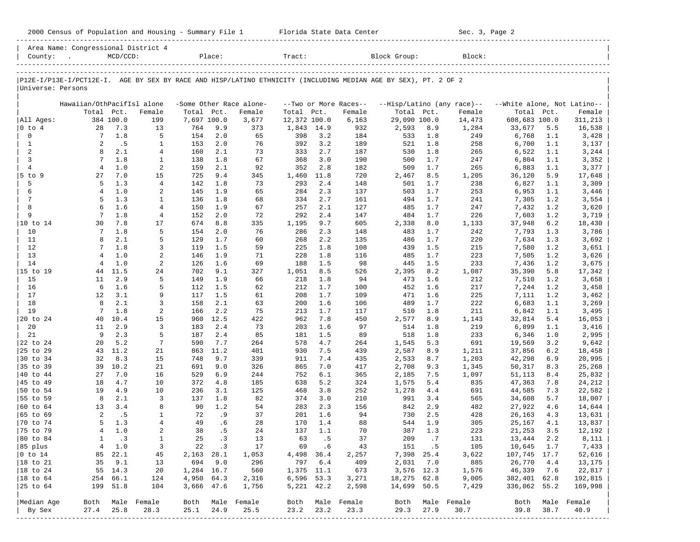|                      | 2000 Census of Population and Housing - Summary File 1 Florida State Data Center |             |                     |             |             |                         |              |            |                              |                                                                                                                |            | Sec. 3, Page 2             |                             |            |                   |
|----------------------|----------------------------------------------------------------------------------|-------------|---------------------|-------------|-------------|-------------------------|--------------|------------|------------------------------|----------------------------------------------------------------------------------------------------------------|------------|----------------------------|-----------------------------|------------|-------------------|
|                      | Area Name: Congressional District 4<br>County:                                   | $MCD/CCD$ : |                     |             |             | Place:                  | Tract:       |            |                              | Block Group:                                                                                                   |            | Block:                     |                             |            |                   |
| Universe: Persons    |                                                                                  |             |                     |             |             |                         |              |            |                              | P12E-I/P13E-I/PCT12E-I. AGE BY SEX BY RACE AND HISP/LATINO ETHNICITY (INCLUDING MEDIAN AGE BY SEX), PT. 2 OF 2 |            |                            |                             |            |                   |
|                      |                                                                                  |             |                     |             |             |                         |              |            |                              |                                                                                                                |            |                            |                             |            |                   |
|                      | Hawaiian/OthPacifIsl alone                                                       | Total Pct.  |                     | Total Pct.  |             | -Some Other Race alone- | Total Pct.   |            | --Two or More Races--        |                                                                                                                |            | --Hisp/Latino (any race)-- | --White alone, Not Latino-- |            |                   |
| All Ages:            |                                                                                  | 384 100.0   | Female<br>199       | 7,697 100.0 |             | Female<br>3,677         | 12,372 100.0 |            | Female<br>6,163              | Total Pct.<br>29,090 100.0                                                                                     |            | Female<br>14,473           | Total Pct.<br>608,683 100.0 |            | Female<br>311,213 |
| $0$ to $4$           | 28                                                                               | 7.3         | 13                  | 764         | 9.9         | 373                     | 1,843 14.9   |            | 932                          | 2,593                                                                                                          | 8.9        | 1,284                      | 33,677                      | 5.5        | 16,538            |
| $\mathbf 0$          | 7                                                                                | 1.8         | 5                   | 154         | 2.0         | 65                      | 398          | 3.2        | 184                          | 533                                                                                                            | 1.8        | 249                        | 6,768                       | 1.1        | 3,428             |
| $\mathbf{1}$         | 2                                                                                | . 5         | 1                   | 153         | 2.0         | 76                      | 392          | 3.2        | 189                          | 521                                                                                                            | 1.8        | 258                        | 6,700                       | 1.1        | 3,137             |
| 2<br>$\overline{3}$  | 8<br>$7\phantom{.0}$                                                             | 2.1<br>1.8  | 4<br>1              | 160<br>138  | 2.1<br>1.8  | 73<br>67                | 333<br>368   | 2.7<br>3.0 | 187<br>190                   | 530<br>500                                                                                                     | 1.8<br>1.7 | 265<br>247                 | 6,522<br>6,804              | 1.1<br>1.1 | 3,244<br>3,352    |
| $\overline{4}$       | $\overline{4}$                                                                   | 1.0         | 2                   | 159         | 2.1         | 92                      | 352          | 2.8        | 182                          | 509                                                                                                            | 1.7        | 265                        | 6,883                       | 1.1        | 3,377             |
| $5$ to $9$           | 27                                                                               | 7.0         | 15                  | 725         | 9.4         | 345                     | 1,460        | 11.8       | 720                          | 2,467                                                                                                          | 8.5        | 1,205                      | 36,120                      | 5.9        | 17,648            |
| 5                    | 5                                                                                | 1.3         | 4                   | 142         | 1.8         | 73                      | 293          | 2.4        | 148                          | 501                                                                                                            | 1.7        | 238                        | 6,827                       | 1.1        | 3,309             |
| 6                    | 4                                                                                | 1.0         | 2                   | 145         | 1.9         | 65                      | 284          | 2.3        | 137                          | 503                                                                                                            | 1.7        | 253                        | 6,953                       | 1.1        | 3,446             |
| 7<br>8               | 5<br>6                                                                           | 1.3<br>1.6  | 1<br>$\overline{4}$ | 136<br>150  | 1.8<br>1.9  | 68<br>67                | 334<br>257   | 2.7<br>2.1 | 161<br>127                   | 494<br>485                                                                                                     | 1.7<br>1.7 | 241<br>247                 | 7,305<br>7,432              | 1.2<br>1.2 | 3,554<br>3,620    |
| 9                    | 7                                                                                | 1.8         | 4                   | 152         | 2.0         | 72                      | 292          | 2.4        | 147                          | 484                                                                                                            | 1.7        | 226                        | 7,603                       | 1.2        | 3,719             |
| 10 to 14             | 30                                                                               | 7.8         | 17                  | 674         | 8.8         | 335                     | 1,195        | 9.7        | 605                          | 2,338                                                                                                          | 8.0        | 1,133                      | 37,948                      | 6.2        | 18,430            |
| 10                   | 7                                                                                | 1.8         | 5                   | 154         | 2.0         | 76                      | 286          | 2.3        | 148                          | 483                                                                                                            | 1.7        | 242                        | 7,793                       | 1.3        | 3,786             |
| 11                   | 8                                                                                | 2.1         | 5                   | 129         | 1.7         | 60                      | 268          | 2.2        | 135                          | 486                                                                                                            | 1.7        | 220                        | 7,634                       | 1.3        | 3,692             |
| 12<br>13             | 7<br>$\overline{4}$                                                              | 1.8<br>1.0  | 3<br>2              | 119<br>146  | 1.5<br>1.9  | 59<br>71                | 225<br>228   | 1.8<br>1.8 | 108<br>116                   | 439<br>485                                                                                                     | 1.5<br>1.7 | 215<br>223                 | 7,580<br>7,505              | 1.2<br>1.2 | 3,651<br>3,626    |
| 14                   | 4                                                                                | 1.0         | 2                   | 126         | 1.6         | 69                      | 188          | 1.5        | 98                           | 445                                                                                                            | 1.5        | 233                        | 7,436                       | 1.2        | 3,675             |
| 15 to 19             | 44                                                                               | 11.5        | 24                  | 702         | 9.1         | 327                     | 1,051        | 8.5        | 526                          | 2,395                                                                                                          | 8.2        | 1,087                      | 35,390                      | 5.8        | 17,342            |
| 15                   | 11                                                                               | 2.9         | 5                   | 149         | 1.9         | 66                      | 218          | 1.8        | 94                           | 473                                                                                                            | 1.6        | 212                        | 7,510                       | 1.2        | 3,658             |
| 16                   | 6                                                                                | 1.6         | 5                   | 112         | 1.5         | 62                      | 212          | 1.7        | 100                          | 452                                                                                                            | 1.6        | 217                        | 7,244                       | 1.2        | 3,458             |
| 17<br>18             | 12<br>8                                                                          | 3.1<br>2.1  | 9<br>3              | 117<br>158  | 1.5<br>2.1  | 61<br>63                | 208<br>200   | 1.7<br>1.6 | 109<br>106                   | 471<br>489                                                                                                     | 1.6<br>1.7 | 225<br>222                 | 7,111<br>6,683              | 1.2<br>1.1 | 3,462<br>3,269    |
| 19                   | 7                                                                                | 1.8         | 2                   | 166         | 2.2         | 75                      | 213          | 1.7        | 117                          | 510                                                                                                            | 1.8        | 211                        | 6,842                       | 1.1        | 3,495             |
| 20 to 24             | 40                                                                               | 10.4        | 15                  | 960         | 12.5        | 422                     | 962          | 7.8        | 450                          | 2,577                                                                                                          | 8.9        | 1,143                      | 32,814                      | 5.4        | 16,053            |
| 20                   | 11                                                                               | 2.9         | 3                   | 183         | 2.4         | 73                      | 203          | 1.6        | 97                           | 514                                                                                                            | 1.8        | 219                        | 6,899                       | 1.1        | 3,416             |
| 21                   | 9                                                                                | 2.3         | 5                   | 187         | 2.4         | 85                      | 181          | 1.5        | 89                           | 518                                                                                                            | 1.8        | 233                        | 6,346                       | 1.0        | 2,995             |
| 22 to 24<br>25 to 29 | 20<br>43                                                                         | 5.2<br>11.2 | 7<br>21             | 590<br>863  | 7.7<br>11.2 | 264<br>401              | 578<br>930   | 4.7<br>7.5 | 264<br>439                   | 1,545<br>2,587                                                                                                 | 5.3<br>8.9 | 691<br>1,211               | 19,569<br>37,856            | 3.2<br>6.2 | 9,642<br>18,458   |
| 30 to 34             | 32                                                                               | 8.3         | 15                  | 748         | 9.7         | 339                     | 911          | 7.4        | 435                          | 2,533                                                                                                          | 8.7        | 1,203                      | 42,298                      | 6.9        | 20,995            |
| 35 to 39             | 39                                                                               | 10.2        | 21                  | 691         | 9.0         | 326                     | 865          | 7.0        | 417                          | 2,708                                                                                                          | 9.3        | 1,345                      | 50,317                      | 8.3        | 25,268            |
| 40 to 44             | 27                                                                               | 7.0         | 16                  | 529         | 6.9         | 244                     | 752          | 6.1        | 365                          | 2,185                                                                                                          | 7.5        | 1,097                      | 51,113                      | 8.4        | 25,832            |
| 45 to 49             | 18                                                                               | 4.7         | 10                  | 372         | 4.8         | 185                     | 638          | 5.2        | 324                          | 1,575                                                                                                          | 5.4        | 835                        | 47,363                      | 7.8        | 24,212            |
| 50 to 54<br>55 to 59 | 19<br>8                                                                          | 4.9<br>2.1  | 10<br>3             | 236<br>137  | 3.1<br>1.8  | 125<br>82               | 468<br>374   | 3.8<br>3.0 | 252<br>210                   | 1,278<br>991                                                                                                   | 4.4<br>3.4 | 691<br>565                 | 44,585<br>34,608            | 7.3<br>5.7 | 22,582<br>18,007  |
| 60 to 64             | 13                                                                               | 3.4         | 8                   | 90          | 1.2         | 54                      | 283          | 2.3        | 156                          | 842                                                                                                            | 2.9        | 482                        | 27,922                      | 4.6        | 14,644            |
| 65 to 69             | $\overline{2}$                                                                   | .5          | 1                   | 72          | .9          | 37                      | 201          | 1.6        | 94                           | 730                                                                                                            | 2.5        | 428                        | 26,163                      | 4.3        | 13,631            |
| 70 to 74             | 5                                                                                | 1.3         | 4                   | 49          | .6          | 28                      |              | 170 1.4    | 88                           | 544                                                                                                            | 1.9        | 305                        | 25,167                      | 4.1        | 13,837            |
| 75 to 79             | 4                                                                                | 1.0         | $\overline{a}$      | 38          | .5          | 24                      | 137          | 1.1        | 70                           | 387                                                                                                            | 1.3        | 223                        | 21,253                      | 3.5        | 12,192            |
| 80 to 84<br>85 plus  | 1<br>4                                                                           | .3<br>1.0   | 1<br>3              | 25<br>22    | .3<br>.3    | 13<br>17                | 63<br>69     | .5<br>.6   | 37<br>43                     | 209<br>151                                                                                                     | .7<br>. 5  | 131<br>105                 | 13,444<br>10,645            | 2.2<br>1.7 | 8,111<br>7,433    |
| $0$ to $14$          | 85                                                                               | 22.1        | 45                  | 2,163       | 28.1        | 1,053                   | 4,498        | 36.4       | 2,257                        | 7,398                                                                                                          | 25.4       | 3,622                      | 107,745 17.7                |            | 52,616            |
| 18 to 21             | 35                                                                               | 9.1         | 13                  | 694         | 9.0         | 296                     | 797          | $6.4$      | 409                          | 2,031                                                                                                          | 7.0        | 885                        | 26,770                      | 4.4        | 13,175            |
| 18 to 24             | 55                                                                               | 14.3        | 20                  | 1,284 16.7  |             | 560                     | 1,375 11.1   |            | 673                          | 3,576 12.3                                                                                                     |            | 1,576                      | 46,339                      | 7.6        | 22,817            |
| 18 to 64             | 254                                                                              | 66.1        | 124                 | 4,950       | 64.3        | 2,316                   | 6,596 53.3   |            | 3,271                        | 18,275 62.8                                                                                                    |            | 9,005                      | 382,401 62.8                |            | 192,815           |
| 25 to 64             | 199                                                                              | 51.8        | 104                 |             | 3,666 47.6  | 1,756                   | 5,221 42.2   |            | 2,598                        | 14,699                                                                                                         | 50.5       | 7,429                      | 336,062 55.2                |            | 169,998           |
| Median Age           | Both                                                                             |             | Male Female         | Both        |             | Male Female             | Both         |            | Male Female                  | Both                                                                                                           |            | Male Female                | Both                        |            | Male Female       |
| By Sex               | 27.4                                                                             | 25.8        | 28.3                | 25.1        | 24.9        | 25.5                    | 23.2         | 23.2       | 23.3<br>-------------------- | 29.3                                                                                                           | 27.9       | 30.7                       | 39.8                        | 38.7       | 40.9              |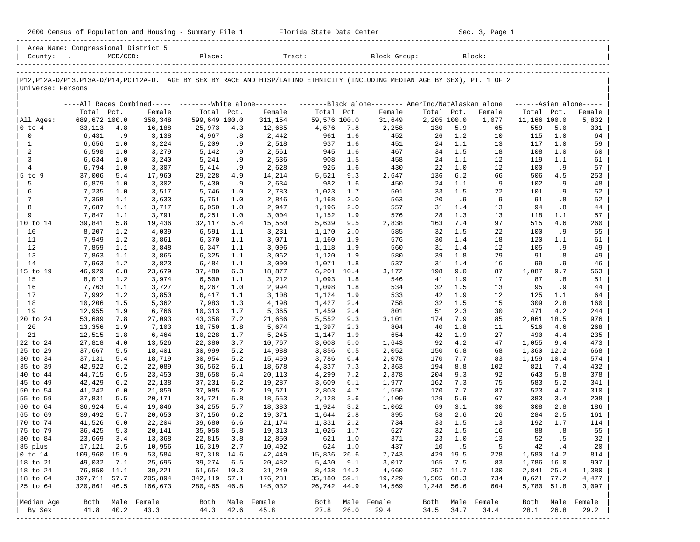|                             |                                                           |            |                  |                  |            | 2000 Census of Population and Housing - Summary File 1 Florida State Data Center |                |            |                                                                                                                               |             |            | Sec. 3, Page 1 |              |            |                     |
|-----------------------------|-----------------------------------------------------------|------------|------------------|------------------|------------|----------------------------------------------------------------------------------|----------------|------------|-------------------------------------------------------------------------------------------------------------------------------|-------------|------------|----------------|--------------|------------|---------------------|
| County:                     | Area Name: Congressional District 5<br>and the company of | MCD/CCD:   |                  | Place:           |            | Tract:                                                                           |                |            | Block Group:                                                                                                                  |             |            | Block:         |              |            |                     |
| Universe: Persons           |                                                           |            |                  |                  |            |                                                                                  |                |            | P12, P12A-D/P13, P13A-D/P14, PCT12A-D. AGE BY SEX BY RACE AND HISP/LATINO ETHNICITY (INCLUDING MEDIAN AGE BY SEX), PT. 1 OF 2 |             |            |                |              |            |                     |
|                             |                                                           |            |                  |                  |            |                                                                                  |                |            | ----All Races Combined----- --------White alone------- -----------Black alone-------- AmerInd/NatAlaskan alone                |             |            |                |              |            | $---Asian alone---$ |
|                             | Total Pct.                                                |            | Female           | Total Pct.       |            | Female                                                                           | Total          | Pct.       | Female                                                                                                                        | Total Pct.  |            | Female         | Total Pct.   |            | Female              |
| All Ages:                   | 689,672 100.0                                             |            | 358,348          | 599,649 100.0    |            | 311,154                                                                          | 59,576 100.0   |            | 31,649                                                                                                                        | 2,205 100.0 |            | 1,077          | 11,166 100.0 |            | 5,832               |
| 0 to 4                      | 33,113                                                    | 4.8        | 16,188           | 25,973           | 4.3        | 12,685                                                                           | 4,676          | 7.8        | 2,258                                                                                                                         | 130         | 5.9        | 65             | 559          | 5.0        | 301                 |
| 0                           | 6,431                                                     | .9         | 3,138            | 4,967            | .8         | 2,442                                                                            | 961            | 1.6        | 452                                                                                                                           | 26          | 1.2        | 10             | 115          | 1.0        | 64                  |
| 1                           | 6,656                                                     | 1.0        | 3,224            | 5,209            | .9         | 2,518                                                                            | 937            | 1.6        | 451                                                                                                                           | 24          | 1.1        | 13             | 117          | 1.0        | 59                  |
| 2                           | 6,598                                                     | 1.0        | 3,279            | 5,142            | .9         | 2,561                                                                            | 945            | 1.6        | 467                                                                                                                           | 34          | 1.5        | 18             | 108          | 1.0        | 60                  |
| 3                           | 6,634                                                     | 1.0        | 3,240            | 5,241            | .9         | 2,536                                                                            | 908            | 1.5        | 458                                                                                                                           | 24          | 1.1        | 12             | 119          | 1.1        | 61                  |
| 4                           | 6,794                                                     | 1.0        | 3,307            | 5,414            | .9         | 2,628                                                                            | 925            | 1.6        | 430                                                                                                                           | 22          | 1.0        | 12             | 100          | .9         | 57                  |
| $5$ to $9$<br>5             | 37,006<br>6,879                                           | 5.4<br>1.0 | 17,960<br>3,302  | 29,228<br>5,430  | 4.9<br>.9  | 14,214<br>2,634                                                                  | 5,521<br>982   | 9.3<br>1.6 | 2,647<br>450                                                                                                                  | 136<br>24   | 6.2<br>1.1 | 66<br>9        | 506<br>102   | 4.5<br>.9  | 253<br>48           |
| 6                           | 7,235                                                     | 1.0        | 3,517            | 5,746            | 1.0        | 2,783                                                                            | 1,023          | 1.7        | 501                                                                                                                           | 33          | 1.5        | 22             | 101          | . 9        | 52                  |
| 7                           | 7,358                                                     | 1.1        | 3,633            | 5,751            | 1.0        | 2,846                                                                            | 1,168          | 2.0        | 563                                                                                                                           | 20          | .9         | 9              | 91           | .8         | 52                  |
| 8                           | 7,687                                                     | 1.1        | 3,717            | 6,050            | 1.0        | 2,947                                                                            | 1,196          | 2.0        | 557                                                                                                                           | 31          | 1.4        | 13             | 94           | .8         | 44                  |
| 9                           | 7,847                                                     | 1.1        | 3,791            | 6,251            | 1.0        | 3,004                                                                            | 1,152          | 1.9        | 576                                                                                                                           | 28          | 1.3        | 13             | 118          | 1.1        | 57                  |
| 10 to 14                    | 39,841                                                    | 5.8        | 19,436           | 32,117           | 5.4        | 15,550                                                                           | 5,639          | 9.5        | 2,838                                                                                                                         | 163         | 7.4        | 97             | 515          | 4.6        | 260                 |
| 10                          | 8,207                                                     | 1.2        | 4,039            | 6,591            | 1.1        | 3,231                                                                            | 1,170          | 2.0        | 585                                                                                                                           | 32          | 1.5        | 22             | 100          | . 9        | 55                  |
| 11                          | 7,949                                                     | 1.2        | 3,861            | 6,370            | 1.1        | 3,071                                                                            | 1,160          | 1.9        | 576                                                                                                                           | 30          | 1.4        | 18             | 120          | 1.1        | 61                  |
| 12                          | 7,859                                                     | 1.1        | 3,848            | 6,347            | 1.1        | 3,096                                                                            | 1,118          | 1.9        | 560                                                                                                                           | 31          | 1.4        | 12             | 105          | .9         | 49                  |
| 13                          | 7,863                                                     | 1.1        | 3,865            | 6,325            | 1.1        | 3,062                                                                            | 1,120          | 1.9        | 580                                                                                                                           | 39          | 1.8        | 29             | 91           | .8         | 49                  |
| 14                          | 7,963                                                     | 1.2        | 3,823            | 6,484            | 1.1        | 3,090                                                                            | 1,071          | 1.8        | 537                                                                                                                           | 31          | 1.4        | 16             | 99           | .9         | 46                  |
| 15 to 19                    | 46,929                                                    | 6.8        | 23,679           | 37,480           | 6.3        | 18,877                                                                           | 6,201          | 10.4       | 3,172                                                                                                                         | 198         | 9.0        | 87             | 1,087        | 9.7        | 563                 |
| 15                          | 8,013                                                     | 1.2        | 3,974            | 6,500            | 1.1        | 3,212                                                                            | 1,093          | 1.8        | 546                                                                                                                           | 41          | 1.9        | 17             | 87           | .8         | 51                  |
| 16                          | 7,763                                                     | 1.1        | 3,727            | 6,267            | 1.0        | 2,994                                                                            | 1,098          | 1.8        | 534                                                                                                                           | 32          | 1.5        | 13             | 95           | . 9        | 44                  |
| 17<br>18                    | 7,992<br>10,206                                           | 1.2<br>1.5 | 3,850            | 6,417<br>7,983   | 1.1<br>1.3 | 3,108<br>4,198                                                                   | 1,124          | 1.9<br>2.4 | 533<br>758                                                                                                                    | 42<br>32    | 1.9<br>1.5 | 12<br>15       | 125<br>309   | 1.1<br>2.8 | 64<br>160           |
| 19                          | 12,955                                                    | 1.9        | 5,362<br>6,766   | 10,313           | 1.7        | 5,365                                                                            | 1,427<br>1,459 | 2.4        | 801                                                                                                                           | 51          | 2.3        | 30             | 471          | 4.2        | 244                 |
| 20 to 24                    | 53,689                                                    | 7.8        | 27,093           | 43,358           | 7.2        | 21,686                                                                           | 5,552          | 9.3        | 3,101                                                                                                                         | 174         | 7.9        | 85             | 2,061        | 18.5       | 976                 |
| 20                          | 13,356                                                    | 1.9        | 7,103            | 10,750           | 1.8        | 5,674                                                                            | 1,397          | 2.3        | 804                                                                                                                           | 40          | 1.8        | 11             | 516          | 4.6        | 268                 |
| 21                          | 12,515                                                    | 1.8        | 6,464            | 10,228           | 1.7        | 5,245                                                                            | 1,147          | 1.9        | 654                                                                                                                           | 42          | 1.9        | 27             | 490          | 4.4        | 235                 |
| 22 to 24                    | 27,818                                                    | 4.0        | 13,526           | 22,380           | 3.7        | 10,767                                                                           | 3,008          | 5.0        | 1,643                                                                                                                         | 92          | 4.2        | 47             | 1,055        | 9.4        | 473                 |
| 25 to 29                    | 37,667                                                    | 5.5        | 18,401           | 30,999           | 5.2        | 14,988                                                                           | 3,856          | 6.5        | 2,052                                                                                                                         | 150         | 6.8        | 68             | 1,360        | 12.2       | 668                 |
| 30 to 34                    | 37,131                                                    | 5.4        | 18,719           | 30,954           | 5.2        | 15,459                                                                           | 3,786          | 6.4        | 2,078                                                                                                                         | 170         | 7.7        | 83             | 1,159        | 10.4       | 574                 |
| 35 to 39                    | 42,922                                                    | 6.2        | 22,089           | 36,562           | 6.1        | 18,678                                                                           | 4,337          | 7.3        | 2,363                                                                                                                         | 194         | 8.8        | 102            | 821          | 7.4        | 432                 |
| 40 to 44                    | 44,715                                                    | 6.5        | 23,450           | 38,658           | 6.4        | 20,113                                                                           | 4,299          | 7.2        | 2,378                                                                                                                         | 204         | 9.3        | 92             | 643          | 5.8        | 378                 |
| 45 to 49                    | 42,429                                                    | 6.2        | 22,138           | 37,231           | 6.2        | 19,287                                                                           | 3,609          | 6.1        | 1,977                                                                                                                         | 162         | 7.3        | 75             | 583          | 5.2        | 341                 |
| 50 to 54                    | 41,242                                                    | 6.0        | 21,859           | 37,085           | 6.2        | 19,571                                                                           | 2,803          | 4.7        | 1,550                                                                                                                         | 170         | 7.7        | 87             | 523          | 4.7        | 310                 |
| 55 to 59                    | 37,831                                                    | 5.5<br>5.4 | 20,171           | 34,721           | 5.8<br>5.7 | 18,553                                                                           | 2,128          | 3.6        | 1,109                                                                                                                         | 129<br>69   | 5.9<br>3.1 | 67<br>30       | 383<br>308   | 3.4<br>2.8 | 208                 |
| 60 to 64<br>65 to 69        | 36,924<br>39,492                                          | 5.7        | 19,846<br>20,650 | 34,255<br>37,156 | 6.2        | 18,383<br>19,371                                                                 | 1,924<br>1,644 | 3.2<br>2.8 | 1,062<br>895                                                                                                                  | 58          | 2.6        | 26             | 284          | 2.5        | 186<br>161          |
| 70 to 74                    | 41,526 6.0                                                |            | 22,204           | 39,680           | 6.6        | 21,174                                                                           | 1,331          | 2.2        | 734                                                                                                                           | 33          | 1.5        | 13             | 192          | 1.7        | 114                 |
| 75 to 79                    | 36,425                                                    | 5.3        | 20,141           | 35,058           | 5.8        | 19,313                                                                           | 1,025          | 1.7        | 627                                                                                                                           | 32          | 1.5        | 16             | 88           | .8         | 55                  |
| 80 to 84                    | 23,669                                                    | 3.4        | 13,368           | 22,815           | 3.8        | 12,850                                                                           | 621            | 1.0        | 371                                                                                                                           | 23          | 1.0        | 13             | 52           | .5         | 32                  |
| 85 plus                     | 17,121                                                    | 2.5        | 10,956           | 16,319           | 2.7        | 10,402                                                                           | 624            | 1.0        | 437                                                                                                                           | 10          | .5         | 5              | 42           | $\cdot$ 4  | 20                  |
| $ 0 \t\t \text{to} \t\t 14$ | 109,960 15.9                                              |            | 53,584           | 87,318 14.6      |            | 42,449                                                                           | 15,836 26.6    |            | 7,743                                                                                                                         |             | 429 19.5   | 228            | 1,580 14.2   |            | 814                 |
| 18 to 21                    | 49,032                                                    | 7.1        | 25,695           | 39,274           | 6.5        | 20,482                                                                           | 5,430          | 9.1        | 3,017                                                                                                                         | 165         | 7.5        | 83             | 1,786 16.0   |            | 907                 |
| $ 18$ to $24$               | 76,850 11.1                                               |            | 39,221           | 61,654 10.3      |            | 31,249                                                                           | 8,438 14.2     |            | 4,660                                                                                                                         |             | 257 11.7   | 130            | 2,841 25.4   |            | 1,380               |
| 18 to 64                    | 397,711 57.7                                              |            | 205,894          | 342,119 57.1     |            | 176,281                                                                          | 35,180 59.1    |            | 19,229                                                                                                                        | 1,505       | 68.3       | 734            | 8,621 77.2   |            | 4,477               |
| 25 to 64                    | 320,861 46.5                                              |            | 166,673          | 280,465 46.8     |            | 145,032                                                                          | 26,742 44.9    |            | 14,569                                                                                                                        | 1,248 56.6  |            | 604            | 5,780 51.8   |            | 3,097               |
| Median Age                  |                                                           |            | Both Male Female |                  |            | Both Male Female                                                                 | Both           |            | Male Female                                                                                                                   | Both        |            | Male Female    | Both         |            | Male Female         |
| By Sex                      | 41.8                                                      | 40.2       | 43.3             | 44.3             | 42.6       | 45.8                                                                             | 27.8           | 26.0       | 29.4                                                                                                                          | 34.5        | 34.7       | 34.4           | 28.1         | 26.8       | 29.2                |
|                             |                                                           |            |                  |                  |            |                                                                                  |                |            |                                                                                                                               |             |            |                |              |            |                     |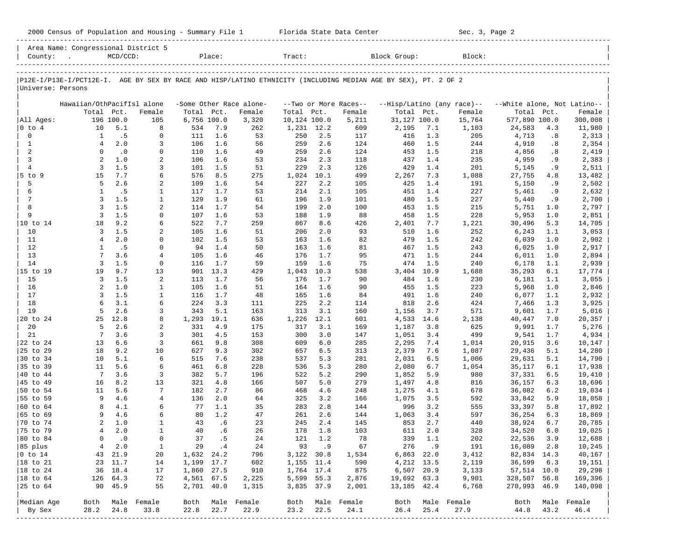|                           | 2000 Census of Population and Housing - Summary File 1 Florida State Data Center |                  |                       |             |            |                         |              |             |                       |                                                                                                                |            | Sec. 3, Page 2             |                             |            |                  |
|---------------------------|----------------------------------------------------------------------------------|------------------|-----------------------|-------------|------------|-------------------------|--------------|-------------|-----------------------|----------------------------------------------------------------------------------------------------------------|------------|----------------------------|-----------------------------|------------|------------------|
|                           | Area Name: Congressional District 5<br>County: .                                 | $MCD/CCD$ :      |                       |             | Place:     |                         | Tract:       |             |                       | Block Group:                                                                                                   |            | Block:                     |                             |            |                  |
|                           |                                                                                  |                  |                       |             |            |                         |              |             |                       | P12E-I/P13E-I/PCT12E-I. AGE BY SEX BY RACE AND HISP/LATINO ETHNICITY (INCLUDING MEDIAN AGE BY SEX), PT. 2 OF 2 |            |                            |                             |            |                  |
| Universe: Persons         |                                                                                  |                  |                       |             |            |                         |              |             |                       |                                                                                                                |            |                            |                             |            |                  |
|                           | Hawaiian/OthPacifIsl alone                                                       |                  |                       |             |            | -Some Other Race alone- |              |             | --Two or More Races-- |                                                                                                                |            | --Hisp/Latino (any race)-- | --White alone, Not Latino-- |            |                  |
|                           | Total                                                                            | Pct.             | Female                | Total       | Pct.       | Female                  | Total        | Pct.        | Female                | Total Pct.                                                                                                     |            | Female                     | Total Pct.                  |            | Female           |
| All Ages:                 |                                                                                  | 196 100.0        | 105                   | 6,756 100.0 |            | 3,320                   | 10,124 100.0 |             | 5,211                 | 31,127 100.0                                                                                                   |            | 15,764                     | 577,890 100.0               |            | 300,008          |
| $0$ to $4$<br>$\mathbf 0$ | 10<br>1                                                                          | 5.1<br>.5        | 8<br>$\mathbf 0$      | 534<br>111  | 7.9<br>1.6 | 262<br>53               | 1,231<br>250 | 12.2<br>2.5 | 609<br>117            | 2,195<br>416                                                                                                   | 7.1<br>1.3 | 1,103<br>205               | 24,583<br>4,713             | 4.3<br>.8  | 11,980<br>2,313  |
| $\mathbf{1}$              | $\overline{4}$                                                                   | 2.0              | 3                     | 106         | 1.6        | 56                      | 259          | 2.6         | 124                   | 460                                                                                                            | 1.5        | 244                        | 4,910                       | .8         | 2,354            |
| 2                         | $\mathbf 0$                                                                      | .0               | $\mathbf 0$           | 110         | 1.6        | 49                      | 259          | 2.6         | 124                   | 453                                                                                                            | 1.5        | 218                        | 4,856                       | .8         | 2,419            |
| $\overline{3}$            | 2                                                                                | 1.0              | 2                     | 106         | 1.6        | 53                      | 234          | 2.3         | 118                   | 437                                                                                                            | 1.4        | 235                        | 4,959                       | . 9        | 2,383            |
| $\overline{4}$            | 3                                                                                | 1.5              | 3                     | 101         | 1.5        | 51                      | 229          | 2.3         | 126                   | 429                                                                                                            | 1.4        | 201                        | 5,145                       | .9         | 2,511            |
| $5$ to $9$<br>5           | 15<br>5                                                                          | 7.7<br>2.6       | 6<br>2                | 576<br>109  | 8.5<br>1.6 | 275<br>54               | 1,024<br>227 | 10.1<br>2.2 | 499<br>105            | 2,267<br>425                                                                                                   | 7.3<br>1.4 | 1,088<br>191               | 27,755<br>5,150             | 4.8<br>.9  | 13,482<br>2,502  |
| 6                         | $\mathbf{1}$                                                                     | .5               | $\mathbf{1}$          | 117         | 1.7        | 53                      | 214          | 2.1         | 105                   | 451                                                                                                            | 1.4        | 227                        | 5,461                       | . 9        | 2,632            |
| 7                         | 3                                                                                | 1.5              | $\mathbf{1}$          | 129         | 1.9        | 61                      | 196          | 1.9         | 101                   | 480                                                                                                            | 1.5        | 227                        | 5,440                       | .9         | 2,700            |
| 8                         | 3                                                                                | 1.5              | 2                     | 114         | 1.7        | 54                      | 199          | 2.0         | 100                   | 453                                                                                                            | 1.5        | 215                        | 5,751                       | 1.0        | 2,797            |
| 9                         | 3                                                                                | 1.5              | $\mathbf 0$           | 107         | 1.6        | 53                      | 188          | 1.9         | 88                    | 458                                                                                                            | 1.5        | 228                        | 5,953                       | 1.0        | 2,851            |
| 10 to 14                  | 18<br>$\overline{3}$                                                             | 9.2              | 6                     | 522         | 7.7        | 259                     | 867          | 8.6         | 426<br>93             | 2,401                                                                                                          | 7.7        | 1,221                      | 30,496                      | 5.3        | 14,705           |
| 10<br>11                  | $\overline{4}$                                                                   | 1.5<br>2.0       | 2<br>0                | 105<br>102  | 1.6<br>1.5 | 51<br>53                | 206<br>163   | 2.0<br>1.6  | 82                    | 510<br>479                                                                                                     | 1.6<br>1.5 | 252<br>242                 | 6,243<br>6,039              | 1.1<br>1.0 | 3,053<br>2,902   |
| 12                        | $\mathbf{1}$                                                                     | . 5              | $\mathbf 0$           | 94          | 1.4        | 50                      | 163          | 1.6         | 81                    | 467                                                                                                            | 1.5        | 243                        | 6,025                       | 1.0        | 2,917            |
| 13                        | $7\phantom{.0}$                                                                  | 3.6              | 4                     | 105         | 1.6        | 46                      | 176          | 1.7         | 95                    | 471                                                                                                            | 1.5        | 244                        | 6,011                       | 1.0        | 2,894            |
| 14                        | 3                                                                                | 1.5              | $\mathbf 0$           | 116         | 1.7        | 59                      | 159          | 1.6         | 75                    | 474                                                                                                            | 1.5        | 240                        | 6,178                       | 1.1        | 2,939            |
| 15 to 19                  | 19                                                                               | 9.7              | 13                    | 901         | 13.3       | 429                     | 1,043        | 10.3        | 538                   | 3,404                                                                                                          | 10.9       | 1,688                      | 35,293                      | 6.1        | 17,774           |
| 15<br>16                  | 3<br>2                                                                           | 1.5<br>1.0       | 2<br>$\mathbf{1}$     | 113<br>105  | 1.7<br>1.6 | 56<br>51                | 176<br>164   | 1.7<br>1.6  | 90<br>90              | 484<br>455                                                                                                     | 1.6<br>1.5 | 230<br>223                 | 6,181<br>5,968              | 1.1<br>1.0 | 3,055<br>2,846   |
| 17                        | 3                                                                                | 1.5              | $\mathbf{1}$          | 116         | 1.7        | 48                      | 165          | 1.6         | 84                    | 491                                                                                                            | 1.6        | 240                        | 6,077                       | 1.1        | 2,932            |
| 18                        | 6                                                                                | 3.1              | 6                     | 224         | 3.3        | 111                     | 225          | 2.2         | 114                   | 818                                                                                                            | 2.6        | 424                        | 7,466                       | 1.3        | 3,925            |
| 19                        | 5                                                                                | 2.6              | 3                     | 343         | 5.1        | 163                     | 313          | 3.1         | 160                   | 1,156                                                                                                          | 3.7        | 571                        | 9,601                       | 1.7        | 5,016            |
| 20 to 24                  | 25                                                                               | 12.8             | 8                     | 1,293       | 19.1       | 636                     | 1,226        | 12.1        | 601                   | 4,533                                                                                                          | 14.6       | 2,138                      | 40,447                      | 7.0        | 20,357           |
| 20                        | 5                                                                                | 2.6              | 2                     | 331         | 4.9        | 175                     | 317          | 3.1         | 169                   | 1,187                                                                                                          | 3.8        | 625                        | 9,991                       | 1.7        | 5,276            |
| 21<br>22 to 24            | $7\overline{ }$<br>13                                                            | 3.6<br>6.6       | 3<br>3                | 301<br>661  | 4.5<br>9.8 | 153<br>308              | 300<br>609   | 3.0<br>6.0  | 147<br>285            | 1,051<br>2,295                                                                                                 | 3.4<br>7.4 | 499<br>1,014               | 9,541<br>20,915             | 1.7<br>3.6 | 4,934<br>10,147  |
| 25 to 29                  | 18                                                                               | 9.2              | 10                    | 627         | 9.3        | 302                     | 657          | 6.5         | 313                   | 2,379                                                                                                          | 7.6        | 1,087                      | 29,436                      | 5.1        | 14,280           |
| 30 to 34                  | 10                                                                               | 5.1              | 6                     | 515         | 7.6        | 238                     | 537          | 5.3         | 281                   | 2,031                                                                                                          | 6.5        | 1,006                      | 29,631                      | 5.1        | 14,790           |
| 35 to 39                  | 11                                                                               | 5.6              | 6                     | 461         | 6.8        | 228                     | 536          | 5.3         | 280                   | 2,080                                                                                                          | 6.7        | 1,054                      | 35,117                      | 6.1        | 17,938           |
| 40 to 44                  | $7\phantom{.0}$                                                                  | 3.6              | 3                     | 382         | 5.7        | 196                     | 522          | 5.2         | 290                   | 1,852                                                                                                          | 5.9        | 980                        | 37,331                      | 6.5        | 19,410           |
| 45 to 49<br>50 to 54      | 16<br>11                                                                         | 8.2<br>5.6       | 13<br>$7\phantom{.0}$ | 321<br>182  | 4.8<br>2.7 | 166<br>86               | 507<br>468   | 5.0<br>4.6  | 279<br>248            | 1,497<br>1,275                                                                                                 | 4.8<br>4.1 | 816<br>678                 | 36,157<br>36,082            | 6.3<br>6.2 | 18,696<br>19,034 |
| 55 to 59                  | 9                                                                                | 4.6              | 4                     | 136         | 2.0        | 64                      | 325          | 3.2         | 166                   | 1,075                                                                                                          | 3.5        | 592                        | 33,842                      | 5.9        | 18,058           |
| 60 to 64                  | 8                                                                                | 4.1              | 6                     | 77          | 1.1        | 35                      | 283          | 2.8         | 144                   | 996                                                                                                            | 3.2        | 555                        | 33,397                      | 5.8        | 17,892           |
| 65 to 69                  | 9                                                                                | 4.6              | 6                     | 80          | 1.2        | 47                      | 261          | 2.6         | 144                   | 1,063                                                                                                          | 3.4        | 597                        | 36,254                      | 6.3        | 18,869           |
| 70 to 74                  |                                                                                  | $2 \t1.0$        | 1                     | 43          | . 6        | 23                      | 245          | 2.4         | 145                   | 853                                                                                                            | 2.7        | 440                        | 38,924                      | 6.7        | 20,785           |
| 75 to 79                  | 4                                                                                | 2.0              | 1                     | 40          | .6         | 26                      | 178          | 1.8         | 103                   | 611                                                                                                            | 2.0        | 328                        | 34,520                      | 6.0        | 19,025           |
| 80 to 84<br>85 plus       | 0<br>4                                                                           | $\cdot$ 0<br>2.0 | 0<br>$\mathbf{1}$     | 37<br>29    | .5<br>.4   | 24<br>24                | 121<br>93    | 1.2<br>.9   | 78<br>67              | 339<br>276                                                                                                     | 1.1<br>.9  | 202<br>191                 | 22,536<br>16,089            | 3.9<br>2.8 | 12,688<br>10,245 |
| $0$ to $14$               | 43                                                                               | 21.9             | 20                    | 1,632       | 24.2       | 796                     | 3,122 30.8   |             | 1,534                 | 6,863 22.0                                                                                                     |            | 3,412                      | 82,834 14.3                 |            | 40,167           |
| 18 to 21                  | 23                                                                               | 11.7             | 14                    | 1,199 17.7  |            | 602                     | 1,155 11.4   |             | 590                   | 4,212 13.5                                                                                                     |            | 2,119                      | 36,599                      | 6.3        | 19,151           |
| 18 to 24                  | 36                                                                               | 18.4             | 17                    | 1,860 27.5  |            | 910                     | 1,764 17.4   |             | 875                   | 6,507 20.9                                                                                                     |            | 3,133                      | 57,514 10.0                 |            | 29,298           |
| 18 to 64                  | 126                                                                              | 64.3             | 72                    | 4,561 67.5  |            | 2,225                   | 5,599 55.3   |             | 2,876                 | 19,692 63.3                                                                                                    |            | 9,901                      | 328,507 56.8                |            | 169,396          |
| 25 to 64                  |                                                                                  | 90 45.9          | 55                    |             | 2,701 40.0 | 1,315                   | 3,835 37.9   |             | 2,001                 | 13, 185 42.4                                                                                                   |            | 6,768                      | 270,993 46.9                |            | 140,098          |
| Median Age                | Both                                                                             |                  | Male Female           | Both        | Male       | Female                  |              |             | Both Male Female      | Both                                                                                                           |            | Male Female                | Both                        |            | Male Female      |
| By Sex                    | 28.2                                                                             | 24.8             | 33.8                  | 22.8        | 22.7       | 22.9                    | 23.2         | 22.5        | 24.1                  | 26.4                                                                                                           | 25.4       | 27.9                       | 44.8                        | 43.2       | 46.4             |
|                           |                                                                                  |                  |                       |             |            |                         |              |             |                       |                                                                                                                |            |                            |                             |            |                  |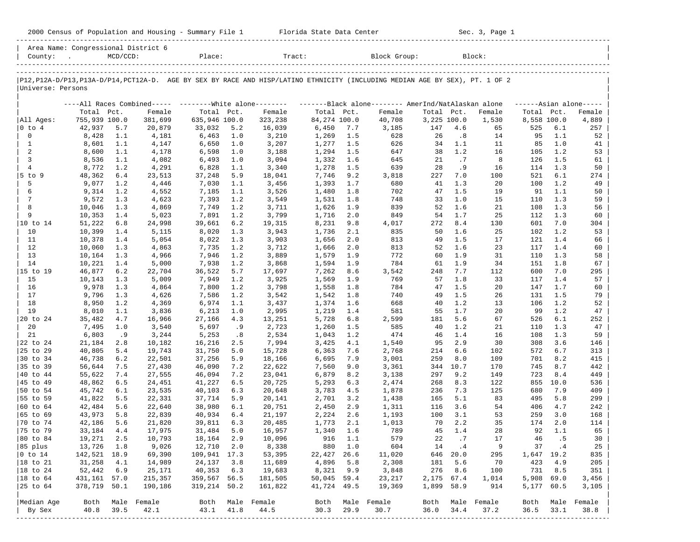|                                     |                                                  |             |                     |                  |                   | 2000 Census of Population and Housing - Summary File 1 Florida State Data Center                                                                                                                                               |                   |            |                     |              |              | Sec. 3, Page 1 |              |            |                      |
|-------------------------------------|--------------------------------------------------|-------------|---------------------|------------------|-------------------|--------------------------------------------------------------------------------------------------------------------------------------------------------------------------------------------------------------------------------|-------------------|------------|---------------------|--------------|--------------|----------------|--------------|------------|----------------------|
|                                     | Area Name: Congressional District 6<br>County: . | $MCD/CCD$ : |                     |                  |                   | Place: The contract of the contract of the contract of the contract of the contract of the contract of the contract of the contract of the contract of the contract of the contract of the contract of the contract of the con | $\texttt{Tract}:$ |            | Block Group:        |              |              | Block:         |              |            |                      |
| Universe: Persons                   |                                                  |             |                     |                  |                   | P12, P12A-D/P13, P13A-D/P14, PCT12A-D. AGE BY SEX BY RACE AND HISP/LATINO ETHNICITY (INCLUDING MEDIAN AGE BY SEX), PT. 1 OF 2                                                                                                  |                   |            |                     |              |              |                |              |            |                      |
|                                     |                                                  |             |                     |                  |                   | ----All Races Combined----- --------White alone------- --------Black alone-------- AmerInd/NatAlaskan alone                                                                                                                    |                   |            |                     |              |              |                |              |            | $----Asian alone---$ |
|                                     | Total Pct.                                       |             | Female              | Total Pct.       |                   | Female                                                                                                                                                                                                                         | Total Pct.        |            | Female              | Total Pct.   |              | Female         | Total Pct.   |            | Female               |
| All Ages:                           | 755,939 100.0                                    |             | 381,699             | 635,946 100.0    |                   | 323,238                                                                                                                                                                                                                        | 84,274 100.0      |            | 40,708              | 3,225 100.0  |              | 1,530          | 8,558 100.0  |            | 4,889                |
| $ 0 \t{to} 4$                       | 42,937                                           | 5.7         | 20,879              | 33,032           | 5.2               | 16,039                                                                                                                                                                                                                         | 6,450             | 7.7        | 3,185               | 147          | 4.6          | 65             | 525          | 6.1        | 257                  |
| $\mathbf 0$                         | 8,428                                            | 1.1         | 4,181               | 6,463            | 1.0               | 3,210                                                                                                                                                                                                                          | 1,269             | 1.5        | 628                 | 26           | .8           | 14             | 95           | 1.1        | 52                   |
| 1                                   | 8,601                                            | 1.1         | 4,147               | 6,650            | 1.0               | 3,207                                                                                                                                                                                                                          | 1,277             | 1.5        | 626                 | 34           | 1.1          | 11             | 85           | 1.0        | 41                   |
| 2                                   | 8,600                                            | 1.1         | 4,178               | 6,598            | 1.0               | 3,188                                                                                                                                                                                                                          | 1,294             | 1.5        | 647                 | 38           | 1.2          | 16             | 105          | 1.2        | 53                   |
| 3                                   | 8,536                                            | 1.1         | 4,082               | 6,493            | 1.0               | 3,094                                                                                                                                                                                                                          | 1,332             | 1.6        | 645                 | 21           | .7           | 8              | 126          | 1.5        | 61                   |
| 4                                   | 8,772                                            | 1.2         | 4,291               | 6,828            | 1.1               | 3,340                                                                                                                                                                                                                          | 1,278             | 1.5        | 639                 | 28           | .9           | 16             | 114          | 1.3        | 50                   |
| $5$ to $9$<br>5                     | 48,362                                           | 6.4         | 23,513              | 37,248           | 5.9<br>1.1        | 18,041                                                                                                                                                                                                                         | 7,746             | 9.2        | 3,818<br>680        | 227          | 7.0<br>1.3   | 100<br>20      | 521<br>100   | 6.1<br>1.2 | 274                  |
| 6                                   | 9,077<br>9,314                                   | 1.2<br>1.2  | 4,446<br>4,552      | 7,030<br>7,185   | 1.1               | 3,456<br>3,526                                                                                                                                                                                                                 | 1,393<br>1,480    | 1.7<br>1.8 | 702                 | 41<br>47     | 1.5          | 19             | 91           | 1.1        | 49<br>50             |
| 7                                   | 9,572                                            | 1.3         | 4,623               | 7,393            | 1.2               | 3,549                                                                                                                                                                                                                          | 1,531             | 1.8        | 748                 | 33           | 1.0          | 15             | 110          | 1.3        | 59                   |
| 8                                   | 10,046                                           | 1.3         | 4,869               | 7,749            | 1.2               | 3,711                                                                                                                                                                                                                          | 1,626             | 1.9        | 839                 | 52           | 1.6          | 21             | 108          | 1.3        | 56                   |
| 9                                   | 10,353                                           | 1.4         | 5,023               | 7,891            | 1.2               | 3,799                                                                                                                                                                                                                          | 1,716             | 2.0        | 849                 | 54           | 1.7          | 25             | 112          | 1.3        | 60                   |
| 10 to 14                            | 51,222                                           | 6.8         | 24,998              | 39,661           | 6.2               | 19,315                                                                                                                                                                                                                         | 8,231             | 9.8        | 4,017               | 272          | 8.4          | 130            | 601          | 7.0        | 304                  |
| 10                                  | 10,399                                           | 1.4         | 5,115               | 8,020            | 1.3               | 3,943                                                                                                                                                                                                                          | 1,736             | 2.1        | 835                 | 50           | 1.6          | 25             | 102          | 1.2        | 53                   |
| 11                                  | 10,378                                           | 1.4         | 5,054               | 8,022            | 1.3               | 3,903                                                                                                                                                                                                                          | 1,656             | 2.0        | 813                 | 49           | 1.5          | 17             | 121          | 1.4        | 66                   |
| 12                                  | 10,060                                           | 1.3         | 4,863               | 7,735            | 1.2               | 3,712                                                                                                                                                                                                                          | 1,666             | 2.0        | 813                 | 52           | 1.6          | 23             | 117          | 1.4        | 60                   |
| 13                                  | 10,164                                           | 1.3         | 4,966               | 7,946            | 1.2               | 3,889                                                                                                                                                                                                                          | 1,579             | 1.9        | 772                 | 60           | 1.9          | 31             | 110          | 1.3        | 58                   |
| 14                                  | 10,221                                           | 1.4         | 5,000               | 7,938            | 1.2               | 3,868                                                                                                                                                                                                                          | 1,594             | 1.9        | 784                 | 61           | 1.9          | 34             | 151          | 1.8        | 67                   |
| 15 to 19                            | 46,877                                           | 6.2         | 22,704              | 36,522           | 5.7               | 17,697                                                                                                                                                                                                                         | 7,262             | 8.6        | 3,542               | 248          | 7.7          | 112            | 600          | 7.0        | 295                  |
| 15                                  | 10,143                                           | 1.3         | 5,009               | 7,949            | 1.2               | 3,925                                                                                                                                                                                                                          | 1,569             | 1.9        | 769                 | 57           | 1.8          | 33             | 117          | 1.4        | 57                   |
| 16                                  | 9,978                                            | 1.3         | 4,864               | 7,800            | 1.2               | 3,798                                                                                                                                                                                                                          | 1,558             | 1.8        | 784                 | 47           | 1.5          | 20             | 147          | 1.7        | 60                   |
| 17<br>18                            | 9,796                                            | 1.3<br>1.2  | 4,626               | 7,586            | 1.2<br>1.1        | 3,542                                                                                                                                                                                                                          | 1,542             | 1.8        | 740<br>668          | 49           | 1.5<br>1.2   | 26<br>13       | 131<br>106   | 1.5<br>1.2 | 79                   |
| 19                                  | 8,950<br>8,010                                   | 1.1         | 4,369<br>3,836      | 6,974<br>6,213   | 1.0               | 3,437<br>2,995                                                                                                                                                                                                                 | 1,374<br>1,219    | 1.6<br>1.4 | 581                 | 40<br>55     | 1.7          | 20             | 99           | 1.2        | 52<br>47             |
| 20 to 24                            | 35,482                                           | 4.7         | 16,966              | 27,166           | 4.3               | 13,251                                                                                                                                                                                                                         | 5,728             | 6.8        | 2,599               | 181          | 5.6          | 67             | 526          | 6.1        | 252                  |
| 20                                  | 7,495                                            | 1.0         | 3,540               | 5,697            | .9                | 2,723                                                                                                                                                                                                                          | 1,260             | 1.5        | 585                 | 40           | 1.2          | 21             | 110          | 1.3        | 47                   |
| 21                                  | 6,803                                            | .9          | 3,244               | 5,253            | $\cdot$ 8         | 2,534                                                                                                                                                                                                                          | 1,043             | 1.2        | 474                 | 46           | 1.4          | 16             | 108          | 1.3        | 59                   |
| 22 to 24                            | 21,184                                           | 2.8         | 10,182              | 16,216           | 2.5               | 7,994                                                                                                                                                                                                                          | 3,425             | 4.1        | 1,540               | 95           | 2.9          | 30             | 308          | 3.6        | 146                  |
| 25 to 29                            | 40,805                                           | 5.4         | 19,743              | 31,750           | 5.0               | 15,728                                                                                                                                                                                                                         | 6,363             | 7.6        | 2,768               | 214          | 6.6          | 102            | 572          | 6.7        | 313                  |
| 30 to 34                            | 46,738                                           | 6.2         | 22,501              | 37,256           | 5.9               | 18,166                                                                                                                                                                                                                         | 6,695             | 7.9        | 3,001               | 259          | 8.0          | 109            | 701          | 8.2        | 415                  |
| 35 to 39                            | 56,644                                           | 7.5         | 27,430              | 46,090           | 7.2               | 22,622                                                                                                                                                                                                                         | 7,560             | 9.0        | 3,361               | 344          | 10.7         | 170            | 745          | 8.7        | 442                  |
| 40 to 44                            | 55,622                                           | 7.4         | 27,555              | 46,094           | 7.2               | 23,041                                                                                                                                                                                                                         | 6,879             | 8.2        | 3,138               | 297          | 9.2          | 149            | 723          | 8.4        | 449                  |
| 145 to 49                           | 48,862                                           | 6.5         | 24,451              | 41,227           | 6.5               | 20,725                                                                                                                                                                                                                         | 5,293             | 6.3        | 2,474               | 268          | 8.3          | 122            | 855          | 10.0       | 536                  |
| 50 to 54                            | 45,742                                           | 6.1         | 23,535              | 40,103           | 6.3               | 20,648                                                                                                                                                                                                                         | 3,783             | 4.5        | 1,878               | 236          | 7.3          | 125            | 680          | 7.9        | 409                  |
| 55 to 59                            | 41,822                                           | 5.5         | 22,331              | 37,714           | 5.9               | 20,141                                                                                                                                                                                                                         | 2,701             | 3.2        | 1,438               | 165          | 5.1          | 83             | 495          | 5.8        | 299                  |
| 60 to 64                            | 42,484                                           | 5.6         | 22,640              | 38,980           | 6.1               | 20,751                                                                                                                                                                                                                         | 2,450             | 2.9        | 1,311               | 116          | 3.6          | 54             | 406          | 4.7        | 242                  |
| $ 65 \t{to} 69$                     | 43,973                                           | 5.8         | 22,839              | 40,934           | 6.4               | 21,197                                                                                                                                                                                                                         | 2,224             | 2.6        | 1,193               | 100          | 3.1<br>2.2   | 53             | 259          | 3.0        | 168                  |
| $ 70 \text{ to } 74$<br>$ 75$ to 79 | 42,186<br>33,184                                 | 5.6<br>4.4  | 21,820<br>17,975    | 39,811<br>31,484 | 6.3<br>5.0        | 20,485<br>16,957                                                                                                                                                                                                               | 1,773<br>1,340    | 2.1<br>1.6 | 1,013<br>789        | 70<br>45     | 1.4          | 35<br>28       | 174<br>92    | 2.0<br>1.1 | 114<br>65            |
| 80 to 84                            | 19,271                                           | 2.5         | 10,793              | 18,164           | 2.9               | 10,096                                                                                                                                                                                                                         | 916               | 1.1        | 579                 | 22           | .7           | 17             | 46           | .5         | 30                   |
| 85 plus                             | 13,726                                           | 1.8         | 9,026               | 12,710           | 2.0               | 8,338                                                                                                                                                                                                                          | 880               | 1.0        | 604                 | 14           | .4           | 9              | 37           | $\cdot$ 4  | 25                   |
| $ 0 \t\t \text{to} 14$              | 142,521                                          | 18.9        | 69,390              | 109,941 17.3     |                   | 53,395                                                                                                                                                                                                                         | 22,427            | 26.6       | 11,020              | 646          | 20.0         | 295            | 1,647 19.2   |            | 835                  |
| $ 18 \text{ to } 21$                | 31,258                                           | 4.1         | 14,989              | 24,137           | 3.8               | 11,689                                                                                                                                                                                                                         | 4,896             | 5.8        | 2,308               | 181          | 5.6          | 70             | 423          | 4.9        | 205                  |
| $ 18 \text{ to } 24$                | 52,442                                           | 6.9         | 25,171              | 40,353           | 6.3               | 19,683                                                                                                                                                                                                                         | 8,321             | 9.9        | 3,848               | 276          | 8.6          | 100            | 731          | 8.5        | 351                  |
| $ 18 \text{ to } 64$                | 431,161 57.0                                     |             | 215,357             | 359,567 56.5     |                   | 181,505                                                                                                                                                                                                                        | 50,045 59.4       |            | 23,217              | 2,175 67.4   |              | 1,014          | 5,908 69.0   |            | 3,456                |
| 25 to 64                            | 378,719 50.1                                     |             | 190,186             | 319,214 50.2     |                   | 161,822                                                                                                                                                                                                                        | 41,724 49.5       |            | 19,369              | 1,899 58.9   |              | 914            | 5,177 60.5   |            | 3,105                |
|                                     |                                                  |             |                     |                  |                   |                                                                                                                                                                                                                                |                   |            |                     |              |              |                |              |            |                      |
| Median Age<br>  By Sex              | Both<br>40.8                                     | 39.5        | Male Female<br>42.1 | 43.1             | Both Male<br>41.8 | Female<br>44.5                                                                                                                                                                                                                 | Both<br>30.3      | 29.9       | Male Female<br>30.7 | Both<br>36.0 | Male<br>34.4 | Female<br>37.2 | Both<br>36.5 | 33.1       | Male Female<br>38.8  |
|                                     |                                                  |             |                     |                  |                   |                                                                                                                                                                                                                                |                   |            |                     |              |              |                |              |            |                      |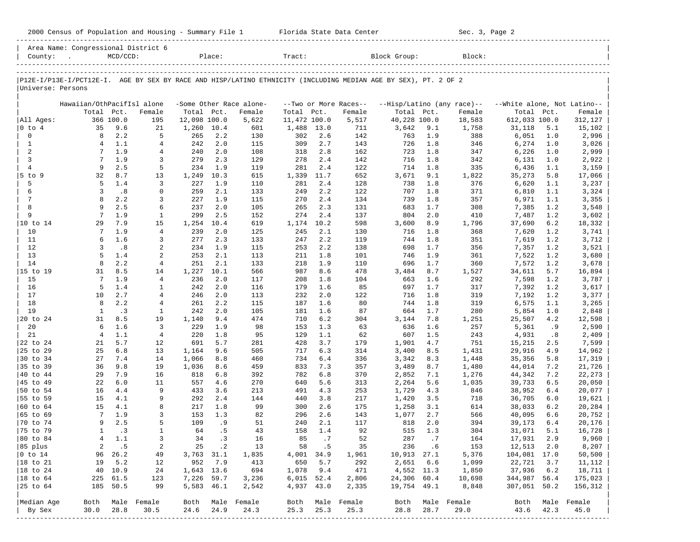|                      | 2000 Census of Population and Housing - Summary File 1 Florida State Data Center |             |                                |                |            |                         |              |            |                       |                                                                                                                |            | Sec. 3, Page 2             |                             |            | ------------------------ |
|----------------------|----------------------------------------------------------------------------------|-------------|--------------------------------|----------------|------------|-------------------------|--------------|------------|-----------------------|----------------------------------------------------------------------------------------------------------------|------------|----------------------------|-----------------------------|------------|--------------------------|
|                      | Area Name: Congressional District 6<br>County: .                                 | $MCD/CCD$ : |                                |                | Place:     |                         | Tract:       |            |                       | Block Group:                                                                                                   |            | Block:                     |                             |            |                          |
| Universe: Persons    |                                                                                  |             |                                |                |            |                         |              |            |                       | P12E-I/P13E-I/PCT12E-I. AGE BY SEX BY RACE AND HISP/LATINO ETHNICITY (INCLUDING MEDIAN AGE BY SEX), PT. 2 OF 2 |            |                            |                             |            |                          |
|                      | Hawaiian/OthPacifIsl alone                                                       |             |                                |                |            | -Some Other Race alone- |              |            | --Two or More Races-- |                                                                                                                |            | --Hisp/Latino (any race)-- | --White alone, Not Latino-- |            |                          |
|                      | Total                                                                            | Pct.        | Female                         | Total Pct.     |            | Female                  | Total Pct.   |            | Female                | Total Pct.                                                                                                     |            | Female                     | Total Pct.                  |            | Female                   |
| All Ages:            |                                                                                  | 366 100.0   | 195                            | 12,098 100.0   |            | 5,622                   | 11,472 100.0 |            | 5,517                 | 40,228 100.0                                                                                                   |            | 18,583                     | 612,033 100.0               |            | 312,127                  |
| $0$ to $4$           | 35                                                                               | 9.6         | 21                             | 1,260          | 10.4       | 601                     | 1,488        | 13.0       | 711                   | 3,642                                                                                                          | 9.1        | 1,758                      | 31,118                      | 5.1        | 15,102                   |
| $\mathbf 0$          | 8                                                                                | 2.2         | 5                              | 265            | 2.2        | 130                     | 302          | 2.6        | 142                   | 763                                                                                                            | 1.9        | 388                        | 6,051                       | 1.0        | 2,996                    |
| $\mathbf{1}$<br>2    | $\overline{4}$<br>$7\phantom{.0}$                                                | 1.1<br>1.9  | $\overline{4}$<br>4            | 242<br>240     | 2.0<br>2.0 | 115<br>108              | 309<br>318   | 2.7<br>2.8 | 143<br>162            | 726<br>723                                                                                                     | 1.8<br>1.8 | 346<br>347                 | 6,274<br>6,226              | 1.0<br>1.0 | 3,026<br>2,999           |
| $\overline{3}$       | $7\phantom{.0}$                                                                  | 1.9         | 3                              | 279            | 2.3        | 129                     | 278          | 2.4        | 142                   | 716                                                                                                            | 1.8        | 342                        | 6,131                       | 1.0        | 2,922                    |
| $\overline{4}$       | 9                                                                                | 2.5         | 5                              | 234            | 1.9        | 119                     | 281          | 2.4        | 122                   | 714                                                                                                            | 1.8        | 335                        | 6,436                       | 1.1        | 3,159                    |
| $5$ to $9$           | 32                                                                               | 8.7         | 13                             | 1,249          | 10.3       | 615                     | 1,339        | 11.7       | 652                   | 3,671                                                                                                          | 9.1        | 1,822                      | 35,273                      | 5.8        | 17,066                   |
| 5                    | 5                                                                                | 1.4         | 3                              | 227            | 1.9        | 110                     | 281          | 2.4        | 128                   | 738                                                                                                            | 1.8        | 376                        | 6,620                       | 1.1        | 3,237                    |
| 6                    | 3                                                                                | .8          | $\mathbf 0$                    | 259            | 2.1        | 133                     | 249          | 2.2        | 122                   | 707                                                                                                            | 1.8        | 371                        | 6,810                       | 1.1        | 3,324                    |
| $7\phantom{.0}$      | 8                                                                                | 2.2         | 3                              | 227            | 1.9        | 115                     | 270          | 2.4        | 134                   | 739                                                                                                            | 1.8        | 357                        | 6,971                       | 1.1        | 3,355                    |
| 8<br>9               | 9<br>$7\phantom{.0}$                                                             | 2.5<br>1.9  | 6<br>$\mathbf{1}$              | 237<br>299     | 2.0<br>2.5 | 105<br>152              | 265<br>274   | 2.3<br>2.4 | 131<br>137            | 683<br>804                                                                                                     | 1.7<br>2.0 | 308<br>410                 | 7,385<br>7,487              | 1.2<br>1.2 | 3,548<br>3,602           |
| 10 to 14             | 29                                                                               | 7.9         | 15                             | 1,254          | 10.4       | 619                     | 1,174        | 10.2       | 598                   | 3,600                                                                                                          | 8.9        | 1,796                      | 37,690                      | 6.2        | 18,332                   |
| 10                   | 7                                                                                | 1.9         | $\overline{4}$                 | 239            | 2.0        | 125                     | 245          | 2.1        | 130                   | 716                                                                                                            | 1.8        | 368                        | 7,620                       | 1.2        | 3,741                    |
| 11                   | 6                                                                                | 1.6         | 3                              | 277            | 2.3        | 133                     | 247          | 2.2        | 119                   | 744                                                                                                            | 1.8        | 351                        | 7,619                       | 1.2        | 3,712                    |
| 12                   | 3                                                                                | .8          | 2                              | 234            | 1.9        | 115                     | 253          | 2.2        | 138                   | 698                                                                                                            | 1.7        | 356                        | 7,357                       | 1.2        | 3,521                    |
| 13                   | 5                                                                                | 1.4         | $\overline{a}$                 | 253            | 2.1        | 113                     | 211          | 1.8        | 101                   | 746                                                                                                            | 1.9        | 361                        | 7,522                       | 1.2        | 3,680                    |
| 14                   | 8                                                                                | 2.2         | $\overline{4}$                 | 251            | 2.1        | 133                     | 218          | 1.9        | 110                   | 696                                                                                                            | 1.7        | 360                        | 7,572                       | 1.2        | 3,678                    |
| 15 to 19             | 31                                                                               | 8.5         | 14                             | 1,227          | 10.1       | 566                     | 987          | 8.6        | 478                   | 3,484                                                                                                          | 8.7        | 1,527                      | 34,611                      | 5.7        | 16,894                   |
| 15<br>16             | $7\phantom{.0}$<br>5                                                             | 1.9<br>1.4  | $\overline{4}$<br>$\mathbf{1}$ | 236<br>242     | 2.0<br>2.0 | 117<br>116              | 208<br>179   | 1.8<br>1.6 | 104<br>85             | 663<br>697                                                                                                     | 1.6<br>1.7 | 292<br>317                 | 7,598<br>7,392              | 1.2<br>1.2 | 3,787<br>3,617           |
| 17                   | 10                                                                               | 2.7         | $\overline{4}$                 | 246            | 2.0        | 113                     | 232          | 2.0        | 122                   | 716                                                                                                            | 1.8        | 319                        | 7,192                       | 1.2        | 3,377                    |
| 18                   | 8                                                                                | 2.2         | $\overline{4}$                 | 261            | 2.2        | 115                     | 187          | 1.6        | 80                    | 744                                                                                                            | 1.8        | 319                        | 6,575                       | 1.1        | 3,265                    |
| 19                   | 1                                                                                | $\cdot$ 3   | $\mathbf{1}$                   | 242            | 2.0        | 105                     | 181          | 1.6        | 87                    | 664                                                                                                            | 1.7        | 280                        | 5,854                       | 1.0        | 2,848                    |
| 20 to 24             | 31                                                                               | 8.5         | 19                             | 1,140          | 9.4        | 474                     | 710          | 6.2        | 304                   | 3,144                                                                                                          | 7.8        | 1,251                      | 25,507                      | 4.2        | 12,598                   |
| 20                   | 6                                                                                | 1.6         | $\overline{3}$                 | 229            | 1.9        | 98                      | 153          | 1.3        | 63                    | 636                                                                                                            | 1.6        | 257                        | 5,361                       | . 9        | 2,590                    |
| 21                   | $\overline{4}$                                                                   | 1.1         | $\overline{4}$                 | 220            | 1.8        | 95                      | 129          | 1.1        | 62                    | 607                                                                                                            | 1.5        | 243                        | 4,931                       | .8         | 2,409                    |
| 22 to 24             | 21                                                                               | 5.7         | 12                             | 691            | 5.7        | 281                     | 428          | 3.7        | 179                   | 1,901                                                                                                          | 4.7        | 751                        | 15,215                      | 2.5        | 7,599                    |
| 25 to 29<br>30 to 34 | 25<br>27                                                                         | 6.8<br>7.4  | 13<br>14                       | 1,164<br>1,066 | 9.6<br>8.8 | 505                     | 717<br>734   | 6.3<br>6.4 | 314<br>336            | 3,400                                                                                                          | 8.5<br>8.3 | 1,431                      | 29,916                      | 4.9<br>5.8 | 14,962                   |
| 35 to 39             | 36                                                                               | 9.8         | 19                             | 1,036          | 8.6        | 460<br>459              | 833          | 7.3        | 357                   | 3,342<br>3,489                                                                                                 | 8.7        | 1,448<br>1,480             | 35,356<br>44,014            | 7.2        | 17,319<br>21,726         |
| 40 to 44             | 29                                                                               | 7.9         | 16                             | 818            | 6.8        | 392                     | 782          | 6.8        | 370                   | 2,852                                                                                                          | 7.1        | 1,276                      | 44,342                      | 7.2        | 22,273                   |
| 45 to 49             | 22                                                                               | 6.0         | 11                             | 557            | 4.6        | 270                     | 640          | 5.6        | 313                   | 2,264                                                                                                          | 5.6        | 1,035                      | 39,733                      | 6.5        | 20,050                   |
| 50 to 54             | 16                                                                               | 4.4         | 9                              | 433            | 3.6        | 213                     | 491          | 4.3        | 253                   | 1,729                                                                                                          | 4.3        | 846                        | 38,952                      | 6.4        | 20,077                   |
| 55 to 59             | 15                                                                               | 4.1         | 9                              | 292            | 2.4        | 144                     | 440          | 3.8        | 217                   | 1,420                                                                                                          | 3.5        | 718                        | 36,705                      | 6.0        | 19,621                   |
| 60 to 64             | 15                                                                               | 4.1         | 8                              | 217            | 1.8        | 99                      | 300          | 2.6        | 175                   | 1,258                                                                                                          | 3.1        | 614                        | 38,033                      | 6.2        | 20,284                   |
| 65 to 69             | $7\overline{ }$                                                                  | 1.9         | 3                              | 153            | 1.3        | 82                      | 296          | 2.6        | 143                   | 1,077                                                                                                          | 2.7        | 566                        | 40,095                      | 6.6        | 20,752                   |
| $ 70 \text{ to } 74$ | 9                                                                                | 2.5<br>.3   | 5                              | 109            | .9<br>.5   | 51                      | 240          | 2.1        | 117                   | 818                                                                                                            | 2.0        | 394                        | 39,173                      | $6.4$      | 20,176<br>16,728         |
| 75 to 79<br>80 to 84 | $\mathbf{1}$<br>$\overline{4}$                                                   | 1.1         | $\mathbf 1$<br>3               | 64<br>34       | .3         | 43<br>16                | 158<br>85    | 1.4<br>.7  | 92<br>52              | 515<br>287                                                                                                     | 1.3<br>.7  | 304<br>164                 | 31,071<br>17,931            | 5.1<br>2.9 | 9,960                    |
| 85 plus              | $\sqrt{2}$                                                                       | .5          | $\overline{a}$                 | 25             | $\cdot$ 2  | 13                      | 58           | .5         | 35                    | 236                                                                                                            | .6         | 153                        | 12,513                      | 2.0        | 8,207                    |
| $0$ to $14$          | 96                                                                               | 26.2        | 49                             | 3,763          | 31.1       | 1,835                   | 4,001        | 34.9       | 1,961                 | 10,913 27.1                                                                                                    |            | 5,376                      | 104,081 17.0                |            | 50,500                   |
| 18 to 21             | 19                                                                               | 5.2         | 12                             | 952            | 7.9        | 413                     | 650          | 5.7        | 292                   | 2,651                                                                                                          | 6.6        | 1,099                      | 22,721                      | 3.7        | 11,112                   |
| 18 to 24             | 40                                                                               | 10.9        | 24                             | 1,643 13.6     |            | 694                     | 1,078        | 9.4        | 471                   | 4,552 11.3                                                                                                     |            | 1,850                      | 37,936                      | 6.2        | 18,711                   |
| 18 to 64             | 225                                                                              | 61.5        | 123                            | 7,226          | 59.7       | 3,236                   | 6,015        | 52.4       | 2,806                 | 24,306 60.4                                                                                                    |            | 10,698                     | 344,987 56.4                |            | 175,023                  |
| 25 to 64             | 185                                                                              | 50.5        | 99                             | 5,583 46.1     |            | 2,542                   | 4,937 43.0   |            | 2,335                 | 19,754 49.1                                                                                                    |            | 8,848                      | 307,051 50.2                |            | 156,312                  |
| Median Age           | Both                                                                             |             | Male Female                    | Both           |            | Male Female             | Both         |            | Male Female           | Both                                                                                                           |            | Male Female                | Both                        |            | Male Female              |
| By Sex               | 30.0                                                                             | 28.8        | 30.5                           | 24.6           | 24.9       | 24.3                    | 25.3         | 25.3       | 25.3                  | 28.8                                                                                                           | 28.7       | 29.0                       | 43.6                        | 42.3       | 45.0                     |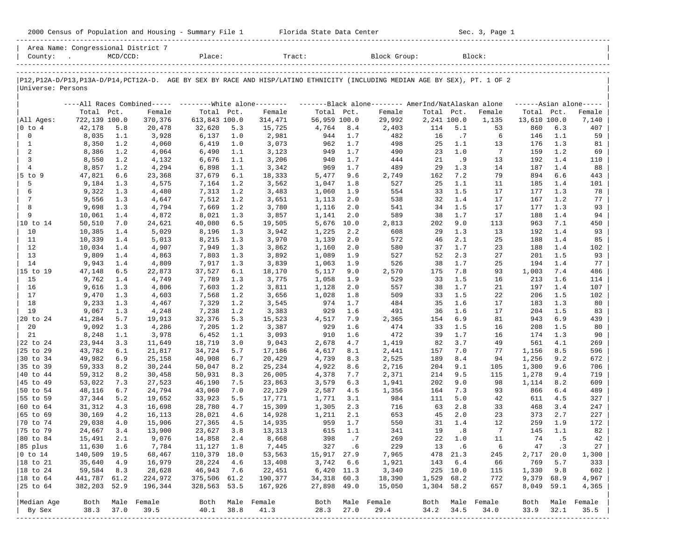| 2000 Census of Population and Housing - Summary File 1 Florida State Data Center |                                     |            |                     |                  |            |                                                                                                                            |                |            |                     |              |                               | Sec. 3, Page 1         |              |              |                     |
|----------------------------------------------------------------------------------|-------------------------------------|------------|---------------------|------------------|------------|----------------------------------------------------------------------------------------------------------------------------|----------------|------------|---------------------|--------------|-------------------------------|------------------------|--------------|--------------|---------------------|
|                                                                                  | Area Name: Congressional District 7 |            |                     |                  |            |                                                                                                                            |                |            |                     |              |                               |                        |              |              |                     |
| Universe: Persons                                                                |                                     |            |                     |                  |            | P12,P12A-D/P13,P13A-D/P14,PCT12A-D. AGE BY SEX BY RACE AND HISP/LATINO ETHNICITY (INCLUDING MEDIAN AGE BY SEX), PT. 1 OF 2 |                |            |                     |              |                               |                        |              |              |                     |
|                                                                                  |                                     |            |                     |                  |            | ----All Races Combined----- --------White alone-------- --------Black alone-------- AmerInd/NatAlaskan alone               |                |            |                     |              |                               |                        |              |              | $---Asian alone---$ |
|                                                                                  | Total Pct.                          |            | Female              | Total Pct.       |            | Female                                                                                                                     | Total Pct.     |            | Female              | Total Pct.   |                               | Female                 | Total Pct.   |              | Female              |
| All Ages:                                                                        | 722,139 100.0                       |            | 370,376             | 613,843 100.0    |            | 314,471                                                                                                                    | 56,959 100.0   |            | 29,992              | 2,241 100.0  |                               | 1,135                  | 13,610 100.0 |              | 7,140               |
| $ 0 \t{to} 4$                                                                    | 42,178                              | 5.8        | 20,478              | 32,620           | 5.3        | 15,725                                                                                                                     | 4,764          | 8.4        | 2,403               | 114          | 5.1                           | 53                     | 860          | 6.3          | 407                 |
| $\mathbf 0$                                                                      | 8,035                               | 1.1        | 3,928               | 6,137            | 1.0        | 2,981                                                                                                                      | 944            | 1.7        | 482                 | 16           | $\cdot$ 7                     | 6                      | 146          | 1.1          | 59                  |
| $\mathbf{1}$<br>2                                                                | 8,350                               | 1.2        | 4,060               | 6,419            | 1.0        | 3,073                                                                                                                      | 962            | 1.7        | 498                 | 25           | 1.1<br>1.0                    | 13                     | 176          | 1.3          | 81                  |
| $\overline{3}$                                                                   | 8,386<br>8,550                      | 1.2<br>1.2 | 4,064<br>4,132      | 6,490<br>6,676   | 1.1<br>1.1 | 3,123<br>3,206                                                                                                             | 949<br>940     | 1.7<br>1.7 | 490<br>444          | 23<br>21     | .9                            | 7<br>13                | 159<br>192   | 1.2<br>1.4   | 69<br>110           |
| $\overline{4}$                                                                   | 8,857                               | 1.2        | 4,294               | 6,898            | 1.1        | 3,342                                                                                                                      | 969            | 1.7        | 489                 | 29           | 1.3                           | 14                     | 187          | 1.4          | 88                  |
| 5 to 9                                                                           | 47,821                              | 6.6        | 23,368              | 37,679           | 6.1        | 18,333                                                                                                                     | 5,477          | 9.6        | 2,749               | 162          | 7.2                           | 79                     | 894          | 6.6          | 443                 |
| 5                                                                                | 9,184                               | 1.3        | 4,575               | 7,164            | 1.2        | 3,562                                                                                                                      | 1,047          | 1.8        | 527                 | 25           | 1.1                           | 11                     | 185          | 1.4          | 101                 |
| 6                                                                                | 9,322                               | 1.3        | 4,480               | 7,313            | 1.2        | 3,483                                                                                                                      | 1,060          | 1.9        | 554                 | 33           | 1.5                           | 17                     | 177          | 1.3          | 78                  |
| 7                                                                                | 9,556                               | 1.3        | 4,647               | 7,512            | 1.2        | 3,651                                                                                                                      | 1,113          | 2.0        | 538                 | 32           | 1.4                           | 17                     | 167          | 1.2          | 77                  |
| 8                                                                                | 9,698                               | 1.3        | 4,794               | 7,669            | 1.2        | 3,780                                                                                                                      | 1,116          | 2.0        | 541                 | 34           | 1.5                           | 17                     | 177          | 1.3          | 93                  |
| 9                                                                                | 10,061                              | 1.4        | 4,872               | 8,021            | 1.3        | 3,857                                                                                                                      | 1,141          | 2.0        | 589                 | 38           | 1.7                           | 17                     | 188          | 1.4          | 94                  |
|                                                                                  | 50,510                              | 7.0        | 24,621              | 40,080           | 6.5        | 19,505                                                                                                                     | 5,676 10.0     |            | 2,813               | 202          | 9.0                           | 113                    | 963          | 7.1          | 450                 |
| 10<br>11                                                                         | 10,385                              | 1.4        | 5,029               | 8,196<br>8,215   | 1.3        | 3,942                                                                                                                      | 1,225          | 2.2<br>2.0 | 608<br>572          | 29<br>46     | 1.3<br>2.1                    | 13<br>25               | 192<br>188   | 1.4<br>1.4   | 93<br>85            |
| 12                                                                               | 10,339<br>10,034                    | 1.4<br>1.4 | 5,013<br>4,907      | 7,949            | 1.3<br>1.3 | 3,970<br>3,862                                                                                                             | 1,139<br>1,160 | 2.0        | 580                 | 37           | 1.7                           | 23                     | 188          | 1.4          | 102                 |
| 13                                                                               | 9,809                               | 1.4        | 4,863               | 7,803            | 1.3        | 3,892                                                                                                                      | 1,089          | 1.9        | 527                 | 52           | 2.3                           | 27                     | 201          | 1.5          | 93                  |
| 14                                                                               | 9,943                               | 1.4        | 4,809               | 7,917            | 1.3        | 3,839                                                                                                                      | 1,063          | 1.9        | 526                 | 38           | 1.7                           | 25                     | 194          | 1.4          | 77                  |
| 15 to 19                                                                         | 47,148                              | 6.5        | 22,873              | 37,527           | 6.1        | 18,170                                                                                                                     | 5,117          | 9.0        | 2,570               | 175          | 7.8                           | 93                     | 1,003        | 7.4          | 486                 |
| 15                                                                               | 9,762                               | 1.4        | 4,749               | 7,789            | 1.3        | 3,775                                                                                                                      | 1,058          | 1.9        | 529                 | 33           | 1.5                           | 16                     | 213          | 1.6          | 114                 |
| 16                                                                               | 9,616                               | 1.3        | 4,806               | 7,603            | 1.2        | 3,811                                                                                                                      | 1,128          | 2.0        | 557                 | 38           | 1.7                           | 21                     | 197          | 1.4          | 107                 |
| 17                                                                               | 9,470                               | 1.3        | 4,603               | 7,568            | 1.2        | 3,656                                                                                                                      | 1,028          | 1.8        | 509                 | 33           | 1.5                           | 22                     | 206          | 1.5          | 102                 |
| 18                                                                               | 9,233                               | 1.3        | 4,467               | 7,329            | 1.2        | 3,545                                                                                                                      | 974            | 1.7        | 484                 | 35           | 1.6                           | 17                     | 183          | 1.3          | 80                  |
| 19                                                                               | 9,067                               | 1.3        | 4,248               | 7,238            | 1.2        | 3,383                                                                                                                      | 929            | 1.6        | 491                 | 36           | 1.6                           | 17                     | 204          | 1.5          | 83                  |
| 20 to 24                                                                         | 41,284                              | 5.7        | 19,913              | 32,376           | 5.3        | 15,523                                                                                                                     | 4,517          | 7.9        | 2,365               | 154          | 6.9                           | 81                     | 943          | 6.9          | 439                 |
| 20<br>21                                                                         | 9,092<br>8,248                      | 1.3<br>1.1 | 4,286<br>3,978      | 7,205<br>6,452   | 1.2<br>1.1 | 3,387<br>3,093                                                                                                             | 929<br>910     | 1.6<br>1.6 | 474<br>472          | 33<br>39     | 1.5<br>1.7                    | 16<br>16               | 208<br>174   | 1.5<br>1.3   | 80<br>90            |
| 22 to 24                                                                         | 23,944                              | 3.3        | 11,649              | 18,719           | 3.0        | 9,043                                                                                                                      | 2,678          | 4.7        | 1,419               | 82           | 3.7                           | 49                     | 561          | 4.1          | 269                 |
| 25 to 29                                                                         | 43,782                              | 6.1        | 21,817              | 34,724           | 5.7        | 17,186                                                                                                                     | 4,617          | 8.1        | 2,441               | 157          | 7.0                           | 77                     | 1,156        | 8.5          | 596                 |
| 30 to 34                                                                         | 49,982                              | 6.9        | 25,158              | 40,908           | 6.7        | 20,429                                                                                                                     | 4,739          | 8.3        | 2,525               | 189          | 8.4                           | 94                     | 1,256        | 9.2          | 672                 |
| 35 to 39                                                                         | 59,333                              | 8.2        | 30,244              | 50,047           | 8.2        | 25,234                                                                                                                     | 4,922          | 8.6        | 2,716               | 204          | 9.1                           | 105                    | 1,300        | 9.6          | 706                 |
| 40 to 44                                                                         | 59,312                              | 8.2        | 30,458              | 50,931           | 8.3        | 26,005                                                                                                                     | 4,378          | 7.7        | 2,371               | 214          | 9.5                           | 115                    | 1,278        | 9.4          | 719                 |
| 45 to 49                                                                         | 53,022                              | 7.3        | 27,523              | 46,190           | 7.5        | 23,863                                                                                                                     | 3,579          | 6.3        | 1,941               | 202          | 9.0                           | 98                     | 1,114        | 8.2          | 609                 |
| 50 to 54                                                                         | 48,116                              | 6.7        | 24,794              | 43,060           | 7.0        | 22,129                                                                                                                     | 2,587          | 4.5        | 1,356               | 164          | 7.3                           | 93                     | 866          | 6.4          | 489                 |
| 55 to 59                                                                         | 37,344                              | 5.2        | 19,652              | 33,923           | 5.5        | 17,771                                                                                                                     | 1,771          | 3.1        | 984                 | 111          | 5.0                           | 42                     | 611          | 4.5          | 327                 |
| 60 to 64                                                                         | 31,312                              | 4.3        | 16,698              | 28,780           | 4.7        | 15,309                                                                                                                     | 1,305          | 2.3        | 716                 | 63           | 2.8                           | 33                     | 468          | 3.4          | 247                 |
| $ 65 \t{to} 69$                                                                  | 30,169                              | 4.2        | 16,113              | 28,021           | 4.6        | 14,928                                                                                                                     | 1,211          | 2.1        | 653                 | 45           | 2.0                           | 23                     | 373          | 2.7          | 227                 |
| 70 to 74<br>75 to 79                                                             | 29,038<br>24,667                    | 4.0<br>3.4 | 15,906<br>13,900    | 27,365<br>23,627 | 4.5<br>3.8 | 14,935<br>13,313                                                                                                           | 959<br>615     | 1.7<br>1.1 | 550<br>341          | 31<br>19     | 1.4<br>$\boldsymbol{\cdot}$ 8 | 12<br>$\boldsymbol{7}$ | 259<br>145   | 1.9<br>1.1   | 172<br>82           |
| 80 to 84                                                                         | 15,491                              | 2.1        | 9,076               | 14,858           | 2.4        | 8,668                                                                                                                      | 398            | .7         | 269                 | 22           | 1.0                           | 11                     | 74           | .5           | 42                  |
| 85 plus                                                                          | 11,630                              | 1.6        | 7,784               | 11,127           | 1.8        | 7,445                                                                                                                      | 327            | .6         | 229                 | 13           | .6                            | 6                      | 47           | .3           | 27                  |
| $ 0 \t{to} 14$                                                                   | 140,509 19.5                        |            | 68,467              | 110,379          | 18.0       | 53,563                                                                                                                     | 15,917         | 27.9       | 7,965               | 478          | 21.3                          | 245                    | 2,717        | 20.0         | 1,300               |
| 18 to 21                                                                         | 35,640                              | 4.9        | 16,979              | 28,224           | 4.6        | 13,408                                                                                                                     | 3,742          | 6.6        | 1,921               | 143          | 6.4                           | 66                     | 769          | 5.7          | 333                 |
| 18 to 24                                                                         | 59,584                              | 8.3        | 28,628              | 46,943           | 7.6        | 22,451                                                                                                                     | 6,420 11.3     |            | 3,340               | 225          | 10.0                          | 115                    | 1,330        | 9.8          | 602                 |
| $ 18$ to $64$                                                                    | 441,787                             | 61.2       | 224,972             | 375,506          | 61.2       | 190,377                                                                                                                    | 34,318         | 60.3       | 18,390              | 1,529        | 68.2                          | 772                    | 9,379        | 68.9         | 4,967               |
| 25 to 64                                                                         | 382,203 52.9                        |            | 196,344             | 328,563 53.5     |            | 167,926                                                                                                                    | 27,898         | 49.0       | 15,050              | 1,304        | 58.2                          | 657                    | 8,049        | 59.1         | 4,365               |
|                                                                                  |                                     |            |                     |                  |            |                                                                                                                            |                |            |                     |              |                               |                        |              |              |                     |
| Median Age<br>By Sex                                                             | Both<br>38.3                        | 37.0       | Male Female<br>39.5 | Both<br>40.1     | 38.8       | Male Female<br>41.3                                                                                                        | Both<br>28.3   | 27.0       | Male Female<br>29.4 | Both<br>34.2 | Male<br>34.5                  | Female<br>34.0         | Both<br>33.9 | Male<br>32.1 | Female<br>35.5      |
|                                                                                  |                                     |            |                     |                  |            |                                                                                                                            |                |            |                     |              |                               |                        |              |              |                     |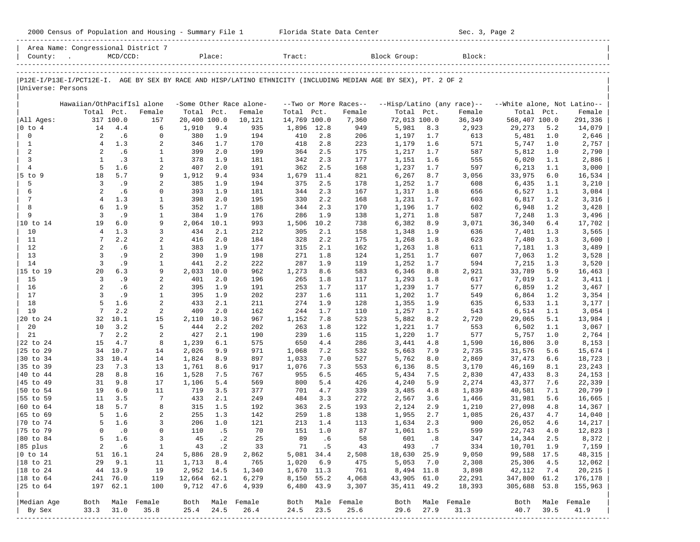|                             |                                                                                                                |                  |                   |              |               |                         |              |                |                       |                |                             | Sec. 3, Page 2             |                             |            |                  |
|-----------------------------|----------------------------------------------------------------------------------------------------------------|------------------|-------------------|--------------|---------------|-------------------------|--------------|----------------|-----------------------|----------------|-----------------------------|----------------------------|-----------------------------|------------|------------------|
|                             | Area Name: Congressional District 7<br>County:                                                                 | $MCD/CCD$ :      |                   |              |               | Place:                  | Tract:       |                |                       | Block Group:   |                             | Block:                     |                             |            |                  |
|                             | P12E-I/P13E-I/PCT12E-I. AGE BY SEX BY RACE AND HISP/LATINO ETHNICITY (INCLUDING MEDIAN AGE BY SEX), PT. 2 OF 2 |                  |                   |              |               |                         |              |                |                       |                |                             |                            |                             |            |                  |
| Universe: Persons           |                                                                                                                |                  |                   |              |               |                         |              |                |                       |                |                             |                            |                             |            |                  |
|                             | Hawaiian/OthPacifIsl alone                                                                                     |                  |                   |              |               | -Some Other Race alone- |              |                | --Two or More Races-- |                |                             | --Hisp/Latino (any race)-- | --White alone, Not Latino-- |            |                  |
|                             | Total                                                                                                          | Pct.             | Female            | Total Pct.   |               | Female                  | Total Pct.   |                | Female                | Total Pct.     |                             | Female                     | Total Pct.                  |            | Female           |
| All Ages:                   |                                                                                                                | 317 100.0        | 157               | 20,400 100.0 |               | 10,121                  | 14,769 100.0 |                | 7,360                 | 72,013 100.0   |                             | 36,349                     | 568,407 100.0               |            | 291,336          |
| $ 0 \tto 4$                 | 14                                                                                                             | 4.4              | 6                 | 1,910        | 9.4           | 935                     | 1,896        | 12.8           | 949                   | 5,981          | 8.3                         | 2,923                      | 29,273                      | 5.2        | 14,079           |
| $\mathbf 0$<br>$\mathbf{1}$ | 2<br>$\overline{4}$                                                                                            | .6<br>1.3        | $\mathbf 0$<br>2  | 380<br>346   | 1.9<br>1.7    | 194<br>170              | 410<br>418   | 2.8<br>2.8     | 206<br>223            | 1,197          | 1.7<br>1.6                  | 613<br>571                 | 5,481<br>5,747              | 1.0<br>1.0 | 2,646            |
| 2                           | 2                                                                                                              | .6               | $\mathbf{1}$      | 399          | 2.0           | 199                     | 364          | 2.5            | 175                   | 1,179<br>1,217 | 1.7                         | 587                        | 5,812                       | 1.0        | 2,757<br>2,790   |
| $\overline{3}$              | 1                                                                                                              | $\cdot$ 3        | 1                 | 378          | 1.9           | 181                     | 342          | 2.3            | 177                   | 1,151          | 1.6                         | 555                        | 6,020                       | 1.1        | 2,886            |
| $\overline{4}$              | 5                                                                                                              | 1.6              | 2                 | 407          | 2.0           | 191                     | 362          | 2.5            | 168                   | 1,237          | 1.7                         | 597                        | 6,213                       | 1.1        | 3,000            |
| $5$ to $9$                  | 18                                                                                                             | 5.7              | 9                 | 1,912        | 9.4           | 934                     | 1,679        | 11.4           | 821                   | 6,267          | 8.7                         | 3,056                      | 33,975                      | 6.0        | 16,534           |
| 5                           | 3                                                                                                              | .9               | $\overline{a}$    | 385          | 1.9           | 194                     | 375          | 2.5            | 178                   | 1,252          | 1.7                         | 608                        | 6,435                       | 1.1        | 3,210            |
| 6                           | 2                                                                                                              | .6               | 0                 | 393          | 1.9           | 181                     | 344          | 2.3            | 167                   | 1,317          | 1.8                         | 656                        | 6,527                       | 1.1        | 3,084            |
| 7                           | $\overline{4}$                                                                                                 | 1.3              | $\mathbf{1}$      | 398          | 2.0           | 195                     | 330          | 2.2            | 168                   | 1,231          | 1.7                         | 603                        | 6,817                       | 1.2        | 3,316            |
| 8                           | 6                                                                                                              | 1.9              | 5                 | 352          | 1.7           | 188                     | 344          | 2.3            | 170                   | 1,196          | 1.7                         | 602                        | 6,948                       | 1.2        | 3,428            |
| 9                           | $\overline{3}$                                                                                                 | .9               | $\mathbf{1}$      | 384          | 1.9           | 176                     | 286          | 1.9            | 138                   | 1,271          | 1.8                         | 587                        | 7,248                       | 1.3        | 3,496            |
| 10 to 14                    | 19                                                                                                             | 6.0              | 9<br>3            | 2,064        | 10.1          | 993                     | 1,506        | 10.2           | 738                   | 6,382          | 8.9                         | 3,071                      | 36,340                      | 6.4        | 17,702           |
| 10<br>11                    | $\overline{4}$<br>7                                                                                            | 1.3<br>2.2       | 2                 | 434<br>416   | 2.1<br>2.0    | 212<br>184              | 305<br>328   | 2.1<br>2.2     | 158<br>175            | 1,348<br>1,268 | 1.9<br>1.8                  | 636<br>623                 | 7,401<br>7,480              | 1.3<br>1.3 | 3,565<br>3,600   |
| 12                          | 2                                                                                                              | .6               | $\mathbf{1}$      | 383          | 1.9           | 177                     | 315          | 2.1            | 162                   | 1,263          | 1.8                         | 611                        | 7,181                       | 1.3        | 3,489            |
| 13                          | $\overline{3}$                                                                                                 | .9               | 2                 | 390          | 1.9           | 198                     | 271          | 1.8            | 124                   | 1,251          | 1.7                         | 607                        | 7,063                       | 1.2        | 3,528            |
| 14                          | $\overline{3}$                                                                                                 | .9               | $\mathbf{1}$      | 441          | 2.2           | 222                     | 287          | 1.9            | 119                   | 1,252          | 1.7                         | 594                        | 7,215                       | 1.3        | 3,520            |
| 15 to 19                    | 20                                                                                                             | 6.3              | 9                 | 2,033        | 10.0          | 962                     | 1,273        | 8.6            | 583                   | 6,346          | 8.8                         | 2,921                      | 33,789                      | 5.9        | 16,463           |
| 15                          | $\overline{3}$                                                                                                 | .9               | $\overline{a}$    | 401          | 2.0           | 196                     | 265          | 1.8            | 117                   | 1,293          | 1.8                         | 617                        | 7,019                       | 1.2        | 3,411            |
| 16                          | 2                                                                                                              | .6               | 2                 | 395          | 1.9           | 191                     | 253          | 1.7            | 117                   | 1,239          | 1.7                         | 577                        | 6,859                       | 1.2        | 3,467            |
| 17                          | $\overline{3}$                                                                                                 | .9               | $\mathbf{1}$      | 395          | 1.9           | 202                     | 237          | 1.6            | 111                   | 1,202          | 1.7                         | 549                        | 6,864                       | 1.2        | 3,354            |
| 18                          | 5                                                                                                              | 1.6              | 2                 | 433          | 2.1           | 211                     | 274          | 1.9            | 128                   | 1,355          | 1.9                         | 635                        | 6,533                       | 1.1        | 3,177            |
| 19                          | $7\phantom{.0}$                                                                                                | 2.2              | $\overline{a}$    | 409          | 2.0           | 162                     | 244          | 1.7            | 110                   | 1,257          | 1.7                         | 543                        | 6,514                       | 1.1        | 3,054            |
| 20 to 24<br>20              | 32<br>10                                                                                                       | 10.1             | 15<br>5           | 2,110        | 10.3          | 967                     | 1,152        | 7.8            | 523                   | 5,882          | 8.2                         | 2,720                      | 29,065                      | 5.1        | 13,984           |
| 21                          | $7\phantom{.0}$                                                                                                | 3.2<br>2.2       | 2                 | 444<br>427   | 2.2<br>2.1    | 202<br>190              | 263<br>239   | 1.8<br>1.6     | 122<br>115            | 1,221<br>1,220 | 1.7<br>1.7                  | 553<br>577                 | 6,502<br>5,757              | 1.1<br>1.0 | 3,067<br>2,764   |
| 22 to 24                    | 15                                                                                                             | 4.7              | 8                 | 1,239        | 6.1           | 575                     | 650          | 4.4            | 286                   | 3,441          | 4.8                         | 1,590                      | 16,806                      | 3.0        | 8,153            |
| 25 to 29                    | 34                                                                                                             | 10.7             | 14                | 2,026        | 9.9           | 971                     | 1,068        | 7.2            | 532                   | 5,663          | 7.9                         | 2,735                      | 31,576                      | 5.6        | 15,674           |
| 30 to 34                    | 33                                                                                                             | 10.4             | 14                | 1,824        | 8.9           | 897                     | 1,033        | 7.0            | 527                   | 5,762          | 8.0                         | 2,869                      | 37,473                      | 6.6        | 18,723           |
| 35 to 39                    | 23                                                                                                             | 7.3              | 13                | 1,761        | 8.6           | 917                     | 1,076        | 7.3            | 553                   | 6,136          | 8.5                         | 3,170                      | 46,169                      | 8.1        | 23,243           |
| 40 to 44                    | 28                                                                                                             | 8.8              | 16                | 1,528        | 7.5           | 767                     | 955          | 6.5            | 465                   | 5,434          | 7.5                         | 2,830                      | 47,433                      | 8.3        | 24,153           |
| 45 to 49                    | 31                                                                                                             | 9.8              | 17                | 1,106        | 5.4           | 569                     | 800          | 5.4            | 426                   | 4,240          | 5.9                         | 2,274                      | 43,377                      | 7.6        | 22,339           |
| 50 to 54                    | 19                                                                                                             | 6.0              | 11                | 719          | 3.5           | 377                     | 701          | 4.7            | 339                   | 3,485          | 4.8                         | 1,839                      | 40,581                      | 7.1        | 20,799           |
| 55 to 59                    | 11                                                                                                             | 3.5              | $7\phantom{.0}$   | 433          | 2.1           | 249                     | 484          | 3.3            | 272                   | 2,567          | 3.6                         | 1,466                      | 31,981                      | 5.6        | 16,665           |
| 60 to 64                    | 18                                                                                                             | 5.7              | 8                 | 315          | 1.5           | 192                     | 363          | 2.5            | 193                   | 2,124          | 2.9                         | 1,210                      | 27,098                      | 4.8        | 14,367           |
| 65 to 69<br>70 to 74        | 5                                                                                                              | 1.6<br>$5 \t1.6$ | 2<br>$\mathbf{3}$ | 255          | 1.3           | 142                     | 259          | 1.8            | 138                   | 1,955          | 2.7                         | 1,085                      | 26,437                      | 4.7        | 14,040           |
| 75 to 79                    | 0                                                                                                              | $\cdot$ 0        | 0                 | 110          | 206 1.0<br>.5 | 121<br>70               | 151          | 213 1.4<br>1.0 | 113<br>87             | 1,634<br>1,061 | 2.3<br>1.5                  | 900<br>599                 | 26,052<br>22,743            | 4.6<br>4.0 | 14,217<br>12,823 |
| 80 to 84                    | 5                                                                                                              | 1.6              | 3                 | 45           | $\cdot$ 2     | 25                      | 89           | .6             | 58                    | 601            | $\overline{\phantom{0}}$ .8 | 347                        | 14,344                      | 2.5        | 8,372            |
| 85 plus                     | $\overline{\mathbf{c}}$                                                                                        | .6               | 1                 | 43           | $\cdot$ 2     | 33                      | 71           | .5             | 43                    | 493            | $\cdot$ 7                   | 334                        | 10,701                      | 1.9        | 7,159            |
| $0$ to $14$                 | 51                                                                                                             | 16.1             | 24                | 5,886        | 28.9          | 2,862                   | 5,081        | 34.4           | 2,508                 | 18,630 25.9    |                             | 9,050                      | 99,588 17.5                 |            | 48,315           |
| 18 to 21                    | 29                                                                                                             | 9.1              | 11                | 1,713        | 8.4           | 765                     | 1,020        | 6.9            | 475                   | 5,053          | 7.0                         | 2,308                      | 25,306                      | 4.5        | 12,062           |
| 18 to 24                    | 44                                                                                                             | 13.9             | 19                | 2,952 14.5   |               | 1,340                   | 1,670 11.3   |                | 761                   | 8,494 11.8     |                             | 3,898                      | 42,112                      | 7.4        | 20,215           |
| $ 18$ to $64$               | 241                                                                                                            | 76.0             | 119               | 12,664 62.1  |               | 6,279                   | 8,150        | 55.2           | 4,068                 | 43,905 61.0    |                             | 22,291                     | 347,800 61.2                |            | 176,178          |
| 25 to 64                    |                                                                                                                | 197 62.1         | 100               | 9,712 47.6   |               | 4,939                   | 6,480        | 43.9           | 3,307                 | 35, 411 49.2   |                             | 18,393                     | 305,688 53.8                |            | 155,963          |
|                             |                                                                                                                |                  |                   |              |               |                         |              |                |                       |                |                             |                            |                             |            |                  |
| Median Age                  | Both                                                                                                           |                  | Male Female       | Both         | Male          | Female                  | Both         |                | Male Female           | Both           |                             | Male Female                | Both                        |            | Male Female      |
| By Sex                      | 33.3                                                                                                           | 31.0             | 35.8              | 25.4         | 24.5          | 26.4                    | 24.5         | 23.5           | 25.6                  | 29.6           | 27.9                        | 31.3                       | 40.7                        | 39.5       | 41.9             |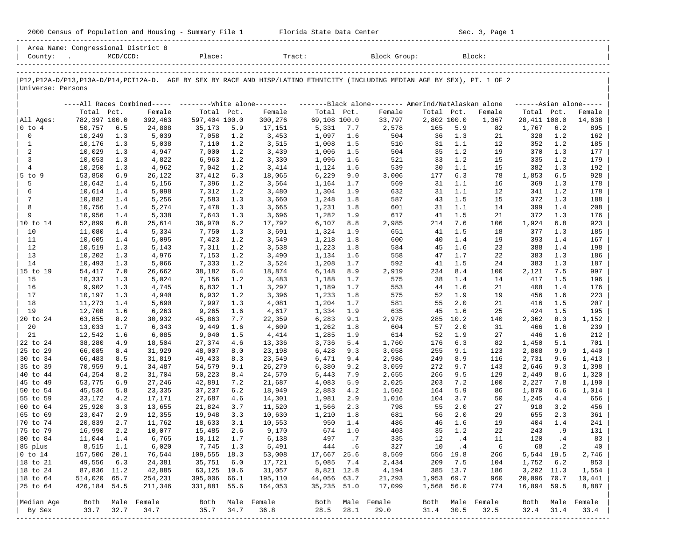| 2000 Census of Population and Housing - Summary File 1 Florida State Data Center |                                     |             |                    |                  |            |                                                                                                                               |                |            |                |             |            | Sec. 3, Page 1 |                |            |                         |
|----------------------------------------------------------------------------------|-------------------------------------|-------------|--------------------|------------------|------------|-------------------------------------------------------------------------------------------------------------------------------|----------------|------------|----------------|-------------|------------|----------------|----------------|------------|-------------------------|
| County: .                                                                        | Area Name: Congressional District 8 | $MCD/CCD$ : |                    |                  |            | Place: Tract:                                                                                                                 |                |            | Block Group:   |             |            | Block:         |                |            |                         |
| Universe: Persons                                                                |                                     |             |                    |                  |            | P12, P12A-D/P13, P13A-D/P14, PCT12A-D. AGE BY SEX BY RACE AND HISP/LATINO ETHNICITY (INCLUDING MEDIAN AGE BY SEX), PT. 1 OF 2 |                |            |                |             |            |                |                |            |                         |
|                                                                                  |                                     |             |                    |                  |            | ----All Races Combined----- --------White alone-------- ---------Black alone-------- AmerInd/NatAlaskan alone                 |                |            |                |             |            |                |                |            | $---Asian alone---$     |
|                                                                                  | Total Pct.                          |             | Female             | Total Pct.       |            | Female                                                                                                                        | Total Pct.     |            | Female         | Total Pct.  |            | Female         | Total Pct.     |            | Female                  |
| All Ages:                                                                        | 782,397 100.0                       |             | 392,463            | 597,404 100.0    |            | 300,276                                                                                                                       | 69,108 100.0   |            | 33,797         | 2,802 100.0 |            | 1,367          | 28,411 100.0   |            | 14,638                  |
| $ 0 \t{to} 4$                                                                    | 50,757                              | 6.5         | 24,808             | 35,173           | 5.9        | 17,151                                                                                                                        | 5,331          | 7.7        | 2,578          | 165         | 5.9        | 82             | 1,767          | 6.2        | 895                     |
| $\mathbf 0$                                                                      | 10,249                              | 1.3         | 5,039              | 7,058            | 1.2        | 3,453                                                                                                                         | 1,097          | 1.6        | 504            | 36          | 1.3        | 21             | 328            | 1.2        | 162                     |
| $\mathbf{1}$                                                                     | 10,176                              | 1.3         | 5,038              | 7,110            | 1.2        | 3,515                                                                                                                         | 1,008          | 1.5        | 510            | 31          | 1.1        | 12             | 352            | 1.2        | 185                     |
| 2                                                                                | 10,029                              | 1.3         | 4,947              | 7,000            | 1.2        | 3,439                                                                                                                         | 1,006          | 1.5        | 504            | 35          | 1.2        | 19             | 370            | 1.3        | 177                     |
| $\mathbf{3}$<br>$\overline{4}$                                                   | 10,053                              | 1.3         | 4,822              | 6,963            | 1.2        | 3,330                                                                                                                         | 1,096          | 1.6        | 521            | 33          | 1.2<br>1.1 | 15             | 335            | 1.2<br>1.3 | 179                     |
| $5$ to $9$                                                                       | 10,250<br>53,850                    | 1.3<br>6.9  | 4,962<br>26,122    | 7,042<br>37,412  | 1.2<br>6.3 | 3,414<br>18,065                                                                                                               | 1,124<br>6,229 | 1.6<br>9.0 | 539<br>3,006   | 30<br>177   | 6.3        | 15<br>78       | 382<br>1,853   | 6.5        | 192<br>928              |
| 5                                                                                | 10,642                              | 1.4         | 5,156              | 7,396            | 1.2        | 3,564                                                                                                                         | 1,164          | 1.7        | 569            | 31          | 1.1        | 16             | 369            | 1.3        | 178                     |
| 6                                                                                | 10,614                              | 1.4         | 5,098              | 7,312            | 1.2        | 3,480                                                                                                                         | 1,304          | 1.9        | 632            | 31          | 1.1        | 12             | 341            | 1.2        | 178                     |
| 7                                                                                | 10,882                              | 1.4         | 5,256              | 7,583            | 1.3        | 3,660                                                                                                                         | 1,248          | 1.8        | 587            | 43          | 1.5        | 15             | 372            | 1.3        | 188                     |
| 8                                                                                | 10,756                              | 1.4         | 5,274              | 7,478            | 1.3        | 3,665                                                                                                                         | 1,231          | 1.8        | 601            | 31          | 1.1        | 14             | 399            | 1.4        | 208                     |
| 9                                                                                | 10,956                              | 1.4         | 5,338              | 7,643            | 1.3        | 3,696                                                                                                                         | 1,282          | 1.9        | 617            | 41          | 1.5        | 21             | 372            | 1.3        | 176                     |
| 10 to 14                                                                         | 52,899                              | 6.8         | 25,614             | 36,970           | 6.2        | 17,792                                                                                                                        | 6,107          | 8.8        | 2,985          | 214         | 7.6        | 106            | 1,924          | 6.8        | 923                     |
| 10                                                                               | 11,080                              | 1.4         | 5,334              | 7,750            | 1.3        | 3,691                                                                                                                         | 1,324          | 1.9        | 651            | 41          | 1.5        | 18             | 377            | 1.3        | 185                     |
| 11                                                                               | 10,605                              | 1.4         | 5,095              | 7,423            | 1.2        | 3,549                                                                                                                         | 1,218          | 1.8        | 600            | 40          | 1.4        | 19             | 393            | 1.4        | 167                     |
| 12                                                                               | 10,519                              | 1.3         | 5,143              | 7,311            | 1.2        | 3,538                                                                                                                         | 1,223          | 1.8        | 584            | 45          | 1.6        | 23             | 388            | 1.4        | 198                     |
| 13                                                                               | 10,202                              | 1.3         | 4,976              | 7,153            | 1.2        | 3,490                                                                                                                         | 1,134          | 1.6        | 558            | 47          | 1.7        | 22             | 383            | 1.3        | 186                     |
| 14                                                                               | 10,493                              | 1.3         | 5,066              | 7,333            | 1.2        | 3,524                                                                                                                         | 1,208          | 1.7        | 592            | 41          | 1.5        | 24             | 383            | 1.3        | 187                     |
| 15 to 19<br>15                                                                   | 54,417<br>10,337                    | 7.0<br>1.3  | 26,662<br>5,024    | 38,182<br>7,156  | 6.4<br>1.2 | 18,874<br>3,483                                                                                                               | 6,148<br>1,188 | 8.9<br>1.7 | 2,919<br>575   | 234<br>38   | 8.4<br>1.4 | 100<br>14      | 2,121<br>417   | 7.5<br>1.5 | 997<br>196              |
| 16                                                                               | 9,902                               | 1.3         | 4,745              | 6,832            | 1.1        | 3,297                                                                                                                         | 1,189          | 1.7        | 553            | 44          | 1.6        | 21             | 408            | 1.4        | 176                     |
| 17                                                                               | 10,197                              | 1.3         | 4,940              | 6,932            | 1.2        | 3,396                                                                                                                         | 1,233          | 1.8        | 575            | 52          | 1.9        | 19             | 456            | 1.6        | 223                     |
| 18                                                                               | 11,273                              | 1.4         | 5,690              | 7,997            | 1.3        | 4,081                                                                                                                         | 1,204          | 1.7        | 581            | 55          | 2.0        | 21             | 416            | 1.5        | 207                     |
| 19                                                                               | 12,708                              | 1.6         | 6,263              | 9,265            | 1.6        | 4,617                                                                                                                         | 1,334          | 1.9        | 635            | 45          | 1.6        | 25             | 424            | 1.5        | 195                     |
| 20 to 24                                                                         | 63,855                              | 8.2         | 30,932             | 45,863           | 7.7        | 22,359                                                                                                                        | 6,283          | 9.1        | 2,978          | 285         | 10.2       | 140            | 2,362          | 8.3        | 1,152                   |
| 20                                                                               | 13,033                              | 1.7         | 6,343              | 9,449            | 1.6        | 4,609                                                                                                                         | 1,262          | 1.8        | 604            | 57          | 2.0        | 31             | 466            | 1.6        | 239                     |
| 21                                                                               | 12,542                              | 1.6         | 6,085              | 9,040            | 1.5        | 4,414                                                                                                                         | 1,285          | 1.9        | 614            | 52          | 1.9        | 27             | 446            | 1.6        | 212                     |
| 22 to 24                                                                         | 38,280                              | 4.9         | 18,504             | 27,374           | 4.6        | 13,336                                                                                                                        | 3,736          | 5.4        | 1,760          | 176         | 6.3        | 82             | 1,450          | 5.1        | 701                     |
| 25 to 29                                                                         | 66,085                              | 8.4         | 31,929             | 48,007           | 8.0        | 23,198                                                                                                                        | 6,428          | 9.3        | 3,058          | 255         | 9.1        | 123            | 2,808          | 9.9        | 1,440                   |
| 30 to 34                                                                         | 66,483                              | 8.5         | 31,819             | 49,433           | 8.3        | 23,549                                                                                                                        | 6,471          | 9.4        | 2,986          | 249         | 8.9        | 116            | 2,731          | 9.6        | 1,413                   |
| 35 to 39                                                                         | 70,959                              | 9.1         | 34,487             | 54,579           | 9.1        | 26,279                                                                                                                        | 6,380          | 9.2        | 3,059          | 272         | 9.7        | 143            | 2,646          | 9.3        | 1,398                   |
| 40 to 44                                                                         | 64,254                              | 8.2         | 31,704             | 50,223           | 8.4        | 24,570                                                                                                                        | 5,443          | 7.9        | 2,655          | 266         | 9.5        | 129            | 2,449          | 8.6        | 1,320                   |
| 45 to 49<br>50 to 54                                                             | 53,775<br>45,536                    | 6.9<br>5.8  | 27,246<br>23,335   | 42,891<br>37,237 | 7.2<br>6.2 | 21,687<br>18,949                                                                                                              | 4,083<br>2,883 | 5.9<br>4.2 | 2,025<br>1,502 | 203<br>164  | 7.2<br>5.9 | 100<br>86      | 2,227<br>1,870 | 7.8<br>6.6 | 1,190<br>1,014          |
| 55 to 59                                                                         | 33,172                              | 4.2         | 17,171             | 27,687           | 4.6        | 14,301                                                                                                                        | 1,981          | 2.9        | 1,016          | 104         | 3.7        | 50             | 1,245          | 4.4        | 656                     |
| 60 to 64                                                                         | 25,920                              | 3.3         | 13,655             | 21,824           | 3.7        | 11,520                                                                                                                        | 1,566          | 2.3        | 798            | 55          | 2.0        | 27             | 918            | 3.2        | 456                     |
|                                                                                  | 23,047                              | 2.9         | 12,355             | 19,948           | 3.3        | 10,630                                                                                                                        | 1,210          | 1.8        | 681            | 56          | 2.0        | 29             | 655            | 2.3        | 361                     |
| $ 70 \text{ to } 74$                                                             | 20,839                              | 2.7         | 11,762             | 18,633 3.1       |            | 10,553                                                                                                                        | 950            | 1.4        | 486            | 46          | 1.6        | 19             | 404            | 1.4        | 241                     |
| 75 to 79                                                                         | 16,990                              | 2.2         | 10,077             | 15,485           | 2.6        | 9,170                                                                                                                         | 674            | 1.0        | 403            | 35          | 1.2        | 22             | 243            | . 9        | 131                     |
| 80 to 84                                                                         | 11,044                              | 1.4         | 6,765              | 10,112           | 1.7        | 6,138                                                                                                                         | 497            | .7         | 335            | 12          | .4         | 11             | 120            | .4         | 83                      |
| 85 plus                                                                          | 8,515                               | 1.1         | 6,020              | 7,745            | 1.3        | 5,491                                                                                                                         | 444            | .6         | 327            | 10          | .4         | 6              | 68             | $\cdot$ 2  | 40                      |
| $0$ to 14                                                                        | 157,506                             | 20.1        | 76,544             | 109,555 18.3     |            | 53,008                                                                                                                        | 17,667         | 25.6       | 8,569          | 556         | 19.8       | 266            | 5,544 19.5     |            | 2,746                   |
| $ 18$ to $21$                                                                    | 49,556                              | 6.3         | 24,381             | 35,751           | 6.0        | 17,721                                                                                                                        | 5,085          | 7.4        | 2,434          | 209         | 7.5        | 104            | 1,752          | 6.2        | 853                     |
| 18 to 24                                                                         | 87,836 11.2                         |             | 42,885             | 63,125 10.6      |            | 31,057                                                                                                                        | 8,821 12.8     |            | 4,194          | 385         | 13.7       | 186            | 3,202 11.3     |            | 1,554                   |
| $ 18$ to $64$                                                                    | 514,020                             | 65.7        | 254,231            | 395,006 66.1     |            | 195,110                                                                                                                       | 44,056         | 63.7       | 21,293         | 1,953       | 69.7       | 960            | 20,096         | 70.7       | 10,441                  |
| 25 to 64                                                                         | 426, 184 54.5                       |             | 211,346            | 331,881 55.6     |            | 164,053                                                                                                                       | 35,235 51.0    |            | 17,099         | 1,568       | 56.0       | 774            | 16,894 59.5    |            | 8,887                   |
| Median Age                                                                       | Both                                |             | Male Female        | Both             |            | Male Female                                                                                                                   | Both           |            | Male Female    | Both        |            | Male Female    | Both           |            | Male Female             |
| By Sex                                                                           | 33.7                                | 32.7        | 34.7               | 35.7             | 34.7       | 36.8                                                                                                                          | 28.5           | 28.1       | 29.0           | 31.4        | 30.5       | 32.5           | 32.4           | 31.4       | 33.4                    |
|                                                                                  |                                     |             | ------------------ |                  |            |                                                                                                                               |                |            |                |             |            |                |                |            | ----------------------- |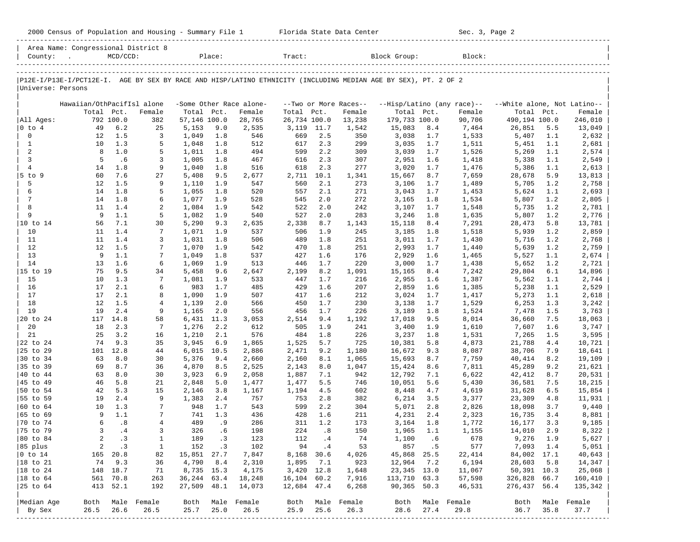|                      | 2000 Census of Population and Housing - Summary File 1 Florida State Data Center |                                  |                |                     |             |                                   |                     |            |                                 |                                                                                                                |            | Sec. 3, Page 2                       |                                           |            |                  |
|----------------------|----------------------------------------------------------------------------------|----------------------------------|----------------|---------------------|-------------|-----------------------------------|---------------------|------------|---------------------------------|----------------------------------------------------------------------------------------------------------------|------------|--------------------------------------|-------------------------------------------|------------|------------------|
|                      | Area Name: Congressional District 8<br>County: .                                 | $MCD/CCD$ :                      |                |                     |             | Place:                            | Tract:              |            |                                 | Block Group:                                                                                                   |            | Block:                               |                                           |            |                  |
| Universe: Persons    |                                                                                  |                                  |                |                     |             |                                   |                     |            |                                 | P12E-I/P13E-I/PCT12E-I. AGE BY SEX BY RACE AND HISP/LATINO ETHNICITY (INCLUDING MEDIAN AGE BY SEX), PT. 2 OF 2 |            |                                      |                                           |            |                  |
|                      |                                                                                  |                                  |                |                     |             |                                   |                     |            |                                 |                                                                                                                |            |                                      |                                           |            |                  |
|                      | Hawaiian/OthPacifIsl alone                                                       | Total Pct.                       | Female         | Total Pct.          |             | -Some Other Race alone-<br>Female | Total Pct.          |            | --Two or More Races--<br>Female | Total Pct.                                                                                                     |            | --Hisp/Latino (any race)--<br>Female | --White alone, Not Latino--<br>Total Pct. |            | Female           |
| All Ages:            |                                                                                  | 792 100.0                        | 382            | 57,146 100.0        |             | 28,765                            | 26,734 100.0        |            | 13,238                          | 179,733 100.0                                                                                                  |            | 90,706                               | 490,194 100.0                             |            | 246,010          |
| $0$ to $4$           | 49                                                                               | 6.2                              | 25             | 5,153               | 9.0         | 2,535                             | 3,119               | 11.7       | 1,542                           | 15,083                                                                                                         | 8.4        | 7,464                                | 26,851                                    | 5.5        | 13,049           |
| $\mathbf 0$          | 12                                                                               | 1.5                              | 3              | 1,049               | 1.8         | 546                               | 669                 | 2.5        | 350                             | 3,038                                                                                                          | 1.7        | 1,533                                | 5,407                                     | 1.1        | 2,632            |
| $\mathbf{1}$         | 10                                                                               | 1.3                              | 5              | 1,048               | 1.8         | 512                               | 617                 | 2.3        | 299                             | 3,035                                                                                                          | 1.7        | 1,511                                | 5,451                                     | 1.1        | 2,681            |
| 2<br>$\mathbf{3}$    | 8<br>5                                                                           | 1.0<br>.6                        | 5<br>3         | 1,011<br>1,005      | 1.8<br>1.8  | 494<br>467                        | 599<br>616          | 2.2<br>2.3 | 309<br>307                      | 3,039<br>2,951                                                                                                 | 1.7<br>1.6 | 1,526<br>1,418                       | 5,269<br>5,338                            | 1.1<br>1.1 | 2,574<br>2,549   |
| $\overline{4}$       | 14                                                                               | 1.8                              | 9              | 1,040               | 1.8         | 516                               | 618                 | 2.3        | 277                             | 3,020                                                                                                          | 1.7        | 1,476                                | 5,386                                     | 1.1        | 2,613            |
| 5 to 9               | 60                                                                               | 7.6                              | 27             | 5,408               | 9.5         | 2,677                             | 2,711               | 10.1       | 1,341                           | 15,667                                                                                                         | 8.7        | 7,659                                | 28,678                                    | 5.9        | 13,813           |
| 5                    | 12                                                                               | 1.5                              | 9              | 1,110               | 1.9         | 547                               | 560                 | 2.1        | 273                             | 3,106                                                                                                          | 1.7        | 1,489                                | 5,705                                     | 1.2        | 2,758            |
| 6                    | 14                                                                               | 1.8                              | 5              | 1,055               | 1.8         | 520                               | 557                 | 2.1        | 271                             | 3,043                                                                                                          | 1.7        | 1,453                                | 5,624                                     | 1.1        | 2,693            |
| 7<br>8               | 14<br>11                                                                         | 1.8                              | 6              | 1,077               | 1.9         | 528                               | 545                 | 2.0        | 272                             | 3,165                                                                                                          | 1.8        | 1,534                                | 5,807                                     | 1.2        | 2,805            |
| 9                    | 9                                                                                | 1.4<br>1.1                       | 2<br>5         | 1,084<br>1,082      | 1.9<br>1.9  | 542<br>540                        | 522<br>527          | 2.0<br>2.0 | 242<br>283                      | 3,107<br>3,246                                                                                                 | 1.7<br>1.8 | 1,548<br>1,635                       | 5,735<br>5,807                            | 1.2<br>1.2 | 2,781<br>2,776   |
| 10 to 14             | 56                                                                               | 7.1                              | 30             | 5,290               | 9.3         | 2,635                             | 2,338               | 8.7        | 1,143                           | 15,118                                                                                                         | 8.4        | 7,291                                | 28,473                                    | 5.8        | 13,781           |
| 10                   | 11                                                                               | 1.4                              | 7              | 1,071               | 1.9         | 537                               | 506                 | 1.9        | 245                             | 3,185                                                                                                          | 1.8        | 1,518                                | 5,939                                     | 1.2        | 2,859            |
| 11                   | 11                                                                               | 1.4                              | 3              | 1,031               | 1.8         | 506                               | 489                 | 1.8        | 251                             | 3,011                                                                                                          | 1.7        | 1,430                                | 5,716                                     | 1.2        | 2,768            |
| 12                   | 12                                                                               | 1.5                              | 7              | 1,070               | 1.9         | 542                               | 470                 | 1.8        | 251                             | 2,993                                                                                                          | 1.7        | 1,440                                | 5,639                                     | 1.2        | 2,759            |
| 13<br>14             | 9<br>13                                                                          | 1.1<br>1.6                       | 7<br>6         | 1,049<br>1,069      | 1.8<br>1.9  | 537<br>513                        | 427<br>446          | 1.6<br>1.7 | 176<br>220                      | 2,929<br>3,000                                                                                                 | 1.6<br>1.7 | 1,465<br>1,438                       | 5,527<br>5,652                            | 1.1<br>1.2 | 2,674<br>2,721   |
| 15 to 19             | 75                                                                               | 9.5                              | 34             | 5,458               | 9.6         | 2,647                             | 2,199               | 8.2        | 1,091                           | 15,165                                                                                                         | 8.4        | 7,242                                | 29,804                                    | 6.1        | 14,896           |
| 15                   | 10                                                                               | 1.3                              | 7              | 1,081               | 1.9         | 533                               | 447                 | 1.7        | 216                             | 2,955                                                                                                          | 1.6        | 1,387                                | 5,562                                     | 1.1        | 2,744            |
| 16                   | 17                                                                               | 2.1                              | 6              | 983                 | 1.7         | 485                               | 429                 | 1.6        | 207                             | 2,859                                                                                                          | 1.6        | 1,385                                | 5,238                                     | 1.1        | 2,529            |
| 17                   | 17                                                                               | 2.1                              | 8              | 1,090               | 1.9         | 507                               | 417                 | 1.6        | 212                             | 3,024                                                                                                          | 1.7        | 1,417                                | 5,273                                     | 1.1        | 2,618            |
| 18<br>19             | 12<br>19                                                                         | 1.5<br>2.4                       | 4<br>9         | 1,139               | 2.0         | 566                               | 450                 | 1.7        | 230                             | 3,138                                                                                                          | 1.7        | 1,529                                | 6,253                                     | 1.3        | 3,242            |
| 20 to 24             | 117                                                                              | 14.8                             | 58             | 1,165<br>6,431      | 2.0<br>11.3 | 556<br>3,053                      | 456<br>2,514        | 1.7<br>9.4 | 226<br>1,192                    | 3,189<br>17,018                                                                                                | 1.8<br>9.5 | 1,524<br>8,014                       | 7,478<br>36,660                           | 1.5<br>7.5 | 3,763<br>18,063  |
| 20                   | 18                                                                               | 2.3                              | 7              | 1,276               | 2.2         | 612                               | 505                 | 1.9        | 241                             | 3,400                                                                                                          | 1.9        | 1,610                                | 7,607                                     | 1.6        | 3,747            |
| 21                   | 25                                                                               | 3.2                              | 16             | 1,210               | 2.1         | 576                               | 484                 | 1.8        | 226                             | 3,237                                                                                                          | 1.8        | 1,531                                | 7,265                                     | 1.5        | 3,595            |
| 22 to 24             | 74                                                                               | 9.3                              | 35             | 3,945               | 6.9         | 1,865                             | 1,525               | 5.7        | 725                             | 10,381                                                                                                         | 5.8        | 4,873                                | 21,788                                    | 4.4        | 10,721           |
| 25 to 29             | 101                                                                              | 12.8                             | 44             | 6,015               | 10.5        | 2,886                             | 2,471               | 9.2        | 1,180                           | 16,672                                                                                                         | 9.3        | 8,087                                | 38,706                                    | 7.9        | 18,641           |
| 30 to 34<br>35 to 39 | 63<br>69                                                                         | 8.0<br>8.7                       | 30<br>36       | 5,376<br>4,870      | 9.4<br>8.5  | 2,660<br>2,525                    | 2,160<br>2,143      | 8.1<br>8.0 | 1,065<br>1,047                  | 15,693<br>15,424                                                                                               | 8.7<br>8.6 | 7,759<br>7,811                       | 40,414<br>45,289                          | 8.2<br>9.2 | 19,109<br>21,621 |
| 40 to 44             | 63                                                                               | 8.0                              | 30             | 3,923               | 6.9         | 2,058                             | 1,887               | 7.1        | 942                             | 12,792                                                                                                         | 7.1        | 6,622                                | 42,412                                    | 8.7        | 20,531           |
| 45 to 49             | 46                                                                               | 5.8                              | 21             | 2,848               | 5.0         | 1,477                             | 1,477               | 5.5        | 746                             | 10,051                                                                                                         | 5.6        | 5,430                                | 36,581                                    | 7.5        | 18,215           |
| 50 to 54             | 42                                                                               | 5.3                              | 15             | 2,146               | 3.8         | 1,167                             | 1,194               | 4.5        | 602                             | 8,448                                                                                                          | 4.7        | 4,619                                | 31,628                                    | 6.5        | 15,854           |
| 55 to 59             | 19                                                                               | 2.4                              | 9              | 1,383               | 2.4         | 757                               | 753                 | 2.8        | 382                             | 6,214                                                                                                          | 3.5        | 3,377                                | 23,309                                    | 4.8        | 11,931           |
| 60 to 64<br>65 to 69 | 10<br>9                                                                          | 1.3<br>1.1                       | 7<br>7         | 948<br>741          | 1.7<br>1.3  | 543<br>436                        | 599<br>428          | 2.2<br>1.6 | 304<br>211                      | 5,071<br>4,231                                                                                                 | 2.8<br>2.4 | 2,826<br>2,323                       | 18,098<br>16,735                          | 3.7<br>3.4 | 9,440<br>8,881   |
| 70 to 74             |                                                                                  | 6<br>$\overline{\phantom{0}}$ .8 | $\overline{4}$ | 489                 | .9          | 286                               |                     | 311 1.2    | 173                             | 3,164 1.8                                                                                                      |            | 1,772                                | 16,177                                    | 3.3        | 9,185            |
| 75 to 79             | 3                                                                                | .4                               | 3              | 326                 | .6          | 198                               | 224                 | .8         | 150                             | 1,965                                                                                                          | 1.1        | 1,155                                | 14,010                                    | 2.9        | 8,322            |
| 80 to 84             | $\mathbf{2}$                                                                     | .3                               | $\mathbf{1}$   | 189                 | .3          | 123                               | 112                 | .4         | 74                              | 1,100                                                                                                          | .6         | 678                                  | 9,276                                     | 1.9        | 5,627            |
| 85 plus              | 2                                                                                | .3                               | $\mathbf{1}$   | 152                 | .3          | 102                               | 94                  | .4         | 53                              | 857                                                                                                            | .5         | 577                                  | 7,093                                     | 1.4        | 5,051            |
| $0$ to $14$          | 165                                                                              | 20.8                             | 82             | 15,851              | 27.7        | 7,847                             | 8,168               | 30.6       | 4,026                           | 45,868                                                                                                         | 25.5       | 22,414                               | 84,002 17.1                               |            | 40,643           |
| 18 to 21<br>18 to 24 | 74<br>148                                                                        | 9.3<br>18.7                      | 36<br>71       | 4,790<br>8,735 15.3 | 8.4         | 2,310<br>4,175                    | 1,895<br>3,420 12.8 | 7.1        | 923<br>1,648                    | 12,964<br>23,345 13.0                                                                                          | 7.2        | 6,194<br>11,067                      | 28,603<br>50,391 10.3                     | 5.8        | 14,347<br>25,068 |
| 18 to 64             | 561                                                                              | 70.8                             | 263            | 36, 244 63.4        |             | 18,248                            | 16,104 60.2         |            | 7,916                           | 113,710 63.3                                                                                                   |            | 57,598                               | 326,828 66.7                              |            | 160,410          |
| 25 to 64             | 413                                                                              | 52.1                             | 192            | 27,509              | 48.1        | 14,073                            | 12,684 47.4         |            | 6,268                           | 90,365 50.3                                                                                                    |            | 46,531                               | 276,437 56.4                              |            | 135,342          |
|                      |                                                                                  |                                  |                |                     |             |                                   |                     |            |                                 |                                                                                                                |            |                                      |                                           |            |                  |
| Median Age           | Both                                                                             |                                  | Male Female    | Both                |             | Male Female                       | Both                |            | Male Female                     | Both                                                                                                           |            | Male Female                          | Both                                      |            | Male Female      |
| By Sex               | 26.5                                                                             | 26.6                             | 26.5           | 25.7                | 25.0        | 26.5                              | 25.9                | 25.6       | 26.3<br>---------------         | 28.6                                                                                                           | 27.4       | 29.8                                 | 36.7                                      | 35.8       | 37.7             |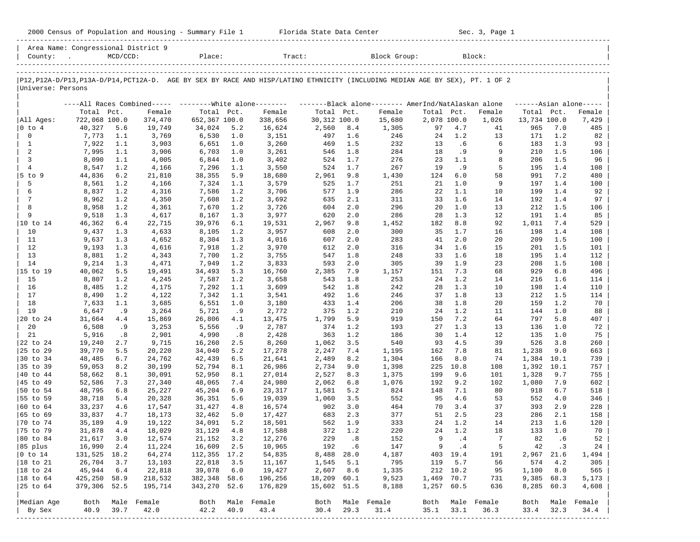| 2000 Census of Population and Housing - Summary File 1 Florida State Data Center |                                     |              |                  |                  |                                    |                                                                                                                                                                                                                                                                                                                                                                                                                                                                                                            |              |                               |             |             |            | Sec. 3, Page 1 |              |            |                     |
|----------------------------------------------------------------------------------|-------------------------------------|--------------|------------------|------------------|------------------------------------|------------------------------------------------------------------------------------------------------------------------------------------------------------------------------------------------------------------------------------------------------------------------------------------------------------------------------------------------------------------------------------------------------------------------------------------------------------------------------------------------------------|--------------|-------------------------------|-------------|-------------|------------|----------------|--------------|------------|---------------------|
|                                                                                  | Area Name: Congressional District 9 |              |                  |                  |                                    | $\begin{tabular}{ l } \hline \multicolumn{1}{c}{\text{Country:}} & \multicolumn{1}{c}{\text{MCD/CCD}} & \multicolumn{1}{c}{\text{Place:}} & \multicolumn{1}{c}{\text{Trace}} \\ \hline \multicolumn{1}{c}{\text{1}} & \multicolumn{1}{c}{\text{Place:}} & \multicolumn{1}{c}{\text{Stock Group:}} & \multicolumn{1}{c}{\text{Block:}} \\ \hline \multicolumn{1}{c}{\text{1}} & \multicolumn{1}{c}{\text{MCD/CCD}} & \multicolumn{1}{c}{\text{Place:}} & \multicolumn{1}{c}{\text{Place:}} & \multicolumn{$ |              |                               |             |             |            |                |              |            |                     |
| Universe: Persons                                                                |                                     |              |                  |                  |                                    | P12, P12A-D/P13, P13A-D/P14, PCT12A-D. AGE BY SEX BY RACE AND HISP/LATINO ETHNICITY (INCLUDING MEDIAN AGE BY SEX), PT. 1 OF 2                                                                                                                                                                                                                                                                                                                                                                              |              |                               |             |             |            |                |              |            |                     |
|                                                                                  |                                     |              |                  |                  |                                    | ----All Races Combined----- --------White alone-------- --------Black alone-------- AmerInd/NatAlaskan alone                                                                                                                                                                                                                                                                                                                                                                                               |              |                               |             |             |            |                |              |            | $---Asian alone---$ |
|                                                                                  | Total Pct.                          |              | Female           | Total Pct.       |                                    | Female                                                                                                                                                                                                                                                                                                                                                                                                                                                                                                     | Total Pct.   |                               | Female      | Total Pct.  |            | Female         | Total Pct.   |            | Female              |
| All Ages:                                                                        | 722,068 100.0                       |              | 374,470          | 652,367 100.0    |                                    | 338,656                                                                                                                                                                                                                                                                                                                                                                                                                                                                                                    | 30,312 100.0 |                               | 15,680      | 2,078 100.0 |            | 1,026          | 13,734 100.0 |            | 7,429               |
| $0$ to $4$                                                                       | 40,327                              | 5.6          | 19,749           | 34,024           | 5.2                                | 16,624                                                                                                                                                                                                                                                                                                                                                                                                                                                                                                     | 2,560        | 8.4                           | 1,305       | 97          | 4.7        | 41             | 965          | 7.0        | 485                 |
| $\mathbf 0$                                                                      | 7,773                               | 1.1          | 3,769            | 6,530            | 1.0                                | 3,151                                                                                                                                                                                                                                                                                                                                                                                                                                                                                                      | 497          | 1.6                           | 246         | 24          | 1.2        | 13             | 171          | 1.2        | 82                  |
| $\mathbf{1}$                                                                     | 7,922                               | 1.1          | 3,903            | 6,651            | 1.0                                | 3,260                                                                                                                                                                                                                                                                                                                                                                                                                                                                                                      | 469          | 1.5                           | 232         | 13          | .6         | 6              | 183          | 1.3        | 93                  |
| 2<br>$\overline{3}$                                                              | 7,995<br>8,090                      | 1.1<br>1.1   | 3,906<br>4,005   | 6,703<br>6,844   | 1.0<br>1.0                         | 3,261<br>3,402                                                                                                                                                                                                                                                                                                                                                                                                                                                                                             | 546<br>524   | 1.8<br>1.7                    | 284<br>276  | 18<br>23    | .9<br>1.1  | 9<br>8         | 210<br>206   | 1.5<br>1.5 | 106<br>96           |
| $\overline{4}$                                                                   | 8,547                               | 1.2          | 4,166            | 7,296            | 1.1                                | 3,550                                                                                                                                                                                                                                                                                                                                                                                                                                                                                                      | 524          | 1.7                           | 267         | 19          | .9         | 5              | 195          | 1.4        | 108                 |
| $5$ to $9$                                                                       | 44,836                              | 6.2          | 21,810           | 38,355           | 5.9                                | 18,680                                                                                                                                                                                                                                                                                                                                                                                                                                                                                                     | 2,961        | 9.8                           | 1,430       | 124         | 6.0        | 58             | 991          | 7.2        | 480                 |
| 5                                                                                | 8,561                               | 1.2          | 4,166            | 7,324            | 1.1                                | 3,579                                                                                                                                                                                                                                                                                                                                                                                                                                                                                                      | 525          | 1.7                           | 251         | 21          | 1.0        | 9              | 197          | 1.4        | 100                 |
| 6                                                                                | 8,837                               | 1.2          | 4,316            | 7,586            | 1.2                                | 3,706                                                                                                                                                                                                                                                                                                                                                                                                                                                                                                      | 577          | 1.9                           | 286         | 22          | 1.1        | 10             | 199          | 1.4        | 92                  |
| $7\phantom{.0}$                                                                  | 8,962                               | 1.2          | 4,350            | 7,608            | 1.2                                | 3,692                                                                                                                                                                                                                                                                                                                                                                                                                                                                                                      | 635          | 2.1                           | 311         | 33          | 1.6        | 14             | 192          | 1.4        | 97                  |
| 8                                                                                | 8,958                               | 1.2          | 4,361            | 7,670            | 1.2                                | 3,726                                                                                                                                                                                                                                                                                                                                                                                                                                                                                                      | 604          | 2.0                           | 296         | 20          | 1.0        | 13             | 212          | 1.5        | 106                 |
| 9                                                                                | 9,518                               | 1.3          | 4,617            | 8,167            | 1.3                                | 3,977                                                                                                                                                                                                                                                                                                                                                                                                                                                                                                      | 620          | 2.0                           | 286         | 28          | 1.3        | 12             | 191          | 1.4        | 85                  |
| 10 to 14                                                                         | 46,362                              | 6.4          | 22,715           | 39,976           | 6.1                                | 19,531                                                                                                                                                                                                                                                                                                                                                                                                                                                                                                     | 2,967        | 9.8                           | 1,452       | 182         | 8.8        | 92             | 1,011        | 7.4        | 529                 |
| 10                                                                               | 9,437                               | 1.3          | 4,633            | 8,105            | 1.2                                | 3,957                                                                                                                                                                                                                                                                                                                                                                                                                                                                                                      | 608          | 2.0                           | 300         | 35          | 1.7        | 16             | 198          | 1.4        | 108                 |
| 11<br>12                                                                         | 9,637                               | 1.3<br>1.3   | 4,652            | 8,304            | 1.3<br>1.2                         | 4,016                                                                                                                                                                                                                                                                                                                                                                                                                                                                                                      | 607          | 2.0<br>2.0                    | 283<br>316  | 41<br>34    | 2.0<br>1.6 | 20<br>15       | 209          | 1.5<br>1.5 | 100<br>101          |
| 13                                                                               | 9,193<br>8,881                      | 1.2          | 4,616<br>4,343   | 7,918<br>7,700   | 1.2                                | 3,970<br>3,755                                                                                                                                                                                                                                                                                                                                                                                                                                                                                             | 612<br>547   | 1.8                           | 248         | 33          | 1.6        | 18             | 201<br>195   | 1.4        | 112                 |
| 14                                                                               | 9,214                               | 1.3          | 4,471            | 7,949            | 1.2                                | 3,833                                                                                                                                                                                                                                                                                                                                                                                                                                                                                                      | 593          | 2.0                           | 305         | 39          | 1.9        | 23             | 208          | 1.5        | 108                 |
| 15 to 19                                                                         | 40,062                              | 5.5          | 19,491           | 34,493           | 5.3                                | 16,760                                                                                                                                                                                                                                                                                                                                                                                                                                                                                                     | 2,385        | 7.9                           | 1,157       | 151         | 7.3        | 68             | 929          | 6.8        | 496                 |
| 15                                                                               | 8,807                               | 1.2          | 4,245            | 7,587            | 1.2                                | 3,658                                                                                                                                                                                                                                                                                                                                                                                                                                                                                                      | 543          | 1.8                           | 253         | 24          | 1.2        | 14             | 216          | 1.6        | 114                 |
| 16                                                                               | 8,485                               | 1.2          | 4,175            | 7,292            | 1.1                                | 3,609                                                                                                                                                                                                                                                                                                                                                                                                                                                                                                      | 542          | 1.8                           | 242         | 28          | 1.3        | 10             | 198          | 1.4        | 110                 |
| 17                                                                               | 8,490                               | 1.2          | 4,122            | 7,342            | 1.1                                | 3,541                                                                                                                                                                                                                                                                                                                                                                                                                                                                                                      | 492          | 1.6                           | 246         | 37          | 1.8        | 13             | 212          | 1.5        | 114                 |
| 18                                                                               | 7,633                               | 1.1          | 3,685            | 6,551            | 1.0                                | 3,180                                                                                                                                                                                                                                                                                                                                                                                                                                                                                                      | 433          | 1.4                           | 206         | 38          | 1.8        | 20             | 159          | 1.2        | 70                  |
| 19                                                                               | 6,647                               | .9           | 3,264            | 5,721            | .9                                 | 2,772                                                                                                                                                                                                                                                                                                                                                                                                                                                                                                      | 375          | 1.2                           | 210         | 24          | 1.2        | 11             | 144          | 1.0        | 88                  |
| 20 to 24                                                                         | 31,664                              | 4.4          | 15,869           | 26,806           | 4.1                                | 13,475                                                                                                                                                                                                                                                                                                                                                                                                                                                                                                     | 1,799        | 5.9                           | 919         | 150         | 7.2        | 64             | 797          | 5.8        | 407                 |
| 20                                                                               | 6,508                               | .9           | 3,253            | 5,556            | .9                                 | 2,787                                                                                                                                                                                                                                                                                                                                                                                                                                                                                                      | 374          | 1.2                           | 193         | 27          | 1.3        | 13             | 136          | 1.0        | 72                  |
| 21<br>22 to 24                                                                   | 5,916<br>19,240                     | .8<br>2.7    | 2,901<br>9,715   | 4,990<br>16,260  | $\overline{\phantom{0}}$ .8<br>2.5 | 2,428<br>8,260                                                                                                                                                                                                                                                                                                                                                                                                                                                                                             | 363<br>1,062 | 1.2<br>3.5                    | 186<br>540  | 30<br>93    | 1.4<br>4.5 | 12<br>39       | 135<br>526   | 1.0<br>3.8 | 75<br>260           |
| 25 to 29                                                                         | 39,770                              | 5.5          | 20,220           | 34,040           | 5.2                                | 17,278                                                                                                                                                                                                                                                                                                                                                                                                                                                                                                     | 2,247        | 7.4                           | 1,195       | 162         | 7.8        | 81             | 1,238        | 9.0        | 663                 |
| 30 to 34                                                                         | 48,485                              | 6.7          | 24,762           | 42,439           | 6.5                                | 21,641                                                                                                                                                                                                                                                                                                                                                                                                                                                                                                     | 2,489        | 8.2                           | 1,304       | 166         | 8.0        | 74             | 1,384 10.1   |            | 739                 |
| 35 to 39                                                                         | 59,053                              | 8.2          | 30,199           | 52,794           | 8.1                                | 26,986                                                                                                                                                                                                                                                                                                                                                                                                                                                                                                     | 2,734        | 9.0                           | 1,398       | 225         | 10.8       | 108            | 1,392 10.1   |            | 757                 |
| 40 to 44                                                                         | 58,662                              | 8.1          | 30,091           | 52,950           | 8.1                                | 27,014                                                                                                                                                                                                                                                                                                                                                                                                                                                                                                     | 2,527        | 8.3                           | 1,375       | 199         | 9.6        | 101            | 1,328        | 9.7        | 755                 |
| 45 to 49                                                                         | 52,586                              | 7.3          | 27,340           | 48,065           | 7.4                                | 24,980                                                                                                                                                                                                                                                                                                                                                                                                                                                                                                     | 2,062        | 6.8                           | 1,076       | 192         | 9.2        | 102            | 1,080        | 7.9        | 602                 |
| 50 to 54                                                                         | 48,795                              | 6.8          | 25,227           | 45,204           | 6.9                                | 23,317                                                                                                                                                                                                                                                                                                                                                                                                                                                                                                     | 1,581        | 5.2                           | 824         | 148         | 7.1        | 80             | 918          | 6.7        | 518                 |
| 55 to 59                                                                         | 38,718                              | 5.4          | 20,328           | 36,351           | 5.6                                | 19,039                                                                                                                                                                                                                                                                                                                                                                                                                                                                                                     | 1,060        | 3.5                           | 552         | 95          | 4.6        | 53             | 552          | 4.0        | 346                 |
| 60 to 64                                                                         | 33,237                              | 4.6          | 17,547           | 31,427           | 4.8                                | 16,574                                                                                                                                                                                                                                                                                                                                                                                                                                                                                                     | 902          | 3.0                           | 464         | 70          | 3.4        | 37             | 393          | 2.9        | 228                 |
| 65 to 69                                                                         | 33,837                              | 4.7          | 18,173           | 32,462           | 5.0                                | 17,427                                                                                                                                                                                                                                                                                                                                                                                                                                                                                                     | 683          | 2.3                           | 377         | 51          | 2.5        | 23             | 286          | 2.1        | 158                 |
| 70 to 74                                                                         | 35,189                              | 4.9          | 19,122           | 34,091           | 5.2                                | 18,501                                                                                                                                                                                                                                                                                                                                                                                                                                                                                                     | 562 1.9      |                               | 333         |             | 24 1.2     | 14             | 213          | 1.6        | 120                 |
| 75 to 79<br>80 to 84                                                             | 31,878<br>21,617                    | $4.4$<br>3.0 | 18,029<br>12,574 | 31,129<br>21,152 | 4.8<br>3.2                         | 17,588<br>12,276                                                                                                                                                                                                                                                                                                                                                                                                                                                                                           | 372<br>229   | 1.2<br>$\boldsymbol{\cdot}$ 8 | 220<br>152  | 24<br>9     | 1.2<br>.4  | 18<br>7        | 133<br>82    | 1.0<br>.6  | 70<br>52            |
| 85 plus                                                                          | 16,990                              | 2.4          | 11,224           | 16,609           | 2.5                                | 10,965                                                                                                                                                                                                                                                                                                                                                                                                                                                                                                     | 192          | .6                            | 147         | 9           | .4         | 5              | 42           | .3         | 24                  |
| $0$ to $14$                                                                      | 131,525 18.2                        |              | 64,274           | 112,355 17.2     |                                    | 54,835                                                                                                                                                                                                                                                                                                                                                                                                                                                                                                     | 8,488        | 28.0                          | 4,187       | 403         | 19.4       | 191            | 2,967        | 21.6       | 1,494               |
| 18 to 21                                                                         | 26,704                              | 3.7          | 13,103           | 22,818           | 3.5                                | 11,167                                                                                                                                                                                                                                                                                                                                                                                                                                                                                                     | 1,545        | 5.1                           | 795         | 119         | 5.7        | 56             | 574          | 4.2        | 305                 |
| 18 to 24                                                                         | 45,944                              | 6.4          | 22,818           | 39,078           | 6.0                                | 19,427                                                                                                                                                                                                                                                                                                                                                                                                                                                                                                     | 2,607        | 8.6                           | 1,335       | 212         | 10.2       | 95             | 1,100        | 8.0        | 565                 |
| 18 to 64                                                                         | 425,250                             | 58.9         | 218,532          | 382,348          | 58.6                               | 196,256                                                                                                                                                                                                                                                                                                                                                                                                                                                                                                    | 18,209       | 60.1                          | 9,523       | 1,469       | 70.7       | 731            | 9,385        | 68.3       | 5,173               |
| 25 to 64                                                                         | 379,306                             | 52.5         | 195,714          | 343,270          | 52.6                               | 176,829                                                                                                                                                                                                                                                                                                                                                                                                                                                                                                    | 15,602 51.5  |                               | 8,188       | 1,257 60.5  |            | 636            | 8,285        | 60.3       | 4,608               |
|                                                                                  |                                     |              |                  |                  |                                    |                                                                                                                                                                                                                                                                                                                                                                                                                                                                                                            |              |                               |             |             |            |                |              |            |                     |
| Median Age                                                                       | Both                                |              | Male Female      | Both             | 40.9                               | Male Female                                                                                                                                                                                                                                                                                                                                                                                                                                                                                                | Both         |                               | Male Female | Both        | Male       | Female         | Both         | Male       | Female              |
| By Sex                                                                           | 40.9                                | 39.7         | 42.0             | 42.2             |                                    | 43.4                                                                                                                                                                                                                                                                                                                                                                                                                                                                                                       | 30.4         | 29.3                          | 31.4        | 35.1        | 33.1       | 36.3           | 33.4         | 32.3       | 34.4                |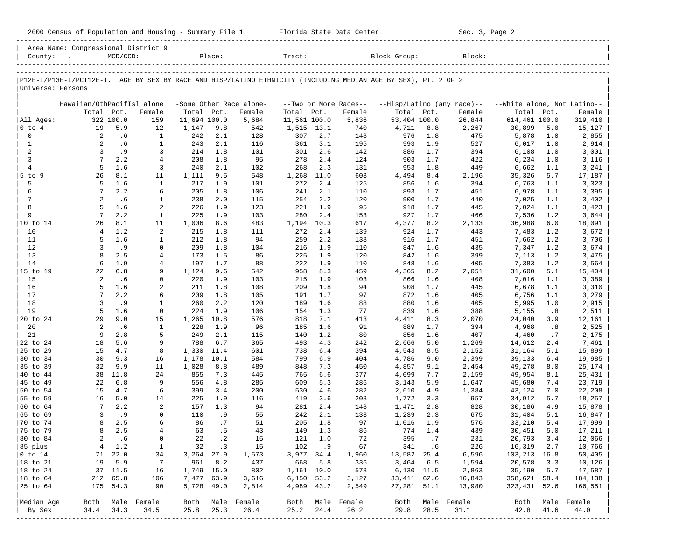|                              | 2000 Census of Population and Housing - Summary File 1 Florida State Data Center                               |                         |                    |                            |                          |                         |                            |                     |                               |                            |            | Sec. 3, Page 2             |                              |            |                              |
|------------------------------|----------------------------------------------------------------------------------------------------------------|-------------------------|--------------------|----------------------------|--------------------------|-------------------------|----------------------------|---------------------|-------------------------------|----------------------------|------------|----------------------------|------------------------------|------------|------------------------------|
|                              | Area Name: Congressional District 9<br>County:                                                                 | $MCD/CCD$ :             |                    |                            |                          | Place:                  | Tract:                     |                     |                               | Block Group:               |            | Block:                     |                              |            |                              |
| Universe: Persons            | P12E-I/P13E-I/PCT12E-I. AGE BY SEX BY RACE AND HISP/LATINO ETHNICITY (INCLUDING MEDIAN AGE BY SEX), PT. 2 OF 2 |                         |                    |                            |                          |                         |                            |                     |                               |                            |            |                            |                              |            |                              |
|                              |                                                                                                                |                         |                    |                            |                          |                         |                            |                     |                               |                            |            |                            |                              |            |                              |
|                              | Hawaiian/OthPacifIsl alone                                                                                     |                         |                    |                            |                          | -Some Other Race alone- |                            |                     | --Two or More Races--         |                            |            | --Hisp/Latino (any race)-- | --White alone, Not Latino--  |            |                              |
|                              |                                                                                                                | Total Pct.<br>322 100.0 | Female<br>159      | Total Pct.<br>11,694 100.0 |                          | Female                  | Total Pct.<br>11,561 100.0 |                     | Female<br>5,836               | Total Pct.<br>53,404 100.0 |            | Female<br>26,844           | Total Pct.<br>614,461 100.0  |            | Female                       |
| All Ages:<br>$0$ to $4$      | 19                                                                                                             | 5.9                     | 12                 | 1,147                      | 9.8                      | 5,684<br>542            | 1,515 13.1                 |                     | 740                           | 4,711                      | 8.8        | 2,267                      | 30,899                       | 5.0        | 319,410<br>15,127            |
| $\mathbf 0$                  | 2                                                                                                              | .6                      | $\mathbf{1}$       | 242                        | 2.1                      | 128                     | 307                        | 2.7                 | 148                           | 976                        | 1.8        | 475                        | 5,878                        | 1.0        | 2,855                        |
| $\mathbf{1}$                 | 2                                                                                                              | .6                      | 1                  | 243                        | 2.1                      | 116                     | 361                        | 3.1                 | 195                           | 993                        | 1.9        | 527                        | 6,017                        | 1.0        | 2,914                        |
| 2                            | 3                                                                                                              | .9                      | 3                  | 214                        | 1.8                      | 101                     | 301                        | 2.6                 | 142                           | 886                        | 1.7        | 394                        | 6,108                        | 1.0        | 3,001                        |
| $\overline{3}$               | $7\phantom{.0}$                                                                                                | 2.2                     | $\overline{4}$     | 208                        | 1.8                      | 95                      | 278                        | 2.4                 | 124                           | 903                        | 1.7        | 422                        | 6,234                        | 1.0        | 3,116                        |
| $\overline{4}$<br>$5$ to $9$ | 5<br>26                                                                                                        | 1.6<br>8.1              | 3<br>11            | 240<br>1,111               | 2.1<br>9.5               | 102<br>548              | 268<br>1,268               | 2.3<br>11.0         | 131<br>603                    | 953<br>4,494               | 1.8<br>8.4 | 449<br>2,196               | 6,662<br>35,326              | 1.1<br>5.7 | 3,241<br>17,187              |
| 5                            | 5                                                                                                              | 1.6                     | 1                  | 217                        | 1.9                      | 101                     | 272                        | 2.4                 | 125                           | 856                        | 1.6        | 394                        | 6,763                        | 1.1        | 3,323                        |
| 6                            | 7                                                                                                              | 2.2                     | 6                  | 205                        | 1.8                      | 106                     | 241                        | 2.1                 | 110                           | 893                        | 1.7        | 451                        | 6,978                        | 1.1        | 3,395                        |
| 7                            | 2                                                                                                              | .6                      | $\mathbf{1}$       | 238                        | 2.0                      | 115                     | 254                        | 2.2                 | 120                           | 900                        | 1.7        | 440                        | 7,025                        | 1.1        | 3,402                        |
| 8                            | 5                                                                                                              | 1.6                     | 2                  | 226                        | 1.9                      | 123                     | 221                        | 1.9                 | 95                            | 918                        | 1.7        | 445                        | 7,024                        | 1.1        | 3,423                        |
| 9<br>10 to 14                | $7\phantom{.0}$<br>26                                                                                          | 2.2<br>8.1              | 1<br>11            | 225<br>1,006               | 1.9<br>8.6               | 103<br>483              | 280<br>1,194               | 2.4<br>10.3         | 153<br>617                    | 927<br>4,377               | 1.7<br>8.2 | 466<br>2,133               | 7,536<br>36,988              | 1.2<br>6.0 | 3,644                        |
| 10                           | 4                                                                                                              | 1.2                     | 2                  | 215                        | 1.8                      | 111                     | 272                        | 2.4                 | 139                           | 924                        | 1.7        | 443                        | 7,483                        | 1.2        | 18,091<br>3,672              |
| 11                           | 5                                                                                                              | 1.6                     | 1                  | 212                        | 1.8                      | 94                      | 259                        | 2.2                 | 138                           | 916                        | 1.7        | 451                        | 7,662                        | 1.2        | 3,706                        |
| 12                           | 3                                                                                                              | .9                      | $\Omega$           | 209                        | 1.8                      | 104                     | 216                        | 1.9                 | 110                           | 847                        | 1.6        | 435                        | 7,347                        | 1.2        | 3,674                        |
| 13                           | 8                                                                                                              | 2.5                     | 4                  | 173                        | 1.5                      | 86                      | 225                        | 1.9                 | 120                           | 842                        | 1.6        | 399                        | 7,113                        | 1.2        | 3,475                        |
| 14                           | 6<br>22                                                                                                        | 1.9<br>6.8              | 4                  | 197                        | 1.7                      | 88                      | 222                        | 1.9                 | 110                           | 848                        | 1.6        | 405                        | 7,383                        | 1.2        | 3,564                        |
| 15 to 19<br>15               | 2                                                                                                              | .6                      | 9<br>$\mathbf 0$   | 1,124<br>220               | 9.6<br>1.9               | 542<br>103              | 958<br>215                 | 8.3<br>1.9          | 459<br>103                    | 4,365<br>866               | 8.2<br>1.6 | 2,051<br>408               | 31,600<br>7,016              | 5.1<br>1.1 | 15,404<br>3,389              |
| 16                           | 5                                                                                                              | 1.6                     | 2                  | 211                        | 1.8                      | 108                     | 209                        | 1.8                 | 94                            | 908                        | 1.7        | 445                        | 6,678                        | 1.1        | 3,310                        |
| 17                           | 7                                                                                                              | 2.2                     | 6                  | 209                        | 1.8                      | 105                     | 191                        | 1.7                 | 97                            | 872                        | 1.6        | 405                        | 6,756                        | 1.1        | 3,279                        |
| 18                           | 3                                                                                                              | . 9                     | 1                  | 260                        | 2.2                      | 120                     | 189                        | 1.6                 | 88                            | 880                        | 1.6        | 405                        | 5,995                        | 1.0        | 2,915                        |
| 19                           | 5                                                                                                              | 1.6                     | $\mathbf 0$        | 224                        | 1.9                      | 106                     | 154                        | 1.3                 | 77                            | 839                        | 1.6        | 388                        | 5,155                        | .8         | 2,511                        |
| 20 to 24<br>20               | 29<br>2                                                                                                        | 9.0<br>.6               | 15<br>$\mathbf{1}$ | 1,265<br>228               | 10.8<br>1.9              | 576<br>96               | 818<br>185                 | 7.1<br>1.6          | 413<br>91                     | 4,411<br>889               | 8.3<br>1.7 | 2,070<br>394               | 24,040<br>4,968              | 3.9<br>.8  | 12,161<br>2,525              |
| 21                           | 9                                                                                                              | 2.8                     | 5                  | 249                        | 2.1                      | 115                     | 140                        | 1.2                 | 80                            | 856                        | 1.6        | 407                        | 4,460                        | .7         | 2,175                        |
| 22 to 24                     | 18                                                                                                             | 5.6                     | 9                  | 788                        | 6.7                      | 365                     | 493                        | 4.3                 | 242                           | 2,666                      | 5.0        | 1,269                      | 14,612                       | 2.4        | 7,461                        |
| 25 to 29                     | 15                                                                                                             | 4.7                     | 8                  | 1,330                      | 11.4                     | 601                     | 738                        | 6.4                 | 394                           | 4,543                      | 8.5        | 2,152                      | 31,164                       | 5.1        | 15,899                       |
| 30 to 34                     | 30                                                                                                             | 9.3                     | 16                 | 1,178                      | 10.1                     | 584                     | 799                        | 6.9                 | 404                           | 4,786                      | 9.0        | 2,399                      | 39,133                       | 6.4        | 19,985                       |
| 35 to 39<br>40 to 44         | 32                                                                                                             | 9.9<br>11.8             | 11<br>24           | 1,028                      | 8.8                      | 489                     | 848                        | 7.3<br>6.6          | 450                           | 4,857                      | 9.1        | 2,454                      | 49,278                       | 8.0        | 25,174                       |
| 45 to 49                     | 38<br>22                                                                                                       | 6.8                     | 9                  | 855<br>556                 | 7.3<br>4.8               | 445<br>285              | 765<br>609                 | 5.3                 | 377<br>286                    | 4,099<br>3,143             | 7.7<br>5.9 | 2,159<br>1,647             | 49,954<br>45,680             | 8.1<br>7.4 | 25,431<br>23,719             |
| 50 to 54                     | 15                                                                                                             | 4.7                     | 6                  | 399                        | 3.4                      | 200                     | 530                        | 4.6                 | 282                           | 2,610                      | 4.9        | 1,384                      | 43,124                       | 7.0        | 22,208                       |
| 55 to 59                     | 16                                                                                                             | 5.0                     | 14                 | 225                        | 1.9                      | 116                     | 419                        | 3.6                 | 208                           | 1,772                      | 3.3        | 957                        | 34,912                       | 5.7        | 18,257                       |
| 60 to 64                     | $7\overline{ }$                                                                                                | 2.2                     | 2                  | 157                        | 1.3                      | 94                      | 281                        | 2.4                 | 148                           | 1,471                      | 2.8        | 828                        | 30,186                       | 4.9        | 15,878                       |
| 65 to 69                     | $\overline{3}$                                                                                                 | .9                      | $\mathbf 0$        | 110                        | .9                       | 55                      | 242                        | 2.1                 | 133                           | 1,239                      | 2.3        | 675                        | 31,404                       | 5.1        | 16,847                       |
| 70 to 74<br>75 to 79         | 8                                                                                                              | 8<br>2.5<br>2.5         | 6<br>4             | 86<br>63                   | .7<br>.5                 | 51<br>43                | 149                        | $205 \t 1.8$<br>1.3 | 97<br>86                      | 1,016<br>774               | 1.9<br>1.4 | 576<br>439                 | 33,210<br>30,451             | 5.4<br>5.0 | 17,999<br>17,211             |
| 80 to 84                     | 2                                                                                                              | .6                      | 0                  | 22                         | $\cdot$ 2                | 15                      | 121                        | 1.0                 | 72                            | 395                        | .7         | 231                        | 20,793                       | 3.4        | 12,066                       |
| 85 plus                      | 4                                                                                                              | 1.2                     | $\mathbf{1}$       | 32                         | .3                       | 15                      | 102                        | .9                  | 67                            | 341                        | .6         | 226                        | 16,319                       | 2.7        | 10,766                       |
| $0$ to $14$                  | 71                                                                                                             | 22.0                    | 34                 | 3,264                      | 27.9                     | 1,573                   | 3,977 34.4                 |                     | 1,960                         | 13,582 25.4                |            | 6,596                      | 103,213 16.8                 |            | 50,405                       |
| 18 to 21                     | 19                                                                                                             | 5.9                     | 7                  | 961                        | 8.2                      | 437                     | 668                        | 5.8                 | 336                           | 3,464                      | 6.5        | 1,594                      | 20,578                       | 3.3        | 10,126                       |
| 18 to 24                     |                                                                                                                | 37 11.5                 | 16                 | 1,749 15.0                 |                          | 802                     | 1,161 10.0                 |                     | 578                           | 6,130 11.5                 |            | 2,863                      | 35,190                       | 5.7        | 17,587<br>184,138            |
| 18 to 64<br>25 to 64         | 212<br>175                                                                                                     | 65.8<br>54.3            | 106<br>90          |                            | 7,477 63.9<br>5,728 49.0 | 3,616<br>2,814          | 6,150 53.2<br>4,989        | 43.2                | 3,127<br>2,549                | 33,411 62.6<br>27,281 51.1 |            | 16,843<br>13,980           | 358,621 58.4<br>323,431 52.6 |            | 166,551                      |
|                              |                                                                                                                |                         |                    |                            |                          |                         |                            |                     |                               |                            |            |                            |                              |            |                              |
| Median Age                   | Both                                                                                                           |                         | Male Female        | Both                       |                          | Male Female             | Both                       |                     | Male Female                   | Both                       |            | Male Female                | Both                         |            | Male Female                  |
| By Sex                       | 34.4                                                                                                           | 34.3                    | 34.5               | 25.8                       | 25.3                     | 26.4                    | 25.2                       | 24.4                | 26.2<br>--------------------- | 29.8                       | 28.5       | 31.1                       | 42.8                         | 41.6       | 44.0<br>-------------------- |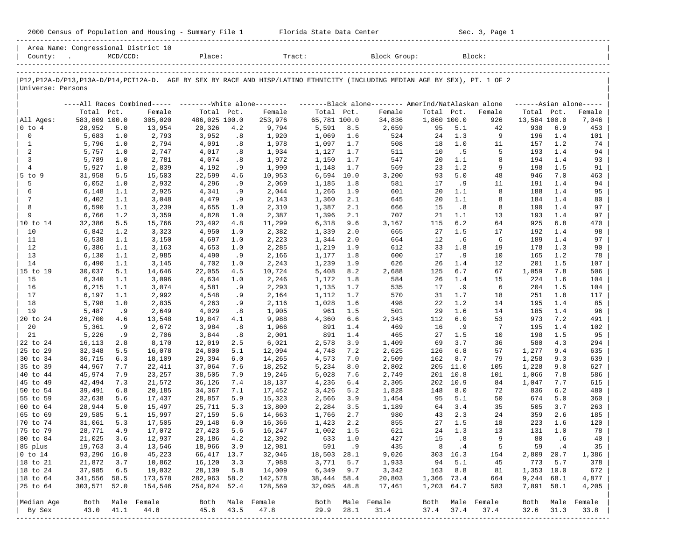| Area Name: Congressional District 10<br>$\begin{tabular}{ l } \hline \multicolumn{1}{c}{\text{Country:}} & \multicolumn{1}{c}{\text{MCD/CCD}} & \multicolumn{1}{c}{\text{Place:}} & \multicolumn{1}{c}{\text{Trace}} \\ \hline \multicolumn{1}{c}{\text{1}} & \multicolumn{1}{c}{\text{Place:}} & \multicolumn{1}{c}{\text{Stock Group:}} & \multicolumn{1}{c}{\text{Block:}} \\ \hline \multicolumn{1}{c}{\text{1}} & \multicolumn{1}{c}{\text{MCD/CCD}} & \multicolumn{1}{c}{\text{Place:}} & \multicolumn{1}{c}{\text{Place:}} & \multicolumn{$<br>P12, P12A-D/P13, P13A-D/P14, PCT12A-D. AGE BY SEX BY RACE AND HISP/LATINO ETHNICITY (INCLUDING MEDIAN AGE BY SEX), PT. 1 OF 2<br>Universe: Persons<br>----All Races Combined----- --------White alone-------- --------Black alone-------- AmerInd/NatAlaskan alone<br>$----Asian alone---$<br>Total Pct.<br>Total Pct.<br>Total Pct.<br>Total Pct.<br>Female<br>Female<br>Female<br>Female<br>Total Pct.<br>Female<br>583,809 100.0<br>305,020<br>486,025 100.0<br>253,976<br>65,781 100.0<br>34,836<br>1,860 100.0<br>All Ages:<br>926<br>13,584 100.0<br>7,046<br>$0$ to $4$<br>28,952<br>20,326<br>9,794<br>5,591<br>2,659<br>95<br>5.1<br>938<br>6.9<br>5.0<br>13,954<br>4.2<br>8.5<br>42<br>453<br>$\mathbf 0$<br>3,952<br>1.3<br>1.4<br>5,683<br>1.0<br>2,793<br>.8<br>1,920<br>1,069<br>1.6<br>524<br>9<br>196<br>101<br>24<br>$\mathbf{1}$<br>1.0<br>1.2<br>5,796<br>1.0<br>2,794<br>4,091<br>.8<br>1,978<br>1,097<br>1.7<br>508<br>18<br>11<br>157<br>74<br>2<br>.5<br>5<br>1.4<br>94<br>5,757<br>1.0<br>2,747<br>4,017<br>.8<br>1,934<br>1,127<br>1.7<br>511<br>10<br>193<br>$\overline{3}$<br>8<br>5,789<br>1.1<br>1.4<br>93<br>1.0<br>2,781<br>4,074<br>.8<br>1,972<br>1,150<br>1.7<br>547<br>20<br>194<br>$\overline{4}$<br>569<br>1.2<br>9<br>1.5<br>5,927<br>1.0<br>2,839<br>4,192<br>.9<br>1,990<br>1,148<br>1.7<br>23<br>198<br>91<br>$5$ to $9$<br>5.5<br>22,599<br>5.0<br>48<br>7.0<br>31,958<br>15,503<br>4.6<br>10,953<br>$6,594$ 10.0<br>3,200<br>93<br>946<br>463<br>5<br>.9<br>1.4<br>6,052<br>1.0<br>2,932<br>4,296<br>.9<br>2,069<br>1,185<br>1.8<br>581<br>17<br>11<br>191<br>94<br>8<br>6<br>1.1<br>1.9<br>601<br>1.1<br>1.4<br>95<br>6,148<br>2,925<br>4,341<br>2,044<br>1,266<br>20<br>188<br>.9<br>$7\phantom{.0}$<br>6,402<br>1.1<br>2.1<br>645<br>1.1<br>8<br>1.4<br>3,048<br>4,479<br>.9<br>2,143<br>1,360<br>20<br>184<br>80<br>8<br>8<br>6,590<br>1.1<br>2.1<br>666<br>15<br>.8<br>1.4<br>3,239<br>4,655<br>1.0<br>2,310<br>1,387<br>190<br>97<br>9<br>6,766<br>1.2<br>2,387<br>2.1<br>707<br>1.1<br>13<br>1.4<br>97<br>3,359<br>4,828<br>1.0<br>1,396<br>21<br>193<br>5.5<br>9.6<br>6.2<br>64<br>925<br>6.8<br>10 to 14<br>32,386<br>15,766<br>23,492<br>4.8<br>11,299<br>6,318<br>3,167<br>115<br>470<br>10<br>1.2<br>2.0<br>665<br>1.5<br>17<br>1.4<br>98<br>6,842<br>3,323<br>4,950<br>1.0<br>2,382<br>1,339<br>27<br>192<br>1.1<br>2.0<br>6<br>1.4<br>11<br>6,538<br>3,150<br>4,697<br>1.0<br>2,223<br>1,344<br>664<br>12<br>.6<br>189<br>97<br>12<br>1.1<br>1.9<br>33<br>1.8<br>19<br>1.3<br>6,386<br>3,163<br>4,653<br>2,285<br>1,219<br>612<br>178<br>90<br>1.0<br>13<br>2,166<br>600<br>10<br>1.2<br>6,130<br>1.1<br>2,985<br>4,490<br>.9<br>1,177<br>1.8<br>17<br>. 9<br>165<br>78<br>14<br>1.1<br>1.9<br>12<br>1.5<br>6,490<br>3,145<br>4,702<br>2,243<br>1,239<br>626<br>26<br>1.4<br>201<br>107<br>1.0<br>15 to 19<br>5.1<br>8.2<br>6.7<br>67<br>7.8<br>506<br>30,037<br>14,646<br>22,055<br>4.5<br>10,724<br>5,408<br>2,688<br>125<br>1,059<br>15<br>1.1<br>1.8<br>1.4<br>15<br>1.6<br>6,340<br>3,096<br>4,634<br>2,246<br>1,172<br>584<br>26<br>224<br>104<br>1.0<br>1.1<br>1.7<br>6<br>1.5<br>16<br>6,215<br>3,074<br>4,581<br>2,293<br>1,135<br>535<br>17<br>.9<br>204<br>104<br>.9<br>17<br>1.7<br>18<br>1.8<br>6,197<br>1.1<br>2,992<br>4,548<br>2,164<br>1,112<br>1.7<br>570<br>31<br>251<br>117<br>. 9<br>18<br>1.2<br>1.4<br>85<br>5,798<br>1.0<br>2,835<br>4,263<br>2,116<br>1,028<br>1.6<br>498<br>22<br>14<br>195<br>. 9<br>19<br>1.5<br>1.6<br>1.4<br>96<br>5,487<br>.9<br>2,649<br>4,029<br>.8<br>1,905<br>961<br>501<br>29<br>14<br>185<br>6.6<br>6.0<br>53<br>7.2<br>20 to 24<br>26,700<br>4.6<br>13,548<br>19,847<br>4.1<br>9,988<br>4,360<br>2,343<br>112<br>973<br>491<br>20<br>5,361<br>891<br>1.4<br>469<br>.9<br>1.4<br>.9<br>2,672<br>3,984<br>.8<br>1,966<br>16<br>7<br>195<br>102<br>21<br>5,226<br>3,844<br>1.4<br>465<br>1.5<br>1.5<br>95<br>.9<br>2,706<br>.8<br>2,001<br>891<br>27<br>10<br>198<br>12,019<br>3.9<br>3.7<br>36<br>4.3<br>294<br>22 to 24<br>16,113<br>2.8<br>8,170<br>2.5<br>6,021<br>2,578<br>1,409<br>69<br>580<br>25 to 29<br>5.5<br>5.1<br>7.2<br>2,625<br>6.8<br>9.4<br>32,348<br>16,078<br>24,800<br>12,094<br>4,748<br>126<br>57<br>1,277<br>635<br>36,715<br>6.3<br>7.0<br>2,509<br>8.7<br>9.3<br>639<br>30 to 34<br>18,109<br>29,394<br>6.0<br>14,265<br>4,573<br>162<br>79<br>1,258<br>7.7<br>7.6<br>8.0<br>205<br>9.0<br>627<br>35 to 39<br>44,967<br>22,411<br>37,064<br>18,252<br>5,234<br>2,802<br>11.0<br>105<br>1,228<br>7.9<br>23,257<br>38,505<br>7.6<br>2,749<br>10.8<br>7.8<br>40 to 44<br>45,974<br>7.9<br>19,246<br>5,028<br>201<br>101<br>1,066<br>586<br>7.3<br>36,126<br>$6.4$<br>2,305<br>10.9<br>7.7<br>45 to 49<br>42,494<br>21,572<br>7.4<br>18,137<br>4,236<br>202<br>84<br>1,047<br>615<br>39,491<br>6.8<br>7.1<br>5.2<br>1,828<br>8.0<br>72<br>836<br>6.2<br>480<br>50 to 54<br>20,185<br>34,367<br>17,452<br>3,426<br>148<br>5.6<br>28,857<br>5.9<br>5.1<br>50<br>5.0<br>55 to 59<br>32,638<br>17,437<br>15,323<br>2,566<br>3.9<br>1,454<br>95<br>674<br>360<br>25,711<br>5.3<br>3.5<br>3.4<br>35<br>3.7<br>263<br>60 to 64<br>28,944<br>5.0<br>15,497<br>13,800<br>2,284<br>1,189<br>64<br>505<br>2.6<br>5.1<br>5.6<br>2.7<br>980<br>2.3<br>24<br>359<br>185<br>65 to 69<br>29,585<br>15,997<br>27,159<br>14,663<br>1,766<br>43<br>5.3<br>6.0<br>2.2<br>855<br>$27 \quad 1.5$<br>18<br>223<br>1.6<br>120<br>70 to 74<br>31,061<br>17,505<br>29,148<br>16,366<br>1,423<br>17,072<br>27,423<br>75 to 79<br>28,771<br>4.9<br>5.6<br>16,247<br>621<br>1.3<br>13<br>78<br>1,002<br>1.5<br>24<br>131<br>1.0<br>$\boldsymbol{\mathsf{.}}\ 8$<br>80 to 84<br>21,025<br>12,937<br>20,186<br>4.2<br>633<br>1.0<br>427<br>15<br>80<br>.6<br>3.6<br>12,392<br>9<br>40<br>591<br>5<br>85 plus<br>19,763<br>13,546<br>18,966<br>3.9<br>.9<br>435<br>8<br>.4<br>59<br>.4<br>3.4<br>12,981<br>35<br>93,296 16.0<br>18,503<br>28.1<br>16.3<br>$0$ to $14$<br>45,223<br>66,417 13.7<br>32,046<br>9,026<br>303<br>154<br>2,809<br>20.7<br>1,386<br>21,872<br>16,120<br>7,988<br>3,771<br>94<br>5.1<br>45<br>773<br>5.7<br>378<br>18 to 21<br>3.7<br>10,862<br>3.3<br>5.7<br>1,933<br>37,985<br>28,139<br>5.8<br>14,009<br>6,349<br>9.7<br>163<br>8.8<br>1,353 10.0<br>18 to 24<br>6.5<br>19,032<br>3,342<br>81<br>672<br>18 to 64<br>282,963<br>73.4<br>9,244 68.1<br>341,556<br>58.5<br>173,578<br>58.2<br>142,578<br>38,444<br>58.4<br>20,803<br>1,366<br>664<br>4,877<br>254,824<br>32,095 48.8<br>7,891 58.1<br>25 to 64<br>303,571<br>52.0<br>154,546<br>52.4<br>128,569<br>17,461<br>1,203<br>64.7<br>583<br>4,205<br>Median Age<br>Male Female<br>Both<br>Male Female<br>Both<br>Male Female<br>Both<br>Male<br>Female<br>Male<br>Female<br>Both<br>Both<br>45.6<br>29.9<br>28.1<br>43.0<br>41.1<br>44.8<br>43.5<br>47.8<br>31.4<br>37.4<br>37.4<br>37.4<br>32.6<br>31.3<br>33.8<br>By Sex | 2000 Census of Population and Housing - Summary File 1 Florida State Data Center |  |  |  |  |  |  |  |  | Sec. 3, Page 1 |  |  |
|---------------------------------------------------------------------------------------------------------------------------------------------------------------------------------------------------------------------------------------------------------------------------------------------------------------------------------------------------------------------------------------------------------------------------------------------------------------------------------------------------------------------------------------------------------------------------------------------------------------------------------------------------------------------------------------------------------------------------------------------------------------------------------------------------------------------------------------------------------------------------------------------------------------------------------------------------------------------------------------------------------------------------------------------------------------------------------------------------------------------------------------------------------------------------------------------------------------------------------------------------------------------------------------------------------------------------------------------------------------------------------------------------------------------------------------------------------------------------------------------------------------------------------------------------------------------------------------------------------------------------------------------------------------------------------------------------------------------------------------------------------------------------------------------------------------------------------------------------------------------------------------------------------------------------------------------------------------------------------------------------------------------------------------------------------------------------------------------------------------------------------------------------------------------------------------------------------------------------------------------------------------------------------------------------------------------------------------------------------------------------------------------------------------------------------------------------------------------------------------------------------------------------------------------------------------------------------------------------------------------------------------------------------------------------------------------------------------------------------------------------------------------------------------------------------------------------------------------------------------------------------------------------------------------------------------------------------------------------------------------------------------------------------------------------------------------------------------------------------------------------------------------------------------------------------------------------------------------------------------------------------------------------------------------------------------------------------------------------------------------------------------------------------------------------------------------------------------------------------------------------------------------------------------------------------------------------------------------------------------------------------------------------------------------------------------------------------------------------------------------------------------------------------------------------------------------------------------------------------------------------------------------------------------------------------------------------------------------------------------------------------------------------------------------------------------------------------------------------------------------------------------------------------------------------------------------------------------------------------------------------------------------------------------------------------------------------------------------------------------------------------------------------------------------------------------------------------------------------------------------------------------------------------------------------------------------------------------------------------------------------------------------------------------------------------------------------------------------------------------------------------------------------------------------------------------------------------------------------------------------------------------------------------------------------------------------------------------------------------------------------------------------------------------------------------------------------------------------------------------------------------------------------------------------------------------------------------------------------------------------------------------------------------------------------------------------------------------------------------------------------------------------------------------------------------------------------------------------------------------------------------------------------------------------------------------------------------------------------------------------------------------------------------------------------------------------------------------------------------------------------------------------------------------------------------------------------------------------------------------------------------------------------------------------------------------------------------------------------------------------------------------------------------------------------------------------------------------------------------------------------------------------------------------------------------------------------------------------------------------------------------------------------------------------------------------------------------------------------------------------------------------------------------------------------------------------------------------------------------------------------------------------------------------------------------------------------------------------------------------------------------------------------------------------------------------------------------------------------------------------------------------------------------------------------------------------------------------------------------------------------------------------------------------------------------------------------------------------------------------------------------------------------------------------------------------------------------------------------------------------------------------------------------------------------------------------------------------------------------------------------------------------------------------------------------------------------------------------------------------------------------------------------------------------------------------------------------------------|----------------------------------------------------------------------------------|--|--|--|--|--|--|--|--|----------------|--|--|
|                                                                                                                                                                                                                                                                                                                                                                                                                                                                                                                                                                                                                                                                                                                                                                                                                                                                                                                                                                                                                                                                                                                                                                                                                                                                                                                                                                                                                                                                                                                                                                                                                                                                                                                                                                                                                                                                                                                                                                                                                                                                                                                                                                                                                                                                                                                                                                                                                                                                                                                                                                                                                                                                                                                                                                                                                                                                                                                                                                                                                                                                                                                                                                                                                                                                                                                                                                                                                                                                                                                                                                                                                                                                                                                                                                                                                                                                                                                                                                                                                                                                                                                                                                                                                                                                                                                                                                                                                                                                                                                                                                                                                                                                                                                                                                                                                                                                                                                                                                                                                                                                                                                                                                                                                                                                                                                                                                                                                                                                                                                                                                                                                                                                                                                                                                                                                                                                                                                                                                                                                                                                                                                                                                                                                                                                                                                                                                                                                                                                                                                                                                                                                                                                                                                                                                                                                                                                                                                                                                                                                                                                                                                                                                                                                                                                                                                                                                                                                                                                     |                                                                                  |  |  |  |  |  |  |  |  |                |  |  |
|                                                                                                                                                                                                                                                                                                                                                                                                                                                                                                                                                                                                                                                                                                                                                                                                                                                                                                                                                                                                                                                                                                                                                                                                                                                                                                                                                                                                                                                                                                                                                                                                                                                                                                                                                                                                                                                                                                                                                                                                                                                                                                                                                                                                                                                                                                                                                                                                                                                                                                                                                                                                                                                                                                                                                                                                                                                                                                                                                                                                                                                                                                                                                                                                                                                                                                                                                                                                                                                                                                                                                                                                                                                                                                                                                                                                                                                                                                                                                                                                                                                                                                                                                                                                                                                                                                                                                                                                                                                                                                                                                                                                                                                                                                                                                                                                                                                                                                                                                                                                                                                                                                                                                                                                                                                                                                                                                                                                                                                                                                                                                                                                                                                                                                                                                                                                                                                                                                                                                                                                                                                                                                                                                                                                                                                                                                                                                                                                                                                                                                                                                                                                                                                                                                                                                                                                                                                                                                                                                                                                                                                                                                                                                                                                                                                                                                                                                                                                                                                                     |                                                                                  |  |  |  |  |  |  |  |  |                |  |  |
|                                                                                                                                                                                                                                                                                                                                                                                                                                                                                                                                                                                                                                                                                                                                                                                                                                                                                                                                                                                                                                                                                                                                                                                                                                                                                                                                                                                                                                                                                                                                                                                                                                                                                                                                                                                                                                                                                                                                                                                                                                                                                                                                                                                                                                                                                                                                                                                                                                                                                                                                                                                                                                                                                                                                                                                                                                                                                                                                                                                                                                                                                                                                                                                                                                                                                                                                                                                                                                                                                                                                                                                                                                                                                                                                                                                                                                                                                                                                                                                                                                                                                                                                                                                                                                                                                                                                                                                                                                                                                                                                                                                                                                                                                                                                                                                                                                                                                                                                                                                                                                                                                                                                                                                                                                                                                                                                                                                                                                                                                                                                                                                                                                                                                                                                                                                                                                                                                                                                                                                                                                                                                                                                                                                                                                                                                                                                                                                                                                                                                                                                                                                                                                                                                                                                                                                                                                                                                                                                                                                                                                                                                                                                                                                                                                                                                                                                                                                                                                                                     |                                                                                  |  |  |  |  |  |  |  |  |                |  |  |
|                                                                                                                                                                                                                                                                                                                                                                                                                                                                                                                                                                                                                                                                                                                                                                                                                                                                                                                                                                                                                                                                                                                                                                                                                                                                                                                                                                                                                                                                                                                                                                                                                                                                                                                                                                                                                                                                                                                                                                                                                                                                                                                                                                                                                                                                                                                                                                                                                                                                                                                                                                                                                                                                                                                                                                                                                                                                                                                                                                                                                                                                                                                                                                                                                                                                                                                                                                                                                                                                                                                                                                                                                                                                                                                                                                                                                                                                                                                                                                                                                                                                                                                                                                                                                                                                                                                                                                                                                                                                                                                                                                                                                                                                                                                                                                                                                                                                                                                                                                                                                                                                                                                                                                                                                                                                                                                                                                                                                                                                                                                                                                                                                                                                                                                                                                                                                                                                                                                                                                                                                                                                                                                                                                                                                                                                                                                                                                                                                                                                                                                                                                                                                                                                                                                                                                                                                                                                                                                                                                                                                                                                                                                                                                                                                                                                                                                                                                                                                                                                     |                                                                                  |  |  |  |  |  |  |  |  |                |  |  |
|                                                                                                                                                                                                                                                                                                                                                                                                                                                                                                                                                                                                                                                                                                                                                                                                                                                                                                                                                                                                                                                                                                                                                                                                                                                                                                                                                                                                                                                                                                                                                                                                                                                                                                                                                                                                                                                                                                                                                                                                                                                                                                                                                                                                                                                                                                                                                                                                                                                                                                                                                                                                                                                                                                                                                                                                                                                                                                                                                                                                                                                                                                                                                                                                                                                                                                                                                                                                                                                                                                                                                                                                                                                                                                                                                                                                                                                                                                                                                                                                                                                                                                                                                                                                                                                                                                                                                                                                                                                                                                                                                                                                                                                                                                                                                                                                                                                                                                                                                                                                                                                                                                                                                                                                                                                                                                                                                                                                                                                                                                                                                                                                                                                                                                                                                                                                                                                                                                                                                                                                                                                                                                                                                                                                                                                                                                                                                                                                                                                                                                                                                                                                                                                                                                                                                                                                                                                                                                                                                                                                                                                                                                                                                                                                                                                                                                                                                                                                                                                                     |                                                                                  |  |  |  |  |  |  |  |  |                |  |  |
|                                                                                                                                                                                                                                                                                                                                                                                                                                                                                                                                                                                                                                                                                                                                                                                                                                                                                                                                                                                                                                                                                                                                                                                                                                                                                                                                                                                                                                                                                                                                                                                                                                                                                                                                                                                                                                                                                                                                                                                                                                                                                                                                                                                                                                                                                                                                                                                                                                                                                                                                                                                                                                                                                                                                                                                                                                                                                                                                                                                                                                                                                                                                                                                                                                                                                                                                                                                                                                                                                                                                                                                                                                                                                                                                                                                                                                                                                                                                                                                                                                                                                                                                                                                                                                                                                                                                                                                                                                                                                                                                                                                                                                                                                                                                                                                                                                                                                                                                                                                                                                                                                                                                                                                                                                                                                                                                                                                                                                                                                                                                                                                                                                                                                                                                                                                                                                                                                                                                                                                                                                                                                                                                                                                                                                                                                                                                                                                                                                                                                                                                                                                                                                                                                                                                                                                                                                                                                                                                                                                                                                                                                                                                                                                                                                                                                                                                                                                                                                                                     |                                                                                  |  |  |  |  |  |  |  |  |                |  |  |
|                                                                                                                                                                                                                                                                                                                                                                                                                                                                                                                                                                                                                                                                                                                                                                                                                                                                                                                                                                                                                                                                                                                                                                                                                                                                                                                                                                                                                                                                                                                                                                                                                                                                                                                                                                                                                                                                                                                                                                                                                                                                                                                                                                                                                                                                                                                                                                                                                                                                                                                                                                                                                                                                                                                                                                                                                                                                                                                                                                                                                                                                                                                                                                                                                                                                                                                                                                                                                                                                                                                                                                                                                                                                                                                                                                                                                                                                                                                                                                                                                                                                                                                                                                                                                                                                                                                                                                                                                                                                                                                                                                                                                                                                                                                                                                                                                                                                                                                                                                                                                                                                                                                                                                                                                                                                                                                                                                                                                                                                                                                                                                                                                                                                                                                                                                                                                                                                                                                                                                                                                                                                                                                                                                                                                                                                                                                                                                                                                                                                                                                                                                                                                                                                                                                                                                                                                                                                                                                                                                                                                                                                                                                                                                                                                                                                                                                                                                                                                                                                     |                                                                                  |  |  |  |  |  |  |  |  |                |  |  |
|                                                                                                                                                                                                                                                                                                                                                                                                                                                                                                                                                                                                                                                                                                                                                                                                                                                                                                                                                                                                                                                                                                                                                                                                                                                                                                                                                                                                                                                                                                                                                                                                                                                                                                                                                                                                                                                                                                                                                                                                                                                                                                                                                                                                                                                                                                                                                                                                                                                                                                                                                                                                                                                                                                                                                                                                                                                                                                                                                                                                                                                                                                                                                                                                                                                                                                                                                                                                                                                                                                                                                                                                                                                                                                                                                                                                                                                                                                                                                                                                                                                                                                                                                                                                                                                                                                                                                                                                                                                                                                                                                                                                                                                                                                                                                                                                                                                                                                                                                                                                                                                                                                                                                                                                                                                                                                                                                                                                                                                                                                                                                                                                                                                                                                                                                                                                                                                                                                                                                                                                                                                                                                                                                                                                                                                                                                                                                                                                                                                                                                                                                                                                                                                                                                                                                                                                                                                                                                                                                                                                                                                                                                                                                                                                                                                                                                                                                                                                                                                                     |                                                                                  |  |  |  |  |  |  |  |  |                |  |  |
|                                                                                                                                                                                                                                                                                                                                                                                                                                                                                                                                                                                                                                                                                                                                                                                                                                                                                                                                                                                                                                                                                                                                                                                                                                                                                                                                                                                                                                                                                                                                                                                                                                                                                                                                                                                                                                                                                                                                                                                                                                                                                                                                                                                                                                                                                                                                                                                                                                                                                                                                                                                                                                                                                                                                                                                                                                                                                                                                                                                                                                                                                                                                                                                                                                                                                                                                                                                                                                                                                                                                                                                                                                                                                                                                                                                                                                                                                                                                                                                                                                                                                                                                                                                                                                                                                                                                                                                                                                                                                                                                                                                                                                                                                                                                                                                                                                                                                                                                                                                                                                                                                                                                                                                                                                                                                                                                                                                                                                                                                                                                                                                                                                                                                                                                                                                                                                                                                                                                                                                                                                                                                                                                                                                                                                                                                                                                                                                                                                                                                                                                                                                                                                                                                                                                                                                                                                                                                                                                                                                                                                                                                                                                                                                                                                                                                                                                                                                                                                                                     |                                                                                  |  |  |  |  |  |  |  |  |                |  |  |
|                                                                                                                                                                                                                                                                                                                                                                                                                                                                                                                                                                                                                                                                                                                                                                                                                                                                                                                                                                                                                                                                                                                                                                                                                                                                                                                                                                                                                                                                                                                                                                                                                                                                                                                                                                                                                                                                                                                                                                                                                                                                                                                                                                                                                                                                                                                                                                                                                                                                                                                                                                                                                                                                                                                                                                                                                                                                                                                                                                                                                                                                                                                                                                                                                                                                                                                                                                                                                                                                                                                                                                                                                                                                                                                                                                                                                                                                                                                                                                                                                                                                                                                                                                                                                                                                                                                                                                                                                                                                                                                                                                                                                                                                                                                                                                                                                                                                                                                                                                                                                                                                                                                                                                                                                                                                                                                                                                                                                                                                                                                                                                                                                                                                                                                                                                                                                                                                                                                                                                                                                                                                                                                                                                                                                                                                                                                                                                                                                                                                                                                                                                                                                                                                                                                                                                                                                                                                                                                                                                                                                                                                                                                                                                                                                                                                                                                                                                                                                                                                     |                                                                                  |  |  |  |  |  |  |  |  |                |  |  |
|                                                                                                                                                                                                                                                                                                                                                                                                                                                                                                                                                                                                                                                                                                                                                                                                                                                                                                                                                                                                                                                                                                                                                                                                                                                                                                                                                                                                                                                                                                                                                                                                                                                                                                                                                                                                                                                                                                                                                                                                                                                                                                                                                                                                                                                                                                                                                                                                                                                                                                                                                                                                                                                                                                                                                                                                                                                                                                                                                                                                                                                                                                                                                                                                                                                                                                                                                                                                                                                                                                                                                                                                                                                                                                                                                                                                                                                                                                                                                                                                                                                                                                                                                                                                                                                                                                                                                                                                                                                                                                                                                                                                                                                                                                                                                                                                                                                                                                                                                                                                                                                                                                                                                                                                                                                                                                                                                                                                                                                                                                                                                                                                                                                                                                                                                                                                                                                                                                                                                                                                                                                                                                                                                                                                                                                                                                                                                                                                                                                                                                                                                                                                                                                                                                                                                                                                                                                                                                                                                                                                                                                                                                                                                                                                                                                                                                                                                                                                                                                                     |                                                                                  |  |  |  |  |  |  |  |  |                |  |  |
|                                                                                                                                                                                                                                                                                                                                                                                                                                                                                                                                                                                                                                                                                                                                                                                                                                                                                                                                                                                                                                                                                                                                                                                                                                                                                                                                                                                                                                                                                                                                                                                                                                                                                                                                                                                                                                                                                                                                                                                                                                                                                                                                                                                                                                                                                                                                                                                                                                                                                                                                                                                                                                                                                                                                                                                                                                                                                                                                                                                                                                                                                                                                                                                                                                                                                                                                                                                                                                                                                                                                                                                                                                                                                                                                                                                                                                                                                                                                                                                                                                                                                                                                                                                                                                                                                                                                                                                                                                                                                                                                                                                                                                                                                                                                                                                                                                                                                                                                                                                                                                                                                                                                                                                                                                                                                                                                                                                                                                                                                                                                                                                                                                                                                                                                                                                                                                                                                                                                                                                                                                                                                                                                                                                                                                                                                                                                                                                                                                                                                                                                                                                                                                                                                                                                                                                                                                                                                                                                                                                                                                                                                                                                                                                                                                                                                                                                                                                                                                                                     |                                                                                  |  |  |  |  |  |  |  |  |                |  |  |
|                                                                                                                                                                                                                                                                                                                                                                                                                                                                                                                                                                                                                                                                                                                                                                                                                                                                                                                                                                                                                                                                                                                                                                                                                                                                                                                                                                                                                                                                                                                                                                                                                                                                                                                                                                                                                                                                                                                                                                                                                                                                                                                                                                                                                                                                                                                                                                                                                                                                                                                                                                                                                                                                                                                                                                                                                                                                                                                                                                                                                                                                                                                                                                                                                                                                                                                                                                                                                                                                                                                                                                                                                                                                                                                                                                                                                                                                                                                                                                                                                                                                                                                                                                                                                                                                                                                                                                                                                                                                                                                                                                                                                                                                                                                                                                                                                                                                                                                                                                                                                                                                                                                                                                                                                                                                                                                                                                                                                                                                                                                                                                                                                                                                                                                                                                                                                                                                                                                                                                                                                                                                                                                                                                                                                                                                                                                                                                                                                                                                                                                                                                                                                                                                                                                                                                                                                                                                                                                                                                                                                                                                                                                                                                                                                                                                                                                                                                                                                                                                     |                                                                                  |  |  |  |  |  |  |  |  |                |  |  |
|                                                                                                                                                                                                                                                                                                                                                                                                                                                                                                                                                                                                                                                                                                                                                                                                                                                                                                                                                                                                                                                                                                                                                                                                                                                                                                                                                                                                                                                                                                                                                                                                                                                                                                                                                                                                                                                                                                                                                                                                                                                                                                                                                                                                                                                                                                                                                                                                                                                                                                                                                                                                                                                                                                                                                                                                                                                                                                                                                                                                                                                                                                                                                                                                                                                                                                                                                                                                                                                                                                                                                                                                                                                                                                                                                                                                                                                                                                                                                                                                                                                                                                                                                                                                                                                                                                                                                                                                                                                                                                                                                                                                                                                                                                                                                                                                                                                                                                                                                                                                                                                                                                                                                                                                                                                                                                                                                                                                                                                                                                                                                                                                                                                                                                                                                                                                                                                                                                                                                                                                                                                                                                                                                                                                                                                                                                                                                                                                                                                                                                                                                                                                                                                                                                                                                                                                                                                                                                                                                                                                                                                                                                                                                                                                                                                                                                                                                                                                                                                                     |                                                                                  |  |  |  |  |  |  |  |  |                |  |  |
|                                                                                                                                                                                                                                                                                                                                                                                                                                                                                                                                                                                                                                                                                                                                                                                                                                                                                                                                                                                                                                                                                                                                                                                                                                                                                                                                                                                                                                                                                                                                                                                                                                                                                                                                                                                                                                                                                                                                                                                                                                                                                                                                                                                                                                                                                                                                                                                                                                                                                                                                                                                                                                                                                                                                                                                                                                                                                                                                                                                                                                                                                                                                                                                                                                                                                                                                                                                                                                                                                                                                                                                                                                                                                                                                                                                                                                                                                                                                                                                                                                                                                                                                                                                                                                                                                                                                                                                                                                                                                                                                                                                                                                                                                                                                                                                                                                                                                                                                                                                                                                                                                                                                                                                                                                                                                                                                                                                                                                                                                                                                                                                                                                                                                                                                                                                                                                                                                                                                                                                                                                                                                                                                                                                                                                                                                                                                                                                                                                                                                                                                                                                                                                                                                                                                                                                                                                                                                                                                                                                                                                                                                                                                                                                                                                                                                                                                                                                                                                                                     |                                                                                  |  |  |  |  |  |  |  |  |                |  |  |
|                                                                                                                                                                                                                                                                                                                                                                                                                                                                                                                                                                                                                                                                                                                                                                                                                                                                                                                                                                                                                                                                                                                                                                                                                                                                                                                                                                                                                                                                                                                                                                                                                                                                                                                                                                                                                                                                                                                                                                                                                                                                                                                                                                                                                                                                                                                                                                                                                                                                                                                                                                                                                                                                                                                                                                                                                                                                                                                                                                                                                                                                                                                                                                                                                                                                                                                                                                                                                                                                                                                                                                                                                                                                                                                                                                                                                                                                                                                                                                                                                                                                                                                                                                                                                                                                                                                                                                                                                                                                                                                                                                                                                                                                                                                                                                                                                                                                                                                                                                                                                                                                                                                                                                                                                                                                                                                                                                                                                                                                                                                                                                                                                                                                                                                                                                                                                                                                                                                                                                                                                                                                                                                                                                                                                                                                                                                                                                                                                                                                                                                                                                                                                                                                                                                                                                                                                                                                                                                                                                                                                                                                                                                                                                                                                                                                                                                                                                                                                                                                     |                                                                                  |  |  |  |  |  |  |  |  |                |  |  |
|                                                                                                                                                                                                                                                                                                                                                                                                                                                                                                                                                                                                                                                                                                                                                                                                                                                                                                                                                                                                                                                                                                                                                                                                                                                                                                                                                                                                                                                                                                                                                                                                                                                                                                                                                                                                                                                                                                                                                                                                                                                                                                                                                                                                                                                                                                                                                                                                                                                                                                                                                                                                                                                                                                                                                                                                                                                                                                                                                                                                                                                                                                                                                                                                                                                                                                                                                                                                                                                                                                                                                                                                                                                                                                                                                                                                                                                                                                                                                                                                                                                                                                                                                                                                                                                                                                                                                                                                                                                                                                                                                                                                                                                                                                                                                                                                                                                                                                                                                                                                                                                                                                                                                                                                                                                                                                                                                                                                                                                                                                                                                                                                                                                                                                                                                                                                                                                                                                                                                                                                                                                                                                                                                                                                                                                                                                                                                                                                                                                                                                                                                                                                                                                                                                                                                                                                                                                                                                                                                                                                                                                                                                                                                                                                                                                                                                                                                                                                                                                                     |                                                                                  |  |  |  |  |  |  |  |  |                |  |  |
|                                                                                                                                                                                                                                                                                                                                                                                                                                                                                                                                                                                                                                                                                                                                                                                                                                                                                                                                                                                                                                                                                                                                                                                                                                                                                                                                                                                                                                                                                                                                                                                                                                                                                                                                                                                                                                                                                                                                                                                                                                                                                                                                                                                                                                                                                                                                                                                                                                                                                                                                                                                                                                                                                                                                                                                                                                                                                                                                                                                                                                                                                                                                                                                                                                                                                                                                                                                                                                                                                                                                                                                                                                                                                                                                                                                                                                                                                                                                                                                                                                                                                                                                                                                                                                                                                                                                                                                                                                                                                                                                                                                                                                                                                                                                                                                                                                                                                                                                                                                                                                                                                                                                                                                                                                                                                                                                                                                                                                                                                                                                                                                                                                                                                                                                                                                                                                                                                                                                                                                                                                                                                                                                                                                                                                                                                                                                                                                                                                                                                                                                                                                                                                                                                                                                                                                                                                                                                                                                                                                                                                                                                                                                                                                                                                                                                                                                                                                                                                                                     |                                                                                  |  |  |  |  |  |  |  |  |                |  |  |
|                                                                                                                                                                                                                                                                                                                                                                                                                                                                                                                                                                                                                                                                                                                                                                                                                                                                                                                                                                                                                                                                                                                                                                                                                                                                                                                                                                                                                                                                                                                                                                                                                                                                                                                                                                                                                                                                                                                                                                                                                                                                                                                                                                                                                                                                                                                                                                                                                                                                                                                                                                                                                                                                                                                                                                                                                                                                                                                                                                                                                                                                                                                                                                                                                                                                                                                                                                                                                                                                                                                                                                                                                                                                                                                                                                                                                                                                                                                                                                                                                                                                                                                                                                                                                                                                                                                                                                                                                                                                                                                                                                                                                                                                                                                                                                                                                                                                                                                                                                                                                                                                                                                                                                                                                                                                                                                                                                                                                                                                                                                                                                                                                                                                                                                                                                                                                                                                                                                                                                                                                                                                                                                                                                                                                                                                                                                                                                                                                                                                                                                                                                                                                                                                                                                                                                                                                                                                                                                                                                                                                                                                                                                                                                                                                                                                                                                                                                                                                                                                     |                                                                                  |  |  |  |  |  |  |  |  |                |  |  |
|                                                                                                                                                                                                                                                                                                                                                                                                                                                                                                                                                                                                                                                                                                                                                                                                                                                                                                                                                                                                                                                                                                                                                                                                                                                                                                                                                                                                                                                                                                                                                                                                                                                                                                                                                                                                                                                                                                                                                                                                                                                                                                                                                                                                                                                                                                                                                                                                                                                                                                                                                                                                                                                                                                                                                                                                                                                                                                                                                                                                                                                                                                                                                                                                                                                                                                                                                                                                                                                                                                                                                                                                                                                                                                                                                                                                                                                                                                                                                                                                                                                                                                                                                                                                                                                                                                                                                                                                                                                                                                                                                                                                                                                                                                                                                                                                                                                                                                                                                                                                                                                                                                                                                                                                                                                                                                                                                                                                                                                                                                                                                                                                                                                                                                                                                                                                                                                                                                                                                                                                                                                                                                                                                                                                                                                                                                                                                                                                                                                                                                                                                                                                                                                                                                                                                                                                                                                                                                                                                                                                                                                                                                                                                                                                                                                                                                                                                                                                                                                                     |                                                                                  |  |  |  |  |  |  |  |  |                |  |  |
|                                                                                                                                                                                                                                                                                                                                                                                                                                                                                                                                                                                                                                                                                                                                                                                                                                                                                                                                                                                                                                                                                                                                                                                                                                                                                                                                                                                                                                                                                                                                                                                                                                                                                                                                                                                                                                                                                                                                                                                                                                                                                                                                                                                                                                                                                                                                                                                                                                                                                                                                                                                                                                                                                                                                                                                                                                                                                                                                                                                                                                                                                                                                                                                                                                                                                                                                                                                                                                                                                                                                                                                                                                                                                                                                                                                                                                                                                                                                                                                                                                                                                                                                                                                                                                                                                                                                                                                                                                                                                                                                                                                                                                                                                                                                                                                                                                                                                                                                                                                                                                                                                                                                                                                                                                                                                                                                                                                                                                                                                                                                                                                                                                                                                                                                                                                                                                                                                                                                                                                                                                                                                                                                                                                                                                                                                                                                                                                                                                                                                                                                                                                                                                                                                                                                                                                                                                                                                                                                                                                                                                                                                                                                                                                                                                                                                                                                                                                                                                                                     |                                                                                  |  |  |  |  |  |  |  |  |                |  |  |
|                                                                                                                                                                                                                                                                                                                                                                                                                                                                                                                                                                                                                                                                                                                                                                                                                                                                                                                                                                                                                                                                                                                                                                                                                                                                                                                                                                                                                                                                                                                                                                                                                                                                                                                                                                                                                                                                                                                                                                                                                                                                                                                                                                                                                                                                                                                                                                                                                                                                                                                                                                                                                                                                                                                                                                                                                                                                                                                                                                                                                                                                                                                                                                                                                                                                                                                                                                                                                                                                                                                                                                                                                                                                                                                                                                                                                                                                                                                                                                                                                                                                                                                                                                                                                                                                                                                                                                                                                                                                                                                                                                                                                                                                                                                                                                                                                                                                                                                                                                                                                                                                                                                                                                                                                                                                                                                                                                                                                                                                                                                                                                                                                                                                                                                                                                                                                                                                                                                                                                                                                                                                                                                                                                                                                                                                                                                                                                                                                                                                                                                                                                                                                                                                                                                                                                                                                                                                                                                                                                                                                                                                                                                                                                                                                                                                                                                                                                                                                                                                     |                                                                                  |  |  |  |  |  |  |  |  |                |  |  |
|                                                                                                                                                                                                                                                                                                                                                                                                                                                                                                                                                                                                                                                                                                                                                                                                                                                                                                                                                                                                                                                                                                                                                                                                                                                                                                                                                                                                                                                                                                                                                                                                                                                                                                                                                                                                                                                                                                                                                                                                                                                                                                                                                                                                                                                                                                                                                                                                                                                                                                                                                                                                                                                                                                                                                                                                                                                                                                                                                                                                                                                                                                                                                                                                                                                                                                                                                                                                                                                                                                                                                                                                                                                                                                                                                                                                                                                                                                                                                                                                                                                                                                                                                                                                                                                                                                                                                                                                                                                                                                                                                                                                                                                                                                                                                                                                                                                                                                                                                                                                                                                                                                                                                                                                                                                                                                                                                                                                                                                                                                                                                                                                                                                                                                                                                                                                                                                                                                                                                                                                                                                                                                                                                                                                                                                                                                                                                                                                                                                                                                                                                                                                                                                                                                                                                                                                                                                                                                                                                                                                                                                                                                                                                                                                                                                                                                                                                                                                                                                                     |                                                                                  |  |  |  |  |  |  |  |  |                |  |  |
|                                                                                                                                                                                                                                                                                                                                                                                                                                                                                                                                                                                                                                                                                                                                                                                                                                                                                                                                                                                                                                                                                                                                                                                                                                                                                                                                                                                                                                                                                                                                                                                                                                                                                                                                                                                                                                                                                                                                                                                                                                                                                                                                                                                                                                                                                                                                                                                                                                                                                                                                                                                                                                                                                                                                                                                                                                                                                                                                                                                                                                                                                                                                                                                                                                                                                                                                                                                                                                                                                                                                                                                                                                                                                                                                                                                                                                                                                                                                                                                                                                                                                                                                                                                                                                                                                                                                                                                                                                                                                                                                                                                                                                                                                                                                                                                                                                                                                                                                                                                                                                                                                                                                                                                                                                                                                                                                                                                                                                                                                                                                                                                                                                                                                                                                                                                                                                                                                                                                                                                                                                                                                                                                                                                                                                                                                                                                                                                                                                                                                                                                                                                                                                                                                                                                                                                                                                                                                                                                                                                                                                                                                                                                                                                                                                                                                                                                                                                                                                                                     |                                                                                  |  |  |  |  |  |  |  |  |                |  |  |
|                                                                                                                                                                                                                                                                                                                                                                                                                                                                                                                                                                                                                                                                                                                                                                                                                                                                                                                                                                                                                                                                                                                                                                                                                                                                                                                                                                                                                                                                                                                                                                                                                                                                                                                                                                                                                                                                                                                                                                                                                                                                                                                                                                                                                                                                                                                                                                                                                                                                                                                                                                                                                                                                                                                                                                                                                                                                                                                                                                                                                                                                                                                                                                                                                                                                                                                                                                                                                                                                                                                                                                                                                                                                                                                                                                                                                                                                                                                                                                                                                                                                                                                                                                                                                                                                                                                                                                                                                                                                                                                                                                                                                                                                                                                                                                                                                                                                                                                                                                                                                                                                                                                                                                                                                                                                                                                                                                                                                                                                                                                                                                                                                                                                                                                                                                                                                                                                                                                                                                                                                                                                                                                                                                                                                                                                                                                                                                                                                                                                                                                                                                                                                                                                                                                                                                                                                                                                                                                                                                                                                                                                                                                                                                                                                                                                                                                                                                                                                                                                     |                                                                                  |  |  |  |  |  |  |  |  |                |  |  |
|                                                                                                                                                                                                                                                                                                                                                                                                                                                                                                                                                                                                                                                                                                                                                                                                                                                                                                                                                                                                                                                                                                                                                                                                                                                                                                                                                                                                                                                                                                                                                                                                                                                                                                                                                                                                                                                                                                                                                                                                                                                                                                                                                                                                                                                                                                                                                                                                                                                                                                                                                                                                                                                                                                                                                                                                                                                                                                                                                                                                                                                                                                                                                                                                                                                                                                                                                                                                                                                                                                                                                                                                                                                                                                                                                                                                                                                                                                                                                                                                                                                                                                                                                                                                                                                                                                                                                                                                                                                                                                                                                                                                                                                                                                                                                                                                                                                                                                                                                                                                                                                                                                                                                                                                                                                                                                                                                                                                                                                                                                                                                                                                                                                                                                                                                                                                                                                                                                                                                                                                                                                                                                                                                                                                                                                                                                                                                                                                                                                                                                                                                                                                                                                                                                                                                                                                                                                                                                                                                                                                                                                                                                                                                                                                                                                                                                                                                                                                                                                                     |                                                                                  |  |  |  |  |  |  |  |  |                |  |  |
|                                                                                                                                                                                                                                                                                                                                                                                                                                                                                                                                                                                                                                                                                                                                                                                                                                                                                                                                                                                                                                                                                                                                                                                                                                                                                                                                                                                                                                                                                                                                                                                                                                                                                                                                                                                                                                                                                                                                                                                                                                                                                                                                                                                                                                                                                                                                                                                                                                                                                                                                                                                                                                                                                                                                                                                                                                                                                                                                                                                                                                                                                                                                                                                                                                                                                                                                                                                                                                                                                                                                                                                                                                                                                                                                                                                                                                                                                                                                                                                                                                                                                                                                                                                                                                                                                                                                                                                                                                                                                                                                                                                                                                                                                                                                                                                                                                                                                                                                                                                                                                                                                                                                                                                                                                                                                                                                                                                                                                                                                                                                                                                                                                                                                                                                                                                                                                                                                                                                                                                                                                                                                                                                                                                                                                                                                                                                                                                                                                                                                                                                                                                                                                                                                                                                                                                                                                                                                                                                                                                                                                                                                                                                                                                                                                                                                                                                                                                                                                                                     |                                                                                  |  |  |  |  |  |  |  |  |                |  |  |
|                                                                                                                                                                                                                                                                                                                                                                                                                                                                                                                                                                                                                                                                                                                                                                                                                                                                                                                                                                                                                                                                                                                                                                                                                                                                                                                                                                                                                                                                                                                                                                                                                                                                                                                                                                                                                                                                                                                                                                                                                                                                                                                                                                                                                                                                                                                                                                                                                                                                                                                                                                                                                                                                                                                                                                                                                                                                                                                                                                                                                                                                                                                                                                                                                                                                                                                                                                                                                                                                                                                                                                                                                                                                                                                                                                                                                                                                                                                                                                                                                                                                                                                                                                                                                                                                                                                                                                                                                                                                                                                                                                                                                                                                                                                                                                                                                                                                                                                                                                                                                                                                                                                                                                                                                                                                                                                                                                                                                                                                                                                                                                                                                                                                                                                                                                                                                                                                                                                                                                                                                                                                                                                                                                                                                                                                                                                                                                                                                                                                                                                                                                                                                                                                                                                                                                                                                                                                                                                                                                                                                                                                                                                                                                                                                                                                                                                                                                                                                                                                     |                                                                                  |  |  |  |  |  |  |  |  |                |  |  |
|                                                                                                                                                                                                                                                                                                                                                                                                                                                                                                                                                                                                                                                                                                                                                                                                                                                                                                                                                                                                                                                                                                                                                                                                                                                                                                                                                                                                                                                                                                                                                                                                                                                                                                                                                                                                                                                                                                                                                                                                                                                                                                                                                                                                                                                                                                                                                                                                                                                                                                                                                                                                                                                                                                                                                                                                                                                                                                                                                                                                                                                                                                                                                                                                                                                                                                                                                                                                                                                                                                                                                                                                                                                                                                                                                                                                                                                                                                                                                                                                                                                                                                                                                                                                                                                                                                                                                                                                                                                                                                                                                                                                                                                                                                                                                                                                                                                                                                                                                                                                                                                                                                                                                                                                                                                                                                                                                                                                                                                                                                                                                                                                                                                                                                                                                                                                                                                                                                                                                                                                                                                                                                                                                                                                                                                                                                                                                                                                                                                                                                                                                                                                                                                                                                                                                                                                                                                                                                                                                                                                                                                                                                                                                                                                                                                                                                                                                                                                                                                                     |                                                                                  |  |  |  |  |  |  |  |  |                |  |  |
|                                                                                                                                                                                                                                                                                                                                                                                                                                                                                                                                                                                                                                                                                                                                                                                                                                                                                                                                                                                                                                                                                                                                                                                                                                                                                                                                                                                                                                                                                                                                                                                                                                                                                                                                                                                                                                                                                                                                                                                                                                                                                                                                                                                                                                                                                                                                                                                                                                                                                                                                                                                                                                                                                                                                                                                                                                                                                                                                                                                                                                                                                                                                                                                                                                                                                                                                                                                                                                                                                                                                                                                                                                                                                                                                                                                                                                                                                                                                                                                                                                                                                                                                                                                                                                                                                                                                                                                                                                                                                                                                                                                                                                                                                                                                                                                                                                                                                                                                                                                                                                                                                                                                                                                                                                                                                                                                                                                                                                                                                                                                                                                                                                                                                                                                                                                                                                                                                                                                                                                                                                                                                                                                                                                                                                                                                                                                                                                                                                                                                                                                                                                                                                                                                                                                                                                                                                                                                                                                                                                                                                                                                                                                                                                                                                                                                                                                                                                                                                                                     |                                                                                  |  |  |  |  |  |  |  |  |                |  |  |
|                                                                                                                                                                                                                                                                                                                                                                                                                                                                                                                                                                                                                                                                                                                                                                                                                                                                                                                                                                                                                                                                                                                                                                                                                                                                                                                                                                                                                                                                                                                                                                                                                                                                                                                                                                                                                                                                                                                                                                                                                                                                                                                                                                                                                                                                                                                                                                                                                                                                                                                                                                                                                                                                                                                                                                                                                                                                                                                                                                                                                                                                                                                                                                                                                                                                                                                                                                                                                                                                                                                                                                                                                                                                                                                                                                                                                                                                                                                                                                                                                                                                                                                                                                                                                                                                                                                                                                                                                                                                                                                                                                                                                                                                                                                                                                                                                                                                                                                                                                                                                                                                                                                                                                                                                                                                                                                                                                                                                                                                                                                                                                                                                                                                                                                                                                                                                                                                                                                                                                                                                                                                                                                                                                                                                                                                                                                                                                                                                                                                                                                                                                                                                                                                                                                                                                                                                                                                                                                                                                                                                                                                                                                                                                                                                                                                                                                                                                                                                                                                     |                                                                                  |  |  |  |  |  |  |  |  |                |  |  |
|                                                                                                                                                                                                                                                                                                                                                                                                                                                                                                                                                                                                                                                                                                                                                                                                                                                                                                                                                                                                                                                                                                                                                                                                                                                                                                                                                                                                                                                                                                                                                                                                                                                                                                                                                                                                                                                                                                                                                                                                                                                                                                                                                                                                                                                                                                                                                                                                                                                                                                                                                                                                                                                                                                                                                                                                                                                                                                                                                                                                                                                                                                                                                                                                                                                                                                                                                                                                                                                                                                                                                                                                                                                                                                                                                                                                                                                                                                                                                                                                                                                                                                                                                                                                                                                                                                                                                                                                                                                                                                                                                                                                                                                                                                                                                                                                                                                                                                                                                                                                                                                                                                                                                                                                                                                                                                                                                                                                                                                                                                                                                                                                                                                                                                                                                                                                                                                                                                                                                                                                                                                                                                                                                                                                                                                                                                                                                                                                                                                                                                                                                                                                                                                                                                                                                                                                                                                                                                                                                                                                                                                                                                                                                                                                                                                                                                                                                                                                                                                                     |                                                                                  |  |  |  |  |  |  |  |  |                |  |  |
|                                                                                                                                                                                                                                                                                                                                                                                                                                                                                                                                                                                                                                                                                                                                                                                                                                                                                                                                                                                                                                                                                                                                                                                                                                                                                                                                                                                                                                                                                                                                                                                                                                                                                                                                                                                                                                                                                                                                                                                                                                                                                                                                                                                                                                                                                                                                                                                                                                                                                                                                                                                                                                                                                                                                                                                                                                                                                                                                                                                                                                                                                                                                                                                                                                                                                                                                                                                                                                                                                                                                                                                                                                                                                                                                                                                                                                                                                                                                                                                                                                                                                                                                                                                                                                                                                                                                                                                                                                                                                                                                                                                                                                                                                                                                                                                                                                                                                                                                                                                                                                                                                                                                                                                                                                                                                                                                                                                                                                                                                                                                                                                                                                                                                                                                                                                                                                                                                                                                                                                                                                                                                                                                                                                                                                                                                                                                                                                                                                                                                                                                                                                                                                                                                                                                                                                                                                                                                                                                                                                                                                                                                                                                                                                                                                                                                                                                                                                                                                                                     |                                                                                  |  |  |  |  |  |  |  |  |                |  |  |
|                                                                                                                                                                                                                                                                                                                                                                                                                                                                                                                                                                                                                                                                                                                                                                                                                                                                                                                                                                                                                                                                                                                                                                                                                                                                                                                                                                                                                                                                                                                                                                                                                                                                                                                                                                                                                                                                                                                                                                                                                                                                                                                                                                                                                                                                                                                                                                                                                                                                                                                                                                                                                                                                                                                                                                                                                                                                                                                                                                                                                                                                                                                                                                                                                                                                                                                                                                                                                                                                                                                                                                                                                                                                                                                                                                                                                                                                                                                                                                                                                                                                                                                                                                                                                                                                                                                                                                                                                                                                                                                                                                                                                                                                                                                                                                                                                                                                                                                                                                                                                                                                                                                                                                                                                                                                                                                                                                                                                                                                                                                                                                                                                                                                                                                                                                                                                                                                                                                                                                                                                                                                                                                                                                                                                                                                                                                                                                                                                                                                                                                                                                                                                                                                                                                                                                                                                                                                                                                                                                                                                                                                                                                                                                                                                                                                                                                                                                                                                                                                     |                                                                                  |  |  |  |  |  |  |  |  |                |  |  |
|                                                                                                                                                                                                                                                                                                                                                                                                                                                                                                                                                                                                                                                                                                                                                                                                                                                                                                                                                                                                                                                                                                                                                                                                                                                                                                                                                                                                                                                                                                                                                                                                                                                                                                                                                                                                                                                                                                                                                                                                                                                                                                                                                                                                                                                                                                                                                                                                                                                                                                                                                                                                                                                                                                                                                                                                                                                                                                                                                                                                                                                                                                                                                                                                                                                                                                                                                                                                                                                                                                                                                                                                                                                                                                                                                                                                                                                                                                                                                                                                                                                                                                                                                                                                                                                                                                                                                                                                                                                                                                                                                                                                                                                                                                                                                                                                                                                                                                                                                                                                                                                                                                                                                                                                                                                                                                                                                                                                                                                                                                                                                                                                                                                                                                                                                                                                                                                                                                                                                                                                                                                                                                                                                                                                                                                                                                                                                                                                                                                                                                                                                                                                                                                                                                                                                                                                                                                                                                                                                                                                                                                                                                                                                                                                                                                                                                                                                                                                                                                                     |                                                                                  |  |  |  |  |  |  |  |  |                |  |  |
|                                                                                                                                                                                                                                                                                                                                                                                                                                                                                                                                                                                                                                                                                                                                                                                                                                                                                                                                                                                                                                                                                                                                                                                                                                                                                                                                                                                                                                                                                                                                                                                                                                                                                                                                                                                                                                                                                                                                                                                                                                                                                                                                                                                                                                                                                                                                                                                                                                                                                                                                                                                                                                                                                                                                                                                                                                                                                                                                                                                                                                                                                                                                                                                                                                                                                                                                                                                                                                                                                                                                                                                                                                                                                                                                                                                                                                                                                                                                                                                                                                                                                                                                                                                                                                                                                                                                                                                                                                                                                                                                                                                                                                                                                                                                                                                                                                                                                                                                                                                                                                                                                                                                                                                                                                                                                                                                                                                                                                                                                                                                                                                                                                                                                                                                                                                                                                                                                                                                                                                                                                                                                                                                                                                                                                                                                                                                                                                                                                                                                                                                                                                                                                                                                                                                                                                                                                                                                                                                                                                                                                                                                                                                                                                                                                                                                                                                                                                                                                                                     |                                                                                  |  |  |  |  |  |  |  |  |                |  |  |
|                                                                                                                                                                                                                                                                                                                                                                                                                                                                                                                                                                                                                                                                                                                                                                                                                                                                                                                                                                                                                                                                                                                                                                                                                                                                                                                                                                                                                                                                                                                                                                                                                                                                                                                                                                                                                                                                                                                                                                                                                                                                                                                                                                                                                                                                                                                                                                                                                                                                                                                                                                                                                                                                                                                                                                                                                                                                                                                                                                                                                                                                                                                                                                                                                                                                                                                                                                                                                                                                                                                                                                                                                                                                                                                                                                                                                                                                                                                                                                                                                                                                                                                                                                                                                                                                                                                                                                                                                                                                                                                                                                                                                                                                                                                                                                                                                                                                                                                                                                                                                                                                                                                                                                                                                                                                                                                                                                                                                                                                                                                                                                                                                                                                                                                                                                                                                                                                                                                                                                                                                                                                                                                                                                                                                                                                                                                                                                                                                                                                                                                                                                                                                                                                                                                                                                                                                                                                                                                                                                                                                                                                                                                                                                                                                                                                                                                                                                                                                                                                     |                                                                                  |  |  |  |  |  |  |  |  |                |  |  |
|                                                                                                                                                                                                                                                                                                                                                                                                                                                                                                                                                                                                                                                                                                                                                                                                                                                                                                                                                                                                                                                                                                                                                                                                                                                                                                                                                                                                                                                                                                                                                                                                                                                                                                                                                                                                                                                                                                                                                                                                                                                                                                                                                                                                                                                                                                                                                                                                                                                                                                                                                                                                                                                                                                                                                                                                                                                                                                                                                                                                                                                                                                                                                                                                                                                                                                                                                                                                                                                                                                                                                                                                                                                                                                                                                                                                                                                                                                                                                                                                                                                                                                                                                                                                                                                                                                                                                                                                                                                                                                                                                                                                                                                                                                                                                                                                                                                                                                                                                                                                                                                                                                                                                                                                                                                                                                                                                                                                                                                                                                                                                                                                                                                                                                                                                                                                                                                                                                                                                                                                                                                                                                                                                                                                                                                                                                                                                                                                                                                                                                                                                                                                                                                                                                                                                                                                                                                                                                                                                                                                                                                                                                                                                                                                                                                                                                                                                                                                                                                                     |                                                                                  |  |  |  |  |  |  |  |  |                |  |  |
|                                                                                                                                                                                                                                                                                                                                                                                                                                                                                                                                                                                                                                                                                                                                                                                                                                                                                                                                                                                                                                                                                                                                                                                                                                                                                                                                                                                                                                                                                                                                                                                                                                                                                                                                                                                                                                                                                                                                                                                                                                                                                                                                                                                                                                                                                                                                                                                                                                                                                                                                                                                                                                                                                                                                                                                                                                                                                                                                                                                                                                                                                                                                                                                                                                                                                                                                                                                                                                                                                                                                                                                                                                                                                                                                                                                                                                                                                                                                                                                                                                                                                                                                                                                                                                                                                                                                                                                                                                                                                                                                                                                                                                                                                                                                                                                                                                                                                                                                                                                                                                                                                                                                                                                                                                                                                                                                                                                                                                                                                                                                                                                                                                                                                                                                                                                                                                                                                                                                                                                                                                                                                                                                                                                                                                                                                                                                                                                                                                                                                                                                                                                                                                                                                                                                                                                                                                                                                                                                                                                                                                                                                                                                                                                                                                                                                                                                                                                                                                                                     |                                                                                  |  |  |  |  |  |  |  |  |                |  |  |
|                                                                                                                                                                                                                                                                                                                                                                                                                                                                                                                                                                                                                                                                                                                                                                                                                                                                                                                                                                                                                                                                                                                                                                                                                                                                                                                                                                                                                                                                                                                                                                                                                                                                                                                                                                                                                                                                                                                                                                                                                                                                                                                                                                                                                                                                                                                                                                                                                                                                                                                                                                                                                                                                                                                                                                                                                                                                                                                                                                                                                                                                                                                                                                                                                                                                                                                                                                                                                                                                                                                                                                                                                                                                                                                                                                                                                                                                                                                                                                                                                                                                                                                                                                                                                                                                                                                                                                                                                                                                                                                                                                                                                                                                                                                                                                                                                                                                                                                                                                                                                                                                                                                                                                                                                                                                                                                                                                                                                                                                                                                                                                                                                                                                                                                                                                                                                                                                                                                                                                                                                                                                                                                                                                                                                                                                                                                                                                                                                                                                                                                                                                                                                                                                                                                                                                                                                                                                                                                                                                                                                                                                                                                                                                                                                                                                                                                                                                                                                                                                     |                                                                                  |  |  |  |  |  |  |  |  |                |  |  |
|                                                                                                                                                                                                                                                                                                                                                                                                                                                                                                                                                                                                                                                                                                                                                                                                                                                                                                                                                                                                                                                                                                                                                                                                                                                                                                                                                                                                                                                                                                                                                                                                                                                                                                                                                                                                                                                                                                                                                                                                                                                                                                                                                                                                                                                                                                                                                                                                                                                                                                                                                                                                                                                                                                                                                                                                                                                                                                                                                                                                                                                                                                                                                                                                                                                                                                                                                                                                                                                                                                                                                                                                                                                                                                                                                                                                                                                                                                                                                                                                                                                                                                                                                                                                                                                                                                                                                                                                                                                                                                                                                                                                                                                                                                                                                                                                                                                                                                                                                                                                                                                                                                                                                                                                                                                                                                                                                                                                                                                                                                                                                                                                                                                                                                                                                                                                                                                                                                                                                                                                                                                                                                                                                                                                                                                                                                                                                                                                                                                                                                                                                                                                                                                                                                                                                                                                                                                                                                                                                                                                                                                                                                                                                                                                                                                                                                                                                                                                                                                                     |                                                                                  |  |  |  |  |  |  |  |  |                |  |  |
|                                                                                                                                                                                                                                                                                                                                                                                                                                                                                                                                                                                                                                                                                                                                                                                                                                                                                                                                                                                                                                                                                                                                                                                                                                                                                                                                                                                                                                                                                                                                                                                                                                                                                                                                                                                                                                                                                                                                                                                                                                                                                                                                                                                                                                                                                                                                                                                                                                                                                                                                                                                                                                                                                                                                                                                                                                                                                                                                                                                                                                                                                                                                                                                                                                                                                                                                                                                                                                                                                                                                                                                                                                                                                                                                                                                                                                                                                                                                                                                                                                                                                                                                                                                                                                                                                                                                                                                                                                                                                                                                                                                                                                                                                                                                                                                                                                                                                                                                                                                                                                                                                                                                                                                                                                                                                                                                                                                                                                                                                                                                                                                                                                                                                                                                                                                                                                                                                                                                                                                                                                                                                                                                                                                                                                                                                                                                                                                                                                                                                                                                                                                                                                                                                                                                                                                                                                                                                                                                                                                                                                                                                                                                                                                                                                                                                                                                                                                                                                                                     |                                                                                  |  |  |  |  |  |  |  |  |                |  |  |
|                                                                                                                                                                                                                                                                                                                                                                                                                                                                                                                                                                                                                                                                                                                                                                                                                                                                                                                                                                                                                                                                                                                                                                                                                                                                                                                                                                                                                                                                                                                                                                                                                                                                                                                                                                                                                                                                                                                                                                                                                                                                                                                                                                                                                                                                                                                                                                                                                                                                                                                                                                                                                                                                                                                                                                                                                                                                                                                                                                                                                                                                                                                                                                                                                                                                                                                                                                                                                                                                                                                                                                                                                                                                                                                                                                                                                                                                                                                                                                                                                                                                                                                                                                                                                                                                                                                                                                                                                                                                                                                                                                                                                                                                                                                                                                                                                                                                                                                                                                                                                                                                                                                                                                                                                                                                                                                                                                                                                                                                                                                                                                                                                                                                                                                                                                                                                                                                                                                                                                                                                                                                                                                                                                                                                                                                                                                                                                                                                                                                                                                                                                                                                                                                                                                                                                                                                                                                                                                                                                                                                                                                                                                                                                                                                                                                                                                                                                                                                                                                     |                                                                                  |  |  |  |  |  |  |  |  |                |  |  |
|                                                                                                                                                                                                                                                                                                                                                                                                                                                                                                                                                                                                                                                                                                                                                                                                                                                                                                                                                                                                                                                                                                                                                                                                                                                                                                                                                                                                                                                                                                                                                                                                                                                                                                                                                                                                                                                                                                                                                                                                                                                                                                                                                                                                                                                                                                                                                                                                                                                                                                                                                                                                                                                                                                                                                                                                                                                                                                                                                                                                                                                                                                                                                                                                                                                                                                                                                                                                                                                                                                                                                                                                                                                                                                                                                                                                                                                                                                                                                                                                                                                                                                                                                                                                                                                                                                                                                                                                                                                                                                                                                                                                                                                                                                                                                                                                                                                                                                                                                                                                                                                                                                                                                                                                                                                                                                                                                                                                                                                                                                                                                                                                                                                                                                                                                                                                                                                                                                                                                                                                                                                                                                                                                                                                                                                                                                                                                                                                                                                                                                                                                                                                                                                                                                                                                                                                                                                                                                                                                                                                                                                                                                                                                                                                                                                                                                                                                                                                                                                                     |                                                                                  |  |  |  |  |  |  |  |  |                |  |  |
|                                                                                                                                                                                                                                                                                                                                                                                                                                                                                                                                                                                                                                                                                                                                                                                                                                                                                                                                                                                                                                                                                                                                                                                                                                                                                                                                                                                                                                                                                                                                                                                                                                                                                                                                                                                                                                                                                                                                                                                                                                                                                                                                                                                                                                                                                                                                                                                                                                                                                                                                                                                                                                                                                                                                                                                                                                                                                                                                                                                                                                                                                                                                                                                                                                                                                                                                                                                                                                                                                                                                                                                                                                                                                                                                                                                                                                                                                                                                                                                                                                                                                                                                                                                                                                                                                                                                                                                                                                                                                                                                                                                                                                                                                                                                                                                                                                                                                                                                                                                                                                                                                                                                                                                                                                                                                                                                                                                                                                                                                                                                                                                                                                                                                                                                                                                                                                                                                                                                                                                                                                                                                                                                                                                                                                                                                                                                                                                                                                                                                                                                                                                                                                                                                                                                                                                                                                                                                                                                                                                                                                                                                                                                                                                                                                                                                                                                                                                                                                                                     |                                                                                  |  |  |  |  |  |  |  |  |                |  |  |
|                                                                                                                                                                                                                                                                                                                                                                                                                                                                                                                                                                                                                                                                                                                                                                                                                                                                                                                                                                                                                                                                                                                                                                                                                                                                                                                                                                                                                                                                                                                                                                                                                                                                                                                                                                                                                                                                                                                                                                                                                                                                                                                                                                                                                                                                                                                                                                                                                                                                                                                                                                                                                                                                                                                                                                                                                                                                                                                                                                                                                                                                                                                                                                                                                                                                                                                                                                                                                                                                                                                                                                                                                                                                                                                                                                                                                                                                                                                                                                                                                                                                                                                                                                                                                                                                                                                                                                                                                                                                                                                                                                                                                                                                                                                                                                                                                                                                                                                                                                                                                                                                                                                                                                                                                                                                                                                                                                                                                                                                                                                                                                                                                                                                                                                                                                                                                                                                                                                                                                                                                                                                                                                                                                                                                                                                                                                                                                                                                                                                                                                                                                                                                                                                                                                                                                                                                                                                                                                                                                                                                                                                                                                                                                                                                                                                                                                                                                                                                                                                     |                                                                                  |  |  |  |  |  |  |  |  |                |  |  |
|                                                                                                                                                                                                                                                                                                                                                                                                                                                                                                                                                                                                                                                                                                                                                                                                                                                                                                                                                                                                                                                                                                                                                                                                                                                                                                                                                                                                                                                                                                                                                                                                                                                                                                                                                                                                                                                                                                                                                                                                                                                                                                                                                                                                                                                                                                                                                                                                                                                                                                                                                                                                                                                                                                                                                                                                                                                                                                                                                                                                                                                                                                                                                                                                                                                                                                                                                                                                                                                                                                                                                                                                                                                                                                                                                                                                                                                                                                                                                                                                                                                                                                                                                                                                                                                                                                                                                                                                                                                                                                                                                                                                                                                                                                                                                                                                                                                                                                                                                                                                                                                                                                                                                                                                                                                                                                                                                                                                                                                                                                                                                                                                                                                                                                                                                                                                                                                                                                                                                                                                                                                                                                                                                                                                                                                                                                                                                                                                                                                                                                                                                                                                                                                                                                                                                                                                                                                                                                                                                                                                                                                                                                                                                                                                                                                                                                                                                                                                                                                                     |                                                                                  |  |  |  |  |  |  |  |  |                |  |  |
|                                                                                                                                                                                                                                                                                                                                                                                                                                                                                                                                                                                                                                                                                                                                                                                                                                                                                                                                                                                                                                                                                                                                                                                                                                                                                                                                                                                                                                                                                                                                                                                                                                                                                                                                                                                                                                                                                                                                                                                                                                                                                                                                                                                                                                                                                                                                                                                                                                                                                                                                                                                                                                                                                                                                                                                                                                                                                                                                                                                                                                                                                                                                                                                                                                                                                                                                                                                                                                                                                                                                                                                                                                                                                                                                                                                                                                                                                                                                                                                                                                                                                                                                                                                                                                                                                                                                                                                                                                                                                                                                                                                                                                                                                                                                                                                                                                                                                                                                                                                                                                                                                                                                                                                                                                                                                                                                                                                                                                                                                                                                                                                                                                                                                                                                                                                                                                                                                                                                                                                                                                                                                                                                                                                                                                                                                                                                                                                                                                                                                                                                                                                                                                                                                                                                                                                                                                                                                                                                                                                                                                                                                                                                                                                                                                                                                                                                                                                                                                                                     |                                                                                  |  |  |  |  |  |  |  |  |                |  |  |
|                                                                                                                                                                                                                                                                                                                                                                                                                                                                                                                                                                                                                                                                                                                                                                                                                                                                                                                                                                                                                                                                                                                                                                                                                                                                                                                                                                                                                                                                                                                                                                                                                                                                                                                                                                                                                                                                                                                                                                                                                                                                                                                                                                                                                                                                                                                                                                                                                                                                                                                                                                                                                                                                                                                                                                                                                                                                                                                                                                                                                                                                                                                                                                                                                                                                                                                                                                                                                                                                                                                                                                                                                                                                                                                                                                                                                                                                                                                                                                                                                                                                                                                                                                                                                                                                                                                                                                                                                                                                                                                                                                                                                                                                                                                                                                                                                                                                                                                                                                                                                                                                                                                                                                                                                                                                                                                                                                                                                                                                                                                                                                                                                                                                                                                                                                                                                                                                                                                                                                                                                                                                                                                                                                                                                                                                                                                                                                                                                                                                                                                                                                                                                                                                                                                                                                                                                                                                                                                                                                                                                                                                                                                                                                                                                                                                                                                                                                                                                                                                     |                                                                                  |  |  |  |  |  |  |  |  |                |  |  |
|                                                                                                                                                                                                                                                                                                                                                                                                                                                                                                                                                                                                                                                                                                                                                                                                                                                                                                                                                                                                                                                                                                                                                                                                                                                                                                                                                                                                                                                                                                                                                                                                                                                                                                                                                                                                                                                                                                                                                                                                                                                                                                                                                                                                                                                                                                                                                                                                                                                                                                                                                                                                                                                                                                                                                                                                                                                                                                                                                                                                                                                                                                                                                                                                                                                                                                                                                                                                                                                                                                                                                                                                                                                                                                                                                                                                                                                                                                                                                                                                                                                                                                                                                                                                                                                                                                                                                                                                                                                                                                                                                                                                                                                                                                                                                                                                                                                                                                                                                                                                                                                                                                                                                                                                                                                                                                                                                                                                                                                                                                                                                                                                                                                                                                                                                                                                                                                                                                                                                                                                                                                                                                                                                                                                                                                                                                                                                                                                                                                                                                                                                                                                                                                                                                                                                                                                                                                                                                                                                                                                                                                                                                                                                                                                                                                                                                                                                                                                                                                                     |                                                                                  |  |  |  |  |  |  |  |  |                |  |  |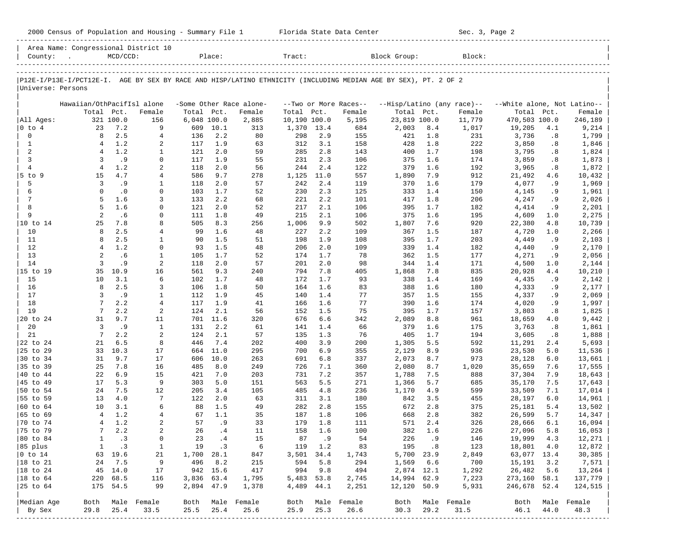|                       | 2000 Census of Population and Housing - Summary File 1 Florida State Data Center |                |                     |              |             |                                   |              |             |                                 |                                                                                                                |            | Sec. 3, Page 2                       |                                           |              |                  |
|-----------------------|----------------------------------------------------------------------------------|----------------|---------------------|--------------|-------------|-----------------------------------|--------------|-------------|---------------------------------|----------------------------------------------------------------------------------------------------------------|------------|--------------------------------------|-------------------------------------------|--------------|------------------|
|                       | Area Name: Congressional District 10                                             |                |                     |              |             |                                   |              |             |                                 |                                                                                                                |            |                                      |                                           |              |                  |
| Universe: Persons     |                                                                                  |                |                     |              |             |                                   |              |             |                                 | P12E-I/P13E-I/PCT12E-I. AGE BY SEX BY RACE AND HISP/LATINO ETHNICITY (INCLUDING MEDIAN AGE BY SEX), PT. 2 OF 2 |            |                                      |                                           |              |                  |
|                       |                                                                                  |                |                     |              |             |                                   |              |             |                                 |                                                                                                                |            |                                      |                                           |              |                  |
|                       | Hawaiian/OthPacifIsl alone                                                       | Total Pct.     | Female              | Total Pct.   |             | -Some Other Race alone-<br>Female | Total Pct.   |             | --Two or More Races--<br>Female | Total Pct.                                                                                                     |            | --Hisp/Latino (any race)--<br>Female | --White alone, Not Latino--<br>Total Pct. |              | Female           |
| All Ages:             |                                                                                  | 321 100.0      | 156                 | 6,048 100.0  |             | 2,885                             | 10,190 100.0 |             | 5,195                           | 23,819 100.0                                                                                                   |            | 11,779                               | 470,503 100.0                             |              | 246,189          |
| $ 0 \t{to} 4$         | 23                                                                               | 7.2            | 9                   |              | 609 10.1    | 313                               | 1,370 13.4   |             | 684                             | 2,003                                                                                                          | 8.4        | 1,017                                | 19,205                                    | 4.1          | 9,214            |
| $\mathbf 0$           | 8                                                                                | 2.5            | $\overline{4}$      | 136          | 2.2         | 80                                | 298          | 2.9         | 155                             | 421                                                                                                            | 1.8        | 231                                  | 3,736                                     | .8           | 1,799            |
| $\mathbf{1}$          | $\overline{4}$                                                                   | 1.2            | 2                   | 117          | 1.9         | 63                                | 312          | 3.1         | 158                             | 428                                                                                                            | 1.8        | 222                                  | 3,850                                     | .8           | 1,846            |
| 2<br>$\overline{3}$   | $\overline{4}$<br>$\overline{3}$                                                 | 1.2<br>.9      | 1<br>0              | 121<br>117   | 2.0<br>1.9  | 59<br>55                          | 285<br>231   | 2.8<br>2.3  | 143<br>106                      | 400<br>375                                                                                                     | 1.7<br>1.6 | 198<br>174                           | 3,795<br>3,859                            | .8<br>.8     | 1,824<br>1,873   |
| $\overline{4}$        | $\overline{4}$                                                                   | 1.2            | 2                   | 118          | 2.0         | 56                                | 244          | 2.4         | 122                             | 379                                                                                                            | 1.6        | 192                                  | 3,965                                     | .8           | 1,872            |
| $5$ to 9              | 15                                                                               | $4.7$          | 4                   | 586          | 9.7         | 278                               | 1,125        | 11.0        | 557                             | 1,890                                                                                                          | 7.9        | 912                                  | 21,492                                    | 4.6          | 10,432           |
| 5                     | 3                                                                                | .9             | 1                   | 118          | 2.0         | 57                                | 242          | 2.4         | 119                             | 370                                                                                                            | 1.6        | 179                                  | 4,077                                     | . 9          | 1,969            |
| 6                     | $\mathbf 0$                                                                      | $\cdot$ 0      | 0                   | 103          | 1.7         | 52                                | 230          | 2.3         | 125                             | 333                                                                                                            | 1.4        | 150                                  | 4,145                                     | .9           | 1,961            |
| 7                     | 5                                                                                | 1.6            | 3                   | 133          | 2.2         | 68                                | 221          | 2.2         | 101                             | 417                                                                                                            | 1.8        | 206                                  | 4,247                                     | .9           | 2,026            |
| 8<br>9                | 5<br>2                                                                           | 1.6            | 0                   | 121          | 2.0         | 52                                | 217          | 2.1         | 106                             | 395                                                                                                            | 1.7        | 182                                  | 4,414                                     | .9           | 2,201            |
|                       | 25                                                                               | .6<br>7.8      | 0<br>8              | 111<br>505   | 1.8<br>8.3  | 49<br>256                         | 215<br>1,006 | 2.1<br>9.9  | 106<br>502                      | 375<br>1,807                                                                                                   | 1.6<br>7.6 | 195<br>920                           | 4,609<br>22,380                           | 1.0<br>4.8   | 2,275<br>10,739  |
| 10                    | 8                                                                                | 2.5            | 4                   | 99           | 1.6         | 48                                | 227          | 2.2         | 109                             | 367                                                                                                            | 1.5        | 187                                  | 4,720                                     | 1.0          | 2,266            |
| 11                    | 8                                                                                | 2.5            | $\mathbf{1}$        | 90           | 1.5         | 51                                | 198          | 1.9         | 108                             | 395                                                                                                            | 1.7        | 203                                  | 4,449                                     | . 9          | 2,103            |
| 12                    | $\overline{4}$                                                                   | 1.2            | $\mathbf 0$         | 93           | 1.5         | 48                                | 206          | 2.0         | 109                             | 339                                                                                                            | 1.4        | 182                                  | 4,440                                     | .9           | 2,170            |
| 13                    | 2                                                                                | .6             | $\mathbf{1}$        | 105          | 1.7         | 52                                | 174          | 1.7         | 78                              | 362                                                                                                            | 1.5        | 177                                  | 4,271                                     | . 9          | 2,056            |
| 14                    | $\overline{3}$                                                                   | .9             | 2                   | 118          | 2.0         | 57                                | 201          | 2.0         | 98                              | 344                                                                                                            | 1.4        | 171                                  | 4,500                                     | 1.0          | 2,144            |
| 15                    | 10                                                                               | 35 10.9<br>3.1 | 16<br>6             | 561<br>102   | 9.3<br>1.7  | 240<br>48                         | 794<br>172   | 7.8<br>1.7  | 405<br>93                       | 1,868<br>338                                                                                                   | 7.8<br>1.4 | 835<br>169                           | 20,928<br>4,435                           | 4.4<br>.9    | 10,210<br>2,142  |
| 16                    | 8                                                                                | 2.5            | 3                   | 106          | 1.8         | 50                                | 164          | 1.6         | 83                              | 388                                                                                                            | 1.6        | 180                                  | 4,333                                     | .9           | 2,177            |
| 17                    | 3                                                                                | .9             | $\mathbf{1}$        | 112          | 1.9         | 45                                | 140          | 1.4         | 77                              | 357                                                                                                            | 1.5        | 155                                  | 4,337                                     | .9           | 2,069            |
| 18                    | $7\overline{ }$                                                                  | 2.2            | $\overline{4}$      | 117          | 1.9         | 41                                | 166          | 1.6         | 77                              | 390                                                                                                            | 1.6        | 174                                  | 4,020                                     | .9           | 1,997            |
| 19                    | $7\phantom{.0}$                                                                  | 2.2            | 2                   | 124          | 2.1         | 56                                | 152          | 1.5         | 75                              | 395                                                                                                            | 1.7        | 157                                  | 3,803                                     | .8           | 1,825            |
| 20 to 24              | 31                                                                               | 9.7            | 11                  | 701          | 11.6        | 320                               | 676          | 6.6         | 342                             | 2,089                                                                                                          | 8.8        | 961                                  | 18,659                                    | 4.0          | 9,442            |
| 20                    | $\overline{3}$                                                                   | .9             | $\mathbf{1}$        | 131          | 2.2         | 61                                | 141          | 1.4         | 66                              | 379                                                                                                            | 1.6        | 175                                  | 3,763                                     | .8           | 1,861            |
| 21<br>22 to 24        | $7\phantom{.0}$<br>21                                                            | 2.2<br>6.5     | 2<br>8              | 124<br>446   | 2.1<br>7.4  | 57<br>202                         | 135<br>400   | 1.3<br>3.9  | 76<br>200                       | 405<br>1,305                                                                                                   | 1.7<br>5.5 | 194<br>592                           | 3,605<br>11,291                           | .8<br>2.4    | 1,888<br>5,693   |
| 25 to 29              |                                                                                  | 33 10.3        | 17                  | 664          | 11.0        | 295                               | 700          | 6.9         | 355                             | 2,129                                                                                                          | 8.9        | 936                                  | 23,530                                    | 5.0          | 11,536           |
| 30 to 34              | 31                                                                               | 9.7            | 17                  | 606          | 10.0        | 263                               | 691          | 6.8         | 337                             | 2,073                                                                                                          | 8.7        | 973                                  | 28,128                                    | 6.0          | 13,661           |
| 35 to 39              | 25                                                                               | 7.8            | 16                  | 485          | 8.0         | 249                               | 726          | 7.1         | 360                             | 2,080                                                                                                          | 8.7        | 1,020                                | 35,659                                    | 7.6          | 17,555           |
| 40 to 44              | 22                                                                               | 6.9            | 15                  | 421          | 7.0         | 203                               | 731          | 7.2         | 357                             | 1,788                                                                                                          | 7.5        | 888                                  | 37,304                                    | 7.9          | 18,643           |
| 45 to 49              | 17                                                                               | 5.3            | 9                   | 303          | 5.0         | 151                               | 563          | 5.5         | 271                             | 1,366                                                                                                          | 5.7        | 685                                  | 35,170                                    | 7.5          | 17,643           |
| 50 to 54<br>55 to 59  | 24<br>13                                                                         | 7.5<br>4.0     | 12<br>7             | 205<br>122   | 3.4<br>2.0  | 105<br>63                         | 485<br>311   | 4.8<br>3.1  | 236<br>180                      | 1,170<br>842                                                                                                   | 4.9<br>3.5 | 599<br>455                           | 33,509                                    | 7.1<br>6.0   | 17,014           |
| 60 to 64              | 10                                                                               | 3.1            | 6                   | 88           | 1.5         | 49                                | 282          | 2.8         | 155                             | 672                                                                                                            | 2.8        | 375                                  | 28,197<br>25,181                          | 5.4          | 14,961<br>13,502 |
| 65 to 69              | $\overline{4}$                                                                   | 1.2            | $\overline{4}$      | 67           | 1.1         | 35                                | 187          | 1.8         | 106                             | 668                                                                                                            | 2.8        | 382                                  | 26,599                                    | 5.7          | 14,347           |
| 70 to 74              | $\overline{4}$                                                                   | 1.2            | 2                   | 57           | .9          | 33                                | 179          | 1.8         | 111                             | 571                                                                                                            | 2.4        | 326                                  | 28,666                                    | 6.1          | 16,094           |
| 75 to 79              | 7                                                                                | 2.2            | 2                   | 26           | .4          | 11                                | 158          | 1.6         | 100                             | 382                                                                                                            | 1.6        | 226                                  | 27,096                                    | 5.8          | 16,053           |
| 80 to 84              | $1\,$                                                                            | .3             | 0                   | 23           | .4          | 15                                | 87           | .9          | 54                              | 226                                                                                                            | .9         | 146                                  | 19,999                                    | 4.3          | 12,271           |
| 85 plus               | $\mathbf{1}$                                                                     | $\cdot$ 3      | $\mathbf{1}$        | 19           | .3          | 6                                 | 119          | 1.2         | 83                              | 195                                                                                                            | .8         | 123                                  | 18,801                                    | 4.0          | 12,872           |
| $0$ to $14$           | 63<br>24                                                                         | 19.6<br>7.5    | 21<br>9             | 1,700<br>496 | 28.1<br>8.2 | 847<br>215                        | 3,501<br>594 | 34.4<br>5.8 | 1,743                           | 5,700<br>1,569                                                                                                 | 23.9       | 2,849<br>700                         | 63,077 13.4<br>15,191                     |              | 30,385           |
| 18 to 21<br> 18 to 24 | 45                                                                               | 14.0           | $17$                |              | 942 15.6    | 417                               | 994          | 9.8         | 294<br>494                      | 2,874 12.1                                                                                                     | 6.6        | 1,292                                | 26,482                                    | 3.2<br>5.6   | 7,571<br>13,264  |
| $ 18$ to $64$         | 220                                                                              | 68.5           | 116                 | 3,836        | 63.4        | 1,795                             | 5,483        | 53.8        | 2,745                           | 14,994                                                                                                         | 62.9       | 7,223                                | 273,160                                   | 58.1         | 137,779          |
| 25 to 64              |                                                                                  | 175 54.5       | 99                  | 2,894 47.9   |             | 1,378                             | 4,489        | 44.1        | 2,251                           | 12,120                                                                                                         | 50.9       | 5,931                                | 246,678                                   | 52.4         | 124,515          |
|                       |                                                                                  |                |                     |              |             |                                   |              |             |                                 |                                                                                                                |            |                                      |                                           |              |                  |
| Median Age<br>By Sex  | Both<br>29.8                                                                     | 25.4           | Male Female<br>33.5 | Both<br>25.5 | 25.4        | Male Female<br>25.6               | Both<br>25.9 | 25.3        | Male Female<br>26.6             | Both<br>30.3                                                                                                   | 29.2       | Male Female<br>31.5                  | Both<br>46.1                              | Male<br>44.0 | Female<br>48.3   |
|                       |                                                                                  |                |                     |              |             |                                   |              |             |                                 |                                                                                                                |            |                                      |                                           |              |                  |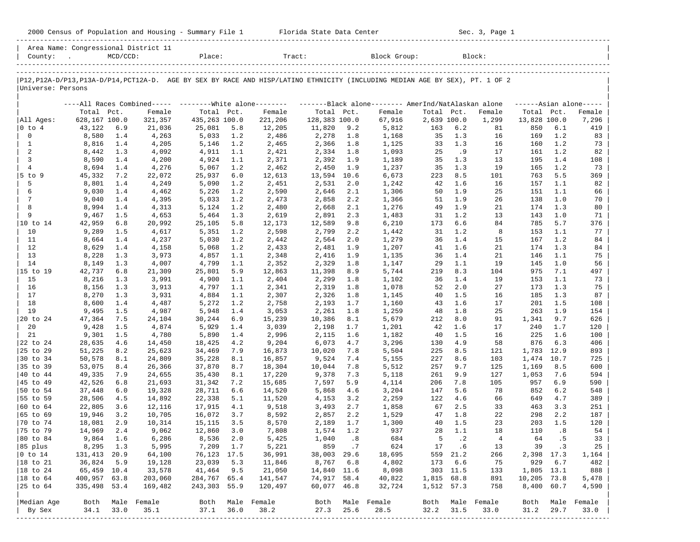| 2000 Census of Population and Housing - Summary File 1 Florida State Data Center |                   |             |                                      |                  |             |                  |                 |             |                                                                                                                            |             |            | Sec. 3, Page 1 |                   |                              |                     |
|----------------------------------------------------------------------------------|-------------------|-------------|--------------------------------------|------------------|-------------|------------------|-----------------|-------------|----------------------------------------------------------------------------------------------------------------------------|-------------|------------|----------------|-------------------|------------------------------|---------------------|
|                                                                                  |                   |             | Area Name: Congressional District 11 |                  |             |                  |                 |             |                                                                                                                            |             |            |                |                   |                              |                     |
| Universe: Persons                                                                |                   |             |                                      |                  |             |                  |                 |             | P12,P12A-D/P13,P13A-D/P14,PCT12A-D. AGE BY SEX BY RACE AND HISP/LATINO ETHNICITY (INCLUDING MEDIAN AGE BY SEX), PT. 1 OF 2 |             |            |                |                   |                              |                     |
|                                                                                  |                   |             |                                      |                  |             |                  |                 |             | ----All Races Combined----- --------White alone-------- --------Black alone-------- AmerInd/NatAlaskan alone               |             |            |                |                   |                              | $---Asian alone---$ |
|                                                                                  | Total Pct.        |             | Female                               | Total Pct.       |             | Female           | Total Pct.      |             | Female                                                                                                                     | Total Pct.  |            | Female         | Total Pct.        |                              | Female              |
| All Ages:                                                                        | 628,167 100.0     |             | 321,357                              | 435,263 100.0    |             | 221,206          | 128,383 100.0   |             | 67,916                                                                                                                     | 2,639 100.0 |            | 1,299          | 13,828 100.0      |                              | 7,296               |
| $ 0 \t{to} 4$                                                                    | 43,122            | 6.9         | 21,036                               | 25,081           | 5.8         | 12,205           | 11,820          | 9.2         | 5,812                                                                                                                      | 163         | 6.2        | 81             | 850               | 6.1                          | 419                 |
| $\mathbf 0$                                                                      | 8,580             | 1.4         | 4,263                                | 5,033            | 1.2         | 2,486            | 2,278           | 1.8         | 1,168                                                                                                                      | 35          | 1.3        | 16             | 169               | 1.2                          | 83                  |
| $\mathbf{1}$<br>2                                                                | 8,816<br>8,442    | 1.4<br>1.3  | 4,205<br>4,092                       | 5,146<br>4,911   | 1.2<br>1.1  | 2,465<br>2,421   | 2,366<br>2,334  | 1.8<br>1.8  | 1,125<br>1,093                                                                                                             | 33<br>25    | 1.3<br>.9  | 16<br>17       | 160<br>161        | 1.2<br>1.2                   | 73<br>82            |
| $\overline{3}$                                                                   | 8,590             | 1.4         | 4,200                                | 4,924            | 1.1         | 2,371            | 2,392           | 1.9         | 1,189                                                                                                                      | 35          | 1.3        | 13             | 195               | 1.4                          | 108                 |
| $\overline{4}$                                                                   | 8,694             | 1.4         | 4,276                                | 5,067            | 1.2         | 2,462            | 2,450           | 1.9         | 1,237                                                                                                                      | 35          | 1.3        | 19             | 165               | 1.2                          | 73                  |
| $5$ to 9                                                                         | 45,332            | 7.2         | 22,072                               | 25,937           | 6.0         | 12,613           | 13,594 10.6     |             | 6,673                                                                                                                      | 223         | 8.5        | 101            | 763               | 5.5                          | 369                 |
| 5                                                                                | 8,801             | 1.4         | 4,249                                | 5,090            | 1.2         | 2,451            | 2,531           | 2.0         | 1,242                                                                                                                      | 42          | 1.6        | 16             | 157               | 1.1                          | 82                  |
| 6                                                                                | 9,030             | 1.4         | 4,462                                | 5,226            | 1.2         | 2,590            | 2,646           | 2.1         | 1,306                                                                                                                      | 50          | 1.9        | 25             | 151               | 1.1                          | 66                  |
| 7                                                                                | 9,040             | 1.4         | 4,395                                | 5,033            | 1.2         | 2,473            | 2,858           | 2.2         | 1,366                                                                                                                      | 51          | 1.9        | 26             | 138               | 1.0                          | 70                  |
| 8                                                                                | 8,994             | 1.4         | 4,313                                | 5,124            | 1.2         | 2,480            | 2,668           | 2.1         | 1,276                                                                                                                      | 49          | 1.9        | 21             | 174               | 1.3                          | 80                  |
| 9                                                                                | 9,467<br>42,959   | 1.5<br>6.8  | 4,653<br>20,992                      | 5,464<br>25,105  | 1.3<br>5.8  | 2,619<br>12,173  | 2,891<br>12,589 | 2.3<br>9.8  | 1,483<br>6,210                                                                                                             | 31<br>173   | 1.2<br>6.6 | 13<br>84       | 143<br>785        | 1.0<br>5.7                   | 71<br>376           |
| 10                                                                               | 9,289             | 1.5         | 4,617                                | 5,351            | 1.2         | 2,598            | 2,799           | 2.2         | 1,442                                                                                                                      | 31          | 1.2        | 8              | 153               | 1.1                          | 77                  |
| 11                                                                               | 8,664             | 1.4         | 4,237                                | 5,030            | 1.2         | 2,442            | 2,564           | 2.0         | 1,279                                                                                                                      | 36          | 1.4        | 15             | 167               | 1.2                          | 84                  |
| 12                                                                               | 8,629             | 1.4         | 4,158                                | 5,068            | 1.2         | 2,433            | 2,481           | 1.9         | 1,207                                                                                                                      | 41          | 1.6        | 21             | 174               | 1.3                          | 84                  |
| 13                                                                               | 8,228             | 1.3         | 3,973                                | 4,857            | 1.1         | 2,348            | 2,416           | 1.9         | 1,135                                                                                                                      | 36          | 1.4        | 21             | 146               | 1.1                          | 75                  |
| 14                                                                               | 8,149             | 1.3         | 4,007                                | 4,799            | 1.1         | 2,352            | 2,329           | 1.8         | 1,147                                                                                                                      | 29          | 1.1        | 19             | 145               | 1.0                          | 56                  |
| 15 to 19                                                                         | 42,737            | 6.8         | 21,309                               | 25,801           | 5.9         | 12,863           | 11,398          | 8.9         | 5,744                                                                                                                      | 219         | 8.3        | 104            | 975               | 7.1                          | 497                 |
| 15                                                                               | 8,216             | 1.3         | 3,991                                | 4,900            | 1.1         | 2,404            | 2,299           | 1.8         | 1,102                                                                                                                      | 36          | 1.4        | 19             | 153               | 1.1                          | 73                  |
| 16                                                                               | 8,156             | 1.3         | 3,913                                | 4,797            | 1.1         | 2,341            | 2,319           | 1.8         | 1,078                                                                                                                      | 52          | 2.0        | 27             | 173               | 1.3                          | 75                  |
| 17<br>18                                                                         | 8,270<br>8,600    | 1.3<br>1.4  | 3,931<br>4,487                       | 4,884<br>5,272   | 1.1<br>1.2  | 2,307<br>2,758   | 2,326<br>2,193  | 1.8<br>1.7  | 1,145<br>1,160                                                                                                             | 40<br>43    | 1.5<br>1.6 | 16<br>17       | 185<br>201        | 1.3<br>1.5                   | 87<br>108           |
| 19                                                                               | 9,495             | 1.5         | 4,987                                | 5,948            | 1.4         | 3,053            | 2,261           | 1.8         | 1,259                                                                                                                      | 48          | 1.8        | 25             | 263               | 1.9                          | 154                 |
| 20 to 24                                                                         | 47,364            | 7.5         | 24,104                               | 30,244           | 6.9         | 15,239           | 10,386          | 8.1         | 5,679                                                                                                                      | 212         | 8.0        | 91             | 1,341             | 9.7                          | 626                 |
| 20                                                                               | 9,428             | 1.5         | 4,874                                | 5,929            | 1.4         | 3,039            | 2,198           | 1.7         | 1,201                                                                                                                      | 42          | 1.6        | 17             | 240               | 1.7                          | 120                 |
| 21                                                                               | 9,301             | 1.5         | 4,780                                | 5,890            | 1.4         | 2,996            | 2,115           | 1.6         | 1,182                                                                                                                      | 40          | 1.5        | 16             | 225               | 1.6                          | 100                 |
| 22 to 24                                                                         | 28,635            | 4.6         | 14,450                               | 18,425           | 4.2         | 9,204            | 6,073           | 4.7         | 3,296                                                                                                                      | 130         | 4.9        | 58             | 876               | 6.3                          | 406                 |
| 25 to 29                                                                         | 51,225            | 8.2         | 25,623                               | 34,469           | 7.9         | 16,873           | 10,020          | 7.8         | 5,504                                                                                                                      | 225         | 8.5        | 121            | 1,783 12.9        |                              | 893                 |
| 30 to 34                                                                         | 50,578            | 8.1         | 24,809                               | 35,228           | 8.1         | 16,857           | 9,524           | 7.4         | 5,155                                                                                                                      | 227         | 8.6        | 103            | 1,474             | 10.7                         | 725                 |
| 35 to 39                                                                         | 53,075            | 8.4         | 26,366                               | 37,870           | 8.7         | 18,304           | 10,044          | 7.8         | 5,512                                                                                                                      | 257         | 9.7        | 125            | 1,169             | 8.5                          | 600                 |
| 40 to 44<br>145 to 49                                                            | 49,335<br>42,526  | 7.9<br>6.8  | 24,655<br>21,693                     | 35,430<br>31,342 | 8.1<br>7.2  | 17,220<br>15,685 | 9,378<br>7,597  | 7.3<br>5.9  | 5,118<br>4,114                                                                                                             | 261<br>206  | 9.9<br>7.8 | 127<br>105     | 1,053<br>957      | 7.6<br>6.9                   | 594<br>590          |
| 50 to 54                                                                         | 37,448            | 6.0         | 19,328                               | 28,711           | 6.6         | 14,520           | 5,868           | 4.6         | 3,204                                                                                                                      | 147         | 5.6        | 78             | 852               | 6.2                          | 548                 |
| 55 to 59                                                                         | 28,506            | 4.5         | 14,892                               | 22,338           | 5.1         | 11,520           | 4,153           | 3.2         | 2,259                                                                                                                      | 122         | 4.6        | 66             | 649               | 4.7                          | 389                 |
| 160 to 64                                                                        | 22,805            | 3.6         | 12,116                               | 17,915           | 4.1         | 9,518            | 3,493           | 2.7         | 1,858                                                                                                                      | 67          | 2.5        | 33             | 463               | 3.3                          | 251                 |
| $ 65 \t{to} 69$                                                                  | 19,946            | 3.2         | 10,705                               | 16,072           | 3.7         | 8,592            | 2,857           | 2.2         | 1,529                                                                                                                      | 47          | 1.8        | 22             | 298               | 2.2                          | 187                 |
| $ 70 \text{ to } 74$                                                             | 18,081            | 2.9         | 10,314                               | 15,115           | 3.5         | 8,570            | 2,189           | 1.7         | 1,300                                                                                                                      | 40          | 1.5        | 23             | 203               | 1.5                          | 120                 |
| 75 to 79                                                                         | 14,969            | 2.4         | 9,062                                | 12,860           | 3.0         | 7,808            | 1,574           | 1.2         | 937                                                                                                                        | 28          | 1.1        | 18             | 110               | $\boldsymbol{\mathsf{.}}\ 8$ | 54                  |
| 80 to 84                                                                         | 9,864             | 1.6         | 6,286                                | 8,536            | 2.0         | 5,425            | 1,040           | .8          | 684                                                                                                                        | 5           | $\cdot$ 2  | $\overline{4}$ | 64                | .5                           | 33                  |
| 85 plus                                                                          | 8,295             | 1.3         | 5,995                                | 7,209<br>76,123  | 1.7         | 5,221            | 859<br>38,003   | .7          | 624                                                                                                                        | 17          | .6<br>21.2 | 13             | 39                | .3                           | 25                  |
| $ 0 \t{to} 14$<br> 18 to 21                                                      | 131,413<br>36,824 | 20.9<br>5.9 | 64,100<br>19,128                     | 23,039           | 17.5<br>5.3 | 36,991<br>11,846 | 8,767           | 29.6<br>6.8 | 18,695<br>4,802                                                                                                            | 559<br>173  | 6.6        | 266<br>75      | 2,398 17.3<br>929 | 6.7                          | 1,164<br>482        |
| 18 to 24                                                                         | 65,459 10.4       |             | 33,578                               | 41,464           | 9.5         | 21,050           | 14,840 11.6     |             | 8,098                                                                                                                      | 303         | 11.5       | 133            | 1,805 13.1        |                              | 888                 |
| $ 18$ to $64$                                                                    | 400,957 63.8      |             | 203,060                              | 284,767          | 65.4        | 141,547          | 74,917          | 58.4        | 40,822                                                                                                                     | 1,815       | 68.8       | 891            | 10,205            | 73.8                         | 5,478               |
| 25 to 64                                                                         | 335,498 53.4      |             | 169,482                              | 243,303 55.9     |             | 120,497          | 60,077 46.8     |             | 32,724                                                                                                                     | 1,512       | 57.3       | 758            | 8,400             | 60.7                         | 4,590               |
|                                                                                  |                   |             |                                      |                  |             |                  |                 |             |                                                                                                                            |             |            |                |                   |                              |                     |
| Median Age                                                                       | Both              | Male        | Female                               | Both             |             | Male Female      | Both            |             | Male Female                                                                                                                | Both        | Male       | Female         | Both              | Male                         | Female              |
| By Sex                                                                           | 34.1              | 33.0        | 35.1                                 | 37.1             | 36.0        | 38.2             | 27.3            | 25.6        | 28.5                                                                                                                       | 32.2        | 31.5       | 33.0           | 31.2              | 29.7                         | 33.0                |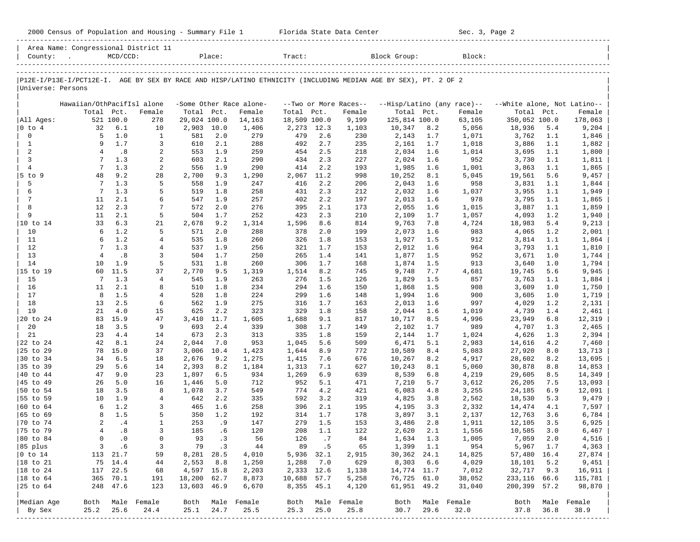|                                   | 2000 Census of Population and Housing - Summary File 1 Florida State Data Center                               |                 |                          |                   |             |                         |                   |            |                                  |                      |            | Sec. 3, Page 2             |                             |            |                 |
|-----------------------------------|----------------------------------------------------------------------------------------------------------------|-----------------|--------------------------|-------------------|-------------|-------------------------|-------------------|------------|----------------------------------|----------------------|------------|----------------------------|-----------------------------|------------|-----------------|
|                                   | Area Name: Congressional District 11<br>County:                                                                | $MCD/CCD$ :     |                          |                   | Place:      |                         | Tract:            |            |                                  | Block Group:         |            | Block:                     |                             |            |                 |
|                                   | P12E-I/P13E-I/PCT12E-I. AGE BY SEX BY RACE AND HISP/LATINO ETHNICITY (INCLUDING MEDIAN AGE BY SEX), PT. 2 OF 2 |                 |                          |                   |             |                         |                   |            |                                  |                      |            |                            |                             |            |                 |
| Universe: Persons                 |                                                                                                                |                 |                          |                   |             |                         |                   |            |                                  |                      |            |                            |                             |            |                 |
|                                   | Hawaiian/OthPacifIsl alone                                                                                     |                 |                          |                   |             | -Some Other Race alone- |                   |            | --Two or More Races--            |                      |            | --Hisp/Latino (any race)-- | --White alone, Not Latino-- |            |                 |
|                                   | Total Pct.                                                                                                     |                 | Female                   | Total Pct.        |             | Female                  | Total Pct.        |            | Female                           | Total Pct.           |            | Female                     | Total Pct.                  |            | Female          |
| All Ages:                         |                                                                                                                | 521 100.0       | 278                      | 29,024 100.0      |             | 14,163                  | 18,509 100.0      |            | 9,199                            | 125,814 100.0        |            | 63,105                     | 350,052 100.0               |            | 178,063         |
| $ 0 \tto 4$<br>0                  | 32<br>5                                                                                                        | 6.1<br>1.0      | 10<br>$\mathbf{1}$       | 2,903 10.0<br>581 | 2.0         | 1,406<br>279            | 2,273 12.3<br>479 | 2.6        | 1,103<br>230                     | 10,347               | 8.2        | 5,056                      | 18,936<br>3,762             | 5.4        | 9,204           |
| $\mathbf{1}$                      | 9                                                                                                              | 1.7             | 3                        | 610               | 2.1         | 288                     | 492               | 2.7        | 235                              | 2,143<br>2,161       | 1.7<br>1.7 | 1,071<br>1,018             | 3,886                       | 1.1<br>1.1 | 1,846<br>1,882  |
| 2                                 | 4                                                                                                              | .8              | 2                        | 553               | 1.9         | 259                     | 454               | 2.5        | 218                              | 2,034                | 1.6        | 1,014                      | 3,695                       | 1.1        | 1,800           |
| $\overline{3}$                    | 7                                                                                                              | 1.3             | 2                        | 603               | 2.1         | 290                     | 434               | 2.3        | 227                              | 2,024                | 1.6        | 952                        | 3,730                       | 1.1        | 1,811           |
| $\overline{4}$                    | 7                                                                                                              | 1.3             | 2                        | 556               | 1.9         | 290                     | 414               | 2.2        | 193                              | 1,985                | 1.6        | 1,001                      | 3,863                       | 1.1        | 1,865           |
| $5$ to $9$                        | 48                                                                                                             | 9.2             | 28                       | 2,700             | 9.3         | 1,290                   | 2,067             | 11.2       | 998                              | 10,252               | 8.1        | 5,045                      | 19,561                      | 5.6        | 9,457           |
| 5<br>6                            | 7<br>7                                                                                                         | 1.3<br>1.3      | 5<br>5                   | 558<br>519        | 1.9<br>1.8  | 247<br>258              | 416<br>431        | 2.2<br>2.3 | 206<br>212                       | 2,043<br>2,032       | 1.6<br>1.6 | 958<br>1,037               | 3,831<br>3,955              | 1.1<br>1.1 | 1,844<br>1,949  |
| 7                                 | 11                                                                                                             | 2.1             | 6                        | 547               | 1.9         | 257                     | 402               | 2.2        | 197                              | 2,013                | 1.6        | 978                        | 3,795                       | 1.1        | 1,865           |
| 8                                 | 12                                                                                                             | 2.3             | 7                        | 572               | 2.0         | 276                     | 395               | 2.1        | 173                              | 2,055                | 1.6        | 1,015                      | 3,887                       | 1.1        | 1,859           |
| 9                                 | 11                                                                                                             | 2.1             | 5                        | 504               | 1.7         | 252                     | 423               | 2.3        | 210                              | 2,109                | 1.7        | 1,057                      | 4,093                       | 1.2        | 1,940           |
|                                   | 33                                                                                                             | 6.3             | 21                       | 2,678             | 9.2         | 1,314                   | 1,596             | 8.6        | 814                              | 9,763                | 7.8        | 4,724                      | 18,983                      | 5.4        | 9,213           |
| 10<br>11                          | 6<br>6                                                                                                         | 1.2<br>1.2      | 5<br>4                   | 571<br>535        | 2.0<br>1.8  | 288<br>260              | 378<br>326        | 2.0<br>1.8 | 199<br>153                       | 2,073                | 1.6<br>1.5 | 983<br>912                 | 4,065                       | 1.2<br>1.1 | 2,001           |
| 12                                | 7                                                                                                              | 1.3             | 4                        | 537               | 1.9         | 256                     | 321               | 1.7        | 153                              | 1,927<br>2,012       | 1.6        | 964                        | 3,814<br>3,793              | 1.1        | 1,864<br>1,810  |
| 13                                | $\overline{4}$                                                                                                 | .8              | 3                        | 504               | 1.7         | 250                     | 265               | 1.4        | 141                              | 1,877                | 1.5        | 952                        | 3,671                       | 1.0        | 1,744           |
| 14                                | 10                                                                                                             | 1.9             | 5                        | 531               | 1.8         | 260                     | 306               | 1.7        | 168                              | 1,874                | 1.5        | 913                        | 3,640                       | 1.0        | 1,794           |
| $ 15$ to 19                       | 60                                                                                                             | 11.5            | 37                       | 2,770             | 9.5         | 1,319                   | 1,514             | 8.2        | 745                              | 9,748                | 7.7        | 4,681                      | 19,745                      | 5.6        | 9,945           |
| 15                                | $7\phantom{.0}$                                                                                                | 1.3             | 4                        | 545               | 1.9         | 263                     | 276               | 1.5        | 126                              | 1,829                | 1.5        | 857                        | 3,763                       | 1.1        | 1,884           |
| 16<br>17                          | 11<br>8                                                                                                        | 2.1<br>1.5      | 8<br>4                   | 510<br>528        | 1.8<br>1.8  | 234<br>224              | 294<br>299        | 1.6<br>1.6 | 150<br>148                       | 1,868<br>1,994       | 1.5<br>1.6 | 908<br>900                 | 3,609<br>3,605              | 1.0<br>1.0 | 1,750<br>1,719  |
| 18                                | 13                                                                                                             | 2.5             | 6                        | 562               | 1.9         | 275                     | 316               | 1.7        | 163                              | 2,013                | 1.6        | 997                        | 4,029                       | 1.2        | 2,131           |
| 19                                | 21                                                                                                             | 4.0             | 15                       | 625               | 2.2         | 323                     | 329               | 1.8        | 158                              | 2,044                | 1.6        | 1,019                      | 4,739                       | 1.4        | 2,461           |
| 20 to 24                          | 83                                                                                                             | 15.9            | 47                       | 3,410             | 11.7        | 1,605                   | 1,688             | 9.1        | 817                              | 10,717               | 8.5        | 4,996                      | 23,949                      | 6.8        | 12,319          |
| 20                                | 18                                                                                                             | 3.5             | 9                        | 693               | 2.4         | 339                     | 308               | 1.7        | 149                              | 2,102                | 1.7        | 989                        | 4,707                       | 1.3        | 2,465           |
| 21                                | 23                                                                                                             | 4.4             | 14                       | 673               | 2.3         | 313                     | 335               | 1.8        | 159                              | 2,144                | 1.7        | 1,024                      | 4,626                       | 1.3        | 2,394           |
| 22 to 24<br>25 to 29              | 42<br>78                                                                                                       | 8.1<br>15.0     | 24<br>37                 | 2,044<br>3,006    | 7.0<br>10.4 | 953<br>1,423            | 1,045<br>1,644    | 5.6<br>8.9 | 509<br>772                       | 6,471<br>10,589      | 5.1<br>8.4 | 2,983<br>5,083             | 14,616<br>27,920            | 4.2<br>8.0 | 7,460<br>13,713 |
| 30 to 34                          | 34                                                                                                             | 6.5             | 18                       | 2,676             | 9.2         | 1,275                   | 1,415             | 7.6        | 676                              | 10,267               | 8.2        | 4,917                      | 28,602                      | 8.2        | 13,695          |
| 35 to 39                          | 29                                                                                                             | 5.6             | 14                       | 2,393             | 8.2         | 1,184                   | 1,313             | 7.1        | 627                              | 10,243               | 8.1        | 5,060                      | 30,878                      | 8.8        | 14,853          |
| 40 to 44                          | 47                                                                                                             | 9.0             | 23                       | 1,897             | 6.5         | 934                     | 1,269             | 6.9        | 639                              | 8,539                | 6.8        | 4,219                      | 29,605                      | 8.5        | 14,349          |
| 45 to 49                          | 26                                                                                                             | 5.0             | 16                       | 1,446             | 5.0         | 712                     | 952               | 5.1        | 471                              | 7,210                | 5.7        | 3,612                      | 26,205                      | 7.5        | 13,093          |
| 50 to 54<br>55 to 59              | 18<br>10                                                                                                       | 3.5<br>1.9      | 8                        | 1,078             | 3.7         | 549                     | 774               | 4.2<br>3.2 | 421                              | 6,083                | 4.8        | 3,255                      | 24,185                      | 6.9        | 12,091          |
| $ 60 \text{ to } 64$              | 6                                                                                                              | 1.2             | 4<br>3                   | 642<br>465        | 2.2<br>1.6  | 335<br>258              | 592<br>396        | 2.1        | 319<br>195                       | 4,825<br>4,195       | 3.8<br>3.3 | 2,562<br>2,332             | 18,530<br>14,474            | 5.3<br>4.1 | 9,479<br>7,597  |
| 65 to 69                          | 8                                                                                                              | 1.5             | 5                        | 350               | 1.2         | 192                     | 314               | 1.7        | 178                              | 3,897                | 3.1        | 2,137                      | 12,763                      | 3.6        | 6,784           |
| 170 to 74                         |                                                                                                                | 2 .4            | 1                        | 253               | .9          | 147                     | 279               | 1.5        | 153                              | 3,486                | 2.8        | 1,911                      | 12,105                      | 3.5        | 6,925           |
| 75 to 79                          | 4                                                                                                              | . $\bf 8$       | 3                        | 185               | . 6         | 120                     | 208               | 1.1        | 122                              | 2,620                | 2.1        | 1,556                      | 10,585                      | 3.0        | 6,467           |
| 80 to 84                          | 0                                                                                                              | $\cdot$ 0       | 0                        | 93                | .3          | 56                      | 126               | .7         | 84                               | 1,634                | 1.3        | 1,005                      | 7,059                       | 2.0        | 4,516           |
| 85 plus<br>$ 0 \t\t \text{to} 14$ | 3                                                                                                              | . 6<br>113 21.7 | 3<br>59                  | 79<br>8,281       | .3<br>28.5  | 44<br>4,010             | 89<br>5,936       | .5<br>32.1 | 65<br>2,915                      | 1,399<br>30,362 24.1 | 1.1        | 954<br>14,825              | 5,967<br>57,480 16.4        | 1.7        | 4,363<br>27,874 |
| 18 to 21                          | 75                                                                                                             | 14.4            | 44                       | 2,553             | 8.8         | 1,250                   | 1,288             | 7.0        | 629                              | 8,303                | 6.6        | 4,029                      | 18,101                      | 5.2        | 9,451           |
| $ 18$ to $24$                     | 117                                                                                                            | 22.5            | 68                       | 4,597 15.8        |             | 2,203                   | 2,333 12.6        |            | 1,138                            | 14,774 11.7          |            | 7,012                      | 32,717                      | 9.3        | 16,911          |
| $ 18 \text{ to } 64$              | 365                                                                                                            | 70.1            | 191                      | 18,200 62.7       |             | 8,873                   | 10,688            | 57.7       | 5,258                            | 76,725 61.0          |            | 38,052                     | 233,116 66.6                |            | 115,781         |
| 25 to 64                          |                                                                                                                | 248 47.6        | 123                      | 13,603 46.9       |             | 6,670                   | 8,355 45.1        |            | 4,120                            | 61,951 49.2          |            | 31,040                     | 200,399 57.2                |            | 98,870          |
| Median Age                        | Both                                                                                                           |                 | Male Female              | Both              |             | Male Female             | Both              |            | Male Female                      | Both                 |            | Male Female                | Both                        |            | Male Female     |
| By Sex                            | 25.2                                                                                                           | 25.6            | 24.4<br>---------------- | 25.1              | 24.7        | 25.5                    | 25.3              | 25.0       | 25.8<br>------------------------ | 30.7                 | 29.6       | 32.0                       | 37.8                        | 36.8       | 38.9            |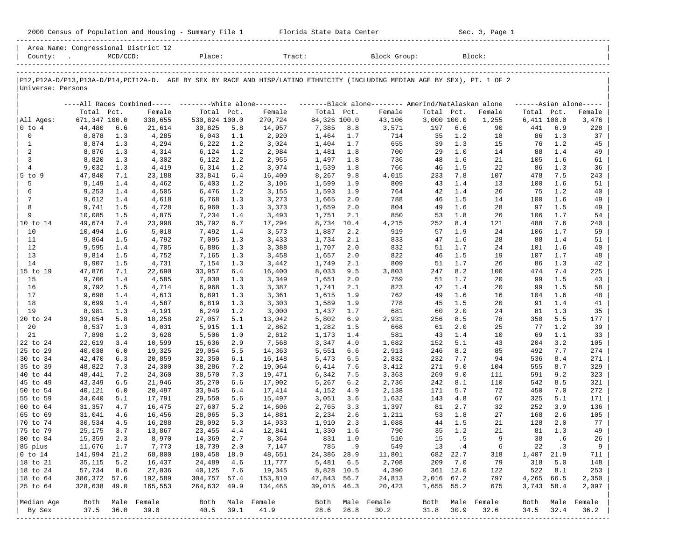| 2000 Census of Population and Housing - Summary File 1 Florida State Data Center |                   |             |                                      |                   |             |                                                                                                                            |                      |            |                 |              |              | Sec. 3, Page 1 |              |             |                      |
|----------------------------------------------------------------------------------|-------------------|-------------|--------------------------------------|-------------------|-------------|----------------------------------------------------------------------------------------------------------------------------|----------------------|------------|-----------------|--------------|--------------|----------------|--------------|-------------|----------------------|
|                                                                                  |                   |             | Area Name: Congressional District 12 |                   |             |                                                                                                                            |                      |            |                 |              |              |                |              |             |                      |
| Universe: Persons                                                                |                   |             |                                      |                   |             | P12,P12A-D/P13,P13A-D/P14,PCT12A-D. AGE BY SEX BY RACE AND HISP/LATINO ETHNICITY (INCLUDING MEDIAN AGE BY SEX), PT. 1 OF 2 |                      |            |                 |              |              |                |              |             |                      |
|                                                                                  |                   |             |                                      |                   |             | ----All Races Combined----- --------White alone-------- --------Black alone-------- AmerInd/NatAlaskan alone               |                      |            |                 |              |              |                |              |             | $----Asian alone---$ |
|                                                                                  | Total Pct.        |             | Female                               | Total Pct.        |             | Female                                                                                                                     | Total Pct.           |            | Female          | Total Pct.   |              | Female         | Total Pct.   |             | Female               |
| All Ages:                                                                        | 671,347 100.0     |             | 338,655                              | 530,824 100.0     |             | 270,724                                                                                                                    | 84,326 100.0         |            | 43,106          | 3,000 100.0  |              | 1,255          | 6,411 100.0  |             | 3,476                |
| $ 0 \t{to} 4$                                                                    | 44,480            | 6.6         | 21,614                               | 30,825            | 5.8         | 14,957                                                                                                                     | 7,385                | 8.8        | 3,571           | 197          | 6.6          | 90             | 441          | 6.9         | 228                  |
| $\mathbf 0$                                                                      | 8,878             | 1.3         | 4,285                                | 6,043             | 1.1         | 2,920                                                                                                                      | 1,464                | 1.7        | 714             | 35           | 1.2          | 18             | 86           | 1.3         | 37                   |
| $\mathbf{1}$                                                                     | 8,874             | 1.3         | 4,294                                | 6,222             | 1.2         | 3,024                                                                                                                      | 1,404                | 1.7        | 655             | 39           | 1.3          | 15             | 76           | 1.2         | 45                   |
| 2<br>$\overline{3}$                                                              | 8,876             | 1.3         | 4,314                                | 6,124             | 1.2         | 2,984                                                                                                                      | 1,481                | 1.8        | 700             | 29           | 1.0          | 14             | 88           | 1.4         | 49                   |
| $\overline{4}$                                                                   | 8,820<br>9,032    | 1.3<br>1.3  | 4,302<br>4,419                       | 6,122<br>6,314    | 1.2<br>1.2  | 2,955<br>3,074                                                                                                             | 1,497<br>1,539       | 1.8<br>1.8 | 736<br>766      | 48<br>46     | 1.6<br>1.5   | 21<br>22       | 105<br>86    | 1.6<br>1.3  | 61<br>36             |
| 5 to 9                                                                           | 47,840            | 7.1         | 23,188                               | 33,841            | 6.4         | 16,400                                                                                                                     | 8,267                | 9.8        | 4,015           | 233          | 7.8          | 107            | 478          | 7.5         | 243                  |
| 5                                                                                | 9,149             | 1.4         | 4,462                                | 6,403             | 1.2         | 3,106                                                                                                                      | 1,599                | 1.9        | 809             | 43           | 1.4          | 13             | 100          | 1.6         | 51                   |
| 6                                                                                | 9,253             | 1.4         | 4,505                                | 6,476             | 1.2         | 3,155                                                                                                                      | 1,593                | 1.9        | 764             | 42           | 1.4          | 26             | 75           | 1.2         | 40                   |
| 7                                                                                | 9,612             | 1.4         | 4,618                                | 6,768             | 1.3         | 3,273                                                                                                                      | 1,665                | 2.0        | 788             | 46           | 1.5          | 14             | 100          | 1.6         | 49                   |
| 8                                                                                | 9,741             | 1.5         | 4,728                                | 6,960             | 1.3         | 3,373                                                                                                                      | 1,659                | 2.0        | 804             | 49           | 1.6          | 28             | 97           | 1.5         | 49                   |
| 9                                                                                | 10,085            | 1.5         | 4,875                                | 7,234             | 1.4         | 3,493                                                                                                                      | 1,751                | 2.1        | 850             | 53           | 1.8          | 26             | 106          | 1.7         | 54                   |
|                                                                                  | 49,674            | 7.4         | 23,998                               | 35,792            | 6.7         | 17,294                                                                                                                     | 8,734 10.4           |            | 4,215           | 252          | 8.4          | 121            | 488          | 7.6         | 240                  |
| 10                                                                               | 10,494            | 1.6         | 5,018                                | 7,492             | 1.4         | 3,573                                                                                                                      | 1,887                | 2.2        | 919             | 57           | 1.9          | 24             | 106          | 1.7         | 59                   |
| 11                                                                               | 9,864             | 1.5         | 4,792                                | 7,095             | 1.3         | 3,433                                                                                                                      | 1,734                | 2.1        | 833             | 47           | 1.6          | 28             | 88           | 1.4         | 51                   |
| 12                                                                               | 9,595             | 1.4         | 4,705                                | 6,886             | 1.3         | 3,388                                                                                                                      | 1,707                | 2.0        | 832             | 51           | 1.7          | 24             | 101          | 1.6         | 40                   |
| 13<br>14                                                                         | 9,814             | 1.5         | 4,752                                | 7,165             | 1.3         | 3,458                                                                                                                      | 1,657                | 2.0        | 822<br>809      | 46           | 1.5<br>1.7   | 19             | 107          | 1.7<br>1.3  | 48                   |
| 15 to 19                                                                         | 9,907<br>47,876   | 1.5<br>7.1  | 4,731<br>22,690                      | 7,154<br>33,957   | 1.3<br>6.4  | 3,442<br>16,400                                                                                                            | 1,749<br>8,033       | 2.1<br>9.5 | 3,803           | 51<br>247    | 8.2          | 26<br>100      | 86<br>474    | 7.4         | 42<br>225            |
| 15                                                                               | 9,706             | 1.4         | 4,585                                | 7,030             | 1.3         | 3,349                                                                                                                      | 1,651                | 2.0        | 759             | 51           | 1.7          | 20             | 99           | 1.5         | 43                   |
| 16                                                                               | 9,792             | 1.5         | 4,714                                | 6,968             | 1.3         | 3,387                                                                                                                      | 1,741                | 2.1        | 823             | 42           | 1.4          | 20             | 99           | 1.5         | 58                   |
| 17                                                                               | 9,698             | 1.4         | 4,613                                | 6,891             | 1.3         | 3,361                                                                                                                      | 1,615                | 1.9        | 762             | 49           | 1.6          | 16             | 104          | 1.6         | 48                   |
| 18                                                                               | 9,699             | 1.4         | 4,587                                | 6,819             | 1.3         | 3,303                                                                                                                      | 1,589                | 1.9        | 778             | 45           | 1.5          | 20             | 91           | 1.4         | 41                   |
| 19                                                                               | 8,981             | 1.3         | 4,191                                | 6,249             | 1.2         | 3,000                                                                                                                      | 1,437                | 1.7        | 681             | 60           | 2.0          | 24             | 81           | 1.3         | 35                   |
| 20 to 24                                                                         | 39,054            | 5.8         | 18,258                               | 27,057            | 5.1         | 13,042                                                                                                                     | 5,802                | 6.9        | 2,931           | 256          | 8.5          | 78             | 350          | 5.5         | 177                  |
| 20                                                                               | 8,537             | 1.3         | 4,031                                | 5,915             | 1.1         | 2,862                                                                                                                      | 1,282                | 1.5        | 668             | 61           | 2.0          | 25             | 77           | 1.2         | 39                   |
| 21                                                                               | 7,898             | 1.2         | 3,628                                | 5,506             | 1.0         | 2,612                                                                                                                      | 1,173                | 1.4        | 581             | 43           | 1.4          | 10             | 69           | 1.1         | 33                   |
| 22 to 24                                                                         | 22,619            | 3.4         | 10,599                               | 15,636            | 2.9         | 7,568                                                                                                                      | 3,347                | 4.0        | 1,682           | 152          | 5.1          | 43             | 204          | 3.2         | 105                  |
| 25 to 29                                                                         | 40,038            | 6.0         | 19,325                               | 29,054            | 5.5         | 14,363                                                                                                                     | 5,551                | 6.6        | 2,913           | 246          | 8.2          | 85             | 492          | 7.7         | 274                  |
| 30 to 34                                                                         | 42,470            | 6.3         | 20,859                               | 32,350            | 6.1         | 16,148                                                                                                                     | 5,473                | 6.5<br>7.6 | 2,832           | 232          | 7.7          | 94             | 536          | 8.4<br>8.7  | 271<br>329           |
| 35 to 39<br> 40 to 44                                                            | 48,822<br>48,441  | 7.3<br>7.2  | 24,300<br>24,360                     | 38,286<br>38,570  | 7.2<br>7.3  | 19,064<br>19,471                                                                                                           | 6,414<br>6,342       | 7.5        | 3,412<br>3,363  | 271<br>269   | 9.0<br>9.0   | 104<br>111     | 555<br>591   | 9.2         | 323                  |
| 145 to 49                                                                        | 43,349            | 6.5         | 21,946                               | 35,270            | 6.6         | 17,902                                                                                                                     | 5,267                | 6.2        | 2,736           | 242          | 8.1          | 110            | 542          | 8.5         | 321                  |
| 50 to 54                                                                         | 40,121            | 6.0         | 20,497                               | 33,945            | 6.4         | 17,414                                                                                                                     | 4,152                | 4.9        | 2,138           | 171          | 5.7          | 72             | 450          | 7.0         | 272                  |
| 55 to 59                                                                         | 34,040            | 5.1         | 17,791                               | 29,550            | 5.6         | 15,497                                                                                                                     | 3,051                | 3.6        | 1,632           | 143          | 4.8          | 67             | 325          | 5.1         | 171                  |
| 160 to 64                                                                        | 31,357            | 4.7         | 16,475                               | 27,607            | 5.2         | 14,606                                                                                                                     | 2,765                | 3.3        | 1,397           | 81           | 2.7          | 32             | 252          | 3.9         | 136                  |
| $ 65 \t{to} 69$                                                                  | 31,041            | 4.6         | 16,456                               | 28,065            | 5.3         | 14,881                                                                                                                     | 2,234                | 2.6        | 1,211           | 53           | 1.8          | 27             | 168          | 2.6         | 105                  |
| 70 to 74                                                                         | 30,534            | 4.5         | 16,288                               | 28,092            | 5.3         | 14,933                                                                                                                     | 1,910                | 2.3        | 1,088           |              | 44 1.5       | 21             | 128          | 2.0         | 77                   |
| 75 to 79                                                                         | 25,175            | 3.7         | 13,867                               | 23,455            | 4.4         | 12,841                                                                                                                     | 1,330                | 1.6        | 790             | 35           | 1.2          | 21             | 81           | 1.3         | 49                   |
| 80 to 84                                                                         | 15,359            | 2.3         | 8,970                                | 14,369            | 2.7         | 8,364                                                                                                                      | 831                  | 1.0        | 510             | 15           | .5           | 9              | 38           | .6          | 26                   |
| 85 plus                                                                          | 11,676            | 1.7         | 7,773                                | 10,739            | 2.0         | 7,147                                                                                                                      | 785                  | .9         | 549             | 13           | .4           | 6              | 22           | .3          | 9                    |
| $ 0 \t{to} 14$                                                                   | 141,994           | 21.2        | 68,800                               | 100,458           | 18.9        | 48,651                                                                                                                     | 24,386               | 28.9       | 11,801          | 682          | 22.7         | 318            | 1,407        | 21.9        | 711                  |
| 18 to 21                                                                         | 35,115            | 5.2         | 16,437                               | 24,489            | 4.6         | 11,777                                                                                                                     | 5,481                | 6.5        | 2,708           | 209          | 7.0          | 79             | 318          | 5.0         | 148                  |
| 18 to 24<br>$ 18$ to $64$                                                        | 57,734<br>386,372 | 8.6<br>57.6 | 27,036<br>192,589                    | 40,125<br>304,757 | 7.6<br>57.4 | 19,345<br>153,810                                                                                                          | 8,828 10.5<br>47,843 | 56.7       | 4,390<br>24,813 | 361<br>2,016 | 12.0<br>67.2 | 122<br>797     | 522<br>4,265 | 8.1<br>66.5 | 253<br>2,350         |
| 25 to 64                                                                         | 328,638 49.0      |             | 165,553                              | 264,632           | 49.9        | 134,465                                                                                                                    | 39,015 46.3          |            | 20,423          | 1,655        | 55.2         | 675            | 3,743        | 58.4        | 2,097                |
|                                                                                  |                   |             |                                      |                   |             |                                                                                                                            |                      |            |                 |              |              |                |              |             |                      |
| Median Age                                                                       | Both              |             | Male Female                          | Both              |             | Male Female                                                                                                                | Both                 |            | Male Female     | Both         | Male         | Female         | Both         | Male        | Female               |
| By Sex                                                                           | 37.5              | 36.0        | 39.0                                 | 40.5              | 39.1        | 41.9                                                                                                                       | 28.6                 | 26.8       | 30.2            | 31.8         | 30.9         | 32.6           | 34.5         | 32.4        | 36.2                 |
|                                                                                  |                   |             |                                      |                   |             |                                                                                                                            |                      |            |                 |              |              |                |              |             |                      |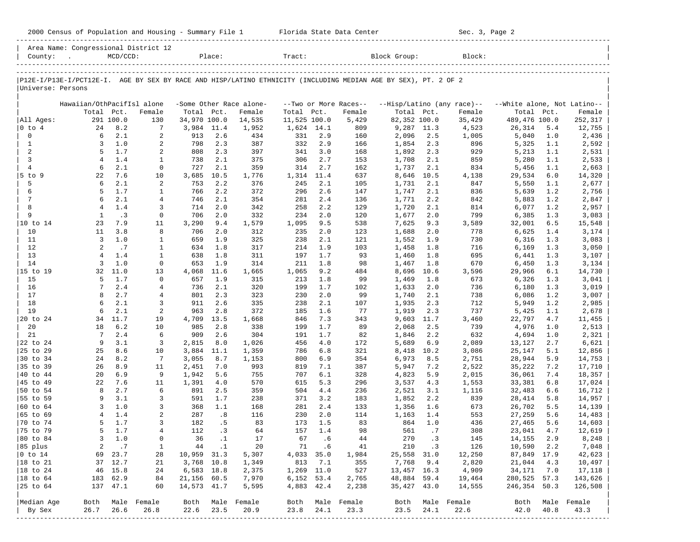|                                | 2000 Census of Population and Housing - Summary File 1 Florida State Data Center |             |                     |              |                 |                         |              |            |                       |                                                                                                                |                  | Sec. 3, Page 2             |                             |            |                 |
|--------------------------------|----------------------------------------------------------------------------------|-------------|---------------------|--------------|-----------------|-------------------------|--------------|------------|-----------------------|----------------------------------------------------------------------------------------------------------------|------------------|----------------------------|-----------------------------|------------|-----------------|
| County:                        | Area Name: Congressional District 12                                             | $MCD/CCD$ : |                     |              | Place:          |                         | Tract:       |            |                       | Block Group:                                                                                                   |                  | Block:                     |                             |            |                 |
| Universe: Persons              |                                                                                  |             |                     |              |                 |                         |              |            |                       | P12E-I/P13E-I/PCT12E-I. AGE BY SEX BY RACE AND HISP/LATINO ETHNICITY (INCLUDING MEDIAN AGE BY SEX), PT. 2 OF 2 |                  |                            |                             |            |                 |
|                                | Hawaiian/OthPacifIsl alone                                                       |             |                     |              |                 | -Some Other Race alone- |              |            | --Two or More Races-- |                                                                                                                |                  | --Hisp/Latino (any race)-- | --White alone, Not Latino-- |            |                 |
|                                | Total Pct.                                                                       |             | Female              | Total Pct.   |                 | Female                  | Total Pct.   |            | Female                | Total Pct.                                                                                                     |                  | Female                     | Total Pct.                  |            | Female          |
| All Ages:                      |                                                                                  | 291 100.0   | 130                 | 34,970 100.0 |                 | 14,535                  | 11,525 100.0 |            | 5,429                 | 82,352 100.0                                                                                                   |                  | 35,429                     | 489,476 100.0               |            | 252,317         |
| $ 0 \t{to} 4$                  | 24                                                                               | 8.2         | 7                   | 3,984 11.4   |                 | 1,952                   | 1,624 14.1   |            | 809                   | 9,287 11.3                                                                                                     |                  | 4,523                      | 26,314                      | 5.4        | 12,755          |
| $\mathbf 0$                    | 6<br>$\overline{3}$                                                              | 2.1<br>1.0  | 2<br>$\overline{a}$ | 913<br>798   | 2.6<br>2.3      | 434                     | 331<br>332   | 2.9<br>2.9 | 160                   | 2,096                                                                                                          | 2.5              | 1,005                      | 5,040                       | 1.0        | 2,436           |
| $\mathbf{1}$<br>$\overline{2}$ | 5                                                                                | 1.7         | 2                   | 808          | 2.3             | 387<br>397              | 341          | 3.0        | 166<br>168            | 1,854<br>1,892                                                                                                 | 2.3<br>2.3       | 896<br>929                 | 5,325<br>5,213              | 1.1<br>1.1 | 2,592<br>2,531  |
| $\overline{3}$                 | $\overline{4}$                                                                   | 1.4         | $\mathbf{1}$        | 738          | 2.1             | 375                     | 306          | 2.7        | 153                   | 1,708                                                                                                          | 2.1              | 859                        | 5,280                       | 1.1        | 2,533           |
| $\overline{4}$                 | 6                                                                                | 2.1         | $\mathbf 0$         | 727          | 2.1             | 359                     | 314          | 2.7        | 162                   | 1,737                                                                                                          | 2.1              | 834                        | 5,456                       | 1.1        | 2,663           |
| $5$ to $9$                     | 22                                                                               | 7.6         | 10                  | 3,685        | 10.5            | 1,776                   | 1,314        | 11.4       | 637                   | 8,646 10.5                                                                                                     |                  | 4,138                      | 29,534                      | 6.0        | 14,320          |
| 5                              | 6                                                                                | 2.1         | 2                   | 753          | 2.2             | 376                     | 245          | 2.1        | 105                   | 1,731                                                                                                          | 2.1              | 847                        | 5,550                       | 1.1        | 2,677           |
| 6                              | 5                                                                                | 1.7         | $\mathbf{1}$        | 766          | 2.2             | 372                     | 296          | 2.6        | 147                   | 1,747                                                                                                          | 2.1              | 836                        | 5,639                       | 1.2        | 2,756           |
| 7                              | 6                                                                                | 2.1         | $\overline{4}$      | 746          | 2.1             | 354                     | 281          | 2.4        | 136                   | 1,771                                                                                                          | 2.2              | 842                        | 5,883                       | 1.2        | 2,847           |
| 8                              | $\overline{4}$                                                                   | 1.4         | 3                   | 714          | 2.0             | 342                     | 258          | 2.2        | 129                   | 1,720                                                                                                          | 2.1              | 814                        | 6,077                       | 1.2        | 2,957           |
| 9                              | 1                                                                                | .3          | $\mathbf 0$         | 706          | 2.0             | 332                     | 234          | 2.0        | 120                   | 1,677                                                                                                          | 2.0              | 799                        | 6,385                       | 1.3        | 3,083           |
| 10 to 14                       | 23                                                                               | 7.9         | 11                  | 3,290        | 9.4             | 1,579                   | 1,095        | 9.5        | 538                   | 7,625                                                                                                          | 9.3              | 3,589                      | 32,001                      | 6.5        | 15,548          |
| 10<br>11                       | 11<br>$\overline{3}$                                                             | 3.8<br>1.0  | 8<br>$\mathbf{1}$   | 706<br>659   | 2.0<br>1.9      | 312<br>325              | 235<br>238   | 2.0<br>2.1 | 123<br>121            | 1,688                                                                                                          | 2.0<br>1.9       | 778<br>730                 | 6,625<br>6,316              | 1.4<br>1.3 | 3,174           |
| 12                             | 2                                                                                | .7          | $\mathbf{1}$        | 634          | 1.8             | 317                     | 214          | 1.9        | 103                   | 1,552<br>1,458                                                                                                 | 1.8              | 716                        | 6,169                       | 1.3        | 3,083<br>3,050  |
| 13                             | $\overline{4}$                                                                   | 1.4         | $\mathbf{1}$        | 638          | 1.8             | 311                     | 197          | 1.7        | 93                    | 1,460                                                                                                          | 1.8              | 695                        | 6,441                       | 1.3        | 3,107           |
| 14                             | 3                                                                                | 1.0         | $\mathbf 0$         | 653          | 1.9             | 314                     | 211          | 1.8        | 98                    | 1,467                                                                                                          | 1.8              | 670                        | 6,450                       | 1.3        | 3,134           |
| 15 to 19                       |                                                                                  | 32 11.0     | 13                  | 4,068        | 11.6            | 1,665                   | 1,065        | 9.2        | 484                   | 8,696                                                                                                          | 10.6             | 3,596                      | 29,966                      | 6.1        | 14,730          |
| 15                             | 5                                                                                | 1.7         | $\mathbf 0$         | 657          | 1.9             | 315                     | 213          | 1.8        | 99                    | 1,469                                                                                                          | 1.8              | 673                        | 6,326                       | 1.3        | 3,041           |
| 16                             | 7                                                                                | 2.4         | 4                   | 736          | 2.1             | 320                     | 199          | 1.7        | 102                   | 1,633                                                                                                          | 2.0              | 736                        | 6,180                       | 1.3        | 3,019           |
| 17                             | 8                                                                                | 2.7         | 4                   | 801          | 2.3             | 323                     | 230          | 2.0        | 99                    | 1,740                                                                                                          | 2.1              | 738                        | 6,086                       | 1.2        | 3,007           |
| 18                             | 6                                                                                | 2.1         | 3                   | 911          | 2.6             | 335                     | 238          | 2.1        | 107                   | 1,935                                                                                                          | 2.3              | 712                        | 5,949                       | 1.2        | 2,985           |
| 19                             | 6                                                                                | 2.1         | 2                   | 963          | 2.8             | 372                     | 185          | 1.6        | 77                    | 1,919                                                                                                          | 2.3              | 737                        | 5,425                       | 1.1        | 2,678           |
| 20 to 24                       |                                                                                  | 34 11.7     | 19                  | 4,709        | 13.5            | 1,668                   | 846          | 7.3        | 343                   | 9,603                                                                                                          | 11.7             | 3,460                      | 22,797                      | 4.7        | 11,455          |
| 20<br>21                       | 18<br>7                                                                          | 6.2<br>2.4  | 10<br>6             | 985<br>909   | 2.8<br>2.6      | 338<br>304              | 199<br>191   | 1.7<br>1.7 | 89<br>82              | 2,068                                                                                                          | 2.5<br>2.2       | 739<br>632                 | 4,976<br>4,694              | 1.0<br>1.0 | 2,513           |
| 22 to 24                       | 9                                                                                | 3.1         | 3                   | 2,815        | 8.0             | 1,026                   | 456          | 4.0        | 172                   | 1,846<br>5,689                                                                                                 | 6.9              | 2,089                      | 13,127                      | 2.7        | 2,321<br>6,621  |
| 25 to 29                       | 25                                                                               | 8.6         | 10                  | 3,884        | 11.1            | 1,359                   | 786          | 6.8        | 321                   | 8,418                                                                                                          | 10.2             | 3,086                      | 25,147                      | 5.1        | 12,856          |
| 30 to 34                       | 24                                                                               | 8.2         | $7\phantom{.0}$     | 3,055        | 8.7             | 1,153                   | 800          | 6.9        | 354                   | 6,973                                                                                                          | 8.5              | 2,751                      | 28,944                      | 5.9        | 14,753          |
| 35 to 39                       | 26                                                                               | 8.9         | 11                  | 2,451        | 7.0             | 993                     | 819          | 7.1        | 387                   | 5,947                                                                                                          | 7.2              | 2,522                      | 35,222                      | 7.2        | 17,710          |
| 40 to 44                       | 20                                                                               | 6.9         | 9                   | 1,942        | 5.6             | 755                     | 707          | 6.1        | 328                   | 4,823                                                                                                          | 5.9              | 2,015                      | 36,061                      | 7.4        | 18,357          |
| 45 to 49                       | 22                                                                               | 7.6         | 11                  | 1,391        | 4.0             | 570                     | 615          | 5.3        | 296                   | 3,537                                                                                                          | 4.3              | 1,553                      | 33,381                      | 6.8        | 17,024          |
| 50 to 54                       | 8                                                                                | 2.7         | 6                   | 891          | 2.5             | 359                     | 504          | 4.4        | 236                   | 2,521                                                                                                          | 3.1              | 1,116                      | 32,483                      | 6.6        | 16,712          |
| 55 to 59                       | 9                                                                                | 3.1         | 3                   | 591          | 1.7             | 238                     | 371          | 3.2        | 183                   | 1,852                                                                                                          | 2.2              | 839                        | 28,414                      | 5.8        | 14,957          |
| 60 to 64                       | 3                                                                                | 1.0         | 3                   | 368          | 1.1             | 168                     | 281          | 2.4        | 133                   | 1,356                                                                                                          | 1.6              | 673                        | 26,702                      | 5.5        | 14,139          |
| 65 to 69                       | $\overline{4}$                                                                   | 1.4         | $\overline{a}$      | 287          | .8              | 116                     | 230          | 2.0        | 114                   | 1,163                                                                                                          | 1.4              | 553                        | 27,259                      | 5.6        | 14,483          |
| 70 to 74                       | 5                                                                                | 1.7         | 3                   | 182          | .5              | 83                      | 173          | 1.5        | 83                    | 864                                                                                                            | 1.0<br>$\cdot$ 7 | 436                        | 27,465                      | 5.6        | 14,603          |
| 75 to 79<br>80 to 84           | 5<br>3                                                                           | 1.7<br>1.0  | $\overline{4}$<br>0 | 112<br>36    | .3<br>$\cdot$ 1 | 64<br>17                | 157<br>67    | 1.4<br>.6  | 98                    | 561<br>270                                                                                                     | .3               | 308<br>145                 | 23,041<br>14,155            | 4.7<br>2.9 | 12,619<br>8,248 |
| 85 plus                        | $\overline{\mathbf{c}}$                                                          | .7          | $\mathbf{1}$        | 44           | $\cdot$ 1       | 20                      | 71           | .6         | 44<br>41              | 210                                                                                                            | .3               | 126                        | 10,590                      | 2.2        | 7,048           |
| $0$ to 14                      | 69                                                                               | 23.7        | 28                  | 10,959       | 31.3            | 5,307                   | 4,033        | 35.0       | 1,984                 | 25,558 31.0                                                                                                    |                  | 12,250                     | 87,849 17.9                 |            | 42,623          |
| 18 to 21                       | 37                                                                               | 12.7        | 21                  | 3,768        | 10.8            | 1,349                   | 813          | 7.1        | 355                   | 7,768                                                                                                          | 9.4              | 2,820                      | 21,044                      | 4.3        | 10,497          |
| 18 to 24                       | 46                                                                               | 15.8        | 24                  | 6,583        | 18.8            | 2,375                   | 1,269        | 11.0       | 527                   | 13,457 16.3                                                                                                    |                  | 4,909                      | 34,171                      | 7.0        | 17,118          |
| 18 to 64                       | 183                                                                              | 62.9        | 84                  | 21,156 60.5  |                 | 7,970                   | 6,152        | 53.4       | 2,765                 | 48,884                                                                                                         | 59.4             | 19,464                     | 280,525                     | 57.3       | 143,626         |
| 25 to 64                       |                                                                                  | 137 47.1    | 60                  | 14,573 41.7  |                 | 5,595                   | 4,883 42.4   |            | 2,238                 | 35,427 43.0                                                                                                    |                  | 14,555                     | 246,354 50.3                |            | 126,508         |
|                                |                                                                                  |             |                     |              |                 |                         |              |            |                       |                                                                                                                |                  |                            |                             |            |                 |
| Median Age                     | Both                                                                             |             | Male Female         | Both         | Male            | Female                  | Both         |            | Male Female           | Both                                                                                                           |                  | Male Female                | Both                        |            | Male Female     |
| By Sex                         | 26.7                                                                             | 26.6        | 26.8                | 22.6         | 23.5            | 20.9                    | 23.8         | 24.1       | 23.3                  | 23.5                                                                                                           | 24.1             | 22.6                       | 42.0                        | 40.8       | 43.3            |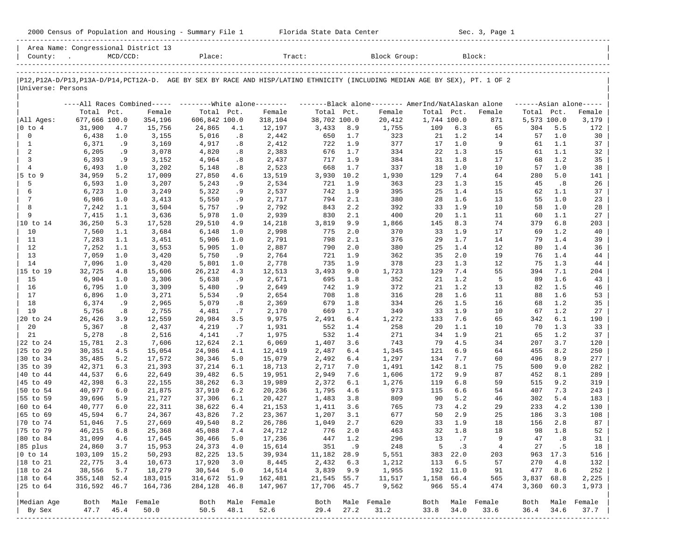|                                  | 2000 Census of Population and Housing - Summary File 1 Florida State Data Center |            |                                      |                  |            |                  |                   |            |                                                                                                                               |             |            | Sec. 3, Page 1 |             |            |                      |
|----------------------------------|----------------------------------------------------------------------------------|------------|--------------------------------------|------------------|------------|------------------|-------------------|------------|-------------------------------------------------------------------------------------------------------------------------------|-------------|------------|----------------|-------------|------------|----------------------|
| County: .                        |                                                                                  | MCD/CCD:   | Area Name: Congressional District 13 | Place:           |            | Tract:           |                   |            | Block Group:                                                                                                                  |             |            | Block:         |             |            |                      |
| Universe: Persons                |                                                                                  |            |                                      |                  |            |                  |                   |            | P12, P12A-D/P13, P13A-D/P14, PCT12A-D. AGE BY SEX BY RACE AND HISP/LATINO ETHNICITY (INCLUDING MEDIAN AGE BY SEX), PT. 1 OF 2 |             |            |                |             |            |                      |
|                                  |                                                                                  |            |                                      |                  |            |                  |                   |            | ----All Races Combined----- --------White alone-------- ----------Black alone-------- AmerInd/NatAlaskan alone                |             |            |                |             |            | $----A\tan alone---$ |
|                                  | Total Pct.                                                                       |            | Female                               | Total Pct.       |            | Female           | Total Pct.        |            | Female                                                                                                                        | Total Pct.  |            | Female         | Total Pct.  |            | Female               |
| All Ages:                        | 677,666 100.0                                                                    |            | 354,196                              | 606,842 100.0    |            | 318,104          | 38,702 100.0      |            | 20,412                                                                                                                        | 1,744 100.0 |            | 871            | 5,573 100.0 |            | 3,179                |
| $ 0 \t{to} 4$                    | 31,900                                                                           | 4.7        | 15,756                               | 24,865           | 4.1        | 12,197           | 3,433             | 8.9        | 1,755                                                                                                                         | 109         | 6.3        | 65             | 304         | 5.5        | 172                  |
| $\mathbf 0$                      | 6,438                                                                            | 1.0        | 3,155                                | 5,016            | .8         | 2,442            | 650               | 1.7        | 323                                                                                                                           | 21          | 1.2        | 14             | 57          | 1.0        | 30                   |
| 1                                | 6,371                                                                            | .9         | 3,169                                | 4,917            | .8         | 2,412            | 722               | 1.9        | 377                                                                                                                           | 17          | 1.0        | 9              | 61          | 1.1        | 37                   |
| 2                                | 6,205                                                                            | .9         | 3,078                                | 4,820            | .8         | 2,383            | 676               | 1.7        | 334                                                                                                                           | 22          | 1.3        | 15             | 61          | 1.1        | 32                   |
| $\overline{3}$<br>$\overline{4}$ | 6,393                                                                            | .9         | 3,152                                | 4,964            | .8         | 2,437            | 717               | 1.9        | 384<br>337                                                                                                                    | 31          | 1.8<br>1.0 | 17             | 68<br>57    | 1.2<br>1.0 | 35                   |
| $5$ to $9$                       | 6,493<br>34,959                                                                  | 1.0<br>5.2 | 3,202<br>17,009                      | 5,148<br>27,850  | .8<br>4.6  | 2,523<br>13,519  | 668<br>3,930 10.2 | 1.7        | 1,930                                                                                                                         | 18<br>129   | 7.4        | 10<br>64       | 280         | 5.0        | 38<br>141            |
| 5                                | 6,593                                                                            | 1.0        | 3,207                                | 5,243            | . 9        | 2,534            | 721               | 1.9        | 363                                                                                                                           | 23          | 1.3        | 15             | 45          | .8         | 26                   |
| 6                                | 6,723                                                                            | 1.0        | 3,249                                | 5,322            | . 9        | 2,537            | 742               | 1.9        | 395                                                                                                                           | 25          | 1.4        | 15             | 62          | 1.1        | 37                   |
| 7                                | 6,986                                                                            | 1.0        | 3,413                                | 5,550            | .9         | 2,717            | 794               | 2.1        | 380                                                                                                                           | 28          | 1.6        | 13             | 55          | 1.0        | 23                   |
| 8                                | 7,242                                                                            | 1.1        | 3,504                                | 5,757            | .9         | 2,792            | 843               | 2.2        | 392                                                                                                                           | 33          | 1.9        | 10             | 58          | 1.0        | 28                   |
| 9                                | 7,415                                                                            | 1.1        | 3,636                                | 5,978            | 1.0        | 2,939            | 830               | 2.1        | 400                                                                                                                           | 20          | 1.1        | 11             | 60          | 1.1        | 27                   |
| 10 to 14                         | 36,250                                                                           | 5.3        | 17,528                               | 29,510           | 4.9        | 14,218           | 3,819             | 9.9        | 1,866                                                                                                                         | 145         | 8.3        | 74             | 379         | 6.8        | 203                  |
| 10                               | 7,560                                                                            | 1.1        | 3,684                                | 6,148            | 1.0        | 2,998            | 775               | 2.0        | 370                                                                                                                           | 33          | 1.9        | 17             | 69          | 1.2        | 40                   |
| 11                               | 7,283                                                                            | 1.1        | 3,451                                | 5,906            | 1.0        | 2,791            | 798               | 2.1        | 376                                                                                                                           | 29          | 1.7        | 14             | 79          | 1.4        | 39                   |
| 12                               | 7,252                                                                            | 1.1        | 3,553                                | 5,905            | 1.0        | 2,887            | 790               | 2.0        | 380                                                                                                                           | 25          | 1.4        | 12             | 80          | 1.4        | 36                   |
| 13                               | 7,059                                                                            | 1.0        | 3,420                                | 5,750            | .9         | 2,764            | 721               | 1.9        | 362                                                                                                                           | 35          | 2.0        | 19             | 76          | 1.4        | 44                   |
| 14                               | 7,096                                                                            | 1.0        | 3,420                                | 5,801            | 1.0        | 2,778            | 735               | 1.9        | 378                                                                                                                           | 23          | 1.3        | 12             | 75          | 1.3        | 44                   |
| 15 to 19<br>15                   | 32,725<br>6,904                                                                  | 4.8<br>1.0 | 15,606<br>3,306                      | 26,212<br>5,638  | 4.3<br>.9  | 12,513<br>2,671  | 3,493<br>695      | 9.0<br>1.8 | 1,723<br>352                                                                                                                  | 129<br>21   | 7.4<br>1.2 | 55<br>5        | 394<br>89   | 7.1<br>1.6 | 204<br>43            |
| 16                               | 6,795                                                                            | 1.0        | 3,309                                | 5,480            | . 9        | 2,649            | 742               | 1.9        | 372                                                                                                                           | 21          | 1.2        | 13             | 82          | 1.5        | 46                   |
| 17                               | 6,896                                                                            | 1.0        | 3,271                                | 5,534            | .9         | 2,654            | 708               | 1.8        | 316                                                                                                                           | 28          | 1.6        | 11             | 88          | 1.6        | 53                   |
| 18                               | 6,374                                                                            | . 9        | 2,965                                | 5,079            | .8         | 2,369            | 679               | 1.8        | 334                                                                                                                           | 26          | 1.5        | 16             | 68          | 1.2        | 35                   |
| 19                               | 5,756                                                                            | .8         | 2,755                                | 4,481            | .7         | 2,170            | 669               | 1.7        | 349                                                                                                                           | 33          | 1.9        | 10             | 67          | 1.2        | 27                   |
| 20 to 24                         | 26,426                                                                           | 3.9        | 12,559                               | 20,984           | 3.5        | 9,975            | 2,491             | $6.4$      | 1,272                                                                                                                         | 133         | 7.6        | 65             | 342         | 6.1        | 190                  |
| 20                               | 5,367                                                                            | .8         | 2,437                                | 4,219            | .7         | 1,931            | 552               | 1.4        | 258                                                                                                                           | 20          | 1.1        | 10             | 70          | 1.3        | 33                   |
| 21                               | 5,278                                                                            | .8         | 2,516                                | 4,141            | .7         | 1,975            | 532               | 1.4        | 271                                                                                                                           | 34          | 1.9        | 21             | 65          | 1.2        | 37                   |
| 22 to 24                         | 15,781                                                                           | 2.3        | 7,606                                | 12,624           | 2.1        | 6,069            | 1,407             | 3.6        | 743                                                                                                                           | 79          | 4.5        | 34             | 207         | 3.7        | 120                  |
| 25 to 29                         | 30,351                                                                           | 4.5        | 15,054                               | 24,986           | 4.1        | 12,419           | 2,487             | $6.4$      | 1,345                                                                                                                         | 121         | 6.9        | 64             | 455         | 8.2        | 250                  |
| 30 to 34                         | 35,485                                                                           | 5.2        | 17,572                               | 30,346           | 5.0        | 15,079           | 2,492             | 6.4        | 1,297                                                                                                                         | 134         | 7.7        | 60             | 496         | 8.9        | 277                  |
| 35 to 39                         | 42,371                                                                           | 6.3        | 21,393                               | 37,214           | 6.1        | 18,713           | 2,717             | 7.0        | 1,491                                                                                                                         | 142         | 8.1        | 75             | 500         | 9.0        | 282                  |
| 40 to 44                         | 44,537                                                                           | 6.6        | 22,649                               | 39,482           | 6.5        | 19,951           | 2,949             | 7.6        | 1,606                                                                                                                         | 172         | 9.9        | 87             | 452         | 8.1        | 289                  |
| 45 to 49<br>50 to 54             | 42,398<br>40,977                                                                 | 6.3<br>6.0 | 22,155<br>21,875                     | 38,262<br>37,910 | 6.3<br>6.2 | 19,989<br>20,236 | 2,372<br>1,795    | 6.1<br>4.6 | 1,276<br>973                                                                                                                  | 119<br>115  | 6.8<br>6.6 | 59<br>54       | 515<br>407  | 9.2<br>7.3 | 319<br>243           |
| 55 to 59                         | 39,696                                                                           | 5.9        | 21,727                               | 37,306           | 6.1        | 20,427           | 1,483             | 3.8        | 809                                                                                                                           | 90          | 5.2        | 46             | 302         | 5.4        | 183                  |
| 60 to 64                         | 40,777                                                                           | 6.0        | 22,311                               | 38,622           | 6.4        | 21,153           | 1,411             | 3.6        | 765                                                                                                                           | 73          | 4.2        | 29             | 233         | 4.2        | 130                  |
| 65 to 69                         | 45,594                                                                           | 6.7        | 24,367                               | 43,826           | 7.2        | 23,367           | 1,207             | 3.1        | 677                                                                                                                           | 50          | 2.9        | 25             | 186         | 3.3        | 108                  |
| 70 to 74                         | 51,046                                                                           | 7.5        | 27,669                               | 49,540           | 8.2        | 26,786           | 1,049             | 2.7        | 620                                                                                                                           | 33          | 1.9        | 18             | 156         | 2.8        | 87                   |
| 75 to 79                         | 46,215                                                                           | $6.8$      | 25,368                               | 45,088           | 7.4        | 24,712           | 776               | 2.0        | 463                                                                                                                           | 32          | 1.8        | 18             | 98          | 1.8        | 52                   |
| 80 to 84                         | 31,099                                                                           | 4.6        | 17,645                               | 30,466           | 5.0        | 17,236           | 447               | 1.2        | 296                                                                                                                           | 13          | .7         | 9              | 47          | .8         | 31                   |
| 85 plus                          | 24,860                                                                           | 3.7        | 15,953                               | 24,373           | 4.0        | 15,614           | 351               | .9         | 248                                                                                                                           | 5           | .3         | 4              | 27          | .5         | 18                   |
| $0$ to 14                        | 103,109 15.2                                                                     |            | 50,293                               | 82,225           | 13.5       | 39,934           | 11,182            | 28.9       | 5,551                                                                                                                         | 383         | 22.0       | 203            | 963         | 17.3       | 516                  |
| 18 to 21                         | 22,775                                                                           | 3.4        | 10,673                               | 17,920           | 3.0        | 8,445            | 2,432             | 6.3        | 1,212                                                                                                                         | 113         | $6.5$      | 57             | 270         | 4.8        | 132                  |
| 18 to 24                         | 38,556                                                                           | 5.7        | 18,279                               | 30,544           | 5.0        | 14,514           | 3,839             | 9.9        | 1,955                                                                                                                         | 192         | 11.0       | 91             | 477         | 8.6        | 252                  |
| $ 18$ to $64$                    | 355,148                                                                          | 52.4       | 183,015                              | 314,672          | 51.9       | 162,481          | 21,545            | 55.7       | 11,517                                                                                                                        | 1,158       | 66.4       | 565            | 3,837       | 68.8       | 2,225                |
| 25 to 64                         | 316,592 46.7                                                                     |            | 164,736                              | 284,128          | 46.8       | 147,967          | 17,706 45.7       |            | 9,562                                                                                                                         | 966         | 55.4       | 474            | 3,360       | 60.3       | 1,973                |
| Median Age                       | Both                                                                             |            | Male Female                          | Both             |            | Male Female      | Both              |            | Male Female                                                                                                                   | Both        |            | Male Female    | Both        | Male       | Female               |
| By Sex                           | 47.7                                                                             | 45.4       | 50.0                                 | 50.5             | 48.1       | 52.6             | 29.4              | 27.2       | 31.2                                                                                                                          | 33.8        | 34.0       | 33.6           | 36.4        | 34.6       | 37.7                 |
|                                  |                                                                                  |            |                                      |                  |            |                  |                   |            |                                                                                                                               |             |            |                |             |            |                      |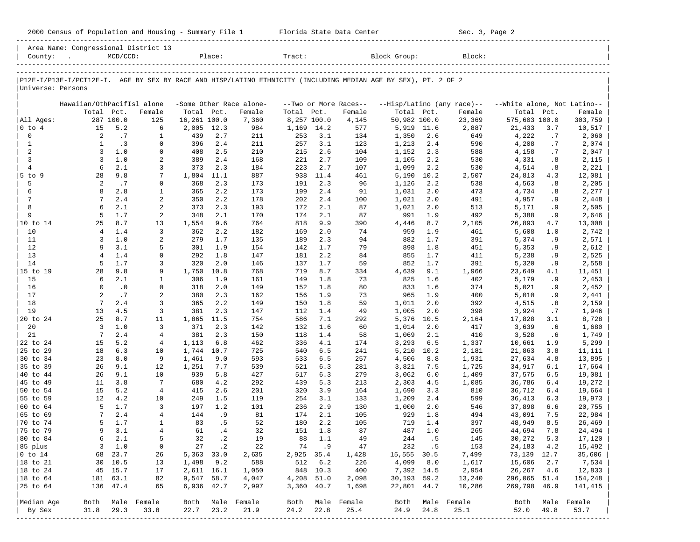|                         | 2000 Census of Population and Housing - Summary File 1 Florida State Data Center                               |                  |                |              |                        |                         |             |            |                                   |                |            | Sec. 3, Page 2             |                             |            |                  |
|-------------------------|----------------------------------------------------------------------------------------------------------------|------------------|----------------|--------------|------------------------|-------------------------|-------------|------------|-----------------------------------|----------------|------------|----------------------------|-----------------------------|------------|------------------|
|                         | Area Name: Congressional District 13<br>County: .                                                              | $MCD/CCD$ :      |                |              | Place:                 |                         | Tract:      |            |                                   | Block Group:   |            | Block:                     |                             |            |                  |
|                         |                                                                                                                |                  |                |              |                        |                         |             |            |                                   |                |            |                            |                             |            |                  |
| Universe: Persons       | P12E-I/P13E-I/PCT12E-I. AGE BY SEX BY RACE AND HISP/LATINO ETHNICITY (INCLUDING MEDIAN AGE BY SEX), PT. 2 OF 2 |                  |                |              |                        |                         |             |            |                                   |                |            |                            |                             |            |                  |
|                         | Hawaiian/OthPacifIsl alone                                                                                     |                  |                |              |                        | -Some Other Race alone- |             |            | --Two or More Races--             |                |            | --Hisp/Latino (any race)-- | --White alone, Not Latino-- |            |                  |
|                         |                                                                                                                | Total Pct.       | Female         | Total Pct.   |                        | Female                  | Total Pct.  |            | Female                            | Total Pct.     |            | Female                     | Total Pct.                  |            | Female           |
| All Ages:               |                                                                                                                | 287 100.0        | 125            | 16,261 100.0 |                        | 7,360                   | 8,257 100.0 |            | 4,145                             | 50,982 100.0   |            | 23,369                     | 575,603 100.0               |            | 303,759          |
| $ 0 \t{to} 4$           | 15                                                                                                             | 5.2              | 6              | 2,005 12.3   |                        | 984                     | 1,169 14.2  |            | 577                               | 5,919 11.6     |            | 2,887                      | 21,433                      | 3.7        | 10,517           |
| 0                       | 2                                                                                                              | .7               | 1              | 439          | 2.7                    | 211                     | 253         | 3.1        | 134                               | 1,350          | 2.6        | 649                        | 4,222                       | .7         | 2,060            |
| 1<br>2                  | 1<br>3                                                                                                         | $\cdot$ 3<br>1.0 | 0<br>0         | 396<br>408   | 2.4<br>2.5             | 211<br>210              | 257<br>215  | 3.1<br>2.6 | 123<br>104                        | 1,213<br>1,152 | 2.4<br>2.3 | 590<br>588                 | 4,208<br>4,158              | .7<br>.7   | 2,074<br>2,047   |
| $\mathbf{3}$            | 3                                                                                                              | 1.0              | 2              | 389          | 2.4                    | 168                     | 221         | 2.7        | 109                               | 1,105          | 2.2        | 530                        | 4,331                       | . 8        | 2,115            |
| $\overline{4}$          | 6                                                                                                              | 2.1              | 3              | 373          | 2.3                    | 184                     | 223         | 2.7        | 107                               | 1,099          | 2.2        | 530                        | 4,514                       | .8         | 2,221            |
| $5$ to 9                | 28                                                                                                             | 9.8              | 7              | 1,804        | 11.1                   | 887                     | 938         | 11.4       | 461                               | 5,190          | 10.2       | 2,507                      | 24,813                      | 4.3        | 12,081           |
| 5                       | 2                                                                                                              | .7               | 0              | 368          | 2.3                    | 173                     | 191         | 2.3        | 96                                | 1,126          | 2.2        | 538                        | 4,563                       | .8         | 2,205            |
| 6                       | 8                                                                                                              | 2.8              | $\mathbf{1}$   | 365          | 2.2                    | 173                     | 199         | 2.4        | 91                                | 1,031          | 2.0        | 473                        | 4,734                       | .8         | 2,277            |
| 7                       | 7                                                                                                              | 2.4              | 2              | 350          | 2.2                    | 178                     | 202         | 2.4        | 100                               | 1,021          | 2.0        | 491                        | 4,957                       | .9         | 2,448            |
| 8<br>9                  | 6                                                                                                              | 2.1              | 2              | 373          | 2.3                    | 193                     | 172         | 2.1        | 87                                | 1,021          | 2.0        | 513                        | 5,171                       | . 9        | 2,505            |
| 10 to 14                | 5<br>25                                                                                                        | 1.7<br>8.7       | 2<br>13        | 348<br>1,554 | 2.1<br>9.6             | 170<br>764              | 174<br>818  | 2.1<br>9.9 | 87<br>390                         | 991<br>4,446   | 1.9<br>8.7 | 492<br>2,105               | 5,388<br>26,893             | . 9<br>4.7 | 2,646<br>13,008  |
| 10                      | 4                                                                                                              | 1.4              | 3              | 362          | 2.2                    | 182                     | 169         | 2.0        | 74                                | 959            | 1.9        | 461                        | 5,608                       | 1.0        | 2,742            |
| 11                      | 3                                                                                                              | 1.0              | 2              | 279          | 1.7                    | 135                     | 189         | 2.3        | 94                                | 882            | 1.7        | 391                        | 5,374                       | . 9        | 2,571            |
| 12                      | 9                                                                                                              | 3.1              | 5              | 301          | 1.9                    | 154                     | 142         | 1.7        | 79                                | 898            | 1.8        | 451                        | 5,353                       | .9         | 2,612            |
| 13                      | $\overline{4}$                                                                                                 | 1.4              | 0              | 292          | 1.8                    | 147                     | 181         | 2.2        | 84                                | 855            | 1.7        | 411                        | 5,238                       | . 9        | 2,525            |
| 14                      | 5                                                                                                              | 1.7              | 3              | 320          | 2.0                    | 146                     | 137         | 1.7        | 59                                | 852            | 1.7        | 391                        | 5,320                       | .9         | 2,558            |
| 15 to 19                | 28                                                                                                             | 9.8              | 9              | 1,750        | 10.8                   | 768                     | 719         | 8.7        | 334                               | 4,639          | 9.1        | 1,966                      | 23,649                      | 4.1        | 11,451           |
| 15                      | 6                                                                                                              | 2.1              | 1              | 306          | 1.9                    | 161                     | 149         | 1.8        | 73                                | 825            | 1.6        | 402                        | 5,179                       | .9         | 2,453            |
| 16<br>17                | $\Omega$<br>2                                                                                                  | $\cdot$ 0<br>.7  | 0<br>2         | 318<br>380   | 2.0<br>2.3             | 149                     | 152<br>156  | 1.8<br>1.9 | 80<br>73                          | 833<br>965     | 1.6        | 374<br>400                 | 5,021                       | . 9        | 2,452            |
| 18                      | $7\phantom{.0}$                                                                                                | 2.4              | 3              | 365          | 2.2                    | 162<br>149              | 150         | 1.8        | 59                                | 1,011          | 1.9<br>2.0 | 392                        | 5,010<br>4,515              | .9<br>.8   | 2,441<br>2,159   |
| 19                      | 13                                                                                                             | 4.5              | 3              | 381          | 2.3                    | 147                     | 112         | 1.4        | 49                                | 1,005          | 2.0        | 398                        | 3,924                       | .7         | 1,946            |
| 20 to 24                | 25                                                                                                             | 8.7              | 11             | 1,865        | 11.5                   | 754                     | 586         | 7.1        | 292                               | 5,376          | 10.5       | 2,164                      | 17,828                      | 3.1        | 8,728            |
| 20                      | 3                                                                                                              | 1.0              | 3              | 371          | 2.3                    | 142                     | 132         | 1.6        | 60                                | 1,014          | 2.0        | 417                        | 3,639                       | .6         | 1,680            |
| 21                      | 7                                                                                                              | 2.4              | 4              | 381          | 2.3                    | 150                     | 118         | 1.4        | 58                                | 1,069          | 2.1        | 410                        | 3,528                       | . 6        | 1,749            |
| 22 to 24                | 15                                                                                                             | 5.2              | 4              | 1,113        | 6.8                    | 462                     | 336         | 4.1        | 174                               | 3,293          | 6.5        | 1,337                      | 10,661                      | 1.9        | 5,299            |
| 25 to 29                | 18                                                                                                             | 6.3              | 10             | 1,744        | 10.7                   | 725                     | 540         | 6.5        | 241                               | 5,210          | 10.2       | 2,181                      | 21,863                      | 3.8        | 11,111           |
| 30 to 34                | 23                                                                                                             | 8.0              | 9              | 1,461        | 9.0                    | 593                     | 533         | 6.5        | 257                               | 4,506          | 8.8        | 1,931                      | 27,634                      | 4.8        | 13,895           |
| 35 to 39<br>40 to 44    | 26<br>26                                                                                                       | 9.1<br>9.1       | 12<br>10       | 1,251<br>939 | 7.7<br>5.8             | 539<br>427              | 521<br>517  | 6.3<br>6.3 | 281<br>279                        | 3,821<br>3,062 | 7.5<br>6.0 | 1,725<br>1,409             | 34,917<br>37,575            | 6.1<br>6.5 | 17,664<br>19,081 |
| 45 to 49                | 11                                                                                                             | 3.8              | 7              | 680          | 4.2                    | 292                     | 439         | 5.3        | 213                               | 2,303          | 4.5        | 1,085                      | 36,786                      | 6.4        | 19,272           |
| 50 to 54                | 15                                                                                                             | 5.2              | $\overline{4}$ | 415          | 2.6                    | 201                     | 320         | 3.9        | 164                               | 1,690          | 3.3        | 810                        | 36,712                      | 6.4        | 19,664           |
| 55 to 59                | 12                                                                                                             | 4.2              | 10             | 249          | 1.5                    | 119                     | 254         | 3.1        | 133                               | 1,209          | 2.4        | 599                        | 36,413                      | 6.3        | 19,973           |
| 60 to 64                | 5                                                                                                              | 1.7              | 3              | 197          | 1.2                    | 101                     | 236         | 2.9        | 130                               | 1,000          | 2.0        | 546                        | 37,898                      | 6.6        | 20,755           |
| 65 to 69                | 7                                                                                                              | 2.4              | 4              | 144          | . 9                    | 81                      | 174         | 2.1        | 105                               | 929            | 1.8        | 494                        | 43,091                      | 7.5        | 22,984           |
| $ 70 \text{ to } 74$    |                                                                                                                | 5 1.7            | 1              | 83           | . 5                    | 52                      | 180         | 2.2        | 105                               | 719            | 1.4        | 397                        | 48,949                      | 8.5        | 26,469           |
| 75 to 79                | 9                                                                                                              | 3.1              | 4              | 61           | .4                     | 32                      | 151         | 1.8        | 87                                | 487            | 1.0        | 265                        | 44,694                      | 7.8        | 24,494           |
| 80 to 84<br>85 plus     | 6<br>3                                                                                                         | 2.1              | 5<br>0         | 32<br>27     | $\cdot$ 2<br>$\cdot$ 2 | 19<br>22                | 88<br>74    | 1.1<br>.9  | 49                                | 244<br>232     | .5<br>. 5  | 145                        | 30,272<br>24,183            | 5.3<br>4.2 | 17,120           |
| $0$ to $14$             | 68                                                                                                             | 1.0<br>23.7      | 26             | 5,363        | 33.0                   | 2,635                   | 2,925       | 35.4       | 47<br>1,428                       | 15,555         | 30.5       | 153<br>7,499               | 73,139 12.7                 |            | 15,492<br>35,606 |
| 18 to 21                | 30                                                                                                             | 10.5             | 13             | 1,498        | 9.2                    | 588                     | 512         | 6.2        | 226                               | 4,099          | 8.0        | 1,617                      | 15,606                      | 2.7        | 7,534            |
| 18 to 24                | 45                                                                                                             | 15.7             | 17             | 2,611 16.1   |                        | 1,050                   | 848         | 10.3       | 400                               | 7,392 14.5     |            | 2,954                      | 26,267                      | 4.6        | 12,833           |
| $ 18$ to $64$           | 181                                                                                                            | 63.1             | 82             | 9,547        | 58.7                   | 4,047                   | 4,208       | 51.0       | 2,098                             | 30,193 59.2    |            | 13,240                     | 296,065 51.4                |            | 154,248          |
| 25 to 64                | 136                                                                                                            | 47.4             | 65             | 6,936        | 42.7                   | 2,997                   | 3,360       | 40.7       | 1,698                             | 22,801 44.7    |            | 10,286                     | 269,798                     | 46.9       | 141,415          |
|                         |                                                                                                                |                  |                |              |                        |                         |             |            |                                   |                |            |                            |                             |            |                  |
| Median Age              | Both                                                                                                           |                  | Male Female    | Both         | Male                   | Female                  | Both        |            | Male Female                       | Both           |            | Male Female                | Both                        |            | Male Female      |
| By Sex<br>------------- | 31.8                                                                                                           | 29.3             | 33.8           | 22.7         | 23.2                   | 21.9                    | 24.2        | 22.8       | 25.4<br>_________________________ | 24.9           | 24.8       | 25.1                       | 52.0                        | 49.8       | 53.7             |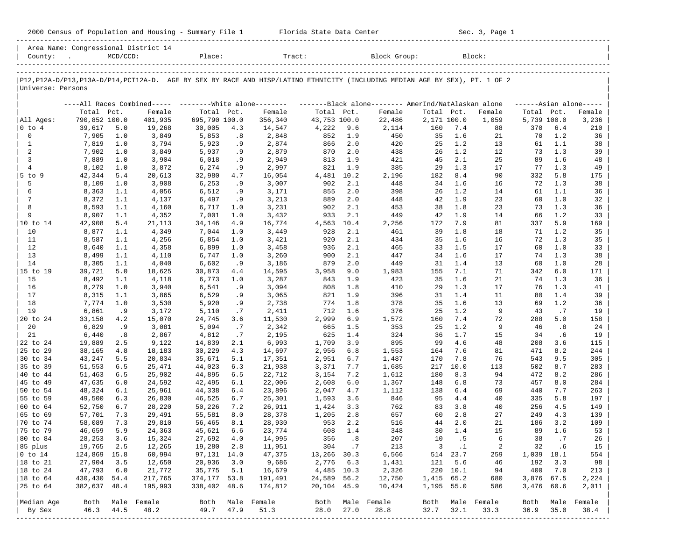|                             | 2000 Census of Population and Housing - Summary File 1 Florida State Data Center |            |                                      |                       |            |                  |                   |             |                                                                                                                               |             |                   | Sec. 3, Page 1          |              |             |                      |
|-----------------------------|----------------------------------------------------------------------------------|------------|--------------------------------------|-----------------------|------------|------------------|-------------------|-------------|-------------------------------------------------------------------------------------------------------------------------------|-------------|-------------------|-------------------------|--------------|-------------|----------------------|
|                             |                                                                                  |            | Area Name: Congressional District 14 |                       |            |                  |                   |             |                                                                                                                               |             |                   |                         |              |             |                      |
| Universe: Persons           |                                                                                  |            |                                      |                       |            |                  |                   |             | P12, P12A-D/P13, P13A-D/P14, PCT12A-D. AGE BY SEX BY RACE AND HISP/LATINO ETHNICITY (INCLUDING MEDIAN AGE BY SEX), PT. 1 OF 2 |             |                   |                         |              |             |                      |
|                             |                                                                                  |            |                                      |                       |            |                  |                   |             | ----All Races Combined----- --------White alone-------- --------Black alone-------- AmerInd/NatAlaskan alone                  |             |                   |                         |              |             | $----Asian alone---$ |
|                             | Total Pct.                                                                       |            | Female                               | Total Pct.            |            | Female           | Total Pct.        |             | Female                                                                                                                        | Total Pct.  |                   | Female                  | Total Pct.   |             | Female               |
| All Ages:                   | 790,852 100.0                                                                    |            | 401,935                              | 695,790 100.0         |            | 356,340          | 43,753 100.0      |             | 22,486                                                                                                                        | 2,171 100.0 |                   | 1,059                   | 5,739 100.0  |             | 3,236                |
| $ 0 \t{to} 4$               | 39,617                                                                           | 5.0        | 19,268                               | 30,005                | 4.3        | 14,547           | 4,222             | 9.6         | 2,114                                                                                                                         | 160         | 7.4               | 88                      | 370          | 6.4         | 210                  |
| $\mathbf 0$                 | 7,905                                                                            | 1.0        | 3,849                                | 5,853                 | .8         | 2,848            | 852               | 1.9         | 450                                                                                                                           | 35          | 1.6               | 21                      | 70           | 1.2         | 36                   |
| $\mathbf{1}$<br>2           | 7,819<br>7,902                                                                   | 1.0<br>1.0 | 3,794<br>3,849                       | 5,923<br>5,937        | .9<br>.9   | 2,874<br>2,879   | 866<br>870        | 2.0<br>2.0  | 420<br>438                                                                                                                    | 25<br>26    | 1.2<br>1.2        | 13<br>12                | 61<br>73     | 1.1<br>1.3  | 38<br>39             |
| $\overline{3}$              | 7,889                                                                            | 1.0        | 3,904                                | 6,018                 | .9         | 2,949            | 813               | 1.9         | 421                                                                                                                           | 45          | 2.1               | 25                      | 89           | 1.6         | 48                   |
| $\overline{4}$              | 8,102                                                                            | 1.0        | 3,872                                | 6,274                 | .9         | 2,997            | 821               | 1.9         | 385                                                                                                                           | 29          | 1.3               | 17                      | 77           | 1.3         | 49                   |
| $5$ to 9                    | 42,344                                                                           | 5.4        | 20,613                               | 32,980                | 4.7        | 16,054           | 4,481 10.2        |             | 2,196                                                                                                                         | 182         | 8.4               | 90                      | 332          | 5.8         | 175                  |
| 5                           | 8,109                                                                            | 1.0        | 3,908                                | 6,253                 | .9         | 3,007            | 902               | 2.1         | 448                                                                                                                           | 34          | 1.6               | 16                      | 72           | 1.3         | 38                   |
| 6                           | 8,363                                                                            | 1.1        | 4,056                                | 6,512                 | .9         | 3,171            | 855               | 2.0         | 398                                                                                                                           | 26          | 1.2               | 14                      | 61           | 1.1         | 36                   |
| 7                           | 8,372                                                                            | 1.1        | 4,137                                | 6,497                 | .9         | 3,213            | 889               | 2.0         | 448                                                                                                                           | 42          | 1.9               | 23                      | 60           | 1.0         | 32                   |
| 8                           | 8,593                                                                            | 1.1        | 4,160                                | 6,717                 | 1.0        | 3,231            | 902               | 2.1         | 453                                                                                                                           | 38          | 1.8               | 23                      | 73           | 1.3         | 36                   |
| 9                           | 8,907<br>42,908                                                                  | 1.1<br>5.4 | 4,352                                | 7,001                 | 1.0<br>4.9 | 3,432            | 933<br>4,563 10.4 | 2.1         | 449                                                                                                                           | 42<br>172   | 1.9<br>7.9        | 14<br>81                | 66<br>337    | 1.2<br>5.9  | 33<br>169            |
| 10                          | 8,877                                                                            | 1.1        | 21,113<br>4,349                      | 34,146<br>7,044       | 1.0        | 16,774<br>3,449  | 928               | 2.1         | 2,256<br>461                                                                                                                  | 39          | 1.8               | 18                      | 71           | 1.2         | 35                   |
| 11                          | 8,587                                                                            | 1.1        | 4,256                                | 6,854                 | 1.0        | 3,421            | 920               | 2.1         | 434                                                                                                                           | 35          | 1.6               | 16                      | 72           | 1.3         | 35                   |
| 12                          | 8,640                                                                            | 1.1        | 4,358                                | 6,899                 | 1.0        | 3,458            | 936               | 2.1         | 465                                                                                                                           | 33          | 1.5               | 17                      | 60           | 1.0         | 33                   |
| 13                          | 8,499                                                                            | 1.1        | 4,110                                | 6,747                 | 1.0        | 3,260            | 900               | 2.1         | 447                                                                                                                           | 34          | 1.6               | 17                      | 74           | 1.3         | 38                   |
| 14                          | 8,305                                                                            | 1.1        | 4,040                                | 6,602                 | .9         | 3,186            | 879               | 2.0         | 449                                                                                                                           | 31          | 1.4               | 13                      | 60           | 1.0         | 28                   |
| 15 to 19                    | 39,721                                                                           | 5.0        | 18,625                               | 30,873                | 4.4        | 14,595           | 3,958             | 9.0         | 1,983                                                                                                                         | 155         | 7.1               | 71                      | 342          | 6.0         | 171                  |
| 15                          | 8,492                                                                            | 1.1        | 4,118                                | 6,773                 | 1.0        | 3,287            | 843               | 1.9         | 423                                                                                                                           | 35          | 1.6               | 21                      | 74           | 1.3         | 36                   |
| 16                          | 8,279                                                                            | 1.0        | 3,940                                | 6,541                 | .9         | 3,094            | 808               | 1.8         | 410                                                                                                                           | 29          | 1.3               | 17                      | 76           | 1.3         | 41                   |
| 17<br>18                    | 8,315<br>7,774                                                                   | 1.1<br>1.0 | 3,865<br>3,530                       | 6,529<br>5,920        | .9<br>.9   | 3,065<br>2,738   | 821<br>774        | 1.9<br>1.8  | 396<br>378                                                                                                                    | 31<br>35    | 1.4<br>1.6        | 11<br>13                | 80<br>69     | 1.4<br>1.2  | 39<br>36             |
| 19                          | 6,861                                                                            | .9         | 3,172                                | 5,110                 | .7         | 2,411            | 712               | 1.6         | 376                                                                                                                           | 25          | 1.2               | 9                       | 43           | .7          | 19                   |
| 20 to 24                    | 33,158                                                                           | 4.2        | 15,070                               | 24,745                | 3.6        | 11,530           | 2,999             | 6.9         | 1,572                                                                                                                         | 160         | 7.4               | 72                      | 288          | 5.0         | 158                  |
| 20                          | 6,829                                                                            | .9         | 3,081                                | 5,094                 | .7         | 2,342            | 665               | 1.5         | 353                                                                                                                           | 25          | 1.2               | 9                       | 46           | .8          | 24                   |
| 21                          | 6,440                                                                            | .8         | 2,867                                | 4,812                 | .7         | 2,195            | 625               | 1.4         | 324                                                                                                                           | 36          | 1.7               | 15                      | 34           | .6          | 19                   |
| 22 to 24                    | 19,889                                                                           | 2.5        | 9,122                                | 14,839                | 2.1        | 6,993            | 1,709             | 3.9         | 895                                                                                                                           | 99          | 4.6               | 48                      | 208          | 3.6         | 115                  |
| 25 to 29                    | 38,165                                                                           | 4.8        | 18,183                               | 30,229                | 4.3        | 14,697           | 2,956             | 6.8         | 1,553                                                                                                                         | 164         | 7.6               | 81                      | 471          | 8.2         | 244                  |
| 30 to 34                    | 43,247                                                                           | 5.5        | 20,834                               | 35,671                | 5.1        | 17,351           | 2,951             | 6.7         | 1,487                                                                                                                         | 170         | 7.8               | 76                      | 543          | 9.5         | 305                  |
| 35 to 39                    | 51,553                                                                           | 6.5<br>6.5 | 25,471                               | 44,023                | 6.3        | 21,938           | 3,371             | 7.7<br>7.2  | 1,685                                                                                                                         | 217         | 10.0<br>8.3       | 113                     | 502          | 8.7<br>8.2  | 283                  |
| 40 to 44<br> 45 to 49       | 51,463<br>47,635                                                                 | 6.0        | 25,902<br>24,592                     | 44,895<br>42,495      | 6.5<br>6.1 | 22,712<br>22,006 | 3,154<br>2,608    | 6.0         | 1,612<br>1,367                                                                                                                | 180<br>148  | 6.8               | 94<br>73                | 472<br>457   | 8.0         | 286<br>284           |
| 50 to 54                    | 48,324                                                                           | 6.1        | 25,961                               | 44,338                | 6.4        | 23,896           | 2,047             | 4.7         | 1,112                                                                                                                         | 138         | 6.4               | 69                      | 440          | 7.7         | 263                  |
| 55 to 59                    | 49,500                                                                           | 6.3        | 26,830                               | 46,525                | 6.7        | 25,301           | 1,593             | 3.6         | 846                                                                                                                           | 95          | 4.4               | 40                      | 335          | 5.8         | 197                  |
| 60 to 64                    | 52,750                                                                           | 6.7        | 28,220                               | 50,226                | 7.2        | 26,911           | 1,424             | 3.3         | 762                                                                                                                           | 83          | 3.8               | 40                      | 256          | 4.5         | 149                  |
| $ 65 \t{to} 69$             | 57,701                                                                           | 7.3        | 29,491                               | 55,581                | 8.0        | 28,378           | 1,205             | 2.8         | 657                                                                                                                           | 60          | 2.8               | 27                      | 249          | 4.3         | 139                  |
| 70 to 74                    | 58,089                                                                           | 7.3        | 29,810                               | 56,465                | 8.1        | 28,930           | 953               | 2.2         | 516                                                                                                                           | 44          | 2.0               | 21                      | 186          | 3.2         | 109                  |
| 75 to 79                    | 46,659                                                                           | 5.9        | 24,363                               | 45,621                | 6.6        | 23,774           | 608               | 1.4         | 348                                                                                                                           | 30          | 1.4               | 15                      | 89           | 1.6         | 53                   |
| 80 to 84                    | 28,253                                                                           | 3.6        | 15,324                               | 27,692                | 4.0        | 14,995           | 356               | .8          | 207                                                                                                                           | 10          | .5                | 6                       | 38           | .7          | 26                   |
| 85 plus                     | 19,765                                                                           | 2.5        | 12,265                               | 19,280                | 2.8        | 11,951           | 304<br>13,266     | .7          | 213                                                                                                                           | 3           | $\cdot$ 1<br>23.7 | $\overline{\mathbf{c}}$ | 32           | . 6         | 15                   |
| $ 0 \t{to} 14$<br> 18 to 21 | 124,869 15.8<br>27,904                                                           | 3.5        | 60,994<br>12,650                     | 97,131 14.0<br>20,936 | 3.0        | 47,375<br>9,686  | 2,776             | 30.3<br>6.3 | 6,566<br>1,431                                                                                                                | 514<br>121  | 5.6               | 259<br>46               | 1,039<br>192 | 18.1<br>3.3 | 554<br>98            |
| 18 to 24                    | 47,793                                                                           | 6.0        | 21,772                               | 35,775                | 5.1        | 16,679           | 4,485 10.3        |             | 2,326                                                                                                                         | 220         | 10.1              | 94                      | 400          | 7.0         | 213                  |
| $ 18$ to $64$               | 430,430                                                                          | 54.4       | 217,765                              | 374,177               | 53.8       | 191,491          | 24,589            | 56.2        | 12,750                                                                                                                        | 1,415       | 65.2              | 680                     | 3,876        | 67.5        | 2,224                |
| 25 to 64                    | 382,637 48.4                                                                     |            | 195,993                              | 338,402               | 48.6       | 174,812          | 20,104 45.9       |             | 10,424                                                                                                                        | 1,195       | 55.0              | 586                     | 3,476        | 60.6        | 2,011                |
|                             |                                                                                  |            |                                      |                       |            |                  |                   |             |                                                                                                                               |             |                   |                         |              |             |                      |
| Median Age                  | Both                                                                             |            | Male Female                          | Both                  |            | Male Female      | Both              |             | Male Female                                                                                                                   | Both        | Male              | Female                  | Both         | Male        | Female               |
| By Sex                      | 46.3                                                                             | 44.5       | 48.2                                 | 49.7                  | 47.9       | 51.3             | 28.0              | 27.0        | 28.8                                                                                                                          | 32.7        | 32.1              | 33.3                    | 36.9         | 35.0        | 38.4                 |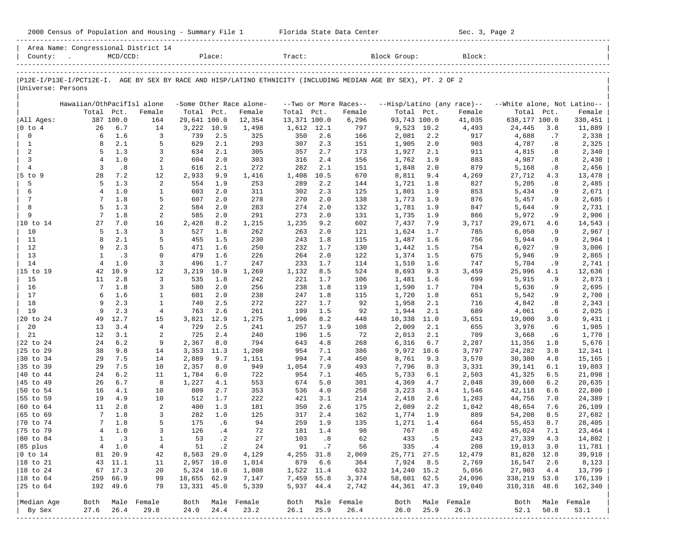|                             |                                                 |                    |                     |              |                        |                         |              |            |                       |                                                                                                                |            | Sec. 3, Page 2             |                             |            |                  |
|-----------------------------|-------------------------------------------------|--------------------|---------------------|--------------|------------------------|-------------------------|--------------|------------|-----------------------|----------------------------------------------------------------------------------------------------------------|------------|----------------------------|-----------------------------|------------|------------------|
|                             | Area Name: Congressional District 14<br>County: | $MCD/CCD$ :        |                     |              |                        | Place:                  | Tract:       |            |                       | Block Group:                                                                                                   |            | Block:                     |                             |            |                  |
|                             |                                                 |                    |                     |              |                        |                         |              |            |                       | P12E-I/P13E-I/PCT12E-I. AGE BY SEX BY RACE AND HISP/LATINO ETHNICITY (INCLUDING MEDIAN AGE BY SEX), PT. 2 OF 2 |            |                            |                             |            |                  |
| Universe: Persons           |                                                 |                    |                     |              |                        |                         |              |            |                       |                                                                                                                |            |                            |                             |            |                  |
|                             | Hawaiian/OthPacifIsl alone                      |                    |                     |              |                        | -Some Other Race alone- |              |            | --Two or More Races-- |                                                                                                                |            | --Hisp/Latino (any race)-- | --White alone, Not Latino-- |            |                  |
|                             | Total                                           | Pct.               | Female              | Total Pct.   |                        | Female                  | Total        | Pct.       | Female                | Total Pct.                                                                                                     |            | Female                     | Total Pct.                  |            | Female           |
| All Ages:                   |                                                 | 387 100.0          | 164                 | 29,641 100.0 |                        | 12,354                  | 13,371 100.0 |            | 6,296                 | 93,743 100.0                                                                                                   |            | 41,035                     | 638,177 100.0               |            | 330,451          |
| $0$ to $4$                  | 26                                              | 6.7                | 14                  | 3,222        | 10.9                   | 1,498                   | 1,612 12.1   |            | 797                   | 9,523 10.2                                                                                                     |            | 4,493                      | 24,445                      | 3.8        | 11,889           |
| $\mathbf 0$<br>$\mathbf{1}$ | 6<br>8                                          | 1.6<br>2.1         | $\overline{3}$<br>5 | 739<br>629   | 2.5<br>2.1             | 325<br>293              | 350<br>307   | 2.6<br>2.3 | 166<br>151            | 2,081                                                                                                          | 2.2<br>2.0 | 917<br>903                 | 4,688<br>4,787              | .7<br>.8   | 2,338            |
| 2                           | 5                                               | 1.3                | 3                   | 634          | 2.1                    | 305                     | 357          | 2.7        | 173                   | 1,905<br>1,927                                                                                                 | 2.1        | 911                        | 4,815                       | .8         | 2,325<br>2,340   |
| $\overline{3}$              | $\overline{4}$                                  | 1.0                | 2                   | 604          | 2.0                    | 303                     | 316          | 2.4        | 156                   | 1,762                                                                                                          | 1.9        | 883                        | 4,987                       | .8         | 2,430            |
| $\overline{4}$              | 3                                               | .8                 | $\mathbf{1}$        | 616          | 2.1                    | 272                     | 282          | 2.1        | 151                   | 1,848                                                                                                          | 2.0        | 879                        | 5,168                       | .8         | 2,456            |
| $5$ to $9$                  | 28                                              | 7.2                | 12                  | 2,933        | 9.9                    | 1,416                   | 1,408        | 10.5       | 670                   | 8,811                                                                                                          | 9.4        | 4,269                      | 27,712                      | 4.3        | 13,478           |
| 5                           | 5                                               | 1.3                | 2                   | 554          | 1.9                    | 253                     | 289          | 2.2        | 144                   | 1,721                                                                                                          | 1.8        | 827                        | 5,205                       | .8         | 2,485            |
| 6                           | $\overline{4}$                                  | 1.0                | 1                   | 603          | 2.0                    | 311                     | 302          | 2.3        | 125                   | 1,801                                                                                                          | 1.9        | 853                        | 5,434                       | .9         | 2,671            |
| 7                           | $7\phantom{.0}$                                 | 1.8                | 5                   | 607          | 2.0                    | 278                     | 270          | 2.0        | 138                   | 1,773                                                                                                          | 1.9        | 876                        | 5,457                       | .9         | 2,685            |
| 8                           | 5                                               | 1.3                | 2                   | 584          | 2.0                    | 283                     | 274          | 2.0        | 132                   | 1,781                                                                                                          | 1.9        | 847                        | 5,644                       | .9         | 2,731            |
| 9                           | $7\phantom{.0}$                                 | 1.8                | 2                   | 585          | 2.0                    | 291                     | 273          | 2.0        | 131                   | 1,735                                                                                                          | 1.9        | 866                        | 5,972                       | .9         | 2,906            |
| 10 to 14                    | 27                                              | 7.0                | 16                  | 2,428        | 8.2                    | 1,215                   | 1,235        | 9.2        | 602                   | 7,437                                                                                                          | 7.9        | 3,717                      | 29,671                      | 4.6        | 14,543           |
| 10<br>11                    | 5<br>8                                          | 1.3<br>2.1         | 3<br>5              | 527<br>455   | 1.8<br>1.5             | 262<br>230              | 263<br>243   | 2.0<br>1.8 | 121<br>115            | 1,624<br>1,487                                                                                                 | 1.7<br>1.6 | 785<br>756                 | 6,050<br>5,944              | .9<br>. 9  | 2,967<br>2,964   |
| 12                          | 9                                               | 2.3                | 5                   | 471          | 1.6                    | 250                     | 232          | 1.7        | 130                   | 1,442                                                                                                          | 1.5        | 754                        | 6,027                       | .9         | 3,006            |
| 13                          | $\mathbf{1}$                                    | $\cdot$ 3          | $\mathbf 0$         | 479          | 1.6                    | 226                     | 264          | 2.0        | 122                   | 1,374                                                                                                          | 1.5        | 675                        | 5,946                       | . 9        | 2,865            |
| 14                          | $\overline{4}$                                  | $1.0$              | $\overline{3}$      | 496          | 1.7                    | 247                     | 233          | 1.7        | 114                   | 1,510                                                                                                          | 1.6        | 747                        | 5,704                       | . 9        | 2,741            |
| 15 to 19                    | 42                                              | 10.9               | 12                  | 3,219        | 10.9                   | 1,269                   | 1,132        | 8.5        | 524                   | 8,693                                                                                                          | 9.3        | 3,459                      | 25,996                      | 4.1        | 12,636           |
| 15                          | 11                                              | 2.8                | 3                   | 535          | 1.8                    | 242                     | 221          | 1.7        | 106                   | 1,481                                                                                                          | 1.6        | 699                        | 5,915                       | .9         | 2,873            |
| 16                          | $7\phantom{.0}$                                 | 1.8                | 3                   | 580          | 2.0                    | 256                     | 238          | 1.8        | 119                   | 1,590                                                                                                          | 1.7        | 704                        | 5,636                       | . 9        | 2,695            |
| 17                          | 6                                               | 1.6                | $\mathbf{1}$        | 601          | 2.0                    | 238                     | 247          | 1.8        | 115                   | 1,720                                                                                                          | 1.8        | 651                        | 5,542                       | .9         | 2,700            |
| 18                          | 9                                               | 2.3                | $\mathbf{1}$        | 740          | 2.5                    | 272                     | 227          | 1.7        | 92                    | 1,958                                                                                                          | 2.1        | 716                        | 4,842                       | .8         | 2,343            |
| 19                          | 9                                               | 2.3                | $\overline{4}$      | 763          | 2.6                    | 261                     | 199          | 1.5        | 92                    | 1,944                                                                                                          | 2.1        | 689                        | 4,061                       | .6         | 2,025            |
| 20 to 24                    | 49                                              | 12.7               | 15                  | 3,821        | 12.9                   | 1,275                   | 1,096        | 8.2        | 448                   | 10,338                                                                                                         | 11.0       | 3,651                      | 19,000                      | 3.0        | 9,431            |
| 20<br>21                    | 13<br>12                                        | 3.4<br>3.1         | $\overline{4}$      | 729<br>725   | 2.5<br>2.4             | 241                     | 257          | 1.9<br>1.5 | 108                   | 2,009                                                                                                          | 2.1        | 655<br>709                 | 3,976                       | .6         | 1,985            |
| 22 to 24                    | 24                                              | 6.2                | 2<br>9              | 2,367        | 8.0                    | 240<br>794              | 196<br>643   | 4.8        | 72<br>268             | 2,013<br>6,316                                                                                                 | 2.1<br>6.7 | 2,287                      | 3,668<br>11,356             | . 6<br>1.8 | 1,770<br>5,676   |
| 25 to 29                    | 38                                              | 9.8                | 14                  | 3,353        | 11.3                   | 1,208                   | 954          | 7.1        | 386                   | 9,972                                                                                                          | 10.6       | 3,797                      | 24,282                      | 3.8        | 12,341           |
| 30 to 34                    | 29                                              | 7.5                | 14                  | 2,889        | 9.7                    | 1,151                   | 994          | 7.4        | 450                   | 8,761                                                                                                          | 9.3        | 3,570                      | 30,380                      | 4.8        | 15,165           |
| 35 to 39                    | 29                                              | 7.5                | 10                  | 2,357        | 8.0                    | 949                     | 1,054        | 7.9        | 493                   | 7,796                                                                                                          | 8.3        | 3,331                      | 39,141                      | 6.1        | 19,803           |
| 40 to 44                    | 24                                              | 6.2                | 11                  | 1,784        | 6.0                    | 722                     | 954          | 7.1        | 465                   | 5,733                                                                                                          | 6.1        | 2,503                      | 41,325                      | 6.5        | 21,098           |
| 45 to 49                    | 26                                              | 6.7                | 8                   | 1,227        | 4.1                    | 553                     | 674          | 5.0        | 301                   | 4,369                                                                                                          | 4.7        | 2,048                      | 39,660                      | 6.2        | 20,635           |
| 50 to 54                    | 16                                              | 4.1                | 10                  | 809          | 2.7                    | 353                     | 536          | 4.0        | 258                   | 3,223                                                                                                          | 3.4        | 1,546                      | 42,118                      | 6.6        | 22,800           |
| 55 to 59                    | 19                                              | 4.9                | 10                  | 512          | 1.7                    | 222                     | 421          | 3.1        | 214                   | 2,418                                                                                                          | 2.6        | 1,203                      | 44,756                      | 7.0        | 24,389           |
| 60 to 64                    | 11                                              | 2.8                | 2                   | 400          | 1.3                    | 181                     | 350          | 2.6        | 175                   | 2,089                                                                                                          | 2.2        | 1,042                      | 48,654                      | 7.6        | 26,109           |
| 65 to 69                    | $7\overline{ }$                                 | 1.8                | 3                   | 282          | 1.0                    | 125                     | 317          | 2.4        | 162                   | 1,774                                                                                                          | 1.9        | 889                        | 54,208                      | 8.5        | 27,682           |
| $ 70 \text{ to } 74$        |                                                 | $7^{\circ}$<br>1.8 | 5                   |              | 175 .6                 | 94                      |              | 259 1.9    | 135                   | 1,271                                                                                                          | 1.4        | 664                        | 55,453                      | 8.7        | 28,405           |
| 75 to 79                    | 4                                               | 1.0                | 3                   | 126<br>53    | .4                     | 72                      | 181          | 1.4        | 98                    | 767<br>433                                                                                                     | .8         | 402                        | 45,024                      | 7.1        | 23,464           |
| 80 to 84                    | 1                                               | .3                 | $\mathbf{1}$        | 51           | $\cdot$ 2<br>$\cdot$ 2 | 27                      | 103<br>91    | .8         | 62<br>56              | 335                                                                                                            | .5         | 243                        | 27,339                      | 4.3        | 14,802           |
| 85 plus<br>$0$ to $14$      | 4<br>81                                         | 1.0<br>20.9        | 4<br>42             | 8,583 29.0   |                        | 24<br>4,129             | 4,255        | .7<br>31.8 | 2,069                 | 25,771 27.5                                                                                                    | $\cdot$ 4  | 208<br>12,479              | 19,013<br>81,828 12.8       | 3.0        | 11,781<br>39,910 |
| 18 to 21                    | 43                                              | 11.1               | 11                  | 2,957 10.0   |                        | 1,014                   | 879          | 6.6        | 364                   | 7,924                                                                                                          | 8.5        | 2,769                      | 16,547                      | 2.6        | 8,123            |
| 18 to 24                    | 67                                              | 17.3               | 20                  | 5,324 18.0   |                        | 1,808                   | 1,522 11.4   |            | 632                   | 14,240 15.2                                                                                                    |            | 5,056                      | 27,903                      | 4.4        | 13,799           |
| 18 to 64                    | 259                                             | 66.9               | 99                  | 18,655 62.9  |                        | 7,147                   | 7,459 55.8   |            | 3,374                 | 58,601 62.5                                                                                                    |            | 24,096                     | 338,219 53.0                |            | 176,139          |
| 25 to 64                    |                                                 | 192 49.6           | 79                  | 13,331 45.0  |                        | 5,339                   | 5,937 44.4   |            | 2,742                 | 44, 361 47.3                                                                                                   |            | 19,040                     | 310,316 48.6                |            | 162,340          |
|                             |                                                 |                    |                     |              |                        |                         |              |            |                       |                                                                                                                |            |                            |                             |            |                  |
| Median Age                  | Both                                            |                    | Male Female         | Both         | Male                   | Female                  |              |            | Both Male Female      | Both                                                                                                           |            | Male Female                | Both                        |            | Male Female      |
| By Sex                      | 27.6                                            | 26.4               | 29.8                | 24.0         | 24.4                   | 23.2                    | 26.1         | 25.9       | 26.4                  | 26.0                                                                                                           | 25.9       | 26.3                       | 52.1                        | 50.8       | 53.1             |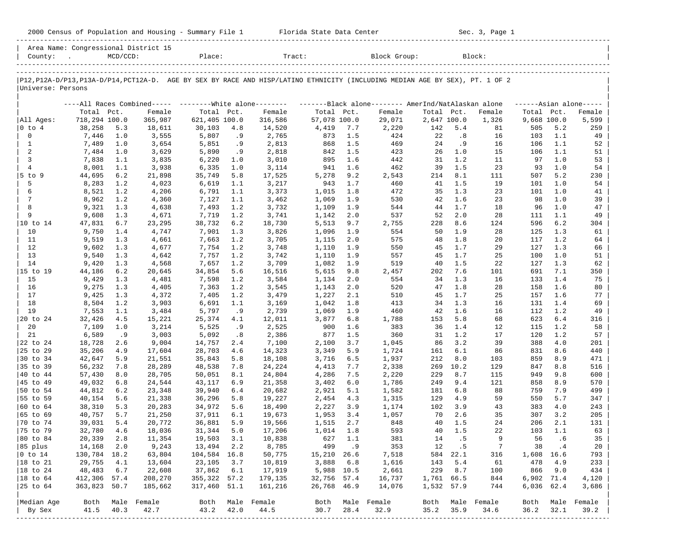|                      | 2000 Census of Population and Housing - Summary File 1 Florida State Data Center |            |                                      |                  |            |                                                                                                                            |                |            |             |             |            | Sec. 3, Page 1 |             |            |                     |
|----------------------|----------------------------------------------------------------------------------|------------|--------------------------------------|------------------|------------|----------------------------------------------------------------------------------------------------------------------------|----------------|------------|-------------|-------------|------------|----------------|-------------|------------|---------------------|
|                      |                                                                                  |            | Area Name: Congressional District 15 |                  |            |                                                                                                                            |                |            |             |             |            |                |             |            |                     |
| Universe: Persons    |                                                                                  |            |                                      |                  |            | P12,P12A-D/P13,P13A-D/P14,PCT12A-D. AGE BY SEX BY RACE AND HISP/LATINO ETHNICITY (INCLUDING MEDIAN AGE BY SEX), PT. 1 OF 2 |                |            |             |             |            |                |             |            |                     |
|                      |                                                                                  |            |                                      |                  |            | ----All Races Combined----- --------White alone------- -----------Black alone-------- AmerInd/NatAlaskan alone             |                |            |             |             |            |                |             |            | $---Asian alone---$ |
|                      | Total Pct.                                                                       |            | Female                               | Total Pct.       |            | Female                                                                                                                     | Total Pct.     |            | Female      | Total Pct.  |            | Female         | Total Pct.  |            | Female              |
| All Ages:            | 718,294 100.0                                                                    |            | 365,987                              | 621,405 100.0    |            | 316,586                                                                                                                    | 57,078 100.0   |            | 29,071      | 2,647 100.0 |            | 1,326          | 9,668 100.0 |            | 5,599               |
| $ 0 \t{to} 4$        | 38,258                                                                           | 5.3        | 18,611                               | 30,103           | 4.8        | 14,520                                                                                                                     | 4,419          | 7.7        | 2,220       | 142         | 5.4        | 81             | 505         | 5.2        | 259                 |
| $\mathbf 0$          | 7,446                                                                            | 1.0        | 3,555                                | 5,807            | .9         | 2,765                                                                                                                      | 873            | 1.5        | 424         | 22          | .8         | 16             | 103         | 1.1        | 49                  |
| $\mathbf{1}$<br>2    | 7,489                                                                            | 1.0        | 3,654                                | 5,851            | .9         | 2,813                                                                                                                      | 868            | 1.5<br>1.5 | 469         | 24          | . 9<br>1.0 | 16             | 106         | 1.1<br>1.1 | 52                  |
| $\overline{3}$       | 7,484<br>7,838                                                                   | 1.0<br>1.1 | 3,629<br>3,835                       | 5,890<br>6,220   | .9<br>1.0  | 2,818<br>3,010                                                                                                             | 842<br>895     | 1.6        | 423<br>442  | 26<br>31    | 1.2        | 15<br>11       | 106<br>97   | 1.0        | 51<br>53            |
| $\overline{4}$       | 8,001                                                                            | 1.1        | 3,938                                | 6,335            | 1.0        | 3,114                                                                                                                      | 941            | 1.6        | 462         | 39          | 1.5        | 23             | 93          | 1.0        | 54                  |
| 5 to 9               | 44,695                                                                           | 6.2        | 21,898                               | 35,749           | 5.8        | 17,525                                                                                                                     | 5,278          | 9.2        | 2,543       | 214         | 8.1        | 111            | 507         | 5.2        | 230                 |
| 5                    | 8,283                                                                            | 1.2        | 4,023                                | 6,619            | 1.1        | 3,217                                                                                                                      | 943            | 1.7        | 460         | 41          | 1.5        | 19             | 101         | 1.0        | 54                  |
| 6                    | 8,521                                                                            | 1.2        | 4,206                                | 6,791            | 1.1        | 3,373                                                                                                                      | 1,015          | 1.8        | 472         | 35          | 1.3        | 23             | 101         | 1.0        | 41                  |
| 7                    | 8,962                                                                            | 1.2        | 4,360                                | 7,127            | 1.1        | 3,462                                                                                                                      | 1,069          | 1.9        | 530         | 42          | 1.6        | 23             | 98          | 1.0        | 39                  |
| 8                    | 9,321                                                                            | 1.3        | 4,638                                | 7,493            | 1.2        | 3,732                                                                                                                      | 1,109          | 1.9        | 544         | 44          | 1.7        | 18             | 96          | 1.0        | 47                  |
| 9                    | 9,608                                                                            | 1.3        | 4,671                                | 7,719            | 1.2        | 3,741                                                                                                                      | 1,142          | 2.0        | 537         | 52          | 2.0        | 28             | 111         | 1.1        | 49                  |
|                      | 47,831                                                                           | 6.7        | 23,295                               | 38,732           | 6.2        | 18,730                                                                                                                     | 5,513          | 9.7        | 2,755       | 228         | 8.6        | 124            | 596         | 6.2        | 304                 |
| 10<br>11             | 9,750                                                                            | 1.4<br>1.3 | 4,747                                | 7,901<br>7,663   | 1.3<br>1.2 | 3,826                                                                                                                      | 1,096          | 1.9<br>2.0 | 554<br>575  | 50<br>48    | 1.9<br>1.8 | 28<br>20       | 125<br>117  | 1.3<br>1.2 | 61<br>64            |
| 12                   | 9,519<br>9,602                                                                   | 1.3        | 4,661<br>4,677                       | 7,754            | 1.2        | 3,705<br>3,748                                                                                                             | 1,115<br>1,110 | 1.9        | 550         | 45          | 1.7        | 29             | 127         | 1.3        | 66                  |
| 13                   | 9,540                                                                            | 1.3        | 4,642                                | 7,757            | 1.2        | 3,742                                                                                                                      | 1,110          | 1.9        | 557         | 45          | 1.7        | 25             | 100         | 1.0        | 51                  |
| 14                   | 9,420                                                                            | 1.3        | 4,568                                | 7,657            | 1.2        | 3,709                                                                                                                      | 1,082          | 1.9        | 519         | 40          | 1.5        | 22             | 127         | 1.3        | 62                  |
| 15 to 19             | 44,186                                                                           | 6.2        | 20,645                               | 34,854           | 5.6        | 16,516                                                                                                                     | 5,615          | 9.8        | 2,457       | 202         | 7.6        | 101            | 691         | 7.1        | 350                 |
| 15                   | 9,429                                                                            | 1.3        | 4,481                                | 7,598            | 1.2        | 3,584                                                                                                                      | 1,134          | 2.0        | 554         | 34          | 1.3        | 16             | 133         | 1.4        | 75                  |
| 16                   | 9,275                                                                            | 1.3        | 4,405                                | 7,363            | 1.2        | 3,545                                                                                                                      | 1,143          | 2.0        | 520         | 47          | 1.8        | 28             | 158         | 1.6        | 80                  |
| 17                   | 9,425                                                                            | 1.3        | 4,372                                | 7,405            | 1.2        | 3,479                                                                                                                      | 1,227          | 2.1        | 510         | 45          | 1.7        | 25             | 157         | 1.6        | 77                  |
| 18                   | 8,504                                                                            | 1.2        | 3,903                                | 6,691            | 1.1        | 3,169                                                                                                                      | 1,042          | 1.8        | 413         | 34          | 1.3        | 16             | 131         | 1.4        | 69                  |
| 19                   | 7,553                                                                            | 1.1        | 3,484                                | 5,797            | .9         | 2,739                                                                                                                      | 1,069          | 1.9        | 460         | 42          | 1.6        | 16             | 112         | 1.2        | 49                  |
| 20 to 24             | 32,426                                                                           | 4.5        | 15,221                               | 25,374           | 4.1        | 12,011                                                                                                                     | 3,877          | 6.8        | 1,788       | 153         | 5.8        | 68             | 623         | 6.4        | 316                 |
| 20<br>21             | 7,109<br>6,589                                                                   | 1.0<br>.9  | 3,214<br>3,003                       | 5,525<br>5,092   | .9<br>.8   | 2,525<br>2,386                                                                                                             | 900<br>877     | 1.6<br>1.5 | 383<br>360  | 36<br>31    | 1.4<br>1.2 | 12<br>17       | 115<br>120  | 1.2<br>1.2 | 58<br>57            |
| 22 to 24             | 18,728                                                                           | 2.6        | 9,004                                | 14,757           | 2.4        | 7,100                                                                                                                      | 2,100          | 3.7        | 1,045       | 86          | 3.2        | 39             | 388         | 4.0        | 201                 |
| 25 to 29             | 35,206                                                                           | 4.9        | 17,604                               | 28,703           | 4.6        | 14,323                                                                                                                     | 3,349          | 5.9        | 1,724       | 161         | 6.1        | 86             | 831         | 8.6        | 440                 |
| 30 to 34             | 42,647                                                                           | 5.9        | 21,551                               | 35,843           | 5.8        | 18,108                                                                                                                     | 3,716          | 6.5        | 1,937       | 212         | 8.0        | 103            | 859         | 8.9        | 471                 |
| 35 to 39             | 56,232                                                                           | 7.8        | 28,289                               | 48,538           | 7.8        | 24,224                                                                                                                     | 4,413          | 7.7        | 2,338       | 269         | 10.2       | 129            | 847         | 8.8        | 516                 |
| 40 to 44             | 57,430                                                                           | 8.0        | 28,705                               | 50,051           | 8.1        | 24,804                                                                                                                     | 4,286          | 7.5        | 2,220       | 229         | 8.7        | 115            | 949         | 9.8        | 600                 |
| 45 to 49             | 49,032                                                                           | 6.8        | 24,544                               | 43,117           | 6.9        | 21,358                                                                                                                     | 3,402          | 6.0        | 1,786       | 249         | 9.4        | 121            | 858         | 8.9        | 570                 |
| 50 to 54             | 44,812                                                                           | 6.2        | 23,348                               | 39,940           | 6.4        | 20,682                                                                                                                     | 2,921          | 5.1        | 1,582       | 181         | 6.8        | 88             | 759         | 7.9        | 499                 |
| 55 to 59             | 40,154                                                                           | 5.6        | 21,338                               | 36,296           | 5.8        | 19,227                                                                                                                     | 2,454          | 4.3        | 1,315       | 129         | 4.9        | 59             | 550         | 5.7        | 347                 |
| 60 to 64             | 38,310                                                                           | 5.3        | 20,283                               | 34,972           | 5.6        | 18,490                                                                                                                     | 2,227          | 3.9        | 1,174       | 102         | 3.9        | 43             | 383         | 4.0        | 243                 |
| $ 65 \text{ to } 69$ | 40,757                                                                           | 5.7        | 21,250                               | 37,911           | 6.1        | 19,673                                                                                                                     | 1,953          | 3.4        | 1,057       | 70          | 2.6        | 35             | 307         | 3.2        | 205                 |
| 70 to 74<br>75 to 79 | 39,031<br>32,780                                                                 | 5.4        | 20,772<br>18,036                     | 36,881<br>31,344 | 5.9<br>5.0 | 19,566<br>17,206                                                                                                           | 1,515          | 2.7        | 848         | 40<br>40    | 1.5<br>1.5 | 24<br>22       | 206         | 2.1<br>1.1 | 131                 |
| 80 to 84             | 20,339                                                                           | 4.6<br>2.8 | 11,354                               | 19,503           | 3.1        | 10,838                                                                                                                     | 1,014<br>627   | 1.8<br>1.1 | 593<br>381  | 14          | .5         | 9              | 103<br>56   | .6         | 63<br>35            |
| 85 plus              | 14,168                                                                           | 2.0        | 9,243                                | 13,494           | 2.2        | 8,785                                                                                                                      | 499            | .9         | 353         | 12          | .5         | 7              | 38          | .4         | 20                  |
| $ 0 \t{to} 14$       | 130,784 18.2                                                                     |            | 63,804                               | 104,584 16.8     |            | 50,775                                                                                                                     | 15,210         | 26.6       | 7,518       | 584         | 22.1       | 316            | 1,608       | 16.6       | 793                 |
| 18 to 21             | 29,755                                                                           | 4.1        | 13,604                               | 23,105           | 3.7        | 10,819                                                                                                                     | 3,888          | 6.8        | 1,616       | 143         | 5.4        | 61             | 478         | 4.9        | 233                 |
| 18 to 24             | 48,483                                                                           | 6.7        | 22,608                               | 37,862           | 6.1        | 17,919                                                                                                                     | 5,988          | 10.5       | 2,661       | 229         | 8.7        | 100            | 866         | 9.0        | 434                 |
| $ 18$ to $64$        | 412,306                                                                          | 57.4       | 208,270                              | 355,322          | 57.2       | 179,135                                                                                                                    | 32,756         | 57.4       | 16,737      | 1,761       | 66.5       | 844            | 6,902       | 71.4       | 4,120               |
| 25 to 64             | 363,823 50.7                                                                     |            | 185,662                              | 317,460          | 51.1       | 161,216                                                                                                                    | 26,768         | 46.9       | 14,076      | 1,532       | 57.9       | 744            | 6,036       | 62.4       | 3,686               |
|                      |                                                                                  |            |                                      |                  |            |                                                                                                                            |                |            |             |             |            |                |             |            |                     |
| Median Age           | Both                                                                             |            | Male Female                          | Both             |            | Male Female                                                                                                                | Both           |            | Male Female | Both        | Male       | Female         | Both        | Male       | Female              |
| By Sex               | 41.5                                                                             | 40.3       | 42.7                                 | 43.2             | 42.0       | 44.5                                                                                                                       | 30.7           | 28.4       | 32.9        | 35.2        | 35.9       | 34.6           | 36.2        | 32.1       | 39.2                |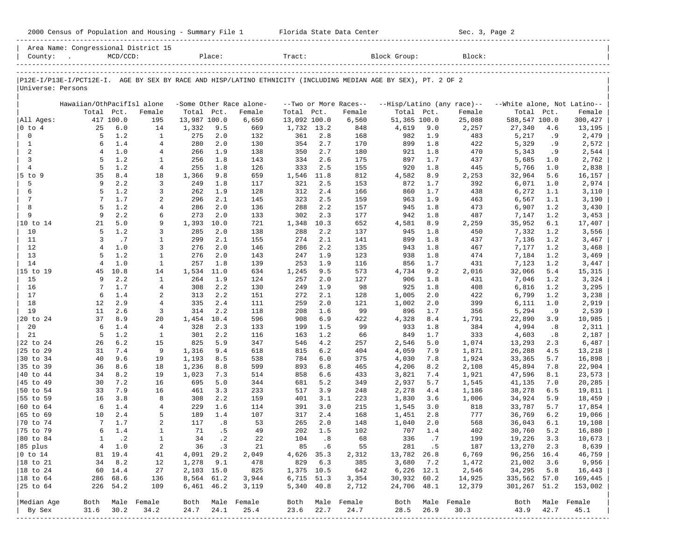|                        | 2000 Census of Population and Housing - Summary File 1 Florida State Data Center |             |                         |              |                             |                         |              |            |                       |                                                                                                                |            | Sec. 3, Page 2             |                             |            |                 |
|------------------------|----------------------------------------------------------------------------------|-------------|-------------------------|--------------|-----------------------------|-------------------------|--------------|------------|-----------------------|----------------------------------------------------------------------------------------------------------------|------------|----------------------------|-----------------------------|------------|-----------------|
|                        | Area Name: Congressional District 15                                             |             |                         |              |                             |                         | Tract:       |            |                       |                                                                                                                |            |                            |                             |            |                 |
| Universe: Persons      |                                                                                  |             |                         |              |                             |                         |              |            |                       | P12E-I/P13E-I/PCT12E-I. AGE BY SEX BY RACE AND HISP/LATINO ETHNICITY (INCLUDING MEDIAN AGE BY SEX), PT. 2 OF 2 |            |                            |                             |            |                 |
|                        | Hawaiian/OthPacifIsl alone                                                       |             |                         |              |                             | -Some Other Race alone- |              |            | --Two or More Races-- |                                                                                                                |            | --Hisp/Latino (any race)-- | --White alone, Not Latino-- |            |                 |
|                        | Total                                                                            | Pct.        | Female                  | Total Pct.   |                             | Female                  | Total Pct.   |            | Female                | Total Pct.                                                                                                     |            | Female                     | Total Pct.                  |            | Female          |
| All Ages:              |                                                                                  | 417 100.0   | 195                     | 13,987 100.0 |                             | 6,650                   | 13,092 100.0 |            | 6,560                 | 51,365 100.0                                                                                                   |            | 25,088                     | 588,547 100.0               |            | 300,427         |
| $0$ to $4$             | 25                                                                               | 6.0         | 14                      | 1,332        | 9.5                         | 669                     | 1,732 13.2   |            | 848                   | 4,619                                                                                                          | 9.0        | 2,257                      | 27,340                      | 4.6        | 13,195          |
| $\mathbf 0$            | 5                                                                                | 1.2         | $\mathbf{1}$            | 275          | 2.0                         | 132                     | 361          | 2.8        | 168                   | 982                                                                                                            | 1.9        | 483                        | 5,217                       | .9         | 2,479           |
| $\mathbf{1}$<br>2      | 6<br>$\overline{4}$                                                              | 1.4<br>1.0  | $\overline{4}$<br>4     | 280<br>266   | 2.0<br>1.9                  | 130                     | 354<br>350   | 2.7<br>2.7 | 170<br>180            | 899<br>921                                                                                                     | 1.8<br>1.8 | 422<br>470                 | 5,329<br>5,343              | .9         | 2,572           |
| $\overline{3}$         | 5                                                                                | 1.2         | $\mathbf 1$             | 256          | 1.8                         | 138<br>143              | 334          | 2.6        | 175                   | 897                                                                                                            | 1.7        | 437                        | 5,685                       | .9<br>1.0  | 2,544<br>2,762  |
| $\overline{4}$         | 5                                                                                | 1.2         | 4                       | 255          | 1.8                         | 126                     | 333          | 2.5        | 155                   | 920                                                                                                            | 1.8        | 445                        | 5,766                       | 1.0        | 2,838           |
| $5$ to $9$             | 35                                                                               | 8.4         | 18                      | 1,366        | 9.8                         | 659                     | 1,546        | 11.8       | 812                   | 4,582                                                                                                          | 8.9        | 2,253                      | 32,964                      | 5.6        | 16,157          |
| 5                      | 9                                                                                | 2.2         | 3                       | 249          | 1.8                         | 117                     | 321          | 2.5        | 153                   | 872                                                                                                            | 1.7        | 392                        | 6,071                       | 1.0        | 2,974           |
| 6                      | 5                                                                                | 1.2         | 3                       | 262          | 1.9                         | 128                     | 312          | 2.4        | 166                   | 860                                                                                                            | 1.7        | 438                        | 6,272                       | 1.1        | 3,110           |
| $7\phantom{.0}$        | $7\phantom{.0}$                                                                  | 1.7         | 2                       | 296          | 2.1                         | 145                     | 323          | 2.5        | 159                   | 963                                                                                                            | 1.9        | 463                        | 6,567                       | 1.1        | 3,190           |
| 8                      | 5                                                                                | 1.2         | $\overline{4}$          | 286          | 2.0                         | 136                     | 288          | 2.2        | 157                   | 945                                                                                                            | 1.8        | 473                        | 6,907                       | 1.2        | 3,430           |
| 9                      | 9                                                                                | 2.2         | 6                       | 273          | 2.0                         | 133                     | 302          | 2.3        | 177                   | 942                                                                                                            | 1.8        | 487                        | 7,147                       | 1.2        | 3,453           |
| 10 to 14               | 21                                                                               | 5.0         | 9                       | 1,393        | 10.0                        | 721                     | 1,348        | 10.3       | 652                   | 4,581                                                                                                          | 8.9        | 2,259                      | 35,952                      | 6.1        | 17,407          |
| 10                     | 5                                                                                | 1.2         | 3                       | 285          | 2.0                         | 138                     | 288          | 2.2        | 137                   | 945                                                                                                            | 1.8        | 450                        | 7,332                       | 1.2        | 3,556           |
| 11<br>12               | 3<br>$\overline{4}$                                                              | .7<br>1.0   | $\mathbf{1}$<br>3       | 299<br>276   | 2.1<br>2.0                  | 155                     | 274<br>286   | 2.1<br>2.2 | 141<br>135            | 899<br>943                                                                                                     | 1.8<br>1.8 | 437<br>467                 | 7,136<br>7,177              | 1.2<br>1.2 | 3,467           |
| 13                     | 5                                                                                | 1.2         | $\mathbf{1}$            | 276          | 2.0                         | 146<br>143              | 247          | 1.9        | 123                   | 938                                                                                                            | 1.8        | 474                        | 7,184                       | 1.2        | 3,468<br>3,469  |
| 14                     | $\overline{4}$                                                                   | 1.0         | $\mathbf{1}$            | 257          | 1.8                         | 139                     | 253          | 1.9        | 116                   | 856                                                                                                            | 1.7        | 431                        | 7,123                       | 1.2        | 3,447           |
| 15 to 19               |                                                                                  | 45 10.8     | 14                      | 1,534        | 11.0                        | 634                     | 1,245        | 9.5        | 573                   | 4,734                                                                                                          | 9.2        | 2,016                      | 32,066                      | 5.4        | 15,315          |
| 15                     | 9                                                                                | 2.2         | $\mathbf{1}$            | 264          | 1.9                         | 124                     | 257          | 2.0        | 127                   | 906                                                                                                            | 1.8        | 431                        | 7,046                       | 1.2        | 3,324           |
| 16                     | $7\phantom{.0}$                                                                  | 1.7         | $\overline{4}$          | 308          | 2.2                         | 130                     | 249          | 1.9        | 98                    | 925                                                                                                            | 1.8        | 408                        | 6,816                       | 1.2        | 3,295           |
| 17                     | 6                                                                                | 1.4         | 2                       | 313          | 2.2                         | 151                     | 272          | 2.1        | 128                   | 1,005                                                                                                          | 2.0        | 422                        | 6,799                       | 1.2        | 3,238           |
| 18                     | 12                                                                               | 2.9         | $\overline{4}$          | 335          | 2.4                         | 111                     | 259          | 2.0        | 121                   | 1,002                                                                                                          | 2.0        | 399                        | 6,111                       | 1.0        | 2,919           |
| 19                     | 11                                                                               | 2.6         | 3                       | 314          | 2.2                         | 118                     | 208          | 1.6        | 99                    | 896                                                                                                            | 1.7        | 356                        | 5,294                       | .9         | 2,539           |
| 20 to 24               | 37                                                                               | 8.9         | 20                      | 1,454        | 10.4                        | 596                     | 908          | 6.9        | 422                   | 4,328                                                                                                          | 8.4        | 1,791                      | 22,890                      | 3.9        | 10,985          |
| 20                     | 6                                                                                | 1.4         | $\overline{4}$          | 328          | 2.3                         | 133                     | 199          | 1.5        | 99                    | 933                                                                                                            | 1.8        | 384                        | 4,994                       | .8         | 2,311           |
| 21<br>22 to 24         | 5<br>26                                                                          | 1.2<br>6.2  | $\mathbf{1}$<br>15      | 301<br>825   | 2.2<br>5.9                  | 116<br>347              | 163<br>546   | 1.2<br>4.2 | 66<br>257             | 849<br>2,546                                                                                                   | 1.7<br>5.0 | 333<br>1,074               | 4,603<br>13,293             | .8<br>2.3  | 2,187           |
| 25 to 29               | 31                                                                               | 7.4         | 9                       | 1,316        | 9.4                         | 618                     | 815          | 6.2        | 404                   | 4,059                                                                                                          | 7.9        | 1,871                      | 26,288                      | 4.5        | 6,487<br>13,218 |
| 30 to 34               | 40                                                                               | 9.6         | 19                      | 1,193        | 8.5                         | 538                     | 784          | 6.0        | 375                   | 4,030                                                                                                          | 7.8        | 1,924                      | 33,365                      | 5.7        | 16,898          |
| 35 to 39               | 36                                                                               | 8.6         | 18                      | 1,236        | 8.8                         | 599                     | 893          | $6.8$      | 465                   | 4,206                                                                                                          | 8.2        | 2,108                      | 45,894                      | 7.8        | 22,904          |
| 40 to 44               | 34                                                                               | 8.2         | 19                      | 1,023        | 7.3                         | 514                     | 858          | 6.6        | 433                   | 3,821                                                                                                          | 7.4        | 1,921                      | 47,596                      | 8.1        | 23,573          |
| 45 to 49               | 30                                                                               | 7.2         | 16                      | 695          | 5.0                         | 344                     | 681          | 5.2        | 349                   | 2,937                                                                                                          | 5.7        | 1,545                      | 41,135                      | 7.0        | 20,285          |
| 50 to 54               | 33                                                                               | 7.9         | 16                      | 461          | 3.3                         | 233                     | 517          | 3.9        | 248                   | 2,278                                                                                                          | 4.4        | 1,186                      | 38,278                      | 6.5        | 19,811          |
| 55 to 59               | 16                                                                               | 3.8         | 8                       | 308          | 2.2                         | 159                     | 401          | 3.1        | 223                   | 1,830                                                                                                          | 3.6        | 1,006                      | 34,924                      | 5.9        | 18,459          |
| 60 to 64               | 6                                                                                | 1.4         | $\overline{4}$          | 229          | 1.6                         | 114                     | 391          | 3.0        | 215                   | 1,545                                                                                                          | 3.0        | 818                        | 33,787                      | 5.7        | 17,854          |
| 65 to 69               | 10                                                                               | 2.4         | 5                       | 189          | 1.4                         | 107                     | 317          | 2.4        | 168                   | 1,451                                                                                                          | 2.8        | 777                        | 36,769                      | $6.2$      | 19,066          |
| $ 70 \text{ to } 74$   | 7                                                                                | 1.7         | $\overline{\mathbf{c}}$ | 117          | $\overline{\phantom{0}}$ .8 | 53                      | 265          | 2.0        | 148                   | 1,040                                                                                                          | 2.0        | 568                        | 36,043                      | 6.1        | 19,108          |
| 75 to 79               | 6                                                                                | $1.4\,$     | $1\,$                   | 71           | .5                          | 49                      | 202          | 1.5        | 102                   | 707                                                                                                            | 1.4        | 402                        | 30,760                      | 5.2        | 16,880          |
| 80 to 84               | $\mathbf{1}$                                                                     | $\cdot$ 2   | $1\,$                   | 34           | $\cdot$ 2<br>.3             | 22                      | 104          | .8         | 68                    | 336                                                                                                            | .7         | 199                        | 19,226                      | 3.3        | 10,673          |
| 85 plus<br>$0$ to $14$ | $\overline{4}$<br>81                                                             | 1.0<br>19.4 | $\overline{c}$<br>41    | 36<br>4,091  | 29.2                        | 21<br>2,049             | 85<br>4,626  | .6<br>35.3 | 55<br>2,312           | 281<br>13,782                                                                                                  | .5<br>26.8 | 187<br>6,769               | 13,270<br>96,256 16.4       | 2.3        | 8,639<br>46,759 |
| 18 to 21               | 34                                                                               | 8.2         | 12                      | 1,278        | 9.1                         | 478                     | 829          | 6.3        | 385                   | 3,680                                                                                                          | 7.2        | 1,472                      | 21,002                      | 3.6        | 9,956           |
| 18 to 24               | 60                                                                               | 14.4        | 27                      | 2,103 15.0   |                             | 825                     | 1,375        | 10.5       | 642                   | 6,226 12.1                                                                                                     |            | 2,546                      | 34,295                      | 5.8        | 16,443          |
| 18 to 64               | 286                                                                              | 68.6        | 136                     | 8,564 61.2   |                             | 3,944                   | 6,715        | 51.3       | 3,354                 | 30,932 60.2                                                                                                    |            | 14,925                     | 335,562                     | 57.0       | 169,445         |
| 25 to 64               | 226                                                                              | 54.2        | 109                     | 6,461 46.2   |                             | 3,119                   | 5,340        | 40.8       | 2,712                 | 24,706 48.1                                                                                                    |            | 12,379                     | 301,267 51.2                |            | 153,002         |
|                        |                                                                                  |             |                         |              |                             |                         |              |            |                       |                                                                                                                |            |                            |                             |            |                 |
| Median Age             | Both                                                                             |             | Male Female             | Both         |                             | Male Female             | Both         |            | Male Female           | Both                                                                                                           |            | Male Female                | Both                        |            | Male Female     |
| By Sex                 | 31.6                                                                             | 30.2        | 34.2                    | 24.7         | 24.1                        | 25.4                    | 23.6         | 22.7       | 24.7                  | 28.5                                                                                                           | 26.9       | 30.3                       | 43.9                        | 42.7       | 45.1            |
|                        |                                                                                  |             |                         |              |                             |                         |              |            |                       |                                                                                                                |            |                            |                             |            |                 |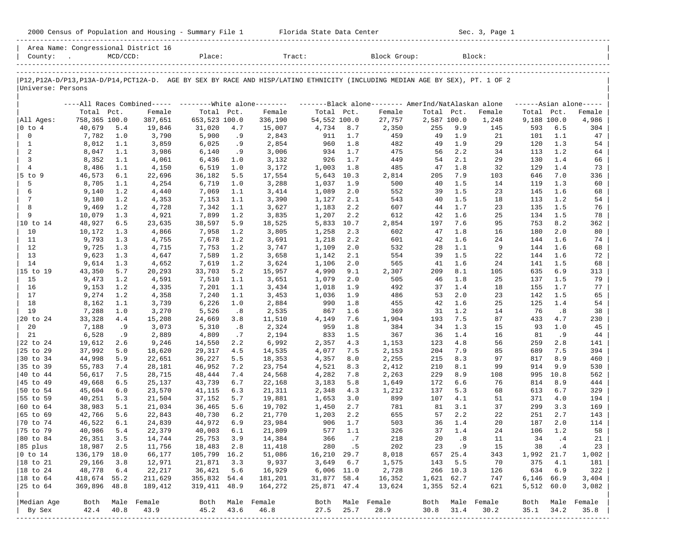|                       | 2000 Census of Population and Housing - Summary File 1 Florida State Data Center |            |                                      |                  |                  |                                                                                                                               |                       |            |                |             |             | Sec. 3, Page 1 |             |             |                     |
|-----------------------|----------------------------------------------------------------------------------|------------|--------------------------------------|------------------|------------------|-------------------------------------------------------------------------------------------------------------------------------|-----------------------|------------|----------------|-------------|-------------|----------------|-------------|-------------|---------------------|
|                       |                                                                                  |            | Area Name: Congressional District 16 |                  |                  |                                                                                                                               |                       |            |                |             |             |                |             |             |                     |
| Universe: Persons     |                                                                                  |            |                                      |                  |                  | P12, P12A-D/P13, P13A-D/P14, PCT12A-D. AGE BY SEX BY RACE AND HISP/LATINO ETHNICITY (INCLUDING MEDIAN AGE BY SEX), PT. 1 OF 2 |                       |            |                |             |             |                |             |             |                     |
|                       |                                                                                  |            |                                      |                  |                  | ----All Races Combined----- --------White alone-------- --------Black alone-------- AmerInd/NatAlaskan alone                  |                       |            |                |             |             |                |             |             | $---Asian alone---$ |
|                       | Total Pct.                                                                       |            | Female                               | Total Pct.       |                  | Female                                                                                                                        | Total Pct.            |            | Female         | Total Pct.  |             | Female         | Total Pct.  |             | Female              |
| All Ages:             | 758,365 100.0                                                                    |            | 387,651                              | 653,523 100.0    |                  | 336,190                                                                                                                       | 54,552 100.0          |            | 27,757         | 2,587 100.0 |             | 1,248          | 9,188 100.0 |             | 4,986               |
| $ 0 \t{to} 4$         | 40,679                                                                           | 5.4        | 19,846                               | 31,020           | 4.7              | 15,007                                                                                                                        | 4,734                 | 8.7        | 2,350          | 255         | 9.9         | 145            | 593         | 6.5         | 304                 |
| $\mathbf 0$           | 7,782                                                                            | 1.0        | 3,790                                | 5,900            | .9               | 2,843                                                                                                                         | 911                   | 1.7        | 459            | 49          | 1.9         | 21             | 101         | 1.1         | 47                  |
| $\mathbf{1}$<br>2     | 8,012                                                                            | 1.1        | 3,859                                | 6,025            | .9               | 2,854                                                                                                                         | 960                   | 1.8<br>1.7 | 482<br>475     | 49          | 1.9<br>2.2  | 29             | 120         | 1.3<br>1.2  | 54                  |
| $\overline{3}$        | 8,047<br>8,352                                                                   | 1.1<br>1.1 | 3,986<br>4,061                       | 6,140<br>6,436   | .9<br>1.0        | 3,006<br>3,132                                                                                                                | 934<br>926            | 1.7        | 449            | 56<br>54    | 2.1         | 34<br>29       | 113<br>130  | 1.4         | 64<br>66            |
| $\overline{4}$        | 8,486                                                                            | 1.1        | 4,150                                | 6,519            | 1.0              | 3,172                                                                                                                         | 1,003                 | 1.8        | 485            | 47          | 1.8         | 32             | 129         | 1.4         | 73                  |
| 5 to 9                | 46,573                                                                           | 6.1        | 22,696                               | 36,182           | 5.5              | 17,554                                                                                                                        | 5,643 10.3            |            | 2,814          | 205         | 7.9         | 103            | 646         | 7.0         | 336                 |
| 5                     | 8,705                                                                            | 1.1        | 4,254                                | 6,719            | 1.0              | 3,288                                                                                                                         | 1,037                 | 1.9        | 500            | 40          | 1.5         | 14             | 119         | 1.3         | 60                  |
| 6                     | 9,140                                                                            | 1.2        | 4,440                                | 7,069            | 1.1              | 3,414                                                                                                                         | 1,089                 | 2.0        | 552            | 39          | 1.5         | 23             | 145         | 1.6         | 68                  |
| 7                     | 9,180                                                                            | 1.2        | 4,353                                | 7,153            | 1.1              | 3,390                                                                                                                         | 1,127                 | 2.1        | 543            | 40          | 1.5         | 18             | 113         | 1.2         | 54                  |
| 8                     | 9,469                                                                            | 1.2        | 4,728                                | 7,342            | 1.1              | 3,627                                                                                                                         | 1,183                 | 2.2        | 607            | 44          | 1.7         | 23             | 135         | 1.5         | 76                  |
| 9                     | 10,079                                                                           | 1.3        | 4,921                                | 7,899            | 1.2              | 3,835                                                                                                                         | 1,207                 | 2.2        | 612            | 42          | 1.6         | 25             | 134         | 1.5         | 78                  |
| 10                    | 48,927                                                                           | 6.5        | 23,635                               | 38,597           | 5.9<br>1.2       | 18,525                                                                                                                        | 5,833 10.7            | 2.3        | 2,854<br>602   | 197<br>47   | 7.6<br>1.8  | 95<br>16       | 753<br>180  | 8.2<br>2.0  | 362<br>80           |
| 11                    | 10,172<br>9,793                                                                  | 1.3<br>1.3 | 4,866<br>4,755                       | 7,958<br>7,678   | 1.2              | 3,805<br>3,691                                                                                                                | 1,258<br>1,218        | 2.2        | 601            | 42          | 1.6         | 24             | 144         | 1.6         | 74                  |
| 12                    | 9,725                                                                            | 1.3        | 4,715                                | 7,753            | 1.2              | 3,747                                                                                                                         | 1,109                 | 2.0        | 532            | 28          | 1.1         | 9              | 144         | 1.6         | 68                  |
| 13                    | 9,623                                                                            | 1.3        | 4,647                                | 7,589            | 1.2              | 3,658                                                                                                                         | 1,142                 | 2.1        | 554            | 39          | 1.5         | 22             | 144         | 1.6         | 72                  |
| 14                    | 9,614                                                                            | 1.3        | 4,652                                | 7,619            | 1.2              | 3,624                                                                                                                         | 1,106                 | 2.0        | 565            | 41          | 1.6         | 24             | 141         | 1.5         | 68                  |
| 15 to 19              | 43,350                                                                           | 5.7        | 20,293                               | 33,703           | 5.2              | 15,957                                                                                                                        | 4,990                 | 9.1        | 2,307          | 209         | 8.1         | 105            | 635         | 6.9         | 313                 |
| 15                    | 9,473                                                                            | 1.2        | 4,591                                | 7,510            | 1.1              | 3,651                                                                                                                         | 1,079                 | 2.0        | 505            | 46          | 1.8         | 25             | 137         | 1.5         | 79                  |
| 16                    | 9,153                                                                            | 1.2        | 4,335                                | 7,201            | 1.1              | 3,434                                                                                                                         | 1,018                 | 1.9        | 492            | 37          | 1.4         | 18             | 155         | 1.7         | 77                  |
| 17                    | 9,274                                                                            | 1.2        | 4,358                                | 7,240            | 1.1              | 3,453                                                                                                                         | 1,036                 | 1.9        | 486            | 53          | 2.0         | 23             | 142         | 1.5         | 65                  |
| 18<br>19              | 8,162<br>7,288                                                                   | 1.1<br>1.0 | 3,739<br>3,270                       | 6,226<br>5,526   | 1.0<br>$\cdot$ 8 | 2,884<br>2,535                                                                                                                | 990<br>867            | 1.8<br>1.6 | 455<br>369     | 42<br>31    | 1.6<br>1.2  | 25<br>14       | 125<br>76   | 1.4<br>.8   | 54<br>38            |
| 20 to 24              | 33,328                                                                           | 4.4        | 15,208                               | 24,669           | 3.8              | 11,510                                                                                                                        | 4,149                 | 7.6        | 1,904          | 193         | 7.5         | 87             | 433         | 4.7         | 230                 |
| 20                    | 7,188                                                                            | .9         | 3,073                                | 5,310            | .8               | 2,324                                                                                                                         | 959                   | 1.8        | 384            | 34          | 1.3         | 15             | 93          | 1.0         | 45                  |
| 21                    | 6,528                                                                            | .9         | 2,889                                | 4,809            | .7               | 2,194                                                                                                                         | 833                   | 1.5        | 367            | 36          | 1.4         | 16             | 81          | .9          | 44                  |
| 22 to 24              | 19,612                                                                           | 2.6        | 9,246                                | 14,550           | 2.2              | 6,992                                                                                                                         | 2,357                 | 4.3        | 1,153          | 123         | 4.8         | 56             | 259         | 2.8         | 141                 |
| 25 to 29              | 37,992                                                                           | 5.0        | 18,620                               | 29,317           | 4.5              | 14,535                                                                                                                        | 4,077                 | 7.5        | 2,153          | 204         | 7.9         | 85             | 689         | 7.5         | 394                 |
| 30 to 34              | 44,998                                                                           | 5.9        | 22,651                               | 36,227           | 5.5              | 18,353                                                                                                                        | 4,357                 | 8.0        | 2,255          | 215         | 8.3         | 97             | 817         | 8.9         | 460                 |
| 35 to 39              | 55,783                                                                           | 7.4        | 28,181                               | 46,952           | 7.2              | 23,754                                                                                                                        | 4,521                 | 8.3        | 2,412          | 210         | 8.1         | 99             | 914         | 9.9         | 530                 |
| 40 to 44              | 56,617                                                                           | 7.5<br>6.5 | 28,715                               | 48,444<br>43,739 | 7.4              | 24,568                                                                                                                        | 4,282                 | 7.8<br>5.8 | 2,263          | 229         | 8.9<br>6.6  | 108<br>76      | 995         | 10.8<br>8.9 | 562                 |
| 45 to 49<br> 50 to 54 | 49,668<br>45,604                                                                 | 6.0        | 25,137<br>23,570                     | 41,115           | 6.7<br>6.3       | 22,168<br>21,311                                                                                                              | 3,183<br>2,348        | 4.3        | 1,649<br>1,212 | 172<br>137  | 5.3         | 68             | 814<br>613  | 6.7         | 444<br>329          |
| 55 to 59              | 40,251                                                                           | 5.3        | 21,504                               | 37,152           | 5.7              | 19,881                                                                                                                        | 1,653                 | 3.0        | 899            | 107         | 4.1         | 51             | 371         | 4.0         | 194                 |
| 60 to 64              | 38,983                                                                           | 5.1        | 21,034                               | 36,465           | 5.6              | 19,702                                                                                                                        | 1,450                 | 2.7        | 781            | 81          | 3.1         | 37             | 299         | 3.3         | 169                 |
| $ 65 \t{to} 69$       | 42,766                                                                           | 5.6        | 22,843                               | 40,730           | 6.2              | 21,770                                                                                                                        | 1,203                 | 2.2        | 655            | 57          | 2.2         | 22             | 251         | 2.7         | 143                 |
| 70 to 74              | 46,522                                                                           | 6.1        | 24,839                               | 44,972           | 6.9              | 23,984                                                                                                                        | 906                   | 1.7        | 503            | 36          | 1.4         | 20             | 187         | 2.0         | 114                 |
| 75 to 79              | 40,986                                                                           | 5.4        | 22,379                               | 40,003           | 6.1              | 21,809                                                                                                                        | 577                   | 1.1        | 326            | 37          | 1.4         | 24             | 106         | 1.2         | 58                  |
| 80 to 84              | 26,351                                                                           | 3.5        | 14,744                               | 25,753           | 3.9              | 14,384                                                                                                                        | 366                   | .7         | 218            | 20          | .8          | 11             | 34          | .4          | 21                  |
| 85 plus               | 18,987                                                                           | 2.5        | 11,756                               | 18,483           | 2.8              | 11,418                                                                                                                        | 280                   | .5         | 202            | 23          | . 9         | 15             | 38          | .4          | 23                  |
| $ 0 \t{to} 14$        | 136,179 18.0                                                                     |            | 66,177                               | 105,799 16.2     |                  | 51,086                                                                                                                        | 16,210                | 29.7       | 8,018          | 657         | 25.4        | 343            | 1,992       | 21.7        | 1,002               |
| 18 to 21<br>18 to 24  | 29,166<br>48,778                                                                 | 3.8<br>6.4 | 12,971<br>22,217                     | 21,871<br>36,421 | 3.3<br>5.6       | 9,937<br>16,929                                                                                                               | 3,649<br>$6,006$ 11.0 | 6.7        | 1,575<br>2,728 | 143<br>266  | 5.5<br>10.3 | 70<br>126      | 375<br>634  | 4.1<br>6.9  | 181<br>322          |
| $ 18$ to $64$         | 418,674                                                                          | 55.2       | 211,629                              | 355,832          | 54.4             | 181,201                                                                                                                       | 31,877                | 58.4       | 16,352         | 1,621       | 62.7        | 747            | 6,146       | 66.9        | 3,404               |
| 25 to 64              | 369,896 48.8                                                                     |            | 189,412                              | 319, 411 48.9    |                  | 164,272                                                                                                                       | 25,871 47.4           |            | 13,624         | 1,355       | 52.4        | 621            | 5,512       | 60.0        | 3,082               |
|                       |                                                                                  |            |                                      |                  |                  |                                                                                                                               |                       |            |                |             |             |                |             |             |                     |
| Median Age            | Both                                                                             | Male       | Female                               | Both             |                  | Male Female                                                                                                                   | Both                  |            | Male Female    | Both        | Male        | Female         | Both        | Male        | Female              |
| By Sex                | 42.4                                                                             | 40.8       | 43.9                                 | 45.2             | 43.6             | 46.8                                                                                                                          | 27.5                  | 25.7       | 28.9           | 30.8        | 31.4        | 30.2           | 35.1        | 34.2        | 35.8                |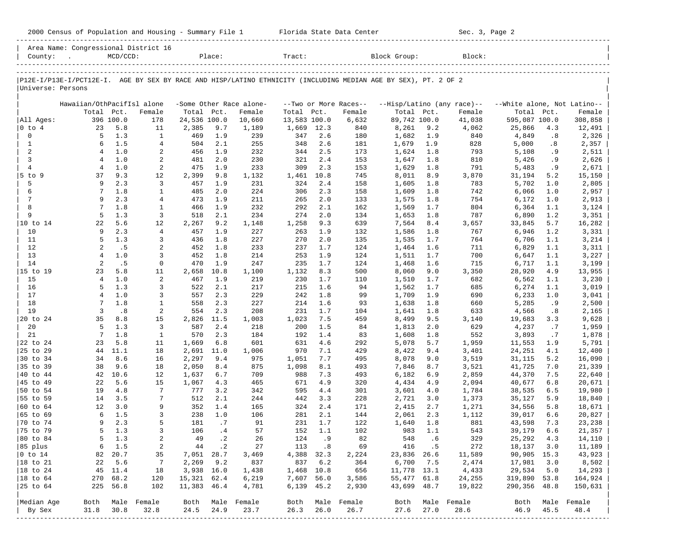| Area Name: Congressional District 16<br>$MCD/CCD$ :<br>Place:<br>Tract:<br>Block Group:<br>Block:<br>County:<br> P12E-I/P13E-I/PCT12E-I. AGE BY SEX BY RACE AND HISP/LATINO ETHNICITY (INCLUDING MEDIAN AGE BY SEX), PT. 2 OF 2<br>Universe: Persons<br>Hawaiian/OthPacifIsl alone<br>-Some Other Race alone-<br>--Hisp/Latino (any race)--<br>--White alone, Not Latino--<br>--Two or More Races--<br>Pct.<br>Total Pct.<br>Total Pct.<br>Total Pct.<br>Total<br>Pct.<br>Female<br>Total<br>Female<br>Female<br>Female<br>Female<br>396 100.0<br>24,536 100.0<br>13,583 100.0<br>6,632<br>89,742 100.0<br>41,038<br>595,087 100.0<br>308,858<br>All Ages:<br>178<br>10,660<br>$0$ to $4$<br>23<br>5.8<br>2,385<br>8,261<br>4,062<br>25,866<br>11<br>9.7<br>1,189<br>1,669<br>12.3<br>840<br>9.2<br>4.3<br>12,491<br>$\mathbf 0$<br>5<br>1.3<br>1<br>1.9<br>239<br>2.6<br>180<br>1,682<br>4,849<br>.8<br>2,326<br>469<br>347<br>1.9<br>840<br>$\mathbf{1}$<br>6<br>1.5<br>$\overline{4}$<br>2.1<br>255<br>2.6<br>828<br>5,000<br>.8<br>504<br>348<br>181<br>1,679<br>1.9<br>2,357<br>2<br>$\overline{4}$<br>1.0<br>2<br>1.9<br>232<br>2.5<br>793<br>5,108<br>.9<br>456<br>344<br>173<br>1,624<br>1.8<br>2,511<br>$\overline{3}$<br>$\overline{4}$<br>1.0<br>2<br>2.0<br>230<br>2.4<br>810<br>5,426<br>481<br>321<br>153<br>1,647<br>1.8<br>.9<br>2,626<br>$\overline{4}$<br>$\overline{4}$<br>1.0<br>2<br>475<br>1.9<br>233<br>2.3<br>153<br>1,629<br>5,483<br>.9<br>309<br>1.8<br>791<br>2,671<br>$5$ to $9$<br>37<br>9.3<br>12<br>9.8<br>10.8<br>8.9<br>3,870<br>5.2<br>2,399<br>1,132<br>1,461<br>745<br>8,011<br>31,194<br>15,150<br>5<br>3<br>9<br>2.3<br>1.9<br>231<br>324<br>2.4<br>783<br>5,702<br>2,805<br>457<br>158<br>1,605<br>1.8<br>1.0<br>6<br>7<br>1.8<br>2.0<br>224<br>2.3<br>1.8<br>742<br>6,066<br>2,957<br>1<br>485<br>306<br>158<br>1,609<br>1.0<br>7<br>9<br>2.3<br>$\overline{4}$<br>211<br>2.0<br>133<br>754<br>6,172<br>473<br>1.9<br>265<br>1,575<br>1.8<br>1.0<br>2,913<br>8<br>$7\phantom{.0}$<br>1.8<br>1.9<br>232<br>292<br>2.1<br>1.7<br>804<br>1<br>466<br>162<br>1,569<br>6,364<br>1.1<br>3,124<br>9<br>5<br>3<br>1.3<br>518<br>2.1<br>234<br>2.0<br>787<br>6,890<br>1.2<br>274<br>134<br>1,653<br>1.8<br>3,351<br>5.6<br>22<br>12<br>9.3<br>639<br>5.7<br> 10 to 14<br>2,267<br>9.2<br>1,148<br>1,258<br>7,564<br>8.4<br>3,657<br>33,845<br>16,282<br>10<br>9<br>2.3<br>$\overline{4}$<br>1.9<br>227<br>263<br>1.9<br>132<br>767<br>6,946<br>1.2<br>457<br>1,586<br>1.8<br>3,331<br>5<br>11<br>1.3<br>3<br>1.8<br>227<br>270<br>2.0<br>135<br>1.7<br>764<br>6,706<br>436<br>1,535<br>1.1<br>3,214<br>12<br>.5<br>$\overline{a}$<br>2<br>1.8<br>233<br>1.7<br>124<br>711<br>6,829<br>452<br>237<br>1,464<br>1.6<br>1.1<br>3,311<br>13<br>$\overline{4}$<br>1.0<br>3<br>1.8<br>214<br>253<br>1.9<br>124<br>1.7<br>700<br>452<br>1,511<br>6,647<br>1.1<br>3,227<br>14<br>2<br>.5<br>$\mathbf 0$<br>1.9<br>247<br>1.7<br>124<br>6,717<br>470<br>235<br>1,468<br>1.6<br>715<br>1.1<br>3,199<br>5.8<br>15 to 19<br>23<br>11<br>2,658<br>10.8<br>8.3<br>500<br>3,350<br>4.9<br>1,100<br>1,132<br>8,060<br>9.0<br>28,920<br>13,955<br>15<br>$\overline{4}$<br>1.0<br>2<br>1.9<br>219<br>230<br>1.7<br>1.7<br>467<br>110<br>1,510<br>682<br>6,562<br>1.1<br>3,230<br>5<br>16<br>1.3<br>3<br>2.1<br>217<br>1.6<br>94<br>1.7<br>685<br>6,274<br>522<br>215<br>1,562<br>1.1<br>3,019<br>17<br>3<br>$\overline{4}$<br>1.0<br>557<br>2.3<br>229<br>1.8<br>99<br>1,709<br>6,233<br>1.0<br>242<br>1.9<br>690<br>3,041<br>18<br>7<br>1.8<br>558<br>2.3<br>227<br>1.6<br>1.8<br>5,285<br>.9<br>1<br>214<br>93<br>1,638<br>660<br>2,500<br>19<br>.8<br>3<br>2<br>554<br>2.3<br>1.7<br>.8<br>208<br>231<br>104<br>1,641<br>1.8<br>633<br>4,566<br>2,165<br>35<br>20 to 24<br>8.8<br>15<br>2,826<br>11.5<br>7.5<br>19,683<br>1,003<br>1,023<br>459<br>8,499<br>9.5<br>3,140<br>3.3<br>9,628<br>20<br>$\overline{3}$<br>.7<br>5<br>1.3<br>587<br>2.4<br>218<br>1.5<br>629<br>4,237<br>200<br>84<br>1,813<br>2.0<br>1,959<br>$7\phantom{.0}$<br>21<br>1.8<br>570<br>2.3<br>184<br>1.4<br>3,893<br>.7<br>1<br>192<br>83<br>1,608<br>1.8<br>552<br>1,878<br>23<br>5.8<br>11<br>6.8<br>4.6<br>292<br>5,078<br>5.7<br>1,959<br>11,553<br>22 to 24<br>1,669<br>601<br>631<br>1.9<br>5,791<br>25 to 29<br>11.1<br>18<br>970<br>429<br>44<br>2,691<br>11.0<br>1,006<br>7.1<br>8,422<br>9.4<br>3,401<br>24,251<br>4.1<br>12,400<br>30 to 34<br>8.6<br>16<br>2,297<br>9.4<br>7.7<br>495<br>3,519<br>5.2<br>16,090<br>34<br>975<br>1,051<br>8,078<br>9.0<br>31,115<br>35 to 39<br>38<br>9.6<br>18<br>875<br>1,098<br>8.1<br>2,050<br>8.4<br>493<br>7,846<br>8.7<br>3,521<br>41,725<br>7.0<br>21,339<br>10.6<br>12<br>7.3<br>2,859<br>44,370<br>7.5<br>40 to 44<br>42<br>1,637<br>6.7<br>709<br>988<br>493<br>6,182<br>6.9<br>22,640<br>22<br>5.6<br>15<br>4.9<br>2,094<br>45 to 49<br>1,067<br>4.3<br>465<br>671<br>320<br>4,434<br>4.9<br>40,677<br>6.8<br>20,671<br>50 to 54<br>19<br>4.8<br>7<br>777<br>3.2<br>1,784<br>6.5<br>342<br>595<br>4.4<br>301<br>3,601<br>4.0<br>38,535<br>19,980<br>55 to 59<br>3.5<br>$7\phantom{.0}$<br>228<br>14<br>512<br>2.1<br>244<br>442<br>3.3<br>2,721<br>1,373<br>35,127<br>5.9<br>18,840<br>3.0<br>12<br>3.0<br>9<br>2.4<br>2.7<br>60 to 64<br>352<br>1.4<br>165<br>324<br>171<br>2,415<br>1,271<br>34,556<br>5.8<br>18,671<br>6<br>1.5<br>3<br>238<br>1.0<br>2.1<br>2.3<br>65 to 69<br>106<br>281<br>144<br>2,061<br>1,112<br>39,017<br>6.6<br>20,827<br>$ 70 \text{ to } 74$<br>9<br>2.3<br>5<br>181<br>.7<br>91<br>231 1.7<br>122<br>1,640<br>1.8<br>881<br>43,598<br>7.3<br>23,238<br>5<br>75 to 79<br>1.3<br>3<br>57<br>102<br>983<br>1.1<br>39,179<br>6.6<br>21,357<br>106<br>$\cdot$ 4<br>152<br>1.1<br>543<br>5<br>1.3<br>2<br>49<br>$\cdot$ 2<br>548<br>.6<br>25,292<br>80 to 84<br>26<br>124<br>.9<br>82<br>329<br>4.3<br>14,110<br>1.5<br>$\cdot$ 2<br>85 plus<br>6<br>2<br>44<br>27<br>113<br>$\cdot$ 8<br>69<br>416<br>.5<br>272<br>18,137<br>11,189<br>3.0<br>7,051<br>$0$ to $14$<br>82<br>20.7<br>35<br>28.7<br>3,469<br>4,388<br>32.3<br>2,224<br>23,836 26.6<br>11,589<br>90,905 15.3<br>43,923<br> 18 to 21<br>22<br>5.6<br>$7\phantom{.0}$<br>2,269<br>9.2<br>837<br>837<br>6.2<br>6,700<br>7.5<br>2,474<br>17,981<br>3.0<br>8,502<br>364<br>18<br> 18 to 24<br>45<br>11.4<br>3,938 16.0<br>1,438<br>1,468<br>10.8<br>656<br>11,778 13.1<br>4,433<br>29,534<br>5.0<br>14,293<br>15,321 62.4<br>$ 18$ to $64$<br>270<br>68.2<br>6,219<br>7,607<br>56.0<br>3,586<br>55,477 61.8<br>24,255<br>319,890 53.8<br>164,924<br>120<br>25 to 64<br>225<br>56.8<br>102<br>11,383 46.4<br>4,781<br>6,139 45.2<br>2,930<br>43,699 48.7<br>19,822<br>290,356 48.8<br>150,631<br>Both<br>Male Female<br>Both Male Female<br>Male Female<br>Male Female<br>Median Age<br>Both<br>Male<br>Female<br>Both<br>Both<br>31.8<br>30.8<br>24.5<br>24.9<br>23.7<br>26.3<br>26.0<br>26.7<br>27.6<br>27.0<br>28.6<br>46.9<br>45.5<br>48.4<br>By Sex<br>32.8 |  |  |  |  |  |  | Sec. 3, Page 2 |  |  |
|-------------------------------------------------------------------------------------------------------------------------------------------------------------------------------------------------------------------------------------------------------------------------------------------------------------------------------------------------------------------------------------------------------------------------------------------------------------------------------------------------------------------------------------------------------------------------------------------------------------------------------------------------------------------------------------------------------------------------------------------------------------------------------------------------------------------------------------------------------------------------------------------------------------------------------------------------------------------------------------------------------------------------------------------------------------------------------------------------------------------------------------------------------------------------------------------------------------------------------------------------------------------------------------------------------------------------------------------------------------------------------------------------------------------------------------------------------------------------------------------------------------------------------------------------------------------------------------------------------------------------------------------------------------------------------------------------------------------------------------------------------------------------------------------------------------------------------------------------------------------------------------------------------------------------------------------------------------------------------------------------------------------------------------------------------------------------------------------------------------------------------------------------------------------------------------------------------------------------------------------------------------------------------------------------------------------------------------------------------------------------------------------------------------------------------------------------------------------------------------------------------------------------------------------------------------------------------------------------------------------------------------------------------------------------------------------------------------------------------------------------------------------------------------------------------------------------------------------------------------------------------------------------------------------------------------------------------------------------------------------------------------------------------------------------------------------------------------------------------------------------------------------------------------------------------------------------------------------------------------------------------------------------------------------------------------------------------------------------------------------------------------------------------------------------------------------------------------------------------------------------------------------------------------------------------------------------------------------------------------------------------------------------------------------------------------------------------------------------------------------------------------------------------------------------------------------------------------------------------------------------------------------------------------------------------------------------------------------------------------------------------------------------------------------------------------------------------------------------------------------------------------------------------------------------------------------------------------------------------------------------------------------------------------------------------------------------------------------------------------------------------------------------------------------------------------------------------------------------------------------------------------------------------------------------------------------------------------------------------------------------------------------------------------------------------------------------------------------------------------------------------------------------------------------------------------------------------------------------------------------------------------------------------------------------------------------------------------------------------------------------------------------------------------------------------------------------------------------------------------------------------------------------------------------------------------------------------------------------------------------------------------------------------------------------------------------------------------------------------------------------------------------------------------------------------------------------------------------------------------------------------------------------------------------------------------------------------------------------------------------------------------------------------------------------------------------------------------------------------------------------------------------------------------------------------------------------------------------------------------------------------------------------------------------------------------------------------------------------------------------------------------------------------------------------------------------------------------------------------------------------------------------------------------------------------------------------------------------------------------------------------------------------------------------------------------------------------------------------------------------------------------------------------------------------------------------------------------------------------------------------------------------------------------------------------------------------------------------------------------------------------------------------------------------------------------------------------------------------------------------------------------------------------------------------------------------------------------------------------------------------------------------------------------------------------------------------------------------------------------------------|--|--|--|--|--|--|----------------|--|--|
|                                                                                                                                                                                                                                                                                                                                                                                                                                                                                                                                                                                                                                                                                                                                                                                                                                                                                                                                                                                                                                                                                                                                                                                                                                                                                                                                                                                                                                                                                                                                                                                                                                                                                                                                                                                                                                                                                                                                                                                                                                                                                                                                                                                                                                                                                                                                                                                                                                                                                                                                                                                                                                                                                                                                                                                                                                                                                                                                                                                                                                                                                                                                                                                                                                                                                                                                                                                                                                                                                                                                                                                                                                                                                                                                                                                                                                                                                                                                                                                                                                                                                                                                                                                                                                                                                                                                                                                                                                                                                                                                                                                                                                                                                                                                                                                                                                                                                                                                                                                                                                                                                                                                                                                                                                                                                                                                                                                                                                                                                                                                                                                                                                                                                                                                                                                                                                                                                                                                                                                                                                                                                                                                                                                                                                                                                                                                                                                                                                                                                                                                                                                                                                                                                                                                                                                                                                                                                                                                                                                                 |  |  |  |  |  |  |                |  |  |
|                                                                                                                                                                                                                                                                                                                                                                                                                                                                                                                                                                                                                                                                                                                                                                                                                                                                                                                                                                                                                                                                                                                                                                                                                                                                                                                                                                                                                                                                                                                                                                                                                                                                                                                                                                                                                                                                                                                                                                                                                                                                                                                                                                                                                                                                                                                                                                                                                                                                                                                                                                                                                                                                                                                                                                                                                                                                                                                                                                                                                                                                                                                                                                                                                                                                                                                                                                                                                                                                                                                                                                                                                                                                                                                                                                                                                                                                                                                                                                                                                                                                                                                                                                                                                                                                                                                                                                                                                                                                                                                                                                                                                                                                                                                                                                                                                                                                                                                                                                                                                                                                                                                                                                                                                                                                                                                                                                                                                                                                                                                                                                                                                                                                                                                                                                                                                                                                                                                                                                                                                                                                                                                                                                                                                                                                                                                                                                                                                                                                                                                                                                                                                                                                                                                                                                                                                                                                                                                                                                                                 |  |  |  |  |  |  |                |  |  |
|                                                                                                                                                                                                                                                                                                                                                                                                                                                                                                                                                                                                                                                                                                                                                                                                                                                                                                                                                                                                                                                                                                                                                                                                                                                                                                                                                                                                                                                                                                                                                                                                                                                                                                                                                                                                                                                                                                                                                                                                                                                                                                                                                                                                                                                                                                                                                                                                                                                                                                                                                                                                                                                                                                                                                                                                                                                                                                                                                                                                                                                                                                                                                                                                                                                                                                                                                                                                                                                                                                                                                                                                                                                                                                                                                                                                                                                                                                                                                                                                                                                                                                                                                                                                                                                                                                                                                                                                                                                                                                                                                                                                                                                                                                                                                                                                                                                                                                                                                                                                                                                                                                                                                                                                                                                                                                                                                                                                                                                                                                                                                                                                                                                                                                                                                                                                                                                                                                                                                                                                                                                                                                                                                                                                                                                                                                                                                                                                                                                                                                                                                                                                                                                                                                                                                                                                                                                                                                                                                                                                 |  |  |  |  |  |  |                |  |  |
|                                                                                                                                                                                                                                                                                                                                                                                                                                                                                                                                                                                                                                                                                                                                                                                                                                                                                                                                                                                                                                                                                                                                                                                                                                                                                                                                                                                                                                                                                                                                                                                                                                                                                                                                                                                                                                                                                                                                                                                                                                                                                                                                                                                                                                                                                                                                                                                                                                                                                                                                                                                                                                                                                                                                                                                                                                                                                                                                                                                                                                                                                                                                                                                                                                                                                                                                                                                                                                                                                                                                                                                                                                                                                                                                                                                                                                                                                                                                                                                                                                                                                                                                                                                                                                                                                                                                                                                                                                                                                                                                                                                                                                                                                                                                                                                                                                                                                                                                                                                                                                                                                                                                                                                                                                                                                                                                                                                                                                                                                                                                                                                                                                                                                                                                                                                                                                                                                                                                                                                                                                                                                                                                                                                                                                                                                                                                                                                                                                                                                                                                                                                                                                                                                                                                                                                                                                                                                                                                                                                                 |  |  |  |  |  |  |                |  |  |
|                                                                                                                                                                                                                                                                                                                                                                                                                                                                                                                                                                                                                                                                                                                                                                                                                                                                                                                                                                                                                                                                                                                                                                                                                                                                                                                                                                                                                                                                                                                                                                                                                                                                                                                                                                                                                                                                                                                                                                                                                                                                                                                                                                                                                                                                                                                                                                                                                                                                                                                                                                                                                                                                                                                                                                                                                                                                                                                                                                                                                                                                                                                                                                                                                                                                                                                                                                                                                                                                                                                                                                                                                                                                                                                                                                                                                                                                                                                                                                                                                                                                                                                                                                                                                                                                                                                                                                                                                                                                                                                                                                                                                                                                                                                                                                                                                                                                                                                                                                                                                                                                                                                                                                                                                                                                                                                                                                                                                                                                                                                                                                                                                                                                                                                                                                                                                                                                                                                                                                                                                                                                                                                                                                                                                                                                                                                                                                                                                                                                                                                                                                                                                                                                                                                                                                                                                                                                                                                                                                                                 |  |  |  |  |  |  |                |  |  |
|                                                                                                                                                                                                                                                                                                                                                                                                                                                                                                                                                                                                                                                                                                                                                                                                                                                                                                                                                                                                                                                                                                                                                                                                                                                                                                                                                                                                                                                                                                                                                                                                                                                                                                                                                                                                                                                                                                                                                                                                                                                                                                                                                                                                                                                                                                                                                                                                                                                                                                                                                                                                                                                                                                                                                                                                                                                                                                                                                                                                                                                                                                                                                                                                                                                                                                                                                                                                                                                                                                                                                                                                                                                                                                                                                                                                                                                                                                                                                                                                                                                                                                                                                                                                                                                                                                                                                                                                                                                                                                                                                                                                                                                                                                                                                                                                                                                                                                                                                                                                                                                                                                                                                                                                                                                                                                                                                                                                                                                                                                                                                                                                                                                                                                                                                                                                                                                                                                                                                                                                                                                                                                                                                                                                                                                                                                                                                                                                                                                                                                                                                                                                                                                                                                                                                                                                                                                                                                                                                                                                 |  |  |  |  |  |  |                |  |  |
|                                                                                                                                                                                                                                                                                                                                                                                                                                                                                                                                                                                                                                                                                                                                                                                                                                                                                                                                                                                                                                                                                                                                                                                                                                                                                                                                                                                                                                                                                                                                                                                                                                                                                                                                                                                                                                                                                                                                                                                                                                                                                                                                                                                                                                                                                                                                                                                                                                                                                                                                                                                                                                                                                                                                                                                                                                                                                                                                                                                                                                                                                                                                                                                                                                                                                                                                                                                                                                                                                                                                                                                                                                                                                                                                                                                                                                                                                                                                                                                                                                                                                                                                                                                                                                                                                                                                                                                                                                                                                                                                                                                                                                                                                                                                                                                                                                                                                                                                                                                                                                                                                                                                                                                                                                                                                                                                                                                                                                                                                                                                                                                                                                                                                                                                                                                                                                                                                                                                                                                                                                                                                                                                                                                                                                                                                                                                                                                                                                                                                                                                                                                                                                                                                                                                                                                                                                                                                                                                                                                                 |  |  |  |  |  |  |                |  |  |
|                                                                                                                                                                                                                                                                                                                                                                                                                                                                                                                                                                                                                                                                                                                                                                                                                                                                                                                                                                                                                                                                                                                                                                                                                                                                                                                                                                                                                                                                                                                                                                                                                                                                                                                                                                                                                                                                                                                                                                                                                                                                                                                                                                                                                                                                                                                                                                                                                                                                                                                                                                                                                                                                                                                                                                                                                                                                                                                                                                                                                                                                                                                                                                                                                                                                                                                                                                                                                                                                                                                                                                                                                                                                                                                                                                                                                                                                                                                                                                                                                                                                                                                                                                                                                                                                                                                                                                                                                                                                                                                                                                                                                                                                                                                                                                                                                                                                                                                                                                                                                                                                                                                                                                                                                                                                                                                                                                                                                                                                                                                                                                                                                                                                                                                                                                                                                                                                                                                                                                                                                                                                                                                                                                                                                                                                                                                                                                                                                                                                                                                                                                                                                                                                                                                                                                                                                                                                                                                                                                                                 |  |  |  |  |  |  |                |  |  |
|                                                                                                                                                                                                                                                                                                                                                                                                                                                                                                                                                                                                                                                                                                                                                                                                                                                                                                                                                                                                                                                                                                                                                                                                                                                                                                                                                                                                                                                                                                                                                                                                                                                                                                                                                                                                                                                                                                                                                                                                                                                                                                                                                                                                                                                                                                                                                                                                                                                                                                                                                                                                                                                                                                                                                                                                                                                                                                                                                                                                                                                                                                                                                                                                                                                                                                                                                                                                                                                                                                                                                                                                                                                                                                                                                                                                                                                                                                                                                                                                                                                                                                                                                                                                                                                                                                                                                                                                                                                                                                                                                                                                                                                                                                                                                                                                                                                                                                                                                                                                                                                                                                                                                                                                                                                                                                                                                                                                                                                                                                                                                                                                                                                                                                                                                                                                                                                                                                                                                                                                                                                                                                                                                                                                                                                                                                                                                                                                                                                                                                                                                                                                                                                                                                                                                                                                                                                                                                                                                                                                 |  |  |  |  |  |  |                |  |  |
|                                                                                                                                                                                                                                                                                                                                                                                                                                                                                                                                                                                                                                                                                                                                                                                                                                                                                                                                                                                                                                                                                                                                                                                                                                                                                                                                                                                                                                                                                                                                                                                                                                                                                                                                                                                                                                                                                                                                                                                                                                                                                                                                                                                                                                                                                                                                                                                                                                                                                                                                                                                                                                                                                                                                                                                                                                                                                                                                                                                                                                                                                                                                                                                                                                                                                                                                                                                                                                                                                                                                                                                                                                                                                                                                                                                                                                                                                                                                                                                                                                                                                                                                                                                                                                                                                                                                                                                                                                                                                                                                                                                                                                                                                                                                                                                                                                                                                                                                                                                                                                                                                                                                                                                                                                                                                                                                                                                                                                                                                                                                                                                                                                                                                                                                                                                                                                                                                                                                                                                                                                                                                                                                                                                                                                                                                                                                                                                                                                                                                                                                                                                                                                                                                                                                                                                                                                                                                                                                                                                                 |  |  |  |  |  |  |                |  |  |
|                                                                                                                                                                                                                                                                                                                                                                                                                                                                                                                                                                                                                                                                                                                                                                                                                                                                                                                                                                                                                                                                                                                                                                                                                                                                                                                                                                                                                                                                                                                                                                                                                                                                                                                                                                                                                                                                                                                                                                                                                                                                                                                                                                                                                                                                                                                                                                                                                                                                                                                                                                                                                                                                                                                                                                                                                                                                                                                                                                                                                                                                                                                                                                                                                                                                                                                                                                                                                                                                                                                                                                                                                                                                                                                                                                                                                                                                                                                                                                                                                                                                                                                                                                                                                                                                                                                                                                                                                                                                                                                                                                                                                                                                                                                                                                                                                                                                                                                                                                                                                                                                                                                                                                                                                                                                                                                                                                                                                                                                                                                                                                                                                                                                                                                                                                                                                                                                                                                                                                                                                                                                                                                                                                                                                                                                                                                                                                                                                                                                                                                                                                                                                                                                                                                                                                                                                                                                                                                                                                                                 |  |  |  |  |  |  |                |  |  |
|                                                                                                                                                                                                                                                                                                                                                                                                                                                                                                                                                                                                                                                                                                                                                                                                                                                                                                                                                                                                                                                                                                                                                                                                                                                                                                                                                                                                                                                                                                                                                                                                                                                                                                                                                                                                                                                                                                                                                                                                                                                                                                                                                                                                                                                                                                                                                                                                                                                                                                                                                                                                                                                                                                                                                                                                                                                                                                                                                                                                                                                                                                                                                                                                                                                                                                                                                                                                                                                                                                                                                                                                                                                                                                                                                                                                                                                                                                                                                                                                                                                                                                                                                                                                                                                                                                                                                                                                                                                                                                                                                                                                                                                                                                                                                                                                                                                                                                                                                                                                                                                                                                                                                                                                                                                                                                                                                                                                                                                                                                                                                                                                                                                                                                                                                                                                                                                                                                                                                                                                                                                                                                                                                                                                                                                                                                                                                                                                                                                                                                                                                                                                                                                                                                                                                                                                                                                                                                                                                                                                 |  |  |  |  |  |  |                |  |  |
|                                                                                                                                                                                                                                                                                                                                                                                                                                                                                                                                                                                                                                                                                                                                                                                                                                                                                                                                                                                                                                                                                                                                                                                                                                                                                                                                                                                                                                                                                                                                                                                                                                                                                                                                                                                                                                                                                                                                                                                                                                                                                                                                                                                                                                                                                                                                                                                                                                                                                                                                                                                                                                                                                                                                                                                                                                                                                                                                                                                                                                                                                                                                                                                                                                                                                                                                                                                                                                                                                                                                                                                                                                                                                                                                                                                                                                                                                                                                                                                                                                                                                                                                                                                                                                                                                                                                                                                                                                                                                                                                                                                                                                                                                                                                                                                                                                                                                                                                                                                                                                                                                                                                                                                                                                                                                                                                                                                                                                                                                                                                                                                                                                                                                                                                                                                                                                                                                                                                                                                                                                                                                                                                                                                                                                                                                                                                                                                                                                                                                                                                                                                                                                                                                                                                                                                                                                                                                                                                                                                                 |  |  |  |  |  |  |                |  |  |
|                                                                                                                                                                                                                                                                                                                                                                                                                                                                                                                                                                                                                                                                                                                                                                                                                                                                                                                                                                                                                                                                                                                                                                                                                                                                                                                                                                                                                                                                                                                                                                                                                                                                                                                                                                                                                                                                                                                                                                                                                                                                                                                                                                                                                                                                                                                                                                                                                                                                                                                                                                                                                                                                                                                                                                                                                                                                                                                                                                                                                                                                                                                                                                                                                                                                                                                                                                                                                                                                                                                                                                                                                                                                                                                                                                                                                                                                                                                                                                                                                                                                                                                                                                                                                                                                                                                                                                                                                                                                                                                                                                                                                                                                                                                                                                                                                                                                                                                                                                                                                                                                                                                                                                                                                                                                                                                                                                                                                                                                                                                                                                                                                                                                                                                                                                                                                                                                                                                                                                                                                                                                                                                                                                                                                                                                                                                                                                                                                                                                                                                                                                                                                                                                                                                                                                                                                                                                                                                                                                                                 |  |  |  |  |  |  |                |  |  |
|                                                                                                                                                                                                                                                                                                                                                                                                                                                                                                                                                                                                                                                                                                                                                                                                                                                                                                                                                                                                                                                                                                                                                                                                                                                                                                                                                                                                                                                                                                                                                                                                                                                                                                                                                                                                                                                                                                                                                                                                                                                                                                                                                                                                                                                                                                                                                                                                                                                                                                                                                                                                                                                                                                                                                                                                                                                                                                                                                                                                                                                                                                                                                                                                                                                                                                                                                                                                                                                                                                                                                                                                                                                                                                                                                                                                                                                                                                                                                                                                                                                                                                                                                                                                                                                                                                                                                                                                                                                                                                                                                                                                                                                                                                                                                                                                                                                                                                                                                                                                                                                                                                                                                                                                                                                                                                                                                                                                                                                                                                                                                                                                                                                                                                                                                                                                                                                                                                                                                                                                                                                                                                                                                                                                                                                                                                                                                                                                                                                                                                                                                                                                                                                                                                                                                                                                                                                                                                                                                                                                 |  |  |  |  |  |  |                |  |  |
|                                                                                                                                                                                                                                                                                                                                                                                                                                                                                                                                                                                                                                                                                                                                                                                                                                                                                                                                                                                                                                                                                                                                                                                                                                                                                                                                                                                                                                                                                                                                                                                                                                                                                                                                                                                                                                                                                                                                                                                                                                                                                                                                                                                                                                                                                                                                                                                                                                                                                                                                                                                                                                                                                                                                                                                                                                                                                                                                                                                                                                                                                                                                                                                                                                                                                                                                                                                                                                                                                                                                                                                                                                                                                                                                                                                                                                                                                                                                                                                                                                                                                                                                                                                                                                                                                                                                                                                                                                                                                                                                                                                                                                                                                                                                                                                                                                                                                                                                                                                                                                                                                                                                                                                                                                                                                                                                                                                                                                                                                                                                                                                                                                                                                                                                                                                                                                                                                                                                                                                                                                                                                                                                                                                                                                                                                                                                                                                                                                                                                                                                                                                                                                                                                                                                                                                                                                                                                                                                                                                                 |  |  |  |  |  |  |                |  |  |
|                                                                                                                                                                                                                                                                                                                                                                                                                                                                                                                                                                                                                                                                                                                                                                                                                                                                                                                                                                                                                                                                                                                                                                                                                                                                                                                                                                                                                                                                                                                                                                                                                                                                                                                                                                                                                                                                                                                                                                                                                                                                                                                                                                                                                                                                                                                                                                                                                                                                                                                                                                                                                                                                                                                                                                                                                                                                                                                                                                                                                                                                                                                                                                                                                                                                                                                                                                                                                                                                                                                                                                                                                                                                                                                                                                                                                                                                                                                                                                                                                                                                                                                                                                                                                                                                                                                                                                                                                                                                                                                                                                                                                                                                                                                                                                                                                                                                                                                                                                                                                                                                                                                                                                                                                                                                                                                                                                                                                                                                                                                                                                                                                                                                                                                                                                                                                                                                                                                                                                                                                                                                                                                                                                                                                                                                                                                                                                                                                                                                                                                                                                                                                                                                                                                                                                                                                                                                                                                                                                                                 |  |  |  |  |  |  |                |  |  |
|                                                                                                                                                                                                                                                                                                                                                                                                                                                                                                                                                                                                                                                                                                                                                                                                                                                                                                                                                                                                                                                                                                                                                                                                                                                                                                                                                                                                                                                                                                                                                                                                                                                                                                                                                                                                                                                                                                                                                                                                                                                                                                                                                                                                                                                                                                                                                                                                                                                                                                                                                                                                                                                                                                                                                                                                                                                                                                                                                                                                                                                                                                                                                                                                                                                                                                                                                                                                                                                                                                                                                                                                                                                                                                                                                                                                                                                                                                                                                                                                                                                                                                                                                                                                                                                                                                                                                                                                                                                                                                                                                                                                                                                                                                                                                                                                                                                                                                                                                                                                                                                                                                                                                                                                                                                                                                                                                                                                                                                                                                                                                                                                                                                                                                                                                                                                                                                                                                                                                                                                                                                                                                                                                                                                                                                                                                                                                                                                                                                                                                                                                                                                                                                                                                                                                                                                                                                                                                                                                                                                 |  |  |  |  |  |  |                |  |  |
|                                                                                                                                                                                                                                                                                                                                                                                                                                                                                                                                                                                                                                                                                                                                                                                                                                                                                                                                                                                                                                                                                                                                                                                                                                                                                                                                                                                                                                                                                                                                                                                                                                                                                                                                                                                                                                                                                                                                                                                                                                                                                                                                                                                                                                                                                                                                                                                                                                                                                                                                                                                                                                                                                                                                                                                                                                                                                                                                                                                                                                                                                                                                                                                                                                                                                                                                                                                                                                                                                                                                                                                                                                                                                                                                                                                                                                                                                                                                                                                                                                                                                                                                                                                                                                                                                                                                                                                                                                                                                                                                                                                                                                                                                                                                                                                                                                                                                                                                                                                                                                                                                                                                                                                                                                                                                                                                                                                                                                                                                                                                                                                                                                                                                                                                                                                                                                                                                                                                                                                                                                                                                                                                                                                                                                                                                                                                                                                                                                                                                                                                                                                                                                                                                                                                                                                                                                                                                                                                                                                                 |  |  |  |  |  |  |                |  |  |
|                                                                                                                                                                                                                                                                                                                                                                                                                                                                                                                                                                                                                                                                                                                                                                                                                                                                                                                                                                                                                                                                                                                                                                                                                                                                                                                                                                                                                                                                                                                                                                                                                                                                                                                                                                                                                                                                                                                                                                                                                                                                                                                                                                                                                                                                                                                                                                                                                                                                                                                                                                                                                                                                                                                                                                                                                                                                                                                                                                                                                                                                                                                                                                                                                                                                                                                                                                                                                                                                                                                                                                                                                                                                                                                                                                                                                                                                                                                                                                                                                                                                                                                                                                                                                                                                                                                                                                                                                                                                                                                                                                                                                                                                                                                                                                                                                                                                                                                                                                                                                                                                                                                                                                                                                                                                                                                                                                                                                                                                                                                                                                                                                                                                                                                                                                                                                                                                                                                                                                                                                                                                                                                                                                                                                                                                                                                                                                                                                                                                                                                                                                                                                                                                                                                                                                                                                                                                                                                                                                                                 |  |  |  |  |  |  |                |  |  |
|                                                                                                                                                                                                                                                                                                                                                                                                                                                                                                                                                                                                                                                                                                                                                                                                                                                                                                                                                                                                                                                                                                                                                                                                                                                                                                                                                                                                                                                                                                                                                                                                                                                                                                                                                                                                                                                                                                                                                                                                                                                                                                                                                                                                                                                                                                                                                                                                                                                                                                                                                                                                                                                                                                                                                                                                                                                                                                                                                                                                                                                                                                                                                                                                                                                                                                                                                                                                                                                                                                                                                                                                                                                                                                                                                                                                                                                                                                                                                                                                                                                                                                                                                                                                                                                                                                                                                                                                                                                                                                                                                                                                                                                                                                                                                                                                                                                                                                                                                                                                                                                                                                                                                                                                                                                                                                                                                                                                                                                                                                                                                                                                                                                                                                                                                                                                                                                                                                                                                                                                                                                                                                                                                                                                                                                                                                                                                                                                                                                                                                                                                                                                                                                                                                                                                                                                                                                                                                                                                                                                 |  |  |  |  |  |  |                |  |  |
|                                                                                                                                                                                                                                                                                                                                                                                                                                                                                                                                                                                                                                                                                                                                                                                                                                                                                                                                                                                                                                                                                                                                                                                                                                                                                                                                                                                                                                                                                                                                                                                                                                                                                                                                                                                                                                                                                                                                                                                                                                                                                                                                                                                                                                                                                                                                                                                                                                                                                                                                                                                                                                                                                                                                                                                                                                                                                                                                                                                                                                                                                                                                                                                                                                                                                                                                                                                                                                                                                                                                                                                                                                                                                                                                                                                                                                                                                                                                                                                                                                                                                                                                                                                                                                                                                                                                                                                                                                                                                                                                                                                                                                                                                                                                                                                                                                                                                                                                                                                                                                                                                                                                                                                                                                                                                                                                                                                                                                                                                                                                                                                                                                                                                                                                                                                                                                                                                                                                                                                                                                                                                                                                                                                                                                                                                                                                                                                                                                                                                                                                                                                                                                                                                                                                                                                                                                                                                                                                                                                                 |  |  |  |  |  |  |                |  |  |
|                                                                                                                                                                                                                                                                                                                                                                                                                                                                                                                                                                                                                                                                                                                                                                                                                                                                                                                                                                                                                                                                                                                                                                                                                                                                                                                                                                                                                                                                                                                                                                                                                                                                                                                                                                                                                                                                                                                                                                                                                                                                                                                                                                                                                                                                                                                                                                                                                                                                                                                                                                                                                                                                                                                                                                                                                                                                                                                                                                                                                                                                                                                                                                                                                                                                                                                                                                                                                                                                                                                                                                                                                                                                                                                                                                                                                                                                                                                                                                                                                                                                                                                                                                                                                                                                                                                                                                                                                                                                                                                                                                                                                                                                                                                                                                                                                                                                                                                                                                                                                                                                                                                                                                                                                                                                                                                                                                                                                                                                                                                                                                                                                                                                                                                                                                                                                                                                                                                                                                                                                                                                                                                                                                                                                                                                                                                                                                                                                                                                                                                                                                                                                                                                                                                                                                                                                                                                                                                                                                                                 |  |  |  |  |  |  |                |  |  |
|                                                                                                                                                                                                                                                                                                                                                                                                                                                                                                                                                                                                                                                                                                                                                                                                                                                                                                                                                                                                                                                                                                                                                                                                                                                                                                                                                                                                                                                                                                                                                                                                                                                                                                                                                                                                                                                                                                                                                                                                                                                                                                                                                                                                                                                                                                                                                                                                                                                                                                                                                                                                                                                                                                                                                                                                                                                                                                                                                                                                                                                                                                                                                                                                                                                                                                                                                                                                                                                                                                                                                                                                                                                                                                                                                                                                                                                                                                                                                                                                                                                                                                                                                                                                                                                                                                                                                                                                                                                                                                                                                                                                                                                                                                                                                                                                                                                                                                                                                                                                                                                                                                                                                                                                                                                                                                                                                                                                                                                                                                                                                                                                                                                                                                                                                                                                                                                                                                                                                                                                                                                                                                                                                                                                                                                                                                                                                                                                                                                                                                                                                                                                                                                                                                                                                                                                                                                                                                                                                                                                 |  |  |  |  |  |  |                |  |  |
|                                                                                                                                                                                                                                                                                                                                                                                                                                                                                                                                                                                                                                                                                                                                                                                                                                                                                                                                                                                                                                                                                                                                                                                                                                                                                                                                                                                                                                                                                                                                                                                                                                                                                                                                                                                                                                                                                                                                                                                                                                                                                                                                                                                                                                                                                                                                                                                                                                                                                                                                                                                                                                                                                                                                                                                                                                                                                                                                                                                                                                                                                                                                                                                                                                                                                                                                                                                                                                                                                                                                                                                                                                                                                                                                                                                                                                                                                                                                                                                                                                                                                                                                                                                                                                                                                                                                                                                                                                                                                                                                                                                                                                                                                                                                                                                                                                                                                                                                                                                                                                                                                                                                                                                                                                                                                                                                                                                                                                                                                                                                                                                                                                                                                                                                                                                                                                                                                                                                                                                                                                                                                                                                                                                                                                                                                                                                                                                                                                                                                                                                                                                                                                                                                                                                                                                                                                                                                                                                                                                                 |  |  |  |  |  |  |                |  |  |
|                                                                                                                                                                                                                                                                                                                                                                                                                                                                                                                                                                                                                                                                                                                                                                                                                                                                                                                                                                                                                                                                                                                                                                                                                                                                                                                                                                                                                                                                                                                                                                                                                                                                                                                                                                                                                                                                                                                                                                                                                                                                                                                                                                                                                                                                                                                                                                                                                                                                                                                                                                                                                                                                                                                                                                                                                                                                                                                                                                                                                                                                                                                                                                                                                                                                                                                                                                                                                                                                                                                                                                                                                                                                                                                                                                                                                                                                                                                                                                                                                                                                                                                                                                                                                                                                                                                                                                                                                                                                                                                                                                                                                                                                                                                                                                                                                                                                                                                                                                                                                                                                                                                                                                                                                                                                                                                                                                                                                                                                                                                                                                                                                                                                                                                                                                                                                                                                                                                                                                                                                                                                                                                                                                                                                                                                                                                                                                                                                                                                                                                                                                                                                                                                                                                                                                                                                                                                                                                                                                                                 |  |  |  |  |  |  |                |  |  |
|                                                                                                                                                                                                                                                                                                                                                                                                                                                                                                                                                                                                                                                                                                                                                                                                                                                                                                                                                                                                                                                                                                                                                                                                                                                                                                                                                                                                                                                                                                                                                                                                                                                                                                                                                                                                                                                                                                                                                                                                                                                                                                                                                                                                                                                                                                                                                                                                                                                                                                                                                                                                                                                                                                                                                                                                                                                                                                                                                                                                                                                                                                                                                                                                                                                                                                                                                                                                                                                                                                                                                                                                                                                                                                                                                                                                                                                                                                                                                                                                                                                                                                                                                                                                                                                                                                                                                                                                                                                                                                                                                                                                                                                                                                                                                                                                                                                                                                                                                                                                                                                                                                                                                                                                                                                                                                                                                                                                                                                                                                                                                                                                                                                                                                                                                                                                                                                                                                                                                                                                                                                                                                                                                                                                                                                                                                                                                                                                                                                                                                                                                                                                                                                                                                                                                                                                                                                                                                                                                                                                 |  |  |  |  |  |  |                |  |  |
|                                                                                                                                                                                                                                                                                                                                                                                                                                                                                                                                                                                                                                                                                                                                                                                                                                                                                                                                                                                                                                                                                                                                                                                                                                                                                                                                                                                                                                                                                                                                                                                                                                                                                                                                                                                                                                                                                                                                                                                                                                                                                                                                                                                                                                                                                                                                                                                                                                                                                                                                                                                                                                                                                                                                                                                                                                                                                                                                                                                                                                                                                                                                                                                                                                                                                                                                                                                                                                                                                                                                                                                                                                                                                                                                                                                                                                                                                                                                                                                                                                                                                                                                                                                                                                                                                                                                                                                                                                                                                                                                                                                                                                                                                                                                                                                                                                                                                                                                                                                                                                                                                                                                                                                                                                                                                                                                                                                                                                                                                                                                                                                                                                                                                                                                                                                                                                                                                                                                                                                                                                                                                                                                                                                                                                                                                                                                                                                                                                                                                                                                                                                                                                                                                                                                                                                                                                                                                                                                                                                                 |  |  |  |  |  |  |                |  |  |
|                                                                                                                                                                                                                                                                                                                                                                                                                                                                                                                                                                                                                                                                                                                                                                                                                                                                                                                                                                                                                                                                                                                                                                                                                                                                                                                                                                                                                                                                                                                                                                                                                                                                                                                                                                                                                                                                                                                                                                                                                                                                                                                                                                                                                                                                                                                                                                                                                                                                                                                                                                                                                                                                                                                                                                                                                                                                                                                                                                                                                                                                                                                                                                                                                                                                                                                                                                                                                                                                                                                                                                                                                                                                                                                                                                                                                                                                                                                                                                                                                                                                                                                                                                                                                                                                                                                                                                                                                                                                                                                                                                                                                                                                                                                                                                                                                                                                                                                                                                                                                                                                                                                                                                                                                                                                                                                                                                                                                                                                                                                                                                                                                                                                                                                                                                                                                                                                                                                                                                                                                                                                                                                                                                                                                                                                                                                                                                                                                                                                                                                                                                                                                                                                                                                                                                                                                                                                                                                                                                                                 |  |  |  |  |  |  |                |  |  |
|                                                                                                                                                                                                                                                                                                                                                                                                                                                                                                                                                                                                                                                                                                                                                                                                                                                                                                                                                                                                                                                                                                                                                                                                                                                                                                                                                                                                                                                                                                                                                                                                                                                                                                                                                                                                                                                                                                                                                                                                                                                                                                                                                                                                                                                                                                                                                                                                                                                                                                                                                                                                                                                                                                                                                                                                                                                                                                                                                                                                                                                                                                                                                                                                                                                                                                                                                                                                                                                                                                                                                                                                                                                                                                                                                                                                                                                                                                                                                                                                                                                                                                                                                                                                                                                                                                                                                                                                                                                                                                                                                                                                                                                                                                                                                                                                                                                                                                                                                                                                                                                                                                                                                                                                                                                                                                                                                                                                                                                                                                                                                                                                                                                                                                                                                                                                                                                                                                                                                                                                                                                                                                                                                                                                                                                                                                                                                                                                                                                                                                                                                                                                                                                                                                                                                                                                                                                                                                                                                                                                 |  |  |  |  |  |  |                |  |  |
|                                                                                                                                                                                                                                                                                                                                                                                                                                                                                                                                                                                                                                                                                                                                                                                                                                                                                                                                                                                                                                                                                                                                                                                                                                                                                                                                                                                                                                                                                                                                                                                                                                                                                                                                                                                                                                                                                                                                                                                                                                                                                                                                                                                                                                                                                                                                                                                                                                                                                                                                                                                                                                                                                                                                                                                                                                                                                                                                                                                                                                                                                                                                                                                                                                                                                                                                                                                                                                                                                                                                                                                                                                                                                                                                                                                                                                                                                                                                                                                                                                                                                                                                                                                                                                                                                                                                                                                                                                                                                                                                                                                                                                                                                                                                                                                                                                                                                                                                                                                                                                                                                                                                                                                                                                                                                                                                                                                                                                                                                                                                                                                                                                                                                                                                                                                                                                                                                                                                                                                                                                                                                                                                                                                                                                                                                                                                                                                                                                                                                                                                                                                                                                                                                                                                                                                                                                                                                                                                                                                                 |  |  |  |  |  |  |                |  |  |
|                                                                                                                                                                                                                                                                                                                                                                                                                                                                                                                                                                                                                                                                                                                                                                                                                                                                                                                                                                                                                                                                                                                                                                                                                                                                                                                                                                                                                                                                                                                                                                                                                                                                                                                                                                                                                                                                                                                                                                                                                                                                                                                                                                                                                                                                                                                                                                                                                                                                                                                                                                                                                                                                                                                                                                                                                                                                                                                                                                                                                                                                                                                                                                                                                                                                                                                                                                                                                                                                                                                                                                                                                                                                                                                                                                                                                                                                                                                                                                                                                                                                                                                                                                                                                                                                                                                                                                                                                                                                                                                                                                                                                                                                                                                                                                                                                                                                                                                                                                                                                                                                                                                                                                                                                                                                                                                                                                                                                                                                                                                                                                                                                                                                                                                                                                                                                                                                                                                                                                                                                                                                                                                                                                                                                                                                                                                                                                                                                                                                                                                                                                                                                                                                                                                                                                                                                                                                                                                                                                                                 |  |  |  |  |  |  |                |  |  |
|                                                                                                                                                                                                                                                                                                                                                                                                                                                                                                                                                                                                                                                                                                                                                                                                                                                                                                                                                                                                                                                                                                                                                                                                                                                                                                                                                                                                                                                                                                                                                                                                                                                                                                                                                                                                                                                                                                                                                                                                                                                                                                                                                                                                                                                                                                                                                                                                                                                                                                                                                                                                                                                                                                                                                                                                                                                                                                                                                                                                                                                                                                                                                                                                                                                                                                                                                                                                                                                                                                                                                                                                                                                                                                                                                                                                                                                                                                                                                                                                                                                                                                                                                                                                                                                                                                                                                                                                                                                                                                                                                                                                                                                                                                                                                                                                                                                                                                                                                                                                                                                                                                                                                                                                                                                                                                                                                                                                                                                                                                                                                                                                                                                                                                                                                                                                                                                                                                                                                                                                                                                                                                                                                                                                                                                                                                                                                                                                                                                                                                                                                                                                                                                                                                                                                                                                                                                                                                                                                                                                 |  |  |  |  |  |  |                |  |  |
|                                                                                                                                                                                                                                                                                                                                                                                                                                                                                                                                                                                                                                                                                                                                                                                                                                                                                                                                                                                                                                                                                                                                                                                                                                                                                                                                                                                                                                                                                                                                                                                                                                                                                                                                                                                                                                                                                                                                                                                                                                                                                                                                                                                                                                                                                                                                                                                                                                                                                                                                                                                                                                                                                                                                                                                                                                                                                                                                                                                                                                                                                                                                                                                                                                                                                                                                                                                                                                                                                                                                                                                                                                                                                                                                                                                                                                                                                                                                                                                                                                                                                                                                                                                                                                                                                                                                                                                                                                                                                                                                                                                                                                                                                                                                                                                                                                                                                                                                                                                                                                                                                                                                                                                                                                                                                                                                                                                                                                                                                                                                                                                                                                                                                                                                                                                                                                                                                                                                                                                                                                                                                                                                                                                                                                                                                                                                                                                                                                                                                                                                                                                                                                                                                                                                                                                                                                                                                                                                                                                                 |  |  |  |  |  |  |                |  |  |
|                                                                                                                                                                                                                                                                                                                                                                                                                                                                                                                                                                                                                                                                                                                                                                                                                                                                                                                                                                                                                                                                                                                                                                                                                                                                                                                                                                                                                                                                                                                                                                                                                                                                                                                                                                                                                                                                                                                                                                                                                                                                                                                                                                                                                                                                                                                                                                                                                                                                                                                                                                                                                                                                                                                                                                                                                                                                                                                                                                                                                                                                                                                                                                                                                                                                                                                                                                                                                                                                                                                                                                                                                                                                                                                                                                                                                                                                                                                                                                                                                                                                                                                                                                                                                                                                                                                                                                                                                                                                                                                                                                                                                                                                                                                                                                                                                                                                                                                                                                                                                                                                                                                                                                                                                                                                                                                                                                                                                                                                                                                                                                                                                                                                                                                                                                                                                                                                                                                                                                                                                                                                                                                                                                                                                                                                                                                                                                                                                                                                                                                                                                                                                                                                                                                                                                                                                                                                                                                                                                                                 |  |  |  |  |  |  |                |  |  |
|                                                                                                                                                                                                                                                                                                                                                                                                                                                                                                                                                                                                                                                                                                                                                                                                                                                                                                                                                                                                                                                                                                                                                                                                                                                                                                                                                                                                                                                                                                                                                                                                                                                                                                                                                                                                                                                                                                                                                                                                                                                                                                                                                                                                                                                                                                                                                                                                                                                                                                                                                                                                                                                                                                                                                                                                                                                                                                                                                                                                                                                                                                                                                                                                                                                                                                                                                                                                                                                                                                                                                                                                                                                                                                                                                                                                                                                                                                                                                                                                                                                                                                                                                                                                                                                                                                                                                                                                                                                                                                                                                                                                                                                                                                                                                                                                                                                                                                                                                                                                                                                                                                                                                                                                                                                                                                                                                                                                                                                                                                                                                                                                                                                                                                                                                                                                                                                                                                                                                                                                                                                                                                                                                                                                                                                                                                                                                                                                                                                                                                                                                                                                                                                                                                                                                                                                                                                                                                                                                                                                 |  |  |  |  |  |  |                |  |  |
|                                                                                                                                                                                                                                                                                                                                                                                                                                                                                                                                                                                                                                                                                                                                                                                                                                                                                                                                                                                                                                                                                                                                                                                                                                                                                                                                                                                                                                                                                                                                                                                                                                                                                                                                                                                                                                                                                                                                                                                                                                                                                                                                                                                                                                                                                                                                                                                                                                                                                                                                                                                                                                                                                                                                                                                                                                                                                                                                                                                                                                                                                                                                                                                                                                                                                                                                                                                                                                                                                                                                                                                                                                                                                                                                                                                                                                                                                                                                                                                                                                                                                                                                                                                                                                                                                                                                                                                                                                                                                                                                                                                                                                                                                                                                                                                                                                                                                                                                                                                                                                                                                                                                                                                                                                                                                                                                                                                                                                                                                                                                                                                                                                                                                                                                                                                                                                                                                                                                                                                                                                                                                                                                                                                                                                                                                                                                                                                                                                                                                                                                                                                                                                                                                                                                                                                                                                                                                                                                                                                                 |  |  |  |  |  |  |                |  |  |
|                                                                                                                                                                                                                                                                                                                                                                                                                                                                                                                                                                                                                                                                                                                                                                                                                                                                                                                                                                                                                                                                                                                                                                                                                                                                                                                                                                                                                                                                                                                                                                                                                                                                                                                                                                                                                                                                                                                                                                                                                                                                                                                                                                                                                                                                                                                                                                                                                                                                                                                                                                                                                                                                                                                                                                                                                                                                                                                                                                                                                                                                                                                                                                                                                                                                                                                                                                                                                                                                                                                                                                                                                                                                                                                                                                                                                                                                                                                                                                                                                                                                                                                                                                                                                                                                                                                                                                                                                                                                                                                                                                                                                                                                                                                                                                                                                                                                                                                                                                                                                                                                                                                                                                                                                                                                                                                                                                                                                                                                                                                                                                                                                                                                                                                                                                                                                                                                                                                                                                                                                                                                                                                                                                                                                                                                                                                                                                                                                                                                                                                                                                                                                                                                                                                                                                                                                                                                                                                                                                                                 |  |  |  |  |  |  |                |  |  |
|                                                                                                                                                                                                                                                                                                                                                                                                                                                                                                                                                                                                                                                                                                                                                                                                                                                                                                                                                                                                                                                                                                                                                                                                                                                                                                                                                                                                                                                                                                                                                                                                                                                                                                                                                                                                                                                                                                                                                                                                                                                                                                                                                                                                                                                                                                                                                                                                                                                                                                                                                                                                                                                                                                                                                                                                                                                                                                                                                                                                                                                                                                                                                                                                                                                                                                                                                                                                                                                                                                                                                                                                                                                                                                                                                                                                                                                                                                                                                                                                                                                                                                                                                                                                                                                                                                                                                                                                                                                                                                                                                                                                                                                                                                                                                                                                                                                                                                                                                                                                                                                                                                                                                                                                                                                                                                                                                                                                                                                                                                                                                                                                                                                                                                                                                                                                                                                                                                                                                                                                                                                                                                                                                                                                                                                                                                                                                                                                                                                                                                                                                                                                                                                                                                                                                                                                                                                                                                                                                                                                 |  |  |  |  |  |  |                |  |  |
|                                                                                                                                                                                                                                                                                                                                                                                                                                                                                                                                                                                                                                                                                                                                                                                                                                                                                                                                                                                                                                                                                                                                                                                                                                                                                                                                                                                                                                                                                                                                                                                                                                                                                                                                                                                                                                                                                                                                                                                                                                                                                                                                                                                                                                                                                                                                                                                                                                                                                                                                                                                                                                                                                                                                                                                                                                                                                                                                                                                                                                                                                                                                                                                                                                                                                                                                                                                                                                                                                                                                                                                                                                                                                                                                                                                                                                                                                                                                                                                                                                                                                                                                                                                                                                                                                                                                                                                                                                                                                                                                                                                                                                                                                                                                                                                                                                                                                                                                                                                                                                                                                                                                                                                                                                                                                                                                                                                                                                                                                                                                                                                                                                                                                                                                                                                                                                                                                                                                                                                                                                                                                                                                                                                                                                                                                                                                                                                                                                                                                                                                                                                                                                                                                                                                                                                                                                                                                                                                                                                                 |  |  |  |  |  |  |                |  |  |
|                                                                                                                                                                                                                                                                                                                                                                                                                                                                                                                                                                                                                                                                                                                                                                                                                                                                                                                                                                                                                                                                                                                                                                                                                                                                                                                                                                                                                                                                                                                                                                                                                                                                                                                                                                                                                                                                                                                                                                                                                                                                                                                                                                                                                                                                                                                                                                                                                                                                                                                                                                                                                                                                                                                                                                                                                                                                                                                                                                                                                                                                                                                                                                                                                                                                                                                                                                                                                                                                                                                                                                                                                                                                                                                                                                                                                                                                                                                                                                                                                                                                                                                                                                                                                                                                                                                                                                                                                                                                                                                                                                                                                                                                                                                                                                                                                                                                                                                                                                                                                                                                                                                                                                                                                                                                                                                                                                                                                                                                                                                                                                                                                                                                                                                                                                                                                                                                                                                                                                                                                                                                                                                                                                                                                                                                                                                                                                                                                                                                                                                                                                                                                                                                                                                                                                                                                                                                                                                                                                                                 |  |  |  |  |  |  |                |  |  |
|                                                                                                                                                                                                                                                                                                                                                                                                                                                                                                                                                                                                                                                                                                                                                                                                                                                                                                                                                                                                                                                                                                                                                                                                                                                                                                                                                                                                                                                                                                                                                                                                                                                                                                                                                                                                                                                                                                                                                                                                                                                                                                                                                                                                                                                                                                                                                                                                                                                                                                                                                                                                                                                                                                                                                                                                                                                                                                                                                                                                                                                                                                                                                                                                                                                                                                                                                                                                                                                                                                                                                                                                                                                                                                                                                                                                                                                                                                                                                                                                                                                                                                                                                                                                                                                                                                                                                                                                                                                                                                                                                                                                                                                                                                                                                                                                                                                                                                                                                                                                                                                                                                                                                                                                                                                                                                                                                                                                                                                                                                                                                                                                                                                                                                                                                                                                                                                                                                                                                                                                                                                                                                                                                                                                                                                                                                                                                                                                                                                                                                                                                                                                                                                                                                                                                                                                                                                                                                                                                                                                 |  |  |  |  |  |  |                |  |  |
|                                                                                                                                                                                                                                                                                                                                                                                                                                                                                                                                                                                                                                                                                                                                                                                                                                                                                                                                                                                                                                                                                                                                                                                                                                                                                                                                                                                                                                                                                                                                                                                                                                                                                                                                                                                                                                                                                                                                                                                                                                                                                                                                                                                                                                                                                                                                                                                                                                                                                                                                                                                                                                                                                                                                                                                                                                                                                                                                                                                                                                                                                                                                                                                                                                                                                                                                                                                                                                                                                                                                                                                                                                                                                                                                                                                                                                                                                                                                                                                                                                                                                                                                                                                                                                                                                                                                                                                                                                                                                                                                                                                                                                                                                                                                                                                                                                                                                                                                                                                                                                                                                                                                                                                                                                                                                                                                                                                                                                                                                                                                                                                                                                                                                                                                                                                                                                                                                                                                                                                                                                                                                                                                                                                                                                                                                                                                                                                                                                                                                                                                                                                                                                                                                                                                                                                                                                                                                                                                                                                                 |  |  |  |  |  |  |                |  |  |
|                                                                                                                                                                                                                                                                                                                                                                                                                                                                                                                                                                                                                                                                                                                                                                                                                                                                                                                                                                                                                                                                                                                                                                                                                                                                                                                                                                                                                                                                                                                                                                                                                                                                                                                                                                                                                                                                                                                                                                                                                                                                                                                                                                                                                                                                                                                                                                                                                                                                                                                                                                                                                                                                                                                                                                                                                                                                                                                                                                                                                                                                                                                                                                                                                                                                                                                                                                                                                                                                                                                                                                                                                                                                                                                                                                                                                                                                                                                                                                                                                                                                                                                                                                                                                                                                                                                                                                                                                                                                                                                                                                                                                                                                                                                                                                                                                                                                                                                                                                                                                                                                                                                                                                                                                                                                                                                                                                                                                                                                                                                                                                                                                                                                                                                                                                                                                                                                                                                                                                                                                                                                                                                                                                                                                                                                                                                                                                                                                                                                                                                                                                                                                                                                                                                                                                                                                                                                                                                                                                                                 |  |  |  |  |  |  |                |  |  |
|                                                                                                                                                                                                                                                                                                                                                                                                                                                                                                                                                                                                                                                                                                                                                                                                                                                                                                                                                                                                                                                                                                                                                                                                                                                                                                                                                                                                                                                                                                                                                                                                                                                                                                                                                                                                                                                                                                                                                                                                                                                                                                                                                                                                                                                                                                                                                                                                                                                                                                                                                                                                                                                                                                                                                                                                                                                                                                                                                                                                                                                                                                                                                                                                                                                                                                                                                                                                                                                                                                                                                                                                                                                                                                                                                                                                                                                                                                                                                                                                                                                                                                                                                                                                                                                                                                                                                                                                                                                                                                                                                                                                                                                                                                                                                                                                                                                                                                                                                                                                                                                                                                                                                                                                                                                                                                                                                                                                                                                                                                                                                                                                                                                                                                                                                                                                                                                                                                                                                                                                                                                                                                                                                                                                                                                                                                                                                                                                                                                                                                                                                                                                                                                                                                                                                                                                                                                                                                                                                                                                 |  |  |  |  |  |  |                |  |  |
|                                                                                                                                                                                                                                                                                                                                                                                                                                                                                                                                                                                                                                                                                                                                                                                                                                                                                                                                                                                                                                                                                                                                                                                                                                                                                                                                                                                                                                                                                                                                                                                                                                                                                                                                                                                                                                                                                                                                                                                                                                                                                                                                                                                                                                                                                                                                                                                                                                                                                                                                                                                                                                                                                                                                                                                                                                                                                                                                                                                                                                                                                                                                                                                                                                                                                                                                                                                                                                                                                                                                                                                                                                                                                                                                                                                                                                                                                                                                                                                                                                                                                                                                                                                                                                                                                                                                                                                                                                                                                                                                                                                                                                                                                                                                                                                                                                                                                                                                                                                                                                                                                                                                                                                                                                                                                                                                                                                                                                                                                                                                                                                                                                                                                                                                                                                                                                                                                                                                                                                                                                                                                                                                                                                                                                                                                                                                                                                                                                                                                                                                                                                                                                                                                                                                                                                                                                                                                                                                                                                                 |  |  |  |  |  |  |                |  |  |
|                                                                                                                                                                                                                                                                                                                                                                                                                                                                                                                                                                                                                                                                                                                                                                                                                                                                                                                                                                                                                                                                                                                                                                                                                                                                                                                                                                                                                                                                                                                                                                                                                                                                                                                                                                                                                                                                                                                                                                                                                                                                                                                                                                                                                                                                                                                                                                                                                                                                                                                                                                                                                                                                                                                                                                                                                                                                                                                                                                                                                                                                                                                                                                                                                                                                                                                                                                                                                                                                                                                                                                                                                                                                                                                                                                                                                                                                                                                                                                                                                                                                                                                                                                                                                                                                                                                                                                                                                                                                                                                                                                                                                                                                                                                                                                                                                                                                                                                                                                                                                                                                                                                                                                                                                                                                                                                                                                                                                                                                                                                                                                                                                                                                                                                                                                                                                                                                                                                                                                                                                                                                                                                                                                                                                                                                                                                                                                                                                                                                                                                                                                                                                                                                                                                                                                                                                                                                                                                                                                                                 |  |  |  |  |  |  |                |  |  |
|                                                                                                                                                                                                                                                                                                                                                                                                                                                                                                                                                                                                                                                                                                                                                                                                                                                                                                                                                                                                                                                                                                                                                                                                                                                                                                                                                                                                                                                                                                                                                                                                                                                                                                                                                                                                                                                                                                                                                                                                                                                                                                                                                                                                                                                                                                                                                                                                                                                                                                                                                                                                                                                                                                                                                                                                                                                                                                                                                                                                                                                                                                                                                                                                                                                                                                                                                                                                                                                                                                                                                                                                                                                                                                                                                                                                                                                                                                                                                                                                                                                                                                                                                                                                                                                                                                                                                                                                                                                                                                                                                                                                                                                                                                                                                                                                                                                                                                                                                                                                                                                                                                                                                                                                                                                                                                                                                                                                                                                                                                                                                                                                                                                                                                                                                                                                                                                                                                                                                                                                                                                                                                                                                                                                                                                                                                                                                                                                                                                                                                                                                                                                                                                                                                                                                                                                                                                                                                                                                                                                 |  |  |  |  |  |  |                |  |  |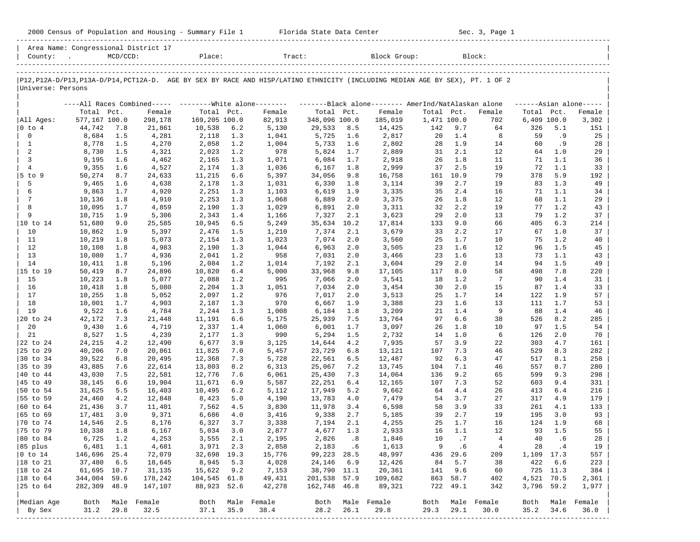|                      | 2000 Census of Population and Housing - Summary File 1 Florida State Data Center |            |                                      |                |            |                |                |            |                                                                                                                            |             |            | Sec. 3, Page 1 |               |            |                     |
|----------------------|----------------------------------------------------------------------------------|------------|--------------------------------------|----------------|------------|----------------|----------------|------------|----------------------------------------------------------------------------------------------------------------------------|-------------|------------|----------------|---------------|------------|---------------------|
|                      |                                                                                  |            | Area Name: Congressional District 17 |                |            |                |                |            |                                                                                                                            |             |            |                |               |            |                     |
| Universe: Persons    |                                                                                  |            |                                      |                |            |                |                |            | P12,P12A-D/P13,P13A-D/P14,PCT12A-D. AGE BY SEX BY RACE AND HISP/LATINO ETHNICITY (INCLUDING MEDIAN AGE BY SEX), PT. 1 OF 2 |             |            |                |               |            |                     |
|                      |                                                                                  |            |                                      |                |            |                |                |            | ----All Races Combined----- --------White alone-------- --------Black alone-------- AmerInd/NatAlaskan alone               |             |            |                |               |            | $---Asian alone---$ |
|                      | Total Pct.                                                                       |            | Female                               | Total Pct.     |            | Female         | Total Pct.     |            | Female                                                                                                                     | Total Pct.  |            | Female         | Total Pct.    |            | Female              |
| All Ages:            | 577,167 100.0                                                                    |            | 298,178                              | 169,205 100.0  |            | 82,913         | 348,096 100.0  |            | 185,019                                                                                                                    | 1,471 100.0 |            | 702            | $6,409$ 100.0 |            | 3,302               |
| $ 0 \tto 4$          | 44,742                                                                           | 7.8        | 21,861                               | 10,538         | 6.2        | 5,130          | 29,533         | 8.5        | 14,425                                                                                                                     | 142         | 9.7        | 64             | 326           | 5.1        | 151                 |
| $\mathbf 0$          | 8,684                                                                            | 1.5        | 4,281                                | 2,118          | 1.3        | 1,041          | 5,725          | 1.6        | 2,817                                                                                                                      | 20          | 1.4        | 8              | 59            | . 9        | 25                  |
| $\mathbf{1}$<br>2    | 8,778                                                                            | 1.5        | 4,270                                | 2,058          | 1.2        | 1,004          | 5,733          | 1.6        | 2,802                                                                                                                      | 28          | 1.9        | 14             | 60            | .9<br>1.0  | 28                  |
| $\overline{3}$       | 8,730<br>9,195                                                                   | 1.5<br>1.6 | 4,321<br>4,462                       | 2,023<br>2,165 | 1.2<br>1.3 | 978<br>1,071   | 5,824<br>6,084 | 1.7<br>1.7 | 2,889<br>2,918                                                                                                             | 31<br>26    | 2.1<br>1.8 | 12<br>11       | 64<br>71      | 1.1        | 29<br>36            |
| $\overline{4}$       | 9,355                                                                            | 1.6        | 4,527                                | 2,174          | 1.3        | 1,036          | 6,167          | 1.8        | 2,999                                                                                                                      | 37          | 2.5        | 19             | 72            | 1.1        | 33                  |
| $5$ to 9             | 50,274                                                                           | 8.7        | 24,633                               | 11,215         | 6.6        | 5,397          | 34,056         | 9.8        | 16,758                                                                                                                     | 161         | 10.9       | 79             | 378           | 5.9        | 192                 |
| 5                    | 9,465                                                                            | 1.6        | 4,638                                | 2,178          | 1.3        | 1,031          | 6,330          | 1.8        | 3,114                                                                                                                      | 39          | 2.7        | 19             | 83            | 1.3        | 49                  |
| 6                    | 9,863                                                                            | 1.7        | 4,920                                | 2,251          | 1.3        | 1,103          | 6,619          | 1.9        | 3,335                                                                                                                      | 35          | 2.4        | 16             | 71            | 1.1        | 34                  |
| 7                    | 10,136                                                                           | 1.8        | 4,910                                | 2,253          | 1.3        | 1,068          | 6,889          | 2.0        | 3,375                                                                                                                      | 26          | 1.8        | 12             | 68            | 1.1        | 29                  |
| 8                    | 10,095                                                                           | 1.7        | 4,859                                | 2,190          | 1.3        | 1,029          | 6,891          | 2.0        | 3,311                                                                                                                      | 32          | 2.2        | 19             | 77            | 1.2        | 43                  |
| 9                    | 10,715                                                                           | 1.9        | 5,306                                | 2,343          | 1.4        | 1,166          | 7,327          | 2.1        | 3,623                                                                                                                      | 29          | 2.0        | 13             | 79            | 1.2        | 37                  |
|                      | 51,680                                                                           | 9.0        | 25,585                               | 10,945         | 6.5        | 5,249          | 35,634 10.2    |            | 17,814                                                                                                                     | 133         | 9.0        | 66             | 405           | 6.3        | 214                 |
| 10                   | 10,862                                                                           | 1.9        | 5,397                                | 2,476          | 1.5        | 1,210          | 7,374          | 2.1        | 3,679                                                                                                                      | 33          | 2.2<br>1.7 | 17             | 67<br>75      | 1.0<br>1.2 | 37                  |
| 11<br>12             | 10,219<br>10,108                                                                 | 1.8<br>1.8 | 5,073<br>4,983                       | 2,154<br>2,190 | 1.3<br>1.3 | 1,023<br>1,044 | 7,074<br>6,963 | 2.0<br>2.0 | 3,560<br>3,505                                                                                                             | 25<br>23    | 1.6        | 10<br>12       | 96            | 1.5        | 40<br>45            |
| 13                   | 10,080                                                                           | 1.7        | 4,936                                | 2,041          | 1.2        | 958            | 7,031          | 2.0        | 3,466                                                                                                                      | 23          | 1.6        | 13             | 73            | 1.1        | 43                  |
| 14                   | 10,411                                                                           | 1.8        | 5,196                                | 2,084          | 1.2        | 1,014          | 7,192          | 2.1        | 3,604                                                                                                                      | 29          | 2.0        | 14             | 94            | 1.5        | 49                  |
| 15 to 19             | 50,419                                                                           | 8.7        | 24,896                               | 10,820         | 6.4        | 5,000          | 33,968         | 9.8        | 17,105                                                                                                                     | 117         | 8.0        | 58             | 498           | 7.8        | 220                 |
| 15                   | 10,223                                                                           | 1.8        | 5,077                                | 2,088          | 1.2        | 995            | 7,066          | 2.0        | 3,541                                                                                                                      | 18          | 1.2        | 7              | 90            | 1.4        | 31                  |
| 16                   | 10,418                                                                           | 1.8        | 5,080                                | 2,204          | 1.3        | 1,051          | 7,034          | 2.0        | 3,454                                                                                                                      | 30          | 2.0        | 15             | 87            | 1.4        | 33                  |
| 17                   | 10,255                                                                           | 1.8        | 5,052                                | 2,097          | 1.2        | 976            | 7,017          | 2.0        | 3,513                                                                                                                      | 25          | 1.7        | 14             | 122           | 1.9        | 57                  |
| 18                   | 10,001                                                                           | 1.7        | 4,903                                | 2,187          | 1.3        | 970            | 6,667          | 1.9        | 3,388                                                                                                                      | 23          | 1.6        | 13             | 111           | 1.7        | 53                  |
| 19                   | 9,522                                                                            | 1.6        | 4,784                                | 2,244          | 1.3        | 1,008          | 6,184          | 1.8        | 3,209                                                                                                                      | 21          | 1.4        | 9              | 88            | 1.4        | 46                  |
| 20 to 24             | 42,172                                                                           | 7.3        | 21,448                               | 11,191         | 6.6        | 5,175          | 25,939         | 7.5        | 13,764                                                                                                                     | 97          | 6.6        | 38             | 526           | 8.2        | 285                 |
| 20<br>21             | 9,430<br>8,527                                                                   | 1.6<br>1.5 | 4,719<br>4,239                       | 2,337<br>2,177 | 1.4<br>1.3 | 1,060<br>990   | 6,001<br>5,294 | 1.7<br>1.5 | 3,097<br>2,732                                                                                                             | 26<br>14    | 1.8<br>1.0 | 10<br>6        | 97<br>126     | 1.5<br>2.0 | 54<br>70            |
| 22 to 24             | 24,215                                                                           | 4.2        | 12,490                               | 6,677          | 3.9        | 3,125          | 14,644         | 4.2        | 7,935                                                                                                                      | 57          | 3.9        | 22             | 303           | 4.7        | 161                 |
| 25 to 29             | 40,206                                                                           | 7.0        | 20,861                               | 11,825         | 7.0        | 5,457          | 23,729         | 6.8        | 13,121                                                                                                                     | 107         | 7.3        | 46             | 529           | 8.3        | 282                 |
| 30 to 34             | 39,522                                                                           | 6.8        | 20,495                               | 12,368         | 7.3        | 5,728          | 22,561         | 6.5        | 12,487                                                                                                                     | 92          | 6.3        | 47             | 517           | 8.1        | 258                 |
| 35 to 39             | 43,885                                                                           | 7.6        | 22,614                               | 13,803         | 8.2        | 6,313          | 25,067         | 7.2        | 13,745                                                                                                                     | 104         | 7.1        | 46             | 557           | 8.7        | 280                 |
| 40 to 44             | 43,030                                                                           | 7.5        | 22,581                               | 12,776         | 7.6        | 6,061          | 25,430         | 7.3        | 14,064                                                                                                                     | 136         | 9.2        | 65             | 599           | 9.3        | 298                 |
| 45 to 49             | 38,145                                                                           | 6.6        | 19,904                               | 11,671         | 6.9        | 5,587          | 22,251         | 6.4        | 12,165                                                                                                                     | 107         | 7.3        | 52             | 603           | 9.4        | 331                 |
| 50 to 54             | 31,625                                                                           | 5.5        | 16,403                               | 10,495         | 6.2        | 5,112          | 17,949         | 5.2        | 9,662                                                                                                                      | 64          | 4.4        | 26             | 413           | 6.4        | 216                 |
| 55 to 59             | 24,460                                                                           | 4.2        | 12,848                               | 8,423          | 5.0        | 4,190          | 13,783         | 4.0        | 7,479                                                                                                                      | 54          | 3.7        | 27             | 317           | 4.9        | 179                 |
| 60 to 64             | 21,436                                                                           | 3.7        | 11,401                               | 7,562          | 4.5        | 3,830          | 11,978         | 3.4        | 6,598                                                                                                                      | 58          | 3.9        | 33             | 261           | 4.1        | 133                 |
| $ 65 \t{to} 69$      | 17,481                                                                           | 3.0        | 9,371                                | 6,686          | 4.0        | 3,416          | 9,338          | 2.7        | 5,185                                                                                                                      | 39          | 2.7        | 19             | 195           | 3.0        | 93                  |
| 70 to 74<br>75 to 79 | 14,546<br>10,338                                                                 | 2.5<br>1.8 | 8,176<br>6,167                       | 6,327<br>5,034 | 3.7<br>3.0 | 3,338<br>2,877 | 7,194<br>4,677 | 2.1<br>1.3 | 4,255<br>2,933                                                                                                             | 25<br>16    | 1.7<br>1.1 | 16<br>12       | 124<br>93     | 1.9<br>1.5 | 68<br>55            |
| 80 to 84             | 6,725                                                                            | 1.2        | 4,253                                | 3,555          | 2.1        | 2,195          | 2,826          | .8         | 1,846                                                                                                                      | 10          | .7         | 4              | 40            | .6         | 28                  |
| 85 plus              | 6,481                                                                            | 1.1        | 4,681                                | 3,971          | 2.3        | 2,858          | 2,183          | .6         | 1,613                                                                                                                      | 9           | .6         | 4              | 28            | .4         | 19                  |
| $ 0 \t{to} 14$       | 146,696                                                                          | 25.4       | 72,079                               | 32,698         | 19.3       | 15,776         | 99,223         | 28.5       | 48,997                                                                                                                     | 436         | 29.6       | 209            | 1,109 17.3    |            | 557                 |
| 18 to 21             | 37,480                                                                           | 6.5        | 18,645                               | 8,945          | 5.3        | 4,028          | 24,146         | 6.9        | 12,426                                                                                                                     | 84          | 5.7        | 38             | 422           | 6.6        | 223                 |
| 18 to 24             | 61,695 10.7                                                                      |            | 31,135                               | 15,622         | 9.2        | 7,153          | 38,790 11.1    |            | 20,361                                                                                                                     | 141         | 9.6        | 60             | 725           | 11.3       | 384                 |
| $ 18$ to $64$        | 344,004                                                                          | 59.6       | 178,242                              | 104,545        | 61.8       | 49,431         | 201,538        | 57.9       | 109,682                                                                                                                    | 863         | 58.7       | 402            | 4,521         | 70.5       | 2,361               |
| 25 to 64             | 282,309 48.9                                                                     |            | 147,107                              | 88,923         | 52.6       | 42,278         | 162,748        | 46.8       | 89,321                                                                                                                     | 722         | 49.1       | 342            | 3,796 59.2    |            | 1,977               |
|                      |                                                                                  |            |                                      |                |            |                |                |            |                                                                                                                            |             |            |                |               |            |                     |
| Median Age           | Both                                                                             |            | Male Female                          | Both           |            | Male Female    | Both           |            | Male Female                                                                                                                | Both        | Male       | Female         | Both          | Male       | Female              |
| By Sex               | 31.2                                                                             | 29.8       | 32.5                                 | 37.1           | 35.9       | 38.4           | 28.2           | 26.1       | 29.8                                                                                                                       | 29.3        | 29.1       | 30.0           | 35.2          | 34.6       | 36.0                |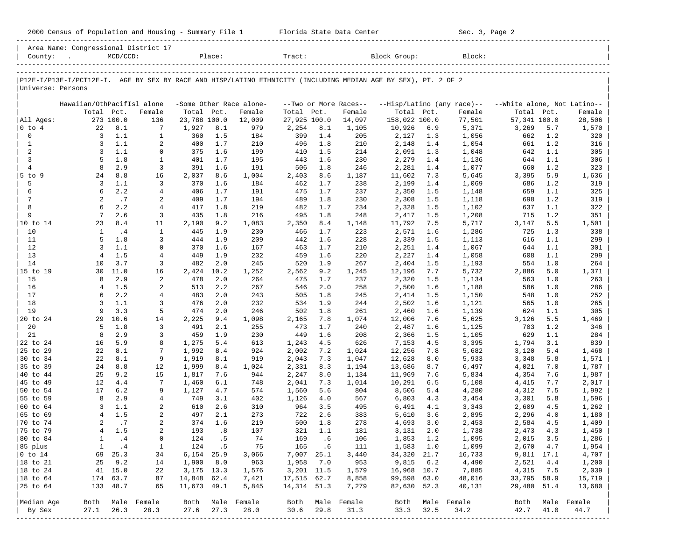|                          | 2000 Census of Population and Housing - Summary File 1 Florida State Data Center |             |                |                      |             |                         |                     |            |                          |                                                                                                                |            | Sec. 3, Page 2             |                             |            |                |
|--------------------------|----------------------------------------------------------------------------------|-------------|----------------|----------------------|-------------|-------------------------|---------------------|------------|--------------------------|----------------------------------------------------------------------------------------------------------------|------------|----------------------------|-----------------------------|------------|----------------|
|                          | Area Name: Congressional District 17<br>County: .                                | $MCD/CCD$ : |                |                      | Place:      |                         | Tract:              |            |                          | Block Group:                                                                                                   |            | Block:                     |                             |            |                |
| Universe: Persons        |                                                                                  |             |                |                      |             |                         |                     |            |                          | P12E-I/P13E-I/PCT12E-I. AGE BY SEX BY RACE AND HISP/LATINO ETHNICITY (INCLUDING MEDIAN AGE BY SEX), PT. 2 OF 2 |            |                            |                             |            |                |
|                          | Hawaiian/OthPacifIsl alone                                                       |             |                |                      |             | -Some Other Race alone- |                     |            | --Two or More Races--    |                                                                                                                |            | --Hisp/Latino (any race)-- | --White alone, Not Latino-- |            |                |
|                          | Total                                                                            | Pct.        | Female         | Total Pct.           |             | Female                  | Total Pct.          |            | Female                   | Total Pct.                                                                                                     |            | Female                     | Total Pct.                  |            | Female         |
| All Ages:                |                                                                                  | 273 100.0   | 136            | 23,788 100.0         |             | 12,009                  | 27,925 100.0        |            | 14,097                   | 158,022 100.0                                                                                                  |            | 77,501                     | 57,341 100.0                |            | 28,506         |
| $ 0 \tto 4$              | 22                                                                               | 8.1         | 7              | 1,927                | 8.1         | 979                     | 2,254               | 8.1        | 1,105                    | 10,926                                                                                                         | 6.9        | 5,371                      | 3,269                       | 5.7        | 1,570          |
| $\mathbf 0$              | $\overline{3}$                                                                   | 1.1         | $\mathbf{1}$   | 360                  | 1.5         | 184                     | 399                 | 1.4        | 205                      | 2,127                                                                                                          | 1.3        | 1,056                      | 662                         | 1.2        | 320            |
| $\mathbf{1}$             | 3                                                                                | 1.1         | 2              | 400                  | 1.7         | 210                     | 496                 | 1.8        | 210                      | 2,148                                                                                                          | 1.4        | 1,054                      | 661                         | 1.2        | 316            |
| 2                        | 3                                                                                | 1.1         | $\mathbf 0$    | 375                  | 1.6         | 199                     | 410                 | 1.5        | 214                      | 2,091                                                                                                          | 1.3        | 1,048                      | 642                         | 1.1        | 305            |
| $\overline{3}$           | 5                                                                                | 1.8         | $\mathbf{1}$   | 401                  | 1.7         | 195                     | 443                 | 1.6        | 230                      | 2,279                                                                                                          | 1.4        | 1,136                      | 644                         | 1.1        | 306            |
| $\overline{4}$<br>5 to 9 | 8<br>24                                                                          | 2.9<br>8.8  | 3<br>16        | 391<br>2,037         | 1.6<br>8.6  | 191                     | 506                 | 1.8<br>8.6 | 246                      | 2,281                                                                                                          | 1.4<br>7.3 | 1,077                      | 660                         | 1.2<br>5.9 | 323            |
| 5                        | 3                                                                                | 1.1         | 3              | 370                  | 1.6         | 1,004<br>184            | 2,403<br>462        | 1.7        | 1,187<br>238             | 11,602<br>2,199                                                                                                | 1.4        | 5,645<br>1,069             | 3,395<br>686                | 1.2        | 1,636<br>319   |
| 6                        | 6                                                                                | 2.2         | 4              | 406                  | 1.7         | 191                     | 475                 | 1.7        | 237                      | 2,350                                                                                                          | 1.5        | 1,148                      | 659                         | 1.1        | 325            |
| 7                        | 2                                                                                | .7          | 2              | 409                  | 1.7         | 194                     | 489                 | 1.8        | 230                      | 2,308                                                                                                          | 1.5        | 1,118                      | 698                         | 1.2        | 319            |
| 8                        | 6                                                                                | 2.2         | 4              | 417                  | 1.8         | 219                     | 482                 | 1.7        | 234                      | 2,328                                                                                                          | 1.5        | 1,102                      | 637                         | 1.1        | 322            |
| 9                        | $7\overline{ }$                                                                  | 2.6         | 3              | 435                  | 1.8         | 216                     | 495                 | 1.8        | 248                      | 2,417                                                                                                          | 1.5        | 1,208                      | 715                         | 1.2        | 351            |
|                          | 23                                                                               | 8.4         | 11             | 2,190                | 9.2         | 1,083                   | 2,350               | 8.4        | 1,148                    | 11,792                                                                                                         | 7.5        | 5,717                      | 3,147                       | 5.5        | 1,501          |
| 10                       | 1                                                                                | .4          | $\mathbf{1}$   | 445                  | 1.9         | 230                     | 466                 | 1.7        | 223                      | 2,571                                                                                                          | 1.6        | 1,286                      | 725                         | 1.3        | 338            |
| 11                       | 5                                                                                | 1.8         | 3              | 444                  | 1.9         | 209                     | 442                 | 1.6        | 228                      | 2,339                                                                                                          | 1.5        | 1,113                      | 616                         | 1.1        | 299            |
| 12                       | $\overline{3}$                                                                   | 1.1         | 0              | 370                  | 1.6         | 167                     | 463                 | 1.7        | 210                      | 2,251                                                                                                          | 1.4        | 1,067                      | 644                         | 1.1        | 301            |
| 13                       | $\overline{4}$                                                                   | 1.5         | 4              | 449                  | 1.9         | 232                     | 459                 | 1.6        | 220                      | 2,227                                                                                                          | 1.4        | 1,058                      | 608                         | 1.1        | 299            |
| 14                       | 10<br>30                                                                         | 3.7<br>11.0 | 3<br>16        | 482                  | 2.0<br>10.2 | 245                     | 520                 | 1.9<br>9.2 | 267                      | 2,404                                                                                                          | 1.5<br>7.7 | 1,193                      | 554                         | 1.0<br>5.0 | 264            |
| $ 15$ to 19<br>15        | 8                                                                                | 2.9         | 2              | 2,424<br>478         | 2.0         | 1,252<br>264            | 2,562<br>475        | 1.7        | 1,245<br>237             | 12,196<br>2,320                                                                                                | 1.5        | 5,732<br>1,134             | 2,886<br>563                | 1.0        | 1,371<br>263   |
| 16                       | $\overline{4}$                                                                   | 1.5         | 2              | 513                  | 2.2         | 267                     | 546                 | 2.0        | 258                      | 2,500                                                                                                          | 1.6        | 1,188                      | 586                         | 1.0        | 286            |
| 17                       | 6                                                                                | 2.2         | 4              | 483                  | 2.0         | 243                     | 505                 | 1.8        | 245                      | 2,414                                                                                                          | 1.5        | 1,150                      | 548                         | 1.0        | 252            |
| 18                       | $\overline{3}$                                                                   | 1.1         | 3              | 476                  | 2.0         | 232                     | 534                 | 1.9        | 244                      | 2,502                                                                                                          | 1.6        | 1,121                      | 565                         | 1.0        | 265            |
| 19                       | 9                                                                                | 3.3         | 5              | 474                  | 2.0         | 246                     | 502                 | 1.8        | 261                      | 2,460                                                                                                          | 1.6        | 1,139                      | 624                         | 1.1        | 305            |
| 20 to 24                 | 29                                                                               | 10.6        | 14             | 2,225                | 9.4         | 1,098                   | 2,165               | 7.8        | 1,074                    | 12,006                                                                                                         | 7.6        | 5,625                      | 3,126                       | 5.5        | 1,469          |
| 20                       | 5                                                                                | 1.8         | 3              | 491                  | 2.1         | 255                     | 473                 | 1.7        | 240                      | 2,487                                                                                                          | 1.6        | 1,125                      | 703                         | 1.2        | 346            |
| 21                       | 8                                                                                | 2.9         | 3              | 459                  | 1.9         | 230                     | 449                 | 1.6        | 208                      | 2,366                                                                                                          | 1.5        | 1,105                      | 629                         | 1.1        | 284            |
| 22 to 24                 | 16                                                                               | 5.9         | 8              | 1,275                | 5.4         | 613                     | 1,243               | 4.5        | 626                      | 7,153                                                                                                          | 4.5        | 3,395                      | 1,794                       | 3.1        | 839            |
| 25 to 29                 | 22                                                                               | 8.1         | 7              | 1,992                | 8.4         | 924                     | 2,002               | 7.2        | 1,024                    | 12,256                                                                                                         | 7.8        | 5,682                      | 3,120                       | 5.4        | 1,468          |
| 30 to 34<br>35 to 39     | 22<br>24                                                                         | 8.1<br>8.8  | 9<br>12        | 1,919<br>1,999       | 8.1<br>8.4  | 919<br>1,024            | 2,043<br>2,331      | 7.3<br>8.3 | 1,047<br>1,194           | 12,628<br>13,686                                                                                               | 8.0<br>8.7 | 5,933<br>6,497             | 3,348<br>4,021              | 5.8<br>7.0 | 1,571<br>1,787 |
| 40 to 44                 | 25                                                                               | 9.2         | 15             | 1,817                | 7.6         | 944                     | 2,247               | 8.0        | 1,134                    | 11,969                                                                                                         | 7.6        | 5,834                      | 4,354                       | 7.6        | 1,987          |
| 145 to 49                | 12                                                                               | 4.4         | 7              | 1,460                | 6.1         | 748                     | 2,041               | 7.3        | 1,014                    | 10,291                                                                                                         | 6.5        | 5,108                      | 4,415                       | 7.7        | 2,017          |
| 50 to 54                 | 17                                                                               | 6.2         | 9              | 1,127                | 4.7         | 574                     | 1,560               | 5.6        | 804                      | 8,506                                                                                                          | 5.4        | 4,280                      | 4,312                       | 7.5        | 1,992          |
| 55 to 59                 | 8                                                                                | 2.9         | 4              | 749                  | 3.1         | 402                     | 1,126               | 4.0        | 567                      | 6,803                                                                                                          | 4.3        | 3,454                      | 3,301                       | 5.8        | 1,596          |
| 60 to 64                 | 3                                                                                | 1.1         | 2              | 610                  | 2.6         | 310                     | 964                 | 3.5        | 495                      | 6,491                                                                                                          | 4.1        | 3,343                      | 2,609                       | 4.5        | 1,262          |
| 65 to 69                 | $\overline{4}$                                                                   | 1.5         | $\overline{a}$ | 497                  | 2.1         | 273                     | 722                 | 2.6        | 383                      | 5,610                                                                                                          | 3.6        | 2,895                      | 2,296                       | 4.0        | 1,180          |
| 70 to 74                 | $\overline{a}$                                                                   | $\cdot$ 7   | 2              | 374                  | 1.6         | 219                     | 500                 | 1.8        | 278                      | 4,693                                                                                                          | 3.0        | 2,453                      | 2,584                       | 4.5        | 1,409          |
| 75 to 79                 | 4                                                                                | 1.5         | 2              | 193                  | .8          | 107                     | 321                 | 1.1        | 181                      | 3,131                                                                                                          | 2.0        | 1,738                      | 2,473                       | 4.3        | 1,450          |
| 80 to 84                 | $1\,$                                                                            | .4          | 0              | 124                  | .5          | 74                      | 169                 | .6         | 106                      | 1,853                                                                                                          | 1.2        | 1,095                      | 2,015                       | 3.5        | 1,286          |
| 85 plus                  | $\mathbf{1}$                                                                     | .4          | $\mathbf{1}$   | 124                  | .5          | 75                      | 165                 | .6         | 111                      | 1,583                                                                                                          | 1.0        | 1,099                      | 2,670                       | 4.7        | 1,954          |
| $ 0 \t{to} 14$           | 69                                                                               | 25.3        | 34             | 6,154                | 25.9        | 3,066                   | 7,007               | 25.1       | 3,440                    | 34,320                                                                                                         | 21.7       | 16,733                     | 9,811 17.1                  |            | 4,707          |
| 18 to 21<br> 18 to 24    | 25<br>41                                                                         | 9.2<br>15.0 | 14<br>22       | 1,900<br>3, 175 13.3 | 8.0         | 963                     | 1,958<br>3,201 11.5 | 7.0        | 953<br>1,579             | 9,815<br>16,968 10.7                                                                                           | 6.2        | 4,490<br>7,885             | 2,521<br>4,315              | 4.4<br>7.5 | 1,200<br>2,039 |
| $ 18$ to $64$            | 174                                                                              | 63.7        | 87             | 14,848               | 62.4        | 1,576<br>7,421          | 17,515 62.7         |            | 8,858                    | 99,598                                                                                                         | 63.0       | 48,016                     | 33,795                      | 58.9       | 15,719         |
| 25 to 64                 | 133                                                                              | 48.7        | 65             | 11,673 49.1          |             | 5,845                   | 14, 314 51.3        |            | 7,279                    | 82,630 52.3                                                                                                    |            | 40,131                     | 29,480 51.4                 |            | 13,680         |
|                          |                                                                                  |             |                |                      |             |                         |                     |            |                          |                                                                                                                |            |                            |                             |            |                |
| Median Age               | Both                                                                             |             | Male Female    | Both                 |             | Male Female             | Both                |            | Male Female              | Both                                                                                                           |            | Male Female                | Both                        |            | Male Female    |
| By Sex                   | 27.1                                                                             | 26.3        | 28.3           | 27.6                 | 27.3        | 28.0                    | 30.6                | 29.8       | 31.3                     | 33.3                                                                                                           | 32.5       | 34.2                       | 42.7                        | 41.0       | 44.7           |
|                          |                                                                                  |             |                |                      |             |                         |                     |            | ________________________ |                                                                                                                |            |                            |                             |            |                |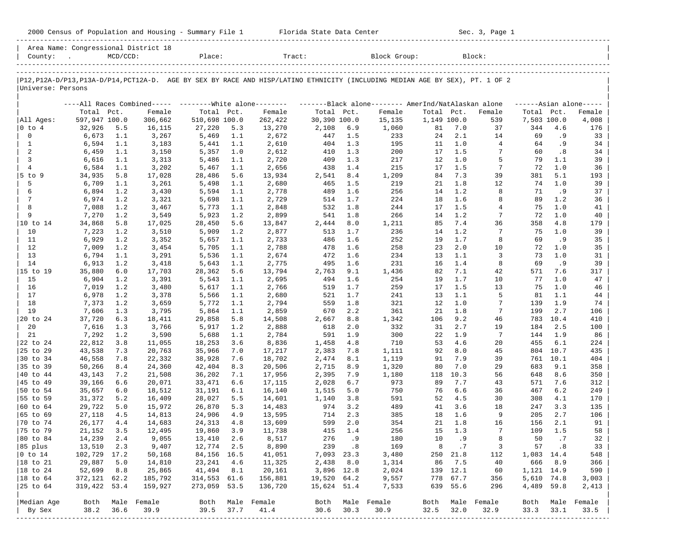|                             | 2000 Census of Population and Housing - Summary File 1 Florida State Data Center |            |                                      |                  |             |                                                                                                                               |                |             |                |             |             | Sec. 3, Page 1      |                  |            |                     |
|-----------------------------|----------------------------------------------------------------------------------|------------|--------------------------------------|------------------|-------------|-------------------------------------------------------------------------------------------------------------------------------|----------------|-------------|----------------|-------------|-------------|---------------------|------------------|------------|---------------------|
|                             |                                                                                  |            | Area Name: Congressional District 18 |                  |             |                                                                                                                               |                |             |                |             |             |                     |                  |            |                     |
| Universe: Persons           |                                                                                  |            |                                      |                  |             | P12, P12A-D/P13, P13A-D/P14, PCT12A-D. AGE BY SEX BY RACE AND HISP/LATINO ETHNICITY (INCLUDING MEDIAN AGE BY SEX), PT. 1 OF 2 |                |             |                |             |             |                     |                  |            |                     |
|                             |                                                                                  |            |                                      |                  |             | ----All Races Combined----- --------White alone------- -----------Black alone-------- AmerInd/NatAlaskan alone                |                |             |                |             |             |                     |                  |            | $---Asian alone---$ |
|                             | Total Pct.                                                                       |            | Female                               | Total Pct.       |             | Female                                                                                                                        | Total Pct.     |             | Female         | Total Pct.  |             | Female              | Total Pct.       |            | Female              |
| All Ages:                   | 597,947 100.0                                                                    |            | 306,662                              | 510,698 100.0    |             | 262,422                                                                                                                       | 30,390 100.0   |             | 15,135         | 1,149 100.0 |             | 539                 | 7,503 100.0      |            | 4,008               |
| $ 0 \t{to} 4$               | 32,926                                                                           | 5.5        | 16,115                               | 27,220           | 5.3         | 13,270                                                                                                                        | 2,108          | 6.9         | 1,060          | 81          | 7.0         | 37                  | 344              | 4.6        | 176                 |
| $\mathbf 0$                 | 6,673                                                                            | 1.1        | 3,267                                | 5,469            | 1.1         | 2,672                                                                                                                         | 447            | 1.5         | 233            | 24          | 2.1         | 14                  | 69               | . 9        | 33                  |
| $\mathbf{1}$<br>2           | 6,594<br>6,459                                                                   | 1.1<br>1.1 | 3,183<br>3,150                       | 5,441<br>5,357   | 1.1<br>1.0  | 2,610<br>2,612                                                                                                                | 404<br>410     | 1.3<br>1.3  | 195<br>200     | 11<br>17    | 1.0<br>1.5  | $\overline{4}$<br>7 | 64<br>60         | . 9<br>.8  | 34<br>34            |
| $\overline{3}$              | 6,616                                                                            | 1.1        | 3,313                                | 5,486            | 1.1         | 2,720                                                                                                                         | 409            | 1.3         | 217            | 12          | 1.0         | 5                   | 79               | 1.1        | 39                  |
| $\overline{4}$              | 6,584                                                                            | 1.1        | 3,202                                | 5,467            | 1.1         | 2,656                                                                                                                         | 438            | 1.4         | 215            | 17          | 1.5         | 7                   | 72               | 1.0        | 36                  |
| 5 to 9                      | 34,935                                                                           | 5.8        | 17,028                               | 28,486           | 5.6         | 13,934                                                                                                                        | 2,541          | 8.4         | 1,209          | 84          | 7.3         | 39                  | 381              | 5.1        | 193                 |
| 5                           | 6,709                                                                            | 1.1        | 3,261                                | 5,498            | 1.1         | 2,680                                                                                                                         | 465            | 1.5         | 219            | 21          | 1.8         | 12                  | 74               | 1.0        | 39                  |
| 6                           | 6,894                                                                            | 1.2        | 3,430                                | 5,594            | 1.1         | 2,778                                                                                                                         | 489            | 1.6         | 256            | 14          | 1.2         | 8                   | 71               | .9         | 37                  |
| 7                           | 6,974                                                                            | 1.2        | 3,321                                | 5,698            | 1.1         | 2,729                                                                                                                         | 514            | 1.7         | 224            | 18          | 1.6         | 8                   | 89               | 1.2        | 36                  |
| 8                           | 7,088                                                                            | 1.2        | 3,467                                | 5,773            | 1.1         | 2,848                                                                                                                         | 532            | 1.8         | 244            | 17          | 1.5         | $\overline{4}$      | 75               | 1.0        | 41                  |
| 9                           | 7,270<br>34,868                                                                  | 1.2<br>5.8 | 3,549                                | 5,923            | 1.2<br>5.6  | 2,899                                                                                                                         | 541            | 1.8<br>8.0  | 266            | 14<br>85    | 1.2<br>7.4  | 7<br>36             | 72<br>358        | 1.0<br>4.8 | 40<br>179           |
| 10                          | 7,223                                                                            | 1.2        | 17,025<br>3,510                      | 28,450<br>5,909  | 1.2         | 13,847<br>2,877                                                                                                               | 2,444<br>513   | 1.7         | 1,211<br>236   | 14          | 1.2         | 7                   | 75               | 1.0        | 39                  |
| 11                          | 6,929                                                                            | 1.2        | 3,352                                | 5,657            | 1.1         | 2,733                                                                                                                         | 486            | 1.6         | 252            | 19          | 1.7         | 8                   | 69               | .9         | 35                  |
| 12                          | 7,009                                                                            | 1.2        | 3,454                                | 5,705            | 1.1         | 2,788                                                                                                                         | 478            | 1.6         | 258            | 23          | 2.0         | 10                  | 72               | 1.0        | 35                  |
| 13                          | 6,794                                                                            | 1.1        | 3,291                                | 5,536            | 1.1         | 2,674                                                                                                                         | 472            | 1.6         | 234            | 13          | 1.1         | 3                   | 73               | 1.0        | 31                  |
| 14                          | 6,913                                                                            | 1.2        | 3,418                                | 5,643            | 1.1         | 2,775                                                                                                                         | 495            | 1.6         | 231            | 16          | 1.4         | 8                   | 69               | .9         | 39                  |
| 15 to 19                    | 35,880                                                                           | 6.0        | 17,703                               | 28,362           | 5.6         | 13,794                                                                                                                        | 2,763          | 9.1         | 1,436          | 82          | 7.1         | 42                  | 571              | 7.6        | 317                 |
| 15                          | 6,904                                                                            | 1.2        | 3,391                                | 5,543            | 1.1         | 2,695                                                                                                                         | 494            | 1.6         | 254            | 19          | 1.7         | 10                  | 77               | 1.0        | 47                  |
| 16                          | 7,019                                                                            | 1.2        | 3,480                                | 5,617            | 1.1         | 2,766                                                                                                                         | 519            | 1.7         | 259            | 17          | 1.5         | 13                  | 75               | 1.0        | 46                  |
| 17<br>18                    | 6,978<br>7,373                                                                   | 1.2<br>1.2 | 3,378<br>3,659                       | 5,566<br>5,772   | 1.1<br>1.1  | 2,680<br>2,794                                                                                                                | 521<br>559     | 1.7<br>1.8  | 241<br>321     | 13<br>12    | 1.1<br>1.0  | 5<br>7              | 81<br>139        | 1.1<br>1.9 | 44<br>74            |
| 19                          | 7,606                                                                            | 1.3        | 3,795                                | 5,864            | 1.1         | 2,859                                                                                                                         | 670            | 2.2         | 361            | 21          | 1.8         | 7                   | 199              | 2.7        | 106                 |
| 20 to 24                    | 37,720                                                                           | 6.3        | 18,411                               | 29,858           | 5.8         | 14,508                                                                                                                        | 2,667          | 8.8         | 1,342          | 106         | 9.2         | 46                  | 783              | 10.4       | 410                 |
| 20                          | 7,616                                                                            | 1.3        | 3,766                                | 5,917            | 1.2         | 2,888                                                                                                                         | 618            | 2.0         | 332            | 31          | 2.7         | 19                  | 184              | 2.5        | 100                 |
| 21                          | 7,292                                                                            | 1.2        | 3,590                                | 5,688            | 1.1         | 2,784                                                                                                                         | 591            | 1.9         | 300            | 22          | 1.9         | 7                   | 144              | 1.9        | 86                  |
| 22 to 24                    | 22,812                                                                           | 3.8        | 11,055                               | 18,253           | 3.6         | 8,836                                                                                                                         | 1,458          | 4.8         | 710            | 53          | 4.6         | 20                  | 455              | 6.1        | 224                 |
| 25 to 29                    | 43,538                                                                           | 7.3        | 20,763                               | 35,966           | 7.0         | 17,217                                                                                                                        | 2,383          | 7.8         | 1,111          | 92          | 8.0         | 45                  | 804              | 10.7       | 435                 |
| 30 to 34                    | 46,558                                                                           | 7.8        | 22,332                               | 38,928           | 7.6         | 18,702                                                                                                                        | 2,474          | 8.1         | 1,119          | 91          | 7.9         | 39                  | 761              | 10.1       | 404                 |
| 35 to 39                    | 50,266                                                                           | 8.4        | 24,360                               | 42,404           | 8.3         | 20,506                                                                                                                        | 2,715          | 8.9<br>7.9  | 1,320          | 80          | 7.0         | 29                  | 683              | 9.1<br>8.6 | 358                 |
| 40 to 44<br> 45 to 49       | 43,143<br>39,166                                                                 | 7.2<br>6.6 | 21,508<br>20,071                     | 36,202<br>33,471 | 7.1<br>6.6  | 17,956<br>17,115                                                                                                              | 2,395<br>2,028 | 6.7         | 1,180<br>973   | 118<br>89   | 10.3<br>7.7 | 56<br>43            | 648<br>571       | 7.6        | 350<br>312          |
| 50 to 54                    | 35,657                                                                           | 6.0        | 18,512                               | 31,191           | 6.1         | 16,140                                                                                                                        | 1,515          | 5.0         | 750            | 76          | 6.6         | 36                  | 467              | 6.2        | 249                 |
| 55 to 59                    | 31,372                                                                           | 5.2        | 16,409                               | 28,027           | 5.5         | 14,601                                                                                                                        | 1,140          | 3.8         | 591            | 52          | 4.5         | 30                  | 308              | 4.1        | 170                 |
| 60 to 64                    | 29,722                                                                           | 5.0        | 15,972                               | 26,870           | 5.3         | 14,483                                                                                                                        | 974            | 3.2         | 489            | 41          | 3.6         | 18                  | 247              | 3.3        | 135                 |
| $ 65 \t{to} 69$             | 27,118                                                                           | 4.5        | 14,813                               | 24,906           | 4.9         | 13,595                                                                                                                        | 714            | 2.3         | 385            | 18          | 1.6         | 9                   | 205              | 2.7        | 106                 |
| 70 to 74                    | 26,177                                                                           | 4.4        | 14,683                               | 24,313           | 4.8         | 13,609                                                                                                                        | 599            | 2.0         | 354            | 21          | 1.8         | 16                  | 156              | 2.1        | 91                  |
| 75 to 79                    | 21,152                                                                           | 3.5        | 12,495                               | 19,860           | 3.9         | 11,738                                                                                                                        | 415            | 1.4         | 256            | 15          | $1.3$       | 7                   | 109              | 1.5        | 58                  |
| 80 to 84                    | 14,239                                                                           | 2.4        | 9,055                                | 13,410           | 2.6         | 8,517                                                                                                                         | 276            | .9          | 180            | 10          | .9          | 8                   | 50               | .7         | 32                  |
| 85 plus                     | 13,510<br>102,729 17.2                                                           | 2.3        | 9,407                                | 12,774           | 2.5         | 8,890                                                                                                                         | 239            | .8          | 169            | 8           | .7          | 3                   | 57<br>1,083 14.4 | .8         | 33                  |
| $ 0 \t{to} 14$<br> 18 to 21 | 29,887                                                                           | 5.0        | 50,168<br>14,810                     | 84,156<br>23,241 | 16.5<br>4.6 | 41,051<br>11,325                                                                                                              | 7,093<br>2,438 | 23.3<br>8.0 | 3,480<br>1,314 | 250<br>86   | 21.8<br>7.5 | 112<br>40           | 666              | 8.9        | 548<br>366          |
| 18 to 24                    | 52,699                                                                           | 8.8        | 25,865                               | 41,494           | 8.1         | 20,161                                                                                                                        | 3,896 12.8     |             | 2,024          | 139         | 12.1        | 60                  | 1,121 14.9       |            | 590                 |
| $ 18$ to $64$               | 372,121                                                                          | 62.2       | 185,792                              | 314,553          | 61.6        | 156,881                                                                                                                       | 19,520         | 64.2        | 9,557          | 778         | 67.7        | 356                 | 5,610            | 74.8       | 3,003               |
| 25 to 64                    | 319,422 53.4                                                                     |            | 159,927                              | 273,059 53.5     |             | 136,720                                                                                                                       | 15,624 51.4    |             | 7,533          | 639         | 55.6        | 296                 | 4,489            | 59.8       | 2,413               |
|                             |                                                                                  |            |                                      |                  |             |                                                                                                                               |                |             |                |             |             |                     |                  |            |                     |
| Median Age                  | Both                                                                             |            | Male Female                          | Both             |             | Male Female                                                                                                                   | Both           |             | Male Female    | Both        | Male        | Female              | Both             | Male       | Female              |
| By Sex                      | 38.2                                                                             | 36.6       | 39.9                                 | 39.5             | 37.7        | 41.4                                                                                                                          | 30.6           | 30.3        | 30.9           | 32.5        | 32.0        | 32.9                | 33.3             | 33.1       | 33.5                |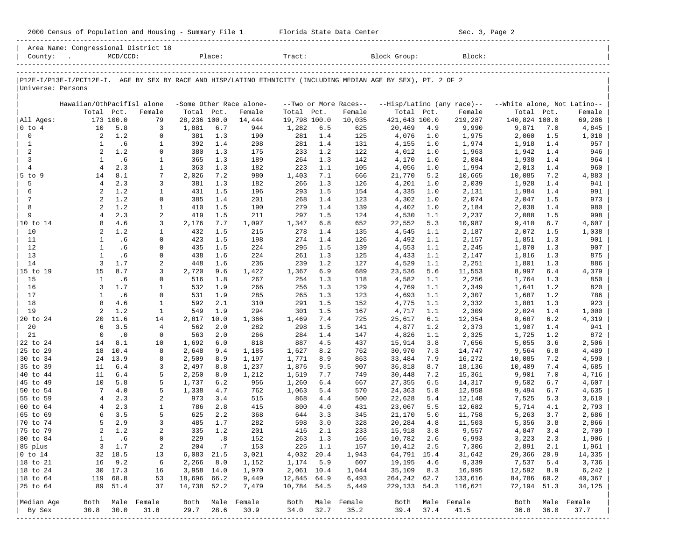|                                | 2000 Census of Population and Housing - Summary File 1 Florida State Data Center |                         |                     |                            |                   |                         |                            |            |                       |                                                                                                                |            | Sec. 3, Page 2                              |                             |            |                  |
|--------------------------------|----------------------------------------------------------------------------------|-------------------------|---------------------|----------------------------|-------------------|-------------------------|----------------------------|------------|-----------------------|----------------------------------------------------------------------------------------------------------------|------------|---------------------------------------------|-----------------------------|------------|------------------|
|                                | Area Name: Congressional District 18<br>County: .                                | $MCD/CCD$ :             |                     |                            |                   | Place:                  | Tract:                     |            |                       | Block Group:                                                                                                   |            | Block:                                      |                             |            |                  |
| Universe: Persons              |                                                                                  |                         |                     |                            |                   |                         |                            |            |                       | P12E-I/P13E-I/PCT12E-I. AGE BY SEX BY RACE AND HISP/LATINO ETHNICITY (INCLUDING MEDIAN AGE BY SEX), PT. 2 OF 2 |            |                                             |                             |            |                  |
|                                |                                                                                  |                         |                     |                            |                   |                         |                            |            |                       |                                                                                                                |            |                                             |                             |            |                  |
|                                | Hawaiian/OthPacifIsl alone                                                       |                         |                     |                            |                   | -Some Other Race alone- |                            |            | --Two or More Races-- |                                                                                                                |            | --Hisp/Latino (any race)--                  | --White alone, Not Latino-- |            |                  |
| All Ages:                      |                                                                                  | Total Pct.<br>173 100.0 | Female<br>79        | Total Pct.<br>28,236 100.0 |                   | Female<br>14,444        | Total Pct.<br>19,798 100.0 |            | Female<br>10,035      | Total Pct.<br>421,643 100.0                                                                                    |            | Female<br>219,287                           | Total Pct.<br>140,824 100.0 |            | Female<br>69,286 |
| $0$ to $4$                     | 10                                                                               | 5.8                     | 3                   | 1,881                      | 6.7               | 944                     | 1,282                      | 6.5        | 625                   | 20,469                                                                                                         | 4.9        | 9,990                                       | 9,871                       | 7.0        | 4,845            |
| $\mathbf 0$                    | 2                                                                                | 1.2                     | $\mathbf 0$         | 381                        | 1.3               | 190                     | 281                        | 1.4        | 125                   | 4,076                                                                                                          | 1.0        | 1,975                                       | 2,060                       | 1.5        | 1,018            |
| $\mathbf{1}$                   | 1                                                                                | .6                      | 1                   | 392                        | 1.4               | 208                     | 281                        | 1.4        | 131                   | 4,155                                                                                                          | 1.0        | 1,974                                       | 1,918                       | 1.4        | 957              |
| 2                              | 2                                                                                | 1.2                     | $\mathbf 0$         | 380                        | 1.3               | 175                     | 233                        | 1.2        | 122                   | 4,012                                                                                                          | 1.0        | 1,963                                       | 1,942                       | 1.4        | 946              |
| $\mathbf{3}$<br>$\overline{4}$ | $\mathbf{1}$<br>$\overline{4}$                                                   | .6<br>2.3               | 1<br>$\mathbf{1}$   | 365                        | 1.3               | 189                     | 264                        | 1.3        | 142                   | 4,170                                                                                                          | 1.0        | 2,084                                       | 1,938                       | 1.4        | 964              |
| $5$ to $9$                     | 14                                                                               | 8.1                     | 7                   | 363<br>2,026               | 1.3<br>7.2        | 182<br>980              | 223<br>1,403               | 1.1<br>7.1 | 105<br>666            | 4,056<br>21,770                                                                                                | 1.0<br>5.2 | 1,994<br>10,665                             | 2,013<br>10,085             | 1.4<br>7.2 | 960<br>4,883     |
| 5                              | 4                                                                                | 2.3                     | 3                   | 381                        | 1.3               | 182                     | 266                        | 1.3        | 126                   | 4,201                                                                                                          | 1.0        | 2,039                                       | 1,928                       | 1.4        | 941              |
| 6                              | 2                                                                                | 1.2                     | 1                   | 431                        | 1.5               | 196                     | 293                        | 1.5        | 154                   | 4,335                                                                                                          | 1.0        | 2,131                                       | 1,984                       | 1.4        | 991              |
| 7                              | 2                                                                                | 1.2                     | $\mathbf 0$         | 385                        | 1.4               | 201                     | 268                        | 1.4        | 123                   | 4,302                                                                                                          | 1.0        | 2,074                                       | 2,047                       | 1.5        | 973              |
| 8                              | $\overline{a}$                                                                   | 1.2                     | 1                   | 410                        | 1.5               | 190                     | 279                        | 1.4        | 139                   | 4,402                                                                                                          | 1.0        | 2,184                                       | 2,038                       | 1.4        | 980              |
| 9                              | $\overline{4}$<br>8                                                              | 2.3<br>4.6              | 2                   | 419                        | 1.5               | 211                     | 297                        | 1.5        | 124<br>652            | 4,530                                                                                                          | 1.1        | 2,237                                       | 2,088                       | 1.5        | 998              |
| 10 to 14<br>10                 | $\overline{a}$                                                                   | 1.2                     | 3<br>1              | 2,176<br>432               | 7.7<br>1.5        | 1,097<br>215            | 1,347<br>278               | 6.8<br>1.4 | 135                   | 22,552<br>4,545                                                                                                | 5.3<br>1.1 | 10,987<br>2,187                             | 9,410<br>2,072              | 6.7<br>1.5 | 4,607<br>1,038   |
| 11                             | 1                                                                                | .6                      | 0                   | 423                        | 1.5               | 198                     | 274                        | 1.4        | 126                   | 4,492                                                                                                          | 1.1        | 2,157                                       | 1,851                       | 1.3        | 901              |
| 12                             | $\mathbf{1}$                                                                     | .6                      | $\Omega$            | 435                        | 1.5               | 224                     | 295                        | 1.5        | 139                   | 4,553                                                                                                          | 1.1        | 2,245                                       | 1,870                       | 1.3        | 907              |
| 13                             | $\mathbf{1}$                                                                     | .6                      | 0                   | 438                        | 1.6               | 224                     | 261                        | 1.3        | 125                   | 4,433                                                                                                          | 1.1        | 2,147                                       | 1,816                       | 1.3        | 875              |
| 14                             | 3                                                                                | 1.7                     | 2                   | 448                        | 1.6               | 236                     | 239                        | 1.2        | 127                   | 4,529                                                                                                          | 1.1        | 2,251                                       | 1,801                       | 1.3        | 886              |
| 15 to 19<br>15                 | 15<br>1                                                                          | 8.7<br>.6               | 3<br>$\mathbf 0$    | 2,720<br>516               | 9.6<br>1.8        | 1,422<br>267            | 1,367<br>254               | 6.9<br>1.3 | 689<br>118            | 23,536<br>4,582                                                                                                | 5.6<br>1.1 | 11,553<br>2,256                             | 8,997<br>1,764              | 6.4<br>1.3 | 4,379<br>850     |
| 16                             | 3                                                                                | 1.7                     | 1                   | 532                        | 1.9               | 266                     | 256                        | 1.3        | 129                   | 4,769                                                                                                          | 1.1        | 2,349                                       | 1,641                       | 1.2        | 820              |
| 17                             | 1                                                                                | .6                      | $\mathbf 0$         | 531                        | 1.9               | 285                     | 265                        | 1.3        | 123                   | 4,693                                                                                                          | 1.1        | 2,307                                       | 1,687                       | 1.2        | 786              |
| 18                             | 8                                                                                | 4.6                     | $\mathbf{1}$        | 592                        | 2.1               | 310                     | 291                        | 1.5        | 152                   | 4,775                                                                                                          | 1.1        | 2,332                                       | 1,881                       | 1.3        | 923              |
| 19                             | 2                                                                                | 1.2                     | $\mathbf{1}$        | 549                        | 1.9               | 294                     | 301                        | 1.5        | 167                   | 4,717                                                                                                          | 1.1        | 2,309                                       | 2,024                       | 1.4        | 1,000            |
| 20 to 24                       | 20                                                                               | 11.6                    | 14                  | 2,817                      | 10.0              | 1,366                   | 1,469                      | 7.4        | 725                   | 25,617                                                                                                         | 6.1        | 12,354                                      | 8,687                       | 6.2        | 4,319            |
| 20<br>21                       | 6<br>$\mathbf 0$                                                                 | 3.5<br>$\cdot$ 0        | $\overline{4}$<br>0 | 562<br>563                 | 2.0<br>2.0        | 282<br>266              | 298<br>284                 | 1.5<br>1.4 | 141<br>147            | 4,877<br>4,826                                                                                                 | 1.2<br>1.1 | 2,373<br>2,325                              | 1,907<br>1,725              | 1.4<br>1.2 | 941<br>872       |
| 22 to 24                       | 14                                                                               | 8.1                     | 10                  | 1,692                      | 6.0               | 818                     | 887                        | 4.5        | 437                   | 15,914                                                                                                         | 3.8        | 7,656                                       | 5,055                       | 3.6        | 2,506            |
| 25 to 29                       |                                                                                  | 18 10.4                 | 8                   | 2,648                      | 9.4               | 1,185                   | 1,627                      | 8.2        | 762                   | 30,970                                                                                                         | 7.3        | 14,747                                      | 9,564                       | 6.8        | 4,489            |
| 30 to 34                       |                                                                                  | 24 13.9                 | 8                   | 2,509                      | 8.9               | 1,197                   | 1,771                      | 8.9        | 863                   | 33,484                                                                                                         | 7.9        | 16,272                                      | 10,085                      | 7.2        | 4,590            |
| 35 to 39                       | 11                                                                               | 6.4                     | 3                   | 2,497                      | 8.8               | 1,237                   | 1,876                      | 9.5        | 907                   | 36,818                                                                                                         | 8.7        | 18,136                                      | 10,409                      | 7.4        | 4,685            |
| 40 to 44                       | 11                                                                               | 6.4                     | 5                   | 2,250                      | 8.0               | 1,212                   | 1,519                      | 7.7        | 749                   | 30,448                                                                                                         | 7.2        | 15,361                                      | 9,901                       | 7.0        | 4,716            |
| 45 to 49<br>50 to 54           | 10<br>7                                                                          | 5.8<br>4.0              | 5<br>5              | 1,737<br>1,338             | 6.2<br>4.7        | 956<br>762              | 1,260<br>1,063             | 6.4<br>5.4 | 667<br>570            | 27,355<br>24,363                                                                                               | 6.5<br>5.8 | 14,317<br>12,958                            | 9,502<br>9,494              | 6.7<br>6.7 | 4,607<br>4,635   |
| 55 to 59                       | $\overline{4}$                                                                   | 2.3                     | 2                   | 973                        | 3.4               | 515                     | 868                        | 4.4        | 500                   | 22,628                                                                                                         | 5.4        | 12,148                                      | 7,525                       | 5.3        | 3,610            |
| 60 to 64                       | $4^{\circ}$                                                                      | 2.3                     | 1                   | 786                        | 2.8               | 415                     | 800                        | 4.0        | 431                   | 23,067                                                                                                         | 5.5        | 12,682                                      | 5,714                       | 4.1        | 2,793            |
| 65 to 69                       | 6                                                                                | 3.5                     | 5                   | 625                        | 2.2               | 368                     | 644                        | 3.3        | 345                   | 21,170                                                                                                         | 5.0        | 11,758                                      | 5,263                       | 3.7        | 2,686            |
| 70 to 74                       | 5                                                                                | 2.9                     | 3                   |                            | 485 1.7           | 282                     |                            | 598 3.0    | 328                   | 20,284                                                                                                         | 4.8        | 11,503                                      | 5,356                       | 3.8        | 2,866            |
| 75 to 79                       | $\overline{\mathbf{c}}$                                                          | 1.2                     | 2                   | 335                        | 1.2               | 201                     | 416                        | 2.1        | 233                   | 15,918                                                                                                         | 3.8        | 9,557                                       | 4,847                       | 3.4        | 2,709            |
| 80 to 84<br>85 plus            | $\mathbf{1}$<br>3                                                                | .6<br>1.7               | 0<br>2              | 229<br>204                 | .8<br>.7          | 152<br>153              | 263<br>225                 | 1.3<br>1.1 | 166<br>157            | 10,782<br>10,412                                                                                               | 2.6<br>2.5 | 6,993<br>7,306                              | 3,223<br>2,891              | 2.3<br>2.1 | 1,906<br>1,961   |
| $ 0 \t\t \text{to} 14$         | 32                                                                               | 18.5                    | 13                  | 6,083                      | 21.5              | 3,021                   | 4,032                      | 20.4       | 1,943                 | 64,791 15.4                                                                                                    |            | 31,642                                      | 29,366                      | 20.9       | 14,335           |
| 18 to 21                       | 16                                                                               | 9.2                     | 6                   | 2,266                      | 8.0               | 1,152                   | 1,174                      | 5.9        | 607                   | 19,195                                                                                                         | 4.6        | 9,339                                       | 7,537                       | 5.4        | 3,736            |
| 18 to 24                       |                                                                                  | 30 17.3                 | 16                  | 3,958 14.0                 |                   | 1,970                   | 2,061 10.4                 |            | 1,044                 | 35,109                                                                                                         | 8.3        | 16,995                                      | 12,592                      | 8.9        | 6,242            |
| 18 to 64                       | 119                                                                              | 68.8                    | 53                  | 18,696 66.2                |                   | 9,449                   | 12,845 64.9                |            | 6,493                 | 264,242 62.7                                                                                                   |            | 133,616                                     | 84,786 60.2                 |            | 40,367           |
| 25 to 64                       | 89                                                                               | 51.4                    | 37                  | 14,738 52.2                |                   | 7,479                   | 10,784 54.5                |            | 5,449                 | 229,133 54.3                                                                                                   |            | 116,621                                     | 72,194 51.3                 |            | 34,125           |
| Median Age                     | Both                                                                             |                         | Male Female         | Both                       |                   | Male Female             | Both                       |            | Male Female           | Both                                                                                                           |            | Male Female                                 | Both                        |            | Male Female      |
| By Sex                         | 30.8                                                                             | 30.0                    | 31.8                | 29.7                       | 28.6<br>--------- | 30.9                    | 34.0                       | 32.7       | 35.2                  | 39.4                                                                                                           | 37.4       | 41.5<br>___________________________________ | 36.8                        | 36.0       | 37.7             |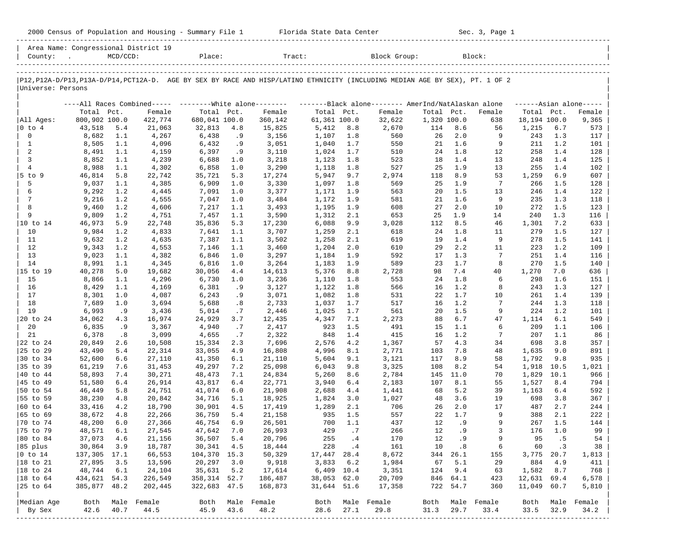|                             |                  |            |                                      |                  |            | 2000 Census of Population and Housing - Summary File 1 Florida State Data Center                                              |                |            |              |             |            | Sec. 3, Page 1  |              |            |                     |
|-----------------------------|------------------|------------|--------------------------------------|------------------|------------|-------------------------------------------------------------------------------------------------------------------------------|----------------|------------|--------------|-------------|------------|-----------------|--------------|------------|---------------------|
|                             |                  |            | Area Name: Congressional District 19 |                  |            |                                                                                                                               |                |            |              |             |            |                 |              |            |                     |
| Universe: Persons           |                  |            |                                      |                  |            | P12, P12A-D/P13, P13A-D/P14, PCT12A-D. AGE BY SEX BY RACE AND HISP/LATINO ETHNICITY (INCLUDING MEDIAN AGE BY SEX), PT. 1 OF 2 |                |            |              |             |            |                 |              |            |                     |
|                             |                  |            |                                      |                  |            | ----All Races Combined----- --------White alone-------- --------Black alone-------- AmerInd/NatAlaskan alone                  |                |            |              |             |            |                 |              |            | $---Asian alone---$ |
|                             | Total Pct.       |            | Female                               | Total Pct.       |            | Female                                                                                                                        | Total Pct.     |            | Female       | Total Pct.  |            | Female          | Total Pct.   |            | Female              |
| All Ages:                   | 800,902 100.0    |            | 422,774                              | 680,041 100.0    |            | 360,142                                                                                                                       | 61,361 100.0   |            | 32,622       | 1,320 100.0 |            | 638             | 18,194 100.0 |            | 9,365               |
| $ 0 \t{to} 4$               | 43,518           | 5.4        | 21,063                               | 32,813           | 4.8        | 15,825                                                                                                                        | 5,412          | 8.8        | 2,670        | 114         | 8.6        | 56              | 1,215        | 6.7        | 573                 |
| $\mathbf 0$                 | 8,682            | 1.1        | 4,267                                | 6,438            | .9         | 3,156                                                                                                                         | 1,107          | 1.8        | 560          | 26          | 2.0        | 9               | 243          | 1.3        | 117                 |
| $\mathbf{1}$<br>2           | 8,505            | 1.1        | 4,096                                | 6,432            | .9         | 3,051                                                                                                                         | 1,040          | 1.7        | 550<br>510   | 21          | 1.6        | 9               | 211          | 1.2<br>1.4 | 101                 |
| $\overline{3}$              | 8,491<br>8,852   | 1.1<br>1.1 | 4,159<br>4,239                       | 6,397<br>6,688   | .9<br>1.0  | 3,110<br>3,218                                                                                                                | 1,024<br>1,123 | 1.7<br>1.8 | 523          | 24<br>18    | 1.8<br>1.4 | 12<br>13        | 258<br>248   | 1.4        | 128<br>125          |
| $\overline{4}$              | 8,988            | 1.1        | 4,302                                | 6,858            | 1.0        | 3,290                                                                                                                         | 1,118          | 1.8        | 527          | 25          | 1.9        | 13              | 255          | 1.4        | 102                 |
| $5$ to 9                    | 46,814           | 5.8        | 22,742                               | 35,721           | 5.3        | 17,274                                                                                                                        | 5,947          | 9.7        | 2,974        | 118         | 8.9        | 53              | 1,259        | 6.9        | 607                 |
| 5                           | 9,037            | 1.1        | 4,385                                | 6,909            | 1.0        | 3,330                                                                                                                         | 1,097          | 1.8        | 569          | 25          | 1.9        | $7\overline{ }$ | 266          | 1.5        | 128                 |
| 6                           | 9,292            | 1.2        | 4,445                                | 7,091            | 1.0        | 3,377                                                                                                                         | 1,171          | 1.9        | 563          | 20          | 1.5        | 13              | 246          | 1.4        | 122                 |
| 7                           | 9,216            | 1.2        | 4,555                                | 7,047            | 1.0        | 3,484                                                                                                                         | 1,172          | 1.9        | 581          | 21          | 1.6        | 9               | 235          | 1.3        | 118                 |
| 8                           | 9,460            | 1.2        | 4,606                                | 7,217            | 1.1        | 3,493                                                                                                                         | 1,195          | 1.9        | 608          | 27          | 2.0        | 10              | 272          | 1.5        | 123                 |
| 9                           | 9,809            | 1.2        | 4,751                                | 7,457            | 1.1        | 3,590                                                                                                                         | 1,312          | 2.1        | 653          | 25          | 1.9        | 14              | 240          | 1.3        | 116                 |
|                             | 46,973           | 5.9        | 22,748                               | 35,836           | 5.3        | 17,230                                                                                                                        | 6,088          | 9.9        | 3,028        | 112         | 8.5        | 46              | 1,301        | 7.2        | 633                 |
| 10<br>11                    | 9,984<br>9,632   | 1.2<br>1.2 | 4,833<br>4,635                       | 7,641<br>7,387   | 1.1<br>1.1 | 3,707<br>3,502                                                                                                                | 1,259<br>1,258 | 2.1<br>2.1 | 618<br>619   | 24<br>19    | 1.8<br>1.4 | 11<br>9         | 279<br>278   | 1.5<br>1.5 | 127<br>141          |
| 12                          | 9,343            | 1.2        | 4,553                                | 7,146            | 1.1        | 3,460                                                                                                                         | 1,204          | 2.0        | 610          | 29          | 2.2        | 11              | 223          | 1.2        | 109                 |
| 13                          | 9,023            | 1.1        | 4,382                                | 6,846            | 1.0        | 3,297                                                                                                                         | 1,184          | 1.9        | 592          | 17          | 1.3        | $7\phantom{.0}$ | 251          | 1.4        | 116                 |
| 14                          | 8,991            | 1.1        | 4,345                                | 6,816            | 1.0        | 3,264                                                                                                                         | 1,183          | 1.9        | 589          | 23          | 1.7        | 8               | 270          | 1.5        | 140                 |
| 15 to 19                    | 40,278           | 5.0        | 19,682                               | 30,056           | 4.4        | 14,613                                                                                                                        | 5,376          | 8.8        | 2,728        | 98          | 7.4        | 40              | 1,270        | 7.0        | 636                 |
| 15                          | 8,866            | 1.1        | 4,296                                | 6,730            | 1.0        | 3,236                                                                                                                         | 1,110          | 1.8        | 553          | 24          | 1.8        | 6               | 298          | 1.6        | 151                 |
| 16                          | 8,429            | 1.1        | 4,169                                | 6,381            | . 9        | 3,127                                                                                                                         | 1,122          | 1.8        | 566          | 16          | 1.2        | 8               | 243          | 1.3        | 127                 |
| 17                          | 8,301            | 1.0        | 4,087                                | 6,243            | .9         | 3,071                                                                                                                         | 1,082          | 1.8        | 531          | 22          | 1.7        | 10              | 261          | 1.4        | 139                 |
| 18                          | 7,689            | 1.0        | 3,694                                | 5,688            | .8         | 2,733                                                                                                                         | 1,037          | 1.7        | 517          | 16          | 1.2        | 7               | 244          | 1.3        | 118                 |
| 19                          | 6,993            | .9         | 3,436                                | 5,014            | .7         | 2,446                                                                                                                         | 1,025          | 1.7        | 561          | 20          | 1.5        | 9               | 224          | 1.2        | 101                 |
| 20 to 24<br>20              | 34,062<br>6,835  | 4.3<br>.9  | 16,974<br>3,367                      | 24,929<br>4,940  | 3.7<br>.7  | 12,435<br>2,417                                                                                                               | 4,347<br>923   | 7.1<br>1.5 | 2,273<br>491 | 88<br>15    | 6.7<br>1.1 | 47<br>6         | 1,114<br>209 | 6.1<br>1.1 | 549<br>106          |
| 21                          | 6,378            | .8         | 3,099                                | 4,655            | .7         | 2,322                                                                                                                         | 848            | 1.4        | 415          | 16          | 1.2        | 7               | 207          | 1.1        | 86                  |
| 22 to 24                    | 20,849           | 2.6        | 10,508                               | 15,334           | 2.3        | 7,696                                                                                                                         | 2,576          | 4.2        | 1,367        | 57          | 4.3        | 34              | 698          | 3.8        | 357                 |
| 25 to 29                    | 43,490           | 5.4        | 22,314                               | 33,055           | 4.9        | 16,808                                                                                                                        | 4,996          | 8.1        | 2,771        | 103         | 7.8        | 48              | 1,635        | 9.0        | 891                 |
| 30 to 34                    | 52,600           | 6.6        | 27,110                               | 41,350           | 6.1        | 21,110                                                                                                                        | 5,604          | 9.1        | 3,121        | 117         | 8.9        | 58              | 1,792        | 9.8        | 935                 |
| 35 to 39                    | 61,219           | 7.6        | 31,453                               | 49,297           | 7.2        | 25,098                                                                                                                        | 6,043          | 9.8        | 3,325        | 108         | 8.2        | 54              | 1,918        | 10.5       | 1,021               |
| 40 to 44                    | 58,893           | 7.4        | 30,271                               | 48,473           | 7.1        | 24,834                                                                                                                        | 5,260          | 8.6        | 2,784        | 145         | 11.0       | 70              | 1,829        | 10.1       | 966                 |
| 45 to 49                    | 51,580           | 6.4        | 26,914                               | 43,817           | 6.4        | 22,771                                                                                                                        | 3,940          | 6.4        | 2,183        | 107         | 8.1        | 55              | 1,527        | 8.4        | 794                 |
| 50 to 54                    | 46,449           | 5.8        | 24,751                               | 41,074           | 6.0        | 21,908                                                                                                                        | 2,688          | 4.4        | 1,441        | 68          | 5.2        | 39              | 1,163        | 6.4        | 592                 |
| 55 to 59<br> 60 to 64       | 38,230           | 4.8<br>4.2 | 20,842                               | 34,716           | 5.1<br>4.5 | 18,925                                                                                                                        | 1,824          | 3.0<br>2.1 | 1,027<br>706 | 48<br>26    | 3.6<br>2.0 | 19<br>17        | 698<br>487   | 3.8<br>2.7 | 367<br>244          |
| $ 65 \t{to} 69$             | 33,416<br>38,672 | 4.8        | 18,790<br>22,266                     | 30,901<br>36,759 | 5.4        | 17,419<br>21,158                                                                                                              | 1,289<br>935   | 1.5        | 557          | 22          | 1.7        | 9               | 388          | 2.1        | 222                 |
| 70 to 74                    | 48,200           | 6.0        | 27,366                               | 46,754           | 6.9        | 26,501                                                                                                                        | 700            | 1.1        | 437          |             | 12 .9      | 9               | 267          | 1.5        | 144                 |
| 75 to 79                    | 48,571           | 6.1        | 27,545                               | 47,642           | 7.0        | 26,993                                                                                                                        | 429            | $\cdot$ 7  | 266          | 12          | .9         | 3               | 176          | 1.0        | 99                  |
| 80 to 84                    | 37,073           | 4.6        | 21,156                               | 36,507           | 5.4        | 20,796                                                                                                                        | 255            | .4         | 170          | 12          | .9         | 9               | 95           | .5         | 54                  |
| 85 plus                     | 30,864           | 3.9        | 18,787                               | 30,341           | 4.5        | 18,444                                                                                                                        | 228            | .4         | 161          | 10          | .8         | 6               | 60           | .3         | 38                  |
| $ 0 \t\t \text{to} \t\t 14$ | 137,305 17.1     |            | 66,553                               | 104,370 15.3     |            | 50,329                                                                                                                        | 17,447         | 28.4       | 8,672        | 344         | 26.1       | 155             | 3,775        | 20.7       | 1,813               |
| 18 to 21                    | 27,895           | 3.5        | 13,596                               | 20,297           | 3.0        | 9,918                                                                                                                         | 3,833          | 6.2        | 1,984        | 67          | 5.1        | 29              | 884          | 4.9        | 411                 |
| 18 to 24                    | 48,744           | 6.1        | 24,104                               | 35,631           | 5.2        | 17,614                                                                                                                        | 6,409 10.4     |            | 3,351        | 124         | 9.4        | 63              | 1,582        | 8.7        | 768                 |
| $ 18$ to $64$               | 434,621          | 54.3       | 226,549                              | 358,314          | 52.7       | 186,487                                                                                                                       | 38,053         | 62.0       | 20,709       | 846         | 64.1       | 423             | 12,631       | 69.4       | 6,578               |
| 25 to 64                    | 385,877 48.2     |            | 202,445                              | 322,683 47.5     |            | 168,873                                                                                                                       | 31,644 51.6    |            | 17,358       | 722         | 54.7       | 360             | 11,049       | 60.7       | 5,810               |
| Median Age                  | Both             |            | Male Female                          | Both             |            | Male Female                                                                                                                   | Both           |            | Male Female  | Both        |            | Male Female     | Both         | Male       | Female              |
| By Sex                      | 42.6             | 40.7       | 44.5                                 | 45.9             | 43.6       | 48.2                                                                                                                          | 28.6           | 27.1       | 29.8         | 31.3        | 29.7       | 33.4            | 33.5         | 32.9       | 34.2                |
|                             |                  |            |                                      |                  |            |                                                                                                                               |                |            |              |             |            |                 |              |            |                     |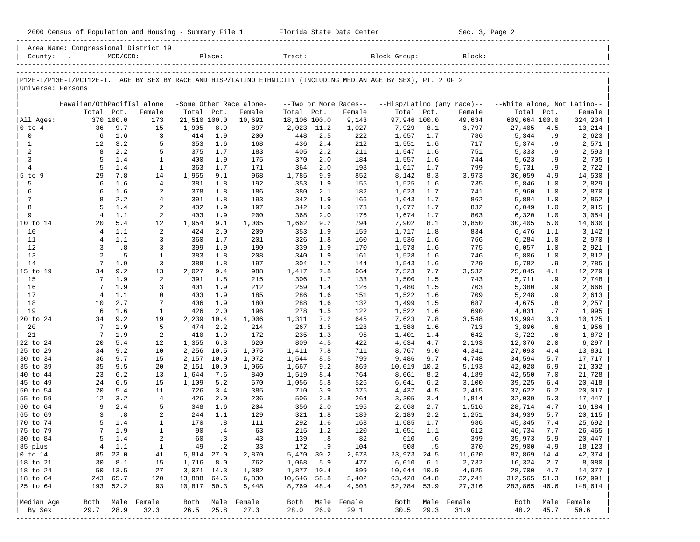|                       | 2000 Census of Population and Housing - Summary File 1 Florida State Data Center |            |                   |                |                             |                         |                |            |                                 |                                                                                                                |             | Sec. 3, Page 2             |                             |            |                  |
|-----------------------|----------------------------------------------------------------------------------|------------|-------------------|----------------|-----------------------------|-------------------------|----------------|------------|---------------------------------|----------------------------------------------------------------------------------------------------------------|-------------|----------------------------|-----------------------------|------------|------------------|
|                       | Area Name: Congressional District 19                                             |            |                   |                |                             |                         | Tract:         |            |                                 |                                                                                                                |             |                            |                             |            |                  |
| Universe: Persons     |                                                                                  |            |                   |                |                             |                         |                |            |                                 | P12E-I/P13E-I/PCT12E-I. AGE BY SEX BY RACE AND HISP/LATINO ETHNICITY (INCLUDING MEDIAN AGE BY SEX), PT. 2 OF 2 |             |                            |                             |            |                  |
|                       | Hawaiian/OthPacifIsl alone                                                       |            |                   |                |                             | -Some Other Race alone- |                |            |                                 |                                                                                                                |             | --Hisp/Latino (any race)-- | --White alone, Not Latino-- |            |                  |
|                       | Total                                                                            | Pct.       | Female            | Total Pct.     |                             | Female                  | Total Pct.     |            | --Two or More Races--<br>Female | Total Pct.                                                                                                     |             | Female                     | Total Pct.                  |            | Female           |
| All Ages:             |                                                                                  | 370 100.0  | 173               | 21,510 100.0   |                             | 10,691                  | 18,106 100.0   |            | 9,143                           | 97,946 100.0                                                                                                   |             | 49,634                     | 609,664 100.0               |            | 324,234          |
| $ 0 \t{to} 4$         | 36                                                                               | 9.7        | 15                | 1,905          | 8.9                         | 897                     | 2,023          | 11.2       | 1,027                           | 7,929                                                                                                          | 8.1         | 3,797                      | 27,405                      | 4.5        | 13,214           |
| $\mathbf 0$           | 6                                                                                | 1.6        | 3                 | 414            | 1.9                         | 200                     | 448            | 2.5        | 222                             | 1,657                                                                                                          | 1.7         | 786                        | 5,344                       | .9         | 2,623            |
| $\mathbf{1}$          | 12                                                                               | 3.2        | 5                 | 353            | 1.6                         | 168                     | 436            | 2.4        | 212                             | 1,551                                                                                                          | 1.6         | 717                        | 5,374                       | .9         | 2,571            |
| 2<br>$\overline{3}$   | 8<br>5                                                                           | 2.2<br>1.4 | 5<br>$\mathbf{1}$ | 375<br>400     | 1.7<br>1.9                  | 183<br>175              | 405<br>370     | 2.2<br>2.0 | 211<br>184                      | 1,547<br>1,557                                                                                                 | 1.6<br>1.6  | 751<br>744                 | 5,333<br>5,623              | .9<br>.9   | 2,593<br>2,705   |
| $\overline{4}$        | 5                                                                                | 1.4        | $\mathbf{1}$      | 363            | 1.7                         | 171                     | 364            | 2.0        | 198                             | 1,617                                                                                                          | 1.7         | 799                        | 5,731                       | .9         | 2,722            |
| 5 to 9                | 29                                                                               | 7.8        | 14                | 1,955          | 9.1                         | 968                     | 1,785          | 9.9        | 852                             | 8,142                                                                                                          | 8.3         | 3,973                      | 30,059                      | 4.9        | 14,530           |
| 5                     | 6                                                                                | 1.6        | 4                 | 381            | 1.8                         | 192                     | 353            | 1.9        | 155                             | 1,525                                                                                                          | 1.6         | 735                        | 5,846                       | 1.0        | 2,829            |
| 6                     | 6                                                                                | 1.6        | 2                 | 378            | 1.8                         | 186                     | 380            | 2.1        | 182                             | 1,623                                                                                                          | 1.7         | 741                        | 5,960                       | 1.0        | 2,870            |
| 7                     | 8                                                                                | 2.2        | 4                 | 391            | 1.8                         | 193                     | 342            | 1.9        | 166                             | 1,643                                                                                                          | 1.7         | 862                        | 5,884                       | 1.0        | 2,862            |
| 8<br>9                | 5<br>$\overline{4}$                                                              | 1.4        | $\overline{a}$    | 402            | 1.9                         | 197                     | 342            | 1.9        | 173                             | 1,677                                                                                                          | 1.7         | 832                        | 6,049                       | 1.0        | 2,915            |
|                       | 20                                                                               | 1.1<br>5.4 | 2<br>12           | 403<br>1,954   | 1.9<br>9.1                  | 200<br>1,005            | 368<br>1,662   | 2.0<br>9.2 | 176<br>794                      | 1,674<br>7,902                                                                                                 | 1.7<br>8.1  | 803<br>3,850               | 6,320<br>30,405             | 1.0<br>5.0 | 3,054<br>14,630  |
| 10                    | $\overline{4}$                                                                   | 1.1        | 2                 | 424            | 2.0                         | 209                     | 353            | 1.9        | 159                             | 1,717                                                                                                          | 1.8         | 834                        | 6,476                       | 1.1        | 3,142            |
| 11                    | $\overline{4}$                                                                   | 1.1        | 3                 | 360            | 1.7                         | 201                     | 326            | 1.8        | 160                             | 1,536                                                                                                          | 1.6         | 766                        | 6,284                       | 1.0        | 2,970            |
| 12                    | 3                                                                                | .8         | 3                 | 399            | 1.9                         | 190                     | 339            | 1.9        | 170                             | 1,578                                                                                                          | 1.6         | 775                        | 6,057                       | 1.0        | 2,921            |
| 13                    | 2                                                                                | .5         | $\mathbf{1}$      | 383            | 1.8                         | 208                     | 340            | 1.9        | 161                             | 1,528                                                                                                          | 1.6         | 746                        | 5,806                       | 1.0        | 2,812            |
| 14                    | $7\overline{ }$                                                                  | 1.9        | $\overline{3}$    | 388            | 1.8                         | 197                     | 304            | 1.7        | 144                             | 1,543                                                                                                          | 1.6         | 729                        | 5,782                       | .9         | 2,785            |
| $ 15$ to 19           | 34                                                                               | 9.2        | 13                | 2,027          | 9.4                         | 988                     | 1,417          | 7.8        | 664                             | 7,523                                                                                                          | 7.7         | 3,532                      | 25,045                      | 4.1        | 12,279           |
| 15                    | $7\phantom{.0}$                                                                  | 1.9        | 2                 | 391            | 1.8                         | 215                     | 306            | 1.7        | 133                             | 1,500                                                                                                          | 1.5         | 743                        | 5,711                       | .9         | 2,748            |
| 16<br>17              | 7<br>$\overline{4}$                                                              | 1.9<br>1.1 | 3<br>$\mathbf 0$  | 401<br>403     | 1.9<br>1.9                  | 212<br>185              | 259<br>286     | 1.4<br>1.6 | 126<br>151                      | 1,480<br>1,522                                                                                                 | 1.5<br>1.6  | 703<br>709                 | 5,380<br>5,248              | .9<br>.9   | 2,666<br>2,613   |
| 18                    | 10                                                                               | 2.7        | 7                 | 406            | 1.9                         | 180                     | 288            | 1.6        | 132                             | 1,499                                                                                                          | 1.5         | 687                        | 4,675                       | .8         | 2,257            |
| 19                    | 6                                                                                | 1.6        | 1                 | 426            | 2.0                         | 196                     | 278            | 1.5        | 122                             | 1,522                                                                                                          | 1.6         | 690                        | 4,031                       | .7         | 1,995            |
| 20 to 24              | 34                                                                               | 9.2        | 19                | 2,239          | 10.4                        | 1,006                   | 1,311          | 7.2        | 645                             | 7,623                                                                                                          | 7.8         | 3,548                      | 19,994                      | 3.3        | 10,125           |
| 20                    | 7                                                                                | 1.9        | 5                 | 474            | 2.2                         | 214                     | 267            | 1.5        | 128                             | 1,588                                                                                                          | 1.6         | 713                        | 3,896                       | .6         | 1,956            |
| 21                    | $7\phantom{.0}$                                                                  | 1.9        | 2                 | 410            | 1.9                         | 172                     | 235            | 1.3        | 95                              | 1,401                                                                                                          | 1.4         | 642                        | 3,722                       | .6         | 1,872            |
| 22 to 24              | 20                                                                               | 5.4        | 12                | 1,355          | 6.3                         | 620                     | 809            | 4.5        | 422                             | 4,634                                                                                                          | 4.7         | 2,193                      | 12,376                      | 2.0        | 6,297            |
| 25 to 29              | 34                                                                               | 9.2        | 10                | 2,256          | 10.5                        | 1,075                   | 1,411          | 7.8        | 711                             | 8,767                                                                                                          | 9.0         | 4,341                      | 27,093                      | 4.4        | 13,801           |
| 30 to 34              | 36<br>35                                                                         | 9.7<br>9.5 | 15<br>20          | 2,157          | 10.0<br>10.0                | 1,072                   | 1,544          | 8.5<br>9.2 | 799<br>869                      | 9,486                                                                                                          | 9.7<br>10.2 | 4,748                      | 34,594                      | 5.7<br>6.9 | 17,717           |
| 35 to 39<br>140 to 44 | 23                                                                               | 6.2        | 13                | 2,151<br>1,644 | 7.6                         | 1,066<br>840            | 1,667<br>1,519 | 8.4        | 764                             | 10,019<br>8,061                                                                                                | 8.2         | 5,193<br>4,189             | 42,028<br>42,550            | 7.0        | 21,302<br>21,728 |
| 145 to 49             | 24                                                                               | 6.5        | 15                | 1,109          | 5.2                         | 570                     | 1,056          | 5.8        | 526                             | 6,041                                                                                                          | 6.2         | 3,100                      | 39,225                      | 6.4        | 20,418           |
| 50 to 54              | 20                                                                               | 5.4        | 11                | 726            | 3.4                         | 385                     | 710            | 3.9        | 375                             | 4,437                                                                                                          | 4.5         | 2,415                      | 37,622                      | 6.2        | 20,017           |
| 55 to 59              | 12                                                                               | 3.2        | $\overline{4}$    | 426            | 2.0                         | 236                     | 506            | 2.8        | 264                             | 3,305                                                                                                          | 3.4         | 1,814                      | 32,039                      | 5.3        | 17,447           |
| 60 to 64              | 9                                                                                | 2.4        | 5                 | 348            | 1.6                         | 204                     | 356            | 2.0        | 195                             | 2,668                                                                                                          | 2.7         | 1,516                      | 28,714                      | 4.7        | 16,184           |
| $ 65 \text{ to } 69$  | $\overline{3}$                                                                   | .8         | $\overline{a}$    | 244            | 1.1                         | 129                     | 321            | 1.8        | 189                             | 2,189                                                                                                          | 2.2         | 1,251                      | 34,939                      | 5.7        | 20,115           |
| 70 to 74              | 5                                                                                | 1.4        | $\mathbf{1}$      | 170            | $\overline{\phantom{0}}$ .8 | 111                     | 292            | 1.6        | 163                             | 1,685                                                                                                          | 1.7         | 986                        | 45,345                      | 7.4        | 25,692           |
| 75 to 79              | 7<br>5                                                                           | 1.9        | $\mathbf{1}$      | 90             | .4                          | 63                      | 215            | 1.2        | 120                             | 1,051                                                                                                          | 1.1         | 612                        | 46,734                      | 7.7        | 26,465           |
| 80 to 84<br>85 plus   | $\overline{4}$                                                                   | 1.4<br>1.1 | 2<br>$\mathbf{1}$ | 60<br>49       | .3<br>$\cdot$ 2             | 43<br>33                | 139<br>172     | .8<br>.9   | 82<br>104                       | 610<br>508                                                                                                     | .6<br>.5    | 399<br>370                 | 35,973<br>29,900            | 5.9<br>4.9 | 20,447<br>18,123 |
| $ 0 \t{to} 14$        | 85                                                                               | 23.0       | 41                | 5,814          | 27.0                        | 2,870                   | 5,470          | 30.2       | 2,673                           | 23,973 24.5                                                                                                    |             | 11,620                     | 87,869 14.4                 |            | 42,374           |
| 18 to 21              | 30                                                                               | 8.1        | 15                | 1,716          | $8.0\,$                     | 762                     | 1,068          | 5.9        | 477                             | 6,010                                                                                                          | 6.1         | 2,732                      | 16,324                      | 2.7        | 8,080            |
| 18 to 24              | 50                                                                               | 13.5       | 27                | 3,071 14.3     |                             | 1,382                   | 1,877 10.4     |            | 899                             | 10,644 10.9                                                                                                    |             | 4,925                      | 28,700                      | 4.7        | 14,377           |
| $ 18$ to $64$         | 243                                                                              | 65.7       | 120               | 13,888 64.6    |                             | 6,830                   | 10,646         | 58.8       | 5,402                           | 63,428 64.8                                                                                                    |             | 32,241                     | 312,565 51.3                |            | 162,991          |
| 25 to 64              | 193                                                                              | 52.2       | 93                | 10,817 50.3    |                             | 5,448                   | 8,769          | 48.4       | 4,503                           | 52,784 53.9                                                                                                    |             | 27,316                     | 283,865 46.6                |            | 148,614          |
|                       |                                                                                  |            |                   |                |                             |                         |                |            |                                 |                                                                                                                |             |                            |                             |            |                  |
| Median Age            | Both                                                                             |            | Male Female       | Both           | Male                        | Female                  | Both           |            | Male Female                     | Both                                                                                                           |             | Male Female                | Both                        |            | Male Female      |
| By Sex                | 29.7                                                                             | 28.9       | 32.3              | 26.5           | 25.8                        | 27.3                    | 28.0           | 26.9       | 29.1<br>----------------------- | 30.5                                                                                                           | 29.3        | 31.9                       | 48.2                        | 45.7       | 50.6             |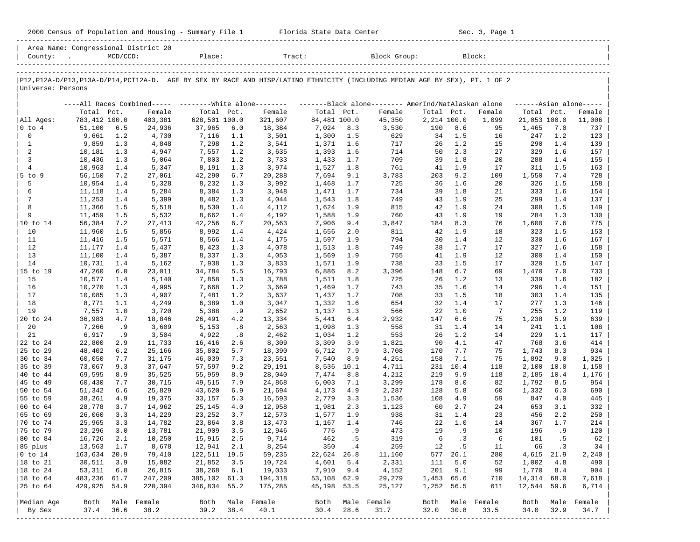|                     |                  |            |                                      |                  |            | 2000 Census of Population and Housing - Summary File 1 Florida State Data Center                                                                                                                                                                                                                                                                                                                                                                                                                           |                |            |                |             |            | Sec. 3, Page 1 |              |            |                     |
|---------------------|------------------|------------|--------------------------------------|------------------|------------|------------------------------------------------------------------------------------------------------------------------------------------------------------------------------------------------------------------------------------------------------------------------------------------------------------------------------------------------------------------------------------------------------------------------------------------------------------------------------------------------------------|----------------|------------|----------------|-------------|------------|----------------|--------------|------------|---------------------|
|                     |                  |            | Area Name: Congressional District 20 |                  |            | $\begin{tabular}{ l } \hline \multicolumn{1}{c}{\text{Country:}} & \multicolumn{1}{c}{\text{MCD/CCD}} & \multicolumn{1}{c}{\text{Place:}} & \multicolumn{1}{c}{\text{Trace}} \\ \hline \multicolumn{1}{c}{\text{1}} & \multicolumn{1}{c}{\text{Place:}} & \multicolumn{1}{c}{\text{Stock Group:}} & \multicolumn{1}{c}{\text{Block:}} \\ \hline \multicolumn{1}{c}{\text{1}} & \multicolumn{1}{c}{\text{MCD/CCD}} & \multicolumn{1}{c}{\text{Place:}} & \multicolumn{1}{c}{\text{Place:}} & \multicolumn{$ |                |            |                |             |            |                |              |            |                     |
| Universe: Persons   |                  |            |                                      |                  |            | P12, P12A-D/P13, P13A-D/P14, PCT12A-D. AGE BY SEX BY RACE AND HISP/LATINO ETHNICITY (INCLUDING MEDIAN AGE BY SEX), PT. 1 OF 2                                                                                                                                                                                                                                                                                                                                                                              |                |            |                |             |            |                |              |            |                     |
|                     |                  |            |                                      |                  |            | ----All Races Combined----- --------White alone-------- --------Black alone-------- AmerInd/NatAlaskan alone                                                                                                                                                                                                                                                                                                                                                                                               |                |            |                |             |            |                |              |            | $---Asian alone---$ |
|                     | Total Pct.       |            | Female                               | Total Pct.       |            | Female                                                                                                                                                                                                                                                                                                                                                                                                                                                                                                     | Total Pct.     |            | Female         | Total Pct.  |            | Female         | Total Pct.   |            | Female              |
| All Ages:           | 783,412 100.0    |            | 403,381                              | 628,501 100.0    |            | 321,607                                                                                                                                                                                                                                                                                                                                                                                                                                                                                                    | 84,481 100.0   |            | 45,350         | 2,214 100.0 |            | 1,099          | 21,053 100.0 |            | 11,006              |
| $ 0 \t{to} 4$       | 51,100           | 6.5        | 24,936                               | 37,965           | 6.0        | 18,384                                                                                                                                                                                                                                                                                                                                                                                                                                                                                                     | 7,024          | 8.3        | 3,530          | 190         | 8.6        | 95             | 1,465        | 7.0        | 737                 |
| $\mathbf 0$         | 9,661            | 1.2        | 4,730                                | 7,116            | 1.1        | 3,501                                                                                                                                                                                                                                                                                                                                                                                                                                                                                                      | 1,300          | 1.5        | 629            | 34          | 1.5        | 16             | 247          | 1.2        | 123                 |
| $\mathbf{1}$        | 9,859            | 1.3        | 4,848                                | 7,298            | 1.2        | 3,541                                                                                                                                                                                                                                                                                                                                                                                                                                                                                                      | 1,371          | 1.6        | 717            | 26          | 1.2        | 15             | 290          | 1.4        | 139                 |
| 2<br>$\overline{3}$ | 10,181<br>10,436 | 1.3<br>1.3 | 4,947<br>5,064                       | 7,557<br>7,803   | 1.2<br>1.2 | 3,635<br>3,733                                                                                                                                                                                                                                                                                                                                                                                                                                                                                             | 1,393<br>1,433 | 1.6<br>1.7 | 714<br>709     | 50<br>39    | 2.3<br>1.8 | 27<br>20       | 329<br>288   | 1.6<br>1.4 | 157<br>155          |
| $\overline{4}$      | 10,963           | 1.4        | 5,347                                | 8,191            | 1.3        | 3,974                                                                                                                                                                                                                                                                                                                                                                                                                                                                                                      | 1,527          | 1.8        | 761            | 41          | 1.9        | 17             | 311          | 1.5        | 163                 |
| $5$ to $9$          | 56,150           | 7.2        | 27,061                               | 42,290           | 6.7        | 20,288                                                                                                                                                                                                                                                                                                                                                                                                                                                                                                     | 7,694          | 9.1        | 3,783          | 203         | 9.2        | 109            | 1,550        | 7.4        | 728                 |
| 5                   | 10,954           | 1.4        | 5,328                                | 8,232            | 1.3        | 3,992                                                                                                                                                                                                                                                                                                                                                                                                                                                                                                      | 1,468          | 1.7        | 725            | 36          | 1.6        | 20             | 326          | 1.5        | 158                 |
| 6                   | 11,118           | 1.4        | 5,284                                | 8,384            | 1.3        | 3,948                                                                                                                                                                                                                                                                                                                                                                                                                                                                                                      | 1,471          | 1.7        | 734            | 39          | 1.8        | 21             | 333          | 1.6        | 154                 |
| $7\phantom{.0}$     | 11,253           | 1.4        | 5,399                                | 8,482            | 1.3        | 4,044                                                                                                                                                                                                                                                                                                                                                                                                                                                                                                      | 1,543          | $1.8$      | 749            | 43          | 1.9        | 25             | 299          | 1.4        | 137                 |
| 8                   | 11,366           | 1.5        | 5,518                                | 8,530            | 1.4        | 4,112                                                                                                                                                                                                                                                                                                                                                                                                                                                                                                      | 1,624          | 1.9        | 815            | 42          | 1.9        | 24             | 308          | 1.5        | 149                 |
| 9                   | 11,459           | 1.5        | 5,532                                | 8,662            | 1.4        | 4,192                                                                                                                                                                                                                                                                                                                                                                                                                                                                                                      | 1,588          | 1.9        | 760            | 43          | 1.9        | 19             | 284          | 1.3        | 130                 |
| 10 to 14            | 56,384           | 7.2        | 27,413                               | 42,256           | 6.7        | 20,563                                                                                                                                                                                                                                                                                                                                                                                                                                                                                                     | 7,906          | 9.4        | 3,847          | 184         | 8.3        | 76             | 1,600        | 7.6        | 775                 |
| 10                  | 11,960           | 1.5        | 5,856                                | 8,992            | 1.4        | 4,424                                                                                                                                                                                                                                                                                                                                                                                                                                                                                                      | 1,656          | 2.0        | 811            | 42          | 1.9        | 18             | 323          | 1.5        | 153                 |
| 11                  | 11,416           | 1.5        | 5,571                                | 8,566            | 1.4        | 4,175                                                                                                                                                                                                                                                                                                                                                                                                                                                                                                      | 1,597          | 1.9        | 794            | 30          | 1.4        | 12             | 330          | 1.6        | 167                 |
| 12<br>13            | 11,177<br>11,100 | 1.4<br>1.4 | 5,437<br>5,387                       | 8,423<br>8,337   | 1.3<br>1.3 | 4,078<br>4,053                                                                                                                                                                                                                                                                                                                                                                                                                                                                                             | 1,513<br>1,569 | 1.8<br>1.9 | 749<br>755     | 38<br>41    | 1.7<br>1.9 | 17<br>12       | 327<br>300   | 1.6<br>1.4 | 158<br>150          |
| 14                  | 10,731           | 1.4        | 5,162                                | 7,938            | 1.3        | 3,833                                                                                                                                                                                                                                                                                                                                                                                                                                                                                                      | 1,571          | 1.9        | 738            | 33          | 1.5        | 17             | 320          | 1.5        | 147                 |
| 15 to 19            | 47,260           | 6.0        | 23,011                               | 34,784           | 5.5        | 16,793                                                                                                                                                                                                                                                                                                                                                                                                                                                                                                     | 6,886          | 8.2        | 3,396          | 148         | 6.7        | 69             | 1,470        | 7.0        | 733                 |
| 15                  | 10,577           | 1.4        | 5,140                                | 7,858            | 1.3        | 3,788                                                                                                                                                                                                                                                                                                                                                                                                                                                                                                      | 1,511          | 1.8        | 725            | 26          | 1.2        | 13             | 339          | 1.6        | 182                 |
| 16                  | 10,270           | 1.3        | 4,995                                | 7,668            | 1.2        | 3,669                                                                                                                                                                                                                                                                                                                                                                                                                                                                                                      | 1,469          | 1.7        | 743            | 35          | 1.6        | 14             | 296          | 1.4        | 151                 |
| 17                  | 10,085           | 1.3        | 4,907                                | 7,481            | 1.2        | 3,637                                                                                                                                                                                                                                                                                                                                                                                                                                                                                                      | 1,437          | 1.7        | 708            | 33          | 1.5        | 18             | 303          | 1.4        | 135                 |
| 18                  | 8,771            | 1.1        | 4,249                                | 6,389            | 1.0        | 3,047                                                                                                                                                                                                                                                                                                                                                                                                                                                                                                      | 1,332          | 1.6        | 654            | 32          | 1.4        | 17             | 277          | 1.3        | 146                 |
| 19                  | 7,557            | 1.0        | 3,720                                | 5,388            | .9         | 2,652                                                                                                                                                                                                                                                                                                                                                                                                                                                                                                      | 1,137          | 1.3        | 566            | 22          | 1.0        | 7              | 255          | 1.2        | 119                 |
| 20 to 24            | 36,983           | 4.7        | 18,846                               | 26,491           | 4.2        | 13,334                                                                                                                                                                                                                                                                                                                                                                                                                                                                                                     | 5,441          | $6.4$      | 2,932          | 147         | 6.6        | 75             | 1,238        | 5.9        | 639                 |
| 20                  | 7,266            | .9         | 3,609                                | 5,153            | .8         | 2,563                                                                                                                                                                                                                                                                                                                                                                                                                                                                                                      | 1,098          | 1.3        | 558            | 31          | 1.4        | 14             | 241          | 1.1        | 108                 |
| 21<br>22 to 24      | 6,917            | .9         | 3,504                                | 4,922            | .8         | 2,462                                                                                                                                                                                                                                                                                                                                                                                                                                                                                                      | 1,034          | 1.2<br>3.9 | 553            | 26          | 1.2<br>4.1 | 14             | 229          | 1.1<br>3.6 | 117<br>414          |
| 25 to 29            | 22,800<br>48,402 | 2.9<br>6.2 | 11,733<br>25,166                     | 16,416<br>35,802 | 2.6<br>5.7 | 8,309<br>18,390                                                                                                                                                                                                                                                                                                                                                                                                                                                                                            | 3,309<br>6,712 | 7.9        | 1,821<br>3,708 | 90<br>170   | 7.7        | 47<br>75       | 768<br>1,743 | 8.3        | 934                 |
| 30 to 34            | 60,050           | 7.7        | 31,175                               | 46,039           | 7.3        | 23,551                                                                                                                                                                                                                                                                                                                                                                                                                                                                                                     | 7,540          | 8.9        | 4,251          | 158         | 7.1        | 75             | 1,892        | 9.0        | 1,025               |
| 35 to 39            | 73,067           | 9.3        | 37,647                               | 57,597           | 9.2        | 29,191                                                                                                                                                                                                                                                                                                                                                                                                                                                                                                     | 8,536 10.1     |            | 4,711          | 231         | 10.4       | 118            | 2,100 10.0   |            | 1,158               |
| 40 to 44            | 69,595           | 8.9        | 35,525                               | 55,959           | 8.9        | 28,040                                                                                                                                                                                                                                                                                                                                                                                                                                                                                                     | 7,474          | 8.8        | 4,212          | 219         | 9.9        | 118            | 2,185        | 10.4       | 1,176               |
| 45 to 49            | 60,430           | 7.7        | 30,715                               | 49,515           | 7.9        | 24,868                                                                                                                                                                                                                                                                                                                                                                                                                                                                                                     | 6,003          | 7.1        | 3,299          | 178         | 8.0        | 82             | 1,792        | 8.5        | 954                 |
| 50 to 54            | 51,342           | 6.6        | 25,829                               | 43,620           | 6.9        | 21,694                                                                                                                                                                                                                                                                                                                                                                                                                                                                                                     | 4,173          | 4.9        | 2,287          | 128         | 5.8        | 60             | 1,332        | 6.3        | 690                 |
| 55 to 59            | 38,261           | 4.9        | 19,375                               | 33,157           | 5.3        | 16,593                                                                                                                                                                                                                                                                                                                                                                                                                                                                                                     | 2,779          | 3.3        | 1,536          | 108         | 4.9        | 59             | 847          | 4.0        | 445                 |
| 60 to 64            | 28,778           | 3.7        | 14,962                               | 25,145           | 4.0        | 12,958                                                                                                                                                                                                                                                                                                                                                                                                                                                                                                     | 1,981          | 2.3        | 1,123          | 60          | 2.7        | 24             | 653          | 3.1        | 332                 |
| 65 to 69            | 26,060           | 3.3        | 14,229                               | 23,252           | 3.7        | 12,573                                                                                                                                                                                                                                                                                                                                                                                                                                                                                                     | 1,577          | 1.9        | 938            | 31          | 1.4        | 23             | 456          | 2.2        | 250                 |
| 70 to 74            | 25,965           | 3.3        | 14,782                               | 23,864           | 3.8        | 13,473                                                                                                                                                                                                                                                                                                                                                                                                                                                                                                     | 1,167          | 1.4        | 746            |             | $22 \t1.0$ | 14             | 367          | 1.7        | 214                 |
| 75 to 79            | 23,296           | 3.0        | 13,781                               | 21,909           | 3.5        | 12,946                                                                                                                                                                                                                                                                                                                                                                                                                                                                                                     | 776            | .9         | 473            | 19          | .9         | 10             | 196          | . 9        | 120                 |
| 80 to 84<br>85 plus | 16,726<br>13,563 | 2.1<br>1.7 | 10,250<br>8,678                      | 15,915<br>12,941 | 2.5<br>2.1 | 9,714<br>8,254                                                                                                                                                                                                                                                                                                                                                                                                                                                                                             | 462<br>350     | .5<br>.4   | 319<br>259     | 6<br>12     | .3<br>.5   | 6<br>11        | 101<br>66    | . 5<br>.3  | 62<br>34            |
| $0$ to $14$         | 163,634          | 20.9       | 79,410                               | 122,511 19.5     |            | 59,235                                                                                                                                                                                                                                                                                                                                                                                                                                                                                                     | 22,624         | 26.8       | 11,160         | 577         | 26.1       | 280            | 4,615        | 21.9       | 2,240               |
| 18 to 21            | 30,511           | 3.9        | 15,082                               | 21,852           | 3.5        | 10,724                                                                                                                                                                                                                                                                                                                                                                                                                                                                                                     | 4,601          | 5.4        | 2,331          | 111         | 5.0        | 52             | 1,002        | 4.8        | 490                 |
| 18 to 24            | 53,311           | 6.8        | 26,815                               | 38,268           | 6.1        | 19,033                                                                                                                                                                                                                                                                                                                                                                                                                                                                                                     | 7,910          | 9.4        | 4,152          | 201         | 9.1        | 99             | 1,770        | 8.4        | 904                 |
| 18 to 64            | 483,236          | 61.7       | 247,209                              | 385,102          | 61.3       | 194,318                                                                                                                                                                                                                                                                                                                                                                                                                                                                                                    | 53,108         | 62.9       | 29,279         | 1,453       | 65.6       | 710            | 14,314       | 68.0       | 7,618               |
| 25 to 64            | 429,925          | 54.9       | 220,394                              | 346,834          | 55.2       | 175,285                                                                                                                                                                                                                                                                                                                                                                                                                                                                                                    | 45,198 53.5    |            | 25,127         | 1,252       | 56.5       | 611            | 12,544       | 59.6       | 6,714               |
|                     |                  |            |                                      |                  |            |                                                                                                                                                                                                                                                                                                                                                                                                                                                                                                            |                |            |                |             |            |                |              |            |                     |
| Median Age          | Both             |            | Male Female                          | Both             |            | Male Female                                                                                                                                                                                                                                                                                                                                                                                                                                                                                                | Both           |            | Male Female    | Both        | Male       | Female         | Both         | Male       | Female              |
| By Sex              | 37.4             | 36.6       | 38.2                                 | 39.2             | 38.4       | 40.1                                                                                                                                                                                                                                                                                                                                                                                                                                                                                                       | 30.4           | 28.6       | 31.7           | 32.0        | 30.8       | 33.5           | 34.0         | 32.9       | 34.7                |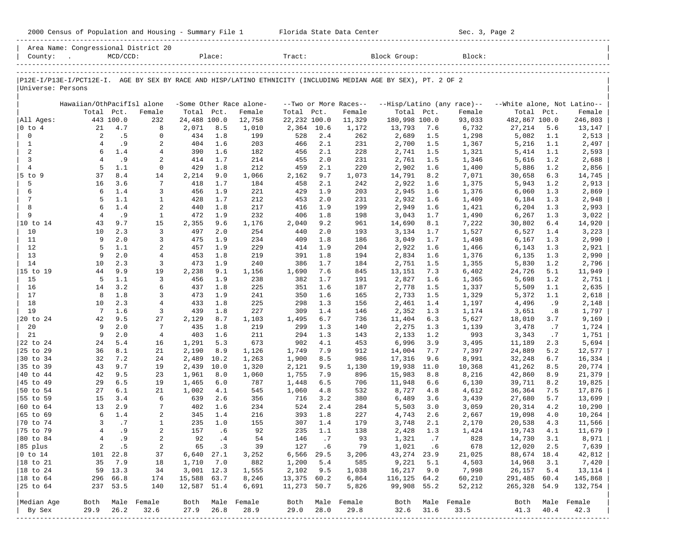|                                | 2000 Census of Population and Housing - Summary File 1 Florida State Data Center |                  |                  |                       |              |                         |                       |            |                       |                                                                                                                |             | Sec. 3, Page 2                                                                                                                                                                                                                                                                                                                                                                                                                                                                                                                    |                             |            |                    |
|--------------------------------|----------------------------------------------------------------------------------|------------------|------------------|-----------------------|--------------|-------------------------|-----------------------|------------|-----------------------|----------------------------------------------------------------------------------------------------------------|-------------|-----------------------------------------------------------------------------------------------------------------------------------------------------------------------------------------------------------------------------------------------------------------------------------------------------------------------------------------------------------------------------------------------------------------------------------------------------------------------------------------------------------------------------------|-----------------------------|------------|--------------------|
|                                | Area Name: Congressional District 20                                             |                  |                  |                       |              |                         |                       |            |                       |                                                                                                                |             | $\begin{tabular}{ l } \hline County: & . & MCD/CCD: & \textcolor{red}{Place:} & \textcolor{red}{Trace:} & \textcolor{red}{Block Group:} & \textcolor{red}{Block:} \\ \hline \textcolor{red}{\textbf{1} } \textcolor{red}{\textbf{2} } \textcolor{red}{\textbf{2} } \textcolor{red}{\textbf{3} } \textcolor{red}{\textbf{3} } \textcolor{red}{\textbf{4} } \textcolor{red}{\textbf{4} } \textcolor{red}{\textbf{5} } \textcolor{red}{\textbf{6} } \textcolor{red}{\textbf{7} } \textcolor{red}{\textbf{8} } \textcolor{red}{\text$ |                             |            |                    |
| Universe: Persons              |                                                                                  |                  |                  |                       |              |                         |                       |            |                       | P12E-I/P13E-I/PCT12E-I. AGE BY SEX BY RACE AND HISP/LATINO ETHNICITY (INCLUDING MEDIAN AGE BY SEX), PT. 2 OF 2 |             |                                                                                                                                                                                                                                                                                                                                                                                                                                                                                                                                   |                             |            |                    |
|                                | Hawaiian/OthPacifIsl alone                                                       |                  |                  |                       |              | -Some Other Race alone- |                       |            | --Two or More Races-- |                                                                                                                |             | --Hisp/Latino (any race)--                                                                                                                                                                                                                                                                                                                                                                                                                                                                                                        | --White alone, Not Latino-- |            |                    |
|                                | Total Pct.                                                                       |                  | Female           | Total Pct.            |              | Female                  | Total Pct.            |            | Female                | Total Pct.                                                                                                     |             | Female                                                                                                                                                                                                                                                                                                                                                                                                                                                                                                                            | Total Pct.                  |            | Female             |
| All Ages:                      |                                                                                  | 443 100.0        | 232              | 24,488 100.0          |              | 12,758                  | 22,232 100.0          |            | 11,329                | 180,998 100.0                                                                                                  |             | 93,033                                                                                                                                                                                                                                                                                                                                                                                                                                                                                                                            | 482,867 100.0               |            | 246,803            |
| $ 0 \t{to} 4$                  | 21                                                                               | 4.7              | 8                | 2,071                 | 8.5          | 1,010                   | 2,364 10.6            |            | 1,172                 | 13,793                                                                                                         | 7.6         | 6,732                                                                                                                                                                                                                                                                                                                                                                                                                                                                                                                             | 27,214                      | 5.6        | 13,147             |
| $\mathbf 0$                    | 2                                                                                | .5               | $\mathbf 0$      | 434                   | 1.8          | 199                     | 528                   | 2.4        | 262                   | 2,689                                                                                                          | 1.5         | 1,298                                                                                                                                                                                                                                                                                                                                                                                                                                                                                                                             | 5,082                       | 1.1        | 2,513              |
| $\mathbf{1}$                   | $\overline{4}$                                                                   | .9               | 2                | 404                   | 1.6          | 203                     | 466                   | 2.1        | 231                   | 2,700                                                                                                          | 1.5         | 1,367                                                                                                                                                                                                                                                                                                                                                                                                                                                                                                                             | 5,216                       | 1.1        | 2,497              |
| 2                              | 6                                                                                | 1.4              | $\overline{4}$   | 390                   | 1.6          | 182                     | 456                   | 2.1        | 228                   | 2,741                                                                                                          | 1.5         | 1,321                                                                                                                                                                                                                                                                                                                                                                                                                                                                                                                             | 5,414                       | 1.1        | 2,593              |
| $\mathbf{3}$<br>$\overline{4}$ | $\overline{4}$<br>5                                                              | .9<br>1.1        | 2<br>$\mathbf 0$ | 414<br>429            | 1.7<br>1.8   | 214<br>212              | 455<br>459            | 2.0<br>2.1 | 231<br>220            | 2,761                                                                                                          | 1.5<br>1.6  | 1,346                                                                                                                                                                                                                                                                                                                                                                                                                                                                                                                             | 5,616                       | 1.2<br>1.2 | 2,688              |
| $5$ to $9$                     | 37                                                                               | 8.4              | 14               | 2,214                 | 9.0          | 1,066                   | 2,162                 | 9.7        | 1,073                 | 2,902<br>14,791                                                                                                | 8.2         | 1,400<br>7,071                                                                                                                                                                                                                                                                                                                                                                                                                                                                                                                    | 5,886<br>30,658             | 6.3        | 2,856<br>14,745    |
| 5                              | 16                                                                               | 3.6              | 7                | 418                   | 1.7          | 184                     | 458                   | 2.1        | 242                   | 2,922                                                                                                          | 1.6         | 1,375                                                                                                                                                                                                                                                                                                                                                                                                                                                                                                                             | 5,943                       | 1.2        | 2,913              |
| 6                              | 6                                                                                | 1.4              | 3                | 456                   | 1.9          | 221                     | 429                   | 1.9        | 203                   | 2,945                                                                                                          | 1.6         | 1,376                                                                                                                                                                                                                                                                                                                                                                                                                                                                                                                             | 6,060                       | 1.3        | 2,869              |
| 7                              | 5                                                                                | 1.1              | $\mathbf{1}$     | 428                   | 1.7          | 212                     | 453                   | 2.0        | 231                   | 2,932                                                                                                          | 1.6         | 1,409                                                                                                                                                                                                                                                                                                                                                                                                                                                                                                                             | 6,184                       | 1.3        | 2,948              |
| 8                              | 6                                                                                | 1.4              | 2                | 440                   | 1.8          | 217                     | 416                   | 1.9        | 199                   | 2,949                                                                                                          | 1.6         | 1,421                                                                                                                                                                                                                                                                                                                                                                                                                                                                                                                             | 6,204                       | 1.3        | 2,993              |
| 9                              | $\overline{4}$                                                                   | .9               | $\mathbf{1}$     | 472                   | 1.9          | 232                     | 406                   | 1.8        | 198                   | 3,043                                                                                                          | 1.7         | 1,490                                                                                                                                                                                                                                                                                                                                                                                                                                                                                                                             | 6,267                       | 1.3        | 3,022              |
| 10 to 14                       | 43                                                                               | 9.7              | 15               | 2,355                 | 9.6          | 1,176                   | 2,040                 | 9.2        | 961                   | 14,690                                                                                                         | 8.1         | 7,222                                                                                                                                                                                                                                                                                                                                                                                                                                                                                                                             | 30,802                      | 6.4        | 14,920             |
| 10                             | 10                                                                               | 2.3              | 3                | 497                   | 2.0          | 254                     | 440                   | 2.0        | 193                   | 3,134                                                                                                          | 1.7         | 1,527                                                                                                                                                                                                                                                                                                                                                                                                                                                                                                                             | 6,527                       | 1.4        | 3,223              |
| 11                             | 9                                                                                | 2.0              | 3                | 475                   | 1.9          | 234                     | 409                   | 1.8        | 186                   | 3,049                                                                                                          | 1.7         | 1,498                                                                                                                                                                                                                                                                                                                                                                                                                                                                                                                             | 6,167                       | 1.3        | 2,990              |
| 12                             | 5                                                                                | 1.1              | 2                | 457                   | 1.9          | 229                     | 414                   | 1.9        | 204                   | 2,922                                                                                                          | 1.6         | 1,466                                                                                                                                                                                                                                                                                                                                                                                                                                                                                                                             | 6,143                       | 1.3        | 2,921              |
| 13                             | 9                                                                                | 2.0              | $\overline{4}$   | 453                   | 1.8          | 219                     | 391                   | 1.8        | 194                   | 2,834                                                                                                          | 1.6         | 1,376                                                                                                                                                                                                                                                                                                                                                                                                                                                                                                                             | 6,135                       | 1.3        | 2,990              |
| 14<br>15 to 19                 | 10<br>44                                                                         | 2.3<br>9.9       | 3<br>19          | 473<br>2,238          | 1.9<br>9.1   | 240<br>1,156            | 386<br>1,690          | 1.7<br>7.6 | 184<br>845            | 2,751<br>13,151                                                                                                | 1.5<br>7.3  | 1,355<br>6,402                                                                                                                                                                                                                                                                                                                                                                                                                                                                                                                    | 5,830<br>24,726             | 1.2<br>5.1 | 2,796<br>11,949    |
| 15                             | -5                                                                               | 1.1              | 3                | 456                   | 1.9          | 238                     | 382                   | 1.7        | 191                   | 2,827                                                                                                          | 1.6         | 1,365                                                                                                                                                                                                                                                                                                                                                                                                                                                                                                                             | 5,698                       | 1.2        | 2,751              |
| 16                             | 14                                                                               | 3.2              | 6                | 437                   | 1.8          | 225                     | 351                   | 1.6        | 187                   | 2,778                                                                                                          | 1.5         | 1,337                                                                                                                                                                                                                                                                                                                                                                                                                                                                                                                             | 5,509                       | 1.1        | 2,635              |
| 17                             | 8                                                                                | 1.8              | 3                | 473                   | 1.9          | 241                     | 350                   | 1.6        | 165                   | 2,733                                                                                                          | 1.5         | 1,329                                                                                                                                                                                                                                                                                                                                                                                                                                                                                                                             | 5,372                       | 1.1        | 2,618              |
| 18                             | 10                                                                               | 2.3              | $\overline{4}$   | 433                   | 1.8          | 225                     | 298                   | 1.3        | 156                   | 2,461                                                                                                          | 1.4         | 1,197                                                                                                                                                                                                                                                                                                                                                                                                                                                                                                                             | 4,496                       | .9         | 2,148              |
| 19                             | $7\phantom{.0}$                                                                  | 1.6              | 3                | 439                   | 1.8          | 227                     | 309                   | 1.4        | 146                   | 2,352                                                                                                          | 1.3         | 1,174                                                                                                                                                                                                                                                                                                                                                                                                                                                                                                                             | 3,651                       | .8         | 1,797              |
| 20 to 24                       | 42                                                                               | 9.5              | 27               | 2,129                 | 8.7          | 1,103                   | 1,495                 | 6.7        | 736                   | 11,404                                                                                                         | 6.3         | 5,627                                                                                                                                                                                                                                                                                                                                                                                                                                                                                                                             | 18,010                      | 3.7        | 9,169              |
| 20                             | 9                                                                                | 2.0              | 7                | 435                   | 1.8          | 219                     | 299                   | 1.3        | 140                   | 2,275                                                                                                          | 1.3         | 1,139                                                                                                                                                                                                                                                                                                                                                                                                                                                                                                                             | 3,478                       | .7         | 1,724              |
| 21                             | 9                                                                                | 2.0              | $\overline{4}$   | 403                   | 1.6          | 211                     | 294                   | 1.3        | 143                   | 2,133                                                                                                          | 1.2         | 993                                                                                                                                                                                                                                                                                                                                                                                                                                                                                                                               | 3,343                       | .7         | 1,751              |
| 22 to 24                       | 24                                                                               | 5.4              | 16               | 1,291                 | 5.3          | 673                     | 902                   | 4.1        | 453                   | 6,996                                                                                                          | 3.9         | 3,495                                                                                                                                                                                                                                                                                                                                                                                                                                                                                                                             | 11,189                      | 2.3        | 5,694              |
| 25 to 29                       | 36                                                                               | 8.1              | 21               | 2,190                 | 8.9          | 1,126                   | 1,749                 | 7.9        | 912                   | 14,004                                                                                                         | 7.7         | 7,397                                                                                                                                                                                                                                                                                                                                                                                                                                                                                                                             | 24,889                      | 5.2        | 12,577             |
| 30 to 34<br>35 to 39           | 32<br>43                                                                         | 7.2<br>9.7       | 24<br>19         | 2,489                 | 10.2<br>10.0 | 1,263                   | 1,900                 | 8.5<br>9.5 | 986                   | 17,316                                                                                                         | 9.6         | 8,991                                                                                                                                                                                                                                                                                                                                                                                                                                                                                                                             | 32,248                      | 6.7<br>8.5 | 16,334             |
| 40 to 44                       | 42                                                                               | 9.5              | 23               | 2,439<br>1,961        | 8.0          | 1,320<br>1,060          | 2,121<br>1,755        | 7.9        | 1,130<br>896          | 19,938<br>15,983                                                                                               | 11.0<br>8.8 | 10,368<br>8,216                                                                                                                                                                                                                                                                                                                                                                                                                                                                                                                   | 41,262<br>42,860            | 8.9        | 20,774<br>21,379   |
| 45 to 49                       | 29                                                                               | 6.5              | 19               | 1,465                 | 6.0          | 787                     | 1,448                 | 6.5        | 706                   | 11,948                                                                                                         | 6.6         | 6,130                                                                                                                                                                                                                                                                                                                                                                                                                                                                                                                             | 39,711                      | 8.2        | 19,825             |
| 50 to 54                       | 27                                                                               | 6.1              | 21               | 1,002                 | 4.1          | 545                     | 1,060                 | 4.8        | 532                   | 8,727                                                                                                          | 4.8         | 4,612                                                                                                                                                                                                                                                                                                                                                                                                                                                                                                                             | 36,364                      | 7.5        | 17,876             |
| 55 to 59                       | 15                                                                               | 3.4              | 6                | 639                   | 2.6          | 356                     | 716                   | 3.2        | 380                   | 6,489                                                                                                          | 3.6         | 3,439                                                                                                                                                                                                                                                                                                                                                                                                                                                                                                                             | 27,680                      | 5.7        | 13,699             |
| 60 to 64                       | 13                                                                               | 2.9              | 7                | 402                   | 1.6          | 234                     | 524                   | 2.4        | 284                   | 5,503                                                                                                          | 3.0         | 3,059                                                                                                                                                                                                                                                                                                                                                                                                                                                                                                                             | 20,314                      | 4.2        | 10,290             |
| 65 to 69                       | 6                                                                                | 1.4              | 2                | 345                   | 1.4          | 216                     | 393                   | 1.8        | 227                   | 4,743                                                                                                          | 2.6         | 2,667                                                                                                                                                                                                                                                                                                                                                                                                                                                                                                                             | 19,098                      | 4.0        | 10,264             |
| $ 70 \text{ to } 74$           | $\overline{3}$                                                                   | $\cdot$ 7        | $\mathbf{1}$     |                       | 235 1.0      | 155                     | 307                   | 1.4        | 179                   | 3,748                                                                                                          | 2.1         | 2,170                                                                                                                                                                                                                                                                                                                                                                                                                                                                                                                             | 20,538                      | 4.3        | 11,566             |
| 75 to 79                       | $\overline{4}$                                                                   | . 9              | $\boldsymbol{2}$ | 157                   | .6           | 92                      | 235                   | 1.1        | 138                   | 2,428                                                                                                          | 1.3         | 1,424                                                                                                                                                                                                                                                                                                                                                                                                                                                                                                                             | 19,743                      | 4.1        | 11,679             |
| 80 to 84                       | $\overline{4}$                                                                   | . 9              | $\boldsymbol{2}$ | 92                    | .4           | 54                      | 146                   | .7         | 93                    | 1,321                                                                                                          | .7          | 828                                                                                                                                                                                                                                                                                                                                                                                                                                                                                                                               | 14,730                      | 3.1        | 8,971              |
| 85 plus                        | $\overline{c}$                                                                   | . 5              | $\overline{a}$   | 65                    | .3           | 39                      | 127                   | .6         | 79                    | 1,021                                                                                                          | . 6         | 678                                                                                                                                                                                                                                                                                                                                                                                                                                                                                                                               | 12,020                      | 2.5        | 7,639              |
| $0$ to $14$                    | 101                                                                              | 22.8             | 37               | 6,640                 | 27.1         | 3,252                   | 6,566                 | 29.5       | 3,206                 | 43, 274 23.9                                                                                                   |             | 21,025                                                                                                                                                                                                                                                                                                                                                                                                                                                                                                                            | 88,674 18.4                 |            | 42,812             |
| 18 to 21                       | 35                                                                               | 7.9              | 18               | 1,710                 | 7.0          | 882                     | 1,200                 | 5.4        | 585                   | 9,221                                                                                                          | 5.1         | 4,503                                                                                                                                                                                                                                                                                                                                                                                                                                                                                                                             | 14,968                      | 3.1        | 7,420              |
| 18 to 24<br>$ 18$ to $64$      | 59                                                                               | 13.3             | 34               | 3,001 12.3            |              | 1,555                   | 2,102                 | 9.5        | 1,038                 | 16,217                                                                                                         | 9.0         | 7,998                                                                                                                                                                                                                                                                                                                                                                                                                                                                                                                             | 26,157                      | 5.4        | 13,114             |
| 25 to 64                       | 296                                                                              | 66.8<br>237 53.5 | 174<br>140       | 15,588<br>12,587 51.4 | 63.7         | 8,246<br>6,691          | 13,375<br>11,273 50.7 | 60.2       | 6,864<br>5,826        | 116,125<br>99,908 55.2                                                                                         | 64.2        | 60,210<br>52,212                                                                                                                                                                                                                                                                                                                                                                                                                                                                                                                  | 291,485 60.4<br>265,328     | 54.9       | 145,868<br>132,754 |
|                                |                                                                                  |                  |                  |                       |              |                         |                       |            |                       |                                                                                                                |             |                                                                                                                                                                                                                                                                                                                                                                                                                                                                                                                                   |                             |            |                    |
| Median Age                     | Both                                                                             |                  | Male Female      | Both                  |              | Male Female             | Both                  |            | Male Female           | Both                                                                                                           |             | Male Female                                                                                                                                                                                                                                                                                                                                                                                                                                                                                                                       | Both                        |            | Male Female        |
| By Sex                         | 29.9                                                                             | 26.2             | 32.6             | 27.9                  | 26.8         | 28.9                    | 29.0                  | 28.0       | 29.8                  | 32.6                                                                                                           | 31.6        | 33.5                                                                                                                                                                                                                                                                                                                                                                                                                                                                                                                              | 41.3                        | 40.4       | 42.3               |
|                                |                                                                                  |                  |                  |                       |              |                         |                       |            |                       |                                                                                                                |             |                                                                                                                                                                                                                                                                                                                                                                                                                                                                                                                                   |                             |            |                    |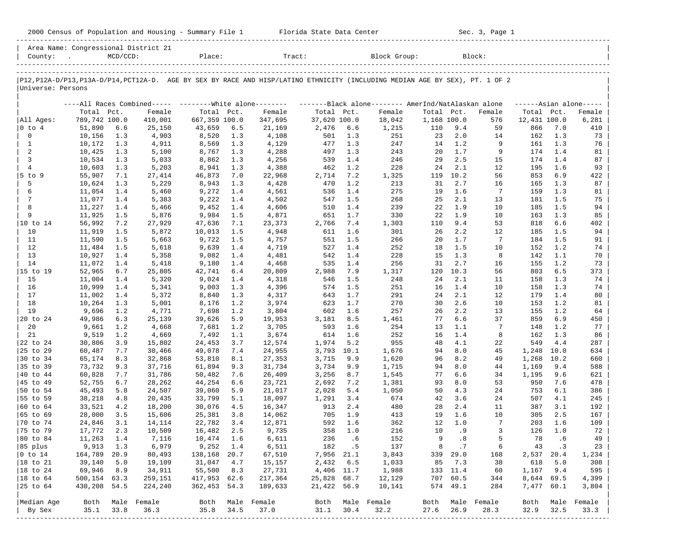|                                  |                  |            |                                      |                  |            | 2000 Census of Population and Housing - Summary File 1 Florida State Data Center                                                                                                                                                                                                                                                                                                                                                                                                                           |                |            |                |             |             | Sec. 3, Page 1  |              |            |                     |
|----------------------------------|------------------|------------|--------------------------------------|------------------|------------|------------------------------------------------------------------------------------------------------------------------------------------------------------------------------------------------------------------------------------------------------------------------------------------------------------------------------------------------------------------------------------------------------------------------------------------------------------------------------------------------------------|----------------|------------|----------------|-------------|-------------|-----------------|--------------|------------|---------------------|
|                                  |                  |            | Area Name: Congressional District 21 |                  |            | $\begin{tabular}{ l } \hline \multicolumn{1}{c}{\text{Country:}} & \multicolumn{1}{c}{\text{MCD/CCD}} & \multicolumn{1}{c}{\text{Place:}} & \multicolumn{1}{c}{\text{Trace}} \\ \hline \multicolumn{1}{c}{\text{1}} & \multicolumn{1}{c}{\text{Place:}} & \multicolumn{1}{c}{\text{Stock Group:}} & \multicolumn{1}{c}{\text{Block:}} \\ \hline \multicolumn{1}{c}{\text{1}} & \multicolumn{1}{c}{\text{MCD/CCD}} & \multicolumn{1}{c}{\text{Place:}} & \multicolumn{1}{c}{\text{Place:}} & \multicolumn{$ |                |            |                |             |             |                 |              |            |                     |
| Universe: Persons                |                  |            |                                      |                  |            | P12, P12A-D/P13, P13A-D/P14, PCT12A-D. AGE BY SEX BY RACE AND HISP/LATINO ETHNICITY (INCLUDING MEDIAN AGE BY SEX), PT. 1 OF 2                                                                                                                                                                                                                                                                                                                                                                              |                |            |                |             |             |                 |              |            |                     |
|                                  |                  |            |                                      |                  |            | ----All Races Combined----- --------White alone-------- --------Black alone-------- AmerInd/NatAlaskan alone                                                                                                                                                                                                                                                                                                                                                                                               |                |            |                |             |             |                 |              |            | $---Asian alone---$ |
|                                  | Total Pct.       |            | Female                               | Total Pct.       |            | Female                                                                                                                                                                                                                                                                                                                                                                                                                                                                                                     | Total Pct.     |            | Female         | Total Pct.  |             | Female          | Total Pct.   |            | Female              |
| All Ages:                        | 789,742 100.0    |            | 410,001                              | 667,359 100.0    |            | 347,695                                                                                                                                                                                                                                                                                                                                                                                                                                                                                                    | 37,620 100.0   |            | 18,042         | 1,168 100.0 |             | 576             | 12,431 100.0 |            | 6,281               |
| 0 to 4                           | 51,890           | 6.6        | 25,150                               | 43,659           | 6.5        | 21,169                                                                                                                                                                                                                                                                                                                                                                                                                                                                                                     | 2,476          | 6.6        | 1,215          | 110         | 9.4         | 59              | 866          | 7.0        | 410                 |
| $\mathbf 0$                      | 10,156           | 1.3        | 4,903                                | 8,520            | 1.3        | 4,108                                                                                                                                                                                                                                                                                                                                                                                                                                                                                                      | 501            | 1.3        | 251            | 23          | 2.0         | 14              | 162          | 1.3        | 73                  |
| $\mathbf{1}$                     | 10,172           | 1.3        | 4,911                                | 8,569            | 1.3        | 4,129                                                                                                                                                                                                                                                                                                                                                                                                                                                                                                      | 477            | 1.3        | 247            | 14          | 1.2         | 9               | 161          | 1.3        | 76                  |
| 2                                | 10,425           | 1.3        | 5,100                                | 8,767            | 1.3        | 4,288                                                                                                                                                                                                                                                                                                                                                                                                                                                                                                      | 497            | 1.3        | 243            | 20          | 1.7         | 9               | 174          | 1.4        | 81                  |
| $\overline{3}$<br>$\overline{4}$ | 10,534           | 1.3        | 5,033                                | 8,862            | 1.3<br>1.3 | 4,256                                                                                                                                                                                                                                                                                                                                                                                                                                                                                                      | 539            | 1.4<br>1.2 | 246<br>228     | 29          | 2.5<br>2.1  | 15<br>12        | 174          | 1.4<br>1.6 | 87<br>93            |
| $5$ to $9$                       | 10,603<br>55,907 | 1.3<br>7.1 | 5,203<br>27,414                      | 8,941<br>46,873  | 7.0        | 4,388<br>22,968                                                                                                                                                                                                                                                                                                                                                                                                                                                                                            | 462<br>2,714   | 7.2        | 1,325          | 24<br>119   | 10.2        | 56              | 195<br>853   | 6.9        | 422                 |
| 5                                | 10,624           | 1.3        | 5,229                                | 8,943            | 1.3        | 4,428                                                                                                                                                                                                                                                                                                                                                                                                                                                                                                      | 470            | 1.2        | 213            | 31          | 2.7         | 16              | 165          | 1.3        | 87                  |
| 6                                | 11,054           | 1.4        | 5,460                                | 9,272            | 1.4        | 4,561                                                                                                                                                                                                                                                                                                                                                                                                                                                                                                      | 536            | 1.4        | 275            | 19          | 1.6         | 7               | 159          | 1.3        | 81                  |
| 7                                | 11,077           | 1.4        | 5,383                                | 9,222            | 1.4        | 4,502                                                                                                                                                                                                                                                                                                                                                                                                                                                                                                      | 547            | 1.5        | 268            | 25          | 2.1         | 13              | 181          | 1.5        | 75                  |
| 8                                | 11,227           | 1.4        | 5,466                                | 9,452            | 1.4        | 4,606                                                                                                                                                                                                                                                                                                                                                                                                                                                                                                      | 510            | 1.4        | 239            | 22          | 1.9         | 10              | 185          | 1.5        | 94                  |
| 9                                | 11,925           | 1.5        | 5,876                                | 9,984            | 1.5        | 4,871                                                                                                                                                                                                                                                                                                                                                                                                                                                                                                      | 651            | 1.7        | 330            | 22          | 1.9         | 10              | 163          | 1.3        | 85                  |
| 10 to 14                         | 56,992           | 7.2        | 27,929                               | 47,636           | 7.1        | 23,373                                                                                                                                                                                                                                                                                                                                                                                                                                                                                                     | 2,766          | 7.4        | 1,303          | 110         | 9.4         | 53              | 818          | 6.6        | 402                 |
| 10                               | 11,919           | 1.5        | 5,872                                | 10,013           | 1.5        | 4,948                                                                                                                                                                                                                                                                                                                                                                                                                                                                                                      | 611            | 1.6        | 301            | 26          | 2.2         | 12              | 185          | 1.5        | 94                  |
| 11                               | 11,590           | 1.5        | 5,663                                | 9,722            | 1.5        | 4,757                                                                                                                                                                                                                                                                                                                                                                                                                                                                                                      | 551            | 1.5        | 266            | 20          | 1.7         | 7               | 184          | 1.5        | 91                  |
| 12                               | 11,484           | 1.5        | 5,618                                | 9,639            | 1.4        | 4,719                                                                                                                                                                                                                                                                                                                                                                                                                                                                                                      | 527            | 1.4        | 252            | 18          | 1.5         | 10              | 152          | 1.2        | 74                  |
| 13                               | 10,927           | 1.4        | 5,358                                | 9,082            | 1.4        | 4,481                                                                                                                                                                                                                                                                                                                                                                                                                                                                                                      | 542            | 1.4        | 228            | 15          | 1.3         | 8               | 142          | 1.1        | 70                  |
| 14                               | 11,072           | 1.4        | 5,418                                | 9,180            | 1.4        | 4,468                                                                                                                                                                                                                                                                                                                                                                                                                                                                                                      | 535            | 1.4        | 256            | 31          | 2.7         | 16              | 155          | 1.2<br>6.5 | 73                  |
| 15 to 19<br>15                   | 52,965<br>11,004 | 6.7<br>1.4 | 25,805<br>5,320                      | 42,741<br>9,024  | 6.4<br>1.4 | 20,809<br>4,318                                                                                                                                                                                                                                                                                                                                                                                                                                                                                            | 2,988<br>546   | 7.9<br>1.5 | 1,317<br>248   | 120<br>24   | 10.3<br>2.1 | 56<br>11        | 803<br>158   | 1.3        | 373<br>74           |
| 16                               | 10,999           | 1.4        | 5,341                                | 9,003            | 1.3        | 4,396                                                                                                                                                                                                                                                                                                                                                                                                                                                                                                      | 574            | 1.5        | 251            | 16          | 1.4         | 10              | 158          | 1.3        | 74                  |
| 17                               | 11,002           | 1.4        | 5,372                                | 8,840            | 1.3        | 4,317                                                                                                                                                                                                                                                                                                                                                                                                                                                                                                      | 643            | 1.7        | 291            | 24          | 2.1         | 12              | 179          | 1.4        | 80                  |
| 18                               | 10,264           | 1.3        | 5,001                                | 8,176            | 1.2        | 3,974                                                                                                                                                                                                                                                                                                                                                                                                                                                                                                      | 623            | 1.7        | 270            | 30          | 2.6         | 10              | 153          | 1.2        | 81                  |
| 19                               | 9,696            | 1.2        | 4,771                                | 7,698            | 1.2        | 3,804                                                                                                                                                                                                                                                                                                                                                                                                                                                                                                      | 602            | 1.6        | 257            | 26          | 2.2         | 13              | 155          | 1.2        | 64                  |
| 20 to 24                         | 49,986           | 6.3        | 25,139                               | 39,626           | 5.9        | 19,953                                                                                                                                                                                                                                                                                                                                                                                                                                                                                                     | 3,181          | 8.5        | 1,461          | 77          | 6.6         | 37              | 859          | 6.9        | 450                 |
| 20                               | 9,661            | 1.2        | 4,668                                | 7,681            | 1.2        | 3,705                                                                                                                                                                                                                                                                                                                                                                                                                                                                                                      | 593            | 1.6        | 254            | 13          | 1.1         | $7\phantom{.0}$ | 148          | 1.2        | 77                  |
| 21                               | 9,519            | 1.2        | 4,669                                | 7,492            | 1.1        | 3,674                                                                                                                                                                                                                                                                                                                                                                                                                                                                                                      | 614            | 1.6        | 252            | 16          | 1.4         | 8               | 162          | 1.3        | 86                  |
| 22 to 24                         | 30,806           | 3.9        | 15,802                               | 24,453           | 3.7        | 12,574                                                                                                                                                                                                                                                                                                                                                                                                                                                                                                     | 1,974          | 5.2        | 955            | 48          | 4.1         | 22              | 549          | 4.4        | 287                 |
| 25 to 29                         | 60,487           | 7.7        | 30,466                               | 49,078           | 7.4        | 24,955                                                                                                                                                                                                                                                                                                                                                                                                                                                                                                     | 3,793 10.1     |            | 1,676          | 94          | 8.0         | 45              | 1,248 10.0   |            | 634                 |
| 30 to 34                         | 65,174           | 8.3        | 32,868                               | 53,810           | 8.1        | 27,353                                                                                                                                                                                                                                                                                                                                                                                                                                                                                                     | 3,715          | 9.9        | 1,620          | 96          | 8.2         | 49              | 1,268        | 10.2       | 660                 |
| 35 to 39                         | 73,732           | 9.3        | 37,716                               | 61,894           | 9.3        | 31,734                                                                                                                                                                                                                                                                                                                                                                                                                                                                                                     | 3,734          | 9.9        | 1,715          | 94          | 8.0         | 44              | 1,169        | 9.4        | 588                 |
| 40 to 44                         | 60,828           | 7.7        | 31,786                               | 50,482           | 7.6        | 26,409                                                                                                                                                                                                                                                                                                                                                                                                                                                                                                     | 3,256          | 8.7        | 1,545          | 77          | 6.6         | 34              | 1,195        | 9.6        | 621                 |
| 45 to 49                         | 52,755           | 6.7<br>5.8 | 28,262<br>24,507                     | 44,254<br>39,060 | 6.6<br>5.9 | 23,721                                                                                                                                                                                                                                                                                                                                                                                                                                                                                                     | 2,692          | 7.2<br>5.4 | 1,381<br>1,050 | 93<br>50    | 8.0<br>4.3  | 53<br>24        | 950<br>753   | 7.6<br>6.1 | 478<br>386          |
| 50 to 54<br>55 to 59             | 45,493<br>38,218 | 4.8        | 20,435                               | 33,799           | 5.1        | 21,017<br>18,097                                                                                                                                                                                                                                                                                                                                                                                                                                                                                           | 2,028<br>1,291 | 3.4        | 674            | 42          | 3.6         | 24              | 507          | 4.1        | 245                 |
| 60 to 64                         | 33,521           | 4.2        | 18,200                               | 30,076           | 4.5        | 16,347                                                                                                                                                                                                                                                                                                                                                                                                                                                                                                     | 913            | 2.4        | 480            | 28          | 2.4         | 11              | 387          | 3.1        | 192                 |
| 65 to 69                         | 28,000           | 3.5        | 15,606                               | 25,381           | 3.8        | 14,062                                                                                                                                                                                                                                                                                                                                                                                                                                                                                                     | 705            | 1.9        | 413            | 19          | 1.6         | 10              | 305          | 2.5        | 167                 |
| 70 to 74                         | 24,846           | 3.1        | 14,114                               | 22,782 3.4       |            | 12,871                                                                                                                                                                                                                                                                                                                                                                                                                                                                                                     |                | 592 1.6    | 362            | 12          | 1.0         | $\overline{7}$  | 203          | 1.6        | 109                 |
| 75 to 79                         | 17,772           | 2.3        | 10,509                               | 16,482           | 2.5        | 9,735                                                                                                                                                                                                                                                                                                                                                                                                                                                                                                      | 358            | 1.0        | 216            | 10          | .9          | 3               | 126          | 1.0        | 72                  |
| 80 to 84                         | 11,263           | 1.4        | 7,116                                | 10,474           | 1.6        | 6,611                                                                                                                                                                                                                                                                                                                                                                                                                                                                                                      | 236            | .6         | 152            | 9           | . $\bf 8$   | 5               | 78           | .6         | 49                  |
| 85 plus                          | 9,913            | 1.3        | 6,979                                | 9,252            | 1.4        | 6,511                                                                                                                                                                                                                                                                                                                                                                                                                                                                                                      | 182            | .5         | 137            | 8           | .7          | 6               | 43           | .3         | 23                  |
| $0$ to $14$                      | 164,789          | 20.9       | 80,493                               | 138,168          | 20.7       | 67,510                                                                                                                                                                                                                                                                                                                                                                                                                                                                                                     | 7,956          | 21.1       | 3,843          | 339         | 29.0        | 168             | 2,537        | 20.4       | 1,234               |
| 18 to 21                         | 39,140           | 5.0        | 19,109                               | 31,047           | 4.7        | 15,157                                                                                                                                                                                                                                                                                                                                                                                                                                                                                                     | 2,432          | 6.5        | 1,033          | 85          | 7.3         | 38              | 618          | 5.0        | 308                 |
| 18 to 24                         | 69,946           | 8.9        | 34,911                               | 55,500           | 8.3        | 27,731                                                                                                                                                                                                                                                                                                                                                                                                                                                                                                     | 4,406 11.7     |            | 1,988          | 133         | 11.4        | 60              | 1,167        | 9.4        | 595                 |
| 18 to 64                         | 500,154          | 63.3       | 259,151                              | 417,953          | 62.6       | 217,364                                                                                                                                                                                                                                                                                                                                                                                                                                                                                                    | 25,828         | 68.7       | 12,129         | 707         | 60.5        | 344             | 8,644        | 69.5       | 4,399               |
| 25 to 64                         | 430,208          | 54.5       | 224,240                              | 362,453          | 54.3       | 189,633                                                                                                                                                                                                                                                                                                                                                                                                                                                                                                    | 21,422 56.9    |            | 10,141         | 574         | 49.1        | 284             | 7,477        | 60.1       | 3,804               |
| Median Age                       | Both             |            | Male Female                          | Both             |            | Male Female                                                                                                                                                                                                                                                                                                                                                                                                                                                                                                | Both           |            | Male Female    | Both        | Male        | Female          | Both         | Male       | Female              |
| By Sex                           | 35.1             | 33.8       | 36.3                                 | 35.8             | 34.5       | 37.0                                                                                                                                                                                                                                                                                                                                                                                                                                                                                                       | 31.1           | 30.4       | 32.2           | 27.6        | 26.9        | 28.3            | 32.9         | 32.5       | 33.3                |
|                                  |                  |            |                                      |                  |            |                                                                                                                                                                                                                                                                                                                                                                                                                                                                                                            |                |            |                |             |             |                 |              |            |                     |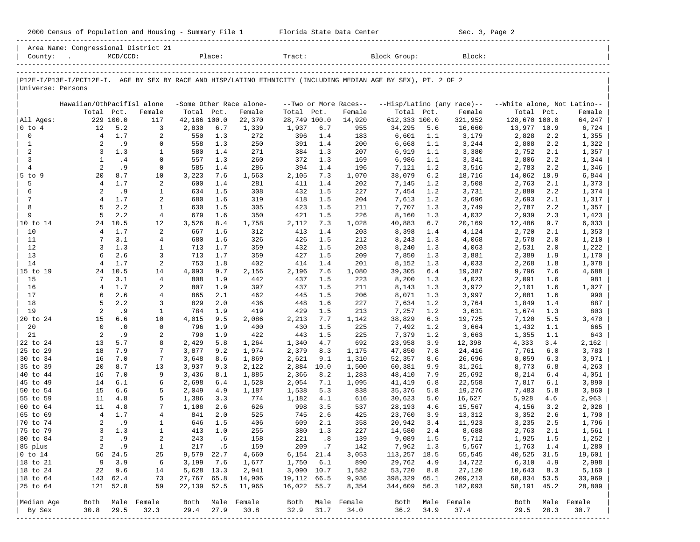|                              | 2000 Census of Population and Housing - Summary File 1 Florida State Data Center |                  |                      |                       |            |                         |                       |             |                          |                                                                                                                |            | Sec. 3, Page 2             |                              |             |                     |
|------------------------------|----------------------------------------------------------------------------------|------------------|----------------------|-----------------------|------------|-------------------------|-----------------------|-------------|--------------------------|----------------------------------------------------------------------------------------------------------------|------------|----------------------------|------------------------------|-------------|---------------------|
|                              | Area Name: Congressional District 21<br>County: .                                | $MCD/CCD$ :      |                      |                       |            | Place:                  | Tract:                |             |                          | Block Group:                                                                                                   |            | Block:                     |                              |             |                     |
|                              |                                                                                  |                  |                      |                       |            |                         |                       |             |                          | P12E-I/P13E-I/PCT12E-I. AGE BY SEX BY RACE AND HISP/LATINO ETHNICITY (INCLUDING MEDIAN AGE BY SEX), PT. 2 OF 2 |            |                            |                              |             |                     |
| Universe: Persons            |                                                                                  |                  |                      |                       |            |                         |                       |             |                          |                                                                                                                |            |                            |                              |             |                     |
|                              | Hawaiian/OthPacifIsl alone                                                       |                  |                      |                       |            | -Some Other Race alone- |                       |             | --Two or More Races--    |                                                                                                                |            | --Hisp/Latino (any race)-- | --White alone, Not Latino--  |             |                     |
|                              | Total Pct.                                                                       |                  | Female               | Total Pct.            |            | Female                  | Total Pct.            |             | Female                   | Total Pct.                                                                                                     |            | Female                     | Total Pct.                   |             | Female              |
| All Ages:<br>$0$ to $4$      | 12                                                                               | 229 100.0<br>5.2 | 117<br>3             | 42,186 100.0<br>2,830 | 6.7        | 22,370<br>1,339         | 28,749 100.0<br>1,937 | 6.7         | 14,920<br>955            | 612,333 100.0<br>34,295                                                                                        | 5.6        | 321,952<br>16,660          | 128,670 100.0<br>13,977 10.9 |             | 64,247<br>6,724     |
| $\mathbf 0$                  | 4                                                                                | 1.7              | 2                    | 550                   | 1.3        | 272                     | 396                   | 1.4         | 183                      | 6,601                                                                                                          | 1.1        | 3,179                      | 2,828                        | 2.2         | 1,355               |
| $\mathbf{1}$                 | 2                                                                                | .9               | 0                    | 558                   | 1.3        | 250                     | 391                   | 1.4         | 200                      | 6,668                                                                                                          | 1.1        | 3,244                      | 2,808                        | 2.2         | 1,322               |
| 2                            | 3                                                                                | 1.3              | 1                    | 580                   | 1.4        | 271                     | 384                   | 1.3         | 207                      | 6,919                                                                                                          | 1.1        | 3,380                      | 2,752                        | 2.1         | 1,357               |
| $\overline{3}$               | $\mathbf{1}$                                                                     | .4               | 0                    | 557                   | 1.3        | 260                     | 372                   | 1.3         | 169                      | 6,986                                                                                                          | 1.1        | 3,341                      | 2,806                        | 2.2         | 1,344               |
| $\overline{4}$<br>$5$ to $9$ | 2<br>20                                                                          | .9<br>8.7        | $\mathbf 0$<br>10    | 585<br>3,223          | 1.4<br>7.6 | 286<br>1,563            | 394<br>2,105          | 1.4<br>7.3  | 196<br>1,070             | 7,121<br>38,079                                                                                                | 1.2<br>6.2 | 3,516<br>18,716            | 2,783<br>14,062              | 2.2<br>10.9 | 1,346<br>6,844      |
| 5                            | $\overline{4}$                                                                   | 1.7              | 2                    | 600                   | 1.4        | 281                     | 411                   | 1.4         | 202                      | 7,145                                                                                                          | 1.2        | 3,508                      | 2,763                        | 2.1         | 1,373               |
| 6                            | 2                                                                                | .9               | 1                    | 634                   | 1.5        | 308                     | 432                   | 1.5         | 227                      | 7,454                                                                                                          | 1.2        | 3,731                      | 2,880                        | 2.2         | 1,374               |
| 7                            | 4                                                                                | 1.7              | 2                    | 680                   | 1.6        | 319                     | 418                   | 1.5         | 204                      | 7,613                                                                                                          | 1.2        | 3,696                      | 2,693                        | 2.1         | 1,317               |
| 8                            | 5                                                                                | 2.2              | 1                    | 630                   | 1.5        | 305                     | 423                   | 1.5         | 211                      | 7,707                                                                                                          | 1.3        | 3,749                      | 2,787                        | 2.2         | 1,357               |
| 9<br>10 to 14                | 5                                                                                | 2.2<br>24 10.5   | $\overline{4}$<br>12 | 679<br>3,526          | 1.6<br>8.4 | 350<br>1,758            | 421<br>2,112          | 1.5<br>7.3  | 226<br>1,028             | 8,160<br>40,883                                                                                                | 1.3<br>6.7 | 4,032<br>20,169            | 2,939<br>12,486              | 2.3<br>9.7  | 1,423<br>6,033      |
| 10                           | $4^{\circ}$                                                                      | 1.7              | 2                    | 667                   | 1.6        | 312                     | 413                   | 1.4         | 203                      | 8,398                                                                                                          | 1.4        | 4,124                      | 2,720                        | 2.1         | 1,353               |
| 11                           | 7                                                                                | 3.1              | $\overline{4}$       | 680                   | 1.6        | 326                     | 426                   | 1.5         | 212                      | 8,243                                                                                                          | 1.3        | 4,068                      | 2,578                        | 2.0         | 1,210               |
| 12                           | 3                                                                                | 1.3              | 1                    | 713                   | 1.7        | 359                     | 432                   | 1.5         | 203                      | 8,240                                                                                                          | 1.3        | 4,063                      | 2,531                        | 2.0         | 1,222               |
| 13                           | 6                                                                                | 2.6              | 3                    | 713                   | 1.7        | 359                     | 427                   | 1.5         | 209                      | 7,850                                                                                                          | 1.3        | 3,881                      | 2,389                        | 1.9         | 1,170               |
| 14<br>15 to 19               | 4<br>24                                                                          | 1.7<br>10.5      | 2<br>14              | 753<br>4,093          | 1.8<br>9.7 | 402<br>2,156            | 414<br>2,196          | 1.4<br>7.6  | 201<br>1,080             | 8,152<br>39,305                                                                                                | 1.3<br>6.4 | 4,033<br>19,387            | 2,268<br>9,796               | 1.8<br>7.6  | 1,078<br>4,688      |
| 15                           | 7                                                                                | 3.1              | 4                    | 808                   | 1.9        | 442                     | 437                   | 1.5         | 223                      | 8,200                                                                                                          | 1.3        | 4,023                      | 2,091                        | 1.6         | 981                 |
| 16                           | 4                                                                                | 1.7              | 2                    | 807                   | 1.9        | 397                     | 437                   | 1.5         | 211                      | 8,143                                                                                                          | 1.3        | 3,972                      | 2,101                        | 1.6         | 1,027               |
| 17                           | 6                                                                                | 2.6              | $\overline{4}$       | 865                   | 2.1        | 462                     | 445                   | 1.5         | 206                      | 8,071                                                                                                          | 1.3        | 3,997                      | 2,081                        | 1.6         | 990                 |
| 18                           | 5                                                                                | 2.2              | 3                    | 829                   | 2.0        | 436                     | 448                   | 1.6         | 227                      | 7,634                                                                                                          | 1.2        | 3,764                      | 1,849                        | 1.4         | 887                 |
| 19<br>20 to 24               | 2<br>15                                                                          | .9<br>6.6        | 1<br>10              | 784<br>4,015          | 1.9<br>9.5 | 419                     | 429                   | 1.5         | 213                      | 7,257                                                                                                          | 1.2        | 3,631                      | 1,674                        | 1.3<br>5.5  | 803                 |
| 20                           | $\mathbf 0$                                                                      | $\cdot$ 0        | $\mathbf 0$          | 796                   | 1.9        | 2,086<br>400            | 2,213<br>430          | 7.7<br>1.5  | 1,142<br>225             | 38,829<br>7,492                                                                                                | 6.3<br>1.2 | 19,725<br>3,664            | 7,120<br>1,432               | 1.1         | 3,470<br>665        |
| 21                           | 2                                                                                | . 9              | 2                    | 790                   | 1.9        | 422                     | 443                   | 1.5         | 225                      | 7,379                                                                                                          | 1.2        | 3,663                      | 1,355                        | 1.1         | 643                 |
| 22 to 24                     | 13                                                                               | 5.7              | 8                    | 2,429                 | 5.8        | 1,264                   | 1,340                 | 4.7         | 692                      | 23,958                                                                                                         | 3.9        | 12,398                     | 4,333                        | 3.4         | 2,162               |
| 25 to 29                     | 18                                                                               | 7.9              | 7                    | 3,877                 | 9.2        | 1,974                   | 2,379                 | 8.3         | 1,175                    | 47,850                                                                                                         | 7.8        | 24,416                     | 7,761                        | 6.0         | 3,783               |
| 30 to 34<br>35 to 39         | 16<br>20                                                                         | 7.0<br>8.7       | 7<br>13              | 3,648                 | 8.6<br>9.3 | 1,869                   | 2,621                 | 9.1         | 1,310                    | 52,357                                                                                                         | 8.6<br>9.9 | 26,696                     | 8,059                        | 6.3<br>6.8  | 3,971               |
| 40 to 44                     | 16                                                                               | 7.0              | 9                    | 3,937<br>3,436        | 8.1        | 2,122<br>1,885          | 2,884<br>2,366        | 10.0<br>8.2 | 1,500<br>1,283           | 60,381<br>48,410                                                                                               | 7.9        | 31,261<br>25,692           | 8,773<br>8,214               | 6.4         | 4,263<br>4,051      |
| 45 to 49                     | 14                                                                               | 6.1              | 6                    | 2,698                 | 6.4        | 1,528                   | 2,054                 | 7.1         | 1,095                    | 41,419                                                                                                         | 6.8        | 22,558                     | 7,817                        | 6.1         | 3,890               |
| 50 to 54                     | 15                                                                               | 6.6              | 5                    | 2,049                 | 4.9        | 1,187                   | 1,538                 | 5.3         | 838                      | 35,376                                                                                                         | 5.8        | 19,276                     | 7,483                        | 5.8         | 3,860               |
| 55 to 59                     | 11                                                                               | 4.8              | 5                    | 1,386                 | 3.3        | 774                     | 1,182                 | 4.1         | 616                      | 30,623                                                                                                         | 5.0        | 16,627                     | 5,928                        | 4.6         | 2,963               |
| 60 to 64                     | 11<br>$\overline{4}$                                                             | 4.8<br>1.7       | 7                    | 1,108<br>841          | 2.6<br>2.0 | 626<br>525              | 998                   | 3.5<br>2.6  | 537<br>425               | 28,193                                                                                                         | 4.6        | 15,567                     | 4,156                        | 3.2<br>2.6  | 2,028               |
| 65 to 69<br>70 to 74         | 2                                                                                | .9               | 4                    |                       | 646 1.5    | 406                     | 745<br>609            | 2.1         | 358                      | 23,760<br>20,942                                                                                               | 3.9<br>3.4 | 13,312<br>11,923           | 3,352<br>3,235               | 2.5         | 1,790<br>1,796      |
| 75 to 79                     | 3                                                                                | 1.3              | $\mathbf{1}$         | 413                   | 1.0        | 255                     | 380                   | 1.3         | 227                      | 14,580                                                                                                         | 2.4        | 8,688                      | 2,763                        | 2.1         | 1,561               |
| 80 to 84                     | 2                                                                                | .9               | 2                    | 243                   | .6         | 158                     | 221                   | .8          | 139                      | 9,089                                                                                                          | 1.5        | 5,712                      | 1,925                        | 1.5         | 1,252               |
| 85 plus                      | 2                                                                                | . 9              | $\mathbf{1}$         | 217                   | .5         | 159                     | 209                   | .7          | 142                      | 7,962                                                                                                          | 1.3        | 5,567                      | 1,763                        | 1.4         | 1,280               |
| $ 0 \t{to} 14$               | 56                                                                               | 24.5             | 25                   | 9,579                 | 22.7       | 4,660                   | 6,154                 | 21.4        | 3,053                    | 113,257 18.5                                                                                                   |            | 55,545                     | 40,525 31.5                  |             | 19,601              |
| 18 to 21<br>18 to 24         | 9<br>22                                                                          | 3.9<br>9.6       | 6<br>14              | 3,199<br>5,628 13.3   | 7.6        | 1,677<br>2,941          | 1,750<br>3,090 10.7   | 6.1         | 890<br>1,582             | 29,762<br>53,720                                                                                               | 4.9<br>8.8 | 14,722<br>27,120           | 6,310<br>10,643              | 4.9<br>8.3  | 2,998<br>5,160      |
| 18 to 64                     | 143                                                                              | 62.4             | 73                   | 27,767                | 65.8       | 14,906                  | 19,112 66.5           |             | 9,936                    | 398,329 65.1                                                                                                   |            | 209,213                    | 68,834 53.5                  |             | 33,969              |
| 25 to 64                     | 121                                                                              | 52.8             | 59                   | 22,139                | 52.5       | 11,965                  | 16,022 55.7           |             | 8,354                    | 344,609                                                                                                        | 56.3       | 182,093                    | 58,191 45.2                  |             | 28,809              |
|                              |                                                                                  |                  |                      |                       |            |                         |                       |             |                          |                                                                                                                |            |                            |                              |             |                     |
| Median Age<br>By Sex         | Both<br>30.8                                                                     | 29.5             | Male Female<br>32.3  | Both<br>29.4          | 27.9       | Male Female<br>30.8     | Both<br>32.9          | 31.7        | Male Female<br>34.0      | Both<br>36.2                                                                                                   | 34.9       | Male Female<br>37.4        | Both<br>29.5                 | 28.3        | Male Female<br>30.7 |
|                              |                                                                                  |                  |                      |                       |            |                         |                       |             | ------------------------ |                                                                                                                |            |                            |                              |             |                     |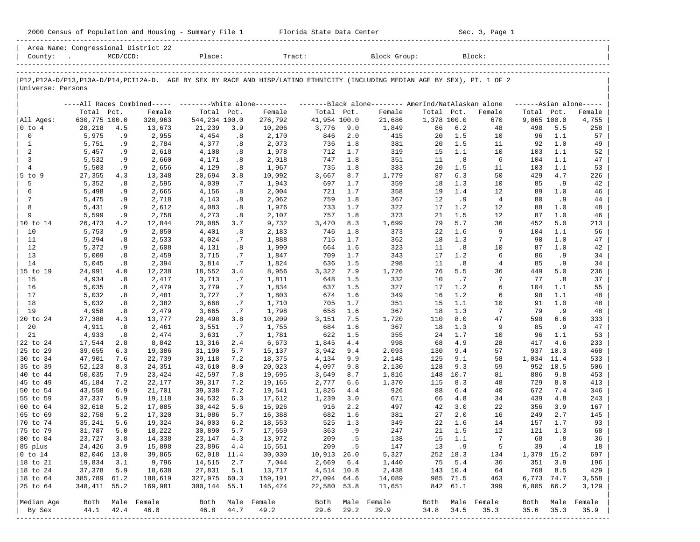|                             |                  |            |                                      |                  |            | 2000 Census of Population and Housing - Summary File 1 Florida State Data Center                                              |                     |            |                |             |             | Sec. 3, Page 1 |             |            |                      |
|-----------------------------|------------------|------------|--------------------------------------|------------------|------------|-------------------------------------------------------------------------------------------------------------------------------|---------------------|------------|----------------|-------------|-------------|----------------|-------------|------------|----------------------|
|                             |                  |            | Area Name: Congressional District 22 |                  |            |                                                                                                                               |                     |            |                |             |             |                |             |            |                      |
| Universe: Persons           |                  |            |                                      |                  |            | P12, P12A-D/P13, P13A-D/P14, PCT12A-D. AGE BY SEX BY RACE AND HISP/LATINO ETHNICITY (INCLUDING MEDIAN AGE BY SEX), PT. 1 OF 2 |                     |            |                |             |             |                |             |            |                      |
|                             |                  |            |                                      |                  |            | ----All Races Combined----- --------White alone-------- --------Black alone-------- AmerInd/NatAlaskan alone                  |                     |            |                |             |             |                |             |            | $----Asian alone---$ |
|                             | Total Pct.       |            | Female                               | Total Pct.       |            | Female                                                                                                                        | Total Pct.          |            | Female         | Total Pct.  |             | Female         | Total Pct.  |            | Female               |
| All Ages:                   | 630,775 100.0    |            | 320,963                              | 544,234 100.0    |            | 276,792                                                                                                                       | 41,954 100.0        |            | 21,686         | 1,378 100.0 |             | 670            | 9,065 100.0 |            | 4,755                |
| $ 0 \t{to} 4$               | 28,218           | 4.5        | 13,673                               | 21,239           | 3.9        | 10,206                                                                                                                        | 3,776               | 9.0        | 1,849          | 86          | 6.2         | 48             | 498         | 5.5        | 258                  |
| $\mathbf 0$                 | 5,975            | .9         | 2,955                                | 4,454            | .8         | 2,170                                                                                                                         | 846                 | 2.0        | 415            | 20          | 1.5         | 10             | 96          | 1.1        | 57                   |
| $\mathbf{1}$<br>2           | 5,751<br>5,457   | .9<br>.9   | 2,784<br>2,618                       | 4,377<br>4,108   | .8<br>.8   | 2,073<br>1,978                                                                                                                | 736<br>712          | 1.8<br>1.7 | 381<br>319     | 20<br>15    | 1.5<br>1.1  | 11<br>10       | 92<br>103   | 1.0<br>1.1 | 49<br>52             |
| $\overline{3}$              | 5,532            | .9         | 2,660                                | 4,171            | .8         | 2,018                                                                                                                         | 747                 | 1.8        | 351            | 11          | .8          | 6              | 104         | 1.1        | 47                   |
| $\overline{4}$              | 5,503            | .9         | 2,656                                | 4,129            | .8         | 1,967                                                                                                                         | 735                 | 1.8        | 383            | 20          | 1.5         | 11             | 103         | 1.1        | 53                   |
| 5 to 9                      | 27,355           | 4.3        | 13,348                               | 20,694           | 3.8        | 10,092                                                                                                                        | 3,667               | 8.7        | 1,779          | 87          | 6.3         | 50             | 429         | 4.7        | 226                  |
| 5                           | 5,352            | .8         | 2,595                                | 4,039            | .7         | 1,943                                                                                                                         | 697                 | 1.7        | 359            | 18          | 1.3         | 10             | 85          | .9         | 42                   |
| 6                           | 5,498            | . 9        | 2,665                                | 4,156            | .8         | 2,004                                                                                                                         | 721                 | 1.7        | 358            | 19          | 1.4         | 12             | 89          | 1.0        | 46                   |
| 7                           | 5,475            | .9         | 2,718                                | 4,143            | .8         | 2,062                                                                                                                         | 759                 | 1.8        | 367            | 12          | .9          | $\overline{4}$ | 80          | .9         | 44                   |
| 8                           | 5,431            | .9         | 2,612                                | 4,083            | .8         | 1,976                                                                                                                         | 733                 | 1.7        | 322            | 17          | 1.2         | 12             | 88          | 1.0        | 48                   |
| 9                           | 5,599            | .9         | 2,758                                | 4,273            | .8         | 2,107                                                                                                                         | 757                 | 1.8<br>8.3 | 373            | 21<br>79    | 1.5<br>5.7  | 12<br>36       | 87          | 1.0<br>5.0 | 46                   |
| 10                          | 26,473<br>5,753  | 4.2<br>.9  | 12,844<br>2,850                      | 20,085<br>4,401  | 3.7<br>.8  | 9,732<br>2,183                                                                                                                | 3,470<br>746        | 1.8        | 1,699<br>373   | 22          | 1.6         | 9              | 452<br>104  | 1.1        | 213<br>56            |
| 11                          | 5,294            | .8         | 2,533                                | 4,024            | .7         | 1,888                                                                                                                         | 715                 | 1.7        | 362            | 18          | 1.3         | 7              | 90          | 1.0        | 47                   |
| 12                          | 5,372            | .9         | 2,608                                | 4,131            | .8         | 1,990                                                                                                                         | 664                 | 1.6        | 323            | 11          | .8          | 10             | 87          | 1.0        | 42                   |
| 13                          | 5,009            | .8         | 2,459                                | 3,715            | .7         | 1,847                                                                                                                         | 709                 | 1.7        | 343            | 17          | 1.2         | 6              | 86          | . 9        | 34                   |
| 14                          | 5,045            | .8         | 2,394                                | 3,814            | .7         | 1,824                                                                                                                         | 636                 | 1.5        | 298            | 11          | .8          | 4              | 85          | . 9        | 34                   |
| 15 to 19                    | 24,991           | 4.0        | 12,238                               | 18,552           | 3.4        | 8,956                                                                                                                         | 3,322               | 7.9        | 1,726          | 76          | 5.5         | 36             | 449         | 5.0        | 236                  |
| 15                          | 4,934            | .8         | 2,417                                | 3,713            | .7         | 1,811                                                                                                                         | 648                 | 1.5        | 332            | 10          | $\cdot$ 7   | 7              | 77          | .8         | 37                   |
| 16                          | 5,035            | .8         | 2,479                                | 3,779            | .7         | 1,834                                                                                                                         | 637                 | 1.5        | 327            | 17          | 1.2         | 6              | 104         | 1.1        | 55                   |
| 17<br>18                    | 5,032            | .8         | 2,481                                | 3,727            | .7         | 1,803                                                                                                                         | 674                 | 1.6<br>1.7 | 349            | 16          | 1.2         | 6<br>10        | 98          | 1.1<br>1.0 | 48                   |
| 19                          | 5,032<br>4,958   | .8<br>.8   | 2,382<br>2,479                       | 3,668<br>3,665   | .7<br>.7   | 1,710<br>1,798                                                                                                                | 705<br>658          | 1.6        | 351<br>367     | 15<br>18    | 1.1<br>1.3  | 7              | 91<br>79    | .9         | 48<br>48             |
| 20 to 24                    | 27,388           | 4.3        | 13,777                               | 20,498           | 3.8        | 10,209                                                                                                                        | 3,151               | 7.5        | 1,720          | 110         | 8.0         | 47             | 598         | 6.6        | 333                  |
| 20                          | 4,911            | .8         | 2,461                                | 3,551            | .7         | 1,755                                                                                                                         | 684                 | 1.6        | 367            | 18          | 1.3         | 9              | 85          | .9         | 47                   |
| 21                          | 4,933            | .8         | 2,474                                | 3,631            | .7         | 1,781                                                                                                                         | 622                 | 1.5        | 355            | 24          | 1.7         | 10             | 96          | 1.1        | 53                   |
| 22 to 24                    | 17,544           | 2.8        | 8,842                                | 13,316           | 2.4        | 6,673                                                                                                                         | 1,845               | 4.4        | 998            | 68          | 4.9         | 28             | 417         | 4.6        | 233                  |
| 25 to 29                    | 39,655           | 6.3        | 19,386                               | 31,190           | 5.7        | 15,137                                                                                                                        | 3,942               | 9.4        | 2,093          | 130         | 9.4         | 57             | 937         | 10.3       | 468                  |
| 30 to 34                    | 47,901           | 7.6        | 22,739                               | 39,118           | 7.2        | 18,375                                                                                                                        | 4,134               | 9.9        | 2,148          | 125         | 9.1         | 58             | 1,034       | 11.4       | 533                  |
| 35 to 39                    | 52,123           | 8.3        | 24,351                               | 43,610           | 8.0        | 20,023                                                                                                                        | 4,097               | 9.8        | 2,130          | 128         | 9.3         | 59             | 952         | 10.5       | 506                  |
| 40 to 44                    | 50,035           | 7.9<br>7.2 | 23,424                               | 42,597           | 7.8        | 19,695                                                                                                                        | 3,649               | 8.7<br>6.6 | 1,816          | 148         | 10.7<br>8.3 | 81             | 886         | 9.8<br>8.0 | 453                  |
| 45 to 49<br> 50 to 54       | 45,184<br>43,558 | 6.9        | 22,177<br>21,701                     | 39,317<br>39,338 | 7.2<br>7.2 | 19,165<br>19,541                                                                                                              | 2,777<br>1,826      | 4.4        | 1,370<br>926   | 115<br>88   | 6.4         | 48<br>40       | 729<br>672  | 7.4        | 413<br>346           |
| 55 to 59                    | 37,337           | 5.9        | 19,118                               | 34,532           | 6.3        | 17,612                                                                                                                        | 1,239               | 3.0        | 671            | 66          | 4.8         | 34             | 439         | 4.8        | 243                  |
| 60 to 64                    | 32,618           | 5.2        | 17,085                               | 30,442           | 5.6        | 15,926                                                                                                                        | 916                 | 2.2        | 497            | 42          | 3.0         | 22             | 356         | 3.9        | 167                  |
| $ 65 \t{to} 69$             | 32,758           | 5.2        | 17,320                               | 31,086           | 5.7        | 16,388                                                                                                                        | 682                 | 1.6        | 381            | 27          | 2.0         | 16             | 249         | 2.7        | 145                  |
| 70 to 74                    | 35,241           | 5.6        | 19,324                               | 34,003           | 6.2        | 18,553                                                                                                                        | 525                 | 1.3        | 349            | 22          | 1.6         | 14             | 157         | 1.7        | 93                   |
| 75 to 79                    | 31,787           | 5.0        | 18,222                               | 30,890           | 5.7        | 17,659                                                                                                                        | 363                 | .9         | 247            | 21          | 1.5         | 12             | 121         | 1.3        | 68                   |
| 80 to 84                    | 23,727           | 3.8        | 14,338                               | 23,147           | 4.3        | 13,972                                                                                                                        | 209                 | . 5        | 138            | 15          | 1.1         | 7              | 68          | .8         | 36                   |
| 85 plus                     | 24,426           | 3.9        | 15,898                               | 23,896           | 4.4        | 15,551                                                                                                                        | 209                 | . 5        | 147            | 13          | .9          | 5              | 39          | .4         | 18                   |
| $ 0 \t\t \text{to} \t\t 14$ | 82,046 13.0      |            | 39,865                               | 62,018 11.4      |            | 30,030                                                                                                                        | 10,913              | 26.0       | 5,327          | 252         | 18.3        | 134            | 1,379 15.2  |            | 697                  |
| 18 to 21<br> 18 to 24       | 19,834<br>37,378 | 3.1<br>5.9 | 9,796<br>18,638                      | 14,515<br>27,831 | 2.7<br>5.1 | 7,044<br>13,717                                                                                                               | 2,669<br>4,514 10.8 | 6.4        | 1,440<br>2,438 | 75<br>143   | 5.4<br>10.4 | 36<br>64       | 351<br>768  | 3.9<br>8.5 | 196<br>429           |
| $ 18$ to $64$               | 385,789 61.2     |            | 188,619                              | 327,975          | 60.3       | 159,191                                                                                                                       | 27,094 64.6         |            | 14,089         | 985         | 71.5        | 463            | 6,773       | 74.7       | 3,558                |
| 25 to 64                    | 348, 411 55.2    |            | 169,981                              | 300,144          | 55.1       | 145,474                                                                                                                       | 22,580              | 53.8       | 11,651         | 842         | 61.1        | 399            | 6,005       | 66.2       | 3,129                |
|                             |                  |            |                                      |                  |            |                                                                                                                               |                     |            |                |             |             |                |             |            |                      |
| Median Age                  | Both             |            | Male Female                          | Both             |            | Male Female                                                                                                                   | Both                |            | Male Female    | Both        | Male        | Female         | Both        | Male       | Female               |
| By Sex                      | 44.1             | 42.4       | 46.0                                 | 46.8             | 44.7       | 49.2                                                                                                                          | 29.6                | 29.2       | 29.9           | 34.8        | 34.5        | 35.3           | 35.6        | 35.3       | 35.9                 |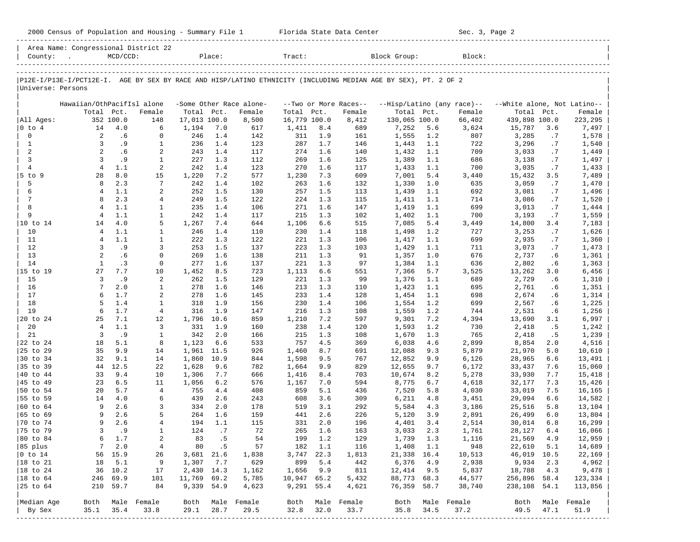|                          | 2000 Census of Population and Housing - Summary File 1 Florida State Data Center |                         |                   |                            |              |                         |                            |             |                                  |                                                                                                                |            | Sec. 3, Page 2             |                             |            |                   |
|--------------------------|----------------------------------------------------------------------------------|-------------------------|-------------------|----------------------------|--------------|-------------------------|----------------------------|-------------|----------------------------------|----------------------------------------------------------------------------------------------------------------|------------|----------------------------|-----------------------------|------------|-------------------|
|                          | Area Name: Congressional District 22<br>County:                                  | $MCD/CCD$ :             |                   |                            |              | Place:                  | Tract:                     |             |                                  | Block Group:                                                                                                   |            | Block:                     |                             |            |                   |
| Universe: Persons        |                                                                                  |                         |                   |                            |              |                         |                            |             |                                  | P12E-I/P13E-I/PCT12E-I. AGE BY SEX BY RACE AND HISP/LATINO ETHNICITY (INCLUDING MEDIAN AGE BY SEX), PT. 2 OF 2 |            |                            |                             |            |                   |
|                          |                                                                                  |                         |                   |                            |              |                         |                            |             |                                  |                                                                                                                |            |                            |                             |            |                   |
|                          | Hawaiian/OthPacifIsl alone                                                       |                         |                   |                            |              | -Some Other Race alone- |                            |             | --Two or More Races--            |                                                                                                                |            | --Hisp/Latino (any race)-- | --White alone, Not Latino-- |            |                   |
| All Ages:                |                                                                                  | Total Pct.<br>352 100.0 | Female<br>148     | Total Pct.<br>17,013 100.0 |              | Female<br>8,500         | Total Pct.<br>16,779 100.0 |             | Female<br>8,412                  | Total Pct.<br>130,065 100.0                                                                                    |            | Female<br>66,402           | Total Pct.<br>439,898 100.0 |            | Female<br>223,295 |
| $0$ to $4$               | 14                                                                               | 4.0                     | 6                 | 1,194                      | 7.0          | 617                     | 1,411                      | 8.4         | 689                              | 7,252                                                                                                          | 5.6        | 3,624                      | 15,787                      | 3.6        | 7,497             |
| $\mathbf 0$              | 2                                                                                | .6                      | $\mathbf 0$       | 246                        | 1.4          | 142                     | 311                        | 1.9         | 161                              | 1,555                                                                                                          | 1.2        | 807                        | 3,285                       | .7         | 1,578             |
| $\mathbf{1}$             | 3                                                                                | . 9                     | $\mathbf{1}$      | 236                        | 1.4          | 123                     | 287                        | 1.7         | 146                              | 1,443                                                                                                          | 1.1        | 722                        | 3,296                       | .7         | 1,540             |
| 2                        | 2                                                                                | .6                      | 2                 | 243                        | 1.4          | 117                     | 274                        | 1.6         | 140                              | 1,432                                                                                                          | 1.1        | 709                        | 3,033                       | .7         | 1,449             |
| $\mathbf{3}$             | 3<br>$\overline{4}$                                                              | . 9                     | 1                 | 227                        | 1.3          | 112                     | 269                        | 1.6         | 125                              | 1,389                                                                                                          | 1.1        | 686                        | 3,138                       | .7         | 1,497             |
| $\overline{4}$<br>5 to 9 | 28                                                                               | 1.1<br>8.0              | 2<br>15           | 242<br>1,220               | 1.4<br>7.2   | 123<br>577              | 270<br>1,230               | 1.6<br>7.3  | 117<br>609                       | 1,433<br>7,001                                                                                                 | 1.1<br>5.4 | 700<br>3,440               | 3,035<br>15,432             | .7<br>3.5  | 1,433<br>7,489    |
| 5                        | 8                                                                                | 2.3                     | 7                 | 242                        | 1.4          | 102                     | 263                        | 1.6         | 132                              | 1,330                                                                                                          | 1.0        | 635                        | 3,059                       | .7         | 1,470             |
| 6                        | 4                                                                                | 1.1                     | 2                 | 252                        | 1.5          | 130                     | 257                        | 1.5         | 113                              | 1,439                                                                                                          | 1.1        | 692                        | 3,081                       | .7         | 1,496             |
| 7                        | 8                                                                                | 2.3                     | $\overline{4}$    | 249                        | 1.5          | 122                     | 224                        | 1.3         | 115                              | 1,411                                                                                                          | 1.1        | 714                        | 3,086                       | .7         | 1,520             |
| 8                        | $\overline{4}$                                                                   | 1.1                     | 1                 | 235                        | 1.4          | 106                     | 271                        | 1.6         | 147                              | 1,419                                                                                                          | 1.1        | 699                        | 3,013                       | .7         | 1,444             |
| 9                        | $\overline{4}$                                                                   | 1.1                     | $\mathbf{1}$      | 242                        | 1.4          | 117                     | 215                        | 1.3         | 102                              | 1,402                                                                                                          | 1.1        | 700                        | 3,193                       | .7         | 1,559             |
| 10 to 14<br>10           | 14<br>$4^{\circ}$                                                                | 4.0<br>1.1              | 5<br>$\mathbf{1}$ | 1,267<br>246               | 7.4<br>1.4   | 644<br>110              | 1,106<br>230               | 6.6<br>1.4  | 515<br>118                       | 7,085<br>1,498                                                                                                 | 5.4<br>1.2 | 3,449<br>727               | 14,800<br>3,253             | 3.4<br>.7  | 7,183<br>1,626    |
| 11                       | $\overline{4}$                                                                   | 1.1                     | $\mathbf{1}$      | 222                        | 1.3          | 122                     | 221                        | 1.3         | 106                              | 1,417                                                                                                          | 1.1        | 699                        | 2,935                       | .7         | 1,360             |
| 12                       | 3                                                                                | .9                      | 3                 | 253                        | 1.5          | 137                     | 223                        | 1.3         | 103                              | 1,429                                                                                                          | 1.1        | 711                        | 3,073                       | .7         | 1,473             |
| 13                       | 2                                                                                | .6                      | 0                 | 269                        | 1.6          | 138                     | 211                        | 1.3         | 91                               | 1,357                                                                                                          | 1.0        | 676                        | 2,737                       | .6         | 1,361             |
| 14                       | $\mathbf{1}$                                                                     | $\cdot$ 3               | $\mathbf 0$       | 277                        | 1.6          | 137                     | 221                        | 1.3         | 97                               | 1,384                                                                                                          | 1.1        | 636                        | 2,802                       | .6         | 1,363             |
| 15 to 19                 | 27                                                                               | 7.7                     | 10                | 1,452                      | 8.5          | 723                     | 1,113                      | 6.6         | 551                              | 7,366                                                                                                          | 5.7        | 3,525                      | 13,262                      | 3.0        | 6,456             |
| 15                       | 3<br>7                                                                           | .9                      | 2                 | 262                        | 1.5          | 129                     | 221                        | 1.3         | 99                               | 1,376                                                                                                          | 1.1        | 689                        | 2,729                       | .6         | 1,310             |
| 16<br>17                 | 6                                                                                | 2.0<br>1.7              | 1<br>2            | 278<br>278                 | 1.6<br>1.6   | 146<br>145              | 213<br>233                 | 1.3<br>1.4  | 110<br>128                       | 1,423<br>1,454                                                                                                 | 1.1<br>1.1 | 695<br>698                 | 2,761<br>2,674              | .6<br>.6   | 1,351<br>1,314    |
| 18                       | 5                                                                                | 1.4                     | 1                 | 318                        | 1.9          | 156                     | 230                        | 1.4         | 106                              | 1,554                                                                                                          | 1.2        | 699                        | 2,567                       | .6         | 1,225             |
| 19                       | 6                                                                                | 1.7                     | $\overline{4}$    | 316                        | 1.9          | 147                     | 216                        | 1.3         | 108                              | 1,559                                                                                                          | 1.2        | 744                        | 2,531                       | .6         | 1,256             |
| 20 to 24                 | 25                                                                               | 7.1                     | 12                | 1,796                      | 10.6         | 859                     | 1,210                      | 7.2         | 597                              | 9,301                                                                                                          | 7.2        | 4,394                      | 13,690                      | 3.1        | 6,997             |
| 20                       | $\overline{4}$                                                                   | 1.1                     | 3                 | 331                        | 1.9          | 160                     | 238                        | 1.4         | 120                              | 1,593                                                                                                          | 1.2        | 730                        | 2,418                       | .5         | 1,242             |
| 21                       | 3                                                                                | .9                      | 1                 | 342                        | 2.0          | 166                     | 215                        | 1.3         | 108                              | 1,670                                                                                                          | 1.3        | 765                        | 2,418                       | . 5        | 1,239             |
| 22 to 24<br>25 to 29     | 18<br>35                                                                         | 5.1<br>9.9              | 8<br>14           | 1,123<br>1,961             | 6.6          | 533                     | 757                        | 4.5<br>8.7  | 369<br>691                       | 6,038                                                                                                          | 4.6<br>9.3 | 2,899<br>5,879             | 8,854                       | 2.0        | 4,516             |
| 30 to 34                 | 32                                                                               | 9.1                     | 14                | 1,860                      | 11.5<br>10.9 | 926<br>844              | 1,460<br>1,598             | 9.5         | 767                              | 12,088<br>12,852                                                                                               | 9.9        | 6,126                      | 21,970<br>28,965            | 5.0<br>6.6 | 10,610<br>13,491  |
| 35 to 39                 |                                                                                  | 44 12.5                 | 22                | 1,628                      | 9.6          | 782                     | 1,664                      | 9.9         | 829                              | 12,655                                                                                                         | 9.7        | 6,172                      | 33,437                      | 7.6        | 15,060            |
| 40 to 44                 | 33                                                                               | 9.4                     | 10                | 1,306                      | 7.7          | 666                     | 1,416                      | 8.4         | 703                              | 10,674                                                                                                         | 8.2        | 5,278                      | 33,930                      | 7.7        | 15,418            |
| 45 to 49                 | 23                                                                               | 6.5                     | 11                | 1,056                      | 6.2          | 576                     | 1,167                      | 7.0         | 594                              | 8,775                                                                                                          | 6.7        | 4,618                      | 32,177                      | 7.3        | 15,426            |
| 50 to 54                 | 20                                                                               | 5.7                     | $\overline{4}$    | 755                        | 4.4          | 408                     | 859                        | 5.1         | 436                              | 7,520                                                                                                          | 5.8        | 4,030                      | 33,019                      | 7.5        | 16,165            |
| 55 to 59<br>60 to 64     | 14<br>9                                                                          | 4.0<br>2.6              | 6<br>3            | 439<br>334                 | 2.6<br>2.0   | 243                     | 608                        | 3.6<br>3.1  | 309<br>292                       | 6,211                                                                                                          | 4.8        | 3,451                      | 29,094<br>25,516            | 6.6        | 14,582            |
| 65 to 69                 | 9                                                                                | 2.6                     | 5                 | 264                        | 1.6          | 178<br>159              | 519<br>441                 | 2.6         | 226                              | 5,584<br>5,120                                                                                                 | 4.3<br>3.9 | 3,186<br>2,891             | 26,499                      | 5.8<br>6.0 | 13,104<br>13,804  |
| 70 to 74                 | 9                                                                                | 2.6                     | 4                 |                            | 194 1.1      | 115                     | 331                        | 2.0         | 196                              | 4,401                                                                                                          | 3.4        | 2,514                      | 30,014                      | 6.8        | 16,299            |
| 75 to 79                 | 3                                                                                | . 9                     | 1                 | 124                        | .7           | 72                      | 265                        | 1.6         | 163                              | 3,033                                                                                                          | 2.3        | 1,761                      | 28,127                      | 6.4        | 16,066            |
| 80 to 84                 | 6                                                                                | 1.7                     | 2                 | 83                         | .5           | 54                      | 199                        | 1.2         | 129                              | 1,739                                                                                                          | 1.3        | 1,116                      | 21,569                      | 4.9        | 12,959            |
| 85 plus                  | 7                                                                                | 2.0                     | 4                 | 80                         | .5           | 57                      | 182                        | 1.1         | 116                              | 1,408                                                                                                          | 1.1        | 948                        | 22,610                      | 5.1        | 14,689            |
| $ 0 \t{to} 14$           | 56                                                                               | 15.9                    | 26                | 3,681                      | 21.6         | 1,838                   | 3,747                      | 22.3        | 1,813                            | 21,338 16.4                                                                                                    |            | 10,513                     | 46,019 10.5                 |            | 22,169            |
| 18 to 21                 | 18                                                                               | 5.1<br>10.2             | 9                 | 1,307<br>2,430 14.3        | 7.7          | 629                     | 899<br>1,656               | 5.4         | 442                              | 6,376                                                                                                          | 4.9        | 2,938                      | 9,934                       | 2.3        | 4,962             |
| 18 to 24<br>18 to 64     | 36<br>246                                                                        | 69.9                    | 17<br>101         | 11,769                     | 69.2         | 1,162<br>5,785          | 10,947                     | 9.9<br>65.2 | 811<br>5,432                     | 12,414<br>88,773 68.3                                                                                          | 9.5        | 5,837<br>44,577            | 18,788<br>256,896 58.4      | 4.3        | 9,478<br>123,334  |
| 25 to 64                 | 210                                                                              | 59.7                    | 84                | 9,339 54.9                 |              | 4,623                   | 9,291 55.4                 |             | 4,621                            | 76,359 58.7                                                                                                    |            | 38,740                     | 238,108                     | 54.1       | 113,856           |
|                          |                                                                                  |                         |                   |                            |              |                         |                            |             |                                  |                                                                                                                |            |                            |                             |            |                   |
| Median Age               | Both                                                                             |                         | Male Female       | Both                       |              | Male Female             | Both                       |             | Male Female                      | Both                                                                                                           |            | Male Female                | Both                        |            | Male Female       |
| By Sex                   | 35.1                                                                             | 35.4                    | 33.8              | 29.1                       | 28.7         | 29.5                    | 32.8                       | 32.0        | 33.7<br>------------------------ | 35.8                                                                                                           | 34.5       | 37.2                       | 49.5                        | 47.1       | 51.9              |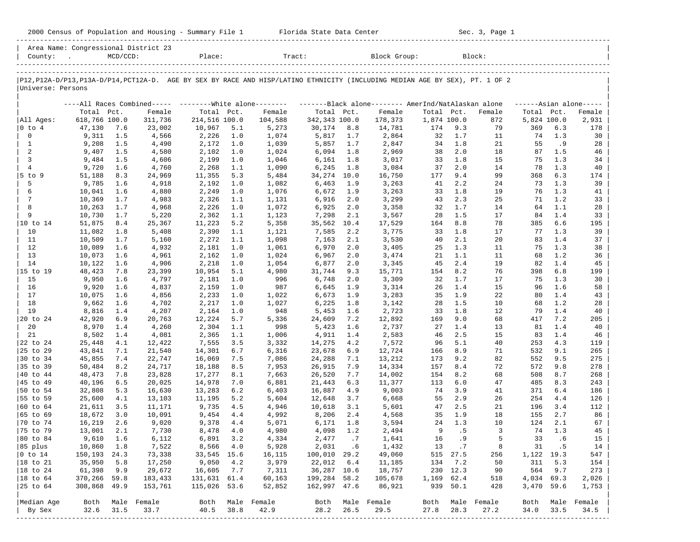|                      |                                                                           |             |                  |                 |            | 2000 Census of Population and Housing - Summary File 1 Florida State Data Center                                              |                  |                 |                 |             |            | Sec. 3, Page 1 |             |            |                      |
|----------------------|---------------------------------------------------------------------------|-------------|------------------|-----------------|------------|-------------------------------------------------------------------------------------------------------------------------------|------------------|-----------------|-----------------|-------------|------------|----------------|-------------|------------|----------------------|
| County:              | Area Name: Congressional District 23<br><b>Contract Contract Contract</b> | $MCD/CCD$ : |                  | Place:          |            | Tract:                                                                                                                        |                  |                 | Block Group:    |             |            | Block:         |             |            |                      |
|                      |                                                                           |             |                  |                 |            | P12, P12A-D/P13, P13A-D/P14, PCT12A-D. AGE BY SEX BY RACE AND HISP/LATINO ETHNICITY (INCLUDING MEDIAN AGE BY SEX), PT. 1 OF 2 |                  |                 |                 |             |            |                |             |            |                      |
| Universe: Persons    |                                                                           |             |                  |                 |            |                                                                                                                               |                  |                 |                 |             |            |                |             |            |                      |
|                      |                                                                           |             |                  |                 |            | ----All Races Combined----- --------White alone------- ----------Black alone-------- AmerInd/NatAlaskan alone                 |                  |                 |                 |             |            |                |             |            | $----Asian alone---$ |
|                      | Total                                                                     | Pct.        | Female           | Total Pct.      |            | Female                                                                                                                        | Total Pct.       |                 | Female          | Total Pct.  |            | Female         | Total Pct.  |            | Female               |
| All Ages:            | 618,766 100.0                                                             |             | 311,736          | 214,516 100.0   |            | 104,588                                                                                                                       | 342,343 100.0    |                 | 178,373         | 1,874 100.0 |            | 872            | 5,824 100.0 |            | 2,931                |
| $0$ to $4$           | 47,130                                                                    | 7.6         | 23,002           | 10,967          | 5.1        | 5,273                                                                                                                         | 30,174           | 8.8             | 14,781          | 174         | 9.3        | 79             | 369         | 6.3        | 178                  |
| 0                    | 9,311                                                                     | 1.5         | 4,566            | 2,226           | 1.0        | 1,074                                                                                                                         | 5,817            | 1.7             | 2,864           | 32          | 1.7        | 11             | 74          | 1.3        | 30                   |
| 1<br>2               | 9,208<br>9,407                                                            | 1.5<br>1.5  | 4,490<br>4,580   | 2,172<br>2,102  | 1.0<br>1.0 | 1,039<br>1,024                                                                                                                | 5,857<br>6,094   | 1.7<br>1.8      | 2,847<br>2,969  | 34<br>38    | 1.8<br>2.0 | 21<br>18       | 55<br>87    | .9<br>1.5  | 28<br>46             |
| 3                    | 9,484                                                                     | 1.5         | 4,606            | 2,199           | 1.0        | 1,046                                                                                                                         | 6,161            | 1.8             | 3,017           | 33          | 1.8        | 15             | 75          | 1.3        | 34                   |
| 4                    | 9,720                                                                     | 1.6         | 4,760            | 2,268           | 1.1        | 1,090                                                                                                                         | 6,245            | 1.8             | 3,084           | 37          | 2.0        | 14             | 78          | 1.3        | 40                   |
| $5$ to $9$           | 51,188                                                                    | 8.3         | 24,969           | 11,355          | 5.3        | 5,484                                                                                                                         | 34,274 10.0      |                 | 16,750          | 177         | 9.4        | 99             | 368         | 6.3        | 174                  |
| 5                    | 9,785                                                                     | 1.6         | 4,918            | 2,192           | 1.0        | 1,082                                                                                                                         | 6,463            | 1.9             | 3,263           | 41          | 2.2        | 24             | 73          | 1.3        | 39                   |
| 6                    | 10,041                                                                    | 1.6         | 4,880            | 2,249           | 1.0        | 1,076                                                                                                                         | 6,672            | 1.9             | 3,263           | 33          | 1.8        | 19             | 76          | 1.3        | 41                   |
| 7                    | 10,369                                                                    | 1.7         | 4,983            | 2,326           | 1.1        | 1,131                                                                                                                         | 6,916            | 2.0             | 3,299           | 43          | 2.3        | 25             | 71          | 1.2        | 33                   |
| 8                    | 10,263                                                                    | 1.7         | 4,968            | 2,226           | 1.0        | 1,072                                                                                                                         | 6,925            | 2.0             | 3,358           | 32          | 1.7        | 14             | 64          | 1.1        | 28                   |
| 9                    | 10,730                                                                    | 1.7         | 5,220            | 2,362           | 1.1        | 1,123                                                                                                                         | 7,298            | 2.1             | 3,567           | 28          | 1.5        | 17             | 84          | 1.4        | 33                   |
| 10 to 14             | 51,875                                                                    | 8.4         | 25,367           | 11,223          | 5.2        | 5,358                                                                                                                         | 35,562           | 10.4            | 17,529          | 164         | 8.8        | 78             | 385         | 6.6        | 195                  |
| 10                   | 11,082                                                                    | 1.8         | 5,408            | 2,390           | 1.1        | 1,121                                                                                                                         | 7,585            | 2.2             | 3,775           | 33          | 1.8        | 17             | 77          | 1.3        | 39                   |
| 11<br>12             | 10,509<br>10,089                                                          | 1.7<br>1.6  | 5,160<br>4,932   | 2,272<br>2,181  | 1.1        | 1,098                                                                                                                         | 7,163<br>6,970   | 2.1<br>2.0      | 3,530<br>3,405  | 40<br>25    | 2.1<br>1.3 | 20<br>11       | 83<br>75    | 1.4<br>1.3 | 37<br>38             |
| 13                   | 10,073                                                                    | 1.6         | 4,961            | 2,162           | 1.0<br>1.0 | 1,061<br>1,024                                                                                                                | 6,967            | 2.0             | 3,474           | 21          | 1.1        | 11             | 68          | 1.2        | 36                   |
| 14                   | 10,122                                                                    | 1.6         | 4,906            | 2,218           | 1.0        | 1,054                                                                                                                         | 6,877            | 2.0             | 3,345           | 45          | 2.4        | 19             | 82          | 1.4        | 45                   |
| 15 to 19             | 48,423                                                                    | 7.8         | 23,399           | 10,954          | 5.1        | 4,980                                                                                                                         | 31,744           | 9.3             | 15,771          | 154         | 8.2        | 76             | 398         | 6.8        | 199                  |
| 15                   | 9,950                                                                     | 1.6         | 4,797            | 2,181           | 1.0        | 996                                                                                                                           | 6,748            | 2.0             | 3,309           | 32          | 1.7        | 17             | 75          | 1.3        | 30                   |
| 16                   | 9,920                                                                     | 1.6         | 4,837            | 2,159           | 1.0        | 987                                                                                                                           | 6,645            | 1.9             | 3,314           | 26          | 1.4        | 15             | 96          | 1.6        | 58                   |
| 17                   | 10,075                                                                    | 1.6         | 4,856            | 2,233           | 1.0        | 1,022                                                                                                                         | 6,673            | 1.9             | 3,283           | 35          | 1.9        | 22             | 80          | 1.4        | 43                   |
| 18                   | 9,662                                                                     | 1.6         | 4,702            | 2,217           | 1.0        | 1,027                                                                                                                         | 6,225            | 1.8             | 3,142           | 28          | 1.5        | 10             | 68          | 1.2        | 28                   |
| 19                   | 8,816                                                                     | 1.4         | 4,207            | 2,164           | 1.0        | 948                                                                                                                           | 5,453            | 1.6             | 2,723           | 33          | 1.8        | 12             | 79          | 1.4        | 40                   |
| 20 to 24             | 42,920                                                                    | 6.9         | 20,763           | 12,224          | 5.7        | 5,336                                                                                                                         | 24,609           | 7.2             | 12,892          | 169         | 9.0        | 68             | 417         | 7.2        | 205                  |
| 20                   | 8,970                                                                     | 1.4         | 4,260            | 2,304           | 1.1        | 998                                                                                                                           | 5,423            | 1.6             | 2,737           | 27          | 1.4        | 13             | 81          | 1.4        | 40                   |
| 21                   | 8,502                                                                     | 1.4         | 4,081            | 2,365           | 1.1        | 1,006                                                                                                                         | 4,911            | 1.4             | 2,583           | 46          | 2.5        | 15             | 83          | 1.4        | 46                   |
| 22 to 24<br>25 to 29 | 25,448<br>43,841                                                          | 4.1<br>7.1  | 12,422<br>21,540 | 7,555<br>14,301 | 3.5<br>6.7 | 3,332<br>6,316                                                                                                                | 14,275<br>23,678 | 4.2<br>6.9      | 7,572<br>12,724 | 96<br>166   | 5.1<br>8.9 | 40<br>71       | 253<br>532  | 4.3<br>9.1 | 119<br>265           |
| 30 to 34             | 45,855                                                                    | 7.4         | 22,747           | 16,069          | 7.5        | 7,086                                                                                                                         | 24,288           | 7.1             | 13,212          | 173         | 9.2        | 82             | 552         | 9.5        | 275                  |
| 35 to 39             | 50,484                                                                    | 8.2         | 24,717           | 18,188          | 8.5        | 7,953                                                                                                                         | 26,915           | 7.9             | 14,334          | 157         | 8.4        | 72             | 572         | 9.8        | 278                  |
| 40 to 44             | 48,473                                                                    | 7.8         | 23,828           | 17,277          | 8.1        | 7,663                                                                                                                         | 26,520           | 7.7             | 14,002          | 154         | 8.2        | 68             | 508         | 8.7        | 268                  |
| 45 to 49             | 40,196                                                                    | 6.5         | 20,025           | 14,978          | 7.0        | 6,881                                                                                                                         | 21,443           | 6.3             | 11,377          | 113         | 6.0        | 47             | 485         | 8.3        | 243                  |
| 50 to 54             | 32,808                                                                    | 5.3         | 16,630           | 13,283          | 6.2        | 6,403                                                                                                                         | 16,887           | 4.9             | 9,003           | 74          | 3.9        | 41             | 371         | 6.4        | 186                  |
| 55 to 59             | 25,600                                                                    | 4.1         | 13,103           | 11,195          | 5.2        | 5,604                                                                                                                         | 12,648           | 3.7             | 6,668           | 55          | 2.9        | 26             | 254         | 4.4        | 126                  |
| 60 to 64             | 21,611                                                                    | 3.5         | 11,171           | 9,735           | 4.5        | 4,946                                                                                                                         | 10,618           | 3.1             | 5,601           | 47          | 2.5        | 21             | 196         | 3.4        | 112                  |
| 65 to 69             | 18,672                                                                    | 3.0         | 10,091           | 9,454           | 4.4        | 4,992                                                                                                                         | 8,206            | 2.4             | 4,568           | 35          | 1.9        | 18             | 155         | 2.7        | 86                   |
| 70 to 74             | 16,219                                                                    | 2.6         | 9,020            | 9,378 4.4       |            | 5,071                                                                                                                         | 6,171            | 1.8             | 3,594           |             | 24 1.3     | 10             | 124         | 2.1        | 67                   |
| 75 to 79             | 13,001                                                                    | 2.1         | 7,730            | 8,478           | 4.0        | 4,980                                                                                                                         | 4,098            | 1.2             | 2,494           | 9           | .5         | 3              | 74          | 1.3        | 45                   |
| 80 to 84<br>85 plus  | 9,610<br>10,860                                                           | 1.6<br>1.8  | 6,112            | 6,891<br>8,566  | 3.2<br>4.0 | 4,334<br>5,928                                                                                                                | 2,477<br>2,031   | $\cdot$ 7<br>.6 | 1,641<br>1,432  | 16<br>13    | .9<br>.7   | 5<br>8         | 33<br>31    | .6<br>.5   | 15<br>14             |
| $0$ to $14$          | 150,193                                                                   | 24.3        | 7,522<br>73,338  | 33,545 15.6     |            | 16,115                                                                                                                        | 100,010 29.2     |                 | 49,060          | 515         | 27.5       | 256            | 1,122 19.3  |            | 547                  |
| $ 18 \text{ to } 21$ | 35,950                                                                    | 5.8         | 17,250           | 9,050           | 4.2        | 3,979                                                                                                                         | 22,012           | 6.4             | 11,185          | 134         | 7.2        | 50             | 311         | 5.3        | 154                  |
| 18 to 24             | 61,398                                                                    | 9.9         | 29,672           | 16,605          | 7.7        | 7,311                                                                                                                         | 36,287 10.6      |                 | 18,757          | 230         | 12.3       | 90             | 564         | 9.7        | 273                  |
| $ 18 \text{ to } 64$ | 370,266 59.8                                                              |             | 183,433          | 131,631         | 61.4       | 60,163                                                                                                                        | 199,284 58.2     |                 | 105,678         | 1,169       | 62.4       | 518            | 4,034 69.3  |            | 2,026                |
| 25 to 64             | 308,868 49.9                                                              |             | 153,761          | 115,026 53.6    |            | 52,852                                                                                                                        | 162,997 47.6     |                 | 86,921          | 939         | 50.1       | 428            | 3,470 59.6  |            | 1,753                |
| Median Age           | Both                                                                      |             | Male Female      | Both            | Male       | Female                                                                                                                        | Both             | Male            | Female          | Both        | Male       | Female         | Both        | Male       | Female               |
| By Sex               | 32.6                                                                      | 31.5        | 33.7             | 40.5            | 38.8       | 42.9                                                                                                                          | 28.2             | 26.5            | 29.5            | 27.8        | 28.3       | 27.2           | 34.0        | 33.5       | 34.5                 |

-----------------------------------------------------------------------------------------------------------------------------------------------------